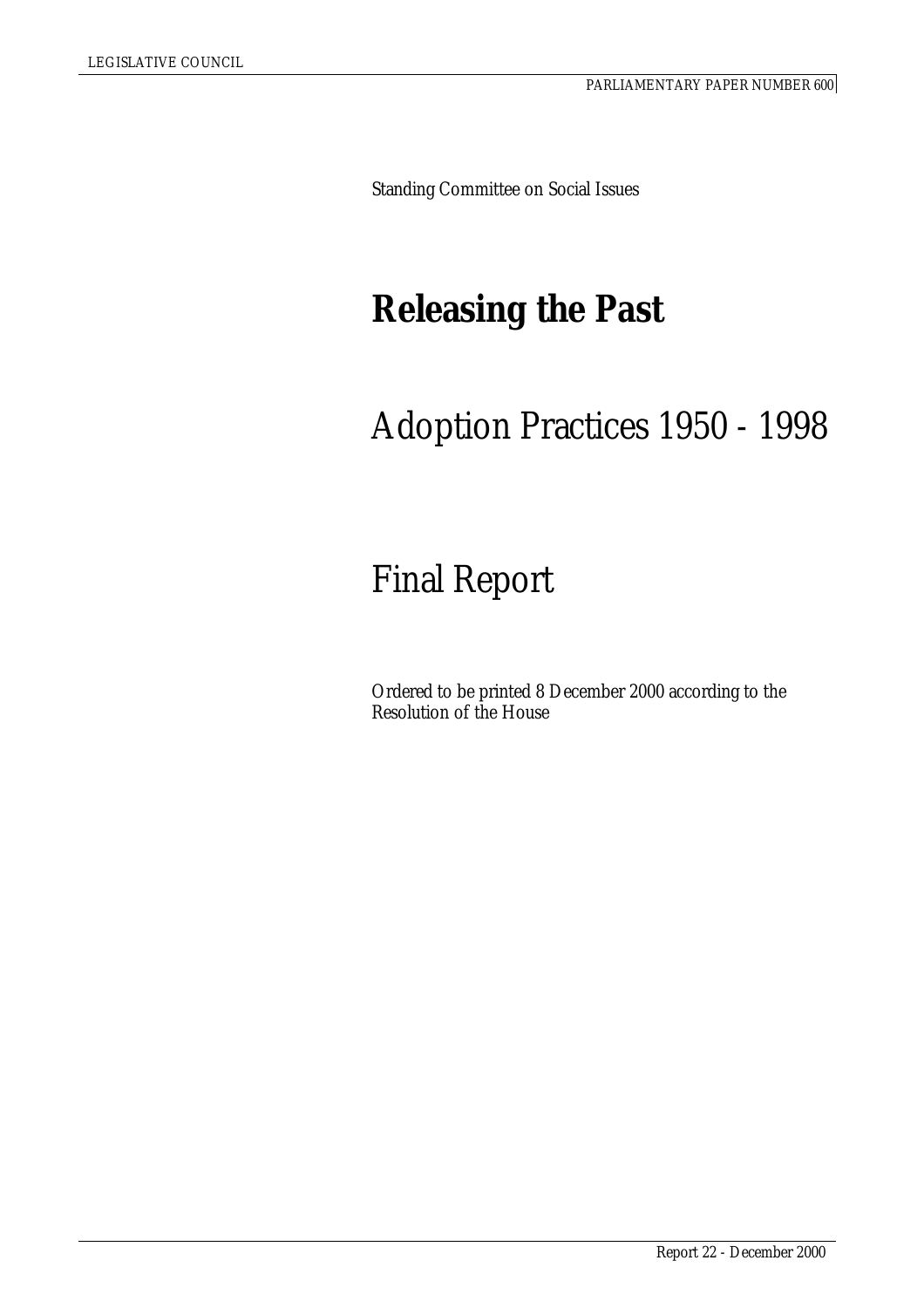Standing Committee on Social Issues

# **Releasing the Past**

# Adoption Practices 1950 - 1998

# Final Report

Ordered to be printed 8 December 2000 according to the Resolution of the House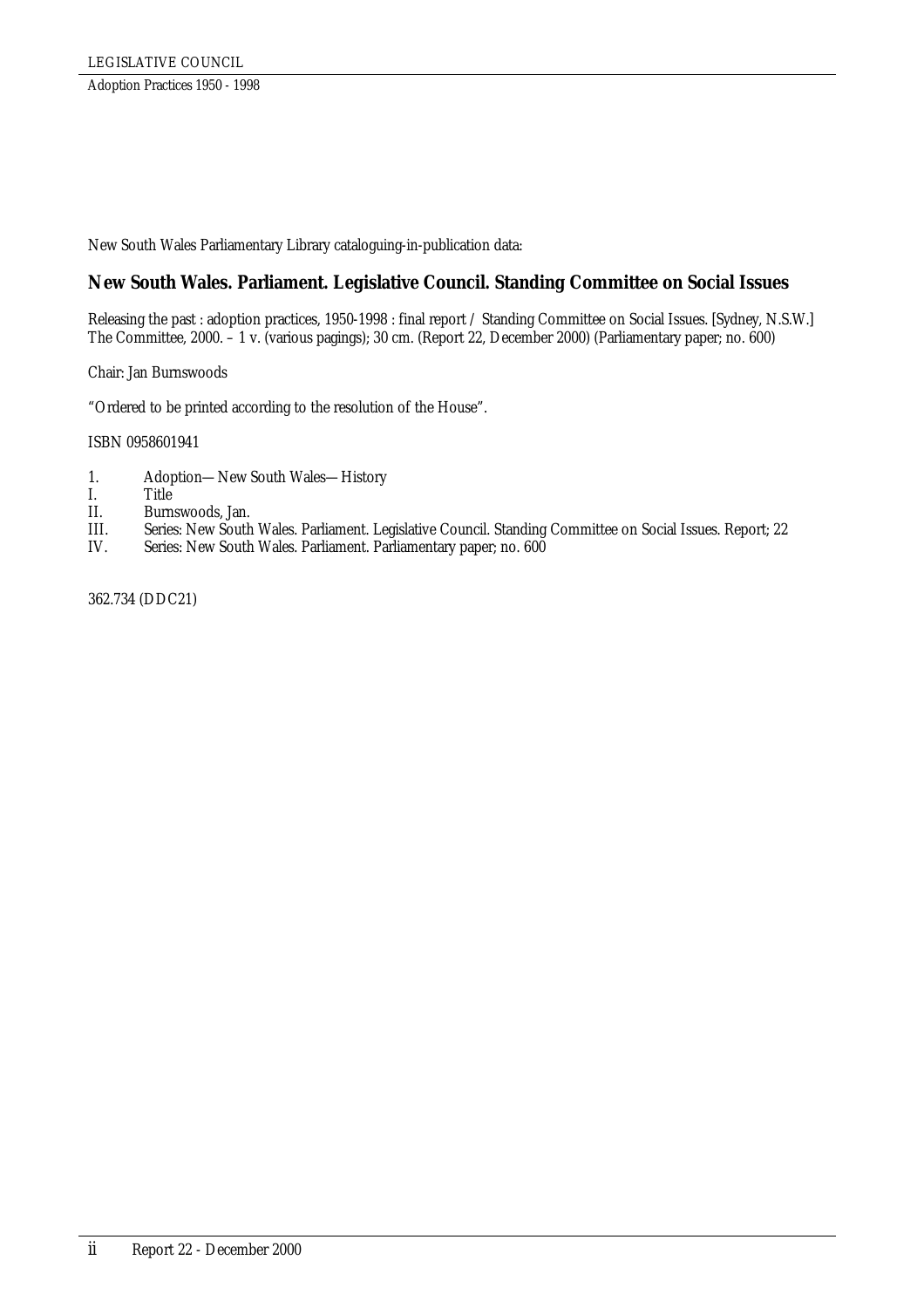New South Wales Parliamentary Library cataloguing-in-publication data:

#### **New South Wales. Parliament. Legislative Council. Standing Committee on Social Issues**

Releasing the past : adoption practices, 1950-1998 : final report / Standing Committee on Social Issues. [Sydney, N.S.W.] The Committee, 2000. – 1 v. (various pagings); 30 cm. (Report 22, December 2000) (Parliamentary paper; no. 600)

Chair: Jan Burnswoods

"Ordered to be printed according to the resolution of the House".

ISBN 0958601941

- 1. Adoption—New South Wales—History<br>L. Title
- I. Title<br>II. Burn
- II. Burnswoods, Jan.<br>III. Series: New South
- III. Series: New South Wales. Parliament. Legislative Council. Standing Committee on Social Issues. Report; 22<br>IV. Series: New South Wales. Parliament. Parliamentary paper: no. 600
- Series: New South Wales. Parliament. Parliamentary paper; no. 600

362.734 (DDC21)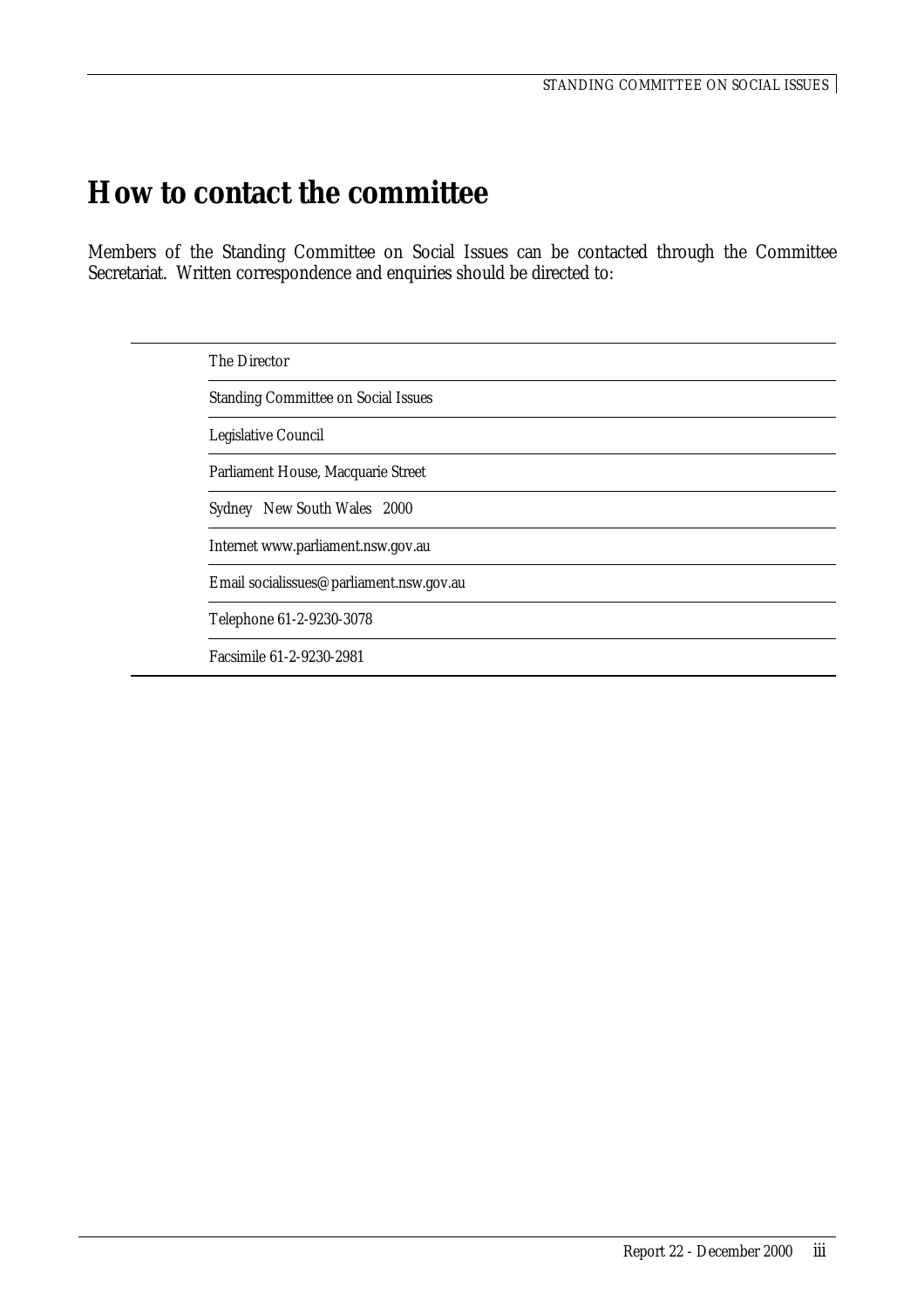## **How to contact the committee**

Members of the Standing Committee on Social Issues can be contacted through the Committee Secretariat. Written correspondence and enquiries should be directed to:

> The Director Standing Committee on Social Issues Legislative Council Parliament House, Macquarie Street Sydney New South Wales 2000 Internet www.parliament.nsw.gov.au Email socialissues@parliament.nsw.gov.au Telephone 61-2-9230-3078 Facsimile 61-2-9230-2981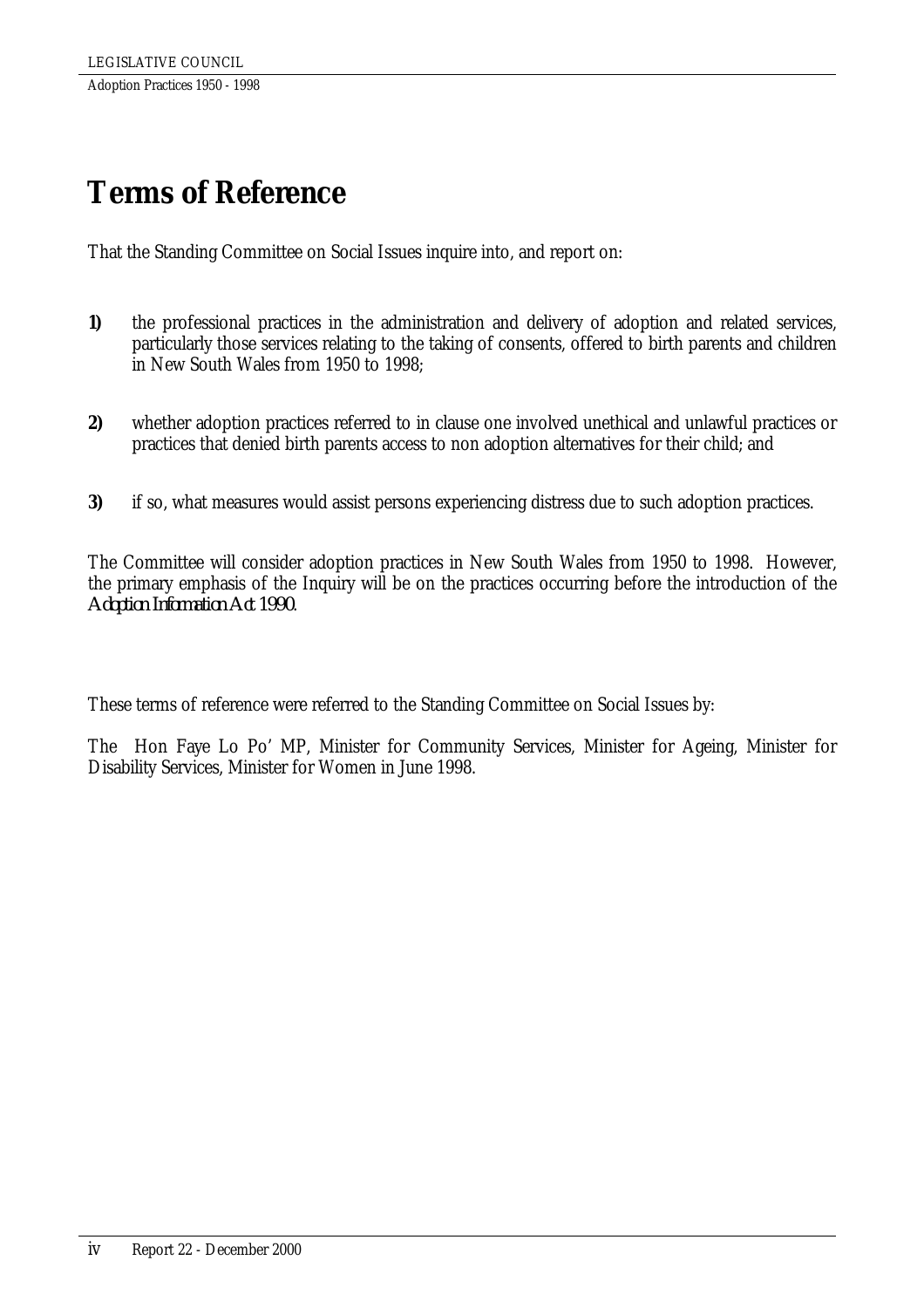## **Terms of Reference**

That the Standing Committee on Social Issues inquire into, and report on:

- **1)** the professional practices in the administration and delivery of adoption and related services, particularly those services relating to the taking of consents, offered to birth parents and children in New South Wales from 1950 to 1998;
- **2)** whether adoption practices referred to in clause one involved unethical and unlawful practices or practices that denied birth parents access to non adoption alternatives for their child; and
- **3)** if so, what measures would assist persons experiencing distress due to such adoption practices.

The Committee will consider adoption practices in New South Wales from 1950 to 1998. However, the primary emphasis of the Inquiry will be on the practices occurring before the introduction of the *Adoption Information Act 1990*.

These terms of reference were referred to the Standing Committee on Social Issues by:

The Hon Faye Lo Po' MP, Minister for Community Services, Minister for Ageing, Minister for Disability Services, Minister for Women in June 1998.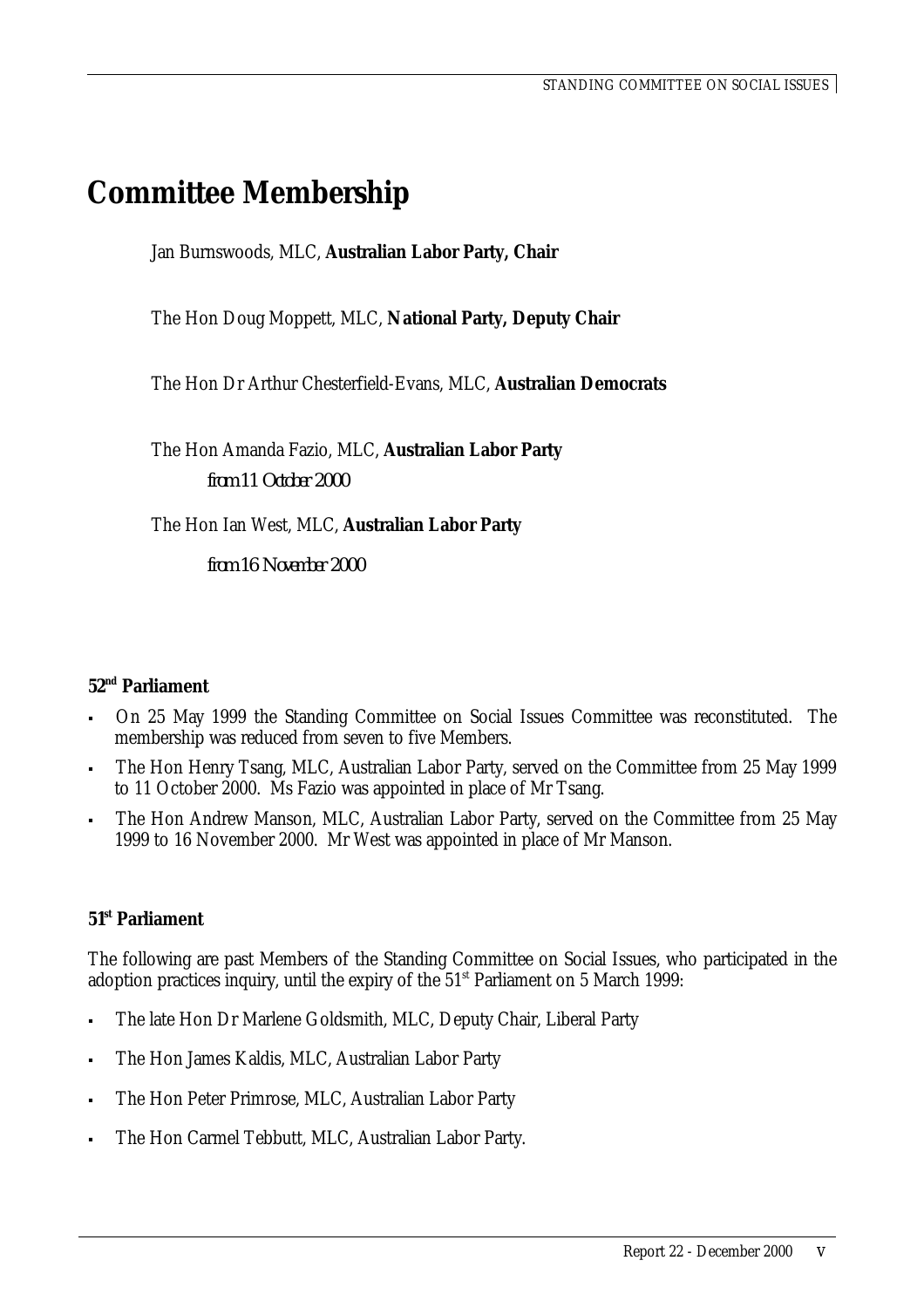## **Committee Membership**

Jan Burnswoods, MLC, **Australian Labor Party, Chair**

The Hon Doug Moppett, MLC, **National Party, Deputy Chair**

The Hon Dr Arthur Chesterfield-Evans, MLC, **Australian Democrats**

The Hon Amanda Fazio, MLC, **Australian Labor Party** *from 11 October 2000*

The Hon Ian West, MLC, **Australian Labor Party**

*from 16 November 2000*

### **52nd Parliament**

- <sup>ß</sup> On 25 May 1999 the Standing Committee on Social Issues Committee was reconstituted. The membership was reduced from seven to five Members.
- The Hon Henry Tsang, MLC, Australian Labor Party, served on the Committee from 25 May 1999 to 11 October 2000. Ms Fazio was appointed in place of Mr Tsang.
- The Hon Andrew Manson, MLC, Australian Labor Party, served on the Committee from 25 May 1999 to 16 November 2000. Mr West was appointed in place of Mr Manson.

#### **51st Parliament**

The following are past Members of the Standing Committee on Social Issues, who participated in the adoption practices inquiry, until the expiry of the  $51<sup>st</sup>$  Parliament on 5 March 1999:

- The late Hon Dr Marlene Goldsmith, MLC, Deputy Chair, Liberal Party
- <sup>ß</sup> The Hon James Kaldis, MLC, Australian Labor Party
- <sup>ß</sup> The Hon Peter Primrose, MLC, Australian Labor Party
- <sup>ß</sup> The Hon Carmel Tebbutt, MLC, Australian Labor Party.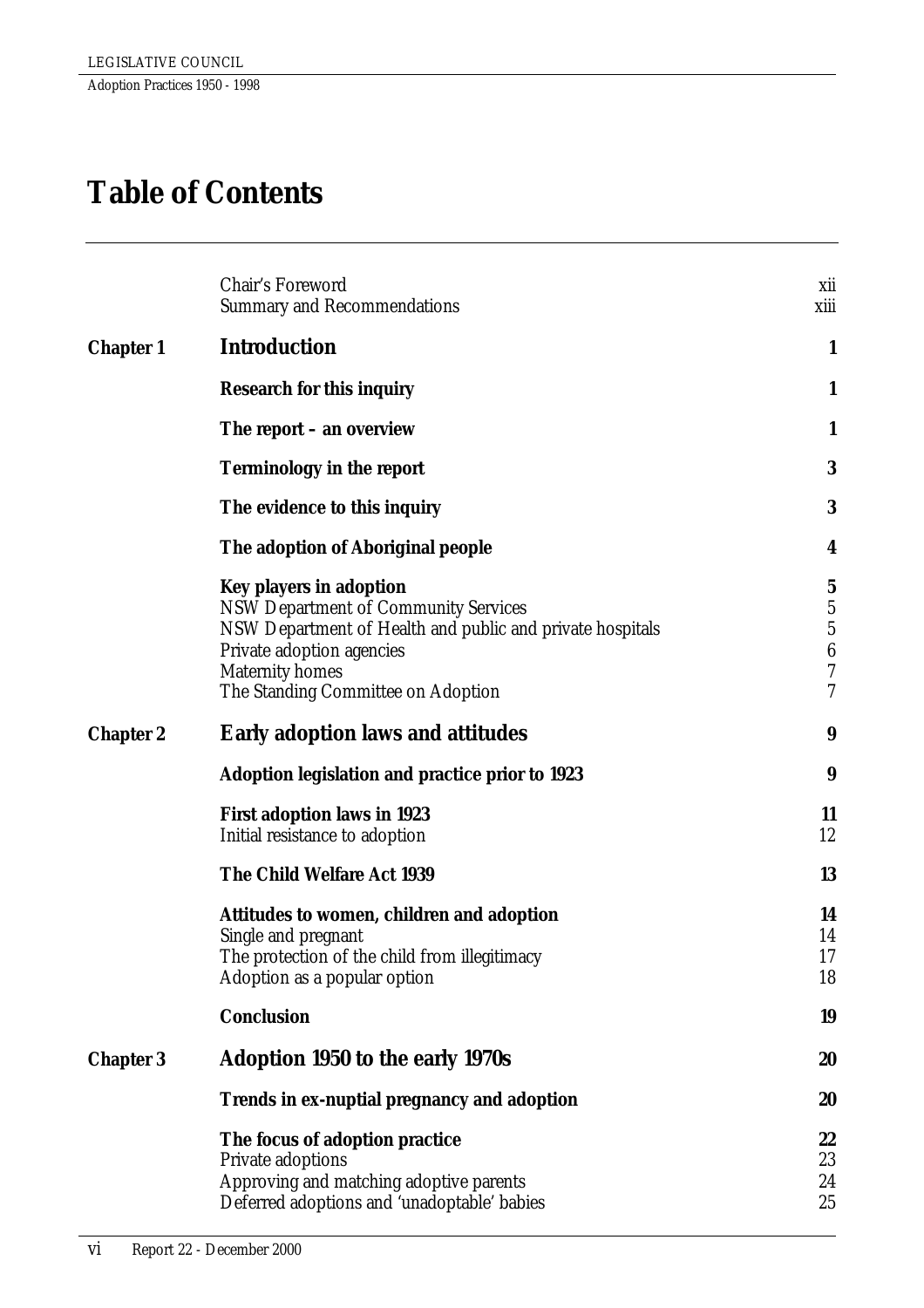## **Table of Contents**

|                  | Chair's Foreword<br><b>Summary and Recommendations</b>                                                                                                                                                                                  | xii<br>xiii                                                                                          |
|------------------|-----------------------------------------------------------------------------------------------------------------------------------------------------------------------------------------------------------------------------------------|------------------------------------------------------------------------------------------------------|
| <b>Chapter 1</b> | <b>Introduction</b>                                                                                                                                                                                                                     | 1                                                                                                    |
|                  | <b>Research for this inquiry</b>                                                                                                                                                                                                        | $\mathbf{1}$                                                                                         |
|                  | The report $-$ an overview                                                                                                                                                                                                              | 1                                                                                                    |
|                  | <b>Terminology in the report</b>                                                                                                                                                                                                        | 3                                                                                                    |
|                  | The evidence to this inquiry                                                                                                                                                                                                            | 3                                                                                                    |
|                  | The adoption of Aboriginal people                                                                                                                                                                                                       | 4                                                                                                    |
|                  | <b>Key players in adoption</b><br><b>NSW Department of Community Services</b><br>NSW Department of Health and public and private hospitals<br>Private adoption agencies<br><b>Maternity homes</b><br>The Standing Committee on Adoption | $\mathbf 5$<br>$\overline{5}$<br>$\mathbf 5$<br>$\boldsymbol{6}$<br>$\overline{7}$<br>$\overline{7}$ |
| <b>Chapter 2</b> | <b>Early adoption laws and attitudes</b>                                                                                                                                                                                                | 9                                                                                                    |
|                  | <b>Adoption legislation and practice prior to 1923</b>                                                                                                                                                                                  | 9                                                                                                    |
|                  | <b>First adoption laws in 1923</b><br>Initial resistance to adoption                                                                                                                                                                    | 11<br>12                                                                                             |
|                  | The Child Welfare Act 1939                                                                                                                                                                                                              | 13                                                                                                   |
|                  | Attitudes to women, children and adoption<br>Single and pregnant<br>The protection of the child from illegitimacy<br>Adoption as a popular option                                                                                       | 14<br>14<br>17<br>18                                                                                 |
|                  | <b>Conclusion</b>                                                                                                                                                                                                                       | 19                                                                                                   |
| <b>Chapter 3</b> | Adoption 1950 to the early 1970s                                                                                                                                                                                                        | 20                                                                                                   |
|                  | Trends in ex-nuptial pregnancy and adoption                                                                                                                                                                                             | 20                                                                                                   |
|                  | The focus of adoption practice<br>Private adoptions<br>Approving and matching adoptive parents<br>Deferred adoptions and 'unadoptable' babies                                                                                           | 22<br>23<br>24<br>25                                                                                 |
|                  |                                                                                                                                                                                                                                         |                                                                                                      |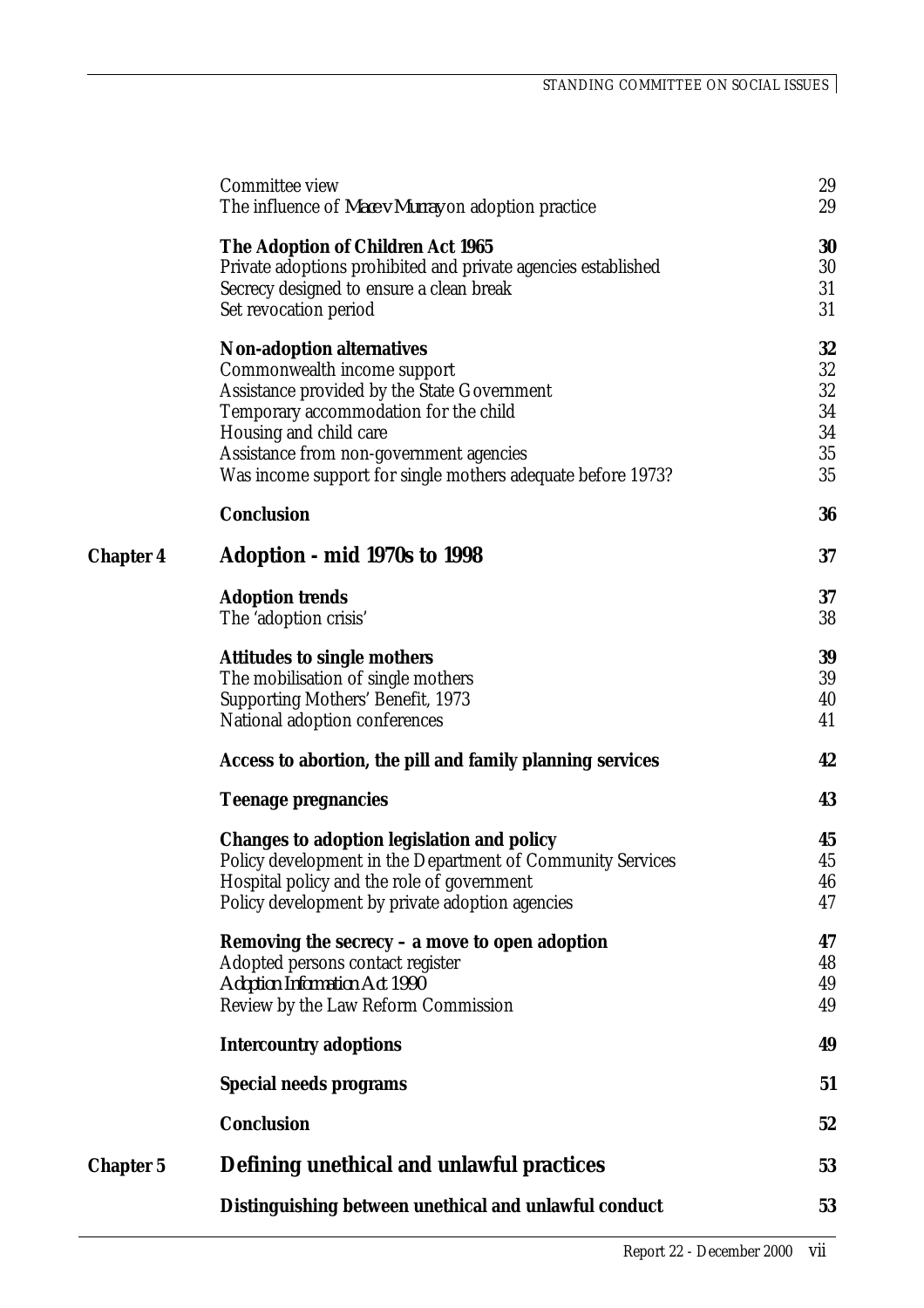|                  | Committee view<br>The influence of Mace v Murray on adoption practice                              | 29<br>29 |
|------------------|----------------------------------------------------------------------------------------------------|----------|
|                  | The Adoption of Children Act 1965<br>Private adoptions prohibited and private agencies established | 30<br>30 |
|                  | Secrecy designed to ensure a clean break<br>Set revocation period                                  | 31<br>31 |
|                  | <b>Non-adoption alternatives</b>                                                                   | 32       |
|                  | Commonwealth income support                                                                        | 32       |
|                  | Assistance provided by the State Government<br>Temporary accommodation for the child               | 32<br>34 |
|                  | Housing and child care                                                                             | 34       |
|                  | Assistance from non-government agencies                                                            | 35       |
|                  | Was income support for single mothers adequate before 1973?                                        | 35       |
|                  | <b>Conclusion</b>                                                                                  | 36       |
| <b>Chapter 4</b> | <b>Adoption - mid 1970s to 1998</b>                                                                | 37       |
|                  | <b>Adoption trends</b>                                                                             | 37       |
|                  | The 'adoption crisis'                                                                              | 38       |
|                  | <b>Attitudes to single mothers</b>                                                                 | 39       |
|                  | The mobilisation of single mothers                                                                 | 39       |
|                  | <b>Supporting Mothers' Benefit, 1973</b>                                                           | 40       |
|                  | National adoption conferences                                                                      | 41       |
|                  | Access to abortion, the pill and family planning services                                          | 42       |
|                  | <b>Teenage pregnancies</b>                                                                         | 43       |
|                  | <b>Changes to adoption legislation and policy</b>                                                  | 45       |
|                  | Policy development in the Department of Community Services                                         | 45       |
|                  | Hospital policy and the role of government                                                         | 46       |
|                  | Policy development by private adoption agencies                                                    | 47       |
|                  | Removing the secrecy $-$ a move to open adoption                                                   | 47       |
|                  | Adopted persons contact register                                                                   | 48       |
|                  | Adoption Information Act 1990<br>Review by the Law Reform Commission                               | 49<br>49 |
|                  | <b>Intercountry adoptions</b>                                                                      | 49       |
|                  | <b>Special needs programs</b>                                                                      | 51       |
|                  | <b>Conclusion</b>                                                                                  | 52       |
|                  |                                                                                                    |          |
| <b>Chapter 5</b> | Defining unethical and unlawful practices                                                          | 53       |
|                  | Distinguishing between unethical and unlawful conduct                                              | 53       |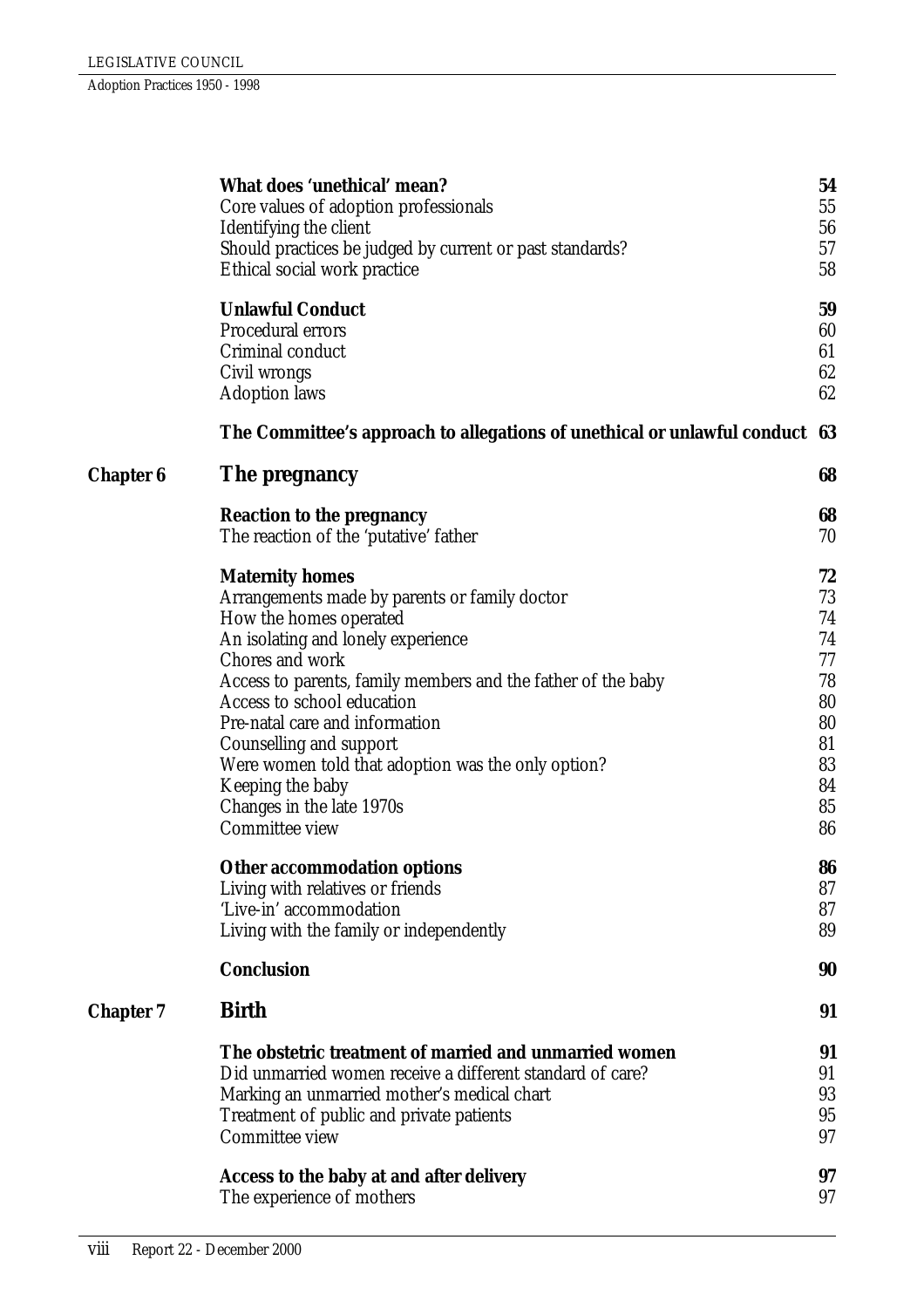|                  | <b>What does 'unethical' mean?</b><br>Core values of adoption professionals<br>Identifying the client<br>Should practices be judged by current or past standards?<br>Ethical social work practice                                                                                                                                                                                                                                              | 54<br>55<br>56<br>57<br>58                                                 |
|------------------|------------------------------------------------------------------------------------------------------------------------------------------------------------------------------------------------------------------------------------------------------------------------------------------------------------------------------------------------------------------------------------------------------------------------------------------------|----------------------------------------------------------------------------|
|                  | <b>Unlawful Conduct</b><br>Procedural errors<br>Criminal conduct<br>Civil wrongs<br><b>Adoption laws</b>                                                                                                                                                                                                                                                                                                                                       | 59<br>60<br>61<br>62<br>62                                                 |
|                  | The Committee's approach to allegations of unethical or unlawful conduct 63                                                                                                                                                                                                                                                                                                                                                                    |                                                                            |
| <b>Chapter 6</b> | The pregnancy                                                                                                                                                                                                                                                                                                                                                                                                                                  | 68                                                                         |
|                  | <b>Reaction to the pregnancy</b><br>The reaction of the 'putative' father                                                                                                                                                                                                                                                                                                                                                                      | 68<br>70                                                                   |
|                  | <b>Maternity homes</b><br>Arrangements made by parents or family doctor<br>How the homes operated<br>An isolating and lonely experience<br>Chores and work<br>Access to parents, family members and the father of the baby<br>Access to school education<br>Pre-natal care and information<br>Counselling and support<br>Were women told that adoption was the only option?<br>Keeping the baby<br>Changes in the late 1970s<br>Committee view | 72<br>73<br>74<br>74<br>77<br>78<br>80<br>80<br>81<br>83<br>84<br>85<br>86 |
|                  | <b>Other accommodation options</b><br>Living with relatives or friends<br>'Live-in' accommodation<br>Living with the family or independently                                                                                                                                                                                                                                                                                                   | 86<br>87<br>87<br>89                                                       |
|                  | <b>Conclusion</b>                                                                                                                                                                                                                                                                                                                                                                                                                              | 90                                                                         |
| <b>Chapter 7</b> | <b>Birth</b>                                                                                                                                                                                                                                                                                                                                                                                                                                   | 91                                                                         |
|                  | The obstetric treatment of married and unmarried women<br>Did unmarried women receive a different standard of care?<br>Marking an unmarried mother's medical chart<br>Treatment of public and private patients<br>Committee view<br>Access to the baby at and after delivery<br>The experience of mothers                                                                                                                                      | 91<br>91<br>93<br>95<br>97<br>97<br>97                                     |
|                  |                                                                                                                                                                                                                                                                                                                                                                                                                                                |                                                                            |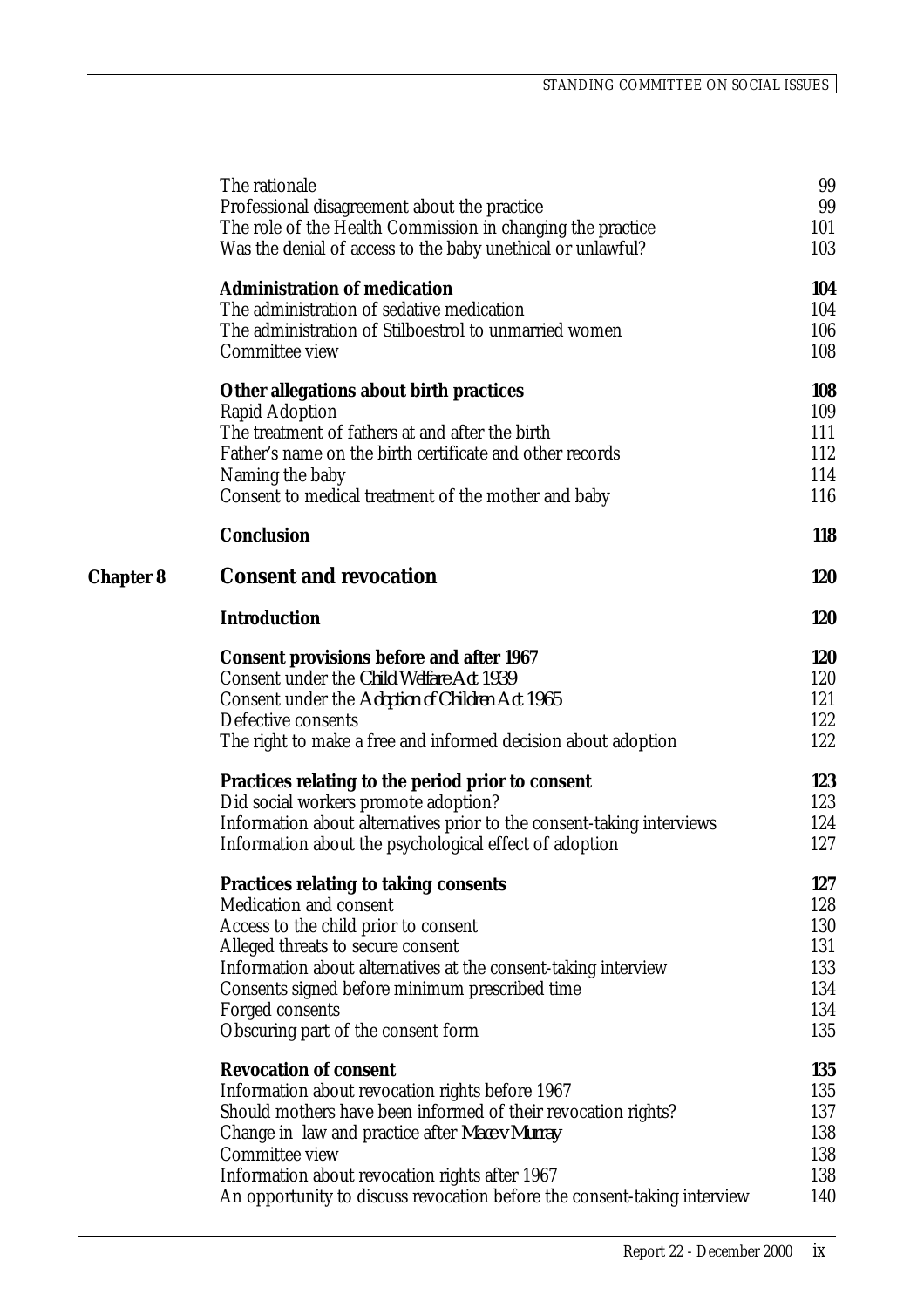|                  | The rationale                                                                   | 99         |
|------------------|---------------------------------------------------------------------------------|------------|
|                  | Professional disagreement about the practice                                    | 99         |
|                  | The role of the Health Commission in changing the practice                      | 101        |
|                  | Was the denial of access to the baby unethical or unlawful?                     | 103        |
|                  | <b>Administration of medication</b>                                             | 104        |
|                  | The administration of sedative medication                                       | 104        |
|                  | The administration of Stilboestrol to unmarried women                           | 106        |
|                  | Committee view                                                                  | 108        |
|                  | Other allegations about birth practices                                         | 108        |
|                  | <b>Rapid Adoption</b>                                                           | 109        |
|                  | The treatment of fathers at and after the birth                                 | 111        |
|                  | Father's name on the birth certificate and other records                        | 112        |
|                  | Naming the baby                                                                 | 114        |
|                  | Consent to medical treatment of the mother and baby                             | 116        |
|                  | <b>Conclusion</b>                                                               | 118        |
| <b>Chapter 8</b> | <b>Consent and revocation</b>                                                   | 120        |
|                  | <b>Introduction</b>                                                             | 120        |
|                  | <b>Consent provisions before and after 1967</b>                                 | 120        |
|                  | Consent under the Child Welfare Act 1939                                        | 120        |
|                  | Consent under the Adoption of Children Act 1965                                 | 121        |
|                  | Defective consents                                                              | 122        |
|                  | The right to make a free and informed decision about adoption                   | 122        |
|                  | Practices relating to the period prior to consent                               | 123        |
|                  | Did social workers promote adoption?                                            | 123        |
|                  | Information about alternatives prior to the consent-taking interviews           | 124        |
|                  | Information about the psychological effect of adoption                          | 127        |
|                  | <b>Practices relating to taking consents</b>                                    | 127        |
|                  | Medication and consent                                                          | 128        |
|                  | Access to the child prior to consent                                            | 130        |
|                  | Alleged threats to secure consent                                               | 131        |
|                  | Information about alternatives at the consent-taking interview                  | 133        |
|                  | Consents signed before minimum prescribed time                                  | 134        |
|                  | Forged consents<br>Obscuring part of the consent form                           | 134<br>135 |
|                  |                                                                                 |            |
|                  | <b>Revocation of consent</b><br>Information about revocation rights before 1967 | 135<br>135 |
|                  | Should mothers have been informed of their revocation rights?                   | 137        |
|                  | Change in law and practice after Mace v Murray                                  | 138        |
|                  | Committee view                                                                  | 138        |
|                  | Information about revocation rights after 1967                                  | 138        |
|                  | An opportunity to discuss revocation before the consent-taking interview        | 140        |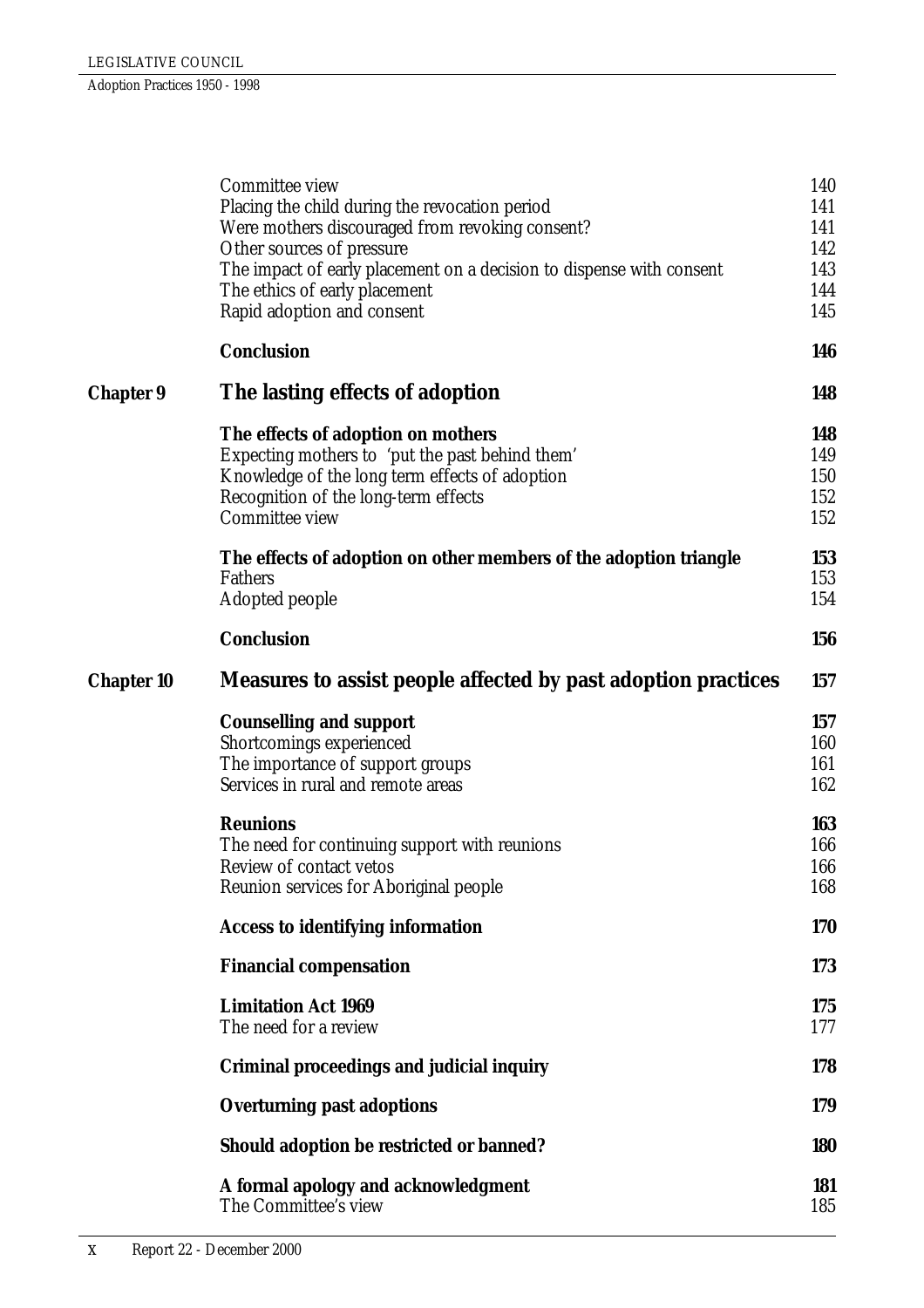|                   | Committee view                                                       | 140        |
|-------------------|----------------------------------------------------------------------|------------|
|                   | Placing the child during the revocation period                       | 141        |
|                   | Were mothers discouraged from revoking consent?                      | 141        |
|                   | Other sources of pressure                                            | 142        |
|                   | The impact of early placement on a decision to dispense with consent | 143        |
|                   | The ethics of early placement                                        | 144        |
|                   | Rapid adoption and consent                                           | 145        |
|                   | <b>Conclusion</b>                                                    | 146        |
| <b>Chapter 9</b>  | The lasting effects of adoption                                      | 148        |
|                   | The effects of adoption on mothers                                   | 148        |
|                   | Expecting mothers to 'put the past behind them'                      | 149        |
|                   | Knowledge of the long term effects of adoption                       | 150        |
|                   | Recognition of the long-term effects                                 | 152        |
|                   | Committee view                                                       | 152        |
|                   |                                                                      |            |
|                   | The effects of adoption on other members of the adoption triangle    | 153        |
|                   | <b>Fathers</b>                                                       | 153        |
|                   | Adopted people                                                       | 154        |
|                   | <b>Conclusion</b>                                                    | 156        |
| <b>Chapter 10</b> | Measures to assist people affected by past adoption practices        | 157        |
|                   | <b>Counselling and support</b>                                       | 157        |
|                   | Shortcomings experienced                                             | 160        |
|                   | The importance of support groups                                     | 161        |
|                   | Services in rural and remote areas                                   | 162        |
|                   | <b>Reunions</b>                                                      | 163        |
|                   | The need for continuing support with reunions                        | 166        |
|                   | Review of contact vetos                                              | 166        |
|                   | Reunion services for Aboriginal people                               | 168        |
|                   | <b>Access to identifying information</b>                             | <b>170</b> |
|                   | <b>Financial compensation</b>                                        | 173        |
|                   | <b>Limitation Act 1969</b>                                           | 175        |
|                   | The need for a review                                                | 177        |
|                   | <b>Criminal proceedings and judicial inquiry</b>                     | 178        |
|                   | <b>Overturning past adoptions</b>                                    | 179        |
|                   | Should adoption be restricted or banned?                             | <b>180</b> |
|                   | A formal apology and acknowledgment                                  | <b>181</b> |
|                   | The Committee's view                                                 | 185        |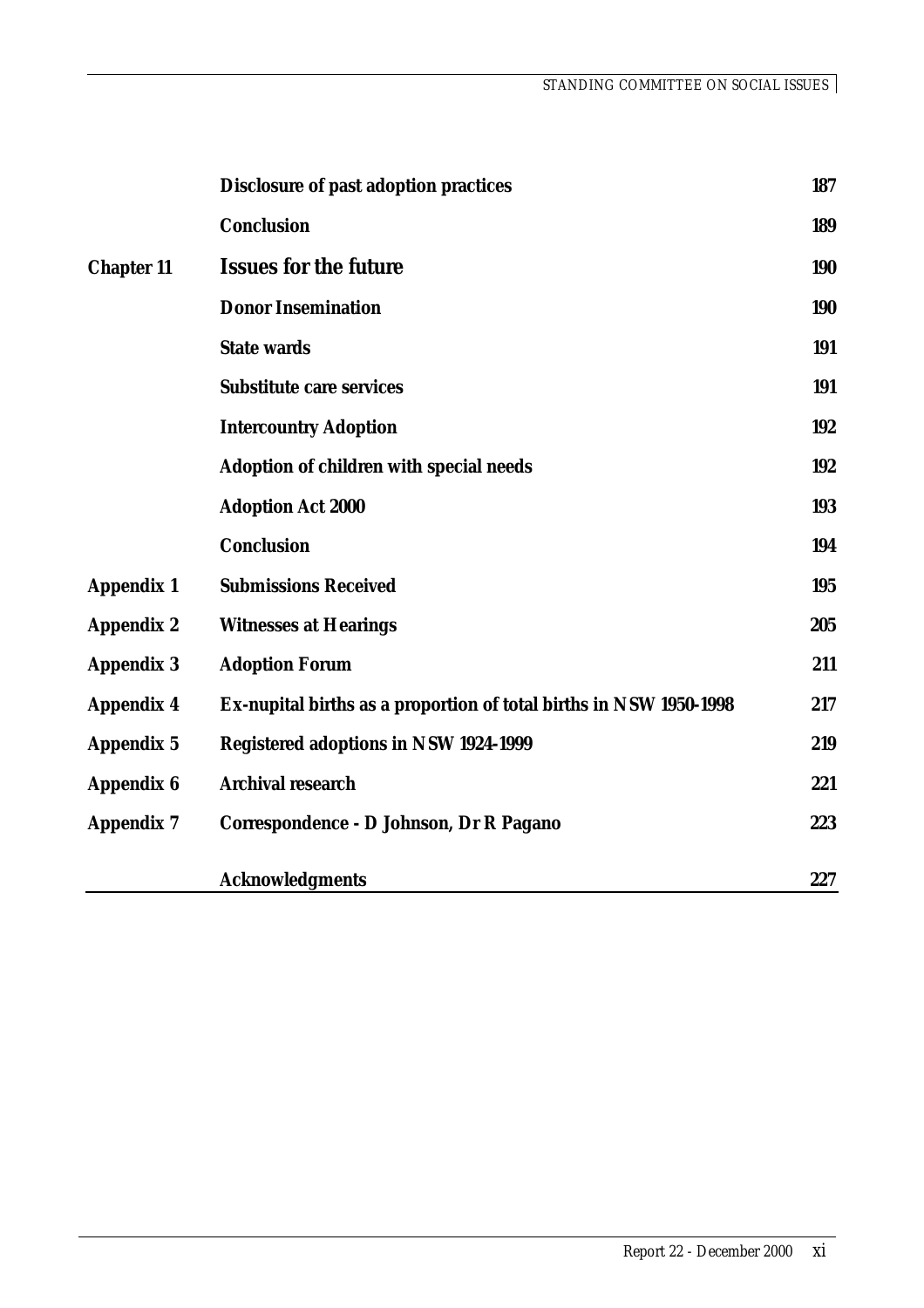|                   | <b>Disclosure of past adoption practices</b>                       | 187 |
|-------------------|--------------------------------------------------------------------|-----|
|                   | <b>Conclusion</b>                                                  | 189 |
| <b>Chapter 11</b> | <b>Issues for the future</b>                                       | 190 |
|                   | <b>Donor Insemination</b>                                          | 190 |
|                   | <b>State wards</b>                                                 | 191 |
|                   | <b>Substitute care services</b>                                    | 191 |
|                   | <b>Intercountry Adoption</b>                                       | 192 |
|                   | Adoption of children with special needs                            | 192 |
|                   | <b>Adoption Act 2000</b>                                           | 193 |
|                   | <b>Conclusion</b>                                                  | 194 |
| <b>Appendix 1</b> | <b>Submissions Received</b>                                        | 195 |
| <b>Appendix 2</b> | <b>Witnesses at Hearings</b>                                       | 205 |
| <b>Appendix 3</b> | <b>Adoption Forum</b>                                              | 211 |
| <b>Appendix 4</b> | Ex-nupital births as a proportion of total births in NSW 1950-1998 | 217 |
| <b>Appendix 5</b> | <b>Registered adoptions in NSW 1924-1999</b>                       | 219 |
| <b>Appendix 6</b> | <b>Archival research</b>                                           | 221 |
| <b>Appendix 7</b> | Correspondence - D Johnson, Dr R Pagano                            | 223 |
|                   | <b>Acknowledgments</b>                                             | 227 |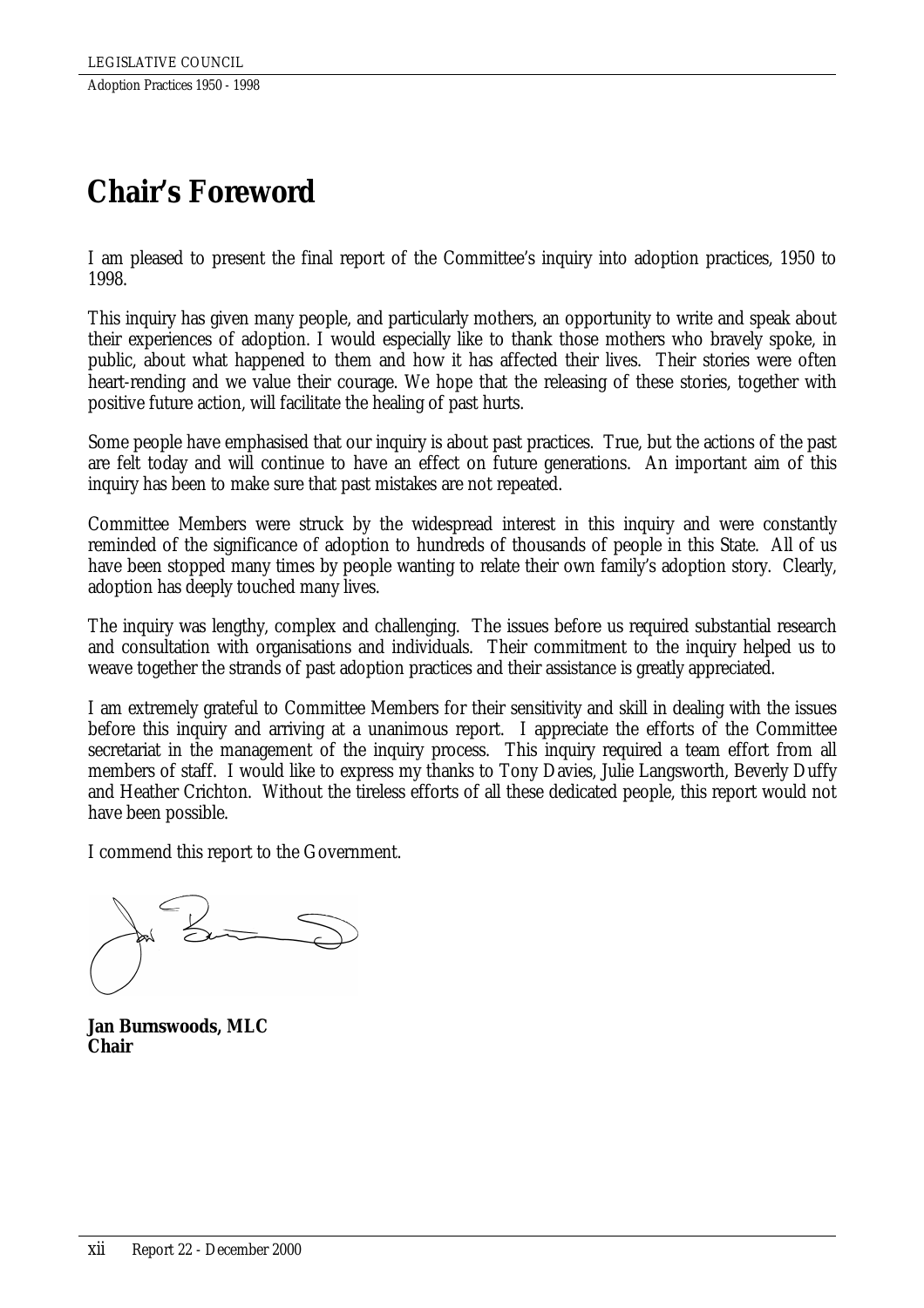## **Chair's Foreword**

I am pleased to present the final report of the Committee's inquiry into adoption practices, 1950 to 1998.

This inquiry has given many people, and particularly mothers, an opportunity to write and speak about their experiences of adoption. I would especially like to thank those mothers who bravely spoke, in public, about what happened to them and how it has affected their lives. Their stories were often heart-rending and we value their courage. We hope that the releasing of these stories, together with positive future action, will facilitate the healing of past hurts.

Some people have emphasised that our inquiry is about past practices. True, but the actions of the past are felt today and will continue to have an effect on future generations. An important aim of this inquiry has been to make sure that past mistakes are not repeated.

Committee Members were struck by the widespread interest in this inquiry and were constantly reminded of the significance of adoption to hundreds of thousands of people in this State. All of us have been stopped many times by people wanting to relate their own family's adoption story. Clearly, adoption has deeply touched many lives.

The inquiry was lengthy, complex and challenging. The issues before us required substantial research and consultation with organisations and individuals. Their commitment to the inquiry helped us to weave together the strands of past adoption practices and their assistance is greatly appreciated.

I am extremely grateful to Committee Members for their sensitivity and skill in dealing with the issues before this inquiry and arriving at a unanimous report. I appreciate the efforts of the Committee secretariat in the management of the inquiry process. This inquiry required a team effort from all members of staff. I would like to express my thanks to Tony Davies, Julie Langsworth, Beverly Duffy and Heather Crichton. Without the tireless efforts of all these dedicated people, this report would not have been possible.

I commend this report to the Government.

**Jan Burnswoods, MLC Chair**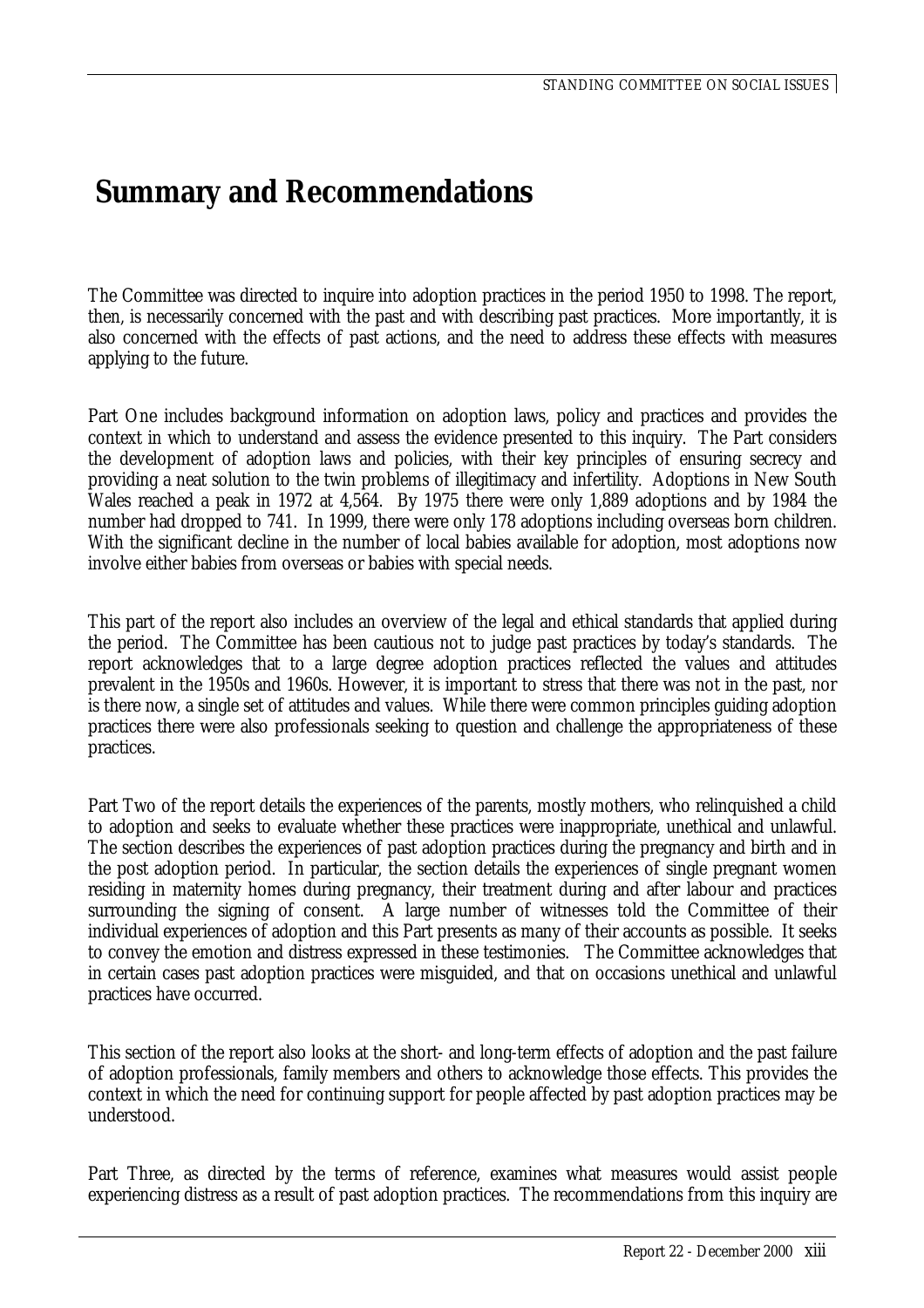## **Summary and Recommendations**

The Committee was directed to inquire into adoption practices in the period 1950 to 1998. The report, then, is necessarily concerned with the past and with describing past practices. More importantly, it is also concerned with the effects of past actions, and the need to address these effects with measures applying to the future.

Part One includes background information on adoption laws, policy and practices and provides the context in which to understand and assess the evidence presented to this inquiry. The Part considers the development of adoption laws and policies, with their key principles of ensuring secrecy and providing a neat solution to the twin problems of illegitimacy and infertility. Adoptions in New South Wales reached a peak in 1972 at 4,564. By 1975 there were only 1,889 adoptions and by 1984 the number had dropped to 741. In 1999, there were only 178 adoptions including overseas born children. With the significant decline in the number of local babies available for adoption, most adoptions now involve either babies from overseas or babies with special needs.

This part of the report also includes an overview of the legal and ethical standards that applied during the period. The Committee has been cautious not to judge past practices by today's standards. The report acknowledges that to a large degree adoption practices reflected the values and attitudes prevalent in the 1950s and 1960s. However, it is important to stress that there was not in the past, nor is there now, a single set of attitudes and values. While there were common principles guiding adoption practices there were also professionals seeking to question and challenge the appropriateness of these practices.

Part Two of the report details the experiences of the parents, mostly mothers, who relinquished a child to adoption and seeks to evaluate whether these practices were inappropriate, unethical and unlawful. The section describes the experiences of past adoption practices during the pregnancy and birth and in the post adoption period. In particular, the section details the experiences of single pregnant women residing in maternity homes during pregnancy, their treatment during and after labour and practices surrounding the signing of consent. A large number of witnesses told the Committee of their individual experiences of adoption and this Part presents as many of their accounts as possible. It seeks to convey the emotion and distress expressed in these testimonies. The Committee acknowledges that in certain cases past adoption practices were misguided, and that on occasions unethical and unlawful practices have occurred.

This section of the report also looks at the short- and long-term effects of adoption and the past failure of adoption professionals, family members and others to acknowledge those effects. This provides the context in which the need for continuing support for people affected by past adoption practices may be understood.

Part Three, as directed by the terms of reference, examines what measures would assist people experiencing distress as a result of past adoption practices. The recommendations from this inquiry are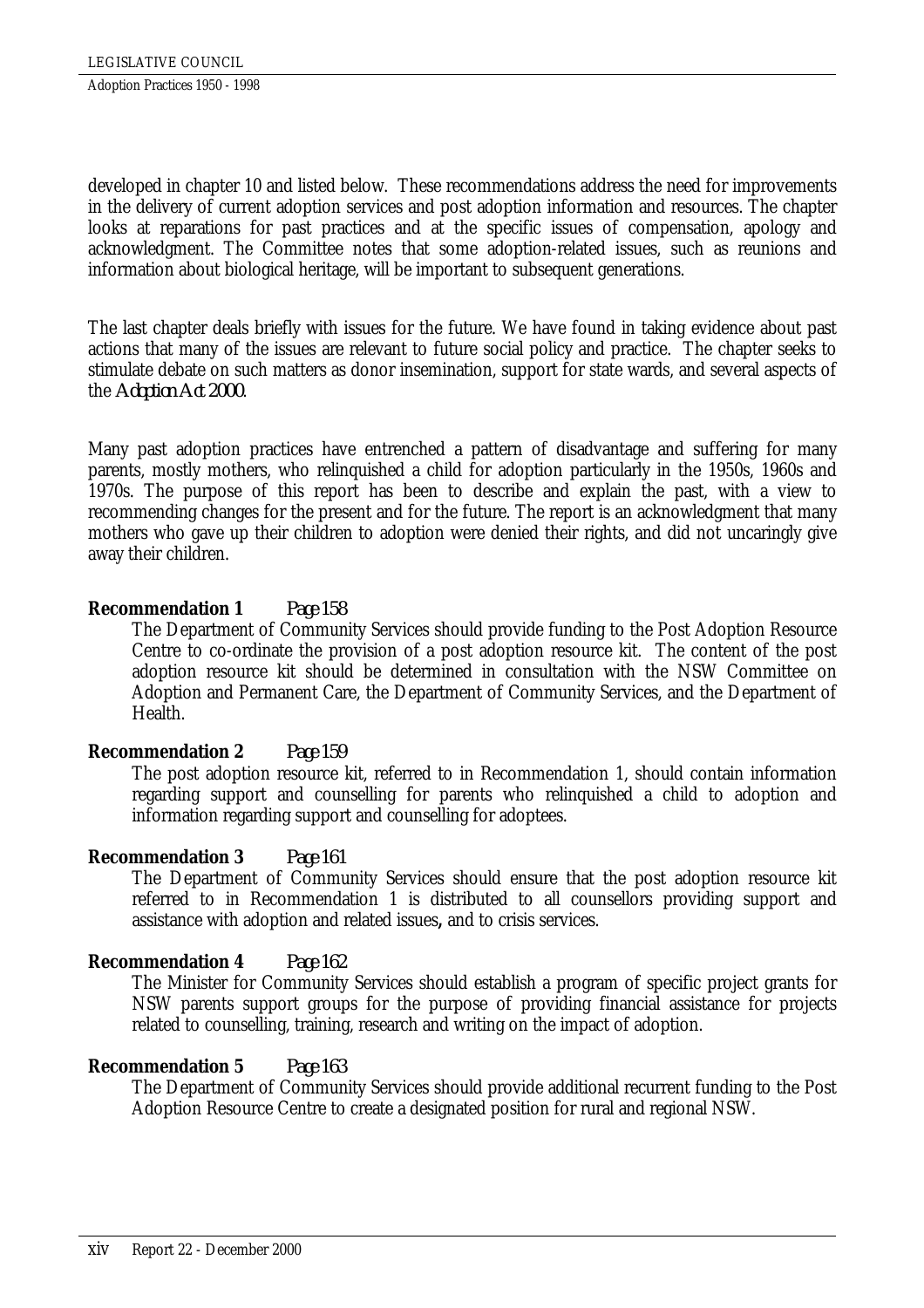developed in chapter 10 and listed below. These recommendations address the need for improvements in the delivery of current adoption services and post adoption information and resources. The chapter looks at reparations for past practices and at the specific issues of compensation, apology and acknowledgment. The Committee notes that some adoption-related issues, such as reunions and information about biological heritage, will be important to subsequent generations.

The last chapter deals briefly with issues for the future. We have found in taking evidence about past actions that many of the issues are relevant to future social policy and practice. The chapter seeks to stimulate debate on such matters as donor insemination, support for state wards, and several aspects of the *Adoption Act 2000*.

Many past adoption practices have entrenched a pattern of disadvantage and suffering for many parents, mostly mothers, who relinquished a child for adoption particularly in the 1950s, 1960s and 1970s. The purpose of this report has been to describe and explain the past, with a view to recommending changes for the present and for the future. The report is an acknowledgment that many mothers who gave up their children to adoption were denied their rights, and did not uncaringly give away their children.

#### **Recommendation 1** *Page 158*

The Department of Community Services should provide funding to the Post Adoption Resource Centre to co-ordinate the provision of a post adoption resource kit. The content of the post adoption resource kit should be determined in consultation with the NSW Committee on Adoption and Permanent Care, the Department of Community Services, and the Department of Health.

#### **Recommendation 2** *Page 159*

The post adoption resource kit, referred to in Recommendation 1, should contain information regarding support and counselling for parents who relinquished a child to adoption and information regarding support and counselling for adoptees.

#### **Recommendation 3** *Page 161*

The Department of Community Services should ensure that the post adoption resource kit referred to in Recommendation 1 is distributed to all counsellors providing support and assistance with adoption and related issues**,** and to crisis services.

#### **Recommendation 4** *Page 162*

The Minister for Community Services should establish a program of specific project grants for NSW parents support groups for the purpose of providing financial assistance for projects related to counselling, training, research and writing on the impact of adoption.

#### **Recommendation 5** *Page 163*

The Department of Community Services should provide additional recurrent funding to the Post Adoption Resource Centre to create a designated position for rural and regional NSW.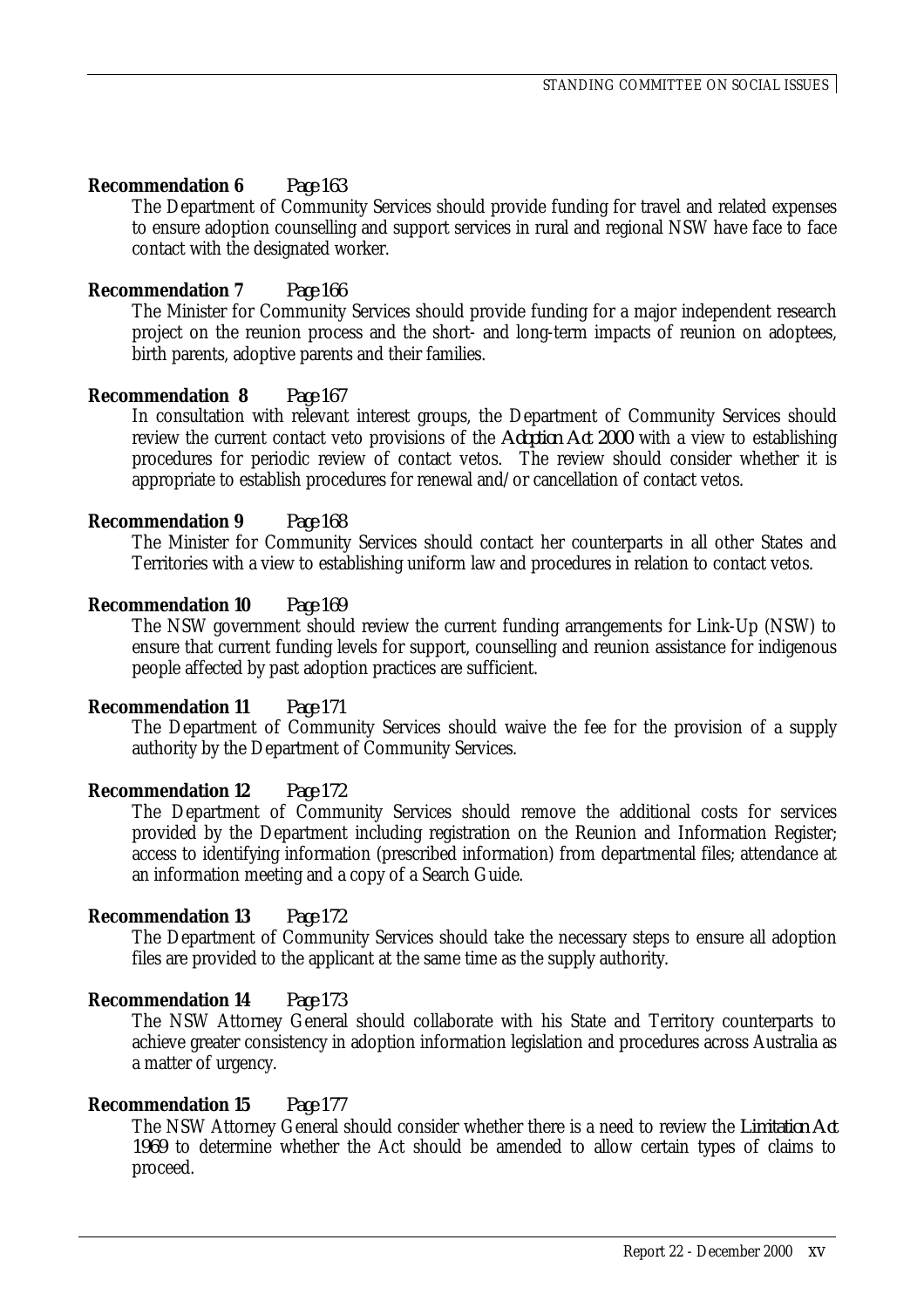#### **Recommendation 6** *Page 163*

The Department of Community Services should provide funding for travel and related expenses to ensure adoption counselling and support services in rural and regional NSW have face to face contact with the designated worker.

#### **Recommendation 7** *Page 166*

The Minister for Community Services should provide funding for a major independent research project on the reunion process and the short- and long-term impacts of reunion on adoptees, birth parents, adoptive parents and their families.

#### **Recommendation 8** *Page 167*

In consultation with relevant interest groups, the Department of Community Services should review the current contact veto provisions of the *Adoption Act 2000* with a view to establishing procedures for periodic review of contact vetos. The review should consider whether it is appropriate to establish procedures for renewal and/or cancellation of contact vetos.

#### **Recommendation 9** *Page 168*

The Minister for Community Services should contact her counterparts in all other States and Territories with a view to establishing uniform law and procedures in relation to contact vetos.

#### **Recommendation 10** *Page 169*

The NSW government should review the current funding arrangements for Link-Up (NSW) to ensure that current funding levels for support, counselling and reunion assistance for indigenous people affected by past adoption practices are sufficient.

#### **Recommendation 11** *Page 171*

The Department of Community Services should waive the fee for the provision of a supply authority by the Department of Community Services.

#### **Recommendation 12** *Page 172*

The Department of Community Services should remove the additional costs for services provided by the Department including registration on the Reunion and Information Register; access to identifying information (prescribed information) from departmental files; attendance at an information meeting and a copy of a Search Guide.

#### **Recommendation 13** *Page 172*

The Department of Community Services should take the necessary steps to ensure all adoption files are provided to the applicant at the same time as the supply authority.

#### **Recommendation 14** *Page 173*

The NSW Attorney General should collaborate with his State and Territory counterparts to achieve greater consistency in adoption information legislation and procedures across Australia as a matter of urgency.

#### **Recommendation 15** *Page 177*

The NSW Attorney General should consider whether there is a need to review the *Limitation Act 1969* to determine whether the Act should be amended to allow certain types of claims to proceed.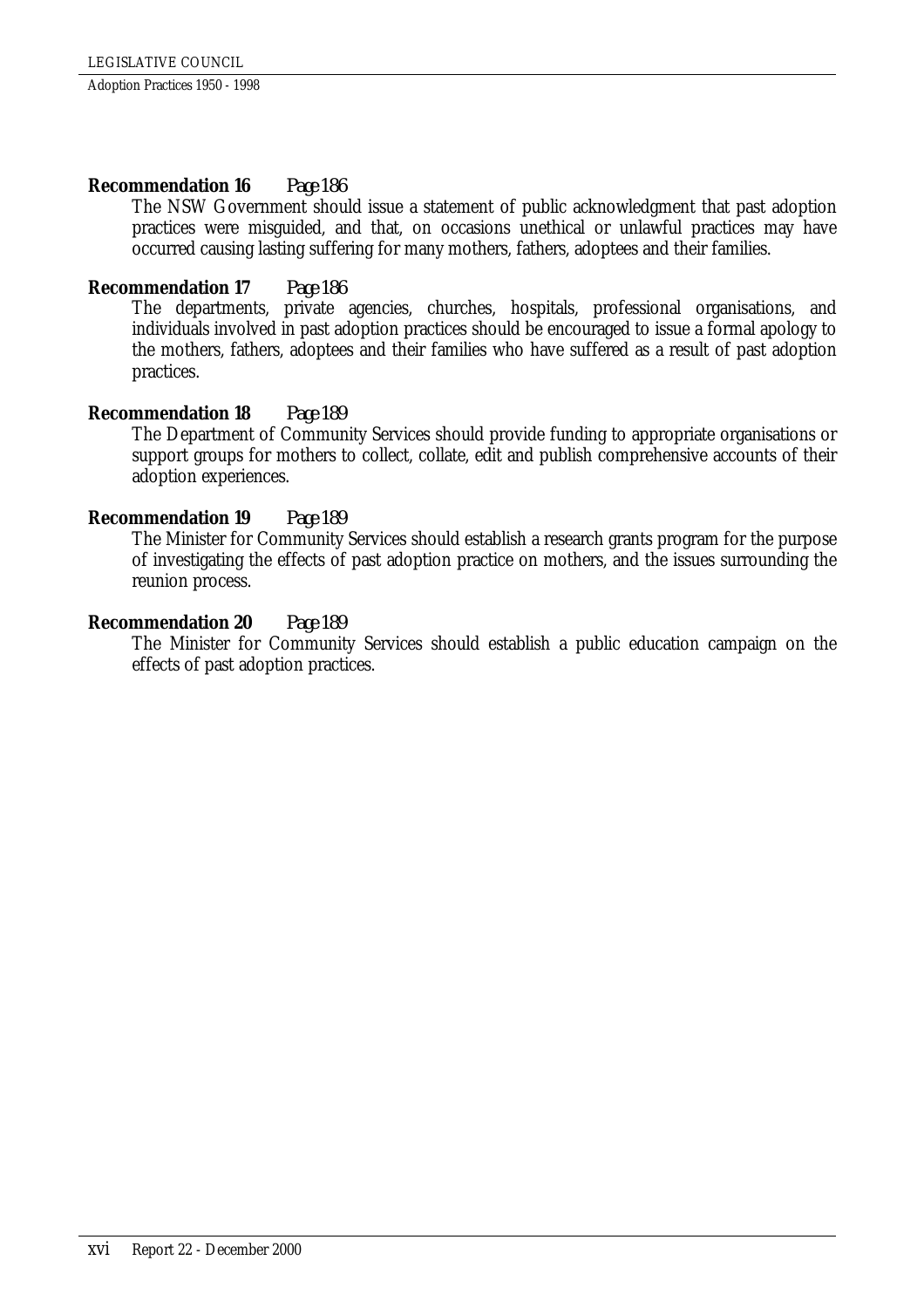#### **Recommendation 16** *Page 186*

The NSW Government should issue a statement of public acknowledgment that past adoption practices were misguided, and that, on occasions unethical or unlawful practices may have occurred causing lasting suffering for many mothers, fathers, adoptees and their families.

#### **Recommendation 17** *Page 186*

The departments, private agencies, churches, hospitals, professional organisations, and individuals involved in past adoption practices should be encouraged to issue a formal apology to the mothers, fathers, adoptees and their families who have suffered as a result of past adoption practices.

#### **Recommendation 18** *Page 189*

The Department of Community Services should provide funding to appropriate organisations or support groups for mothers to collect, collate, edit and publish comprehensive accounts of their adoption experiences.

#### **Recommendation 19** *Page 189*

The Minister for Community Services should establish a research grants program for the purpose of investigating the effects of past adoption practice on mothers, and the issues surrounding the reunion process.

#### **Recommendation 20** *Page 189*

The Minister for Community Services should establish a public education campaign on the effects of past adoption practices.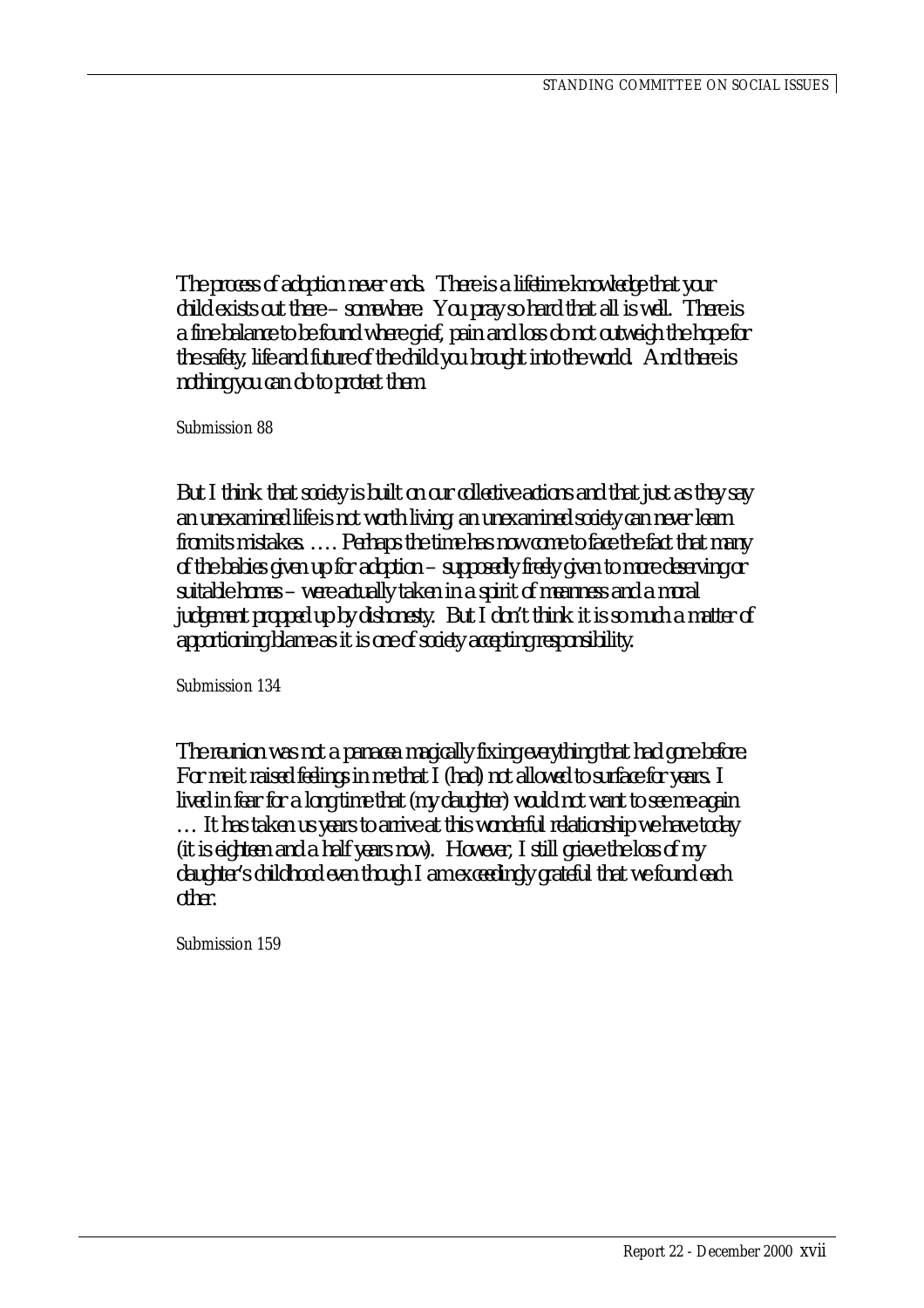*The process of adoption never ends. There is a lifetime knowledge that your child exists out there – somewhere. You pray so hard that all is well. There is a fine balance to be found where grief, pain and loss do not outweigh the hope for the safety, life and future of the child you brought into the world. And there is nothing you can do to protect them.*

Submission 88

*But I think that society is built on our collective actions and that just as they say an unexamined life is not worth living, an unexamined society can never learn from its mistakes. …. Perhaps the time has now come to face the fact that many of the babies given up for adoption – supposedly freely given to more deserving or suitable homes – were actually taken in a spirit of meanness and a moral judgement propped up by dishonesty. But I don't think it is so much a matter of apportioning blame as it is one of society accepting responsibility.*

Submission 134

*The reunion was not a panacea magically fixing everything that had gone before. For me it raised feelings in me that I (had) not allowed to surface for years. I lived in fear for a long time that (my daughter) would not want to see me again … It has taken us years to arrive at this wonderful relationship we have today (it is eighteen and a half years now). However, I still grieve the loss of my daughter's childhood even though I am exceedingly grateful that we found each other.*

Submission 159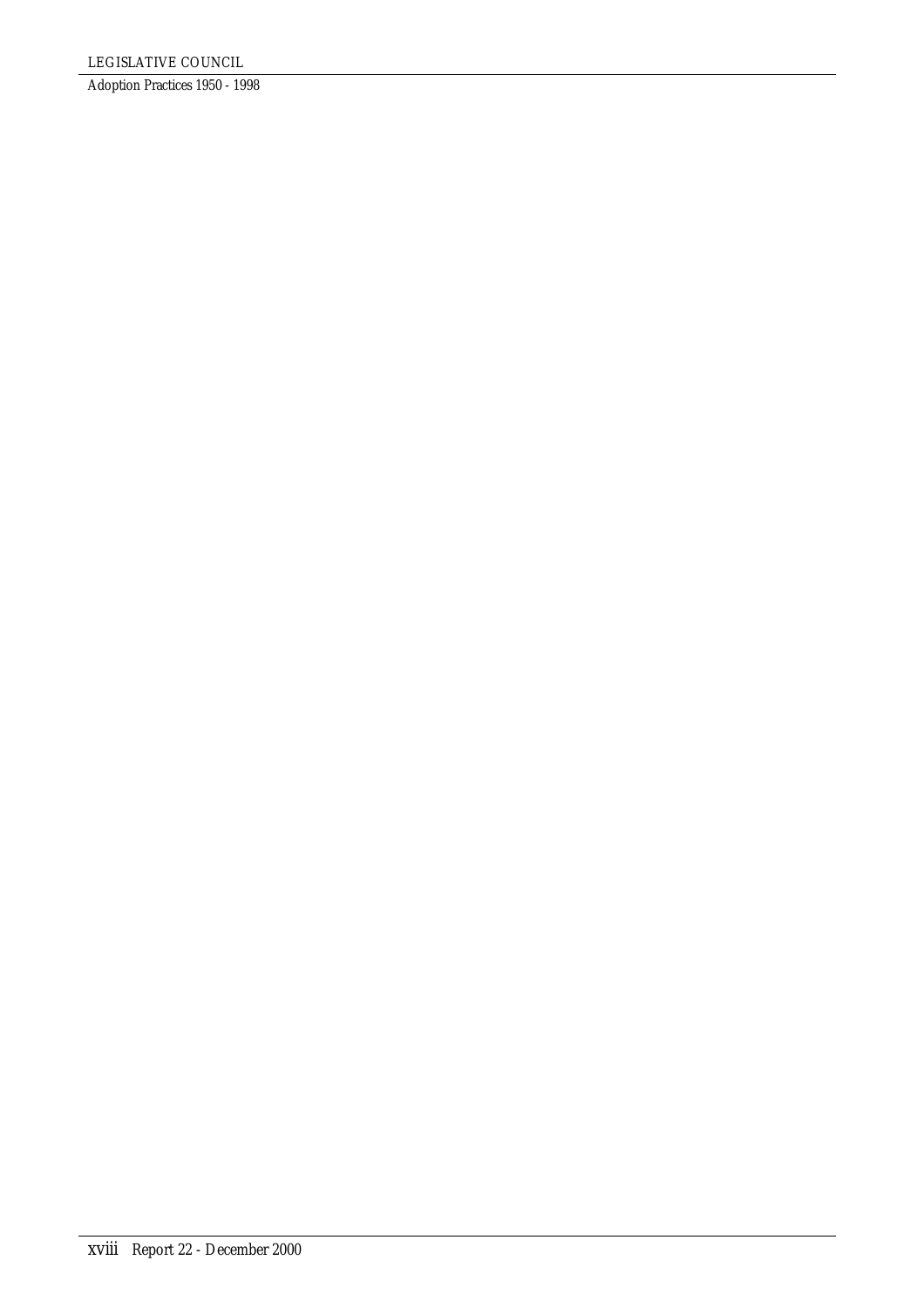LEGISLATIVE COUNCIL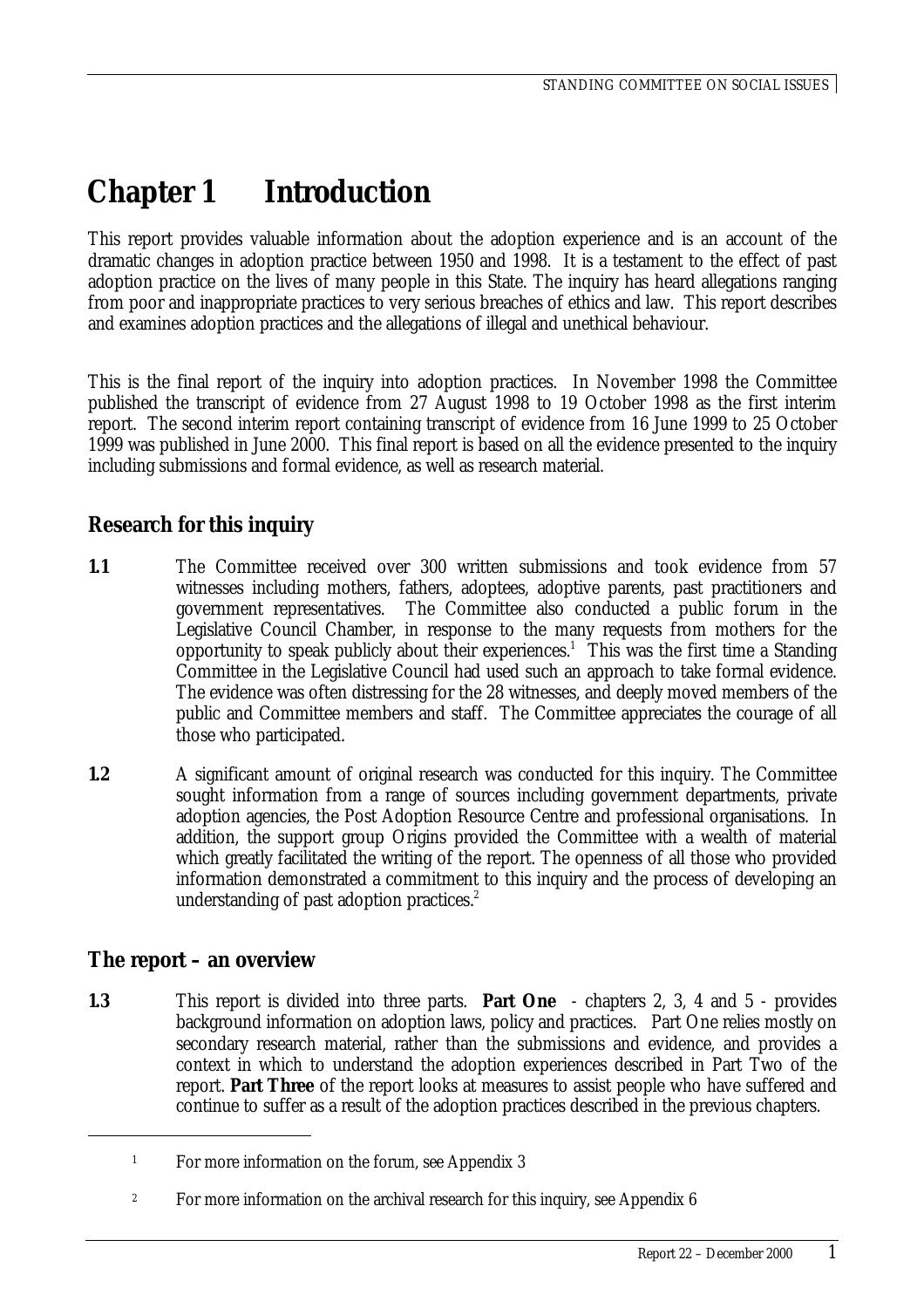## **Chapter 1 Introduction**

This report provides valuable information about the adoption experience and is an account of the dramatic changes in adoption practice between 1950 and 1998. It is a testament to the effect of past adoption practice on the lives of many people in this State. The inquiry has heard allegations ranging from poor and inappropriate practices to very serious breaches of ethics and law. This report describes and examines adoption practices and the allegations of illegal and unethical behaviour.

This is the final report of the inquiry into adoption practices. In November 1998 the Committee published the transcript of evidence from 27 August 1998 to 19 October 1998 as the first interim report. The second interim report containing transcript of evidence from 16 June 1999 to 25 October 1999 was published in June 2000. This final report is based on all the evidence presented to the inquiry including submissions and formal evidence, as well as research material.

## **Research for this inquiry**

- **1.1** The Committee received over 300 written submissions and took evidence from 57 witnesses including mothers, fathers, adoptees, adoptive parents, past practitioners and government representatives. The Committee also conducted a public forum in the Legislative Council Chamber, in response to the many requests from mothers for the opportunity to speak publicly about their experiences.<sup>1</sup> This was the first time a Standing Committee in the Legislative Council had used such an approach to take formal evidence. The evidence was often distressing for the 28 witnesses, and deeply moved members of the public and Committee members and staff. The Committee appreciates the courage of all those who participated.
- **1.2** A significant amount of original research was conducted for this inquiry. The Committee sought information from a range of sources including government departments, private adoption agencies, the Post Adoption Resource Centre and professional organisations. In addition, the support group Origins provided the Committee with a wealth of material which greatly facilitated the writing of the report. The openness of all those who provided information demonstrated a commitment to this inquiry and the process of developing an understanding of past adoption practices.<sup>2</sup>

### **The report – an overview**

 $\overline{a}$ 

**1.3** This report is divided into three parts. **Part One** - chapters 2, 3, 4 and 5 - provides background information on adoption laws, policy and practices. Part One relies mostly on secondary research material, rather than the submissions and evidence, and provides a context in which to understand the adoption experiences described in Part Two of the report. **Part Three** of the report looks at measures to assist people who have suffered and continue to suffer as a result of the adoption practices described in the previous chapters.

<sup>&</sup>lt;sup>1</sup> For more information on the forum, see Appendix 3

<sup>&</sup>lt;sup>2</sup> For more information on the archival research for this inquiry, see Appendix 6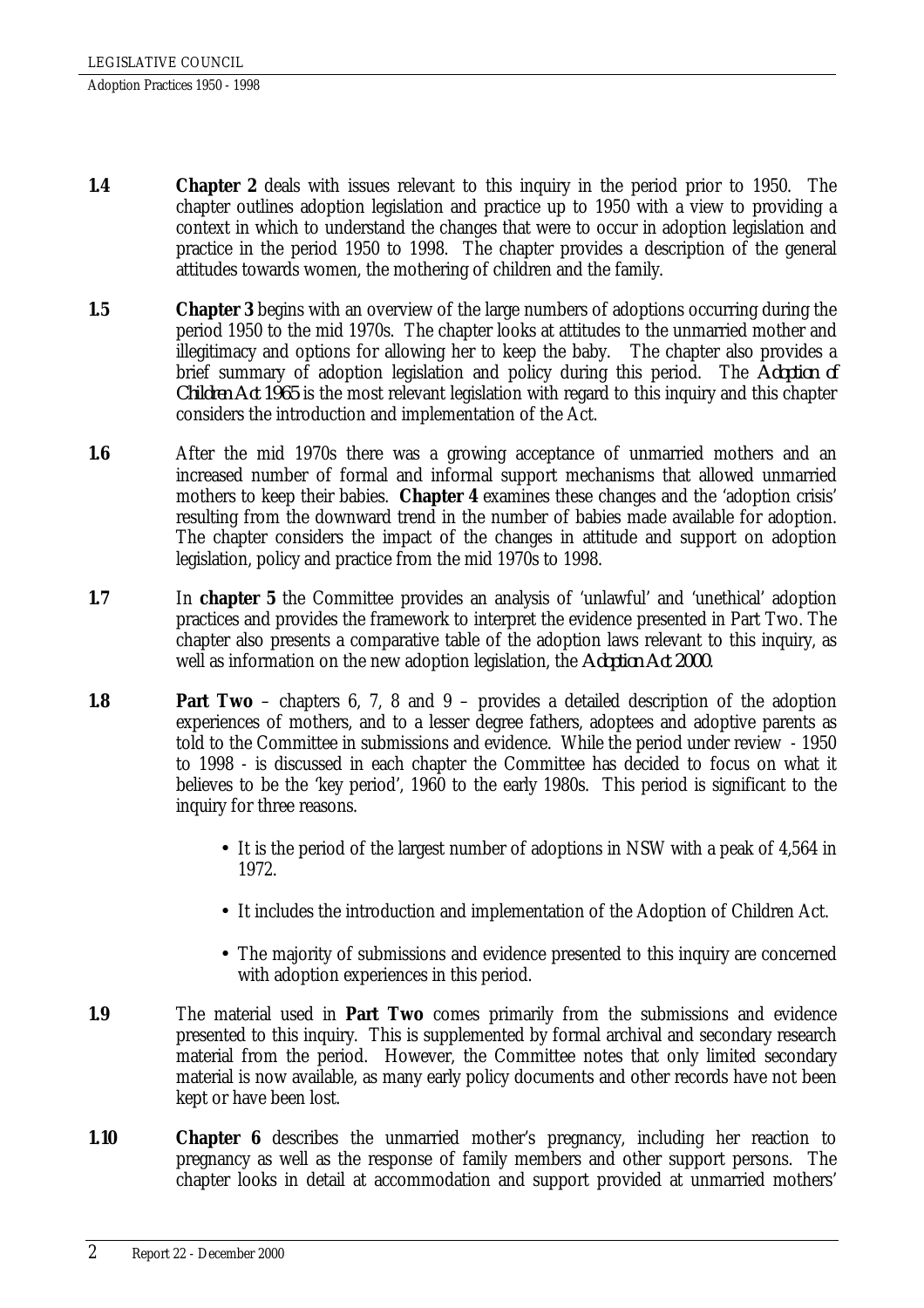- **1.4 Chapter 2** deals with issues relevant to this inquiry in the period prior to 1950. The chapter outlines adoption legislation and practice up to 1950 with a view to providing a context in which to understand the changes that were to occur in adoption legislation and practice in the period 1950 to 1998. The chapter provides a description of the general attitudes towards women, the mothering of children and the family.
- **1.5 Chapter 3** begins with an overview of the large numbers of adoptions occurring during the period 1950 to the mid 1970s. The chapter looks at attitudes to the unmarried mother and illegitimacy and options for allowing her to keep the baby. The chapter also provides a brief summary of adoption legislation and policy during this period. The *Adoption of Children Act 1965* is the most relevant legislation with regard to this inquiry and this chapter considers the introduction and implementation of the Act.
- **1.6** After the mid 1970s there was a growing acceptance of unmarried mothers and an increased number of formal and informal support mechanisms that allowed unmarried mothers to keep their babies. **Chapter 4** examines these changes and the 'adoption crisis' resulting from the downward trend in the number of babies made available for adoption. The chapter considers the impact of the changes in attitude and support on adoption legislation, policy and practice from the mid 1970s to 1998.
- **1.7** In **chapter** 5 the Committee provides an analysis of 'unlawful' and 'unethical' adoption practices and provides the framework to interpret the evidence presented in Part Two. The chapter also presents a comparative table of the adoption laws relevant to this inquiry, as well as information on the new adoption legislation, the *Adoption Act 2000*.
- **1.8 Part Two** chapters 6, 7, 8 and 9 provides a detailed description of the adoption experiences of mothers, and to a lesser degree fathers, adoptees and adoptive parents as told to the Committee in submissions and evidence. While the period under review - 1950 to 1998 - is discussed in each chapter the Committee has decided to focus on what it believes to be the 'key period', 1960 to the early 1980s. This period is significant to the inquiry for three reasons.
	- It is the period of the largest number of adoptions in NSW with a peak of 4,564 in 1972.
	- It includes the introduction and implementation of the Adoption of Children Act.
	- The majority of submissions and evidence presented to this inquiry are concerned with adoption experiences in this period.
- **1.9** The material used in **Part Two** comes primarily from the submissions and evidence presented to this inquiry. This is supplemented by formal archival and secondary research material from the period. However, the Committee notes that only limited secondary material is now available, as many early policy documents and other records have not been kept or have been lost.
- **1.10 Chapter 6** describes the unmarried mother's pregnancy, including her reaction to pregnancy as well as the response of family members and other support persons. The chapter looks in detail at accommodation and support provided at unmarried mothers'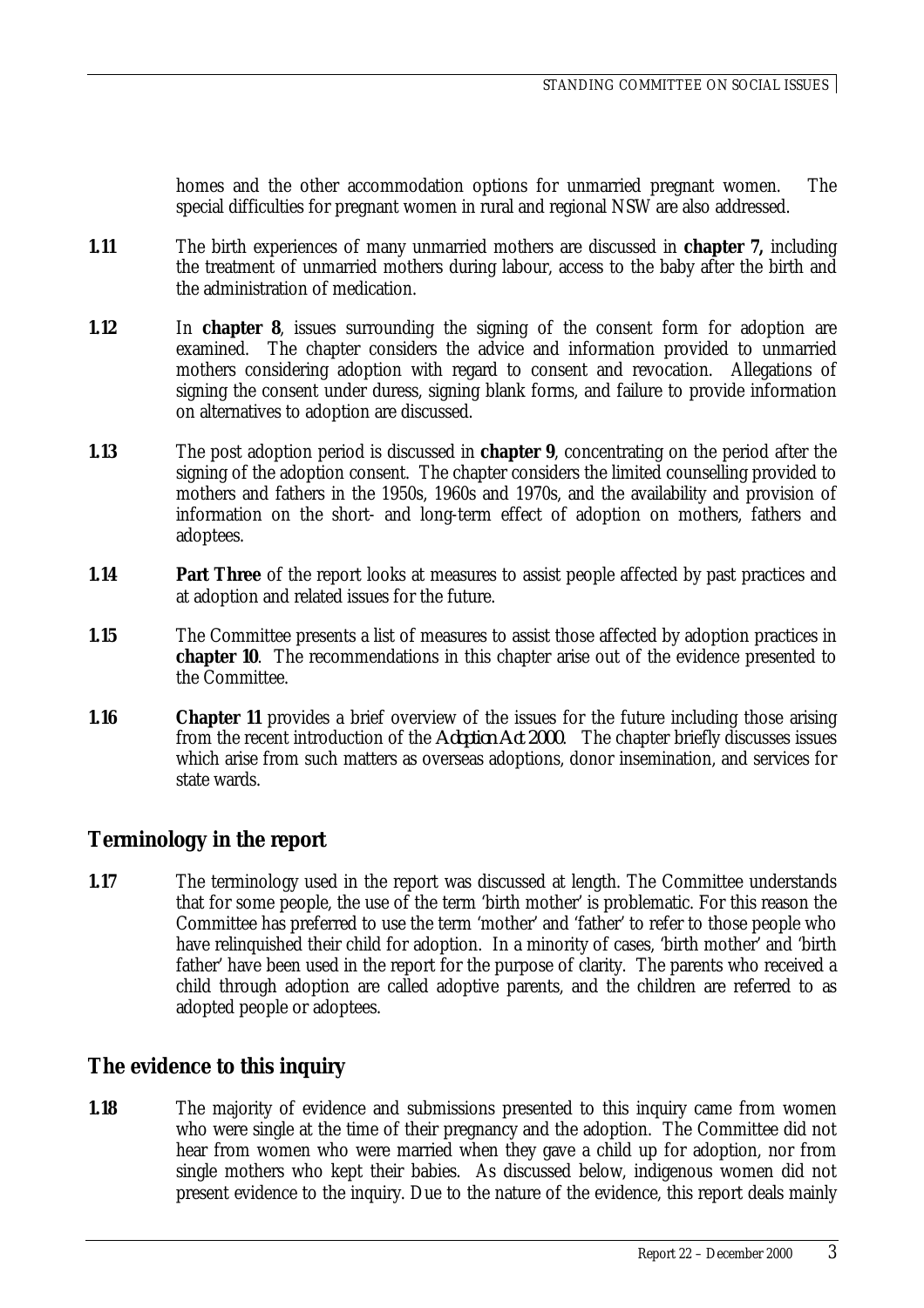homes and the other accommodation options for unmarried pregnant women. The special difficulties for pregnant women in rural and regional NSW are also addressed.

- **1.11** The birth experiences of many unmarried mothers are discussed in **chapter 7,** including the treatment of unmarried mothers during labour, access to the baby after the birth and the administration of medication.
- **1.12** In **chapter 8**, issues surrounding the signing of the consent form for adoption are examined. The chapter considers the advice and information provided to unmarried mothers considering adoption with regard to consent and revocation. Allegations of signing the consent under duress, signing blank forms, and failure to provide information on alternatives to adoption are discussed.
- **1.13** The post adoption period is discussed in **chapter 9**, concentrating on the period after the signing of the adoption consent. The chapter considers the limited counselling provided to mothers and fathers in the 1950s, 1960s and 1970s, and the availability and provision of information on the short- and long-term effect of adoption on mothers, fathers and adoptees.
- **1.14 Part Three** of the report looks at measures to assist people affected by past practices and at adoption and related issues for the future.
- **1.15** The Committee presents a list of measures to assist those affected by adoption practices in **chapter 10**. The recommendations in this chapter arise out of the evidence presented to the Committee.
- **1.16 Chapter 11** provides a brief overview of the issues for the future including those arising from the recent introduction of the *Adoption Act 2000*. The chapter briefly discusses issues which arise from such matters as overseas adoptions, donor insemination, and services for state wards.

## **Terminology in the report**

**1.17** The terminology used in the report was discussed at length. The Committee understands that for some people, the use of the term 'birth mother' is problematic. For this reason the Committee has preferred to use the term 'mother' and 'father' to refer to those people who have relinquished their child for adoption. In a minority of cases, 'birth mother' and 'birth father' have been used in the report for the purpose of clarity. The parents who received a child through adoption are called adoptive parents, and the children are referred to as adopted people or adoptees.

## **The evidence to this inquiry**

**1.18** The majority of evidence and submissions presented to this inquiry came from women who were single at the time of their pregnancy and the adoption. The Committee did not hear from women who were married when they gave a child up for adoption, nor from single mothers who kept their babies. As discussed below, indigenous women did not present evidence to the inquiry. Due to the nature of the evidence, this report deals mainly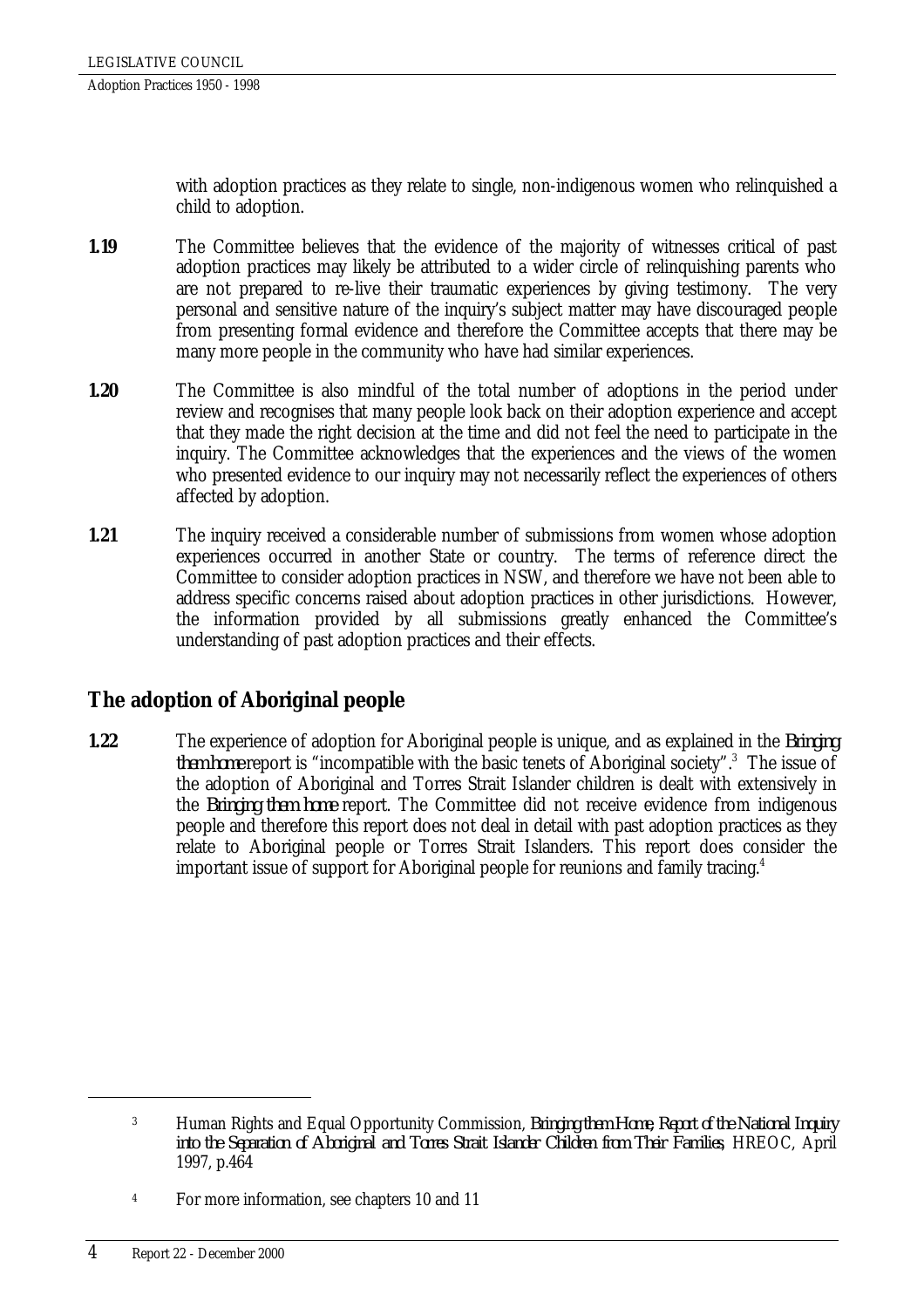with adoption practices as they relate to single, non-indigenous women who relinquished a child to adoption.

- **1.19** The Committee believes that the evidence of the majority of witnesses critical of past adoption practices may likely be attributed to a wider circle of relinquishing parents who are not prepared to re-live their traumatic experiences by giving testimony. The very personal and sensitive nature of the inquiry's subject matter may have discouraged people from presenting formal evidence and therefore the Committee accepts that there may be many more people in the community who have had similar experiences.
- **1.20** The Committee is also mindful of the total number of adoptions in the period under review and recognises that many people look back on their adoption experience and accept that they made the right decision at the time and did not feel the need to participate in the inquiry. The Committee acknowledges that the experiences and the views of the women who presented evidence to our inquiry may not necessarily reflect the experiences of others affected by adoption.
- **1.21** The inquiry received a considerable number of submissions from women whose adoption experiences occurred in another State or country. The terms of reference direct the Committee to consider adoption practices in NSW, and therefore we have not been able to address specific concerns raised about adoption practices in other jurisdictions. However, the information provided by all submissions greatly enhanced the Committee's understanding of past adoption practices and their effects.

## **The adoption of Aboriginal people**

**1.22** The experience of adoption for Aboriginal people is unique, and as explained in the *Bringing* them home report is "incompatible with the basic tenets of Aboriginal society".<sup>3</sup> The issue of the adoption of Aboriginal and Torres Strait Islander children is dealt with extensively in the *Bringing them home* report. The Committee did not receive evidence from indigenous people and therefore this report does not deal in detail with past adoption practices as they relate to Aboriginal people or Torres Strait Islanders. This report does consider the important issue of support for Aboriginal people for reunions and family tracing.<sup>4</sup>

<sup>3</sup> Human Rights and Equal Opportunity Commission, *Bringing them Home, Report of the National Inquiry into the Separation of Aboriginal and Torres Strait Islander Children from Their Families*, HREOC, April 1997, p.464

<sup>4</sup> For more information, see chapters 10 and 11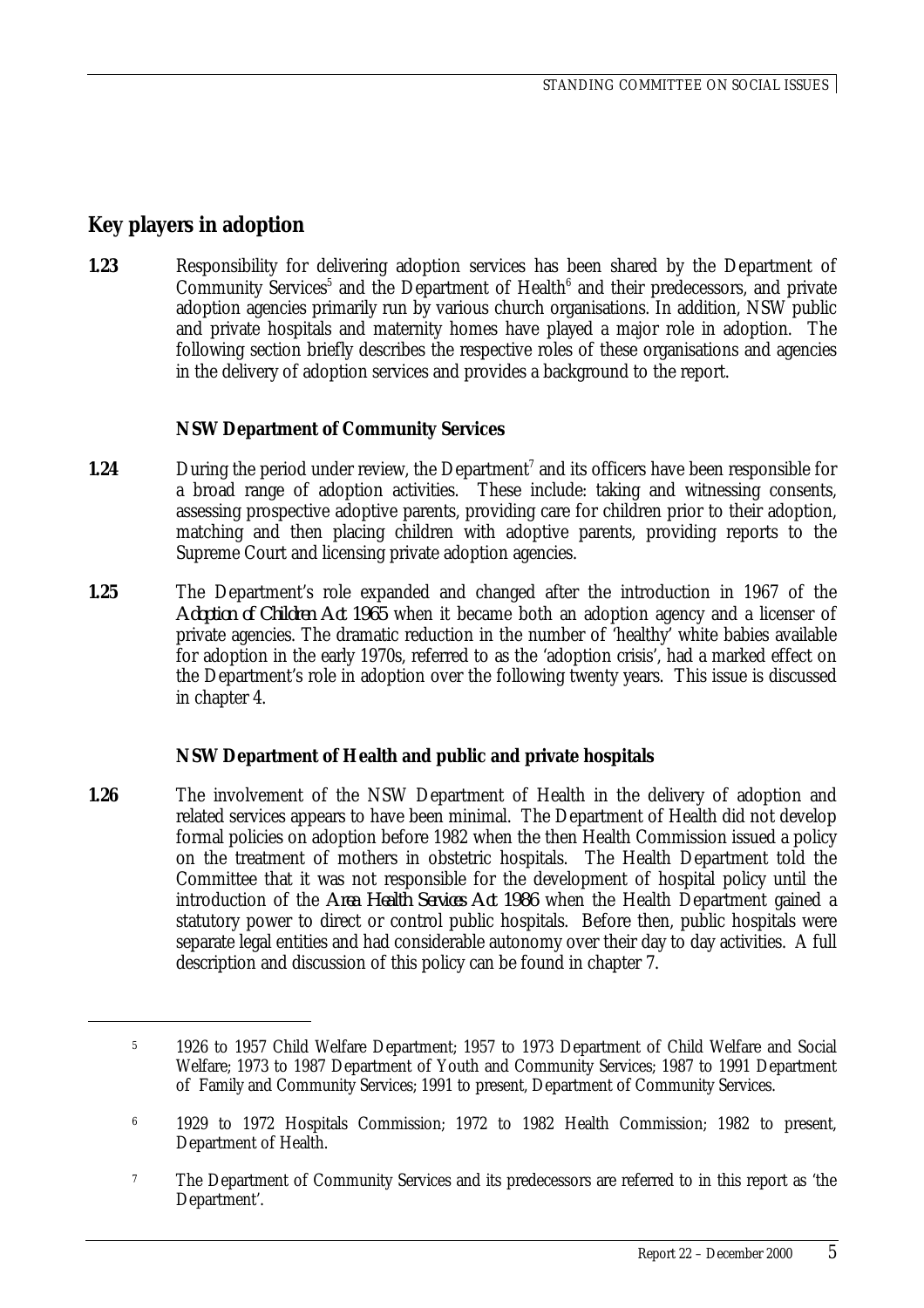### **Key players in adoption**

 $\overline{a}$ 

**1.23** Responsibility for delivering adoption services has been shared by the Department of Community Services<sup>5</sup> and the Department of Health<sup>6</sup> and their predecessors, and private adoption agencies primarily run by various church organisations. In addition, NSW public and private hospitals and maternity homes have played a major role in adoption. The following section briefly describes the respective roles of these organisations and agencies in the delivery of adoption services and provides a background to the report.

#### **NSW Department of Community Services**

- **1.24** During the period under review, the Department<sup>7</sup> and its officers have been responsible for a broad range of adoption activities. These include: taking and witnessing consents, assessing prospective adoptive parents, providing care for children prior to their adoption, matching and then placing children with adoptive parents, providing reports to the Supreme Court and licensing private adoption agencies.
- **1.25** The Department's role expanded and changed after the introduction in 1967 of the *Adoption of Children Act 1965* when it became both an adoption agency and a licenser of private agencies. The dramatic reduction in the number of 'healthy' white babies available for adoption in the early 1970s, referred to as the 'adoption crisis', had a marked effect on the Department's role in adoption over the following twenty years. This issue is discussed in chapter 4.

#### **NSW Department of Health and public and private hospitals**

**1.26** The involvement of the NSW Department of Health in the delivery of adoption and related services appears to have been minimal. The Department of Health did not develop formal policies on adoption before 1982 when the then Health Commission issued a policy on the treatment of mothers in obstetric hospitals. The Health Department told the Committee that it was not responsible for the development of hospital policy until the introduction of the *Area Health Services Act 1986* when the Health Department gained a statutory power to direct or control public hospitals. Before then, public hospitals were separate legal entities and had considerable autonomy over their day to day activities. A full description and discussion of this policy can be found in chapter 7.

<sup>5</sup> 1926 to 1957 Child Welfare Department; 1957 to 1973 Department of Child Welfare and Social Welfare; 1973 to 1987 Department of Youth and Community Services; 1987 to 1991 Department of Family and Community Services; 1991 to present, Department of Community Services.

<sup>6</sup> 1929 to 1972 Hospitals Commission; 1972 to 1982 Health Commission; 1982 to present, Department of Health.

<sup>&</sup>lt;sup>7</sup> The Department of Community Services and its predecessors are referred to in this report as 'the Department'.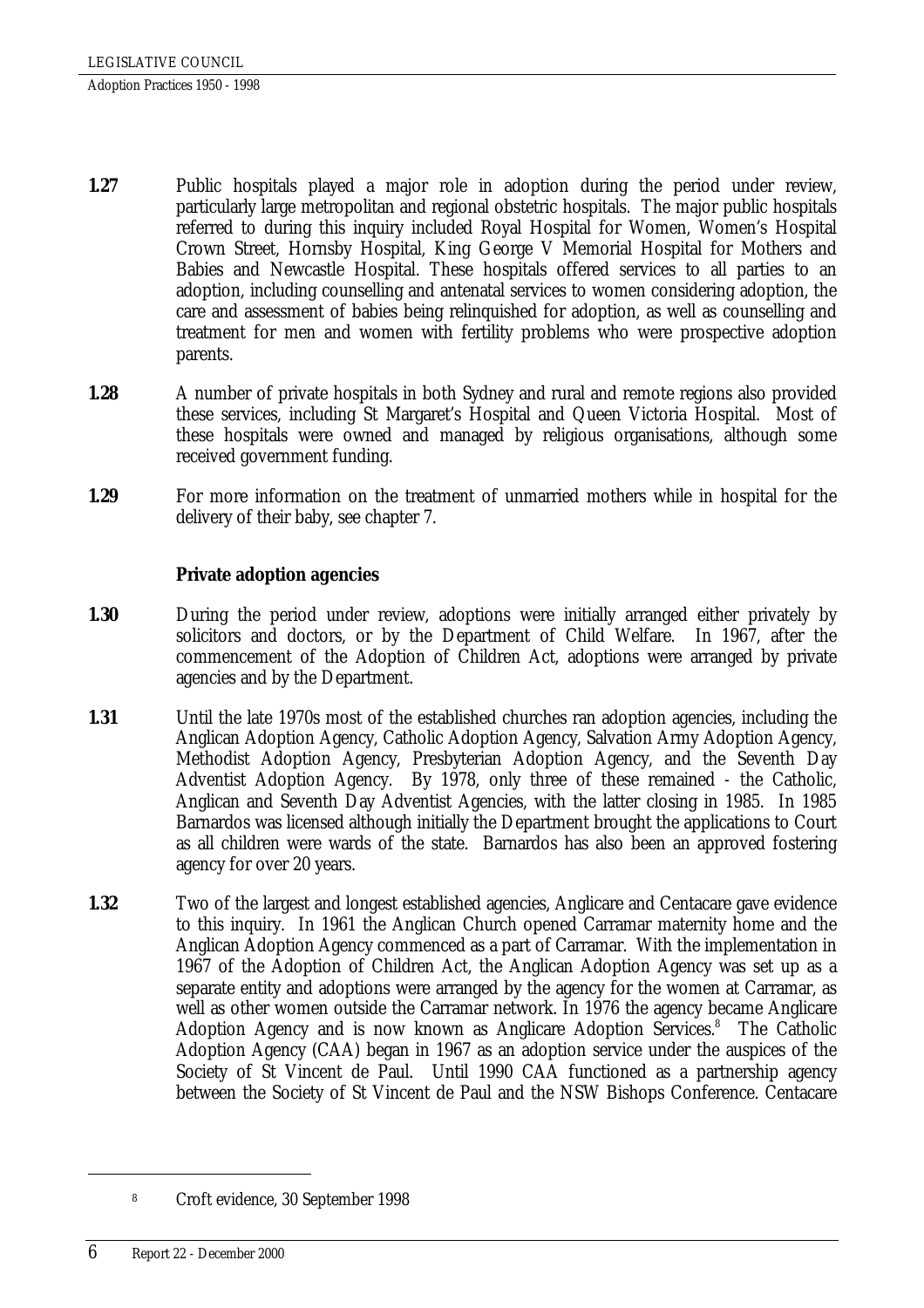- **1.27** Public hospitals played a major role in adoption during the period under review, particularly large metropolitan and regional obstetric hospitals. The major public hospitals referred to during this inquiry included Royal Hospital for Women, Women's Hospital Crown Street, Hornsby Hospital, King George V Memorial Hospital for Mothers and Babies and Newcastle Hospital. These hospitals offered services to all parties to an adoption, including counselling and antenatal services to women considering adoption, the care and assessment of babies being relinquished for adoption, as well as counselling and treatment for men and women with fertility problems who were prospective adoption parents.
- **1.28** A number of private hospitals in both Sydney and rural and remote regions also provided these services, including St Margaret's Hospital and Queen Victoria Hospital. Most of these hospitals were owned and managed by religious organisations, although some received government funding.
- **1.29** For more information on the treatment of unmarried mothers while in hospital for the delivery of their baby, see chapter 7.

#### **Private adoption agencies**

- **1.30** During the period under review, adoptions were initially arranged either privately by solicitors and doctors, or by the Department of Child Welfare. In 1967, after the commencement of the Adoption of Children Act, adoptions were arranged by private agencies and by the Department.
- **1.31** Until the late 1970s most of the established churches ran adoption agencies, including the Anglican Adoption Agency, Catholic Adoption Agency, Salvation Army Adoption Agency, Methodist Adoption Agency, Presbyterian Adoption Agency, and the Seventh Day Adventist Adoption Agency. By 1978, only three of these remained - the Catholic, Anglican and Seventh Day Adventist Agencies, with the latter closing in 1985. In 1985 Barnardos was licensed although initially the Department brought the applications to Court as all children were wards of the state. Barnardos has also been an approved fostering agency for over 20 years.
- **1.32** Two of the largest and longest established agencies, Anglicare and Centacare gave evidence to this inquiry. In 1961 the Anglican Church opened Carramar maternity home and the Anglican Adoption Agency commenced as a part of Carramar. With the implementation in 1967 of the Adoption of Children Act, the Anglican Adoption Agency was set up as a separate entity and adoptions were arranged by the agency for the women at Carramar, as well as other women outside the Carramar network. In 1976 the agency became Anglicare Adoption Agency and is now known as Anglicare Adoption Services.<sup>8</sup> The Catholic Adoption Agency (CAA) began in 1967 as an adoption service under the auspices of the Society of St Vincent de Paul. Until 1990 CAA functioned as a partnership agency between the Society of St Vincent de Paul and the NSW Bishops Conference. Centacare

<sup>8</sup> Croft evidence, 30 September 1998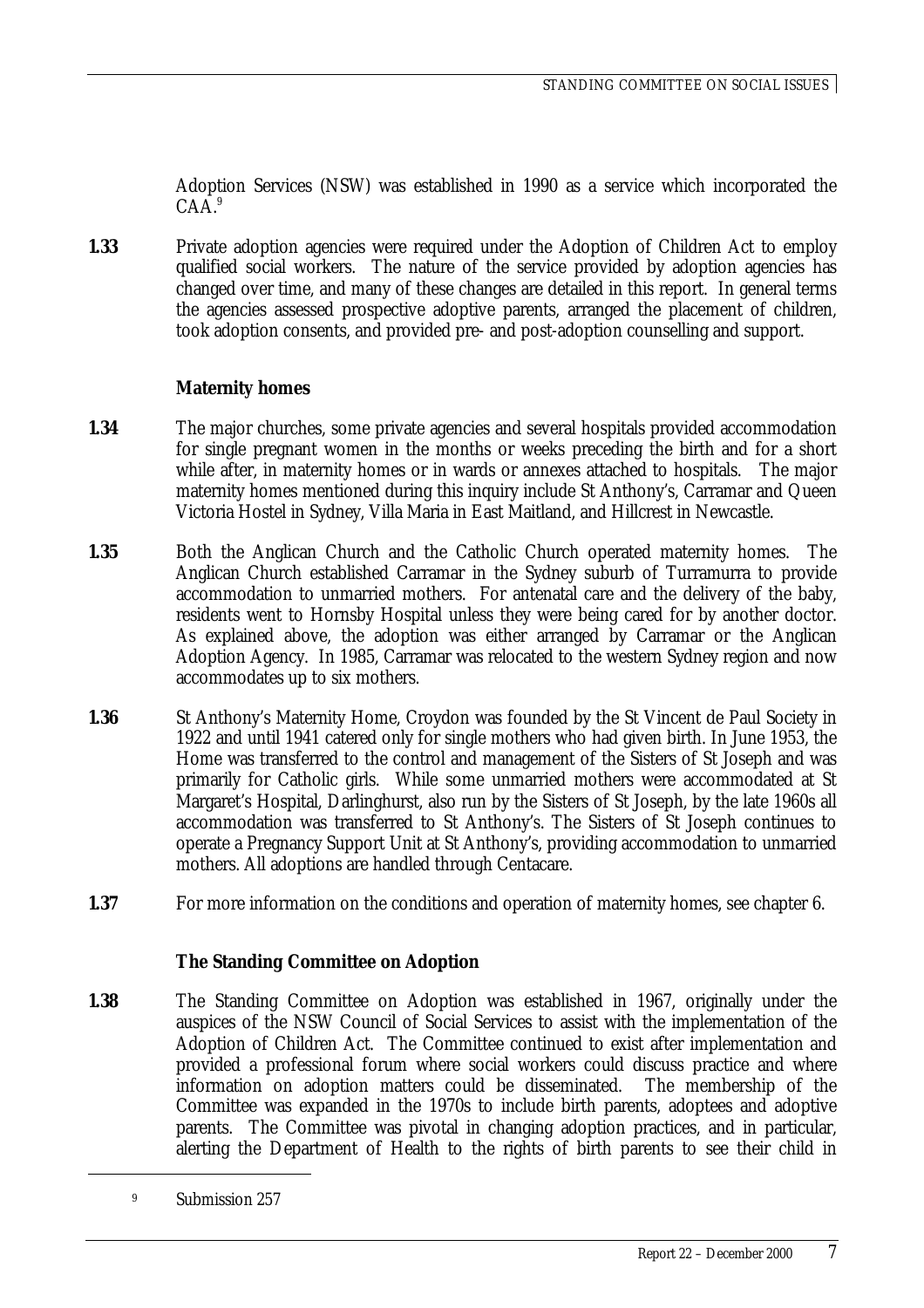Adoption Services (NSW) was established in 1990 as a service which incorporated the  $CAA<sup>9</sup>$ 

**1.33** Private adoption agencies were required under the Adoption of Children Act to employ qualified social workers. The nature of the service provided by adoption agencies has changed over time, and many of these changes are detailed in this report. In general terms the agencies assessed prospective adoptive parents, arranged the placement of children, took adoption consents, and provided pre- and post-adoption counselling and support.

#### **Maternity homes**

- **1.34** The major churches, some private agencies and several hospitals provided accommodation for single pregnant women in the months or weeks preceding the birth and for a short while after, in maternity homes or in wards or annexes attached to hospitals. The major maternity homes mentioned during this inquiry include St Anthony's, Carramar and Queen Victoria Hostel in Sydney, Villa Maria in East Maitland, and Hillcrest in Newcastle.
- **1.35** Both the Anglican Church and the Catholic Church operated maternity homes. The Anglican Church established Carramar in the Sydney suburb of Turramurra to provide accommodation to unmarried mothers. For antenatal care and the delivery of the baby, residents went to Hornsby Hospital unless they were being cared for by another doctor. As explained above, the adoption was either arranged by Carramar or the Anglican Adoption Agency. In 1985, Carramar was relocated to the western Sydney region and now accommodates up to six mothers.
- **1.36** St Anthony's Maternity Home, Croydon was founded by the St Vincent de Paul Society in 1922 and until 1941 catered only for single mothers who had given birth. In June 1953, the Home was transferred to the control and management of the Sisters of St Joseph and was primarily for Catholic girls. While some unmarried mothers were accommodated at St Margaret's Hospital, Darlinghurst, also run by the Sisters of St Joseph, by the late 1960s all accommodation was transferred to St Anthony's. The Sisters of St Joseph continues to operate a Pregnancy Support Unit at St Anthony's, providing accommodation to unmarried mothers. All adoptions are handled through Centacare.
- **1.37** For more information on the conditions and operation of maternity homes, see chapter 6.

#### **The Standing Committee on Adoption**

- **1.38** The Standing Committee on Adoption was established in 1967, originally under the auspices of the NSW Council of Social Services to assist with the implementation of the Adoption of Children Act. The Committee continued to exist after implementation and provided a professional forum where social workers could discuss practice and where information on adoption matters could be disseminated. The membership of the Committee was expanded in the 1970s to include birth parents, adoptees and adoptive parents. The Committee was pivotal in changing adoption practices, and in particular, alerting the Department of Health to the rights of birth parents to see their child in
	- <sup>9</sup> Submission 257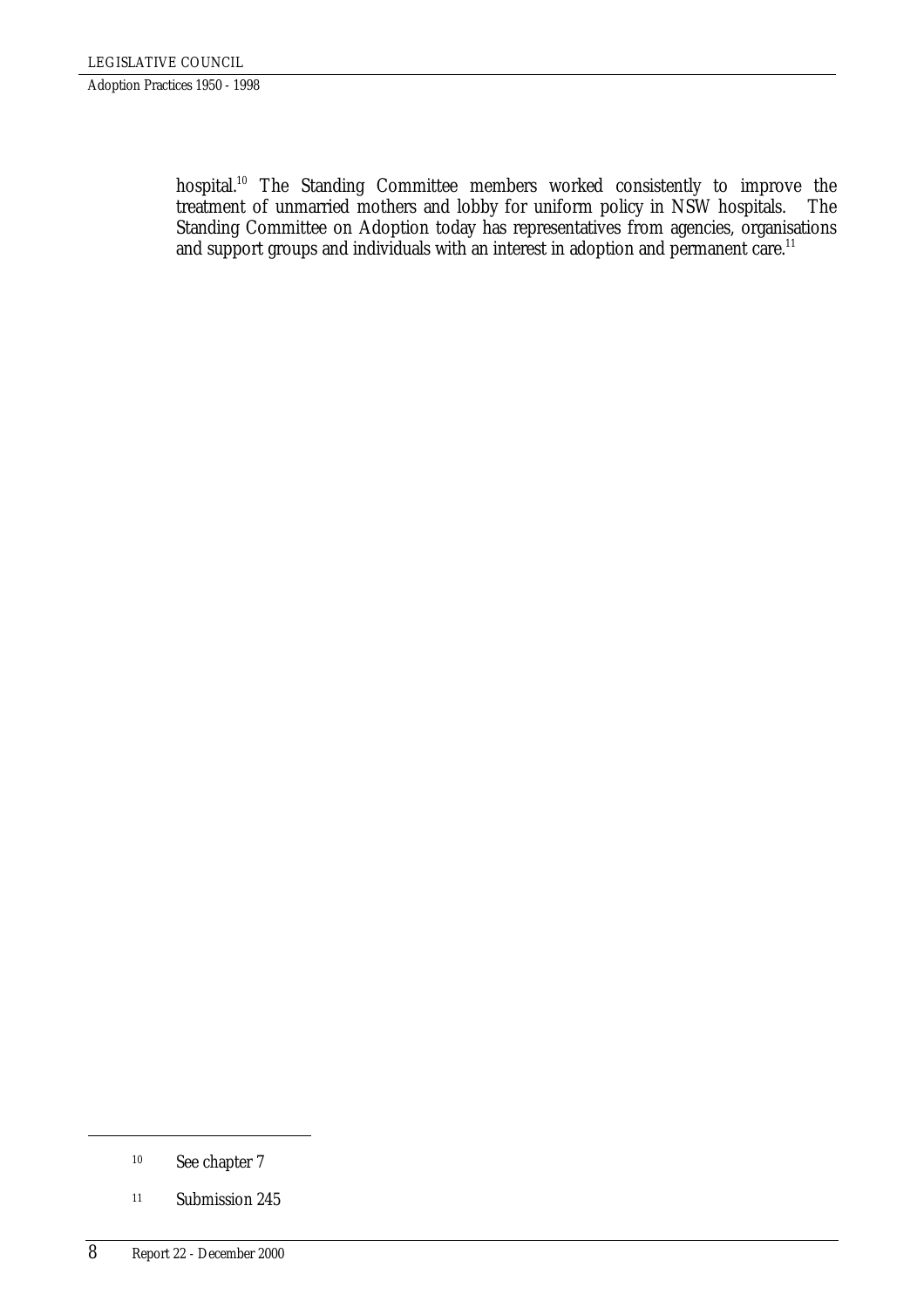hospital.<sup>10</sup> The Standing Committee members worked consistently to improve the treatment of unmarried mothers and lobby for uniform policy in NSW hospitals. The Standing Committee on Adoption today has representatives from agencies, organisations and support groups and individuals with an interest in adoption and permanent care.<sup>11</sup>

<sup>10</sup> See chapter 7

<sup>11</sup> Submission 245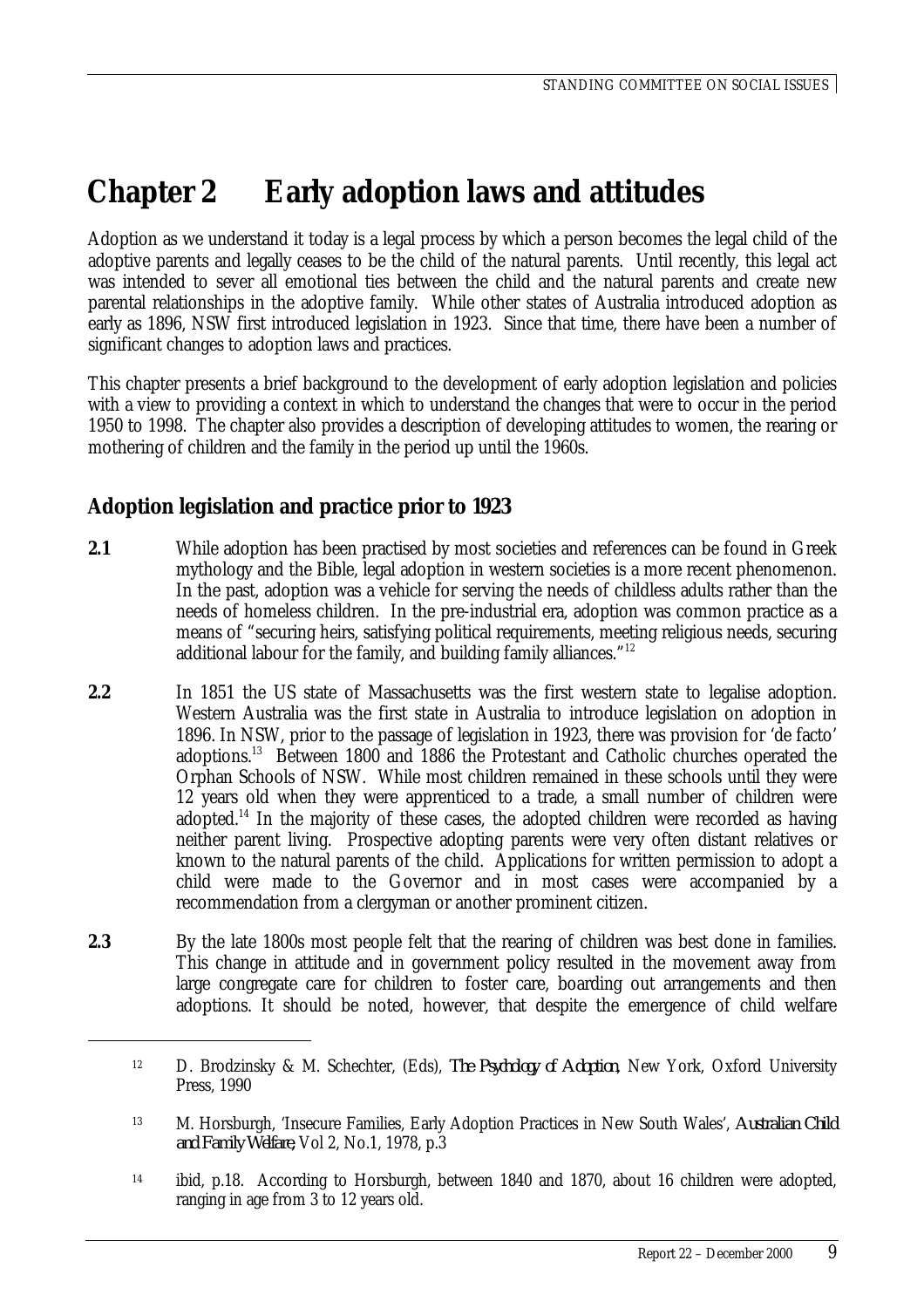## **Chapter 2 Early adoption laws and attitudes**

Adoption as we understand it today is a legal process by which a person becomes the legal child of the adoptive parents and legally ceases to be the child of the natural parents. Until recently, this legal act was intended to sever all emotional ties between the child and the natural parents and create new parental relationships in the adoptive family. While other states of Australia introduced adoption as early as 1896, NSW first introduced legislation in 1923. Since that time, there have been a number of significant changes to adoption laws and practices.

This chapter presents a brief background to the development of early adoption legislation and policies with a view to providing a context in which to understand the changes that were to occur in the period 1950 to 1998. The chapter also provides a description of developing attitudes to women, the rearing or mothering of children and the family in the period up until the 1960s.

## **Adoption legislation and practice prior to 1923**

- **2.1** While adoption has been practised by most societies and references can be found in Greek mythology and the Bible, legal adoption in western societies is a more recent phenomenon. In the past, adoption was a vehicle for serving the needs of childless adults rather than the needs of homeless children. In the pre-industrial era, adoption was common practice as a means of "securing heirs, satisfying political requirements, meeting religious needs, securing additional labour for the family, and building family alliances."<sup>12</sup>
- 2.2 In 1851 the US state of Massachusetts was the first western state to legalise adoption. Western Australia was the first state in Australia to introduce legislation on adoption in 1896. In NSW, prior to the passage of legislation in 1923, there was provision for 'de facto' adoptions.<sup>13</sup> Between 1800 and 1886 the Protestant and Catholic churches operated the Orphan Schools of NSW. While most children remained in these schools until they were 12 years old when they were apprenticed to a trade, a small number of children were adopted.<sup>14</sup> In the majority of these cases, the adopted children were recorded as having neither parent living. Prospective adopting parents were very often distant relatives or known to the natural parents of the child. Applications for written permission to adopt a child were made to the Governor and in most cases were accompanied by a recommendation from a clergyman or another prominent citizen.
- **2.3** By the late 1800s most people felt that the rearing of children was best done in families. This change in attitude and in government policy resulted in the movement away from large congregate care for children to foster care, boarding out arrangements and then adoptions. It should be noted, however, that despite the emergence of child welfare

<sup>12</sup> D. Brodzinsky & M. Schechter, (Eds), *The Psychology of Adoption*, New York, Oxford University Press, 1990

<sup>13</sup> M. Horsburgh, 'Insecure Families, Early Adoption Practices in New South Wales', *Australian Child and Family Welfare,* Vol 2, No.1, 1978, p.3

<sup>14</sup> ibid, p.18. According to Horsburgh, between 1840 and 1870, about 16 children were adopted, ranging in age from 3 to 12 years old.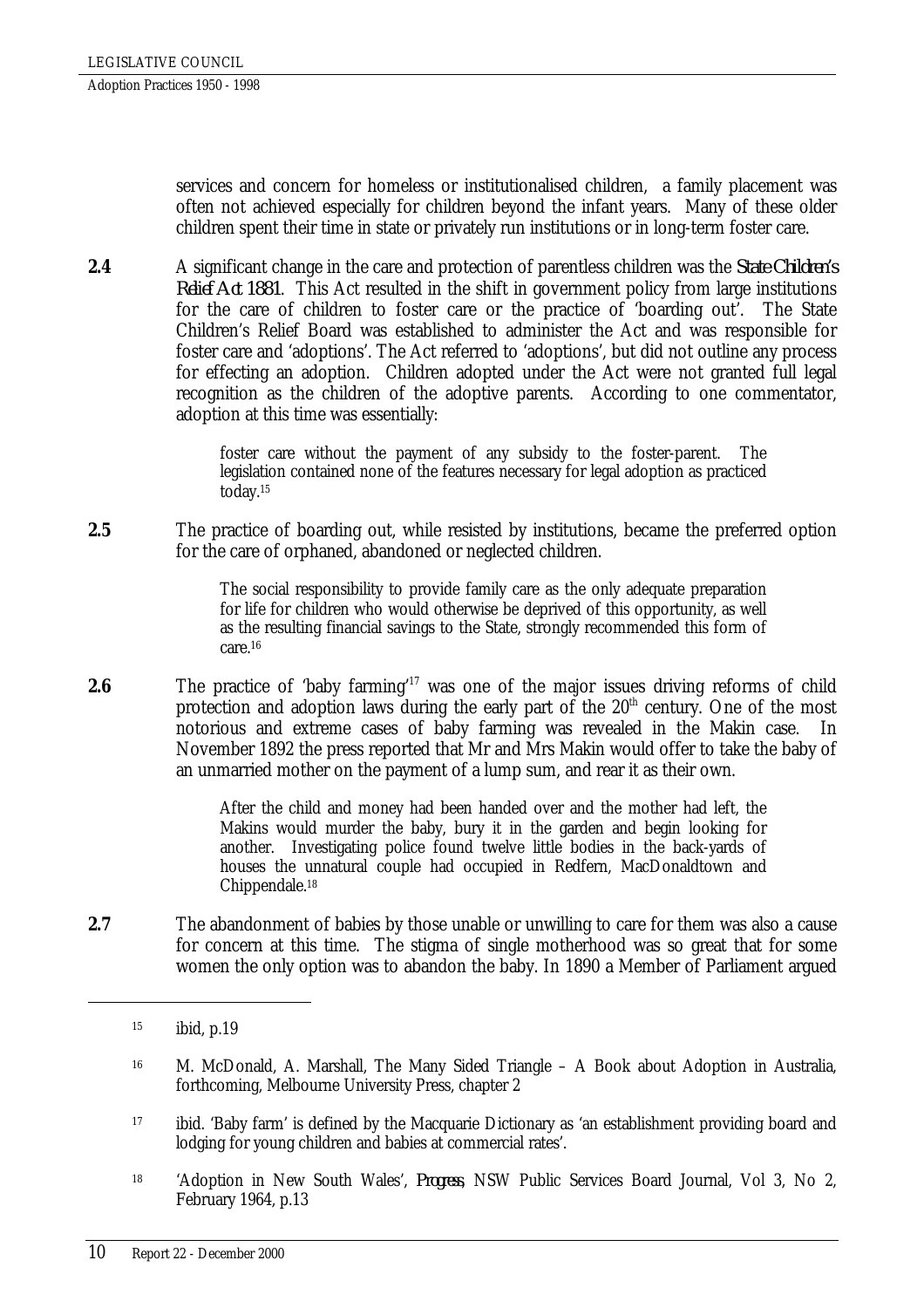services and concern for homeless or institutionalised children, a family placement was often not achieved especially for children beyond the infant years. Many of these older children spent their time in state or privately run institutions or in long-term foster care.

**2.4** A significant change in the care and protection of parentless children was the *State Children's Relief Act 1881*. This Act resulted in the shift in government policy from large institutions for the care of children to foster care or the practice of 'boarding out'. The State Children's Relief Board was established to administer the Act and was responsible for foster care and 'adoptions'. The Act referred to 'adoptions', but did not outline any process for effecting an adoption. Children adopted under the Act were not granted full legal recognition as the children of the adoptive parents. According to one commentator, adoption at this time was essentially:

> foster care without the payment of any subsidy to the foster-parent. The legislation contained none of the features necessary for legal adoption as practiced today.<sup>15</sup>

**2.5** The practice of boarding out, while resisted by institutions, became the preferred option for the care of orphaned, abandoned or neglected children.

> The social responsibility to provide family care as the only adequate preparation for life for children who would otherwise be deprived of this opportunity, as well as the resulting financial savings to the State, strongly recommended this form of care.<sup>16</sup>

**2.6** The practice of 'baby farming'<sup>17</sup> was one of the major issues driving reforms of child protection and adoption laws during the early part of the 20<sup>th</sup> century. One of the most notorious and extreme cases of baby farming was revealed in the Makin case. In November 1892 the press reported that Mr and Mrs Makin would offer to take the baby of an unmarried mother on the payment of a lump sum, and rear it as their own.

> After the child and money had been handed over and the mother had left, the Makins would murder the baby, bury it in the garden and begin looking for another. Investigating police found twelve little bodies in the back-yards of houses the unnatural couple had occupied in Redfern, MacDonaldtown and Chippendale.<sup>18</sup>

**2.7** The abandonment of babies by those unable or unwilling to care for them was also a cause for concern at this time. The stigma of single motherhood was so great that for some women the only option was to abandon the baby. In 1890 a Member of Parliament argued

- <sup>17</sup> ibid. 'Baby farm' is defined by the Macquarie Dictionary as 'an establishment providing board and lodging for young children and babies at commercial rates'.
- <sup>18</sup> 'Adoption in New South Wales', *Progress*, NSW Public Services Board Journal, Vol 3, No 2, February 1964, p.13

<sup>15</sup> ibid, p.19

<sup>16</sup> M. McDonald, A. Marshall, The Many Sided Triangle – A Book about Adoption in Australia, forthcoming, Melbourne University Press, chapter 2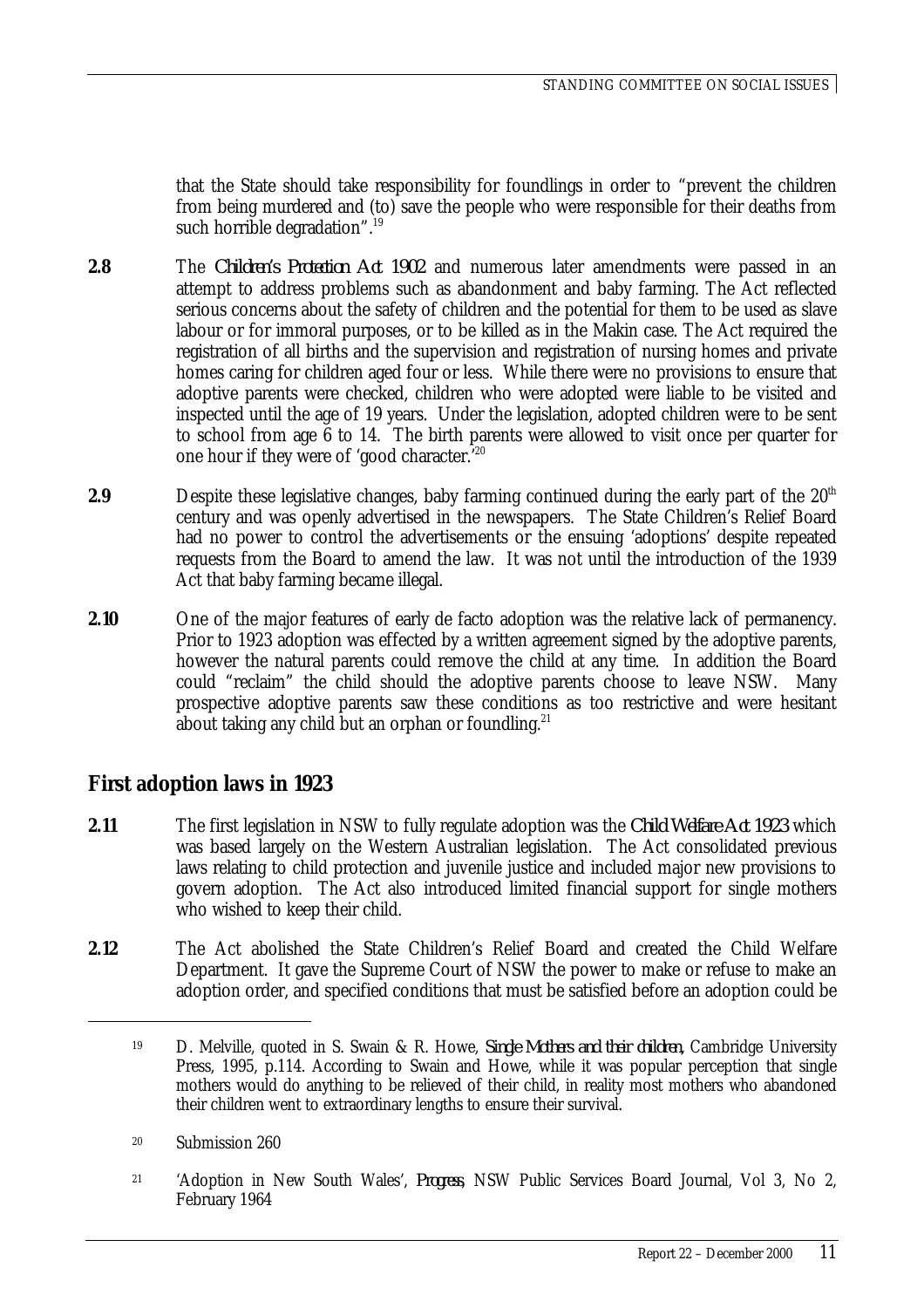that the State should take responsibility for foundlings in order to "prevent the children from being murdered and (to) save the people who were responsible for their deaths from such horrible degradation".<sup>19</sup>

- **2.8** The *Children's Protection Act 1902* and numerous later amendments were passed in an attempt to address problems such as abandonment and baby farming. The Act reflected serious concerns about the safety of children and the potential for them to be used as slave labour or for immoral purposes, or to be killed as in the Makin case. The Act required the registration of all births and the supervision and registration of nursing homes and private homes caring for children aged four or less. While there were no provisions to ensure that adoptive parents were checked, children who were adopted were liable to be visited and inspected until the age of 19 years. Under the legislation, adopted children were to be sent to school from age 6 to 14. The birth parents were allowed to visit once per quarter for one hour if they were of 'good character.'<sup>20</sup>
- **2.9** Despite these legislative changes, baby farming continued during the early part of the 20<sup>th</sup> century and was openly advertised in the newspapers. The State Children's Relief Board had no power to control the advertisements or the ensuing 'adoptions' despite repeated requests from the Board to amend the law. It was not until the introduction of the 1939 Act that baby farming became illegal.
- **2.10** One of the major features of early de facto adoption was the relative lack of permanency. Prior to 1923 adoption was effected by a written agreement signed by the adoptive parents, however the natural parents could remove the child at any time. In addition the Board could "reclaim" the child should the adoptive parents choose to leave NSW. Many prospective adoptive parents saw these conditions as too restrictive and were hesitant about taking any child but an orphan or foundling.<sup>21</sup>

### **First adoption laws in 1923**

- **2.11** The first legislation in NSW to fully regulate adoption was the *Child Welfare Act 1923* which was based largely on the Western Australian legislation. The Act consolidated previous laws relating to child protection and juvenile justice and included major new provisions to govern adoption. The Act also introduced limited financial support for single mothers who wished to keep their child.
- **2.12** The Act abolished the State Children's Relief Board and created the Child Welfare Department. It gave the Supreme Court of NSW the power to make or refuse to make an adoption order, and specified conditions that must be satisfied before an adoption could be

 $\overline{a}$ 

<sup>21</sup> 'Adoption in New South Wales', *Progress*, NSW Public Services Board Journal, Vol 3, No 2, February 1964

<sup>19</sup> D. Melville, quoted in S. Swain & R. Howe, *Single Mothers and their children,* Cambridge University Press, 1995, p.114. According to Swain and Howe, while it was popular perception that single mothers would do anything to be relieved of their child, in reality most mothers who abandoned their children went to extraordinary lengths to ensure their survival.

<sup>20</sup> Submission 260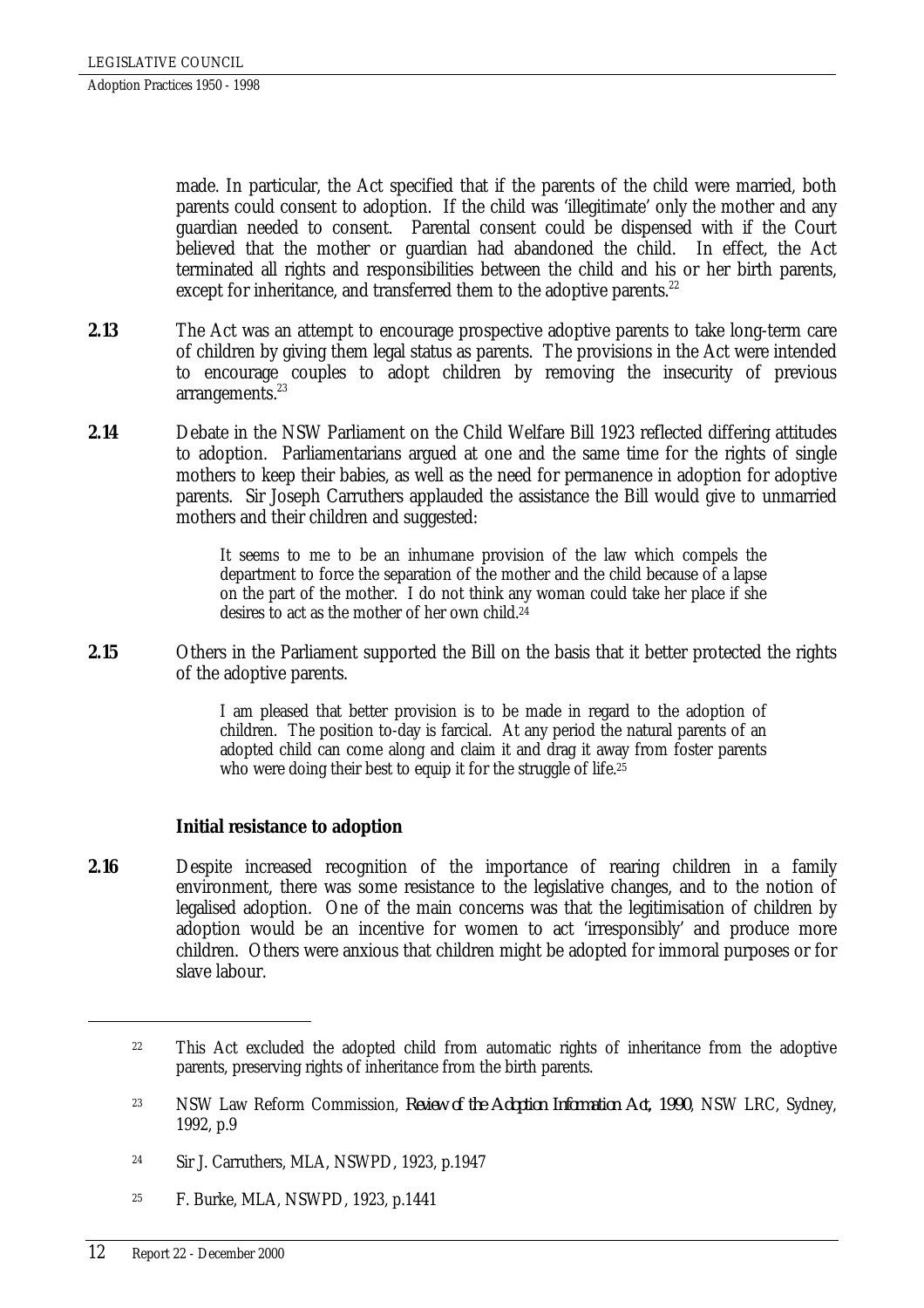made. In particular, the Act specified that if the parents of the child were married, both parents could consent to adoption. If the child was 'illegitimate' only the mother and any guardian needed to consent. Parental consent could be dispensed with if the Court believed that the mother or guardian had abandoned the child. In effect, the Act terminated all rights and responsibilities between the child and his or her birth parents, except for inheritance, and transferred them to the adoptive parents.<sup>22</sup>

- **2.13** The Act was an attempt to encourage prospective adoptive parents to take long-term care of children by giving them legal status as parents. The provisions in the Act were intended to encourage couples to adopt children by removing the insecurity of previous  $arrangements.<sup>23</sup>$
- **2.14** Debate in the NSW Parliament on the Child Welfare Bill 1923 reflected differing attitudes to adoption. Parliamentarians argued at one and the same time for the rights of single mothers to keep their babies, as well as the need for permanence in adoption for adoptive parents. Sir Joseph Carruthers applauded the assistance the Bill would give to unmarried mothers and their children and suggested:

It seems to me to be an inhumane provision of the law which compels the department to force the separation of the mother and the child because of a lapse on the part of the mother. I do not think any woman could take her place if she desires to act as the mother of her own child.<sup>24</sup>

**2.15** Others in the Parliament supported the Bill on the basis that it better protected the rights of the adoptive parents.

> I am pleased that better provision is to be made in regard to the adoption of children. The position to-day is farcical. At any period the natural parents of an adopted child can come along and claim it and drag it away from foster parents who were doing their best to equip it for the struggle of life.<sup>25</sup>

#### **Initial resistance to adoption**

**2.16** Despite increased recognition of the importance of rearing children in a family environment, there was some resistance to the legislative changes, and to the notion of legalised adoption. One of the main concerns was that the legitimisation of children by adoption would be an incentive for women to act 'irresponsibly' and produce more children. Others were anxious that children might be adopted for immoral purposes or for slave labour.

- <sup>24</sup> Sir J. Carruthers, MLA, NSWPD, 1923, p.1947
- <sup>25</sup> F. Burke, MLA, NSWPD, 1923, p.1441

<sup>&</sup>lt;sup>22</sup> This Act excluded the adopted child from automatic rights of inheritance from the adoptive parents, preserving rights of inheritance from the birth parents.

<sup>23</sup> NSW Law Reform Commission, *Review of the Adoption Information Act, 1990*, NSW LRC, Sydney, 1992, p.9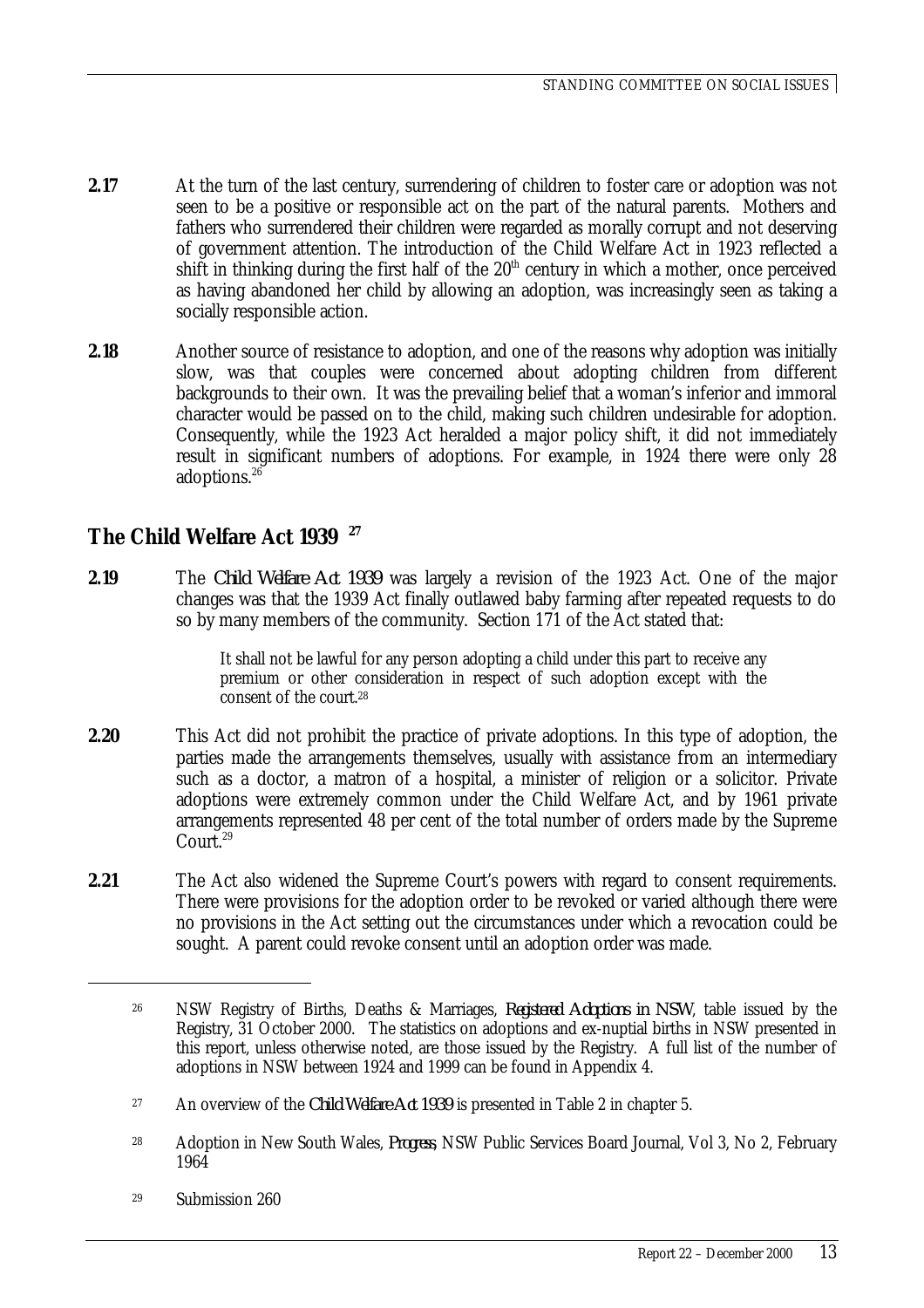- 2.17 At the turn of the last century, surrendering of children to foster care or adoption was not seen to be a positive or responsible act on the part of the natural parents. Mothers and fathers who surrendered their children were regarded as morally corrupt and not deserving of government attention. The introduction of the Child Welfare Act in 1923 reflected a shift in thinking during the first half of the  $20<sup>th</sup>$  century in which a mother, once perceived as having abandoned her child by allowing an adoption, was increasingly seen as taking a socially responsible action.
- **2.18** Another source of resistance to adoption, and one of the reasons why adoption was initially slow, was that couples were concerned about adopting children from different backgrounds to their own. It was the prevailing belief that a woman's inferior and immoral character would be passed on to the child, making such children undesirable for adoption. Consequently, while the 1923 Act heralded a major policy shift, it did not immediately result in significant numbers of adoptions. For example, in 1924 there were only 28 adoptions.<sup>26</sup>

## **The** *Child Welfare Act 1939*  **27**

**2.19** The *Child Welfare Act 1939* was largely a revision of the 1923 Act. One of the major changes was that the 1939 Act finally outlawed baby farming after repeated requests to do so by many members of the community. Section 171 of the Act stated that:

> It shall not be lawful for any person adopting a child under this part to receive any premium or other consideration in respect of such adoption except with the consent of the court.<sup>28</sup>

- **2.20** This Act did not prohibit the practice of private adoptions. In this type of adoption, the parties made the arrangements themselves, usually with assistance from an intermediary such as a doctor, a matron of a hospital, a minister of religion or a solicitor. Private adoptions were extremely common under the Child Welfare Act, and by 1961 private arrangements represented 48 per cent of the total number of orders made by the Supreme  $C$ ourt.<sup>29</sup>
- **2.21** The Act also widened the Supreme Court's powers with regard to consent requirements. There were provisions for the adoption order to be revoked or varied although there were no provisions in the Act setting out the circumstances under which a revocation could be sought. A parent could revoke consent until an adoption order was made.

<sup>29</sup> Submission 260

<sup>26</sup> NSW Registry of Births, Deaths & Marriages, *Registered Adoptions in NSW*, table issued by the Registry, 31 October 2000. The statistics on adoptions and ex-nuptial births in NSW presented in this report, unless otherwise noted, are those issued by the Registry. A full list of the number of adoptions in NSW between 1924 and 1999 can be found in Appendix 4.

<sup>27</sup> An overview of the *Child Welfare Act 1939* is presented in Table 2 in chapter 5.

<sup>28</sup> Adoption in New South Wales, *Progress*, NSW Public Services Board Journal, Vol 3, No 2, February 1964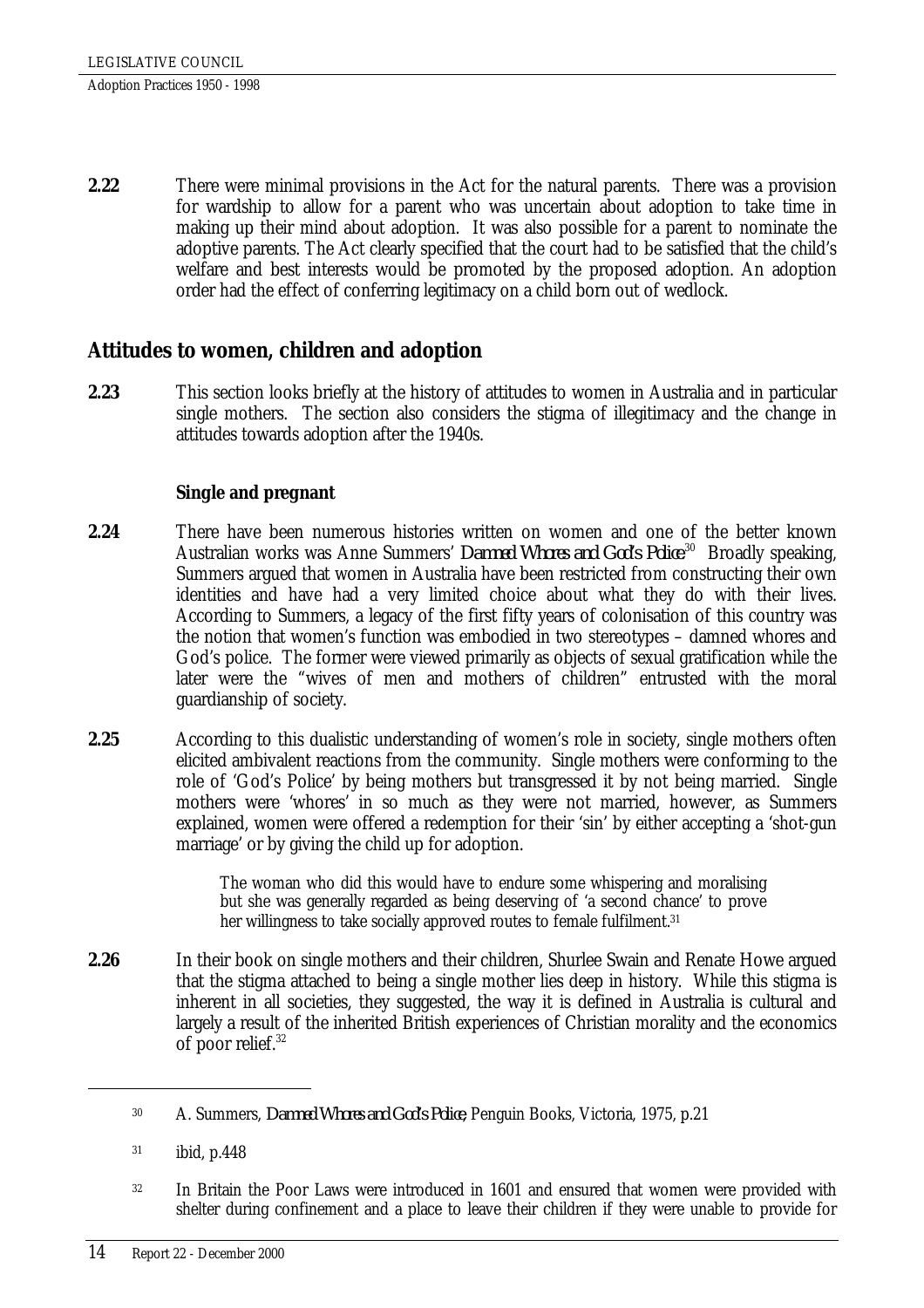**2.22** There were minimal provisions in the Act for the natural parents. There was a provision for wardship to allow for a parent who was uncertain about adoption to take time in making up their mind about adoption. It was also possible for a parent to nominate the adoptive parents. The Act clearly specified that the court had to be satisfied that the child's welfare and best interests would be promoted by the proposed adoption. An adoption order had the effect of conferring legitimacy on a child born out of wedlock.

### **Attitudes to women, children and adoption**

**2.23** This section looks briefly at the history of attitudes to women in Australia and in particular single mothers. The section also considers the stigma of illegitimacy and the change in attitudes towards adoption after the 1940s.

#### **Single and pregnant**

- **2.24** There have been numerous histories written on women and one of the better known Australian works was Anne Summers' Damned Whores and God's Police.<sup>30</sup> Broadly speaking, Summers argued that women in Australia have been restricted from constructing their own identities and have had a very limited choice about what they do with their lives. According to Summers, a legacy of the first fifty years of colonisation of this country was the notion that women's function was embodied in two stereotypes – damned whores and God's police. The former were viewed primarily as objects of sexual gratification while the later were the "wives of men and mothers of children" entrusted with the moral guardianship of society.
- 2.25 According to this dualistic understanding of women's role in society, single mothers often elicited ambivalent reactions from the community. Single mothers were conforming to the role of 'God's Police' by being mothers but transgressed it by not being married. Single mothers were 'whores' in so much as they were not married, however, as Summers explained, women were offered a redemption for their 'sin' by either accepting a 'shot-gun marriage' or by giving the child up for adoption.

The woman who did this would have to endure some whispering and moralising but she was generally regarded as being deserving of 'a second chance' to prove her willingness to take socially approved routes to female fulfilment.<sup>31</sup>

**2.26** In their book on single mothers and their children, Shurlee Swain and Renate Howe argued that the stigma attached to being a single mother lies deep in history. While this stigma is inherent in all societies, they suggested, the way it is defined in Australia is cultural and largely a result of the inherited British experiences of Christian morality and the economics of poor relief.<sup>32</sup>

<sup>31</sup> ibid, p.448

 $\overline{a}$ 

<sup>32</sup> In Britain the Poor Laws were introduced in 1601 and ensured that women were provided with shelter during confinement and a place to leave their children if they were unable to provide for

<sup>30</sup> A. Summers, *Damned Whores and God's Police*, Penguin Books, Victoria, 1975, p.21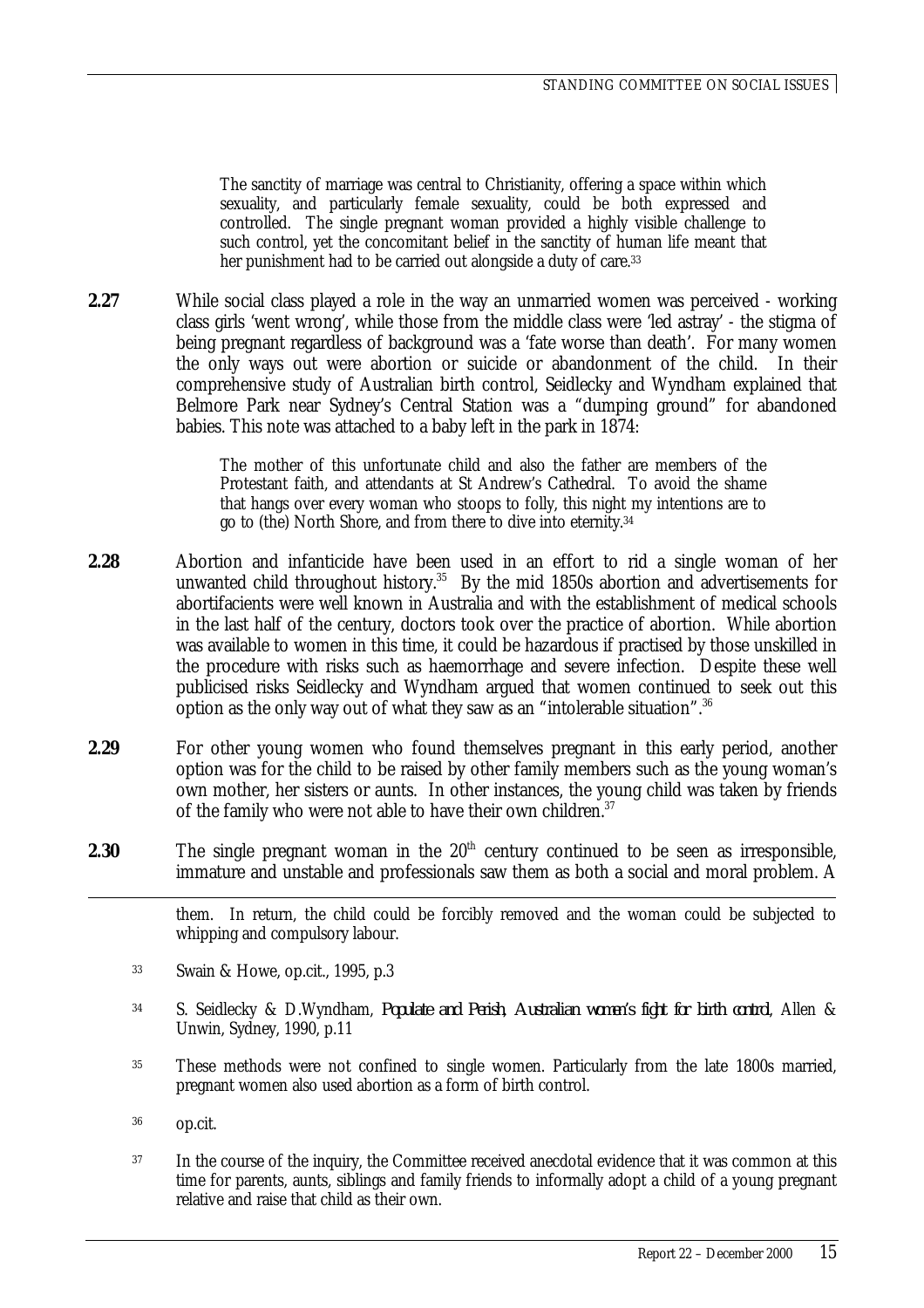The sanctity of marriage was central to Christianity, offering a space within which sexuality, and particularly female sexuality, could be both expressed and controlled. The single pregnant woman provided a highly visible challenge to such control, yet the concomitant belief in the sanctity of human life meant that her punishment had to be carried out alongside a duty of care.<sup>33</sup>

**2.27** While social class played a role in the way an unmarried women was perceived - working class girls 'went wrong', while those from the middle class were 'led astray' - the stigma of being pregnant regardless of background was a 'fate worse than death'. For many women the only ways out were abortion or suicide or abandonment of the child. In their comprehensive study of Australian birth control, Seidlecky and Wyndham explained that Belmore Park near Sydney's Central Station was a "dumping ground" for abandoned babies. This note was attached to a baby left in the park in 1874:

> The mother of this unfortunate child and also the father are members of the Protestant faith, and attendants at St Andrew's Cathedral. To avoid the shame that hangs over every woman who stoops to folly, this night my intentions are to go to (the) North Shore, and from there to dive into eternity.<sup>34</sup>

- **2.28** Abortion and infanticide have been used in an effort to rid a single woman of her unwanted child throughout history.<sup>35</sup> By the mid 1850s abortion and advertisements for abortifacients were well known in Australia and with the establishment of medical schools in the last half of the century, doctors took over the practice of abortion. While abortion was available to women in this time, it could be hazardous if practised by those unskilled in the procedure with risks such as haemorrhage and severe infection. Despite these well publicised risks Seidlecky and Wyndham argued that women continued to seek out this option as the only way out of what they saw as an "intolerable situation".<sup>36</sup>
- **2.29** For other young women who found themselves pregnant in this early period, another option was for the child to be raised by other family members such as the young woman's own mother, her sisters or aunts. In other instances, the young child was taken by friends of the family who were not able to have their own children.<sup>37</sup>
- **2.30** The single pregnant woman in the 20<sup>th</sup> century continued to be seen as irresponsible, immature and unstable and professionals saw them as both a social and moral problem. A

them. In return, the child could be forcibly removed and the woman could be subjected to whipping and compulsory labour.

- <sup>33</sup> Swain & Howe, op.cit., 1995, p.3
- <sup>34</sup> S. Seidlecky & D.Wyndham, *Populate and Perish*, *Australian women's fight for birth control*, Allen & Unwin, Sydney, 1990, p.11
- <sup>35</sup> These methods were not confined to single women. Particularly from the late 1800s married, pregnant women also used abortion as a form of birth control.
- <sup>36</sup> op.cit.

 $\overline{a}$ 

<sup>37</sup> In the course of the inquiry, the Committee received anecdotal evidence that it was common at this time for parents, aunts, siblings and family friends to informally adopt a child of a young pregnant relative and raise that child as their own.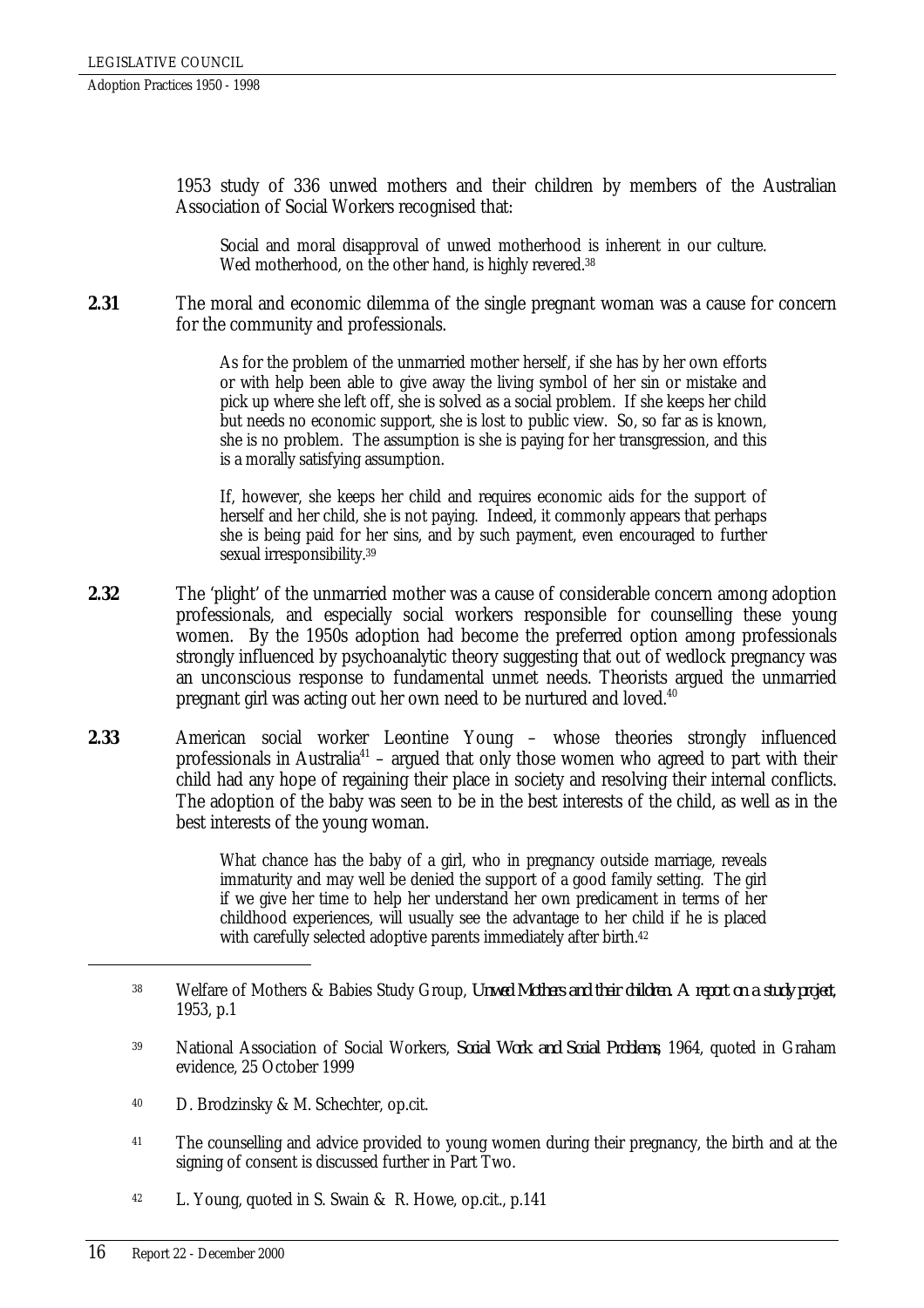1953 study of 336 unwed mothers and their children by members of the Australian Association of Social Workers recognised that:

Social and moral disapproval of unwed motherhood is inherent in our culture. Wed motherhood, on the other hand, is highly revered.<sup>38</sup>

**2.31** The moral and economic dilemma of the single pregnant woman was a cause for concern for the community and professionals.

> As for the problem of the unmarried mother herself, if she has by her own efforts or with help been able to give away the living symbol of her sin or mistake and pick up where she left off, she is solved as a social problem. If she keeps her child but needs no economic support, she is lost to public view. So, so far as is known, she is no problem. The assumption is she is paying for her transgression, and this is a morally satisfying assumption.

> If, however, she keeps her child and requires economic aids for the support of herself and her child, she is not paying. Indeed, it commonly appears that perhaps she is being paid for her sins, and by such payment, even encouraged to further sexual irresponsibility.<sup>39</sup>

- **2.32** The 'plight' of the unmarried mother was a cause of considerable concern among adoption professionals, and especially social workers responsible for counselling these young women. By the 1950s adoption had become the preferred option among professionals strongly influenced by psychoanalytic theory suggesting that out of wedlock pregnancy was an unconscious response to fundamental unmet needs. Theorists argued the unmarried pregnant girl was acting out her own need to be nurtured and loved.<sup>40</sup>
- **2.33** American social worker Leontine Young whose theories strongly influenced professionals in Australia<sup>41</sup> – argued that only those women who agreed to part with their child had any hope of regaining their place in society and resolving their internal conflicts. The adoption of the baby was seen to be in the best interests of the child, as well as in the best interests of the young woman.

What chance has the baby of a girl, who in pregnancy outside marriage, reveals immaturity and may well be denied the support of a good family setting. The girl if we give her time to help her understand her own predicament in terms of her childhood experiences, will usually see the advantage to her child if he is placed with carefully selected adoptive parents immediately after birth.<sup>42</sup>

- <sup>39</sup> National Association of Social Workers, *Social Work and Social Problems*, 1964, quoted in Graham evidence, 25 October 1999
- <sup>40</sup> D. Brodzinsky & M. Schechter, op.cit.
- <sup>41</sup> The counselling and advice provided to young women during their pregnancy, the birth and at the signing of consent is discussed further in Part Two.
- <sup>42</sup> L. Young, quoted in S. Swain & R. Howe, op.cit., p.141

<sup>38</sup> Welfare of Mothers & Babies Study Group, *Unwed Mothers and their children. A report on a study project*, 1953, p.1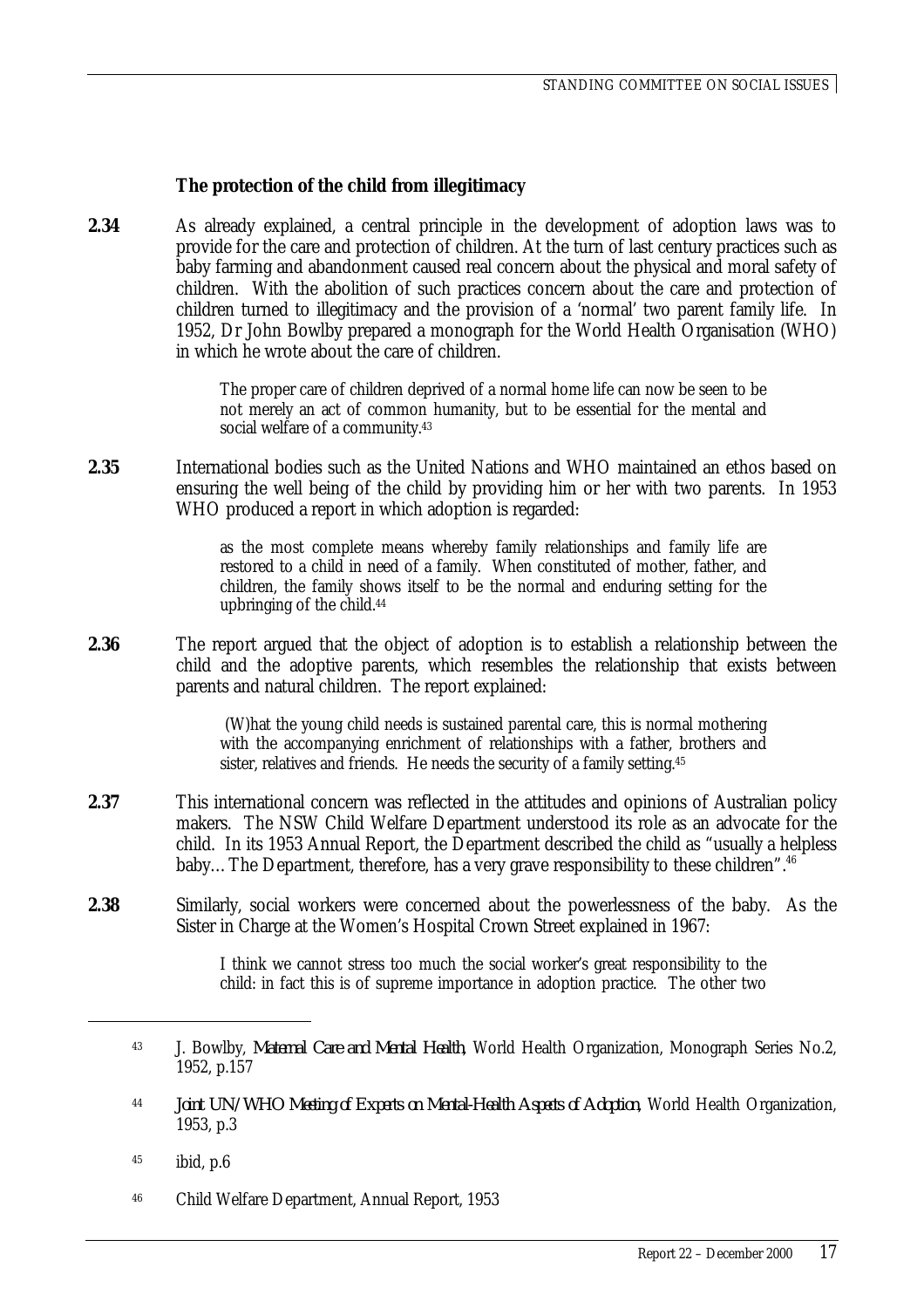#### **The protection of the child from illegitimacy**

**2.34** As already explained, a central principle in the development of adoption laws was to provide for the care and protection of children. At the turn of last century practices such as baby farming and abandonment caused real concern about the physical and moral safety of children. With the abolition of such practices concern about the care and protection of children turned to illegitimacy and the provision of a 'normal' two parent family life. In 1952, Dr John Bowlby prepared a monograph for the World Health Organisation (WHO) in which he wrote about the care of children.

> The proper care of children deprived of a normal home life can now be seen to be not merely an act of common humanity, but to be essential for the mental and social welfare of a community.<sup>43</sup>

**2.35** International bodies such as the United Nations and WHO maintained an ethos based on ensuring the well being of the child by providing him or her with two parents. In 1953 WHO produced a report in which adoption is regarded:

> as the most complete means whereby family relationships and family life are restored to a child in need of a family. When constituted of mother, father, and children, the family shows itself to be the normal and enduring setting for the upbringing of the child.<sup>44</sup>

**2.36** The report argued that the object of adoption is to establish a relationship between the child and the adoptive parents, which resembles the relationship that exists between parents and natural children. The report explained:

> (W)hat the young child needs is sustained parental care, this is normal mothering with the accompanying enrichment of relationships with a father, brothers and sister, relatives and friends. He needs the security of a family setting.<sup>45</sup>

- 2.37 This international concern was reflected in the attitudes and opinions of Australian policy makers. The NSW Child Welfare Department understood its role as an advocate for the child. In its 1953 Annual Report, the Department described the child as "usually a helpless baby...The Department, therefore, has a very grave responsibility to these children".<sup>46</sup>
- **2.38** Similarly, social workers were concerned about the powerlessness of the baby. As the Sister in Charge at the Women's Hospital Crown Street explained in 1967:

I think we cannot stress too much the social worker's great responsibility to the child: in fact this is of supreme importance in adoption practice. The other two

<sup>45</sup> ibid, p.6

 $\overline{a}$ 

<sup>46</sup> Child Welfare Department, Annual Report, 1953

<sup>43</sup> J. Bowlby, *Maternal Care and Mental Health*, World Health Organization, Monograph Series No.2, 1952, p.157

<sup>44</sup> *Joint UN/WHO Meeting of Experts on Mental-Health Aspects of Adoption*, World Health Organization, 1953, p.3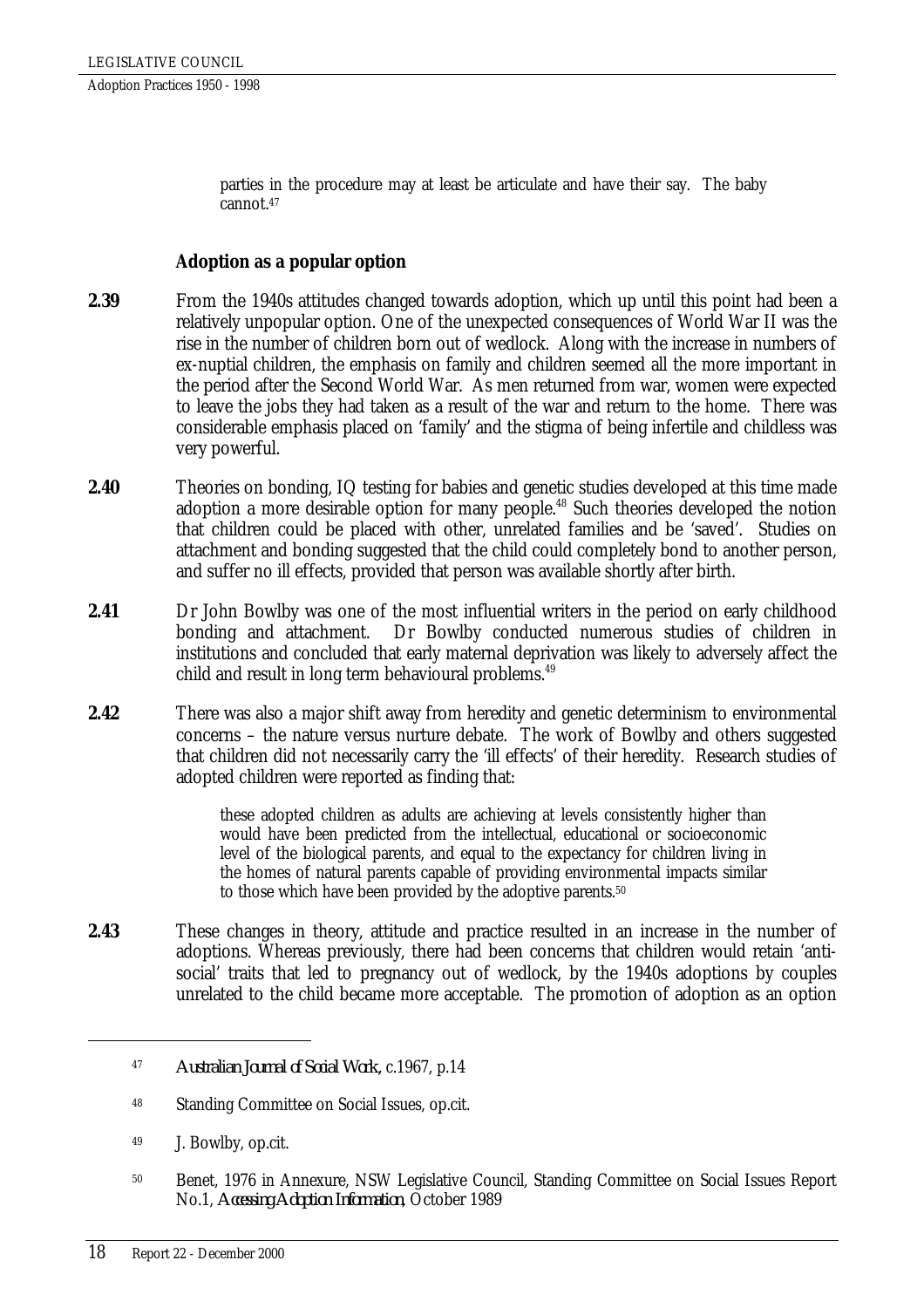parties in the procedure may at least be articulate and have their say. The baby cannot.<sup>47</sup>

#### **Adoption as a popular option**

- **2.39** From the 1940s attitudes changed towards adoption, which up until this point had been a relatively unpopular option. One of the unexpected consequences of World War II was the rise in the number of children born out of wedlock. Along with the increase in numbers of ex-nuptial children, the emphasis on family and children seemed all the more important in the period after the Second World War. As men returned from war, women were expected to leave the jobs they had taken as a result of the war and return to the home. There was considerable emphasis placed on 'family' and the stigma of being infertile and childless was very powerful.
- **2.40** Theories on bonding, IQ testing for babies and genetic studies developed at this time made adoption a more desirable option for many people.<sup>48</sup> Such theories developed the notion that children could be placed with other, unrelated families and be 'saved'. Studies on attachment and bonding suggested that the child could completely bond to another person, and suffer no ill effects, provided that person was available shortly after birth.
- **2.41** Dr John Bowlby was one of the most influential writers in the period on early childhood bonding and attachment. Dr Bowlby conducted numerous studies of children in institutions and concluded that early maternal deprivation was likely to adversely affect the child and result in long term behavioural problems.<sup>49</sup>
- **2.42** There was also a major shift away from heredity and genetic determinism to environmental concerns – the nature versus nurture debate. The work of Bowlby and others suggested that children did not necessarily carry the 'ill effects' of their heredity. Research studies of adopted children were reported as finding that:

these adopted children as adults are achieving at levels consistently higher than would have been predicted from the intellectual, educational or socioeconomic level of the biological parents, and equal to the expectancy for children living in the homes of natural parents capable of providing environmental impacts similar to those which have been provided by the adoptive parents.<sup>50</sup>

**2.43** These changes in theory, attitude and practice resulted in an increase in the number of adoptions. Whereas previously, there had been concerns that children would retain 'antisocial' traits that led to pregnancy out of wedlock, by the 1940s adoptions by couples unrelated to the child became more acceptable. The promotion of adoption as an option

<sup>47</sup> *Australian Journal of Social Work,* c.1967, p.14

<sup>48</sup> Standing Committee on Social Issues, op.cit.

<sup>49</sup> J. Bowlby, op.cit.

<sup>50</sup> Benet, 1976 in Annexure, NSW Legislative Council, Standing Committee on Social Issues Report No.1, *Accessing Adoption Information*, October 1989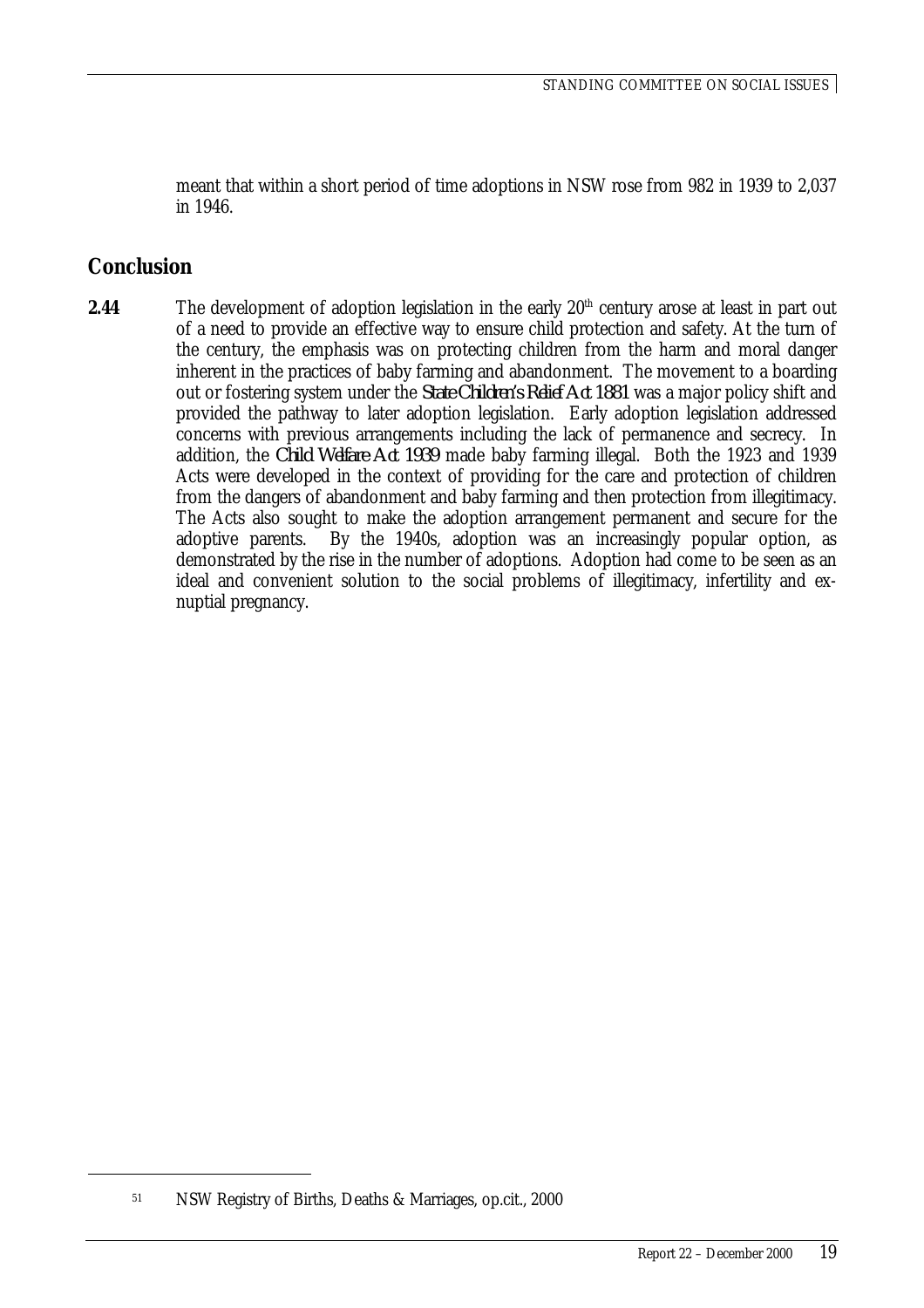meant that within a short period of time adoptions in NSW rose from 982 in 1939 to 2,037 in 1946.

## **Conclusion**

 $\overline{a}$ 

**2.44** The development of adoption legislation in the early  $20<sup>th</sup>$  century arose at least in part out of a need to provide an effective way to ensure child protection and safety. At the turn of the century, the emphasis was on protecting children from the harm and moral danger inherent in the practices of baby farming and abandonment. The movement to a boarding out or fostering system under the *State Children's Relief Act 1881* was a major policy shift and provided the pathway to later adoption legislation. Early adoption legislation addressed concerns with previous arrangements including the lack of permanence and secrecy. In addition, the *Child Welfare Act 1939* made baby farming illegal. Both the 1923 and 1939 Acts were developed in the context of providing for the care and protection of children from the dangers of abandonment and baby farming and then protection from illegitimacy. The Acts also sought to make the adoption arrangement permanent and secure for the adoptive parents. By the 1940s, adoption was an increasingly popular option, as demonstrated by the rise in the number of adoptions. Adoption had come to be seen as an ideal and convenient solution to the social problems of illegitimacy, infertility and exnuptial pregnancy.

<sup>51</sup> NSW Registry of Births, Deaths & Marriages, op.cit., 2000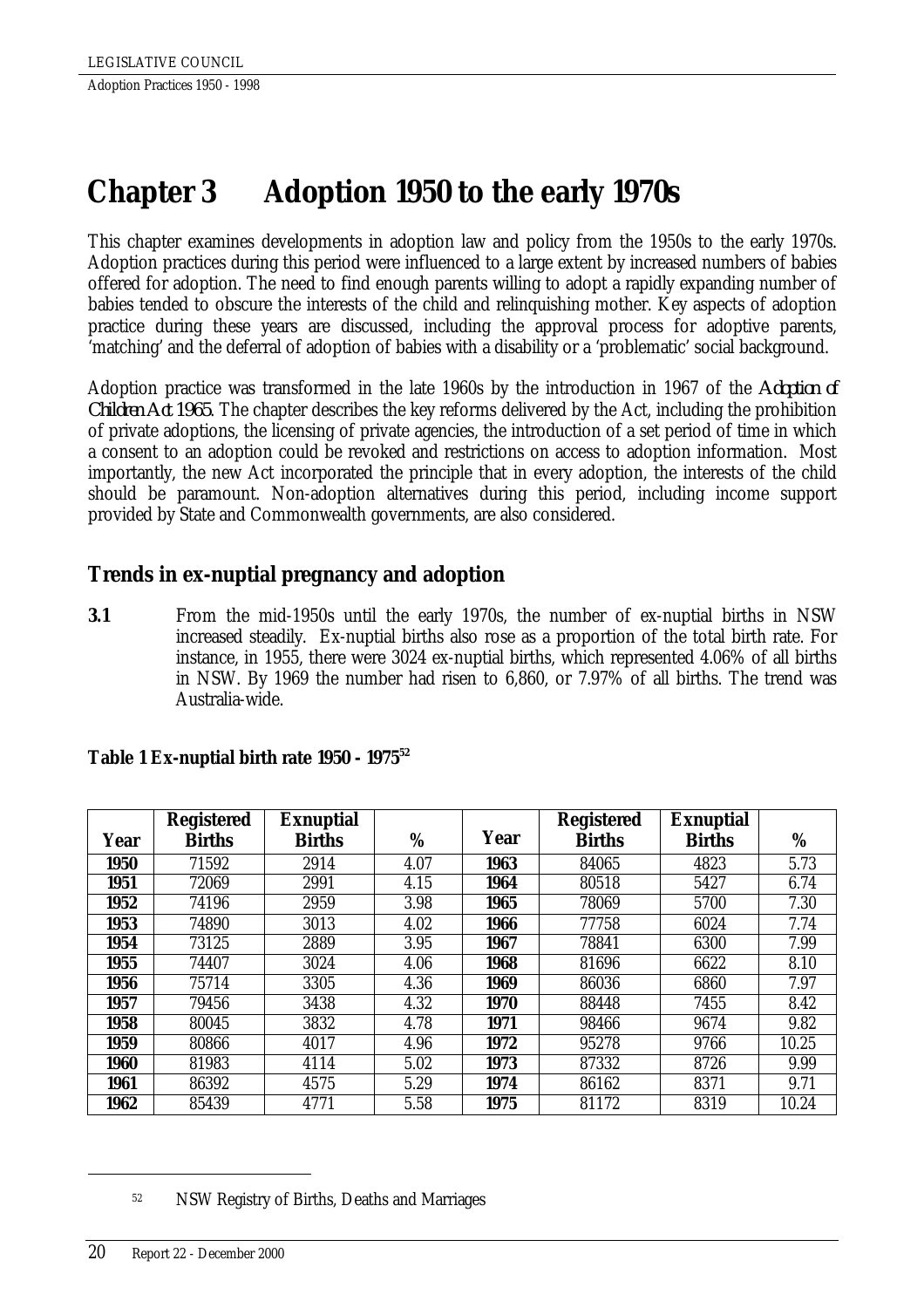# **Chapter 3 Adoption 1950 to the early 1970s**

This chapter examines developments in adoption law and policy from the 1950s to the early 1970s. Adoption practices during this period were influenced to a large extent by increased numbers of babies offered for adoption. The need to find enough parents willing to adopt a rapidly expanding number of babies tended to obscure the interests of the child and relinquishing mother. Key aspects of adoption practice during these years are discussed, including the approval process for adoptive parents, 'matching' and the deferral of adoption of babies with a disability or a 'problematic' social background.

Adoption practice was transformed in the late 1960s by the introduction in 1967 of the *Adoption of Children Act 1965*. The chapter describes the key reforms delivered by the Act, including the prohibition of private adoptions, the licensing of private agencies, the introduction of a set period of time in which a consent to an adoption could be revoked and restrictions on access to adoption information. Most importantly, the new Act incorporated the principle that in every adoption, the interests of the child should be paramount. Non-adoption alternatives during this period, including income support provided by State and Commonwealth governments, are also considered.

## **Trends in ex-nuptial pregnancy and adoption**

**3.1** From the mid-1950s until the early 1970s, the number of ex-nuptial births in NSW increased steadily. Ex-nuptial births also rose as a proportion of the total birth rate. For instance, in 1955, there were 3024 ex-nuptial births, which represented 4.06% of all births in NSW. By 1969 the number had risen to 6,860, or 7.97% of all births. The trend was Australia-wide.

|             | <b>Registered</b> | <b>Exnuptial</b> |      |             | <b>Registered</b> | <b>Exnuptial</b> |       |
|-------------|-------------------|------------------|------|-------------|-------------------|------------------|-------|
| <b>Year</b> | <b>Births</b>     | <b>Births</b>    | %    | <b>Year</b> | <b>Births</b>     | <b>Births</b>    | %     |
| 1950        | 71592             | 2914             | 4.07 | 1963        | 84065             | 4823             | 5.73  |
| 1951        | 72069             | 2991             | 4.15 | 1964        | 80518             | 5427             | 6.74  |
| 1952        | 74196             | 2959             | 3.98 | 1965        | 78069             | 5700             | 7.30  |
| 1953        | 74890             | 3013             | 4.02 | 1966        | 77758             | 6024             | 7.74  |
| 1954        | 73125             | 2889             | 3.95 | 1967        | 78841             | 6300             | 7.99  |
| 1955        | 74407             | 3024             | 4.06 | 1968        | 81696             | 6622             | 8.10  |
| 1956        | 75714             | 3305             | 4.36 | 1969        | 86036             | 6860             | 7.97  |
| 1957        | 79456             | 3438             | 4.32 | 1970        | 88448             | 7455             | 8.42  |
| 1958        | 80045             | 3832             | 4.78 | 1971        | 98466             | 9674             | 9.82  |
| 1959        | 80866             | 4017             | 4.96 | 1972        | 95278             | 9766             | 10.25 |
| 1960        | 81983             | 4114             | 5.02 | 1973        | 87332             | 8726             | 9.99  |
| 1961        | 86392             | 4575             | 5.29 | 1974        | 86162             | 8371             | 9.71  |
| 1962        | 85439             | 4771             | 5.58 | 1975        | 81172             | 8319             | 10.24 |

## **Table 1 Ex-nuptial birth rate 1950 - 1975<sup>52</sup>**

<sup>52</sup> NSW Registry of Births, Deaths and Marriages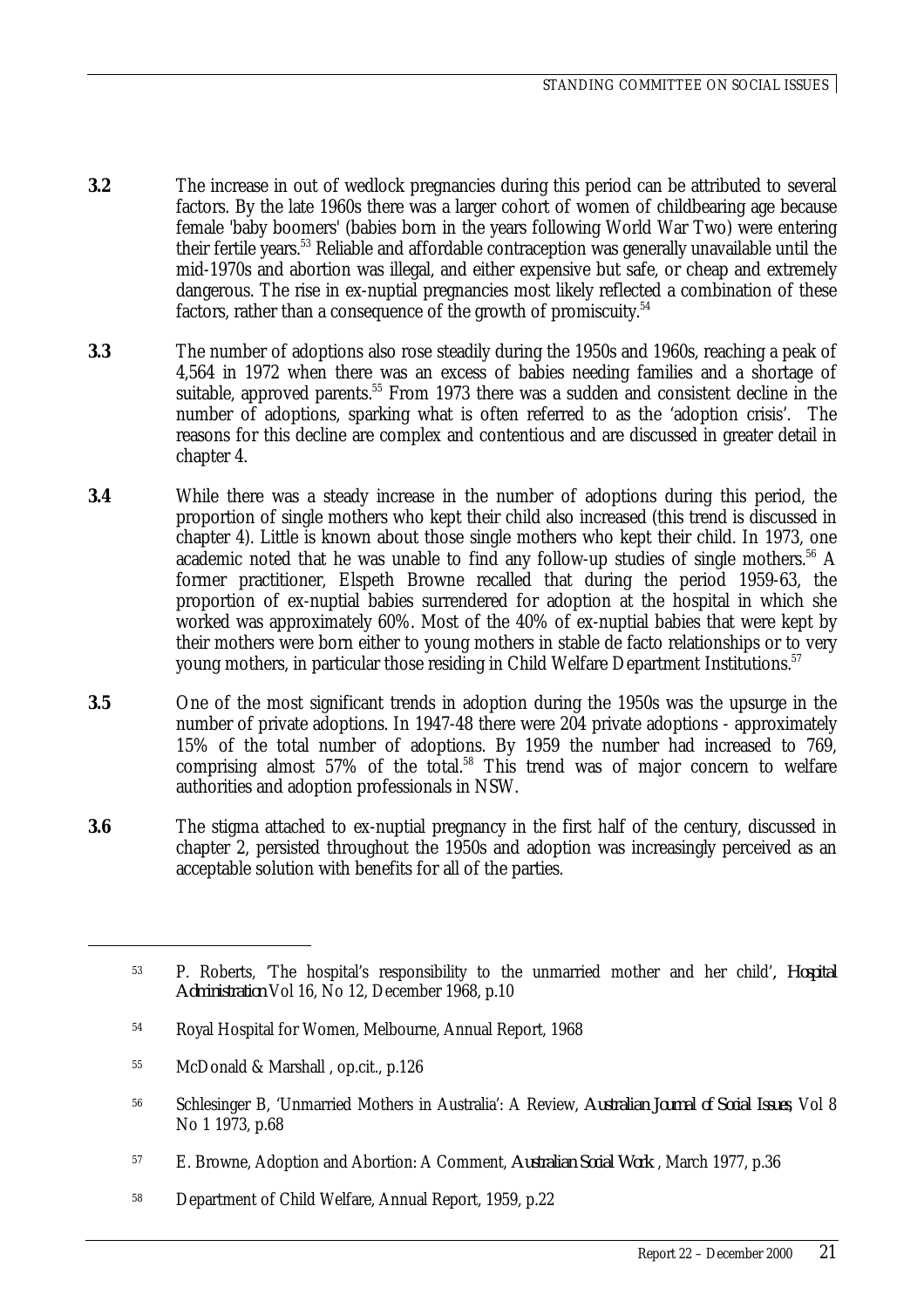STANDING COMMITTEE ON SOCIAL ISSUES

- **3.2** The increase in out of wedlock pregnancies during this period can be attributed to several factors. By the late 1960s there was a larger cohort of women of childbearing age because female 'baby boomers' (babies born in the years following World War Two) were entering their fertile years.<sup>53</sup> Reliable and affordable contraception was generally unavailable until the mid-1970s and abortion was illegal, and either expensive but safe, or cheap and extremely dangerous. The rise in ex-nuptial pregnancies most likely reflected a combination of these factors, rather than a consequence of the growth of promiscuity.<sup>54</sup>
- **3.3** The number of adoptions also rose steadily during the 1950s and 1960s, reaching a peak of 4,564 in 1972 when there was an excess of babies needing families and a shortage of suitable, approved parents.<sup>55</sup> From 1973 there was a sudden and consistent decline in the number of adoptions, sparking what is often referred to as the 'adoption crisis'. The reasons for this decline are complex and contentious and are discussed in greater detail in chapter 4.
- **3.4** While there was a steady increase in the number of adoptions during this period, the proportion of single mothers who kept their child also increased (this trend is discussed in chapter 4). Little is known about those single mothers who kept their child. In 1973, one academic noted that he was unable to find any follow-up studies of single mothers.<sup>56</sup> A former practitioner, Elspeth Browne recalled that during the period 1959-63, the proportion of ex-nuptial babies surrendered for adoption at the hospital in which she worked was approximately 60%. Most of the 40% of ex-nuptial babies that were kept by their mothers were born either to young mothers in stable de facto relationships or to very young mothers, in particular those residing in Child Welfare Department Institutions.<sup>57</sup>
- **3.5** One of the most significant trends in adoption during the 1950s was the upsurge in the number of private adoptions. In 1947-48 there were 204 private adoptions - approximately 15% of the total number of adoptions. By 1959 the number had increased to 769, comprising almost  $57\%$  of the total.<sup>58</sup> This trend was of major concern to welfare authorities and adoption professionals in NSW.
- **3.6** The stigma attached to ex-nuptial pregnancy in the first half of the century, discussed in chapter 2, persisted throughout the 1950s and adoption was increasingly perceived as an acceptable solution with benefits for all of the parties.

 $\overline{a}$ 

<sup>58</sup> Department of Child Welfare, Annual Report, 1959, p.22

<sup>53</sup> P. Roberts, 'The hospital's responsibility to the unmarried mother and her child'*, Hospital Administration* Vol 16, No 12, December 1968, p.10

<sup>54</sup> Royal Hospital for Women, Melbourne, Annual Report, 1968

<sup>55</sup> McDonald & Marshall , op.cit., p.126

<sup>56</sup> Schlesinger B, 'Unmarried Mothers in Australia': A Review, *Australian Journal of Social Issues*, Vol 8 No 1 1973, p.68

<sup>57</sup> E. Browne, Adoption and Abortion: A Comment, *Australian Social Work* , March 1977, p.36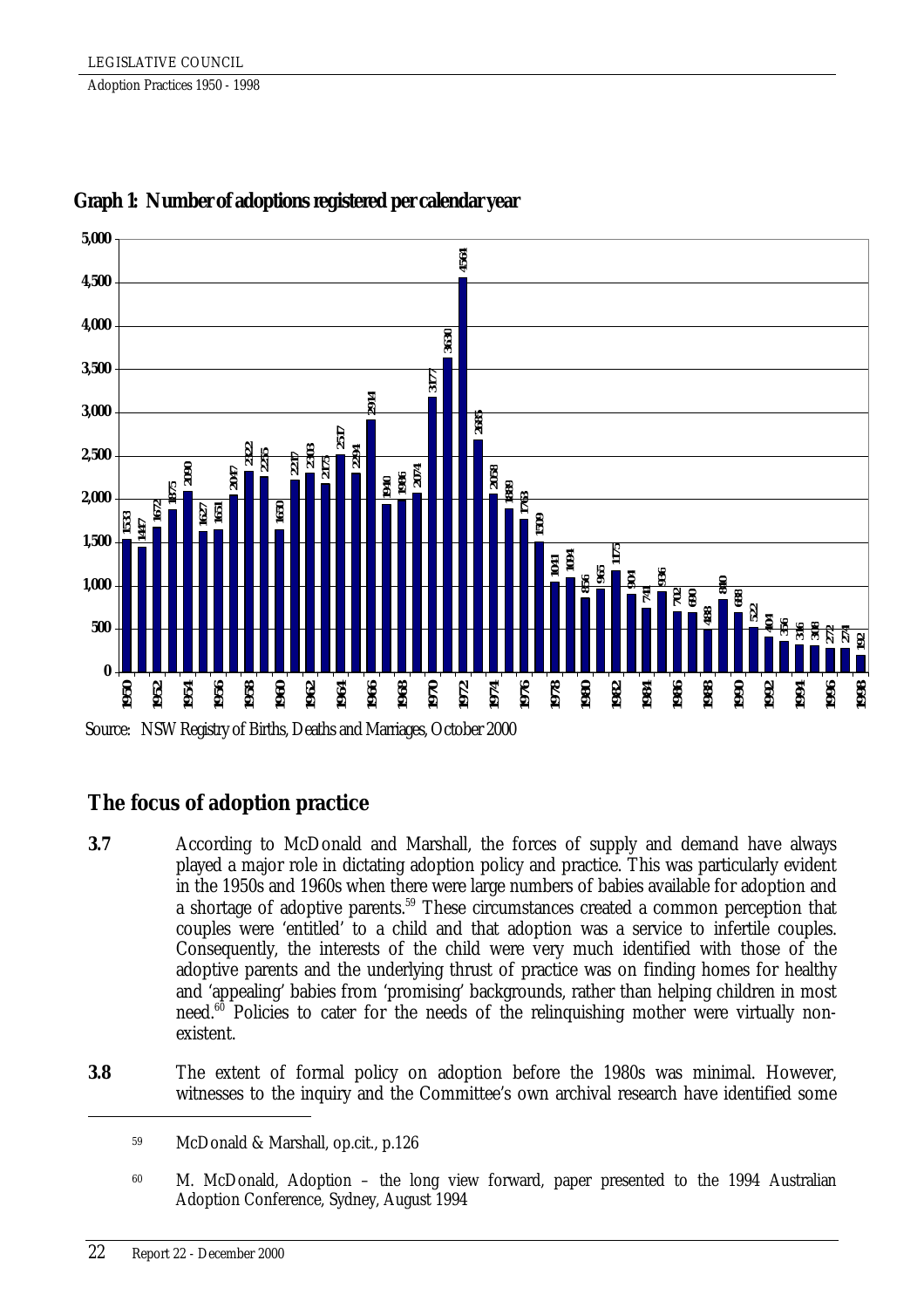



Source: NSW Registry of Births, Deaths and Marriages, October 2000

## **The focus of adoption practice**

- **3.7** According to McDonald and Marshall, the forces of supply and demand have always played a major role in dictating adoption policy and practice. This was particularly evident in the 1950s and 1960s when there were large numbers of babies available for adoption and a shortage of adoptive parents.<sup>59</sup> These circumstances created a common perception that couples were 'entitled' to a child and that adoption was a service to infertile couples. Consequently, the interests of the child were very much identified with those of the adoptive parents and the underlying thrust of practice was on finding homes for healthy and 'appealing' babies from 'promising' backgrounds, rather than helping children in most need. Policies to cater for the needs of the relinquishing mother were virtually nonexistent.
- **3.8** The extent of formal policy on adoption before the 1980s was minimal. However, witnesses to the inquiry and the Committee's own archival research have identified some

 M. McDonald, Adoption – the long view forward, paper presented to the 1994 Australian Adoption Conference, Sydney, August 1994

McDonald & Marshall, op.cit., p.126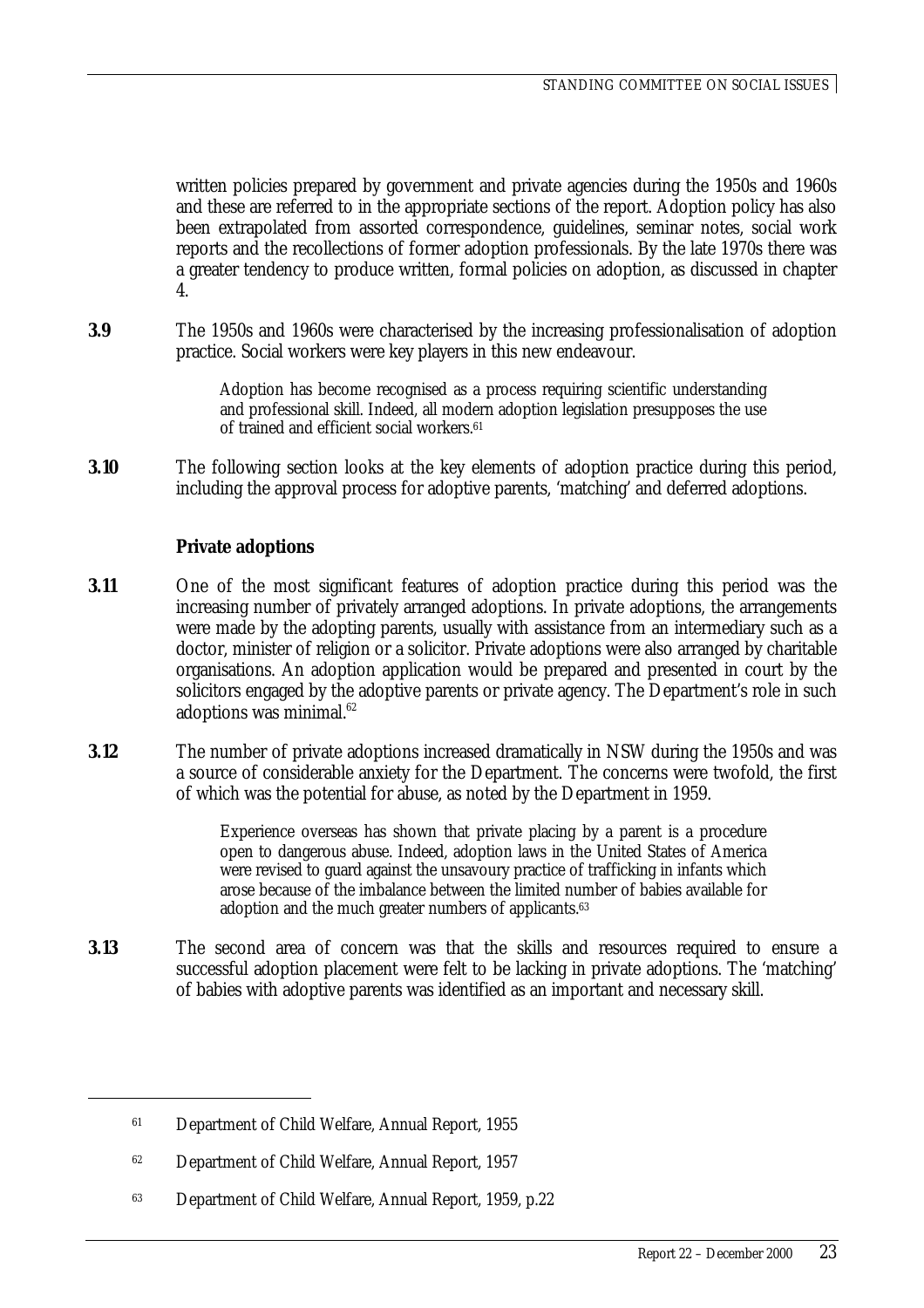written policies prepared by government and private agencies during the 1950s and 1960s and these are referred to in the appropriate sections of the report. Adoption policy has also been extrapolated from assorted correspondence, guidelines, seminar notes, social work reports and the recollections of former adoption professionals. By the late 1970s there was a greater tendency to produce written, formal policies on adoption, as discussed in chapter 4.

**3.9** The 1950s and 1960s were characterised by the increasing professionalisation of adoption practice. Social workers were key players in this new endeavour.

> Adoption has become recognised as a process requiring scientific understanding and professional skill. Indeed, all modern adoption legislation presupposes the use of trained and efficient social workers.<sup>61</sup>

**3.10** The following section looks at the key elements of adoption practice during this period, including the approval process for adoptive parents, 'matching' and deferred adoptions.

#### **Private adoptions**

- **3.11** One of the most significant features of adoption practice during this period was the increasing number of privately arranged adoptions. In private adoptions, the arrangements were made by the adopting parents, usually with assistance from an intermediary such as a doctor, minister of religion or a solicitor. Private adoptions were also arranged by charitable organisations. An adoption application would be prepared and presented in court by the solicitors engaged by the adoptive parents or private agency. The Department's role in such adoptions was minimal.<sup>62</sup>
- **3.12** The number of private adoptions increased dramatically in NSW during the 1950s and was a source of considerable anxiety for the Department. The concerns were twofold, the first of which was the potential for abuse, as noted by the Department in 1959.

Experience overseas has shown that private placing by a parent is a procedure open to dangerous abuse. Indeed, adoption laws in the United States of America were revised to guard against the unsavoury practice of trafficking in infants which arose because of the imbalance between the limited number of babies available for adoption and the much greater numbers of applicants.<sup>63</sup>

**3.13** The second area of concern was that the skills and resources required to ensure a successful adoption placement were felt to be lacking in private adoptions. The 'matching' of babies with adoptive parents was identified as an important and necessary skill.

<sup>61</sup> Department of Child Welfare, Annual Report, 1955

<sup>62</sup> Department of Child Welfare, Annual Report, 1957

<sup>63</sup> Department of Child Welfare, Annual Report, 1959, p.22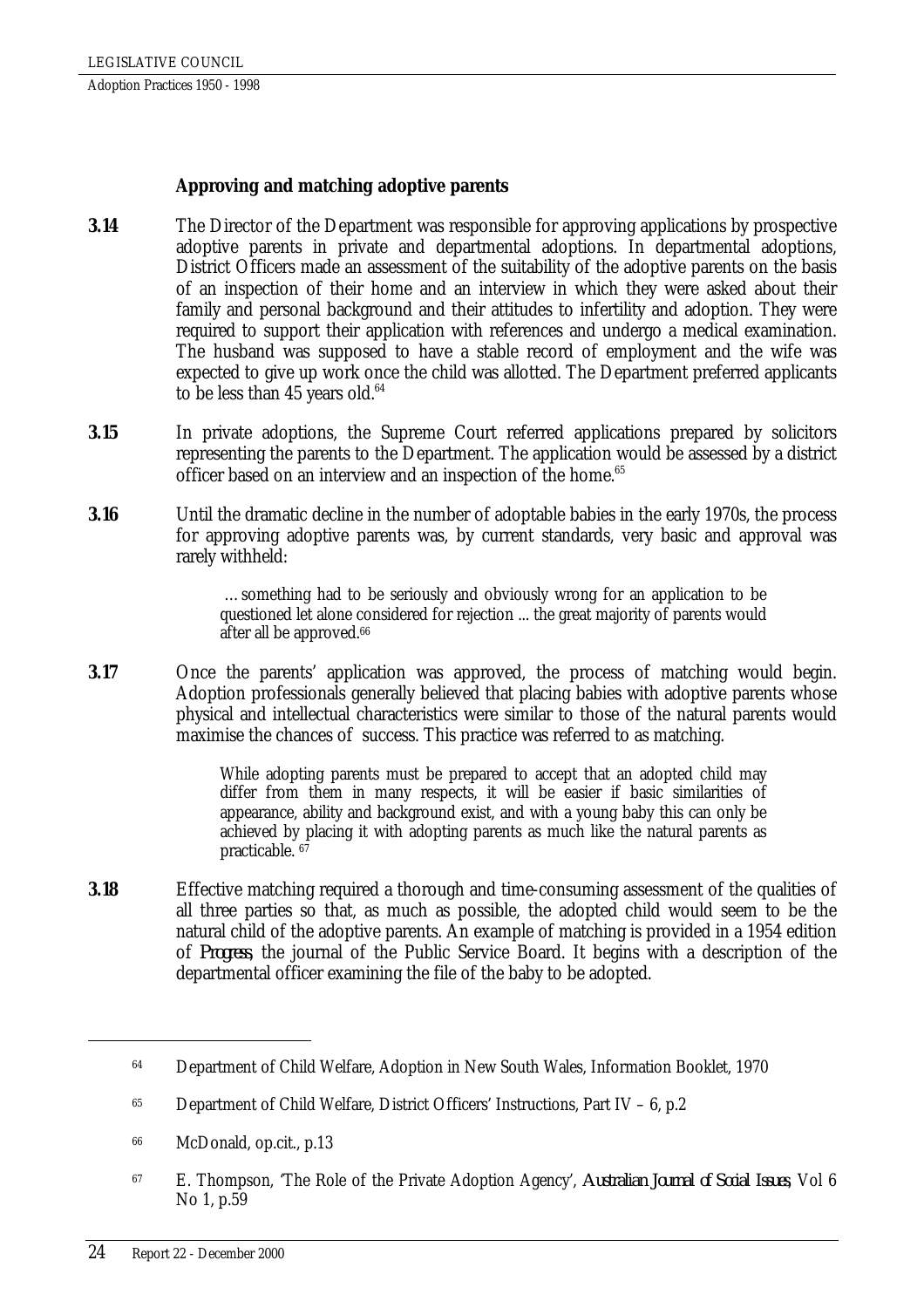#### **Approving and matching adoptive parents**

- **3.14** The Director of the Department was responsible for approving applications by prospective adoptive parents in private and departmental adoptions. In departmental adoptions, District Officers made an assessment of the suitability of the adoptive parents on the basis of an inspection of their home and an interview in which they were asked about their family and personal background and their attitudes to infertility and adoption. They were required to support their application with references and undergo a medical examination. The husband was supposed to have a stable record of employment and the wife was expected to give up work once the child was allotted. The Department preferred applicants to be less than 45 years old. $64$
- **3.15** In private adoptions, the Supreme Court referred applications prepared by solicitors representing the parents to the Department. The application would be assessed by a district officer based on an interview and an inspection of the home.<sup>65</sup>
- **3.16** Until the dramatic decline in the number of adoptable babies in the early 1970s, the process for approving adoptive parents was, by current standards, very basic and approval was rarely withheld:

 …something had to be seriously and obviously wrong for an application to be questioned let alone considered for rejection ... the great majority of parents would after all be approved.<sup>66</sup>

**3.17** Once the parents' application was approved, the process of matching would begin. Adoption professionals generally believed that placing babies with adoptive parents whose physical and intellectual characteristics were similar to those of the natural parents would maximise the chances of success. This practice was referred to as matching.

> While adopting parents must be prepared to accept that an adopted child may differ from them in many respects, it will be easier if basic similarities of appearance, ability and background exist, and with a young baby this can only be achieved by placing it with adopting parents as much like the natural parents as practicable. <sup>67</sup>

**3.18** Effective matching required a thorough and time-consuming assessment of the qualities of all three parties so that, as much as possible, the adopted child would seem to be the natural child of the adoptive parents. An example of matching is provided in a 1954 edition of *Progress*, the journal of the Public Service Board. It begins with a description of the departmental officer examining the file of the baby to be adopted.

<sup>64</sup> Department of Child Welfare, Adoption in New South Wales, Information Booklet, 1970

<sup>65</sup> Department of Child Welfare, District Officers' Instructions, Part IV – 6, p.2

<sup>66</sup> McDonald, op.cit., p.13

<sup>67</sup> E. Thompson, 'The Role of the Private Adoption Agency', *Australian Journal of Social Issues*, Vol 6 No 1, p.59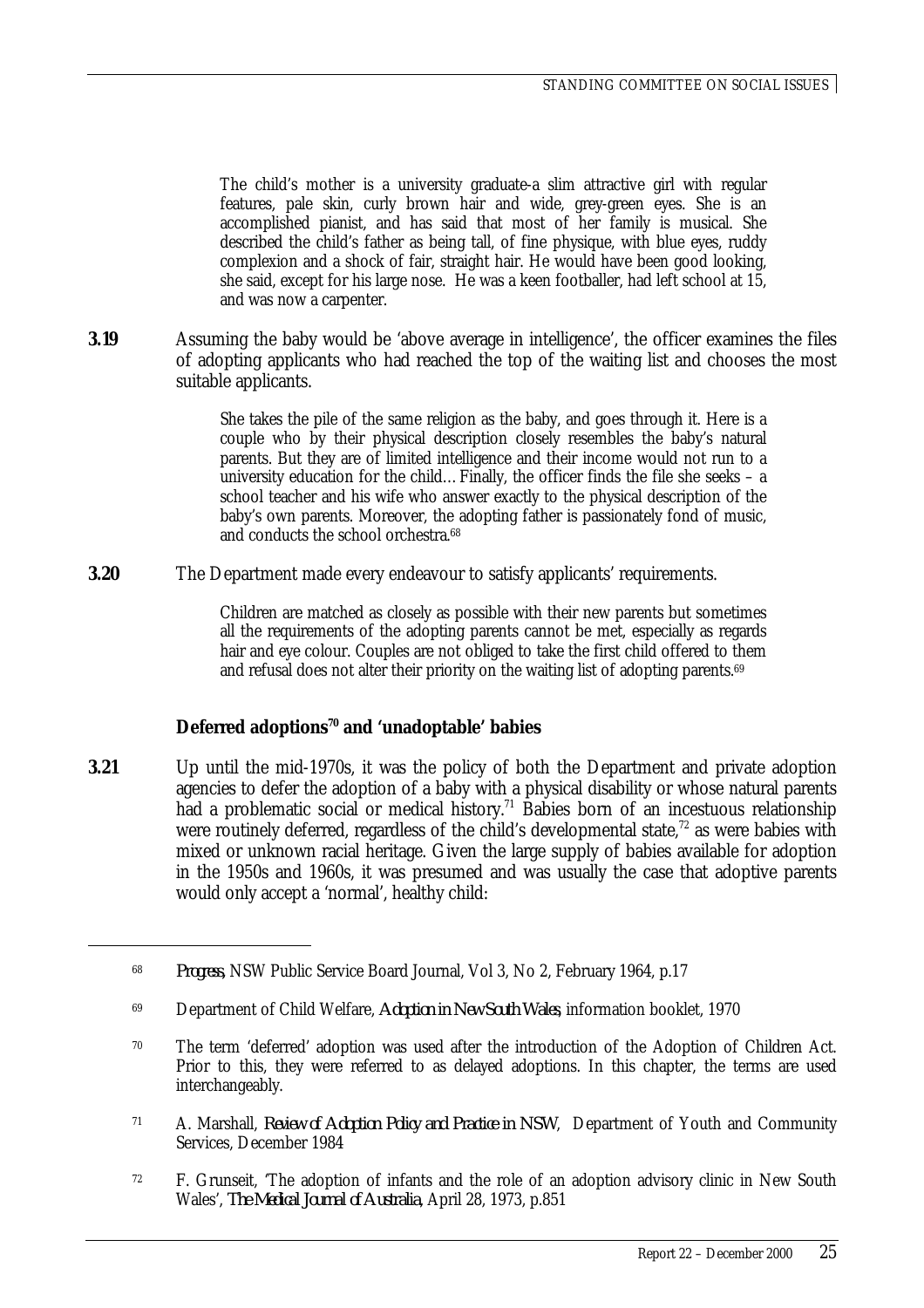The child's mother is a university graduate-a slim attractive girl with regular features, pale skin, curly brown hair and wide, grey-green eyes. She is an accomplished pianist, and has said that most of her family is musical. She described the child's father as being tall, of fine physique, with blue eyes, ruddy complexion and a shock of fair, straight hair. He would have been good looking, she said, except for his large nose. He was a keen footballer, had left school at 15, and was now a carpenter.

**3.19** Assuming the baby would be 'above average in intelligence', the officer examines the files of adopting applicants who had reached the top of the waiting list and chooses the most suitable applicants.

> She takes the pile of the same religion as the baby, and goes through it. Here is a couple who by their physical description closely resembles the baby's natural parents. But they are of limited intelligence and their income would not run to a university education for the child…Finally, the officer finds the file she seeks – a school teacher and his wife who answer exactly to the physical description of the baby's own parents. Moreover, the adopting father is passionately fond of music, and conducts the school orchestra.<sup>68</sup>

**3.20** The Department made every endeavour to satisfy applicants' requirements.

Children are matched as closely as possible with their new parents but sometimes all the requirements of the adopting parents cannot be met, especially as regards hair and eye colour. Couples are not obliged to take the first child offered to them and refusal does not alter their priority on the waiting list of adopting parents.<sup>69</sup>

#### **Deferred adoptions<sup>70</sup> and 'unadoptable' babies**

 $\overline{a}$ 

**3.21** Up until the mid-1970s, it was the policy of both the Department and private adoption agencies to defer the adoption of a baby with a physical disability or whose natural parents had a problematic social or medical history.<sup>71</sup> Babies born of an incestuous relationship were routinely deferred, regardless of the child's developmental state, $72$  as were babies with mixed or unknown racial heritage. Given the large supply of babies available for adoption in the 1950s and 1960s, it was presumed and was usually the case that adoptive parents would only accept a 'normal', healthy child:

<sup>68</sup> *Progress,* NSW Public Service Board Journal, Vol 3, No 2, February 1964, p.17

<sup>69</sup> Department of Child Welfare, *Adoption in New South Wales*, information booklet, 1970

<sup>70</sup> The term 'deferred' adoption was used after the introduction of the Adoption of Children Act. Prior to this, they were referred to as delayed adoptions. In this chapter, the terms are used interchangeably.

<sup>71</sup> A. Marshall, *Review of Adoption Policy and Practice in NSW*, Department of Youth and Community Services, December 1984

<sup>72</sup> F. Grunseit, 'The adoption of infants and the role of an adoption advisory clinic in New South Wales', *The Medical Journal of Australia*, April 28, 1973, p.851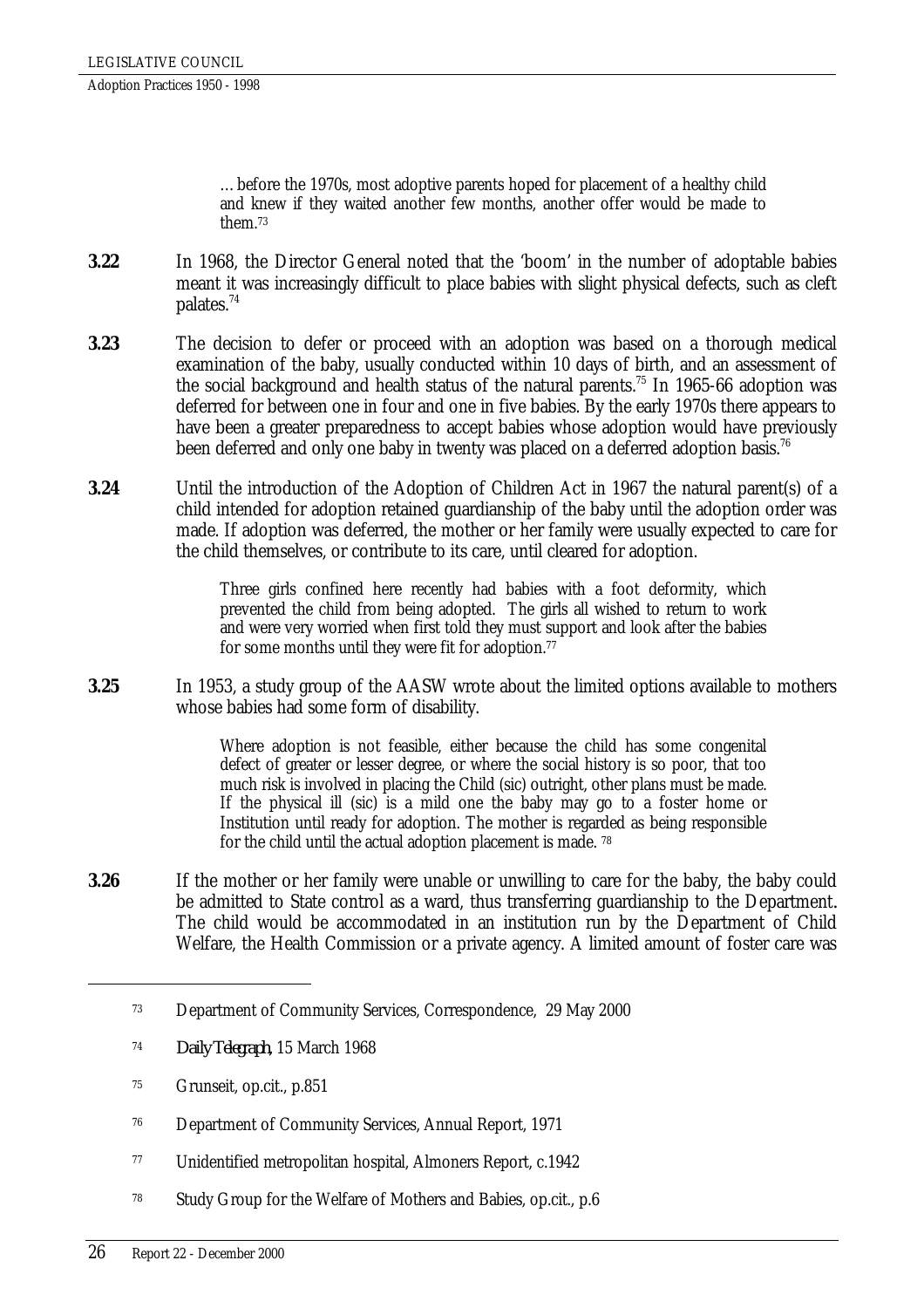…before the 1970s, most adoptive parents hoped for placement of a healthy child and knew if they waited another few months, another offer would be made to them.<sup>73</sup>

- **3.22** In 1968, the Director General noted that the 'boom' in the number of adoptable babies meant it was increasingly difficult to place babies with slight physical defects, such as cleft palates.<sup>74</sup>
- **3.23** The decision to defer or proceed with an adoption was based on a thorough medical examination of the baby, usually conducted within 10 days of birth, and an assessment of the social background and health status of the natural parents.<sup>75</sup> In 1965-66 adoption was deferred for between one in four and one in five babies. By the early 1970s there appears to have been a greater preparedness to accept babies whose adoption would have previously been deferred and only one baby in twenty was placed on a deferred adoption basis.<sup>76</sup>
- **3.24** Until the introduction of the Adoption of Children Act in 1967 the natural parent(s) of a child intended for adoption retained guardianship of the baby until the adoption order was made. If adoption was deferred, the mother or her family were usually expected to care for the child themselves, or contribute to its care, until cleared for adoption.

Three girls confined here recently had babies with a foot deformity, which prevented the child from being adopted. The girls all wished to return to work and were very worried when first told they must support and look after the babies for some months until they were fit for adoption.<sup>77</sup>

**3.25** In 1953, a study group of the AASW wrote about the limited options available to mothers whose babies had some form of disability.

> Where adoption is not feasible, either because the child has some congenital defect of greater or lesser degree, or where the social history is so poor, that too much risk is involved in placing the Child (sic) outright, other plans must be made. If the physical ill (sic) is a mild one the baby may go to a foster home or Institution until ready for adoption. The mother is regarded as being responsible for the child until the actual adoption placement is made. <sup>78</sup>

**3.26** If the mother or her family were unable or unwilling to care for the baby, the baby could be admitted to State control as a ward, thus transferring guardianship to the Department*.* The child would be accommodated in an institution run by the Department of Child Welfare, the Health Commission or a private agency. A limited amount of foster care was

- <sup>74</sup> *Daily Telegraph,* 15 March 1968
- <sup>75</sup> Grunseit, op.cit., p.851
- <sup>76</sup> Department of Community Services, Annual Report, 1971
- <sup>77</sup> Unidentified metropolitan hospital, Almoners Report, c.1942
- <sup>78</sup> Study Group for the Welfare of Mothers and Babies, op.cit., p.6

<sup>73</sup> Department of Community Services, Correspondence, 29 May 2000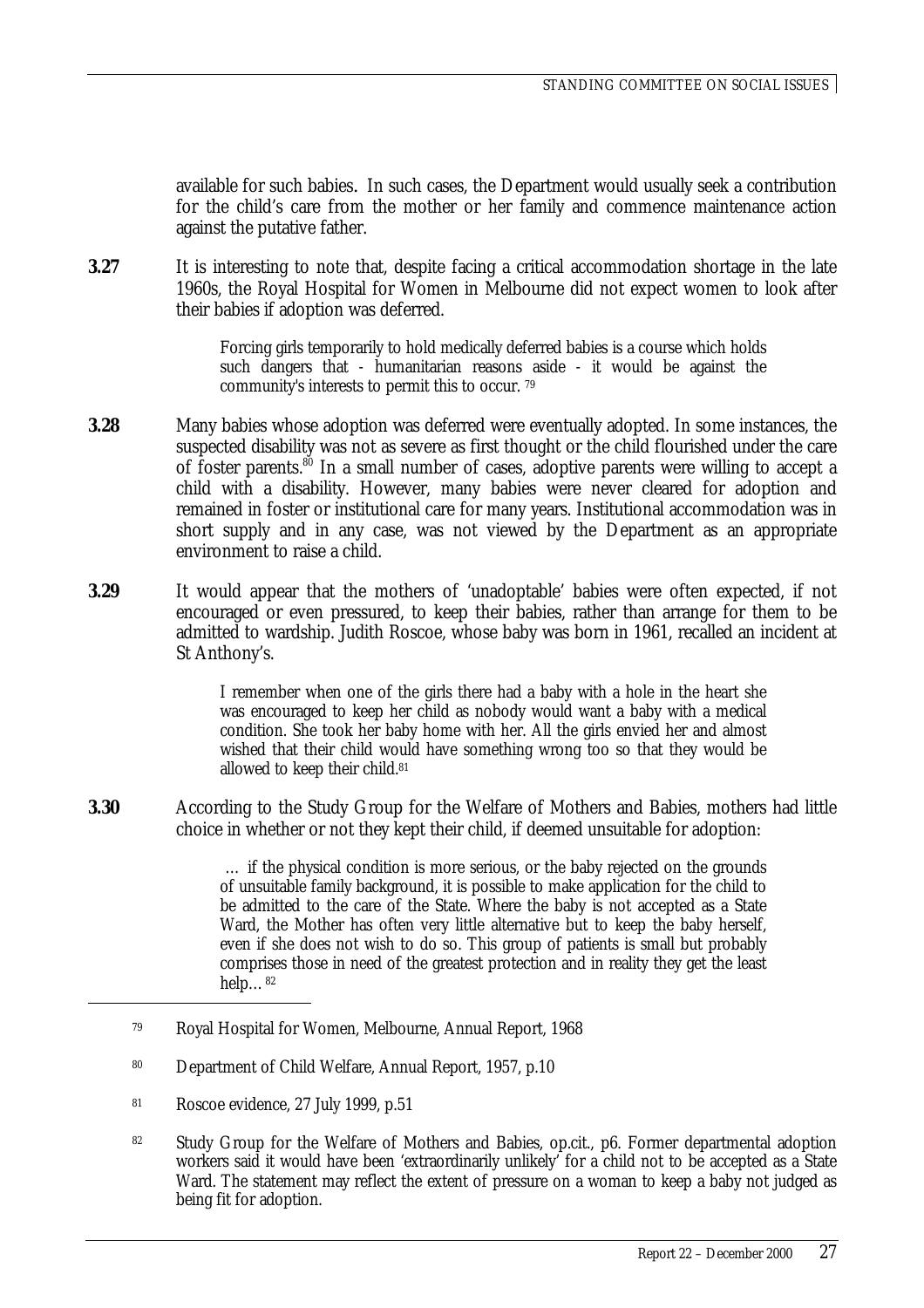available for such babies*.* In such cases, the Department would usually seek a contribution for the child's care from the mother or her family and commence maintenance action against the putative father.

**3.27** It is interesting to note that, despite facing a critical accommodation shortage in the late 1960s, the Royal Hospital for Women in Melbourne did not expect women to look after their babies if adoption was deferred.

> Forcing girls temporarily to hold medically deferred babies is a course which holds such dangers that - humanitarian reasons aside - it would be against the community's interests to permit this to occur. <sup>79</sup>

- **3.28** Many babies whose adoption was deferred were eventually adopted. In some instances, the suspected disability was not as severe as first thought or the child flourished under the care of foster parents.<sup>80</sup> In a small number of cases, adoptive parents were willing to accept a child with a disability. However, many babies were never cleared for adoption and remained in foster or institutional care for many years. Institutional accommodation was in short supply and in any case, was not viewed by the Department as an appropriate environment to raise a child.
- **3.29** It would appear that the mothers of 'unadoptable' babies were often expected, if not encouraged or even pressured, to keep their babies, rather than arrange for them to be admitted to wardship. Judith Roscoe, whose baby was born in 1961, recalled an incident at St Anthony's.

I remember when one of the girls there had a baby with a hole in the heart she was encouraged to keep her child as nobody would want a baby with a medical condition. She took her baby home with her. All the girls envied her and almost wished that their child would have something wrong too so that they would be allowed to keep their child.<sup>81</sup>

**3.30** According to the Study Group for the Welfare of Mothers and Babies, mothers had little choice in whether or not they kept their child, if deemed unsuitable for adoption:

> … if the physical condition is more serious, or the baby rejected on the grounds of unsuitable family background, it is possible to make application for the child to be admitted to the care of the State. Where the baby is not accepted as a State Ward, the Mother has often very little alternative but to keep the baby herself, even if she does not wish to do so. This group of patients is small but probably comprises those in need of the greatest protection and in reality they get the least  $help...$ <sup>82</sup>

- <sup>79</sup> Royal Hospital for Women, Melbourne, Annual Report, 1968
- <sup>80</sup> Department of Child Welfare, Annual Report, 1957, p.10
- <sup>81</sup> Roscoe evidence, 27 July 1999, p.51

 $\overline{a}$ 

<sup>82</sup> Study Group for the Welfare of Mothers and Babies, op.cit., p6. Former departmental adoption workers said it would have been 'extraordinarily unlikely' for a child not to be accepted as a State Ward. The statement may reflect the extent of pressure on a woman to keep a baby not judged as being fit for adoption.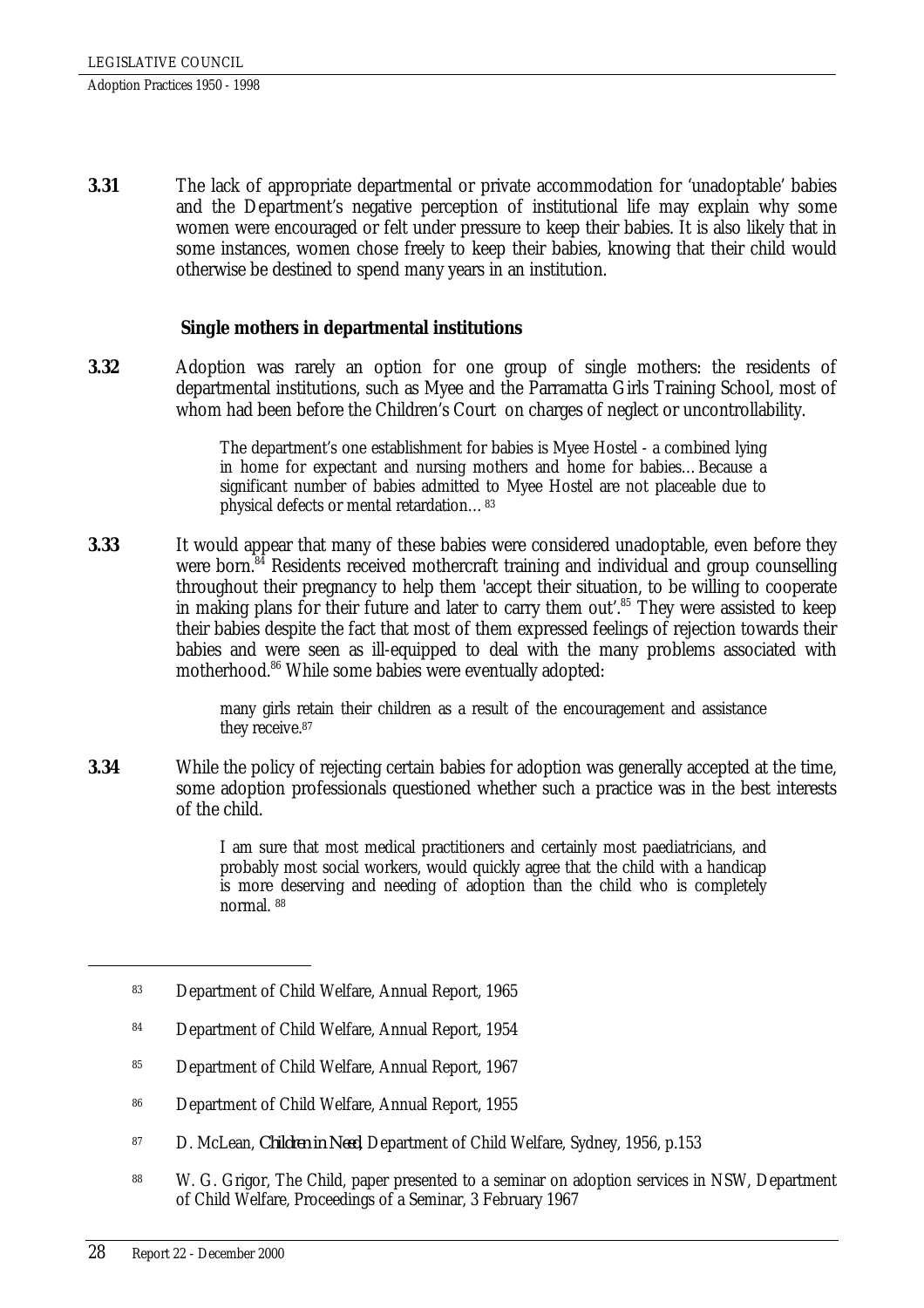**3.31** The lack of appropriate departmental or private accommodation for 'unadoptable' babies and the Department's negative perception of institutional life may explain why some women were encouraged or felt under pressure to keep their babies. It is also likely that in some instances, women chose freely to keep their babies, knowing that their child would otherwise be destined to spend many years in an institution.

## **Single mothers in departmental institutions**

**3.32** Adoption was rarely an option for one group of single mothers: the residents of departmental institutions, such as Myee and the Parramatta Girls Training School, most of whom had been before the Children's Court on charges of neglect or uncontrollability.

> The department's one establishment for babies is Myee Hostel - a combined lying in home for expectant and nursing mothers and home for babies…Because a significant number of babies admitted to Myee Hostel are not placeable due to physical defects or mental retardation…<sup>83</sup>

**3.33** It would appear that many of these babies were considered unadoptable, even before they were born.<sup>84</sup> Residents received mothercraft training and individual and group counselling throughout their pregnancy to help them 'accept their situation, to be willing to cooperate in making plans for their future and later to carry them out'.<sup>85</sup> They were assisted to keep their babies despite the fact that most of them expressed feelings of rejection towards their babies and were seen as ill-equipped to deal with the many problems associated with motherhood.<sup>86</sup> While some babies were eventually adopted:

> many girls retain their children as a result of the encouragement and assistance they receive.<sup>87</sup>

**3.34** While the policy of rejecting certain babies for adoption was generally accepted at the time, some adoption professionals questioned whether such a practice was in the best interests of the child.

> I am sure that most medical practitioners and certainly most paediatricians, and probably most social workers, would quickly agree that the child with a handicap is more deserving and needing of adoption than the child who is completely normal. <sup>88</sup>

- <sup>84</sup> Department of Child Welfare, Annual Report, 1954
- <sup>85</sup> Department of Child Welfare, Annual Report, 1967
- <sup>86</sup> Department of Child Welfare, Annual Report, 1955
- <sup>87</sup> D. McLean, *Children in Need*, Department of Child Welfare, Sydney, 1956, p.153
- <sup>88</sup> W. G. Grigor, The Child, paper presented to a seminar on adoption services in NSW, Department of Child Welfare, Proceedings of a Seminar, 3 February 1967

<sup>83</sup> Department of Child Welfare, Annual Report, 1965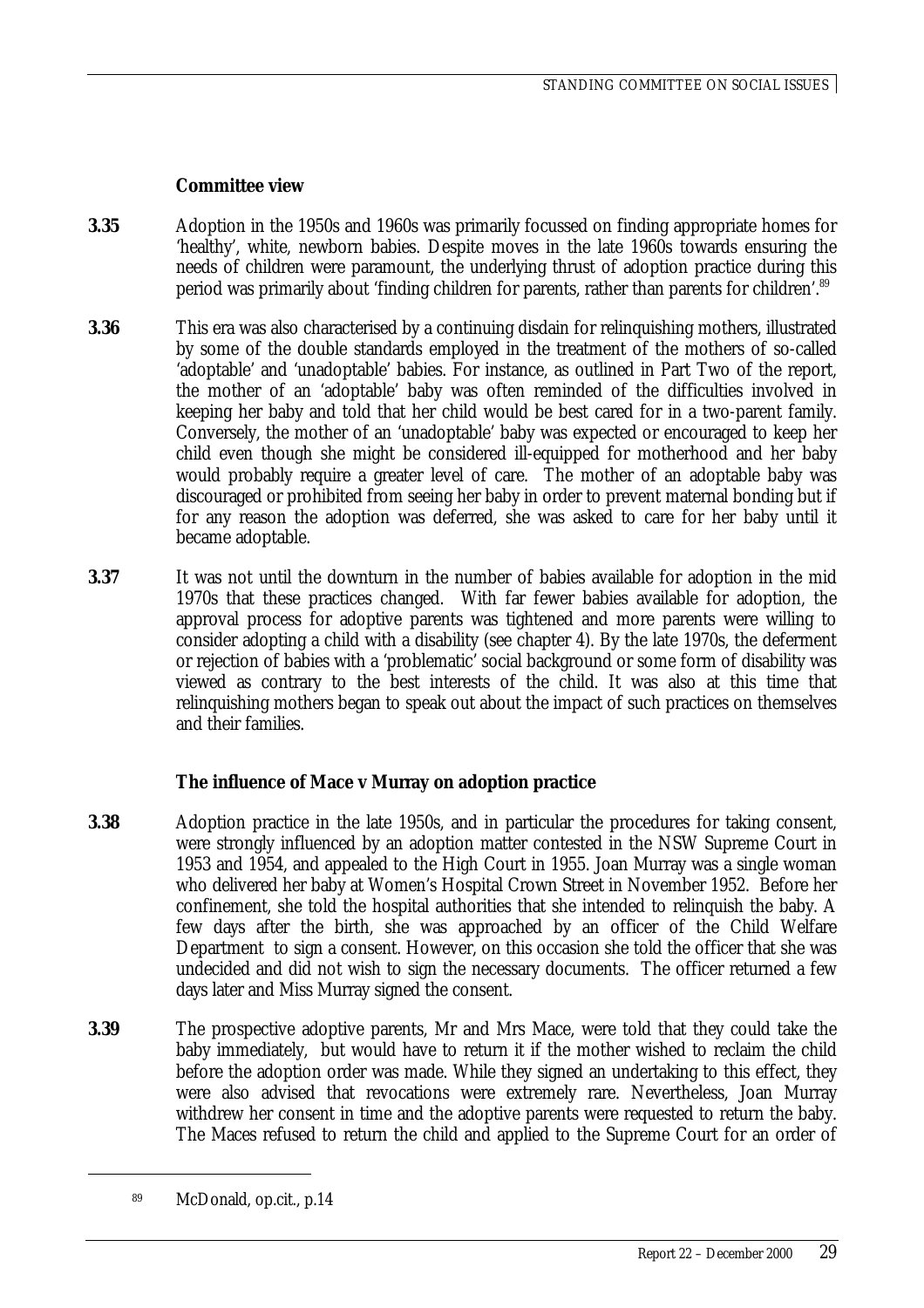#### **Committee view**

- **3.35** Adoption in the 1950s and 1960s was primarily focussed on finding appropriate homes for 'healthy', white, newborn babies. Despite moves in the late 1960s towards ensuring the needs of children were paramount, the underlying thrust of adoption practice during this period was primarily about 'finding children for parents, rather than parents for children'.<sup>89</sup>
- **3.36** This era was also characterised by a continuing disdain for relinquishing mothers, illustrated by some of the double standards employed in the treatment of the mothers of so-called 'adoptable' and 'unadoptable' babies. For instance, as outlined in Part Two of the report, the mother of an 'adoptable' baby was often reminded of the difficulties involved in keeping her baby and told that her child would be best cared for in a two-parent family. Conversely, the mother of an 'unadoptable' baby was expected or encouraged to keep her child even though she might be considered ill-equipped for motherhood and her baby would probably require a greater level of care. The mother of an adoptable baby was discouraged or prohibited from seeing her baby in order to prevent maternal bonding but if for any reason the adoption was deferred, she was asked to care for her baby until it became adoptable.
- **3.37** It was not until the downturn in the number of babies available for adoption in the mid 1970s that these practices changed. With far fewer babies available for adoption, the approval process for adoptive parents was tightened and more parents were willing to consider adopting a child with a disability (see chapter 4). By the late 1970s, the deferment or rejection of babies with a 'problematic' social background or some form of disability was viewed as contrary to the best interests of the child. It was also at this time that relinquishing mothers began to speak out about the impact of such practices on themselves and their families.

#### **The influence of** *Mace v Murray* **on adoption practice**

- **3.38** Adoption practice in the late 1950s, and in particular the procedures for taking consent, were strongly influenced by an adoption matter contested in the NSW Supreme Court in 1953 and 1954, and appealed to the High Court in 1955. Joan Murray was a single woman who delivered her baby at Women's Hospital Crown Street in November 1952. Before her confinement, she told the hospital authorities that she intended to relinquish the baby. A few days after the birth, she was approached by an officer of the Child Welfare Department to sign a consent. However, on this occasion she told the officer that she was undecided and did not wish to sign the necessary documents. The officer returned a few days later and Miss Murray signed the consent.
- **3.39** The prospective adoptive parents, Mr and Mrs Mace, were told that they could take the baby immediately, but would have to return it if the mother wished to reclaim the child before the adoption order was made. While they signed an undertaking to this effect, they were also advised that revocations were extremely rare. Nevertheless, Joan Murray withdrew her consent in time and the adoptive parents were requested to return the baby. The Maces refused to return the child and applied to the Supreme Court for an order of

<sup>89</sup> McDonald, op.cit., p.14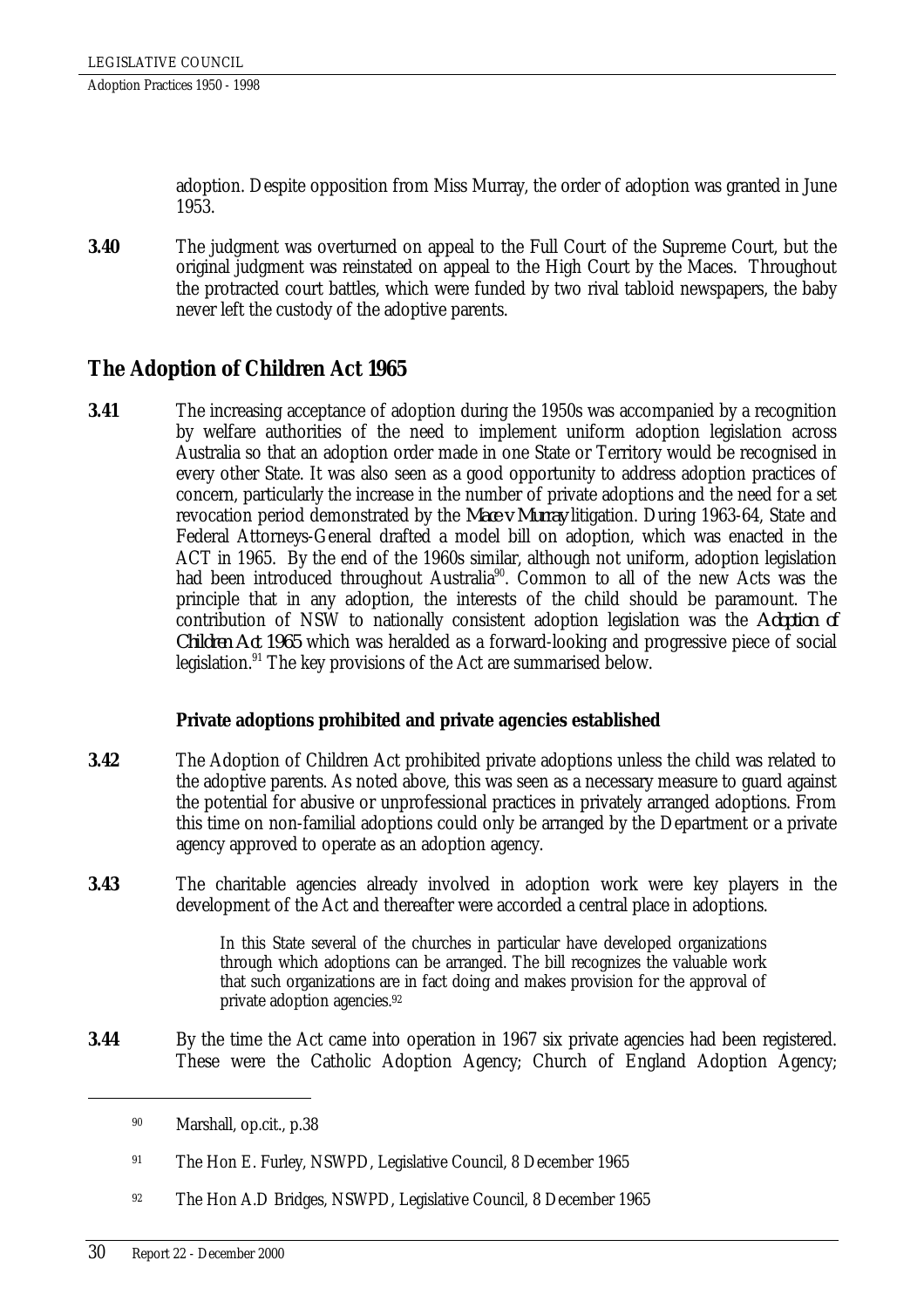adoption. Despite opposition from Miss Murray, the order of adoption was granted in June 1953.

**3.40** The judgment was overturned on appeal to the Full Court of the Supreme Court, but the original judgment was reinstated on appeal to the High Court by the Maces. Throughout the protracted court battles, which were funded by two rival tabloid newspapers, the baby never left the custody of the adoptive parents.

## **The** *Adoption of Children Act 1965*

**3.41** The increasing acceptance of adoption during the 1950s was accompanied by a recognition by welfare authorities of the need to implement uniform adoption legislation across Australia so that an adoption order made in one State or Territory would be recognised in every other State. It was also seen as a good opportunity to address adoption practices of concern, particularly the increase in the number of private adoptions and the need for a set revocation period demonstrated by the *Mace v Murray* litigation. During 1963-64, State and Federal Attorneys-General drafted a model bill on adoption, which was enacted in the ACT in 1965. By the end of the 1960s similar, although not uniform, adoption legislation had been introduced throughout Australia<sup>90</sup>. Common to all of the new Acts was the principle that in any adoption, the interests of the child should be paramount. The contribution of NSW to nationally consistent adoption legislation was the *Adoption of Children Act 1965* which was heralded as a forward-looking and progressive piece of social legislation.<sup>91</sup> The key provisions of the Act are summarised below.

#### **Private adoptions prohibited and private agencies established**

- **3.42** The Adoption of Children Act prohibited private adoptions unless the child was related to the adoptive parents. As noted above, this was seen as a necessary measure to guard against the potential for abusive or unprofessional practices in privately arranged adoptions. From this time on non-familial adoptions could only be arranged by the Department or a private agency approved to operate as an adoption agency.
- **3.43** The charitable agencies already involved in adoption work were key players in the development of the Act and thereafter were accorded a central place in adoptions.

In this State several of the churches in particular have developed organizations through which adoptions can be arranged. The bill recognizes the valuable work that such organizations are in fact doing and makes provision for the approval of private adoption agencies.<sup>92</sup>

**3.44** By the time the Act came into operation in 1967 six private agencies had been registered. These were the Catholic Adoption Agency; Church of England Adoption Agency;

- <sup>91</sup> The Hon E. Furley, NSWPD, Legislative Council, 8 December 1965
- 92 The Hon A.D Bridges, NSWPD, Legislative Council, 8 December 1965

<sup>90</sup> Marshall, op.cit., p.38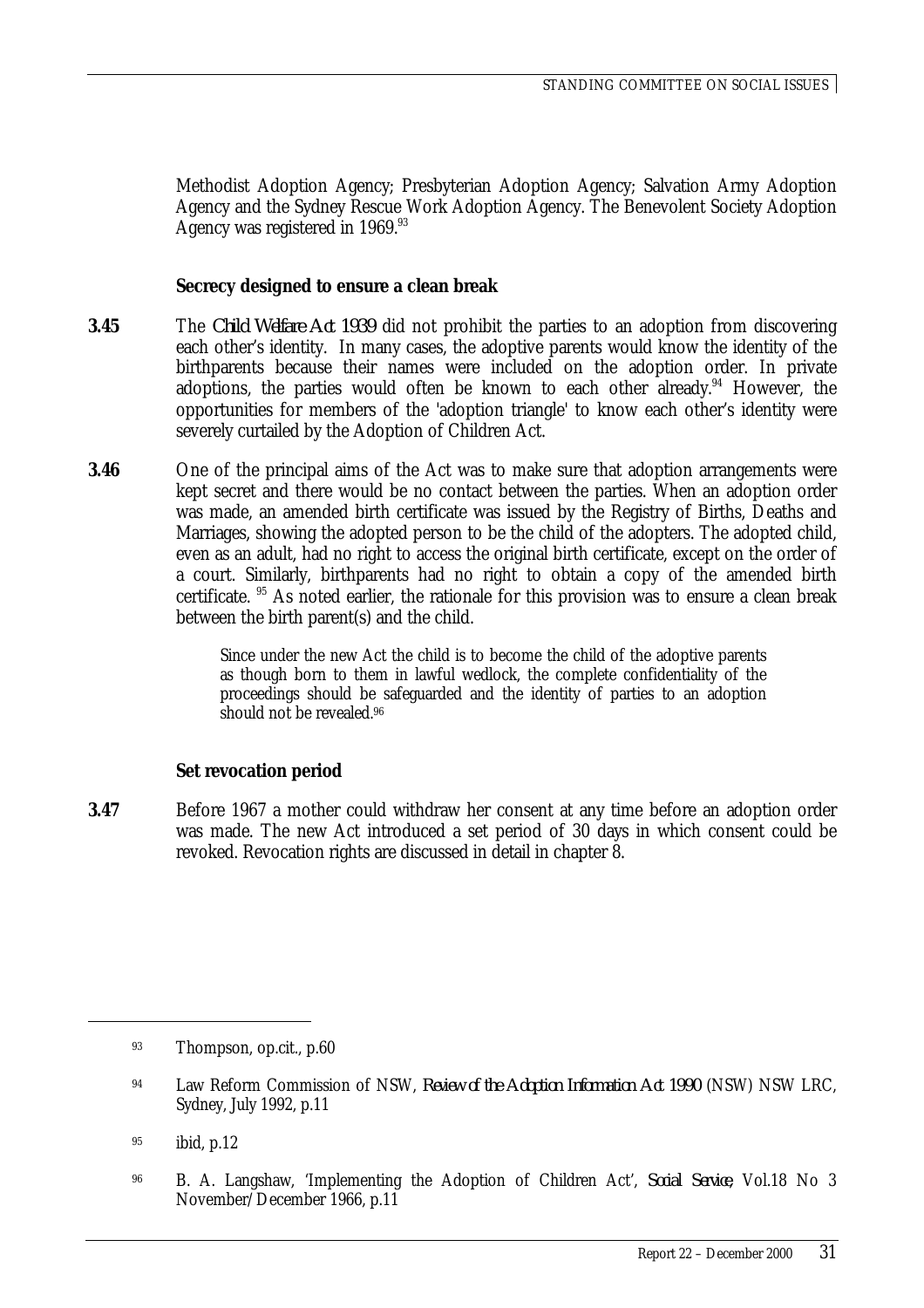Methodist Adoption Agency; Presbyterian Adoption Agency; Salvation Army Adoption Agency and the Sydney Rescue Work Adoption Agency. The Benevolent Society Adoption Agency was registered in 1969.<sup>93</sup>

#### **Secrecy designed to ensure a clean break**

- **3.45** The *Child Welfare Act 1939* did not prohibit the parties to an adoption from discovering each other's identity. In many cases, the adoptive parents would know the identity of the birthparents because their names were included on the adoption order. In private adoptions, the parties would often be known to each other already. $94$  However, the opportunities for members of the 'adoption triangle' to know each other's identity were severely curtailed by the Adoption of Children Act.
- **3.46** One of the principal aims of the Act was to make sure that adoption arrangements were kept secret and there would be no contact between the parties. When an adoption order was made, an amended birth certificate was issued by the Registry of Births, Deaths and Marriages, showing the adopted person to be the child of the adopters. The adopted child, even as an adult, had no right to access the original birth certificate, except on the order of a court. Similarly, birthparents had no right to obtain a copy of the amended birth certificate. <sup>95</sup> As noted earlier, the rationale for this provision was to ensure a clean break between the birth parent(s) and the child.

Since under the new Act the child is to become the child of the adoptive parents as though born to them in lawful wedlock, the complete confidentiality of the proceedings should be safeguarded and the identity of parties to an adoption should not be revealed.<sup>96</sup>

#### **Set revocation period**

**3.47** Before 1967 a mother could withdraw her consent at any time before an adoption order was made. The new Act introduced a set period of 30 days in which consent could be revoked. Revocation rights are discussed in detail in chapter 8.

- <sup>94</sup> Law Reform Commission of NSW, *Review of the Adoption Information Act 1990* (NSW) NSW LRC, Sydney, July 1992, p.11
- <sup>95</sup> ibid, p.12

 $\overline{a}$ 

<sup>96</sup> B. A. Langshaw, 'Implementing the Adoption of Children Act', *Social Service*, Vol.18 No 3 November/December 1966, p.11

<sup>93</sup> Thompson, op.cit., p.60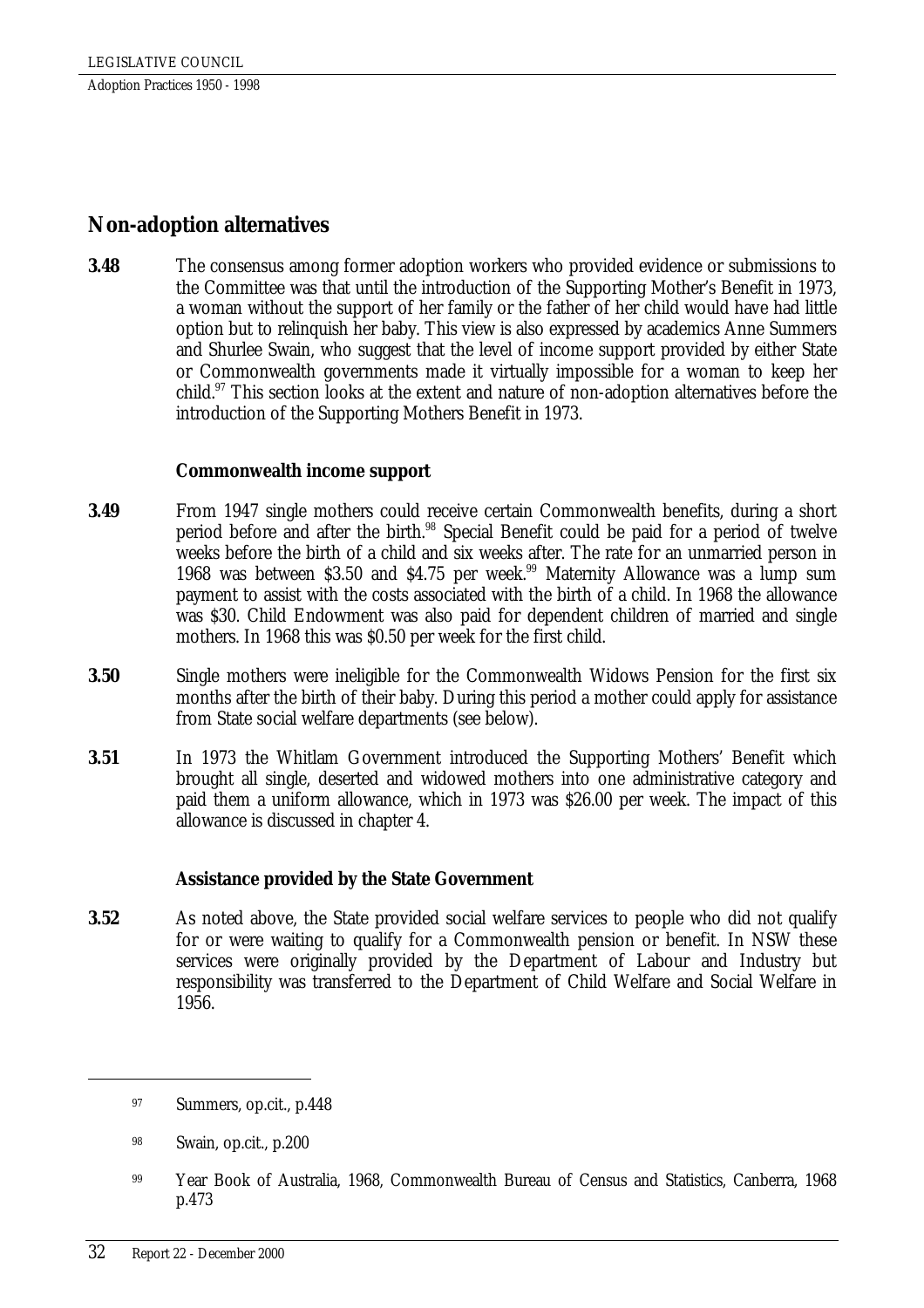## **Non-adoption alternatives**

**3.48** The consensus among former adoption workers who provided evidence or submissions to the Committee was that until the introduction of the Supporting Mother's Benefit in 1973, a woman without the support of her family or the father of her child would have had little option but to relinquish her baby. This view is also expressed by academics Anne Summers and Shurlee Swain, who suggest that the level of income support provided by either State or Commonwealth governments made it virtually impossible for a woman to keep her child.<sup>97</sup> This section looks at the extent and nature of non-adoption alternatives before the introduction of the Supporting Mothers Benefit in 1973.

#### **Commonwealth income support**

- **3.49** From 1947 single mothers could receive certain Commonwealth benefits, during a short period before and after the birth.<sup>98</sup> Special Benefit could be paid for a period of twelve weeks before the birth of a child and six weeks after. The rate for an unmarried person in 1968 was between \$3.50 and \$4.75 per week.<sup>99</sup> Maternity Allowance was a lump sum payment to assist with the costs associated with the birth of a child. In 1968 the allowance was \$30. Child Endowment was also paid for dependent children of married and single mothers. In 1968 this was \$0.50 per week for the first child.
- **3.50** Single mothers were ineligible for the Commonwealth Widows Pension for the first six months after the birth of their baby. During this period a mother could apply for assistance from State social welfare departments (see below).
- **3.51** In 1973 the Whitlam Government introduced the Supporting Mothers' Benefit which brought all single, deserted and widowed mothers into one administrative category and paid them a uniform allowance, which in 1973 was \$26.00 per week. The impact of this allowance is discussed in chapter 4.

#### **Assistance provided by the State Government**

**3.52** As noted above, the State provided social welfare services to people who did not qualify for or were waiting to qualify for a Commonwealth pension or benefit. In NSW these services were originally provided by the Department of Labour and Industry but responsibility was transferred to the Department of Child Welfare and Social Welfare in 1956.

- <sup>98</sup> Swain, op.cit., p.200
- <sup>99</sup> Year Book of Australia, 1968, Commonwealth Bureau of Census and Statistics, Canberra, 1968 p.473

<sup>97</sup> Summers, op.cit., p.448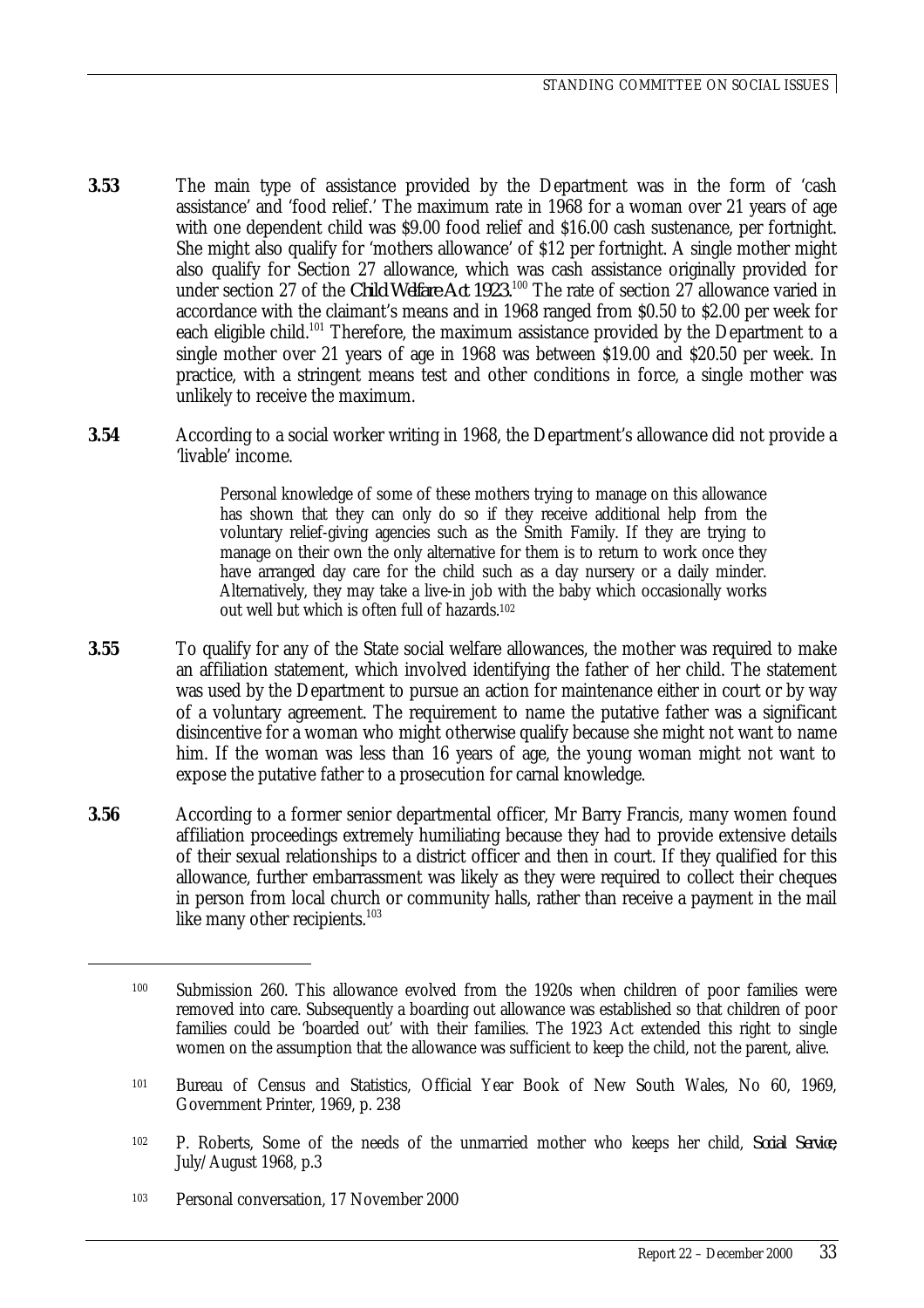- **3.53** The main type of assistance provided by the Department was in the form of 'cash assistance' and 'food relief.' The maximum rate in 1968 for a woman over 21 years of age with one dependent child was \$9.00 food relief and \$16.00 cash sustenance, per fortnight. She might also qualify for 'mothers allowance' of \$12 per fortnight. A single mother might also qualify for Section 27 allowance, which was cash assistance originally provided for under section 27 of the *Child Welfare Act 1923.*<sup>100</sup> The rate of section 27 allowance varied in accordance with the claimant's means and in 1968 ranged from \$0.50 to \$2.00 per week for each eligible child.<sup>101</sup> Therefore, the maximum assistance provided by the Department to a single mother over 21 years of age in 1968 was between \$19.00 and \$20.50 per week. In practice, with a stringent means test and other conditions in force, a single mother was unlikely to receive the maximum.
- **3.54** According to a social worker writing in 1968, the Department's allowance did not provide a 'livable' income.

Personal knowledge of some of these mothers trying to manage on this allowance has shown that they can only do so if they receive additional help from the voluntary relief-giving agencies such as the Smith Family. If they are trying to manage on their own the only alternative for them is to return to work once they have arranged day care for the child such as a day nursery or a daily minder. Alternatively, they may take a live-in job with the baby which occasionally works out well but which is often full of hazards.<sup>102</sup>

- **3.55** To qualify for any of the State social welfare allowances, the mother was required to make an affiliation statement, which involved identifying the father of her child. The statement was used by the Department to pursue an action for maintenance either in court or by way of a voluntary agreement. The requirement to name the putative father was a significant disincentive for a woman who might otherwise qualify because she might not want to name him. If the woman was less than 16 years of age, the young woman might not want to expose the putative father to a prosecution for carnal knowledge.
- **3.56** According to a former senior departmental officer, Mr Barry Francis, many women found affiliation proceedings extremely humiliating because they had to provide extensive details of their sexual relationships to a district officer and then in court. If they qualified for this allowance, further embarrassment was likely as they were required to collect their cheques in person from local church or community halls, rather than receive a payment in the mail like many other recipients. $103$

<sup>103</sup> Personal conversation, 17 November 2000

<sup>100</sup> Submission 260. This allowance evolved from the 1920s when children of poor families were removed into care. Subsequently a boarding out allowance was established so that children of poor families could be 'boarded out' with their families. The 1923 Act extended this right to single women on the assumption that the allowance was sufficient to keep the child, not the parent, alive.

<sup>101</sup> Bureau of Census and Statistics, Official Year Book of New South Wales, No 60, 1969, Government Printer, 1969, p. 238

<sup>102</sup> P. Roberts, Some of the needs of the unmarried mother who keeps her child, *Social Service*, July/August 1968, p.3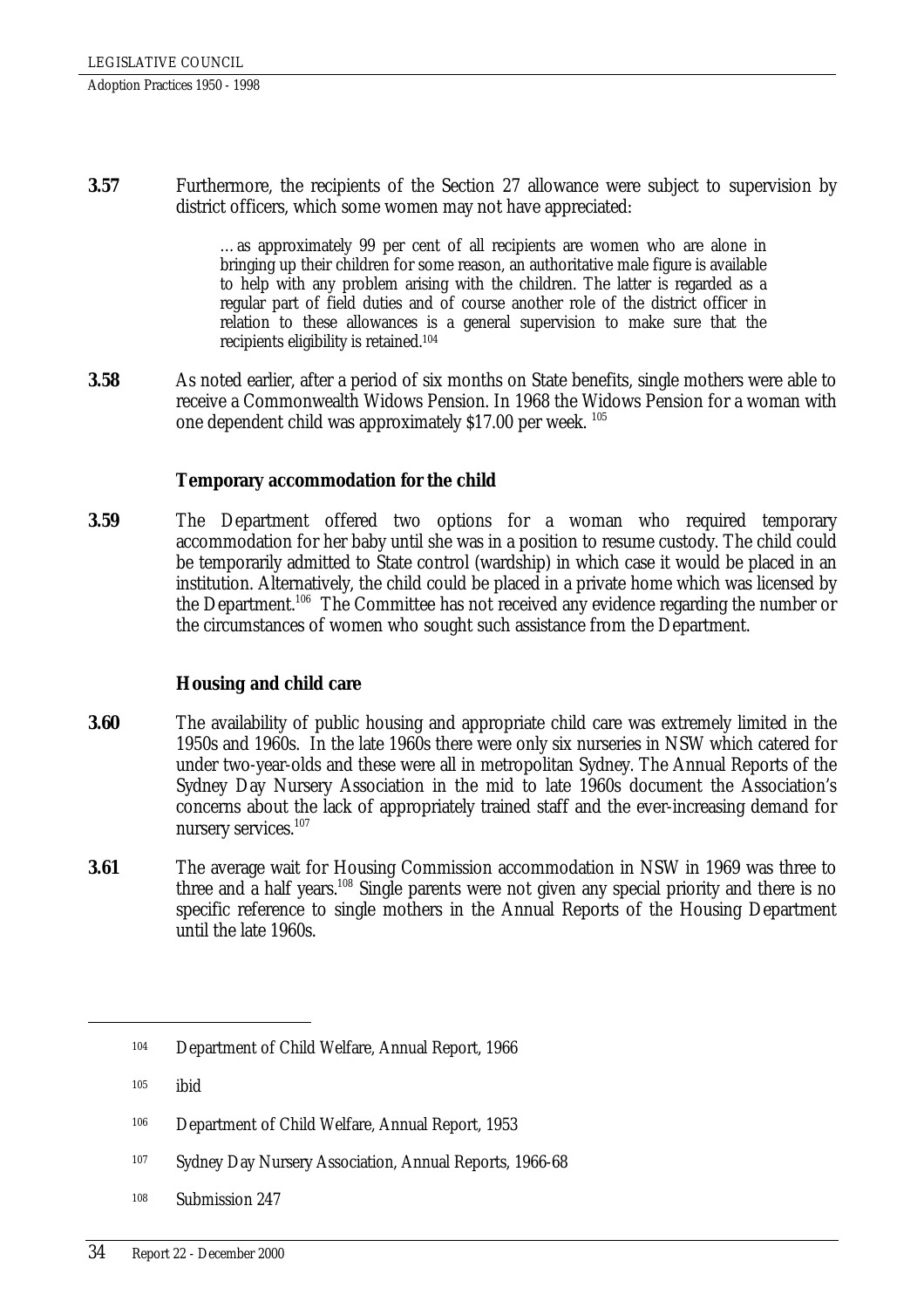**3.57** Furthermore, the recipients of the Section 27 allowance were subject to supervision by district officers, which some women may not have appreciated:

> …as approximately 99 per cent of all recipients are women who are alone in bringing up their children for some reason, an authoritative male figure is available to help with any problem arising with the children. The latter is regarded as a regular part of field duties and of course another role of the district officer in relation to these allowances is a general supervision to make sure that the recipients eligibility is retained.<sup>104</sup>

**3.58** As noted earlier, after a period of six months on State benefits, single mothers were able to receive a Commonwealth Widows Pension. In 1968 the Widows Pension for a woman with one dependent child was approximately \$17.00 per week. <sup>105</sup>

#### **Temporary accommodation for the child**

**3.59** The Department offered two options for a woman who required temporary accommodation for her baby until she was in a position to resume custody. The child could be temporarily admitted to State control (wardship) in which case it would be placed in an institution. Alternatively, the child could be placed in a private home which was licensed by the Department.<sup>106</sup> The Committee has not received any evidence regarding the number or the circumstances of women who sought such assistance from the Department.

#### **Housing and child care**

- **3.60** The availability of public housing and appropriate child care was extremely limited in the 1950s and 1960s. In the late 1960s there were only six nurseries in NSW which catered for under two-year-olds and these were all in metropolitan Sydney. The Annual Reports of the Sydney Day Nursery Association in the mid to late 1960s document the Association's concerns about the lack of appropriately trained staff and the ever-increasing demand for nursery services.<sup>107</sup>
- **3.61** The average wait for Housing Commission accommodation in NSW in 1969 was three to three and a half years.<sup>108</sup> Single parents were not given any special priority and there is no specific reference to single mothers in the Annual Reports of the Housing Department until the late 1960s.

<sup>105</sup> ibid

- <sup>106</sup> Department of Child Welfare, Annual Report, 1953
- <sup>107</sup> Sydney Day Nursery Association, Annual Reports, 1966-68
- <sup>108</sup> Submission 247

<sup>104</sup> Department of Child Welfare, Annual Report, 1966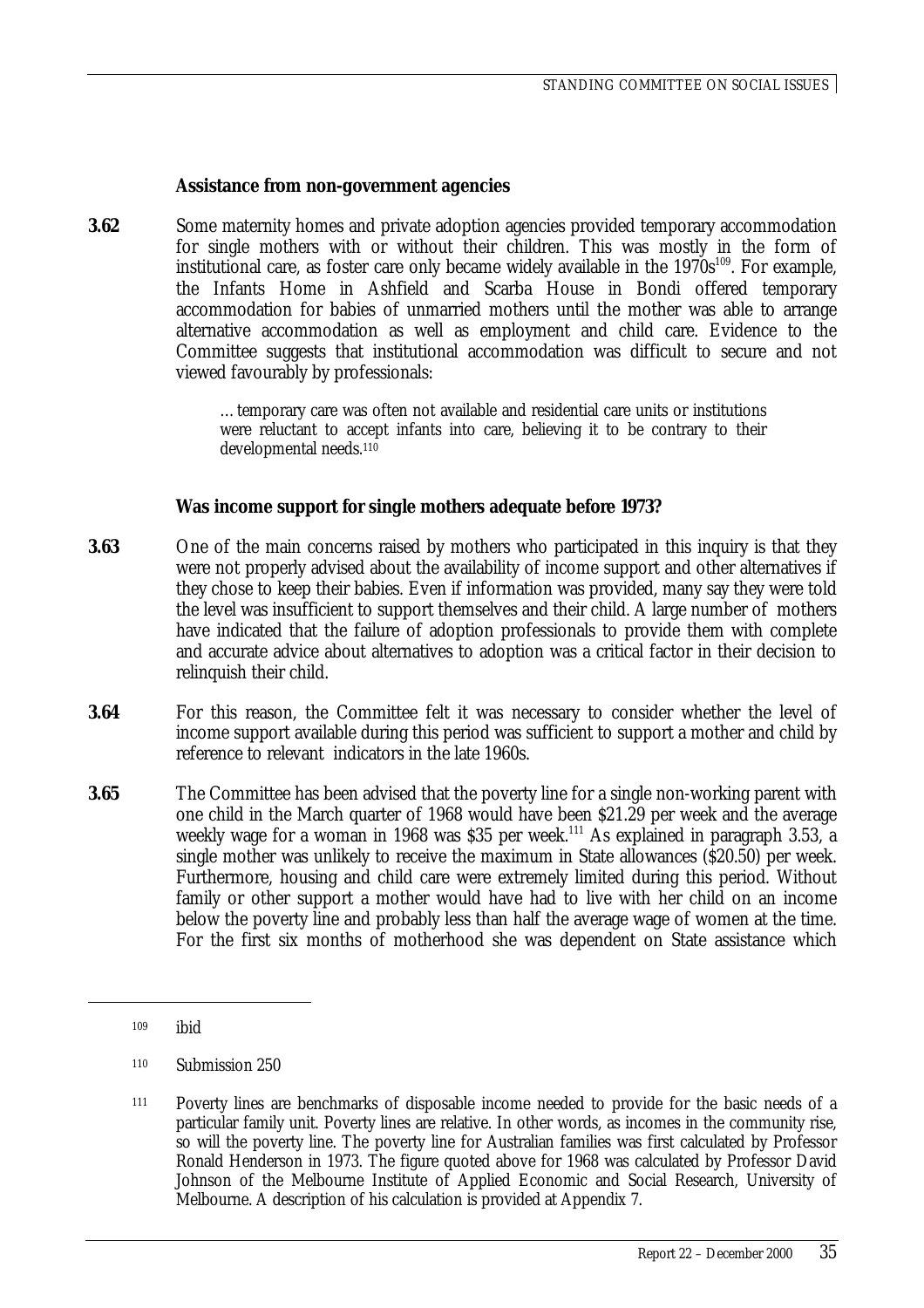#### **Assistance from non-government agencies**

**3.62** Some maternity homes and private adoption agencies provided temporary accommodation for single mothers with or without their children. This was mostly in the form of institutional care, as foster care only became widely available in the  $1970s^{109}$ . For example, the Infants Home in Ashfield and Scarba House in Bondi offered temporary accommodation for babies of unmarried mothers until the mother was able to arrange alternative accommodation as well as employment and child care. Evidence to the Committee suggests that institutional accommodation was difficult to secure and not viewed favourably by professionals:

> …temporary care was often not available and residential care units or institutions were reluctant to accept infants into care, believing it to be contrary to their developmental needs.<sup>110</sup>

#### **Was income support for single mothers adequate before 1973?**

- **3.63** One of the main concerns raised by mothers who participated in this inquiry is that they were not properly advised about the availability of income support and other alternatives if they chose to keep their babies. Even if information was provided, many say they were told the level was insufficient to support themselves and their child. A large number of mothers have indicated that the failure of adoption professionals to provide them with complete and accurate advice about alternatives to adoption was a critical factor in their decision to relinquish their child.
- **3.64** For this reason, the Committee felt it was necessary to consider whether the level of income support available during this period was sufficient to support a mother and child by reference to relevant indicators in the late 1960s.
- **3.65** The Committee has been advised that the poverty line for a single non-working parent with one child in the March quarter of 1968 would have been \$21.29 per week and the average weekly wage for a woman in 1968 was \$35 per week.<sup>111</sup> As explained in paragraph 3.53, a single mother was unlikely to receive the maximum in State allowances (\$20.50) per week. Furthermore, housing and child care were extremely limited during this period. Without family or other support a mother would have had to live with her child on an income below the poverty line and probably less than half the average wage of women at the time. For the first six months of motherhood she was dependent on State assistance which

<sup>109</sup> ibid

<sup>110</sup> Submission 250

<sup>111</sup> Poverty lines are benchmarks of disposable income needed to provide for the basic needs of a particular family unit. Poverty lines are relative. In other words, as incomes in the community rise, so will the poverty line. The poverty line for Australian families was first calculated by Professor Ronald Henderson in 1973. The figure quoted above for 1968 was calculated by Professor David Johnson of the Melbourne Institute of Applied Economic and Social Research, University of Melbourne. A description of his calculation is provided at Appendix 7.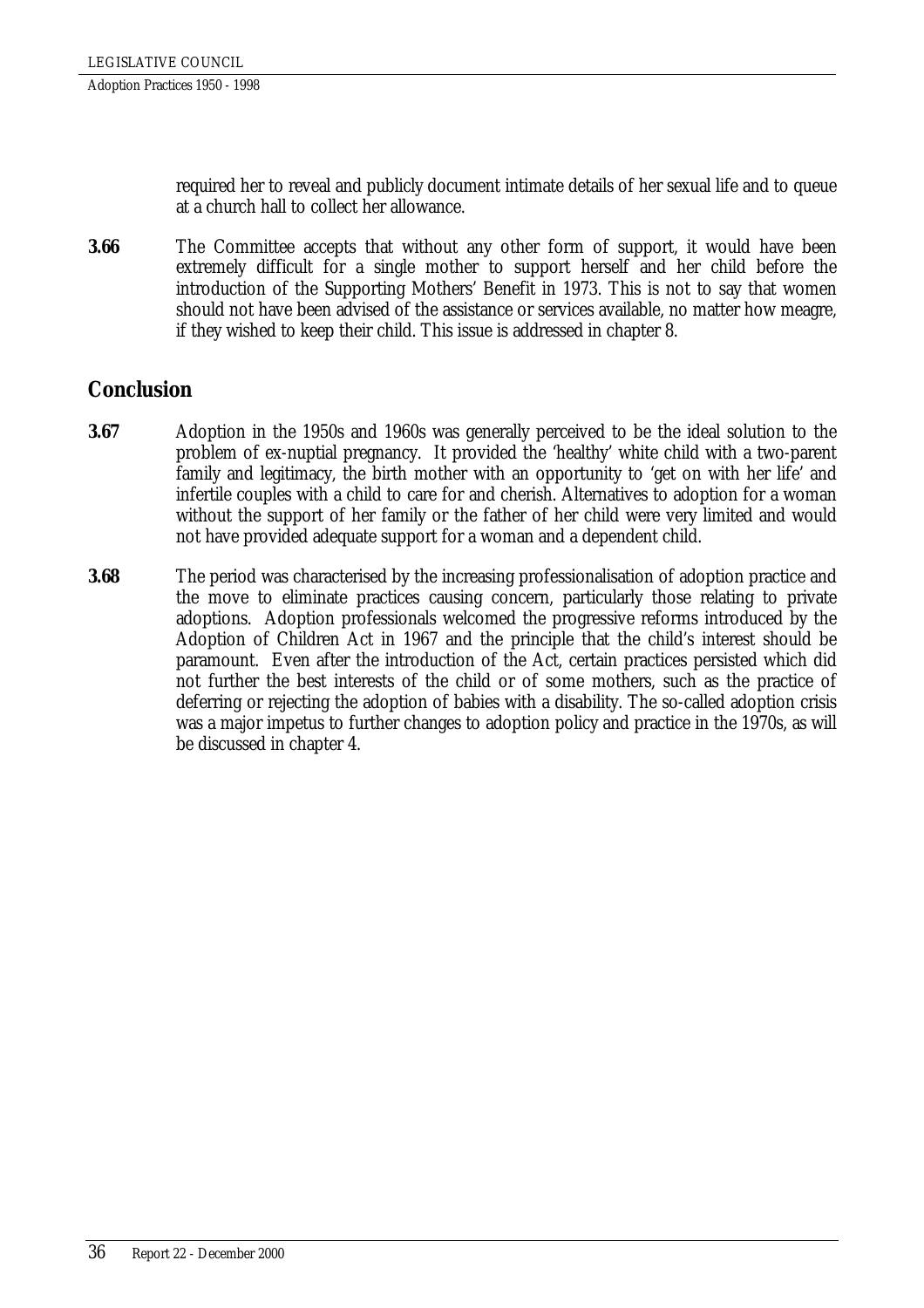required her to reveal and publicly document intimate details of her sexual life and to queue at a church hall to collect her allowance.

**3.66** The Committee accepts that without any other form of support, it would have been extremely difficult for a single mother to support herself and her child before the introduction of the Supporting Mothers' Benefit in 1973. This is not to say that women should not have been advised of the assistance or services available, no matter how meagre, if they wished to keep their child. This issue is addressed in chapter 8.

## **Conclusion**

- **3.67** Adoption in the 1950s and 1960s was generally perceived to be the ideal solution to the problem of ex-nuptial pregnancy. It provided the 'healthy' white child with a two-parent family and legitimacy, the birth mother with an opportunity to 'get on with her life' and infertile couples with a child to care for and cherish. Alternatives to adoption for a woman without the support of her family or the father of her child were very limited and would not have provided adequate support for a woman and a dependent child.
- **3.68** The period was characterised by the increasing professionalisation of adoption practice and the move to eliminate practices causing concern, particularly those relating to private adoptions. Adoption professionals welcomed the progressive reforms introduced by the Adoption of Children Act in 1967 and the principle that the child's interest should be paramount. Even after the introduction of the Act, certain practices persisted which did not further the best interests of the child or of some mothers, such as the practice of deferring or rejecting the adoption of babies with a disability. The so-called adoption crisis was a major impetus to further changes to adoption policy and practice in the 1970s, as will be discussed in chapter 4.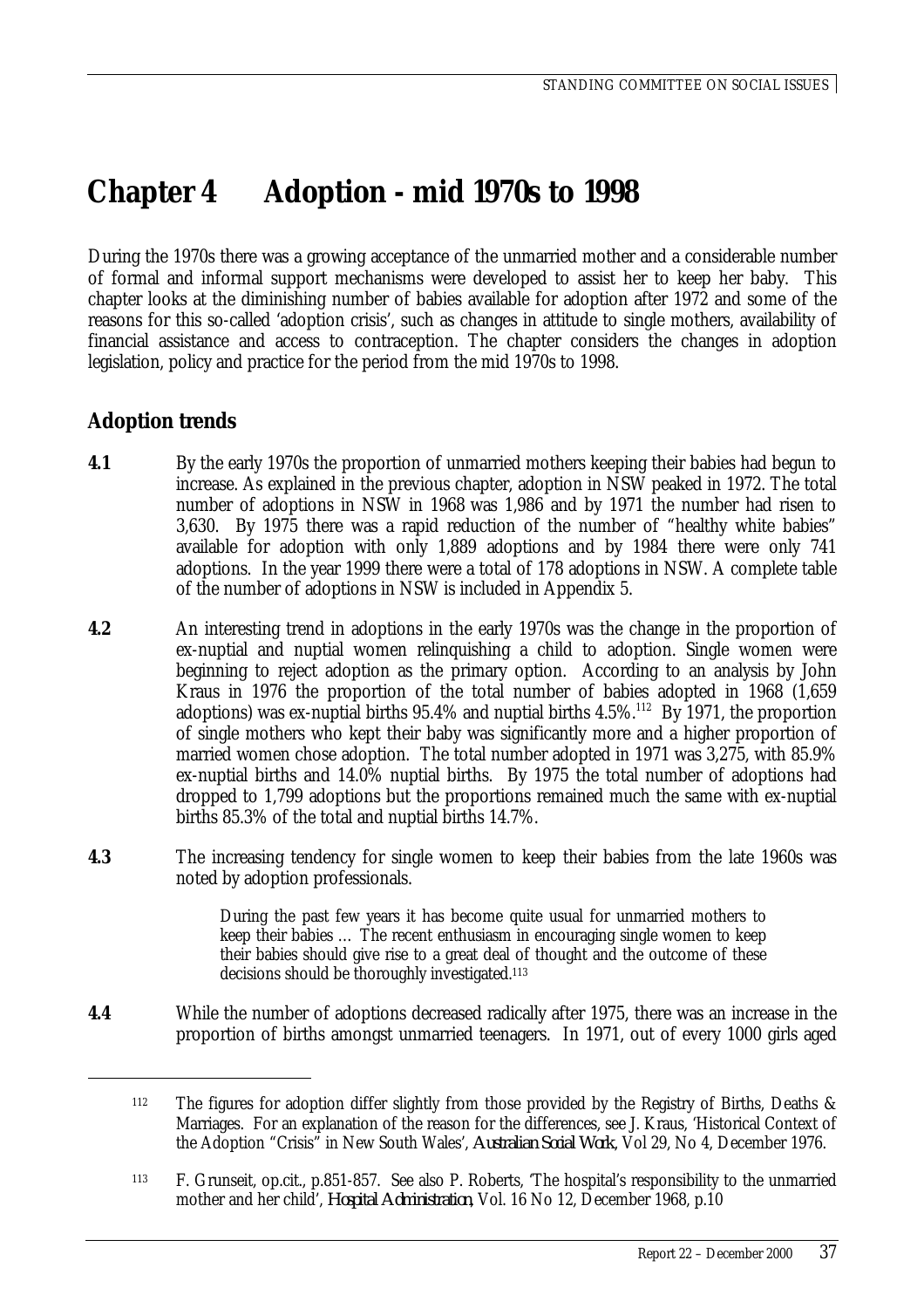## **Chapter 4 Adoption - mid 1970s to 1998**

During the 1970s there was a growing acceptance of the unmarried mother and a considerable number of formal and informal support mechanisms were developed to assist her to keep her baby. This chapter looks at the diminishing number of babies available for adoption after 1972 and some of the reasons for this so-called 'adoption crisis', such as changes in attitude to single mothers, availability of financial assistance and access to contraception. The chapter considers the changes in adoption legislation, policy and practice for the period from the mid 1970s to 1998.

## **Adoption trends**

 $\overline{a}$ 

- **4.1** By the early 1970s the proportion of unmarried mothers keeping their babies had begun to increase. As explained in the previous chapter, adoption in NSW peaked in 1972. The total number of adoptions in NSW in 1968 was 1,986 and by 1971 the number had risen to 3,630. By 1975 there was a rapid reduction of the number of "healthy white babies" available for adoption with only 1,889 adoptions and by 1984 there were only 741 adoptions. In the year 1999 there were a total of 178 adoptions in NSW. A complete table of the number of adoptions in NSW is included in Appendix 5.
- **4.2** An interesting trend in adoptions in the early 1970s was the change in the proportion of ex-nuptial and nuptial women relinquishing a child to adoption. Single women were beginning to reject adoption as the primary option. According to an analysis by John Kraus in 1976 the proportion of the total number of babies adopted in 1968 (1,659 adoptions) was ex-nuptial births  $95.4\%$  and nuptial births  $4.5\%$ .<sup>112</sup> By 1971, the proportion of single mothers who kept their baby was significantly more and a higher proportion of married women chose adoption. The total number adopted in 1971 was 3,275, with 85.9% ex-nuptial births and 14.0% nuptial births. By 1975 the total number of adoptions had dropped to 1,799 adoptions but the proportions remained much the same with ex-nuptial births 85.3% of the total and nuptial births 14.7%.
- **4.3** The increasing tendency for single women to keep their babies from the late 1960s was noted by adoption professionals.

During the past few years it has become quite usual for unmarried mothers to keep their babies … The recent enthusiasm in encouraging single women to keep their babies should give rise to a great deal of thought and the outcome of these decisions should be thoroughly investigated.<sup>113</sup>

**4.4** While the number of adoptions decreased radically after 1975, there was an increase in the proportion of births amongst unmarried teenagers. In 1971, out of every 1000 girls aged

<sup>112</sup> The figures for adoption differ slightly from those provided by the Registry of Births, Deaths & Marriages. For an explanation of the reason for the differences, see J. Kraus, 'Historical Context of the Adoption "Crisis" in New South Wales', *Australian Social Work*, Vol 29, No 4, December 1976.

<sup>113</sup> F. Grunseit, op.cit., p.851-857. See also P. Roberts, 'The hospital's responsibility to the unmarried mother and her child', *Hospital Administration*, Vol. 16 No 12, December 1968, p.10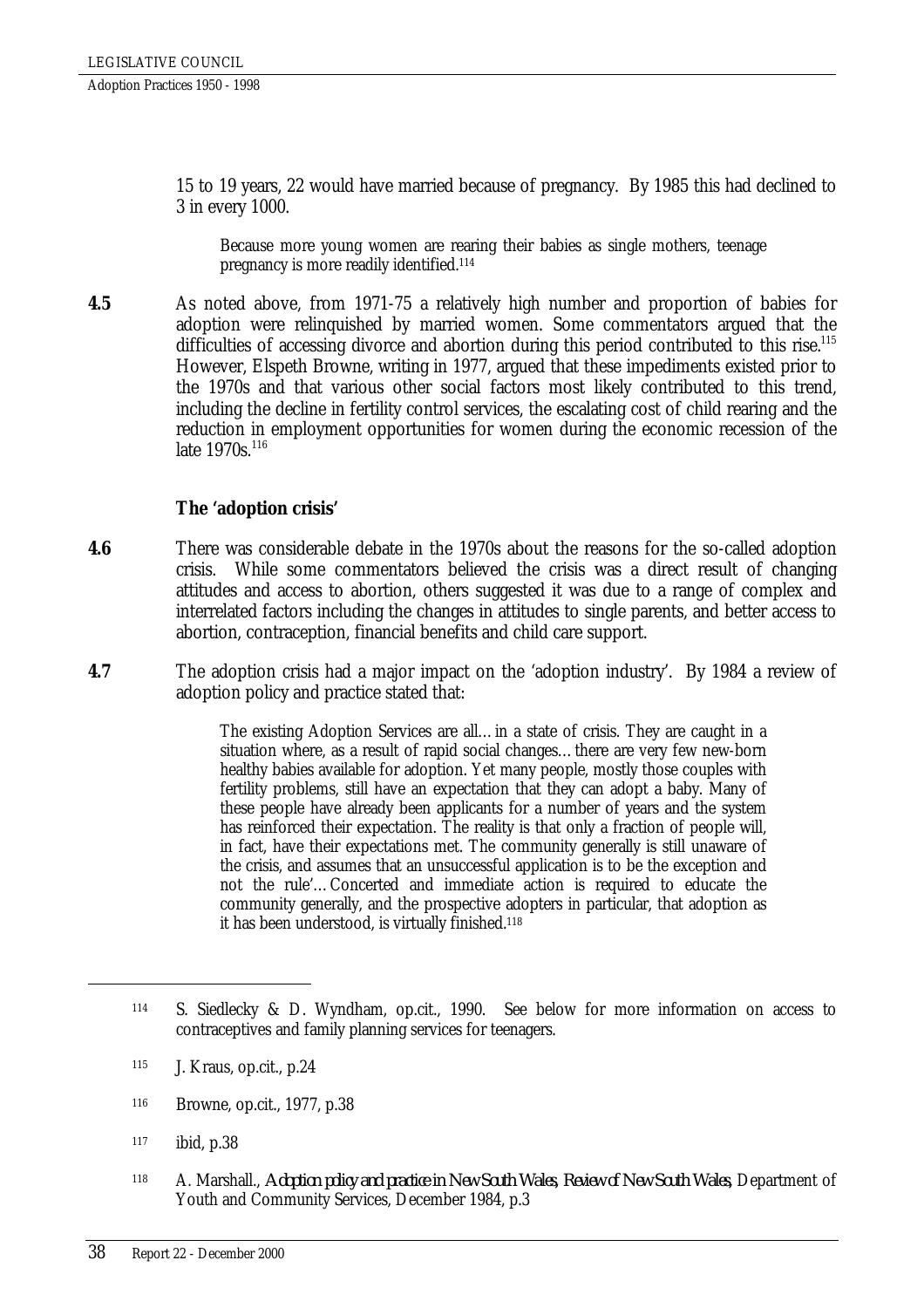15 to 19 years, 22 would have married because of pregnancy. By 1985 this had declined to 3 in every 1000.

Because more young women are rearing their babies as single mothers, teenage pregnancy is more readily identified.<sup>114</sup>

**4.5** As noted above, from 1971-75 a relatively high number and proportion of babies for adoption were relinquished by married women. Some commentators argued that the difficulties of accessing divorce and abortion during this period contributed to this rise.<sup>115</sup> However, Elspeth Browne, writing in 1977, argued that these impediments existed prior to the 1970s and that various other social factors most likely contributed to this trend, including the decline in fertility control services, the escalating cost of child rearing and the reduction in employment opportunities for women during the economic recession of the late 1970s. 116

#### **The 'adoption crisis'**

- **4.6** There was considerable debate in the 1970s about the reasons for the so-called adoption crisis. While some commentators believed the crisis was a direct result of changing attitudes and access to abortion, others suggested it was due to a range of complex and interrelated factors including the changes in attitudes to single parents, and better access to abortion, contraception, financial benefits and child care support.
- **4.7** The adoption crisis had a major impact on the 'adoption industry'. By 1984 a review of adoption policy and practice stated that:

The existing Adoption Services are all…in a state of crisis. They are caught in a situation where, as a result of rapid social changes…there are very few new-born healthy babies available for adoption. Yet many people, mostly those couples with fertility problems, still have an expectation that they can adopt a baby. Many of these people have already been applicants for a number of years and the system has reinforced their expectation. The reality is that only a fraction of people will, in fact, have their expectations met. The community generally is still unaware of the crisis, and assumes that an unsuccessful application is to be the exception and not the rule'…Concerted and immediate action is required to educate the community generally, and the prospective adopters in particular, that adoption as it has been understood, is virtually finished.<sup>118</sup>

- <sup>115</sup> J. Kraus, op.cit., p.24
- <sup>116</sup> Browne, op.cit., 1977, p.38
- <sup>117</sup> ibid, p.38

 $\overline{a}$ 

<sup>118</sup> A. Marshall., *Adoption policy and practice in New South Wales, Review of New South Wales,* Department of Youth and Community Services, December 1984, p.3

<sup>114</sup> S. Siedlecky & D. Wyndham, op.cit., 1990. See below for more information on access to contraceptives and family planning services for teenagers.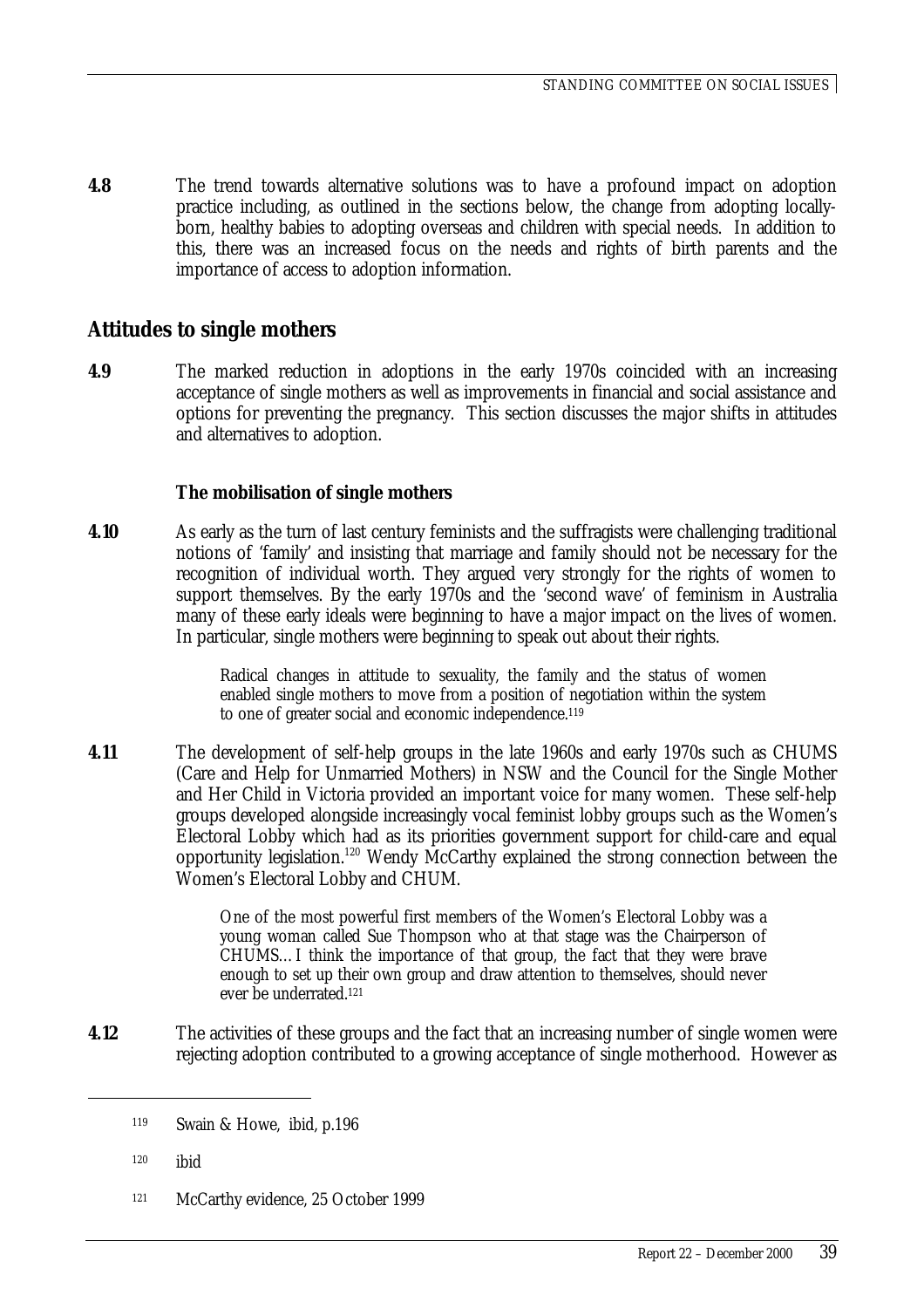**4.8** The trend towards alternative solutions was to have a profound impact on adoption practice including, as outlined in the sections below, the change from adopting locallyborn, healthy babies to adopting overseas and children with special needs. In addition to this, there was an increased focus on the needs and rights of birth parents and the importance of access to adoption information.

## **Attitudes to single mothers**

**4.9** The marked reduction in adoptions in the early 1970s coincided with an increasing acceptance of single mothers as well as improvements in financial and social assistance and options for preventing the pregnancy. This section discusses the major shifts in attitudes and alternatives to adoption.

#### **The mobilisation of single mothers**

**4.10** As early as the turn of last century feminists and the suffragists were challenging traditional notions of 'family' and insisting that marriage and family should not be necessary for the recognition of individual worth. They argued very strongly for the rights of women to support themselves. By the early 1970s and the 'second wave' of feminism in Australia many of these early ideals were beginning to have a major impact on the lives of women. In particular, single mothers were beginning to speak out about their rights.

> Radical changes in attitude to sexuality, the family and the status of women enabled single mothers to move from a position of negotiation within the system to one of greater social and economic independence.<sup>119</sup>

**4.11** The development of self-help groups in the late 1960s and early 1970s such as CHUMS (Care and Help for Unmarried Mothers) in NSW and the Council for the Single Mother and Her Child in Victoria provided an important voice for many women. These self-help groups developed alongside increasingly vocal feminist lobby groups such as the Women's Electoral Lobby which had as its priorities government support for child-care and equal opportunity legislation.<sup>120</sup> Wendy McCarthy explained the strong connection between the Women's Electoral Lobby and CHUM.

> One of the most powerful first members of the Women's Electoral Lobby was a young woman called Sue Thompson who at that stage was the Chairperson of CHUMS…I think the importance of that group, the fact that they were brave enough to set up their own group and draw attention to themselves, should never ever be underrated.<sup>121</sup>

**4.12** The activities of these groups and the fact that an increasing number of single women were rejecting adoption contributed to a growing acceptance of single motherhood. However as

<sup>120</sup> ibid

 $\overline{a}$ 

<sup>121</sup> McCarthy evidence, 25 October 1999

<sup>119</sup> Swain & Howe, ibid, p.196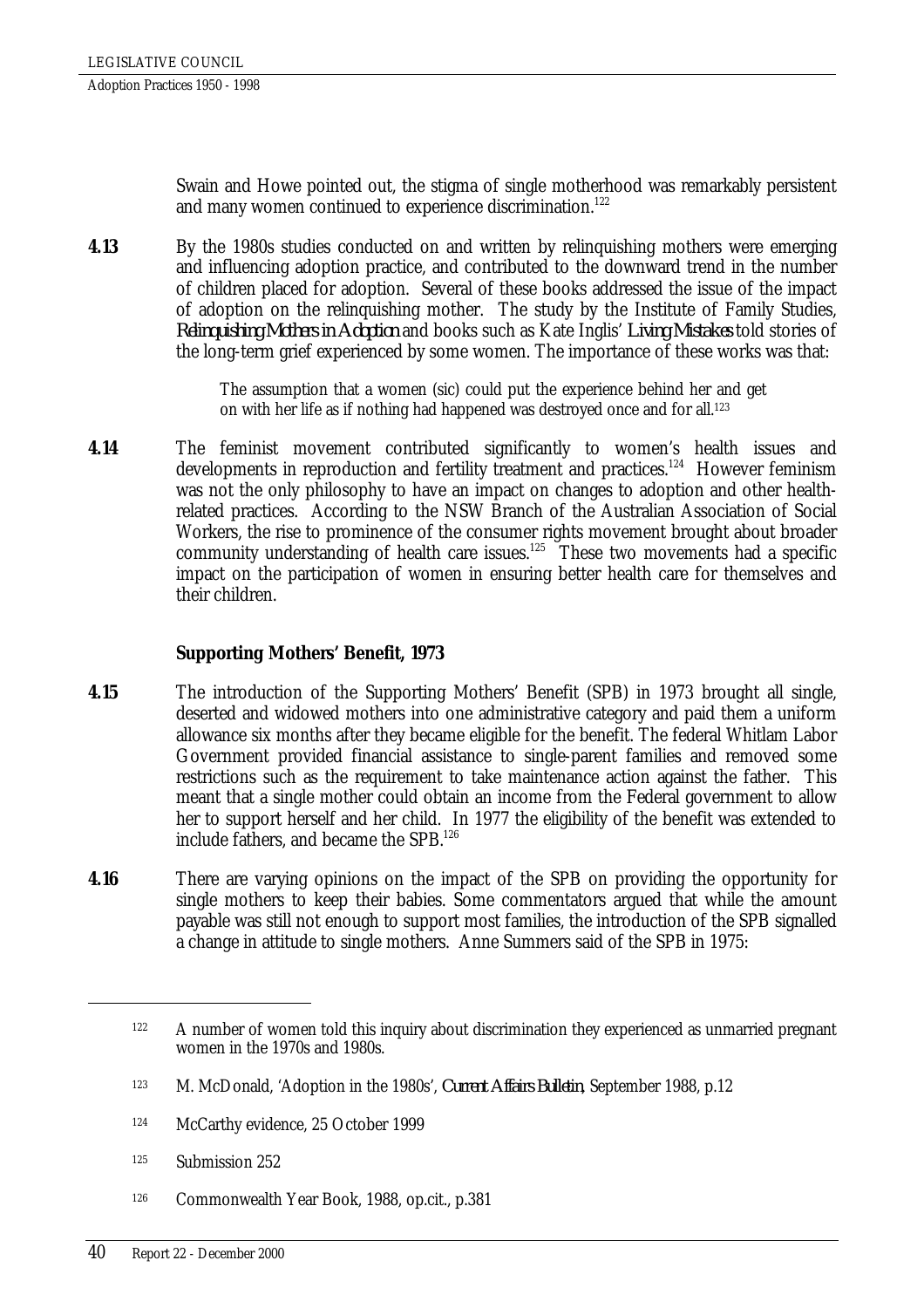Swain and Howe pointed out, the stigma of single motherhood was remarkably persistent and many women continued to experience discrimination.<sup>122</sup>

**4.13** By the 1980s studies conducted on and written by relinquishing mothers were emerging and influencing adoption practice, and contributed to the downward trend in the number of children placed for adoption. Several of these books addressed the issue of the impact of adoption on the relinquishing mother. The study by the Institute of Family Studies, *Relinquishing Mothers in Adoption* and books such as Kate Inglis' *Living Mistakes* told stories of the long-term grief experienced by some women. The importance of these works was that:

> The assumption that a women (sic) could put the experience behind her and get on with her life as if nothing had happened was destroyed once and for all.<sup>123</sup>

**4.14** The feminist movement contributed significantly to women's health issues and developments in reproduction and fertility treatment and practices.<sup>124</sup> However feminism was not the only philosophy to have an impact on changes to adoption and other healthrelated practices. According to the NSW Branch of the Australian Association of Social Workers, the rise to prominence of the consumer rights movement brought about broader community understanding of health care issues.<sup>125</sup> These two movements had a specific impact on the participation of women in ensuring better health care for themselves and their children.

#### **Supporting Mothers' Benefit, 1973**

- **4.15** The introduction of the Supporting Mothers' Benefit (SPB) in 1973 brought all single, deserted and widowed mothers into one administrative category and paid them a uniform allowance six months after they became eligible for the benefit. The federal Whitlam Labor Government provided financial assistance to single-parent families and removed some restrictions such as the requirement to take maintenance action against the father. This meant that a single mother could obtain an income from the Federal government to allow her to support herself and her child. In 1977 the eligibility of the benefit was extended to include fathers, and became the SPB. 126
- **4.16** There are varying opinions on the impact of the SPB on providing the opportunity for single mothers to keep their babies. Some commentators argued that while the amount payable was still not enough to support most families, the introduction of the SPB signalled a change in attitude to single mothers. Anne Summers said of the SPB in 1975:

- <sup>124</sup> McCarthy evidence, 25 October 1999
- <sup>125</sup> Submission 252
- <sup>126</sup> Commonwealth Year Book, 1988, op.cit., p.381

<sup>&</sup>lt;sup>122</sup> A number of women told this inquiry about discrimination they experienced as unmarried pregnant women in the 1970s and 1980s.

<sup>123</sup> M. McDonald, 'Adoption in the 1980s', *Current Affairs Bulletin*, September 1988, p.12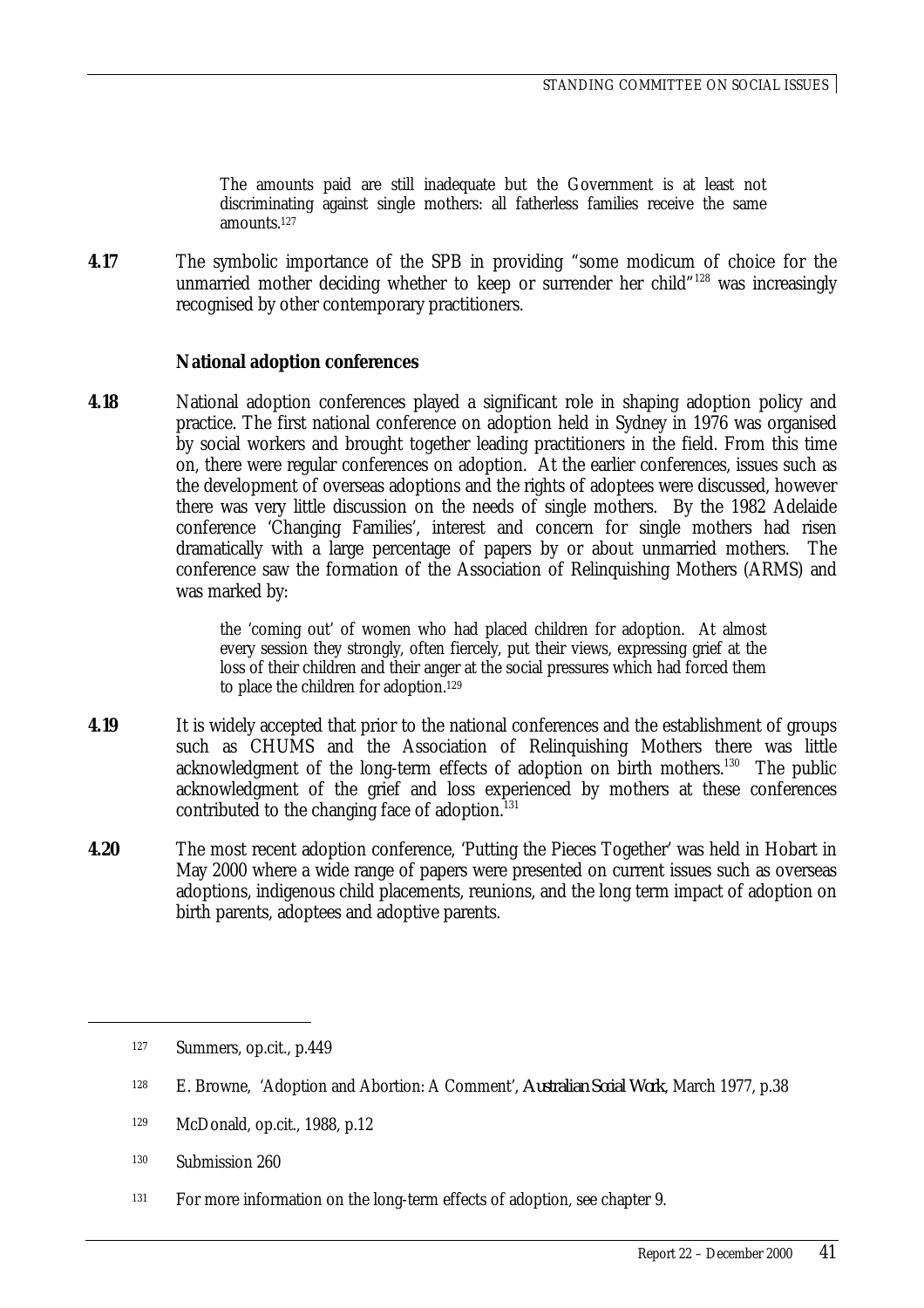The amounts paid are still inadequate but the Government is at least not discriminating against single mothers: all fatherless families receive the same amounts.<sup>127</sup>

**4.17** The symbolic importance of the SPB in providing "some modicum of choice for the unmarried mother deciding whether to keep or surrender her child"<sup>128</sup> was increasingly recognised by other contemporary practitioners.

#### **National adoption conferences**

**4.18** National adoption conferences played a significant role in shaping adoption policy and practice. The first national conference on adoption held in Sydney in 1976 was organised by social workers and brought together leading practitioners in the field. From this time on, there were regular conferences on adoption. At the earlier conferences, issues such as the development of overseas adoptions and the rights of adoptees were discussed, however there was very little discussion on the needs of single mothers. By the 1982 Adelaide conference 'Changing Families', interest and concern for single mothers had risen dramatically with a large percentage of papers by or about unmarried mothers. The conference saw the formation of the Association of Relinquishing Mothers (ARMS) and was marked by:

> the 'coming out' of women who had placed children for adoption. At almost every session they strongly, often fiercely, put their views, expressing grief at the loss of their children and their anger at the social pressures which had forced them to place the children for adoption.<sup>129</sup>

- **4.19** It is widely accepted that prior to the national conferences and the establishment of groups such as CHUMS and the Association of Relinquishing Mothers there was little acknowledgment of the long-term effects of adoption on birth mothers.<sup>130</sup> The public acknowledgment of the grief and loss experienced by mothers at these conferences contributed to the changing face of adoption. $131$
- **4.20** The most recent adoption conference, 'Putting the Pieces Together' was held in Hobart in May 2000 where a wide range of papers were presented on current issues such as overseas adoptions, indigenous child placements, reunions, and the long term impact of adoption on birth parents, adoptees and adoptive parents.

- <sup>129</sup> McDonald, op.cit., 1988, p.12
- <sup>130</sup> Submission 260

 $\overline{a}$ 

<sup>131</sup> For more information on the long-term effects of adoption, see chapter 9.

<sup>127</sup> Summers, op.cit., p.449

<sup>128</sup> E. Browne, 'Adoption and Abortion: A Comment', *Australian Social Work*, March 1977, p.38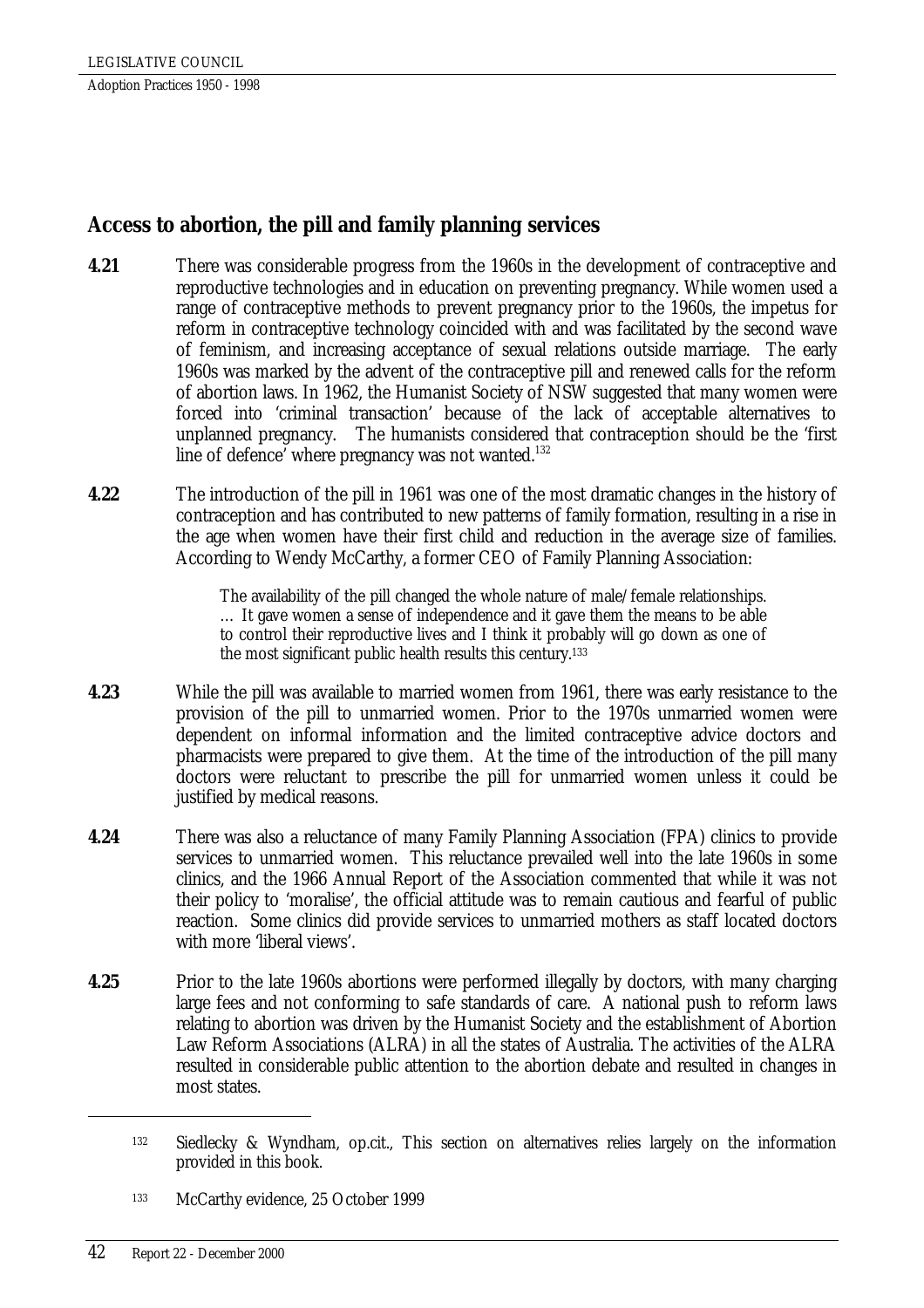## **Access to abortion, the pill and family planning services**

- **4.21** There was considerable progress from the 1960s in the development of contraceptive and reproductive technologies and in education on preventing pregnancy. While women used a range of contraceptive methods to prevent pregnancy prior to the 1960s, the impetus for reform in contraceptive technology coincided with and was facilitated by the second wave of feminism, and increasing acceptance of sexual relations outside marriage. The early 1960s was marked by the advent of the contraceptive pill and renewed calls for the reform of abortion laws. In 1962, the Humanist Society of NSW suggested that many women were forced into 'criminal transaction' because of the lack of acceptable alternatives to unplanned pregnancy. The humanists considered that contraception should be the 'first line of defence' where pregnancy was not wanted.<sup>132</sup>
- **4.22** The introduction of the pill in 1961 was one of the most dramatic changes in the history of contraception and has contributed to new patterns of family formation, resulting in a rise in the age when women have their first child and reduction in the average size of families. According to Wendy McCarthy, a former CEO of Family Planning Association:

The availability of the pill changed the whole nature of male/female relationships. … It gave women a sense of independence and it gave them the means to be able to control their reproductive lives and I think it probably will go down as one of the most significant public health results this century.<sup>133</sup>

- **4.23** While the pill was available to married women from 1961, there was early resistance to the provision of the pill to unmarried women. Prior to the 1970s unmarried women were dependent on informal information and the limited contraceptive advice doctors and pharmacists were prepared to give them. At the time of the introduction of the pill many doctors were reluctant to prescribe the pill for unmarried women unless it could be justified by medical reasons.
- **4.24** There was also a reluctance of many Family Planning Association (FPA) clinics to provide services to unmarried women. This reluctance prevailed well into the late 1960s in some clinics, and the 1966 Annual Report of the Association commented that while it was not their policy to 'moralise', the official attitude was to remain cautious and fearful of public reaction. Some clinics did provide services to unmarried mothers as staff located doctors with more 'liberal views'.
- **4.25** Prior to the late 1960s abortions were performed illegally by doctors, with many charging large fees and not conforming to safe standards of care. A national push to reform laws relating to abortion was driven by the Humanist Society and the establishment of Abortion Law Reform Associations (ALRA) in all the states of Australia. The activities of the ALRA resulted in considerable public attention to the abortion debate and resulted in changes in most states.

<sup>133</sup> McCarthy evidence, 25 October 1999

<sup>132</sup> Siedlecky & Wyndham, op.cit., This section on alternatives relies largely on the information provided in this book.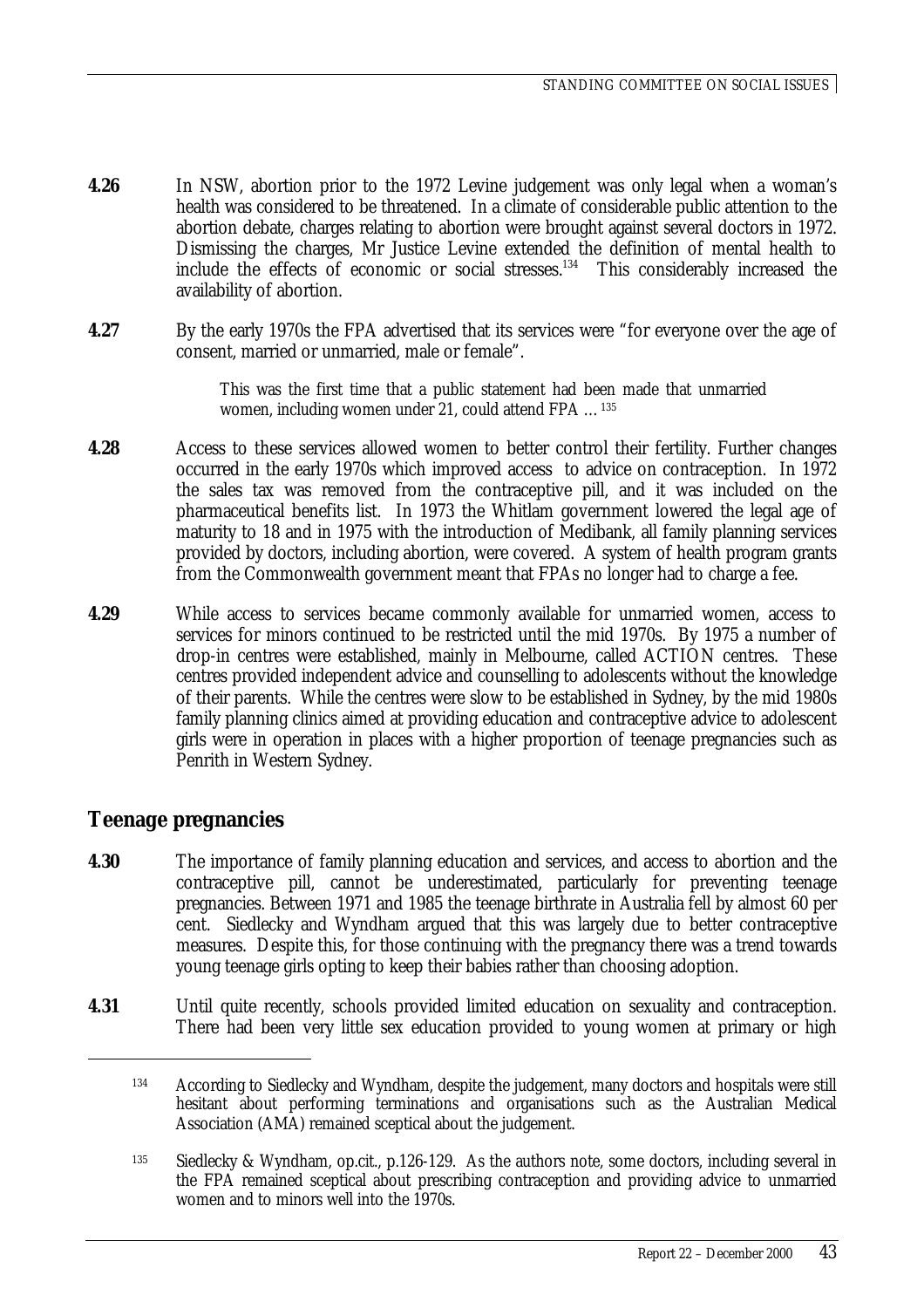- **4.26** In NSW, abortion prior to the 1972 Levine judgement was only legal when a woman's health was considered to be threatened. In a climate of considerable public attention to the abortion debate, charges relating to abortion were brought against several doctors in 1972. Dismissing the charges, Mr Justice Levine extended the definition of mental health to include the effects of economic or social stresses.<sup>134</sup> This considerably increased the availability of abortion.
- **4.27** By the early 1970s the FPA advertised that its services were "for everyone over the age of consent, married or unmarried, male or female".

This was the first time that a public statement had been made that unmarried women, including women under 21, could attend FPA …<sup>135</sup>

- **4.28** Access to these services allowed women to better control their fertility. Further changes occurred in the early 1970s which improved access to advice on contraception. In 1972 the sales tax was removed from the contraceptive pill, and it was included on the pharmaceutical benefits list. In 1973 the Whitlam government lowered the legal age of maturity to 18 and in 1975 with the introduction of Medibank, all family planning services provided by doctors, including abortion, were covered. A system of health program grants from the Commonwealth government meant that FPAs no longer had to charge a fee.
- **4.29** While access to services became commonly available for unmarried women, access to services for minors continued to be restricted until the mid 1970s. By 1975 a number of drop-in centres were established, mainly in Melbourne, called ACTION centres. These centres provided independent advice and counselling to adolescents without the knowledge of their parents. While the centres were slow to be established in Sydney, by the mid 1980s family planning clinics aimed at providing education and contraceptive advice to adolescent girls were in operation in places with a higher proportion of teenage pregnancies such as Penrith in Western Sydney.

#### **Teenage pregnancies**

- **4.30** The importance of family planning education and services, and access to abortion and the contraceptive pill, cannot be underestimated, particularly for preventing teenage pregnancies. Between 1971 and 1985 the teenage birthrate in Australia fell by almost 60 per cent. Siedlecky and Wyndham argued that this was largely due to better contraceptive measures. Despite this, for those continuing with the pregnancy there was a trend towards young teenage girls opting to keep their babies rather than choosing adoption.
- **4.31** Until quite recently, schools provided limited education on sexuality and contraception. There had been very little sex education provided to young women at primary or high

<sup>134</sup> According to Siedlecky and Wyndham, despite the judgement, many doctors and hospitals were still hesitant about performing terminations and organisations such as the Australian Medical Association (AMA) remained sceptical about the judgement.

<sup>135</sup> Siedlecky & Wyndham, op.cit., p.126-129. As the authors note, some doctors, including several in the FPA remained sceptical about prescribing contraception and providing advice to unmarried women and to minors well into the 1970s.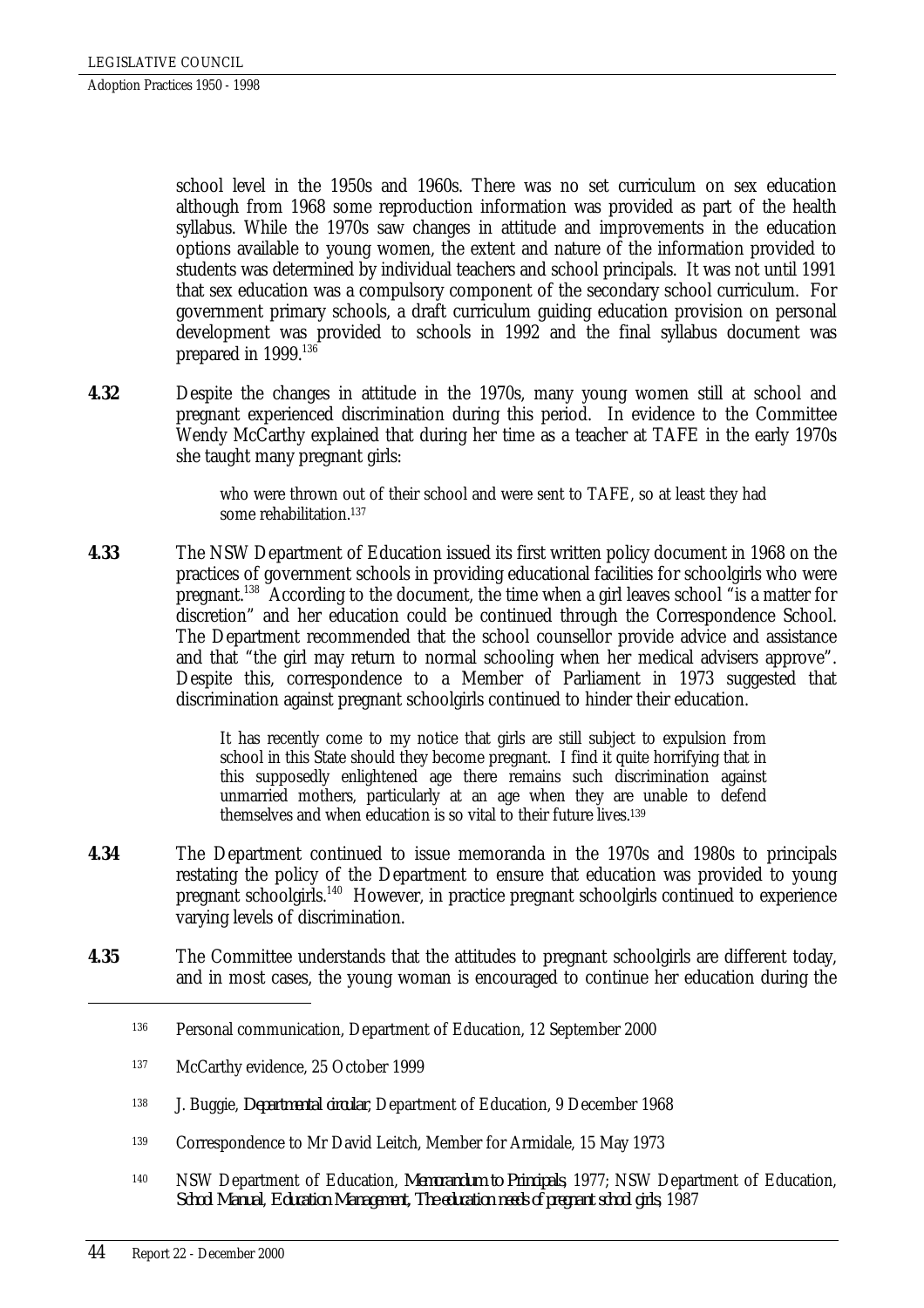school level in the 1950s and 1960s. There was no set curriculum on sex education although from 1968 some reproduction information was provided as part of the health syllabus. While the 1970s saw changes in attitude and improvements in the education options available to young women, the extent and nature of the information provided to students was determined by individual teachers and school principals. It was not until 1991 that sex education was a compulsory component of the secondary school curriculum. For government primary schools, a draft curriculum guiding education provision on personal development was provided to schools in 1992 and the final syllabus document was prepared in 1999.<sup>136</sup>

**4.32** Despite the changes in attitude in the 1970s, many young women still at school and pregnant experienced discrimination during this period. In evidence to the Committee Wendy McCarthy explained that during her time as a teacher at TAFE in the early 1970s she taught many pregnant girls:

> who were thrown out of their school and were sent to TAFE, so at least they had some rehabilitation.<sup>137</sup>

**4.33** The NSW Department of Education issued its first written policy document in 1968 on the practices of government schools in providing educational facilities for schoolgirls who were pregnant.<sup>138</sup> According to the document, the time when a girl leaves school "is a matter for discretion" and her education could be continued through the Correspondence School. The Department recommended that the school counsellor provide advice and assistance and that "the girl may return to normal schooling when her medical advisers approve". Despite this, correspondence to a Member of Parliament in 1973 suggested that discrimination against pregnant schoolgirls continued to hinder their education.

> It has recently come to my notice that girls are still subject to expulsion from school in this State should they become pregnant. I find it quite horrifying that in this supposedly enlightened age there remains such discrimination against unmarried mothers, particularly at an age when they are unable to defend themselves and when education is so vital to their future lives.<sup>139</sup>

- **4.34** The Department continued to issue memoranda in the 1970s and 1980s to principals restating the policy of the Department to ensure that education was provided to young pregnant schoolgirls.<sup>140</sup> However, in practice pregnant schoolgirls continued to experience varying levels of discrimination.
- **4.35** The Committee understands that the attitudes to pregnant schoolgirls are different today, and in most cases, the young woman is encouraged to continue her education during the
	- <sup>136</sup> Personal communication, Department of Education, 12 September 2000
	- <sup>137</sup> McCarthy evidence, 25 October 1999
	- <sup>138</sup> J. Buggie, *Departmental circular*, Department of Education, 9 December 1968
	- <sup>139</sup> Correspondence to Mr David Leitch, Member for Armidale, 15 May 1973
	- <sup>140</sup> NSW Department of Education, *Memorandum to Principals*, 1977; NSW Department of Education, *School Manual*, *Education Management, The education needs of pregnant school girls*, 1987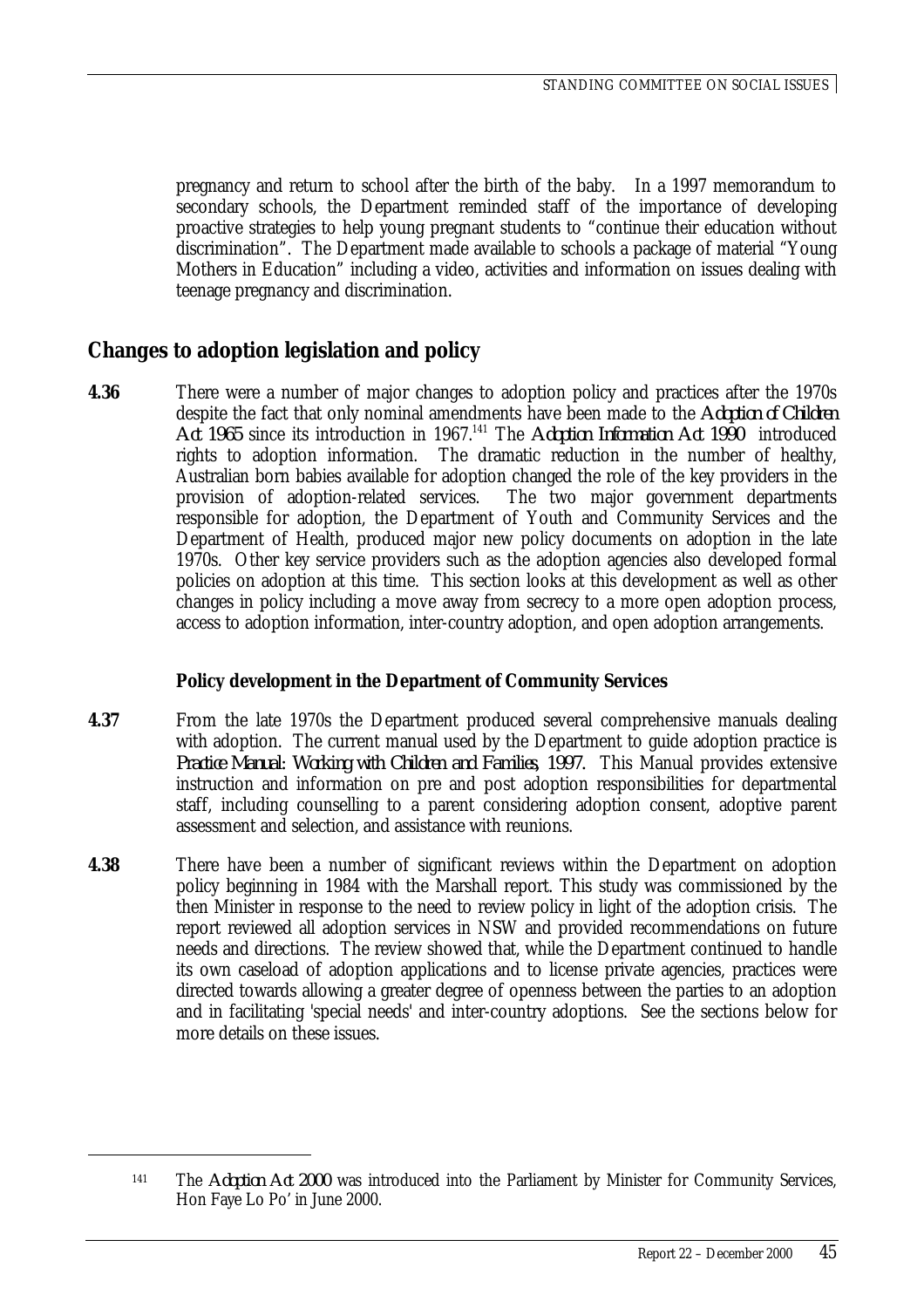pregnancy and return to school after the birth of the baby. In a 1997 memorandum to secondary schools, the Department reminded staff of the importance of developing proactive strategies to help young pregnant students to "continue their education without discrimination". The Department made available to schools a package of material "Young Mothers in Education" including a video, activities and information on issues dealing with teenage pregnancy and discrimination.

## **Changes to adoption legislation and policy**

 $\overline{a}$ 

**4.36** There were a number of major changes to adoption policy and practices after the 1970s despite the fact that only nominal amendments have been made to the *Adoption of Children Act 1965* since its introduction in 1967.<sup>141</sup> The *Adoption Information Act 1990* introduced rights to adoption information. The dramatic reduction in the number of healthy, Australian born babies available for adoption changed the role of the key providers in the provision of adoption-related services. The two major government departments responsible for adoption, the Department of Youth and Community Services and the Department of Health, produced major new policy documents on adoption in the late 1970s. Other key service providers such as the adoption agencies also developed formal policies on adoption at this time. This section looks at this development as well as other changes in policy including a move away from secrecy to a more open adoption process, access to adoption information, inter-country adoption, and open adoption arrangements.

#### **Policy development in the Department of Community Services**

- **4.37** From the late 1970s the Department produced several comprehensive manuals dealing with adoption. The current manual used by the Department to guide adoption practice is *Practice Manual: Working with Children and Families, 1997.* This Manual provides extensive instruction and information on pre and post adoption responsibilities for departmental staff, including counselling to a parent considering adoption consent, adoptive parent assessment and selection, and assistance with reunions.
- **4.38** There have been a number of significant reviews within the Department on adoption policy beginning in 1984 with the Marshall report. This study was commissioned by the then Minister in response to the need to review policy in light of the adoption crisis. The report reviewed all adoption services in NSW and provided recommendations on future needs and directions. The review showed that, while the Department continued to handle its own caseload of adoption applications and to license private agencies, practices were directed towards allowing a greater degree of openness between the parties to an adoption and in facilitating 'special needs' and inter-country adoptions. See the sections below for more details on these issues.

<sup>141</sup> The *Adoption Act 2000* was introduced into the Parliament by Minister for Community Services, Hon Faye Lo Po' in June 2000.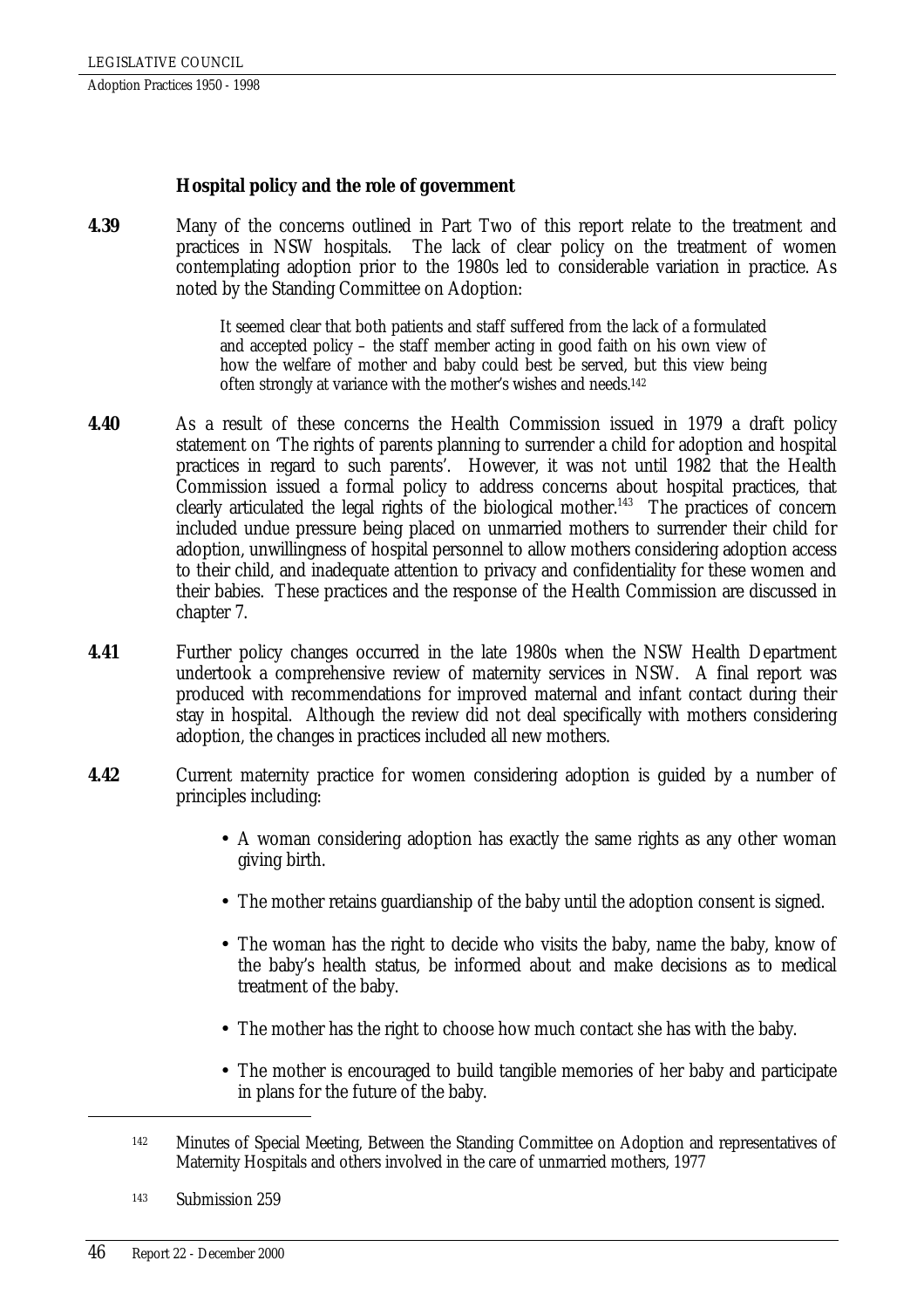#### **Hospital policy and the role of government**

**4.39** Many of the concerns outlined in Part Two of this report relate to the treatment and practices in NSW hospitals. The lack of clear policy on the treatment of women contemplating adoption prior to the 1980s led to considerable variation in practice. As noted by the Standing Committee on Adoption:

> It seemed clear that both patients and staff suffered from the lack of a formulated and accepted policy – the staff member acting in good faith on his own view of how the welfare of mother and baby could best be served, but this view being often strongly at variance with the mother's wishes and needs.<sup>142</sup>

- **4.40** As a result of these concerns the Health Commission issued in 1979 a draft policy statement on 'The rights of parents planning to surrender a child for adoption and hospital practices in regard to such parents'. However, it was not until 1982 that the Health Commission issued a formal policy to address concerns about hospital practices, that clearly articulated the legal rights of the biological mother.<sup>143</sup> The practices of concern included undue pressure being placed on unmarried mothers to surrender their child for adoption, unwillingness of hospital personnel to allow mothers considering adoption access to their child, and inadequate attention to privacy and confidentiality for these women and their babies. These practices and the response of the Health Commission are discussed in chapter 7.
- **4.41** Further policy changes occurred in the late 1980s when the NSW Health Department undertook a comprehensive review of maternity services in NSW. A final report was produced with recommendations for improved maternal and infant contact during their stay in hospital. Although the review did not deal specifically with mothers considering adoption, the changes in practices included all new mothers.
- **4.42** Current maternity practice for women considering adoption is guided by a number of principles including:
	- A woman considering adoption has exactly the same rights as any other woman giving birth.
	- The mother retains guardianship of the baby until the adoption consent is signed.
	- The woman has the right to decide who visits the baby, name the baby, know of the baby's health status, be informed about and make decisions as to medical treatment of the baby.
	- The mother has the right to choose how much contact she has with the baby.
	- The mother is encouraged to build tangible memories of her baby and participate in plans for the future of the baby.

<sup>143</sup> Submission 259

<sup>142</sup> Minutes of Special Meeting, Between the Standing Committee on Adoption and representatives of Maternity Hospitals and others involved in the care of unmarried mothers, 1977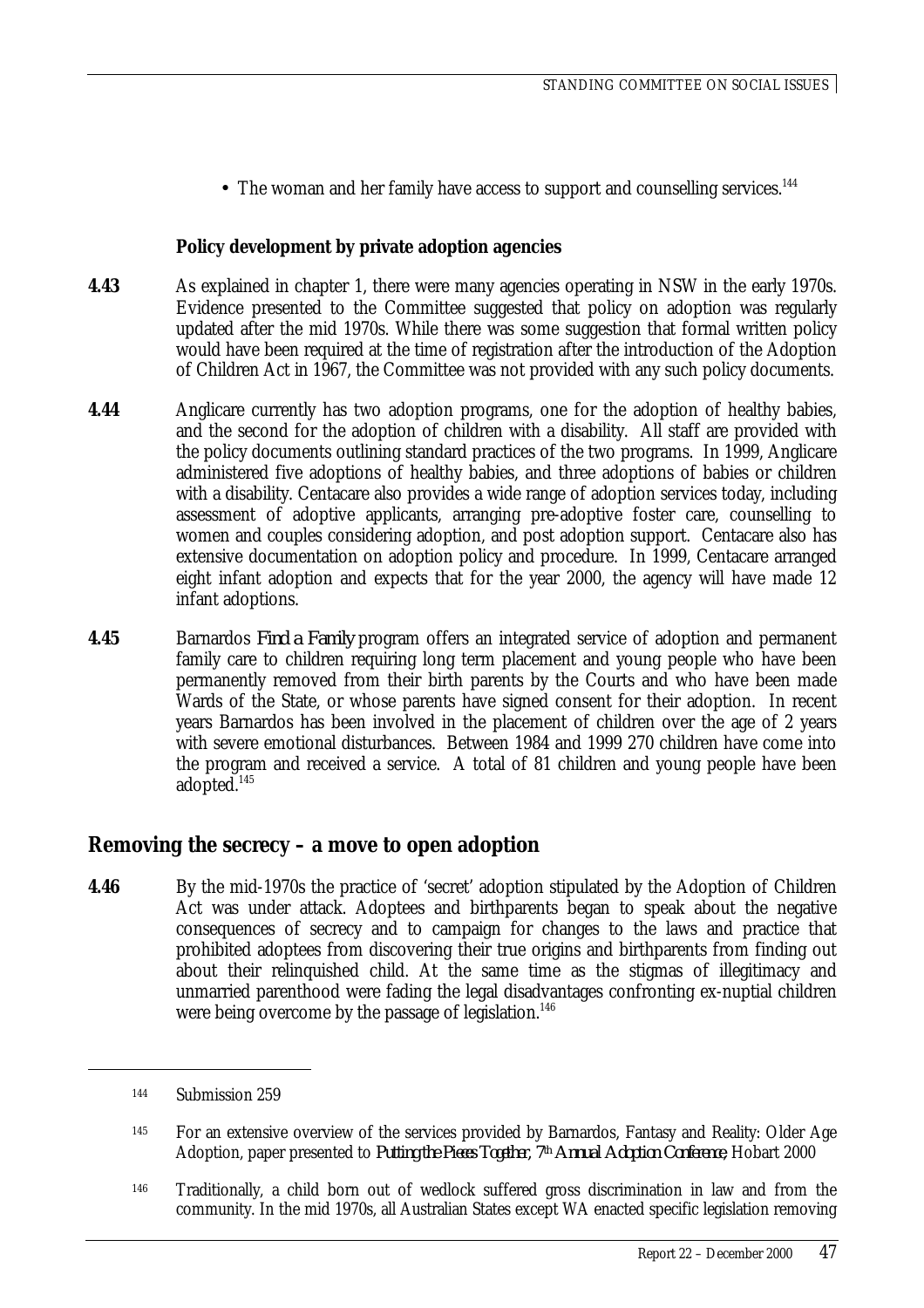• The woman and her family have access to support and counselling services.<sup>144</sup>

#### **Policy development by private adoption agencies**

- **4.43** As explained in chapter 1, there were many agencies operating in NSW in the early 1970s. Evidence presented to the Committee suggested that policy on adoption was regularly updated after the mid 1970s. While there was some suggestion that formal written policy would have been required at the time of registration after the introduction of the Adoption of Children Act in 1967, the Committee was not provided with any such policy documents.
- **4.44** Anglicare currently has two adoption programs, one for the adoption of healthy babies, and the second for the adoption of children with a disability. All staff are provided with the policy documents outlining standard practices of the two programs. In 1999, Anglicare administered five adoptions of healthy babies, and three adoptions of babies or children with a disability. Centacare also provides a wide range of adoption services today, including assessment of adoptive applicants, arranging pre-adoptive foster care, counselling to women and couples considering adoption, and post adoption support. Centacare also has extensive documentation on adoption policy and procedure. In 1999, Centacare arranged eight infant adoption and expects that for the year 2000, the agency will have made 12 infant adoptions.
- **4.45** Barnardos *Find a Family* program offers an integrated service of adoption and permanent family care to children requiring long term placement and young people who have been permanently removed from their birth parents by the Courts and who have been made Wards of the State, or whose parents have signed consent for their adoption. In recent years Barnardos has been involved in the placement of children over the age of 2 years with severe emotional disturbances. Between 1984 and 1999 270 children have come into the program and received a service. A total of 81 children and young people have been adopted.<sup>145</sup>

## **Removing the secrecy – a move to open adoption**

**4.46** By the mid-1970s the practice of 'secret' adoption stipulated by the Adoption of Children Act was under attack. Adoptees and birthparents began to speak about the negative consequences of secrecy and to campaign for changes to the laws and practice that prohibited adoptees from discovering their true origins and birthparents from finding out about their relinquished child. At the same time as the stigmas of illegitimacy and unmarried parenthood were fading the legal disadvantages confronting ex-nuptial children were being overcome by the passage of legislation.<sup>146</sup>

<sup>144</sup> Submission 259

<sup>145</sup> For an extensive overview of the services provided by Barnardos, Fantasy and Reality: Older Age Adoption, paper presented to *Putting the Pieces Together, 7th Annual Adoption Conference*, Hobart 2000

<sup>146</sup> Traditionally, a child born out of wedlock suffered gross discrimination in law and from the community. In the mid 1970s, all Australian States except WA enacted specific legislation removing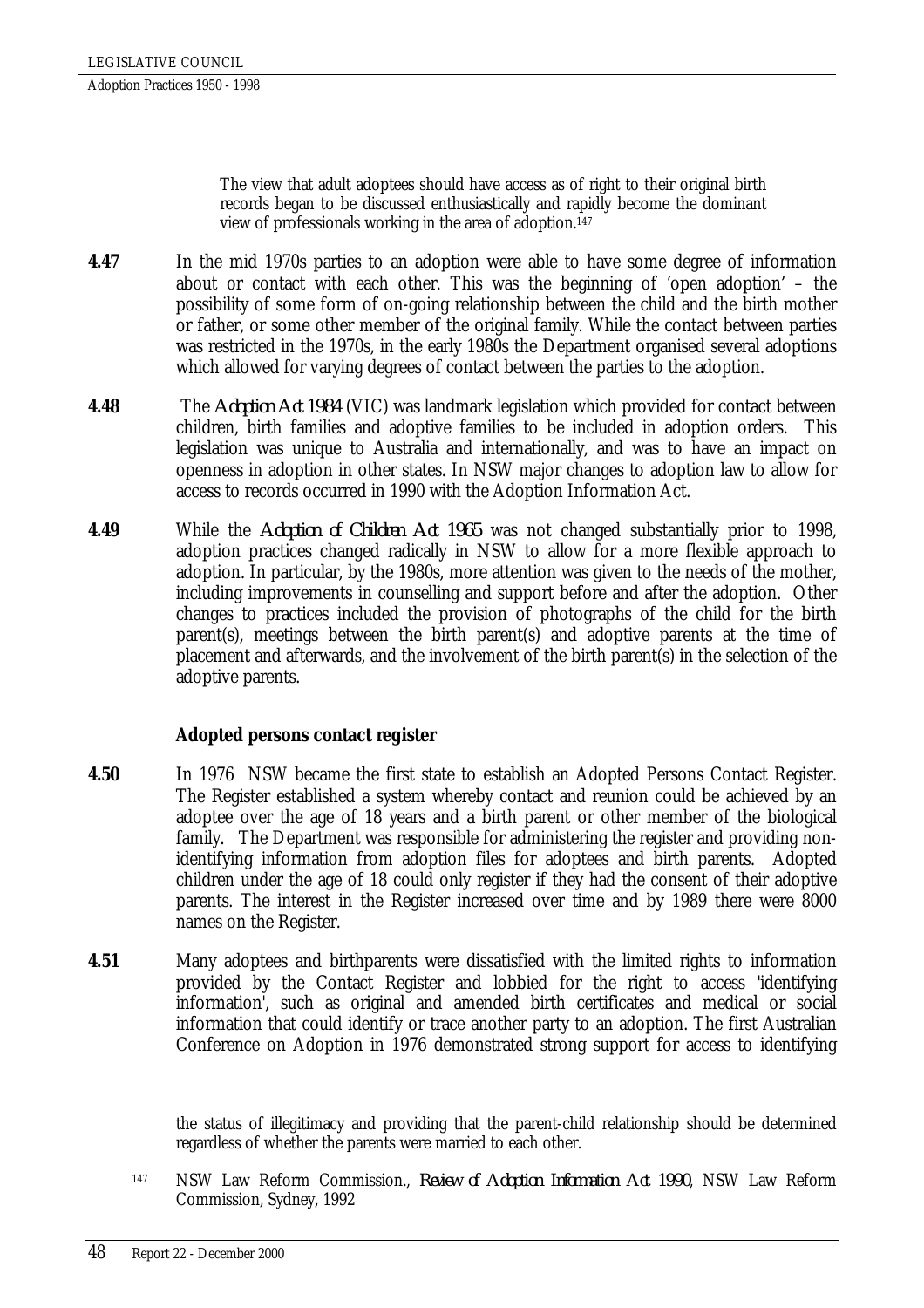The view that adult adoptees should have access as of right to their original birth records began to be discussed enthusiastically and rapidly become the dominant view of professionals working in the area of adoption.<sup>147</sup>

- **4.47** In the mid 1970s parties to an adoption were able to have some degree of information about or contact with each other. This was the beginning of 'open adoption' – the possibility of some form of on-going relationship between the child and the birth mother or father, or some other member of the original family. While the contact between parties was restricted in the 1970s, in the early 1980s the Department organised several adoptions which allowed for varying degrees of contact between the parties to the adoption.
- **4.48** The *Adoption Act 1984* (VIC) was landmark legislation which provided for contact between children, birth families and adoptive families to be included in adoption orders. This legislation was unique to Australia and internationally, and was to have an impact on openness in adoption in other states. In NSW major changes to adoption law to allow for access to records occurred in 1990 with the Adoption Information Act.
- **4.49** While the *Adoption of Children Act 1965* was not changed substantially prior to 1998, adoption practices changed radically in NSW to allow for a more flexible approach to adoption. In particular, by the 1980s, more attention was given to the needs of the mother, including improvements in counselling and support before and after the adoption. Other changes to practices included the provision of photographs of the child for the birth parent(s), meetings between the birth parent(s) and adoptive parents at the time of placement and afterwards, and the involvement of the birth parent(s) in the selection of the adoptive parents.

#### **Adopted persons contact register**

- **4.50** In 1976 NSW became the first state to establish an Adopted Persons Contact Register. The Register established a system whereby contact and reunion could be achieved by an adoptee over the age of 18 years and a birth parent or other member of the biological family. The Department was responsible for administering the register and providing nonidentifying information from adoption files for adoptees and birth parents. Adopted children under the age of 18 could only register if they had the consent of their adoptive parents. The interest in the Register increased over time and by 1989 there were 8000 names on the Register.
- **4.51** Many adoptees and birthparents were dissatisfied with the limited rights to information provided by the Contact Register and lobbied for the right to access 'identifying information', such as original and amended birth certificates and medical or social information that could identify or trace another party to an adoption. The first Australian Conference on Adoption in 1976 demonstrated strong support for access to identifying

<sup>147</sup> NSW Law Reform Commission., *Review of Adoption Information Act 1990*, NSW Law Reform Commission, Sydney, 1992

the status of illegitimacy and providing that the parent-child relationship should be determined regardless of whether the parents were married to each other.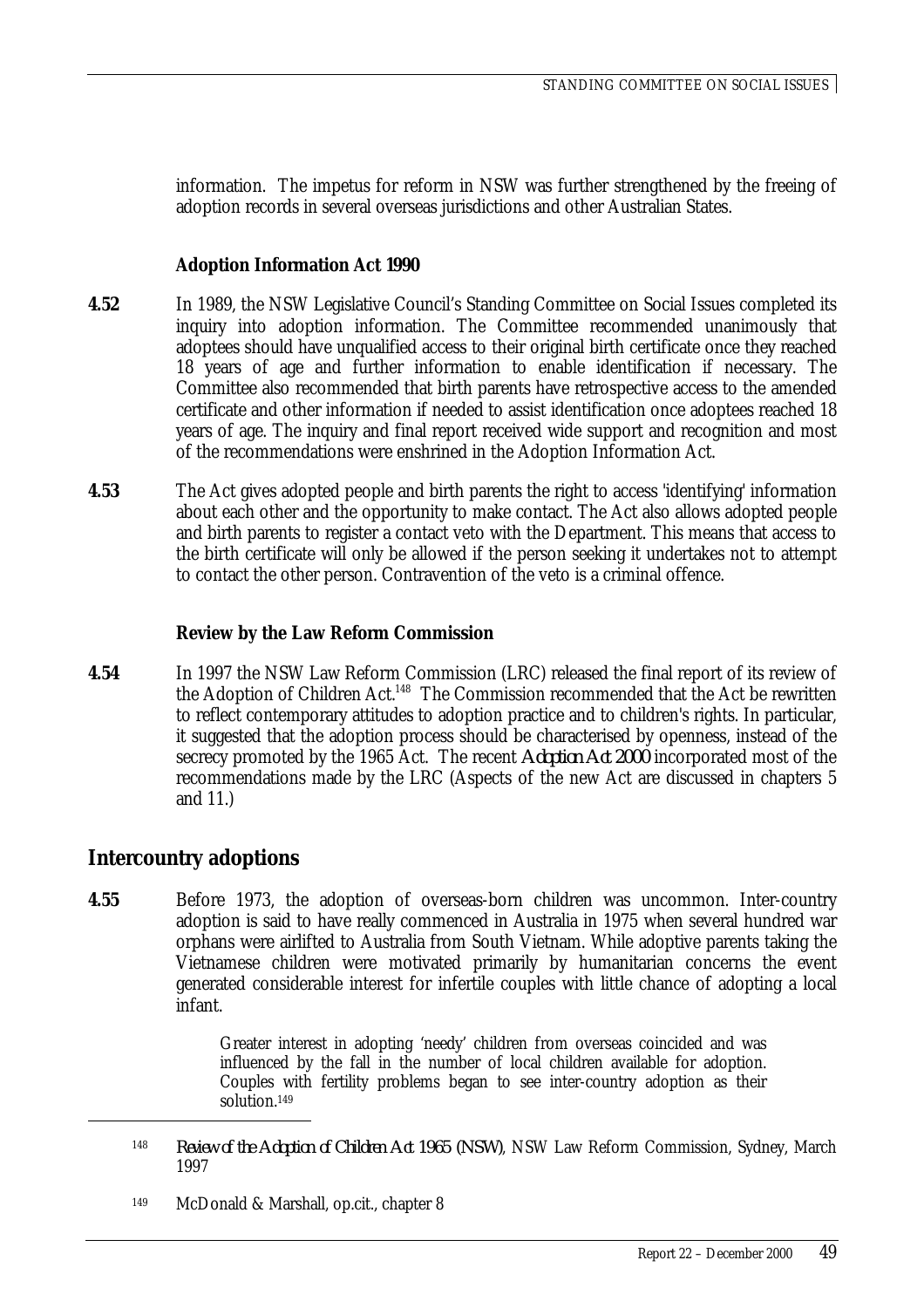information. The impetus for reform in NSW was further strengthened by the freeing of adoption records in several overseas jurisdictions and other Australian States.

#### *Adoption Information Act 1990*

- **4.52** In 1989, the NSW Legislative Council's Standing Committee on Social Issues completed its inquiry into adoption information. The Committee recommended unanimously that adoptees should have unqualified access to their original birth certificate once they reached 18 years of age and further information to enable identification if necessary. The Committee also recommended that birth parents have retrospective access to the amended certificate and other information if needed to assist identification once adoptees reached 18 years of age. The inquiry and final report received wide support and recognition and most of the recommendations were enshrined in the Adoption Information Act.
- **4.53** The Act gives adopted people and birth parents the right to access 'identifying' information about each other and the opportunity to make contact. The Act also allows adopted people and birth parents to register a contact veto with the Department. This means that access to the birth certificate will only be allowed if the person seeking it undertakes not to attempt to contact the other person. Contravention of the veto is a criminal offence.

#### **Review by the Law Reform Commission**

**4.54** In 1997 the NSW Law Reform Commission (LRC) released the final report of its review of the Adoption of Children Act.<sup>148</sup> The Commission recommended that the Act be rewritten to reflect contemporary attitudes to adoption practice and to children's rights. In particular, it suggested that the adoption process should be characterised by openness, instead of the secrecy promoted by the 1965 Act. The recent *Adoption Act 2000* incorporated most of the recommendations made by the LRC (Aspects of the new Act are discussed in chapters 5 and 11.)

## **Intercountry adoptions**

 $\overline{a}$ 

**4.55** Before 1973, the adoption of overseas-born children was uncommon. Inter-country adoption is said to have really commenced in Australia in 1975 when several hundred war orphans were airlifted to Australia from South Vietnam. While adoptive parents taking the Vietnamese children were motivated primarily by humanitarian concerns the event generated considerable interest for infertile couples with little chance of adopting a local infant.

> Greater interest in adopting 'needy' children from overseas coincided and was influenced by the fall in the number of local children available for adoption. Couples with fertility problems began to see inter-country adoption as their solution.<sup>149</sup>

<sup>149</sup> McDonald & Marshall, op.cit., chapter 8

<sup>148</sup> *Review of the Adoption of Children Act 1965 (NSW)*, NSW Law Reform Commission, Sydney, March 1997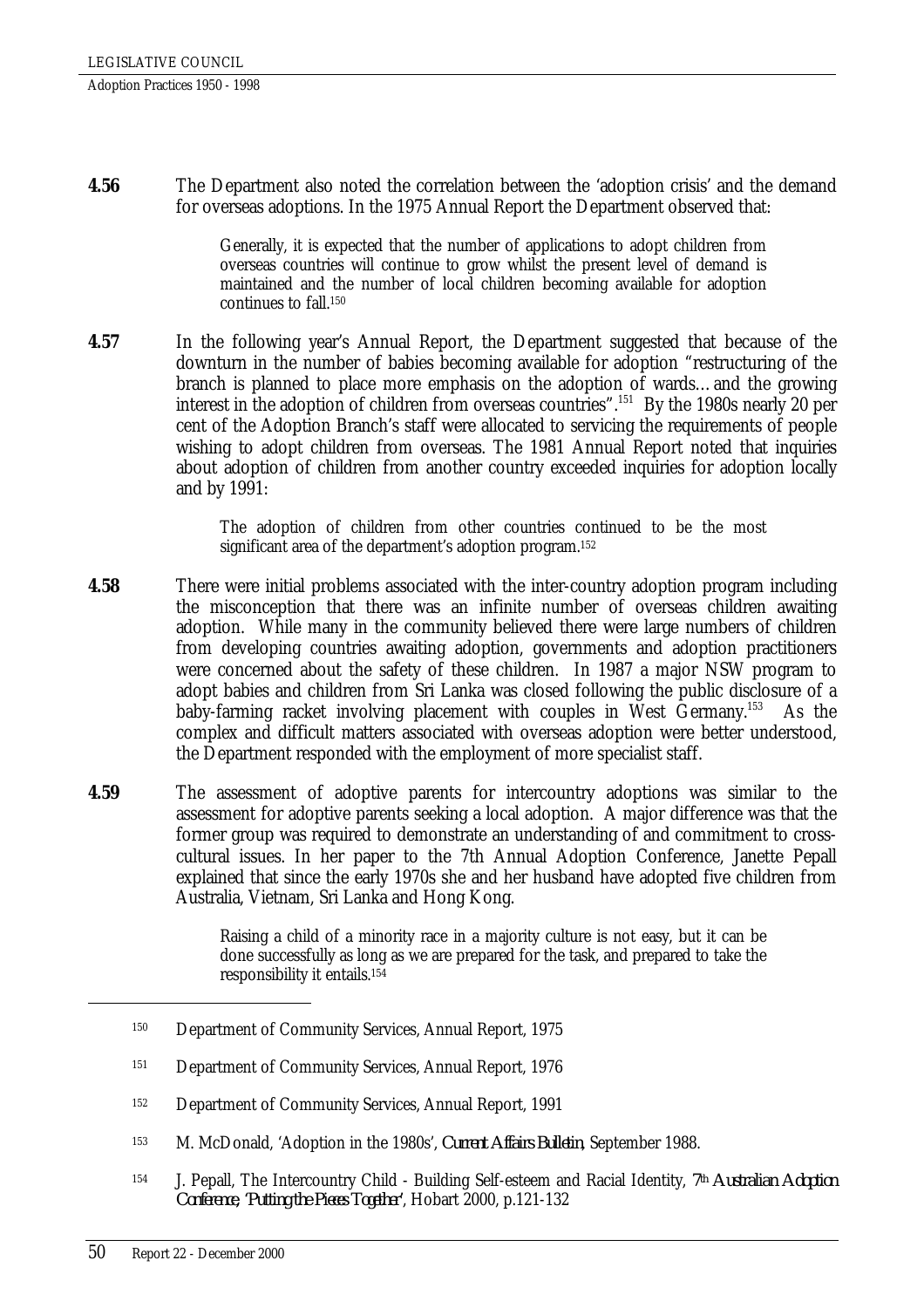**4.56** The Department also noted the correlation between the 'adoption crisis' and the demand for overseas adoptions. In the 1975 Annual Report the Department observed that:

> Generally, it is expected that the number of applications to adopt children from overseas countries will continue to grow whilst the present level of demand is maintained and the number of local children becoming available for adoption continues to fall.<sup>150</sup>

**4.57** In the following year's Annual Report, the Department suggested that because of the downturn in the number of babies becoming available for adoption "restructuring of the branch is planned to place more emphasis on the adoption of wards…and the growing interest in the adoption of children from overseas countries".<sup>151</sup> By the 1980s nearly 20 per cent of the Adoption Branch's staff were allocated to servicing the requirements of people wishing to adopt children from overseas. The 1981 Annual Report noted that inquiries about adoption of children from another country exceeded inquiries for adoption locally and by 1991:

> The adoption of children from other countries continued to be the most significant area of the department's adoption program.<sup>152</sup>

- **4.58** There were initial problems associated with the inter-country adoption program including the misconception that there was an infinite number of overseas children awaiting adoption. While many in the community believed there were large numbers of children from developing countries awaiting adoption, governments and adoption practitioners were concerned about the safety of these children. In 1987 a major NSW program to adopt babies and children from Sri Lanka was closed following the public disclosure of a baby-farming racket involving placement with couples in West Germany.<sup>153</sup> As the complex and difficult matters associated with overseas adoption were better understood, the Department responded with the employment of more specialist staff.
- **4.59** The assessment of adoptive parents for intercountry adoptions was similar to the assessment for adoptive parents seeking a local adoption. A major difference was that the former group was required to demonstrate an understanding of and commitment to crosscultural issues. In her paper to the 7th Annual Adoption Conference, Janette Pepall explained that since the early 1970s she and her husband have adopted five children from Australia, Vietnam, Sri Lanka and Hong Kong.

Raising a child of a minority race in a majority culture is not easy, but it can be done successfully as long as we are prepared for the task, and prepared to take the responsibility it entails.<sup>154</sup>

- <sup>150</sup> Department of Community Services, Annual Report, 1975
- <sup>151</sup> Department of Community Services, Annual Report, 1976
- <sup>152</sup> Department of Community Services, Annual Report, 1991
- <sup>153</sup> M. McDonald, 'Adoption in the 1980s', *Current Affairs Bulletin*, September 1988.
- <sup>154</sup> J. Pepall, The Intercountry Child Building Self-esteem and Racial Identity, *7th Australian Adoption Conference, 'Putting the Pieces Together'*, Hobart 2000, p.121-132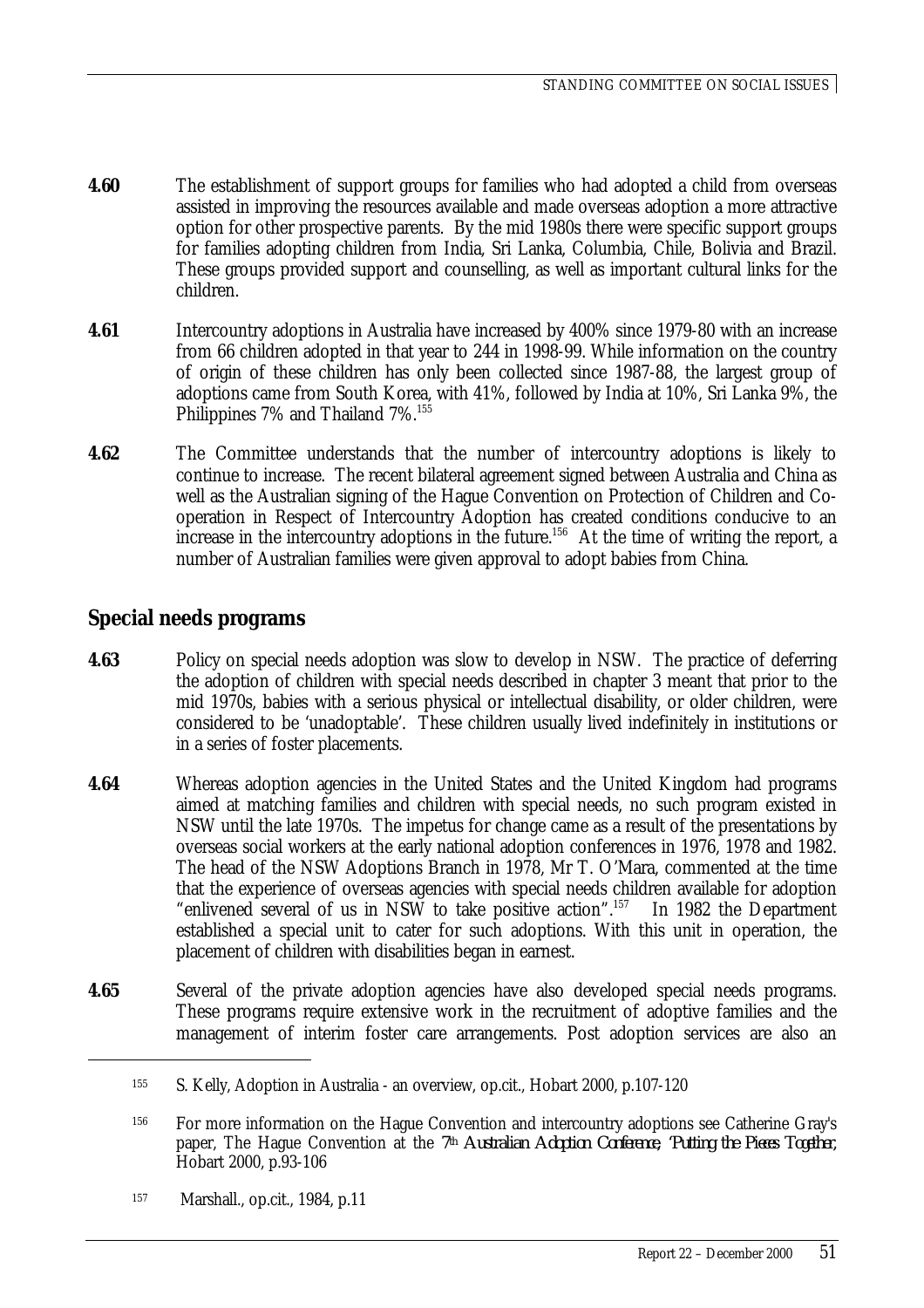- **4.60** The establishment of support groups for families who had adopted a child from overseas assisted in improving the resources available and made overseas adoption a more attractive option for other prospective parents. By the mid 1980s there were specific support groups for families adopting children from India, Sri Lanka, Columbia, Chile, Bolivia and Brazil. These groups provided support and counselling, as well as important cultural links for the children.
- **4.61** Intercountry adoptions in Australia have increased by 400% since 1979-80 with an increase from 66 children adopted in that year to 244 in 1998-99. While information on the country of origin of these children has only been collected since 1987-88, the largest group of adoptions came from South Korea, with 41%, followed by India at 10%, Sri Lanka 9%, the Philippines 7% and Thailand 7%.<sup>155</sup>
- **4.62** The Committee understands that the number of intercountry adoptions is likely to continue to increase. The recent bilateral agreement signed between Australia and China as well as the Australian signing of the Hague Convention on Protection of Children and Cooperation in Respect of Intercountry Adoption has created conditions conducive to an increase in the intercountry adoptions in the future.<sup>156</sup> At the time of writing the report, a number of Australian families were given approval to adopt babies from China.

## **Special needs programs**

- **4.63** Policy on special needs adoption was slow to develop in NSW. The practice of deferring the adoption of children with special needs described in chapter 3 meant that prior to the mid 1970s, babies with a serious physical or intellectual disability, or older children, were considered to be 'unadoptable'. These children usually lived indefinitely in institutions or in a series of foster placements.
- **4.64** Whereas adoption agencies in the United States and the United Kingdom had programs aimed at matching families and children with special needs, no such program existed in NSW until the late 1970s. The impetus for change came as a result of the presentations by overseas social workers at the early national adoption conferences in 1976, 1978 and 1982. The head of the NSW Adoptions Branch in 1978, Mr T. O'Mara, commented at the time that the experience of overseas agencies with special needs children available for adoption "enlivened several of us in NSW to take positive action".<sup>157</sup> In 1982 the Department established a special unit to cater for such adoptions. With this unit in operation, the placement of children with disabilities began in earnest.
- **4.65** Several of the private adoption agencies have also developed special needs programs. These programs require extensive work in the recruitment of adoptive families and the management of interim foster care arrangements. Post adoption services are also an

157 Marshall., op.cit., 1984, p.11

<sup>155</sup> S. Kelly, Adoption in Australia - an overview, op.cit., Hobart 2000, p.107-120

<sup>156</sup> For more information on the Hague Convention and intercountry adoptions see Catherine Gray's paper, The Hague Convention at the *7th Australian Adoption Conference, 'Putting the Pieces Together,* Hobart 2000, p.93-106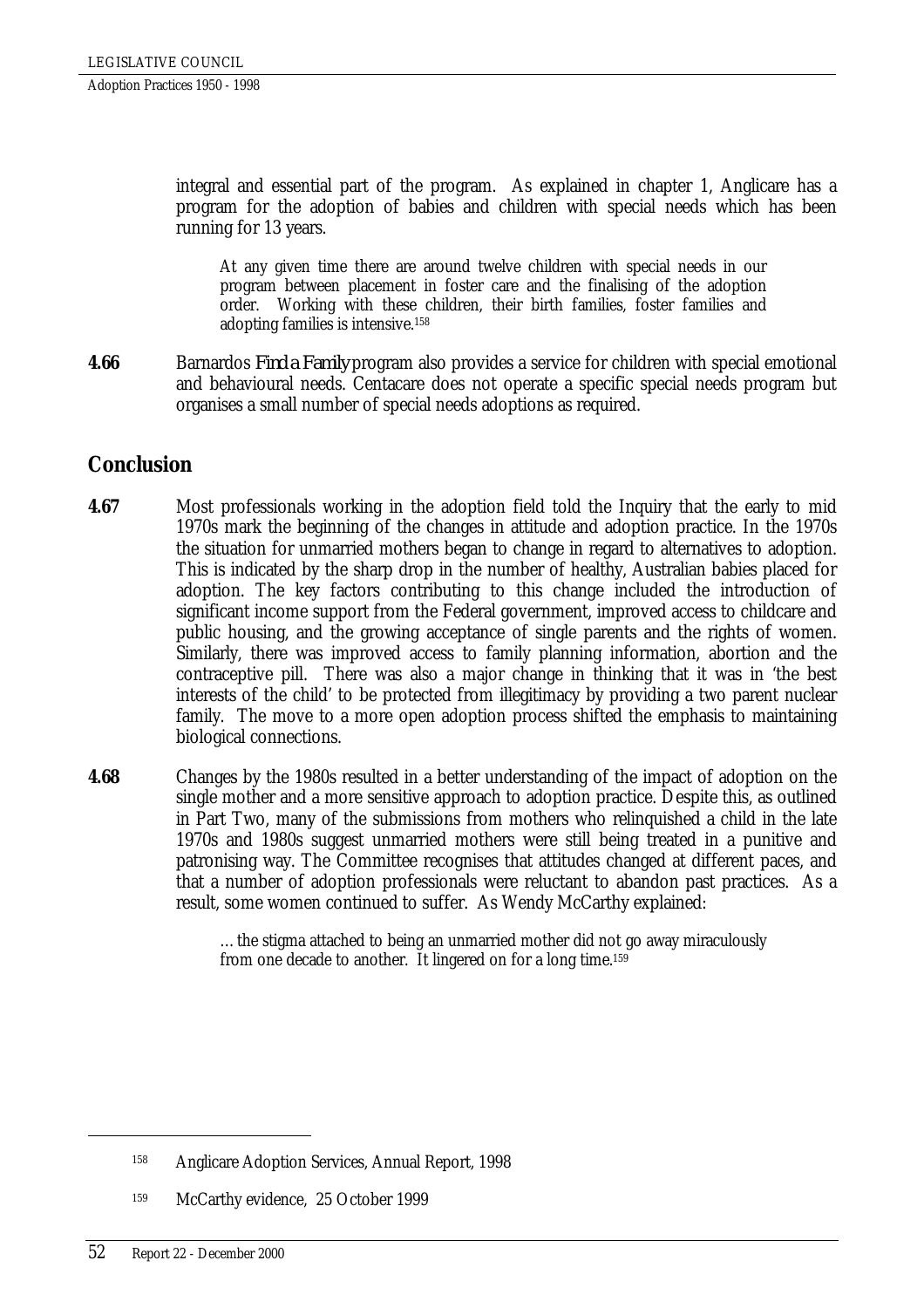integral and essential part of the program. As explained in chapter 1, Anglicare has a program for the adoption of babies and children with special needs which has been running for 13 years.

At any given time there are around twelve children with special needs in our program between placement in foster care and the finalising of the adoption order. Working with these children, their birth families, foster families and adopting families is intensive.<sup>158</sup>

**4.66** Barnardos *Find a Family* program also provides a service for children with special emotional and behavioural needs. Centacare does not operate a specific special needs program but organises a small number of special needs adoptions as required.

## **Conclusion**

- **4.67** Most professionals working in the adoption field told the Inquiry that the early to mid 1970s mark the beginning of the changes in attitude and adoption practice. In the 1970s the situation for unmarried mothers began to change in regard to alternatives to adoption. This is indicated by the sharp drop in the number of healthy, Australian babies placed for adoption. The key factors contributing to this change included the introduction of significant income support from the Federal government, improved access to childcare and public housing, and the growing acceptance of single parents and the rights of women. Similarly, there was improved access to family planning information, abortion and the contraceptive pill. There was also a major change in thinking that it was in 'the best interests of the child' to be protected from illegitimacy by providing a two parent nuclear family. The move to a more open adoption process shifted the emphasis to maintaining biological connections.
- **4.68** Changes by the 1980s resulted in a better understanding of the impact of adoption on the single mother and a more sensitive approach to adoption practice. Despite this, as outlined in Part Two, many of the submissions from mothers who relinquished a child in the late 1970s and 1980s suggest unmarried mothers were still being treated in a punitive and patronising way. The Committee recognises that attitudes changed at different paces, and that a number of adoption professionals were reluctant to abandon past practices. As a result, some women continued to suffer. As Wendy McCarthy explained:

…the stigma attached to being an unmarried mother did not go away miraculously from one decade to another. It lingered on for a long time.<sup>159</sup>

<sup>158</sup> Anglicare Adoption Services, Annual Report, 1998

<sup>159</sup> McCarthy evidence, 25 October 1999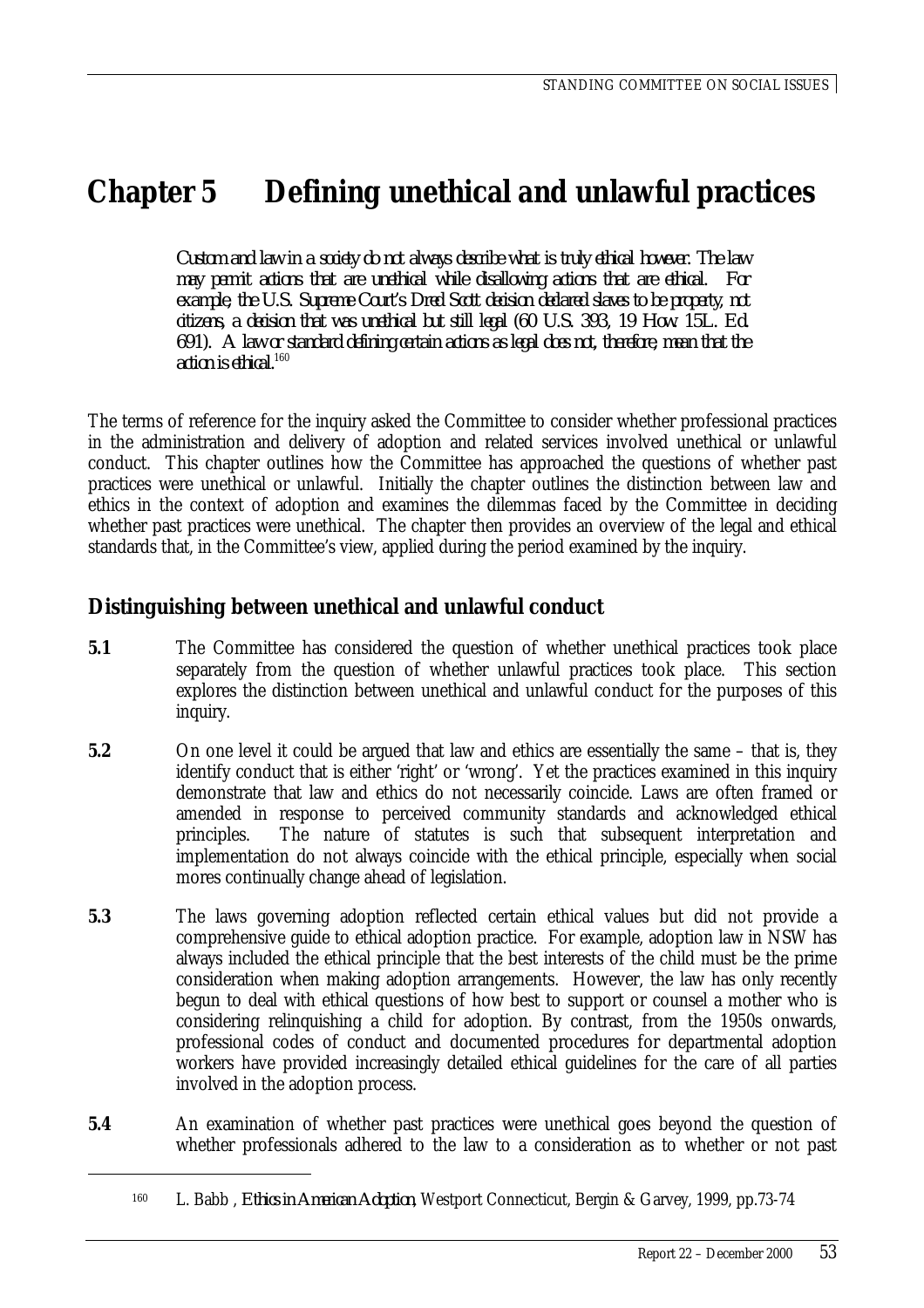## **Chapter 5 Defining unethical and unlawful practices**

*Custom and law in a society do not always describe what is truly ethical however. The law may permit actions that are unethical while disallowing actions that are ethical. For example, the U.S. Supreme Court's Dred Scott decision declared slaves to be property, not citizens, a decision that was unethical but still legal (60 U.S. 393, 19 How. 15L. Ed. 691). A law or standard defining certain actions as legal does not, therefore, mean that the action is ethical*<sup>160</sup>

The terms of reference for the inquiry asked the Committee to consider whether professional practices in the administration and delivery of adoption and related services involved unethical or unlawful conduct. This chapter outlines how the Committee has approached the questions of whether past practices were unethical or unlawful. Initially the chapter outlines the distinction between law and ethics in the context of adoption and examines the dilemmas faced by the Committee in deciding whether past practices were unethical. The chapter then provides an overview of the legal and ethical standards that, in the Committee's view, applied during the period examined by the inquiry.

#### **Distinguishing between unethical and unlawful conduct**

- **5.1** The Committee has considered the question of whether unethical practices took place separately from the question of whether unlawful practices took place. This section explores the distinction between unethical and unlawful conduct for the purposes of this inquiry.
- **5.2** On one level it could be argued that law and ethics are essentially the same that is, they identify conduct that is either 'right' or 'wrong'. Yet the practices examined in this inquiry demonstrate that law and ethics do not necessarily coincide. Laws are often framed or amended in response to perceived community standards and acknowledged ethical principles. The nature of statutes is such that subsequent interpretation and implementation do not always coincide with the ethical principle, especially when social mores continually change ahead of legislation.
- **5.3** The laws governing adoption reflected certain ethical values but did not provide a comprehensive guide to ethical adoption practice. For example, adoption law in NSW has always included the ethical principle that the best interests of the child must be the prime consideration when making adoption arrangements. However, the law has only recently begun to deal with ethical questions of how best to support or counsel a mother who is considering relinquishing a child for adoption. By contrast, from the 1950s onwards, professional codes of conduct and documented procedures for departmental adoption workers have provided increasingly detailed ethical guidelines for the care of all parties involved in the adoption process.
- **5.4** An examination of whether past practices were unethical goes beyond the question of whether professionals adhered to the law to a consideration as to whether or not past

<sup>160</sup> L. Babb , *Ethics in American Adoption*, Westport Connecticut, Bergin & Garvey, 1999, pp.73-74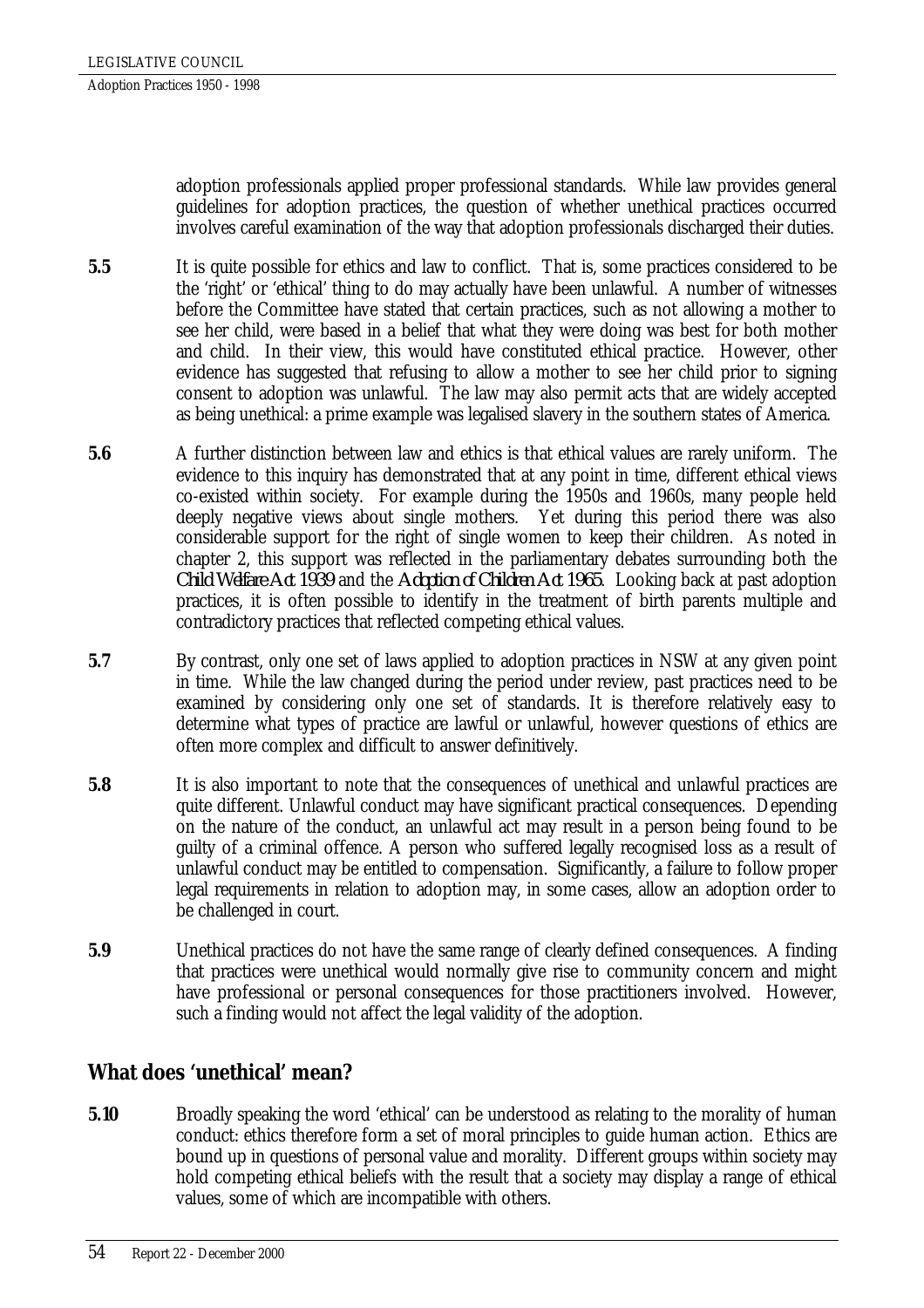adoption professionals applied proper professional standards. While law provides general guidelines for adoption practices, the question of whether unethical practices occurred involves careful examination of the way that adoption professionals discharged their duties.

- **5.5** It is quite possible for ethics and law to conflict. That is, some practices considered to be the 'right' or 'ethical' thing to do may actually have been unlawful. A number of witnesses before the Committee have stated that certain practices, such as not allowing a mother to see her child, were based in a belief that what they were doing was best for both mother and child. In their view, this would have constituted ethical practice. However, other evidence has suggested that refusing to allow a mother to see her child prior to signing consent to adoption was unlawful. The law may also permit acts that are widely accepted as being unethical: a prime example was legalised slavery in the southern states of America.
- **5.6** A further distinction between law and ethics is that ethical values are rarely uniform. The evidence to this inquiry has demonstrated that at any point in time, different ethical views co-existed within society. For example during the 1950s and 1960s, many people held deeply negative views about single mothers. Yet during this period there was also considerable support for the right of single women to keep their children. As noted in chapter 2, this support was reflected in the parliamentary debates surrounding both the *Child Welfare Act 1939* and the *Adoption of Children Act 1965*. Looking back at past adoption practices, it is often possible to identify in the treatment of birth parents multiple and contradictory practices that reflected competing ethical values.
- **5.7** By contrast, only one set of laws applied to adoption practices in NSW at any given point in time. While the law changed during the period under review, past practices need to be examined by considering only one set of standards. It is therefore relatively easy to determine what types of practice are lawful or unlawful, however questions of ethics are often more complex and difficult to answer definitively.
- **5.8** It is also important to note that the consequences of unethical and unlawful practices are quite different. Unlawful conduct may have significant practical consequences. Depending on the nature of the conduct, an unlawful act may result in a person being found to be guilty of a criminal offence. A person who suffered legally recognised loss as a result of unlawful conduct may be entitled to compensation. Significantly, a failure to follow proper legal requirements in relation to adoption may, in some cases, allow an adoption order to be challenged in court.
- **5.9** Unethical practices do not have the same range of clearly defined consequences. A finding that practices were unethical would normally give rise to community concern and might have professional or personal consequences for those practitioners involved. However, such a finding would not affect the legal validity of the adoption.

## **What does 'unethical' mean?**

**5.10** Broadly speaking the word 'ethical' can be understood as relating to the morality of human conduct: ethics therefore form a set of moral principles to guide human action. Ethics are bound up in questions of personal value and morality. Different groups within society may hold competing ethical beliefs with the result that a society may display a range of ethical values, some of which are incompatible with others.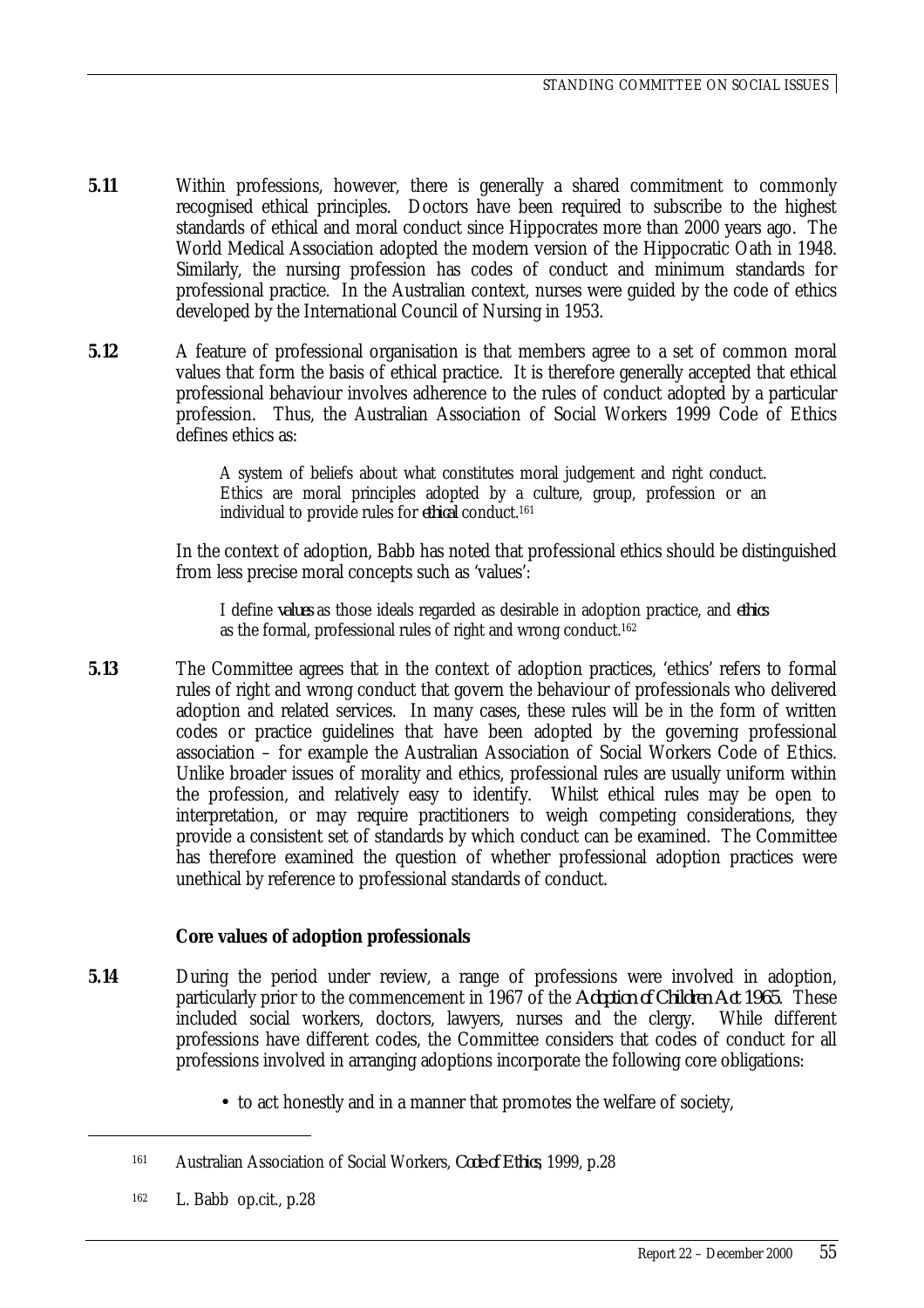- **5.11** Within professions, however, there is generally a shared commitment to commonly recognised ethical principles. Doctors have been required to subscribe to the highest standards of ethical and moral conduct since Hippocrates more than 2000 years ago. The World Medical Association adopted the modern version of the Hippocratic Oath in 1948. Similarly, the nursing profession has codes of conduct and minimum standards for professional practice. In the Australian context, nurses were guided by the code of ethics developed by the International Council of Nursing in 1953.
- **5.12** A feature of professional organisation is that members agree to a set of common moral values that form the basis of ethical practice. It is therefore generally accepted that ethical professional behaviour involves adherence to the rules of conduct adopted by a particular profession. Thus, the Australian Association of Social Workers 1999 Code of Ethics defines ethics as:

A system of beliefs about what constitutes moral judgement and right conduct. Ethics are moral principles adopted by a culture, group, profession or an individual to provide rules for *ethical* conduct.<sup>161</sup>

In the context of adoption, Babb has noted that professional ethics should be distinguished from less precise moral concepts such as 'values':

I define *values* as those ideals regarded as desirable in adoption practice, and *ethics* as the formal, professional rules of right and wrong conduct.<sup>162</sup>

**5.13** The Committee agrees that in the context of adoption practices, 'ethics' refers to formal rules of right and wrong conduct that govern the behaviour of professionals who delivered adoption and related services. In many cases, these rules will be in the form of written codes or practice guidelines that have been adopted by the governing professional association – for example the Australian Association of Social Workers Code of Ethics. Unlike broader issues of morality and ethics, professional rules are usually uniform within the profession, and relatively easy to identify. Whilst ethical rules may be open to interpretation, or may require practitioners to weigh competing considerations, they provide a consistent set of standards by which conduct can be examined. The Committee has therefore examined the question of whether professional adoption practices were unethical by reference to professional standards of conduct.

#### **Core values of adoption professionals**

- **5.14** During the period under review, a range of professions were involved in adoption, particularly prior to the commencement in 1967 of the *Adoption of Children Act 1965*. These included social workers, doctors, lawyers, nurses and the clergy. While different professions have different codes, the Committee considers that codes of conduct for all professions involved in arranging adoptions incorporate the following core obligations:
	- to act honestly and in a manner that promotes the welfare of society,

<sup>161</sup> Australian Association of Social Workers, *Code of Ethics*, 1999, p.28

<sup>162</sup> L. Babb op.cit., p.28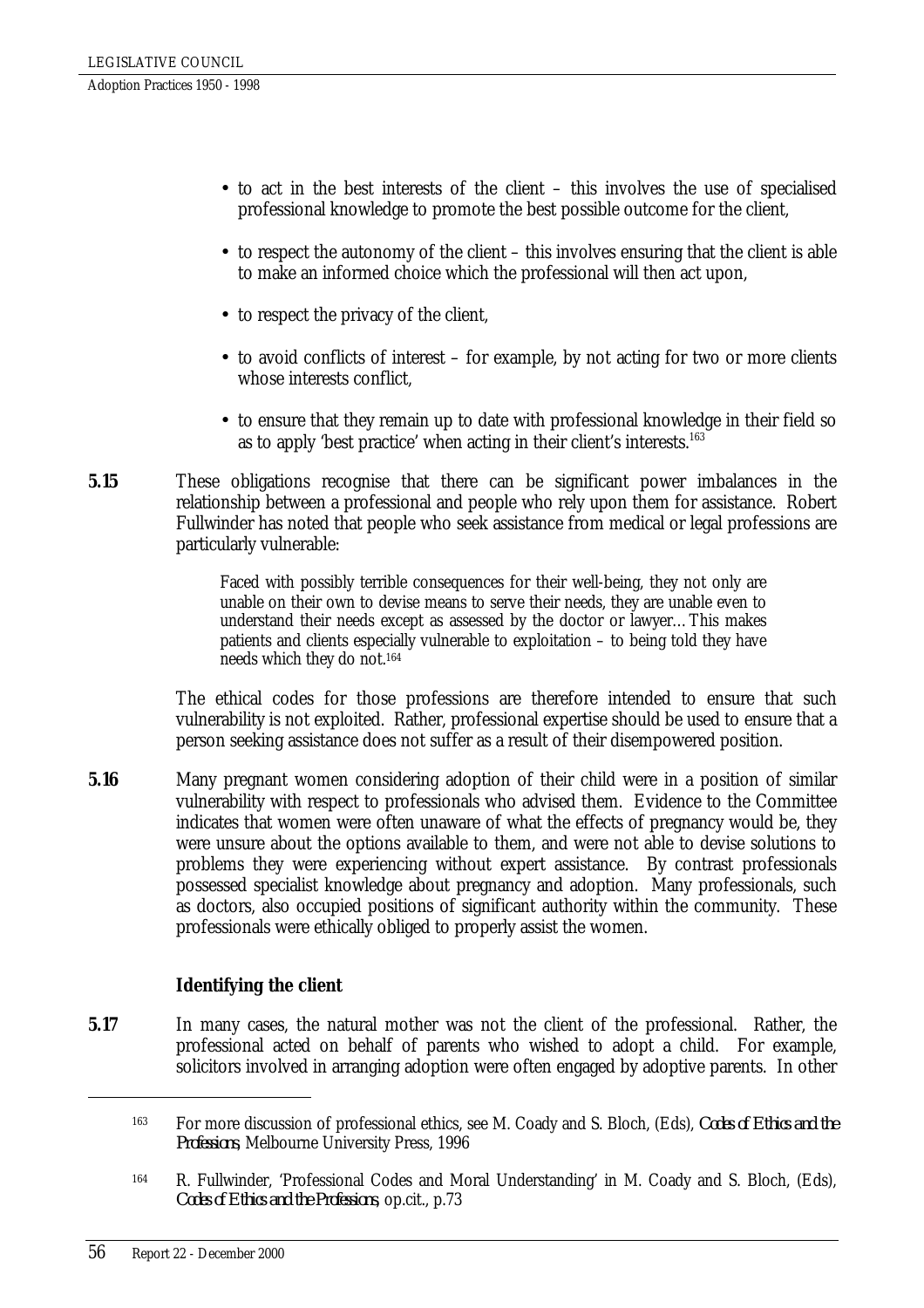- to act in the best interests of the client this involves the use of specialised professional knowledge to promote the best possible outcome for the client,
- to respect the autonomy of the client this involves ensuring that the client is able to make an informed choice which the professional will then act upon,
- to respect the privacy of the client,
- to avoid conflicts of interest for example, by not acting for two or more clients whose interests conflict,
- to ensure that they remain up to date with professional knowledge in their field so as to apply 'best practice' when acting in their client's interests.<sup>163</sup>
- **5.15** These obligations recognise that there can be significant power imbalances in the relationship between a professional and people who rely upon them for assistance. Robert Fullwinder has noted that people who seek assistance from medical or legal professions are particularly vulnerable:

Faced with possibly terrible consequences for their well-being, they not only are unable on their own to devise means to serve their needs, they are unable even to understand their needs except as assessed by the doctor or lawyer…This makes patients and clients especially vulnerable to exploitation – to being told they have needs which they do not.<sup>164</sup>

The ethical codes for those professions are therefore intended to ensure that such vulnerability is not exploited. Rather, professional expertise should be used to ensure that a person seeking assistance does not suffer as a result of their disempowered position.

**5.16** Many pregnant women considering adoption of their child were in a position of similar vulnerability with respect to professionals who advised them. Evidence to the Committee indicates that women were often unaware of what the effects of pregnancy would be, they were unsure about the options available to them, and were not able to devise solutions to problems they were experiencing without expert assistance. By contrast professionals possessed specialist knowledge about pregnancy and adoption. Many professionals, such as doctors, also occupied positions of significant authority within the community. These professionals were ethically obliged to properly assist the women.

## **Identifying the client**

**5.17** In many cases, the natural mother was not the client of the professional. Rather, the professional acted on behalf of parents who wished to adopt a child. For example, solicitors involved in arranging adoption were often engaged by adoptive parents. In other

<sup>164</sup> R. Fullwinder, 'Professional Codes and Moral Understanding' in M. Coady and S. Bloch, (Eds), *Codes of Ethics and the Professions*, op.cit., p.73

<sup>163</sup> For more discussion of professional ethics, see M. Coady and S. Bloch, (Eds), *Codes of Ethics and the Professions*, Melbourne University Press, 1996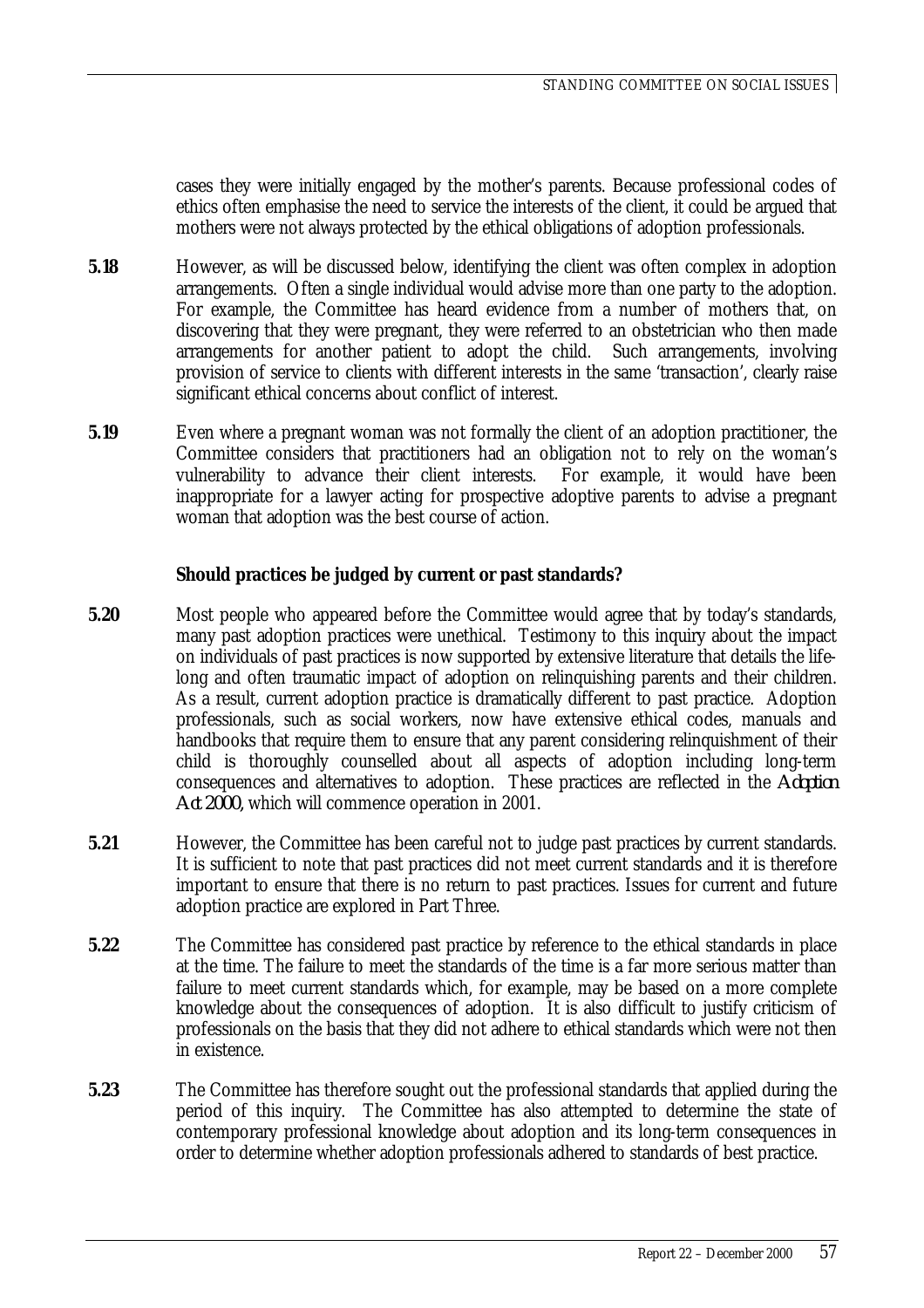cases they were initially engaged by the mother's parents. Because professional codes of ethics often emphasise the need to service the interests of the client, it could be argued that mothers were not always protected by the ethical obligations of adoption professionals.

- **5.18** However, as will be discussed below, identifying the client was often complex in adoption arrangements. Often a single individual would advise more than one party to the adoption. For example, the Committee has heard evidence from a number of mothers that, on discovering that they were pregnant, they were referred to an obstetrician who then made arrangements for another patient to adopt the child. Such arrangements, involving provision of service to clients with different interests in the same 'transaction', clearly raise significant ethical concerns about conflict of interest.
- **5.19** Even where a pregnant woman was not formally the client of an adoption practitioner, the Committee considers that practitioners had an obligation not to rely on the woman's vulnerability to advance their client interests. For example, it would have been inappropriate for a lawyer acting for prospective adoptive parents to advise a pregnant woman that adoption was the best course of action.

#### **Should practices be judged by current or past standards?**

- **5.20** Most people who appeared before the Committee would agree that by today's standards, many past adoption practices were unethical. Testimony to this inquiry about the impact on individuals of past practices is now supported by extensive literature that details the lifelong and often traumatic impact of adoption on relinquishing parents and their children. As a result, current adoption practice is dramatically different to past practice. Adoption professionals, such as social workers, now have extensive ethical codes, manuals and handbooks that require them to ensure that any parent considering relinquishment of their child is thoroughly counselled about all aspects of adoption including long-term consequences and alternatives to adoption. These practices are reflected in the *Adoption Act 2000,* which will commence operation in 2001.
- **5.21** However, the Committee has been careful not to judge past practices by current standards. It is sufficient to note that past practices did not meet current standards and it is therefore important to ensure that there is no return to past practices. Issues for current and future adoption practice are explored in Part Three.
- **5.22** The Committee has considered past practice by reference to the ethical standards in place at the time. The failure to meet the standards of the time is a far more serious matter than failure to meet current standards which, for example, may be based on a more complete knowledge about the consequences of adoption. It is also difficult to justify criticism of professionals on the basis that they did not adhere to ethical standards which were not then in existence.
- **5.23** The Committee has therefore sought out the professional standards that applied during the period of this inquiry. The Committee has also attempted to determine the state of contemporary professional knowledge about adoption and its long-term consequences in order to determine whether adoption professionals adhered to standards of best practice.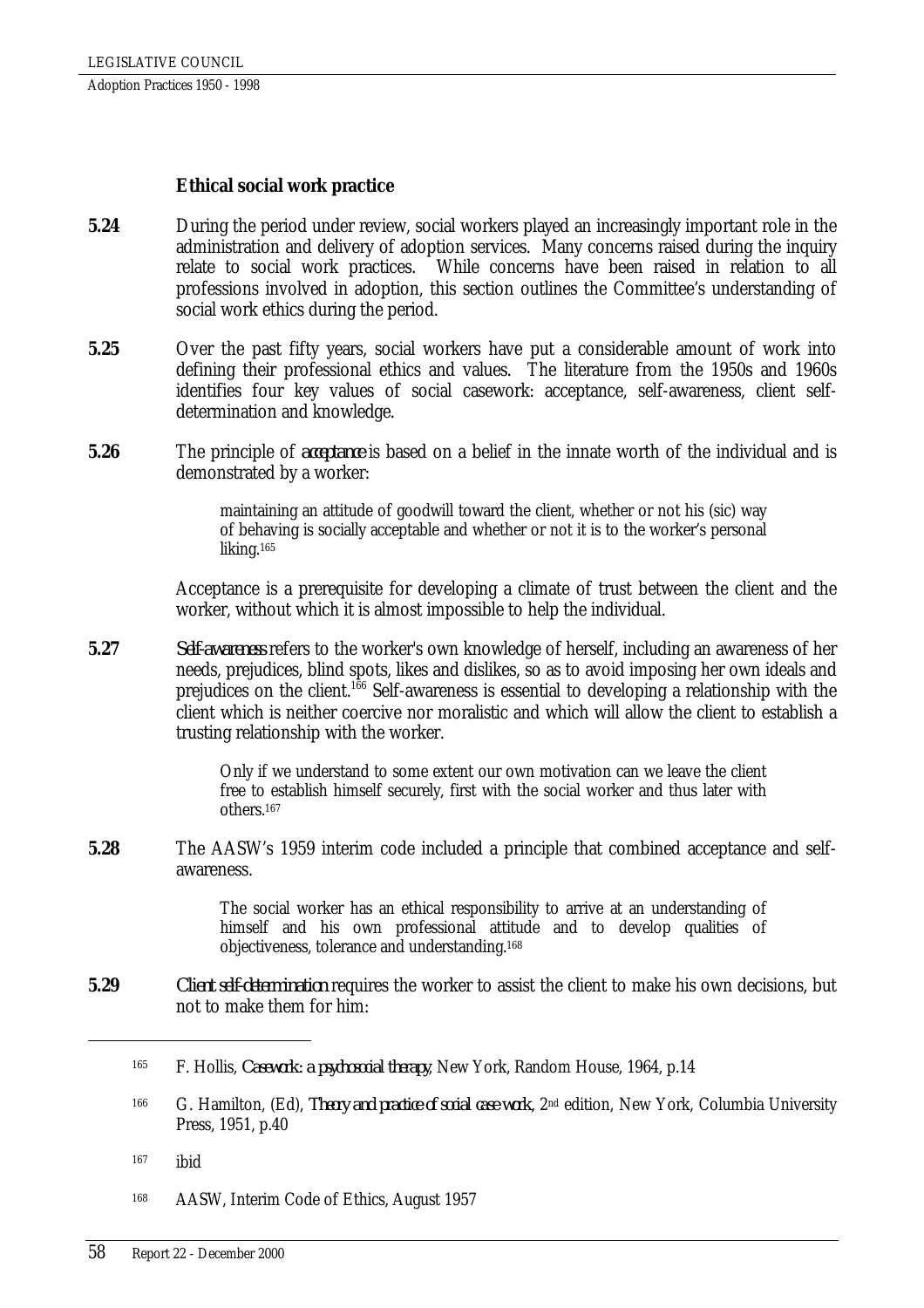### **Ethical social work practice**

- **5.24** During the period under review, social workers played an increasingly important role in the administration and delivery of adoption services. Many concerns raised during the inquiry relate to social work practices. While concerns have been raised in relation to all professions involved in adoption, this section outlines the Committee's understanding of social work ethics during the period.
- **5.25** Over the past fifty years, social workers have put a considerable amount of work into defining their professional ethics and values. The literature from the 1950s and 1960s identifies four key values of social casework: acceptance, self-awareness, client selfdetermination and knowledge.
- **5.26** The principle of *acceptance* is based on a belief in the innate worth of the individual and is demonstrated by a worker:

maintaining an attitude of goodwill toward the client, whether or not his (sic) way of behaving is socially acceptable and whether or not it is to the worker's personal liking.<sup>165</sup>

Acceptance is a prerequisite for developing a climate of trust between the client and the worker, without which it is almost impossible to help the individual.

**5.27** *Self-awareness* refers to the worker's own knowledge of herself, including an awareness of her needs, prejudices, blind spots, likes and dislikes, so as to avoid imposing her own ideals and prejudices on the client.<sup>166</sup> Self-awareness is essential to developing a relationship with the client which is neither coercive nor moralistic and which will allow the client to establish a trusting relationship with the worker.

> Only if we understand to some extent our own motivation can we leave the client free to establish himself securely, first with the social worker and thus later with others.<sup>167</sup>

**5.28** The AASW's 1959 interim code included a principle that combined acceptance and selfawareness.

> The social worker has an ethical responsibility to arrive at an understanding of himself and his own professional attitude and to develop qualities of objectiveness, tolerance and understanding.<sup>168</sup>

**5.29** *Client self-determination* requires the worker to assist the client to make his own decisions, but not to make them for him:

- <sup>166</sup> G. Hamilton, (Ed), *Theory and practice of social case work*, 2nd edition, New York, Columbia University Press, 1951, p.40
- <sup>167</sup> ibid

 $\overline{a}$ 

<sup>168</sup> AASW, Interim Code of Ethics, August 1957

<sup>165</sup> F. Hollis, *Casework: a psychosocial therapy*, New York, Random House, 1964, p.14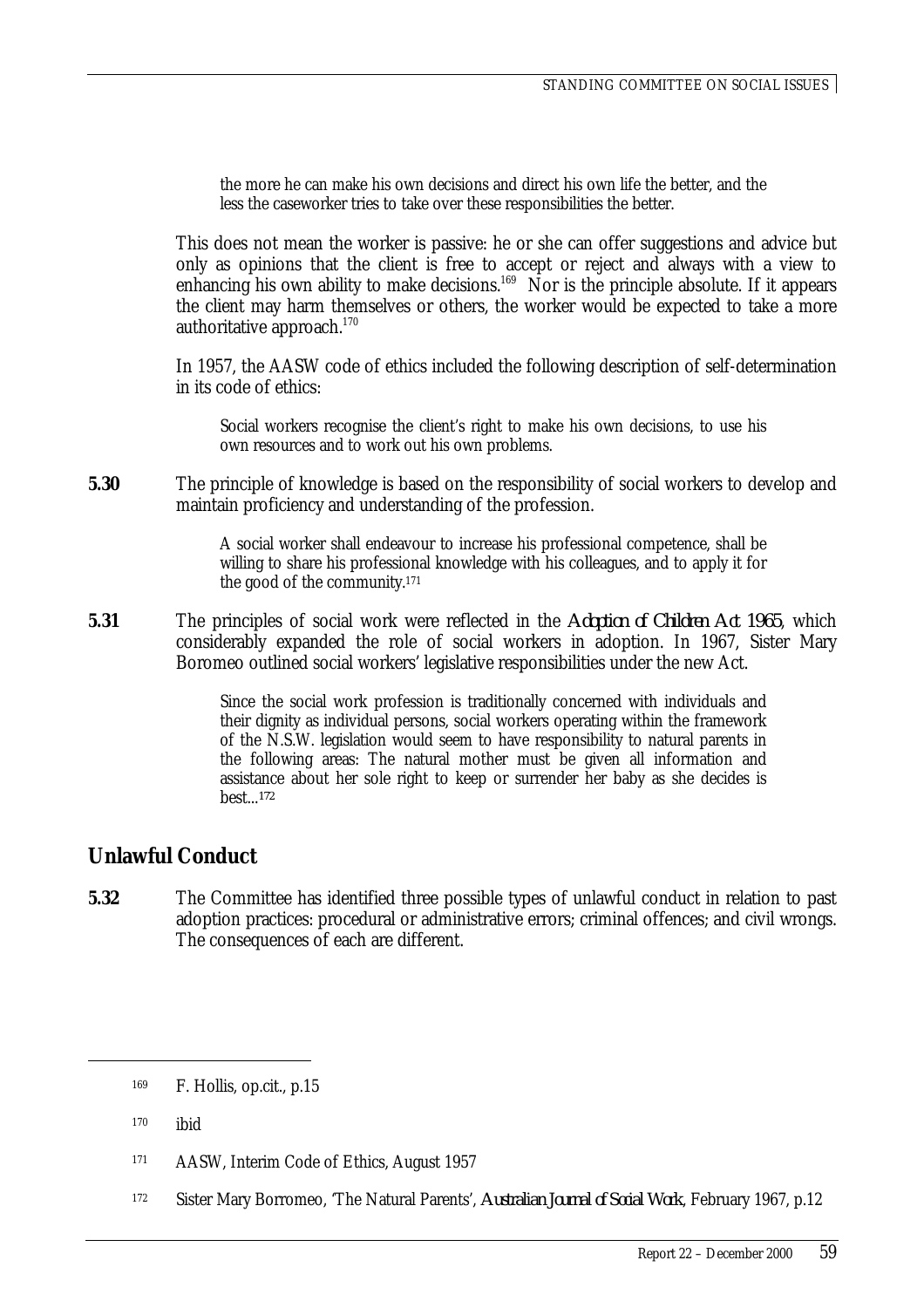the more he can make his own decisions and direct his own life the better, and the less the caseworker tries to take over these responsibilities the better.

This does not mean the worker is passive: he or she can offer suggestions and advice but only as opinions that the client is free to accept or reject and always with a view to enhancing his own ability to make decisions.<sup>169</sup> Nor is the principle absolute. If it appears the client may harm themselves or others, the worker would be expected to take a more authoritative approach. $170$ 

In 1957, the AASW code of ethics included the following description of self-determination in its code of ethics:

Social workers recognise the client's right to make his own decisions, to use his own resources and to work out his own problems.

**5.30** The principle of knowledge is based on the responsibility of social workers to develop and maintain proficiency and understanding of the profession.

> A social worker shall endeavour to increase his professional competence, shall be willing to share his professional knowledge with his colleagues, and to apply it for the good of the community.<sup>171</sup>

**5.31** The principles of social work were reflected in the *Adoption of Children Act 1965*, which considerably expanded the role of social workers in adoption. In 1967, Sister Mary Boromeo outlined social workers' legislative responsibilities under the new Act.

> Since the social work profession is traditionally concerned with individuals and their dignity as individual persons, social workers operating within the framework of the N.S.W. legislation would seem to have responsibility to natural parents in the following areas: The natural mother must be given all information and assistance about her sole right to keep or surrender her baby as she decides is best...*<sup>172</sup>*

## **Unlawful Conduct**

**5.32** The Committee has identified three possible types of unlawful conduct in relation to past adoption practices: procedural or administrative errors; criminal offences; and civil wrongs. The consequences of each are different.

<sup>170</sup> ibid

- <sup>171</sup> AASW, Interim Code of Ethics, August 1957
- <sup>172</sup> Sister Mary Borromeo, 'The Natural Parents', *Australian Journal of Social Work*, February 1967, p.12

<sup>169</sup> F. Hollis, op.cit., p.15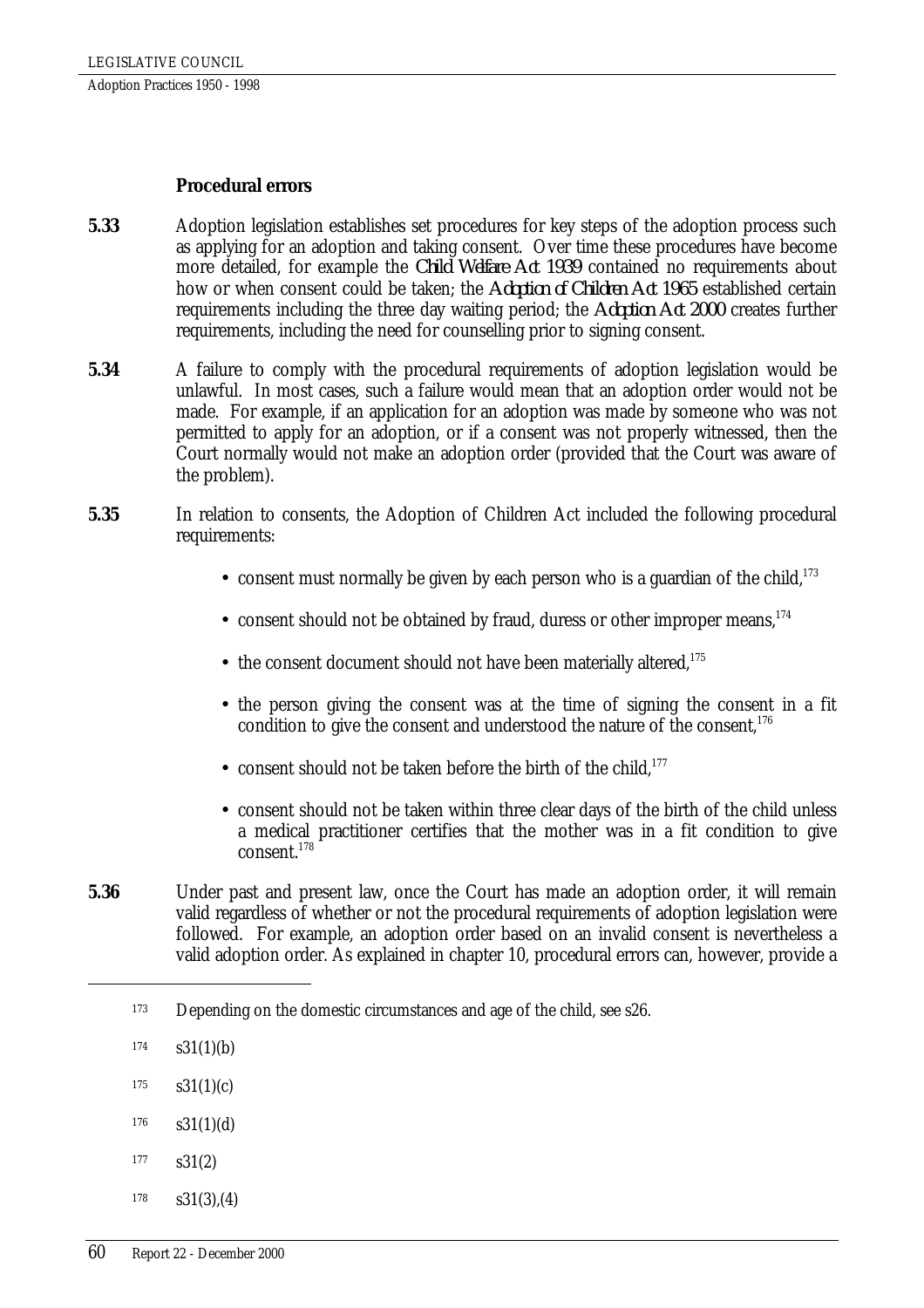#### **Procedural errors**

- **5.33** Adoption legislation establishes set procedures for key steps of the adoption process such as applying for an adoption and taking consent. Over time these procedures have become more detailed, for example the *Child Welfare Act 1939* contained no requirements about how or when consent could be taken; the *Adoption of Children Act 1965* established certain requirements including the three day waiting period; the *Adoption Act 2000* creates further requirements, including the need for counselling prior to signing consent.
- **5.34** A failure to comply with the procedural requirements of adoption legislation would be unlawful. In most cases, such a failure would mean that an adoption order would not be made. For example, if an application for an adoption was made by someone who was not permitted to apply for an adoption, or if a consent was not properly witnessed, then the Court normally would not make an adoption order (provided that the Court was aware of the problem).
- **5.35** In relation to consents, the Adoption of Children Act included the following procedural requirements:
	- consent must normally be given by each person who is a guardian of the child, $173$
	- consent should not be obtained by fraud, duress or other improper means,  $174$
	- $\bullet$  the consent document should not have been materially altered.<sup>175</sup>
	- the person giving the consent was at the time of signing the consent in a fit condition to give the consent and understood the nature of the consent,  $176$
	- consent should not be taken before the birth of the child, $177$
	- consent should not be taken within three clear days of the birth of the child unless a medical practitioner certifies that the mother was in a fit condition to give  $const$ <sup>178</sup>
- **5.36** Under past and present law, once the Court has made an adoption order, it will remain valid regardless of whether or not the procedural requirements of adoption legislation were followed. For example, an adoption order based on an invalid consent is nevertheless a valid adoption order. As explained in chapter 10, procedural errors can, however, provide a

 $174$   $s31(1)(b)$ 

- $175$   $s31(1)(c)$
- $176$  s31(1)(d)
- $177$   $s31(2)$
- $178$   $S31(3),(4)$

<sup>173</sup> Depending on the domestic circumstances and age of the child, see s26.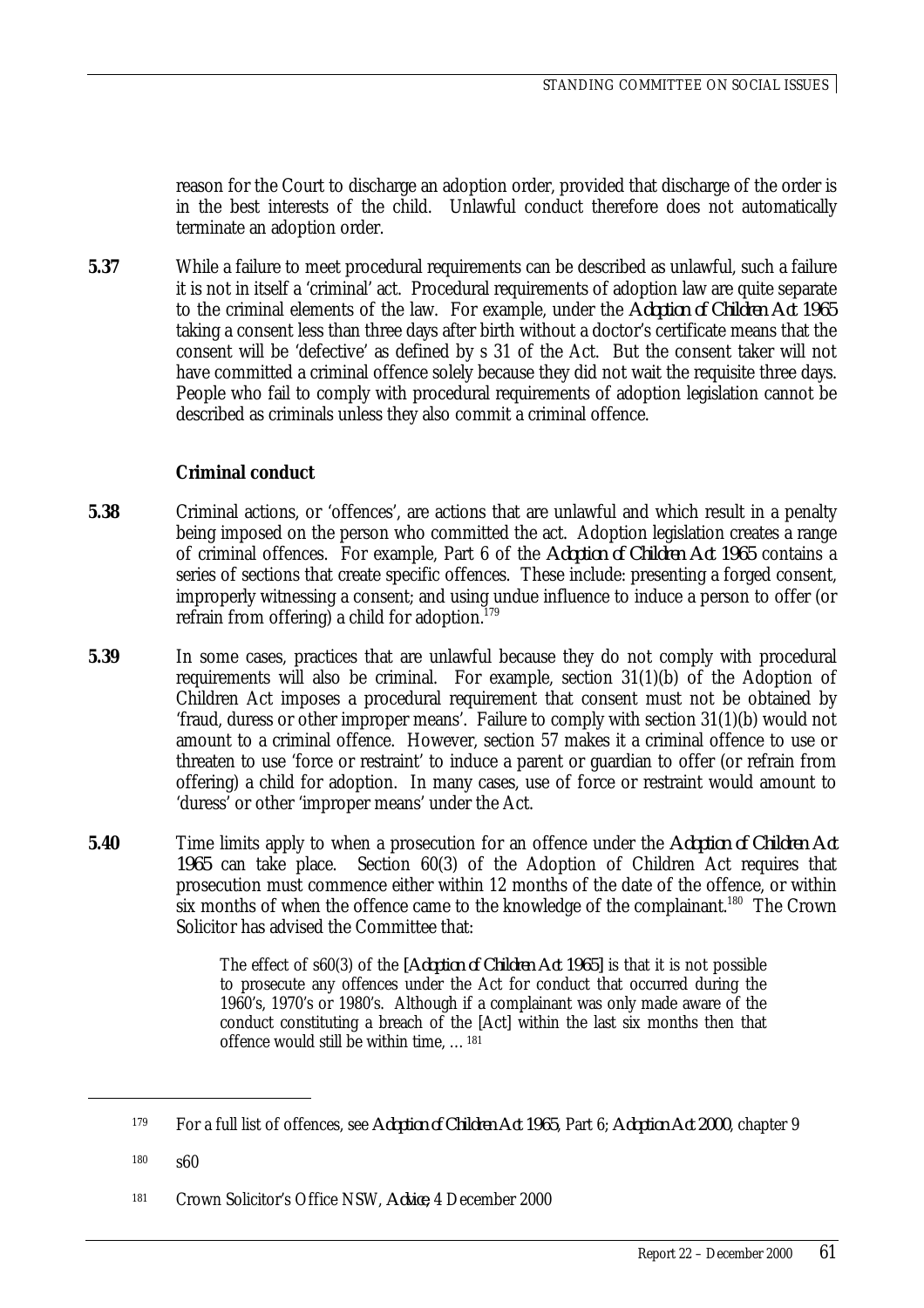reason for the Court to discharge an adoption order, provided that discharge of the order is in the best interests of the child. Unlawful conduct therefore does not automatically terminate an adoption order.

**5.37** While a failure to meet procedural requirements can be described as unlawful, such a failure it is not in itself a 'criminal' act. Procedural requirements of adoption law are quite separate to the criminal elements of the law. For example, under the *Adoption of Children Act 1965* taking a consent less than three days after birth without a doctor's certificate means that the consent will be 'defective' as defined by s 31 of the Act. But the consent taker will not have committed a criminal offence solely because they did not wait the requisite three days. People who fail to comply with procedural requirements of adoption legislation cannot be described as criminals unless they also commit a criminal offence.

#### **Criminal conduct**

- **5.38** Criminal actions, or 'offences', are actions that are unlawful and which result in a penalty being imposed on the person who committed the act. Adoption legislation creates a range of criminal offences. For example, Part 6 of the *Adoption of Children Act 1965* contains a series of sections that create specific offences. These include: presenting a forged consent, improperly witnessing a consent; and using undue influence to induce a person to offer (or refrain from offering) a child for adoption.<sup>179</sup>
- **5.39** In some cases, practices that are unlawful because they do not comply with procedural requirements will also be criminal. For example, section 31(1)(b) of the Adoption of Children Act imposes a procedural requirement that consent must not be obtained by 'fraud, duress or other improper means'. Failure to comply with section 31(1)(b) would not amount to a criminal offence. However, section 57 makes it a criminal offence to use or threaten to use 'force or restraint' to induce a parent or guardian to offer (or refrain from offering) a child for adoption. In many cases, use of force or restraint would amount to 'duress' or other 'improper means' under the Act.
- **5.40** Time limits apply to when a prosecution for an offence under the *Adoption of Children Act 1965* can take place. Section 60(3) of the Adoption of Children Act requires that prosecution must commence either within 12 months of the date of the offence, or within six months of when the offence came to the knowledge of the complainant.<sup>180</sup> The Crown Solicitor has advised the Committee that:

The effect of s60(3) of the *[Adoption of Children Act 1965]* is that it is not possible to prosecute any offences under the Act for conduct that occurred during the 1960's, 1970's or 1980's. Although if a complainant was only made aware of the conduct constituting a breach of the [Act] within the last six months then that offence would still be within time, …<sup>181</sup>

<sup>180</sup> s60

 $\overline{a}$ 

<sup>181</sup> Crown Solicitor's Office NSW, *Advice*, 4 December 2000

<sup>179</sup> For a full list of offences, see *Adoption of Children Act 1965*, Part 6; *Adoption Act 2000*, chapter 9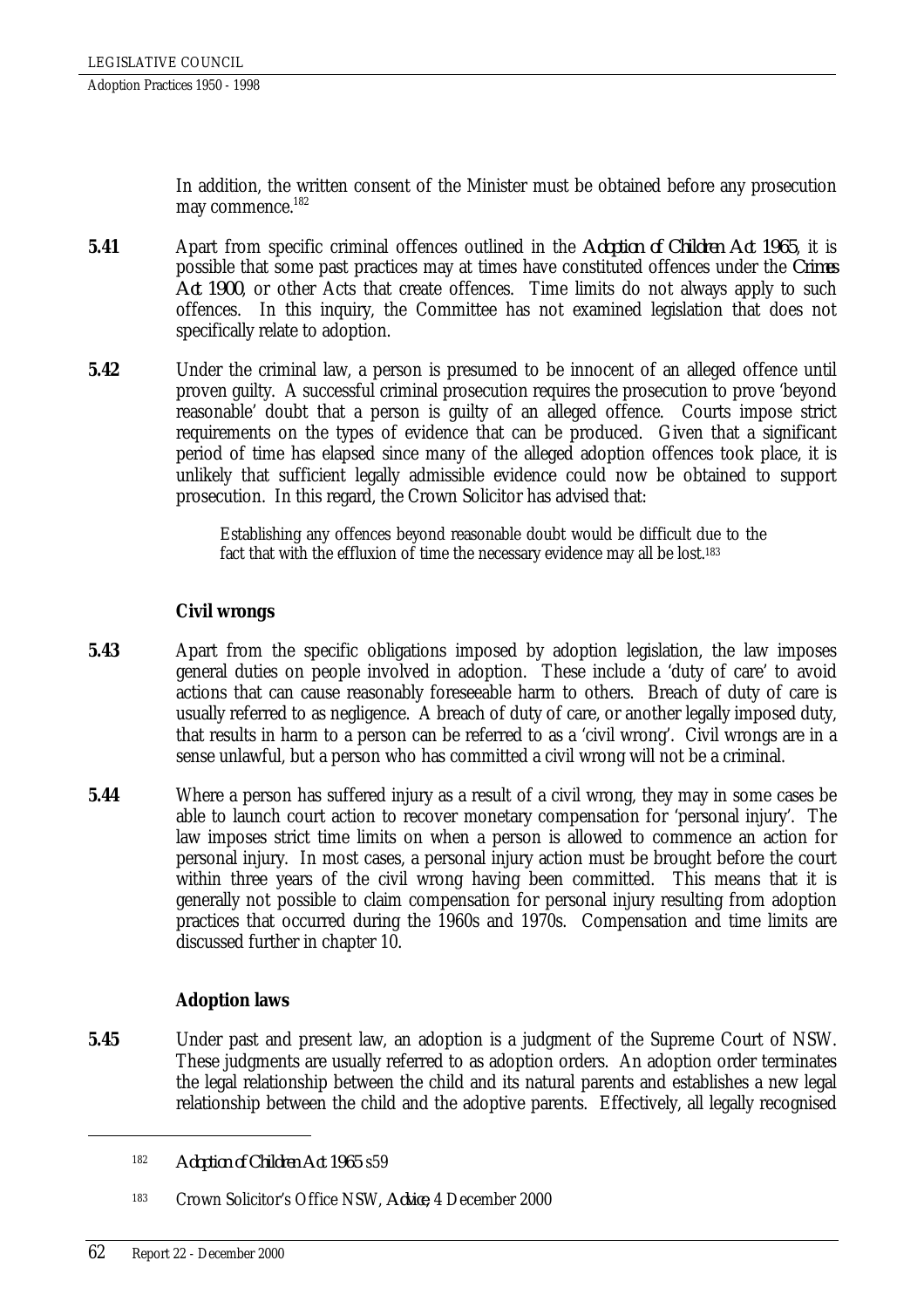In addition, the written consent of the Minister must be obtained before any prosecution may commence.<sup>182</sup>

- **5.41** Apart from specific criminal offences outlined in the *Adoption of Children Act 1965*, it is possible that some past practices may at times have constituted offences under the *Crimes Act 1900*, or other Acts that create offences. Time limits do not always apply to such offences. In this inquiry, the Committee has not examined legislation that does not specifically relate to adoption.
- **5.42** Under the criminal law, a person is presumed to be innocent of an alleged offence until proven guilty. A successful criminal prosecution requires the prosecution to prove 'beyond reasonable' doubt that a person is guilty of an alleged offence. Courts impose strict requirements on the types of evidence that can be produced. Given that a significant period of time has elapsed since many of the alleged adoption offences took place, it is unlikely that sufficient legally admissible evidence could now be obtained to support prosecution. In this regard, the Crown Solicitor has advised that:

Establishing any offences beyond reasonable doubt would be difficult due to the fact that with the effluxion of time the necessary evidence may all be lost.<sup>183</sup>

#### **Civil wrongs**

- **5.43** Apart from the specific obligations imposed by adoption legislation, the law imposes general duties on people involved in adoption. These include a 'duty of care' to avoid actions that can cause reasonably foreseeable harm to others. Breach of duty of care is usually referred to as negligence. A breach of duty of care, or another legally imposed duty, that results in harm to a person can be referred to as a 'civil wrong'. Civil wrongs are in a sense unlawful, but a person who has committed a civil wrong will not be a criminal.
- **5.44** Where a person has suffered injury as a result of a civil wrong, they may in some cases be able to launch court action to recover monetary compensation for 'personal injury'. The law imposes strict time limits on when a person is allowed to commence an action for personal injury. In most cases, a personal injury action must be brought before the court within three years of the civil wrong having been committed. This means that it is generally not possible to claim compensation for personal injury resulting from adoption practices that occurred during the 1960s and 1970s. Compensation and time limits are discussed further in chapter 10.

#### **Adoption laws**

**5.45** Under past and present law, an adoption is a judgment of the Supreme Court of NSW. These judgments are usually referred to as adoption orders. An adoption order terminates the legal relationship between the child and its natural parents and establishes a new legal relationship between the child and the adoptive parents. Effectively, all legally recognised

<sup>182</sup> *Adoption of Children Act 1965* s59

<sup>183</sup> Crown Solicitor's Office NSW, *Advice*, 4 December 2000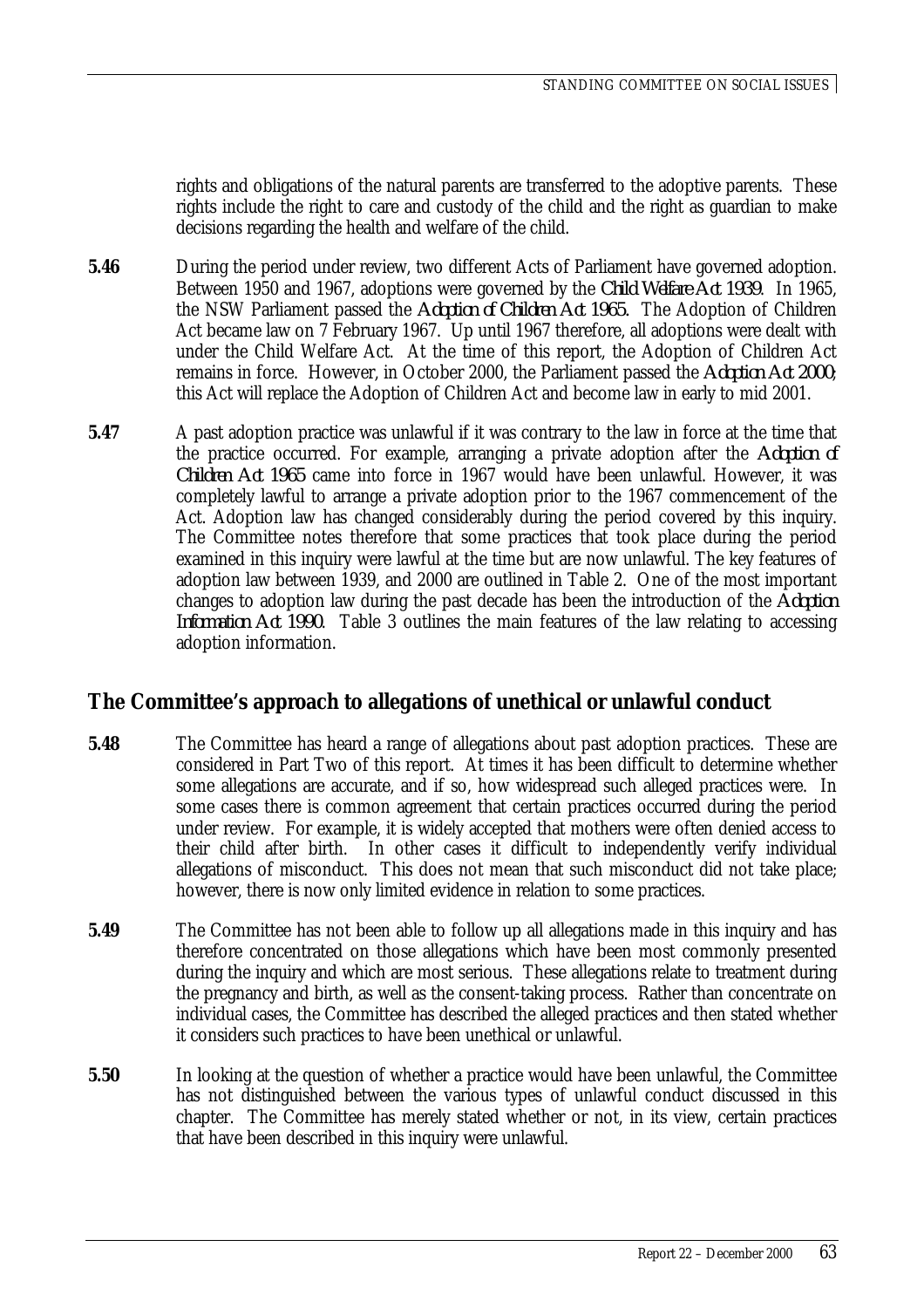rights and obligations of the natural parents are transferred to the adoptive parents. These rights include the right to care and custody of the child and the right as guardian to make decisions regarding the health and welfare of the child.

- **5.46** During the period under review, two different Acts of Parliament have governed adoption. Between 1950 and 1967, adoptions were governed by the *Child Welfare Act 1939*. In 1965, the NSW Parliament passed the *Adoption of Children Act 1965.* The Adoption of Children Act became law on 7 February 1967. Up until 1967 therefore, all adoptions were dealt with under the Child Welfare Act. At the time of this report, the Adoption of Children Act remains in force. However, in October 2000, the Parliament passed the *Adoption Act 2000*; this Act will replace the Adoption of Children Act and become law in early to mid 2001.
- **5.47** A past adoption practice was unlawful if it was contrary to the law in force at the time that the practice occurred. For example, arranging a private adoption after the *Adoption of Children Act 1965* came into force in 1967 would have been unlawful. However, it was completely lawful to arrange a private adoption prior to the 1967 commencement of the Act. Adoption law has changed considerably during the period covered by this inquiry. The Committee notes therefore that some practices that took place during the period examined in this inquiry were lawful at the time but are now unlawful. The key features of adoption law between 1939, and 2000 are outlined in Table 2. One of the most important changes to adoption law during the past decade has been the introduction of the *Adoption Information Act 1990*. Table 3 outlines the main features of the law relating to accessing adoption information.

## **The Committee's approach to allegations of unethical or unlawful conduct**

- **5.48** The Committee has heard a range of allegations about past adoption practices. These are considered in Part Two of this report. At times it has been difficult to determine whether some allegations are accurate, and if so, how widespread such alleged practices were. In some cases there is common agreement that certain practices occurred during the period under review. For example, it is widely accepted that mothers were often denied access to their child after birth. In other cases it difficult to independently verify individual allegations of misconduct. This does not mean that such misconduct did not take place; however, there is now only limited evidence in relation to some practices.
- **5.49** The Committee has not been able to follow up all allegations made in this inquiry and has therefore concentrated on those allegations which have been most commonly presented during the inquiry and which are most serious. These allegations relate to treatment during the pregnancy and birth, as well as the consent-taking process. Rather than concentrate on individual cases, the Committee has described the alleged practices and then stated whether it considers such practices to have been unethical or unlawful.
- **5.50** In looking at the question of whether a practice would have been unlawful, the Committee has not distinguished between the various types of unlawful conduct discussed in this chapter. The Committee has merely stated whether or not, in its view, certain practices that have been described in this inquiry were unlawful.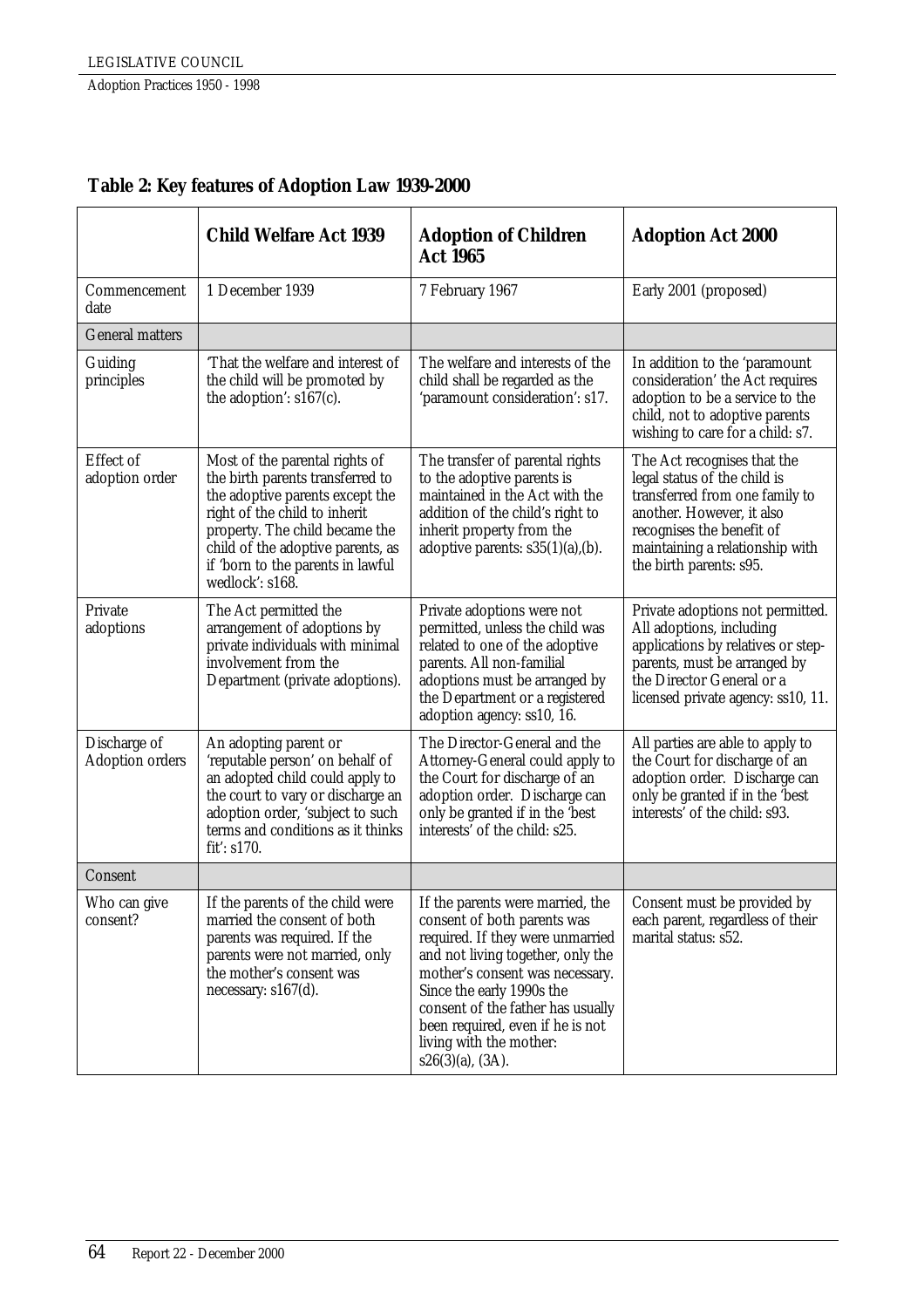|                                        | <b>Child Welfare Act 1939</b>                                                                                                                                                                                                                                         | <b>Adoption of Children</b><br><b>Act 1965</b>                                                                                                                                                                                                                                                                                      | <b>Adoption Act 2000</b>                                                                                                                                                                                              |
|----------------------------------------|-----------------------------------------------------------------------------------------------------------------------------------------------------------------------------------------------------------------------------------------------------------------------|-------------------------------------------------------------------------------------------------------------------------------------------------------------------------------------------------------------------------------------------------------------------------------------------------------------------------------------|-----------------------------------------------------------------------------------------------------------------------------------------------------------------------------------------------------------------------|
| Commencement<br>date                   | 1 December 1939                                                                                                                                                                                                                                                       | 7 February 1967                                                                                                                                                                                                                                                                                                                     | Early 2001 (proposed)                                                                                                                                                                                                 |
| <b>General matters</b>                 |                                                                                                                                                                                                                                                                       |                                                                                                                                                                                                                                                                                                                                     |                                                                                                                                                                                                                       |
| Guiding<br>principles                  | 'That the welfare and interest of<br>the child will be promoted by<br>the adoption': $s167(c)$ .                                                                                                                                                                      | The welfare and interests of the<br>child shall be regarded as the<br>'paramount consideration': s17.                                                                                                                                                                                                                               | In addition to the 'paramount<br>consideration' the Act requires<br>adoption to be a service to the<br>child, not to adoptive parents<br>wishing to care for a child: s7.                                             |
| Effect of<br>adoption order            | Most of the parental rights of<br>the birth parents transferred to<br>the adoptive parents except the<br>right of the child to inherit<br>property. The child became the<br>child of the adoptive parents, as<br>if 'born to the parents in lawful<br>wedlock': s168. | The transfer of parental rights<br>to the adoptive parents is<br>maintained in the Act with the<br>addition of the child's right to<br>inherit property from the<br>adoptive parents: $s35(1)(a)$ , (b).                                                                                                                            | The Act recognises that the<br>legal status of the child is<br>transferred from one family to<br>another. However, it also<br>recognises the benefit of<br>maintaining a relationship with<br>the birth parents: s95. |
| Private<br>adoptions                   | The Act permitted the<br>arrangement of adoptions by<br>private individuals with minimal<br>involvement from the<br>Department (private adoptions).                                                                                                                   | Private adoptions were not<br>permitted, unless the child was<br>related to one of the adoptive<br>parents. All non-familial<br>adoptions must be arranged by<br>the Department or a registered<br>adoption agency: ss10, 16.                                                                                                       | Private adoptions not permitted.<br>All adoptions, including<br>applications by relatives or step-<br>parents, must be arranged by<br>the Director General or a<br>licensed private agency: ss10, 11.                 |
| Discharge of<br><b>Adoption orders</b> | An adopting parent or<br>'reputable person' on behalf of<br>an adopted child could apply to<br>the court to vary or discharge an<br>adoption order, 'subject to such<br>terms and conditions as it thinks<br>fit': $s170$ .                                           | The Director-General and the<br>Attorney-General could apply to<br>the Court for discharge of an<br>adoption order. Discharge can<br>only be granted if in the 'best<br>interests' of the child: s25.                                                                                                                               | All parties are able to apply to<br>the Court for discharge of an<br>adoption order. Discharge can<br>only be granted if in the best<br>interests' of the child: s93.                                                 |
| Consent                                |                                                                                                                                                                                                                                                                       |                                                                                                                                                                                                                                                                                                                                     |                                                                                                                                                                                                                       |
| Who can give<br>consent?               | If the parents of the child were<br>married the consent of both<br>parents was required. If the<br>parents were not married, only<br>the mother's consent was<br>necessary: s167(d).                                                                                  | If the parents were married, the<br>consent of both parents was<br>required. If they were unmarried<br>and not living together, only the<br>mother's consent was necessary.<br>Since the early 1990s the<br>consent of the father has usually<br>been required, even if he is not<br>living with the mother:<br>$s26(3)(a)$ , (3A). | Consent must be provided by<br>each parent, regardless of their<br>marital status: s52.                                                                                                                               |

## **Table 2: Key features of Adoption Law 1939-2000**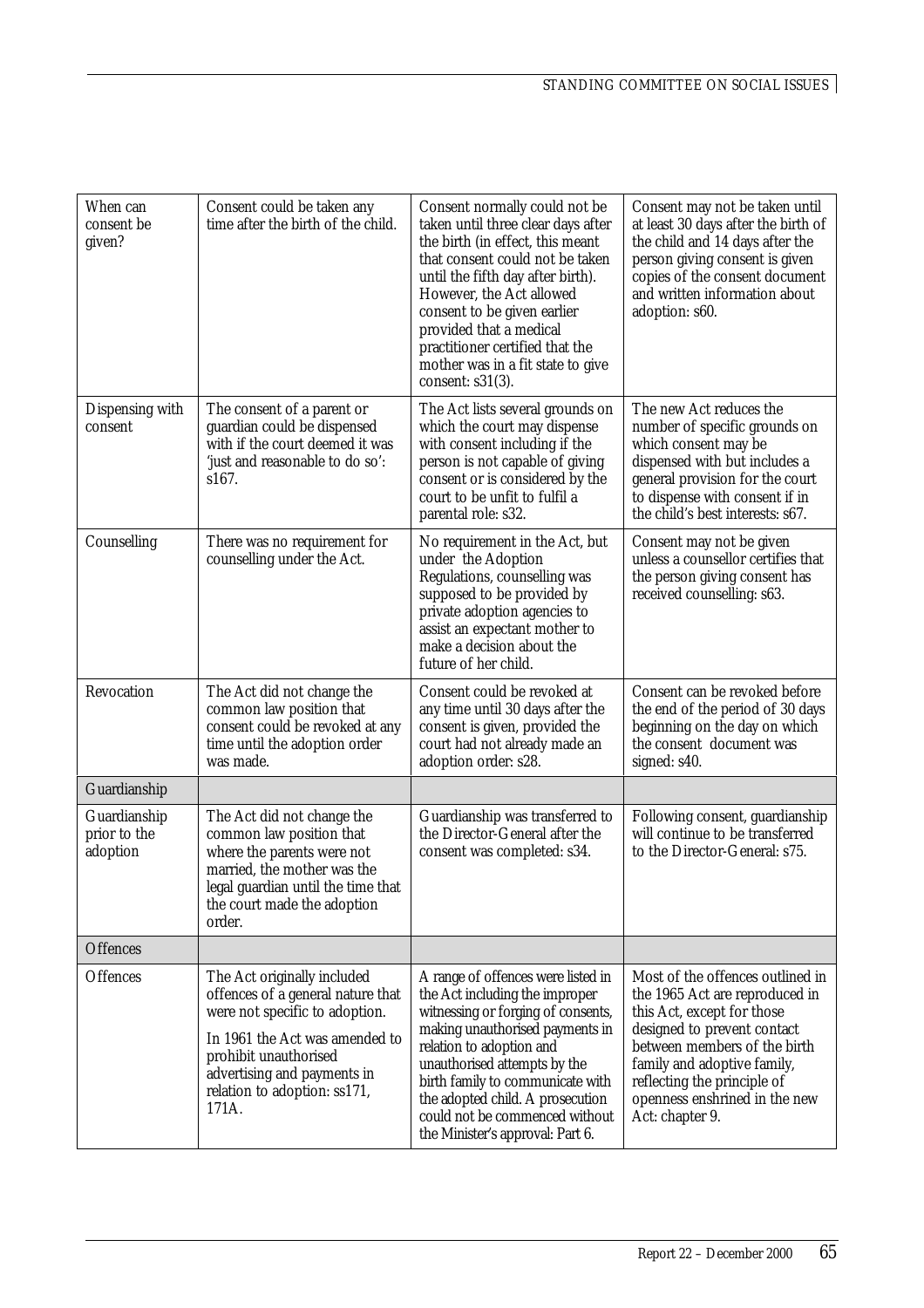| When can<br>consent be<br>given?         | Consent could be taken any<br>time after the birth of the child.                                                                                                                                                                      | Consent normally could not be<br>taken until three clear days after<br>the birth (in effect, this meant<br>that consent could not be taken<br>until the fifth day after birth).<br>However, the Act allowed<br>consent to be given earlier<br>provided that a medical<br>practitioner certified that the<br>mother was in a fit state to give<br>consent: $s31(3)$ . | Consent may not be taken until<br>at least 30 days after the birth of<br>the child and 14 days after the<br>person giving consent is given<br>copies of the consent document<br>and written information about<br>adoption: s60.                                                   |
|------------------------------------------|---------------------------------------------------------------------------------------------------------------------------------------------------------------------------------------------------------------------------------------|----------------------------------------------------------------------------------------------------------------------------------------------------------------------------------------------------------------------------------------------------------------------------------------------------------------------------------------------------------------------|-----------------------------------------------------------------------------------------------------------------------------------------------------------------------------------------------------------------------------------------------------------------------------------|
| Dispensing with<br>consent               | The consent of a parent or<br>guardian could be dispensed<br>with if the court deemed it was<br>'just and reasonable to do so':<br>s167.                                                                                              | The Act lists several grounds on<br>which the court may dispense<br>with consent including if the<br>person is not capable of giving<br>consent or is considered by the<br>court to be unfit to fulfil a<br>parental role: s32.                                                                                                                                      | The new Act reduces the<br>number of specific grounds on<br>which consent may be<br>dispensed with but includes a<br>general provision for the court<br>to dispense with consent if in<br>the child's best interests: s67.                                                        |
| Counselling                              | There was no requirement for<br>counselling under the Act.                                                                                                                                                                            | No requirement in the Act, but<br>under the Adoption<br>Regulations, counselling was<br>supposed to be provided by<br>private adoption agencies to<br>assist an expectant mother to<br>make a decision about the<br>future of her child.                                                                                                                             | Consent may not be given<br>unless a counsellor certifies that<br>the person giving consent has<br>received counselling: s63.                                                                                                                                                     |
| Revocation                               | The Act did not change the<br>common law position that<br>consent could be revoked at any<br>time until the adoption order<br>was made.                                                                                               | Consent could be revoked at<br>any time until 30 days after the<br>consent is given, provided the<br>court had not already made an<br>adoption order: s28.                                                                                                                                                                                                           | Consent can be revoked before<br>the end of the period of 30 days<br>beginning on the day on which<br>the consent document was<br>signed: s40.                                                                                                                                    |
| Guardianship                             |                                                                                                                                                                                                                                       |                                                                                                                                                                                                                                                                                                                                                                      |                                                                                                                                                                                                                                                                                   |
| Guardianship<br>prior to the<br>adoption | The Act did not change the<br>common law position that<br>where the parents were not<br>married, the mother was the<br>legal guardian until the time that<br>the court made the adoption<br>order.                                    | Guardianship was transferred to<br>the Director-General after the<br>consent was completed: s34.                                                                                                                                                                                                                                                                     | Following consent, guardianship<br>will continue to be transferred<br>to the Director-General: s75.                                                                                                                                                                               |
| <b>Offences</b>                          |                                                                                                                                                                                                                                       |                                                                                                                                                                                                                                                                                                                                                                      |                                                                                                                                                                                                                                                                                   |
| Offences                                 | The Act originally included<br>offences of a general nature that<br>were not specific to adoption.<br>In 1961 the Act was amended to<br>prohibit unauthorised<br>advertising and payments in<br>relation to adoption: ss171,<br>171A. | A range of offences were listed in<br>the Act including the improper<br>witnessing or forging of consents,<br>making unauthorised payments in<br>relation to adoption and<br>unauthorised attempts by the<br>birth family to communicate with<br>the adopted child. A prosecution<br>could not be commenced without<br>the Minister's approval: Part 6.              | Most of the offences outlined in<br>the 1965 Act are reproduced in<br>this Act, except for those<br>designed to prevent contact<br>between members of the birth<br>family and adoptive family,<br>reflecting the principle of<br>openness enshrined in the new<br>Act: chapter 9. |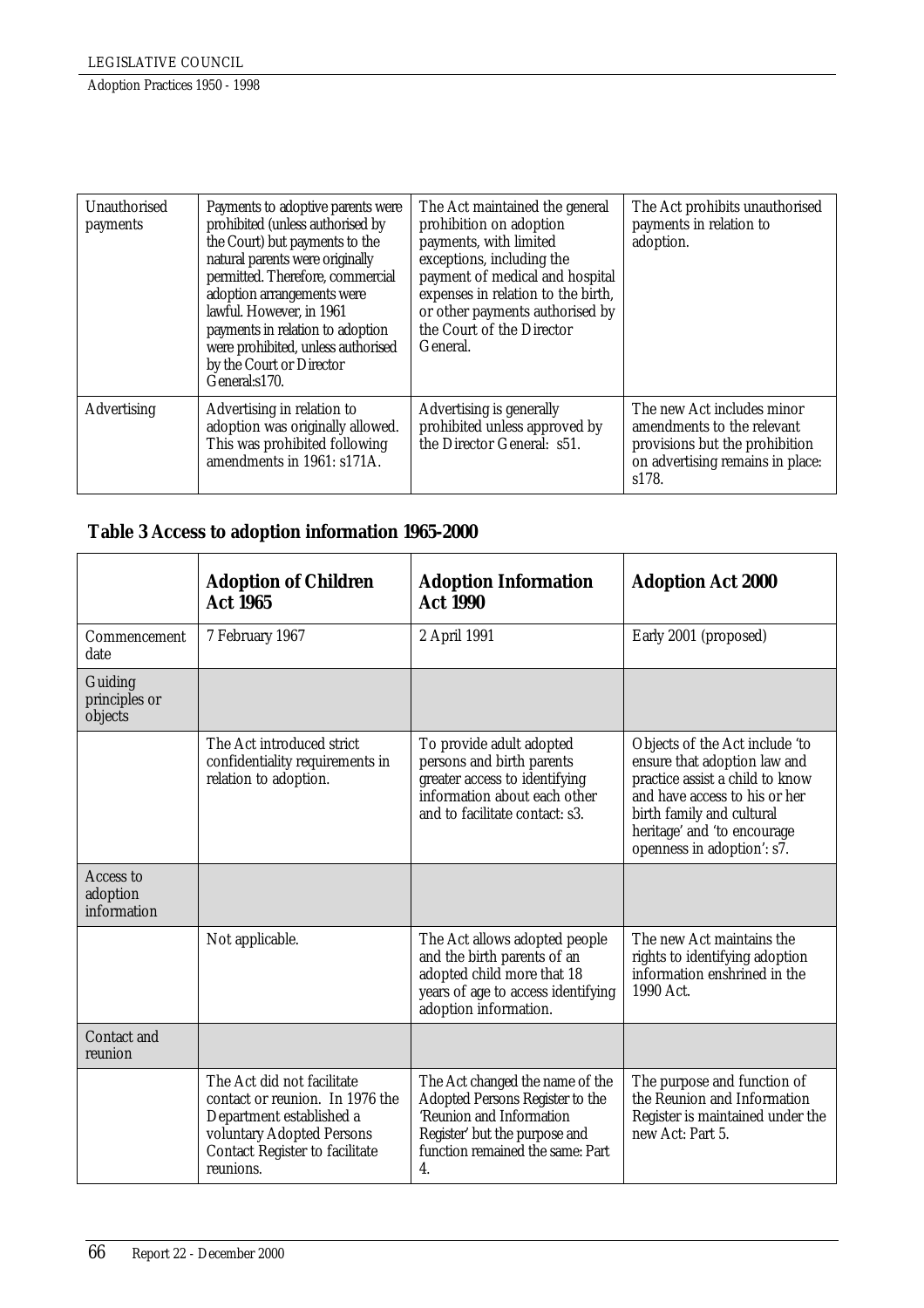| Unauthorised<br>payments | Payments to adoptive parents were<br>prohibited (unless authorised by<br>the Court) but payments to the<br>natural parents were originally<br>permitted. Therefore, commercial<br>adoption arrangements were<br>lawful. However, in 1961<br>payments in relation to adoption<br>were prohibited, unless authorised<br>by the Court or Director<br>General:s170. | The Act maintained the general<br>prohibition on adoption<br>payments, with limited<br>exceptions, including the<br>payment of medical and hospital<br>expenses in relation to the birth,<br>or other payments authorised by<br>the Court of the Director<br>General. | The Act prohibits unauthorised<br>payments in relation to<br>adoption.                                                                  |
|--------------------------|-----------------------------------------------------------------------------------------------------------------------------------------------------------------------------------------------------------------------------------------------------------------------------------------------------------------------------------------------------------------|-----------------------------------------------------------------------------------------------------------------------------------------------------------------------------------------------------------------------------------------------------------------------|-----------------------------------------------------------------------------------------------------------------------------------------|
| Advertising              | Advertising in relation to<br>adoption was originally allowed.<br>This was prohibited following<br>amendments in 1961: s171A.                                                                                                                                                                                                                                   | Advertising is generally<br>prohibited unless approved by<br>the Director General: s51.                                                                                                                                                                               | The new Act includes minor<br>amendments to the relevant<br>provisions but the prohibition<br>on advertising remains in place:<br>s178. |

## **Table 3 Access to adoption information 1965-2000**

|                                      | <b>Adoption of Children</b><br><b>Act 1965</b>                                                                                                                        | <b>Adoption Information</b><br><b>Act 1990</b>                                                                                                                                          | <b>Adoption Act 2000</b>                                                                                                                                                                                                     |
|--------------------------------------|-----------------------------------------------------------------------------------------------------------------------------------------------------------------------|-----------------------------------------------------------------------------------------------------------------------------------------------------------------------------------------|------------------------------------------------------------------------------------------------------------------------------------------------------------------------------------------------------------------------------|
| Commencement<br>date                 | 7 February 1967                                                                                                                                                       | 2 April 1991                                                                                                                                                                            | Early 2001 (proposed)                                                                                                                                                                                                        |
| Guiding<br>principles or<br>objects  |                                                                                                                                                                       |                                                                                                                                                                                         |                                                                                                                                                                                                                              |
|                                      | The Act introduced strict<br>confidentiality requirements in<br>relation to adoption.                                                                                 | To provide adult adopted<br>persons and birth parents<br>greater access to identifying<br>information about each other<br>and to facilitate contact: s3.                                | Objects of the Act include 'to<br>ensure that adoption law and<br>practice assist a child to know<br>and have access to his or her<br>birth family and cultural<br>heritage' and 'to encourage<br>openness in adoption': s7. |
| Access to<br>adoption<br>information |                                                                                                                                                                       |                                                                                                                                                                                         |                                                                                                                                                                                                                              |
|                                      | Not applicable.                                                                                                                                                       | The Act allows adopted people<br>and the birth parents of an<br>adopted child more that 18<br>years of age to access identifying<br>adoption information.                               | The new Act maintains the<br>rights to identifying adoption<br>information enshrined in the<br>1990 Act.                                                                                                                     |
| Contact and<br>reunion               |                                                                                                                                                                       |                                                                                                                                                                                         |                                                                                                                                                                                                                              |
|                                      | The Act did not facilitate<br>contact or reunion. In 1976 the<br>Department established a<br>voluntary Adopted Persons<br>Contact Register to facilitate<br>reunions. | The Act changed the name of the<br>Adopted Persons Register to the<br>'Reunion and Information<br>Register' but the purpose and<br>function remained the same: Part<br>$\overline{4}$ . | The purpose and function of<br>the Reunion and Information<br>Register is maintained under the<br>new Act: Part 5.                                                                                                           |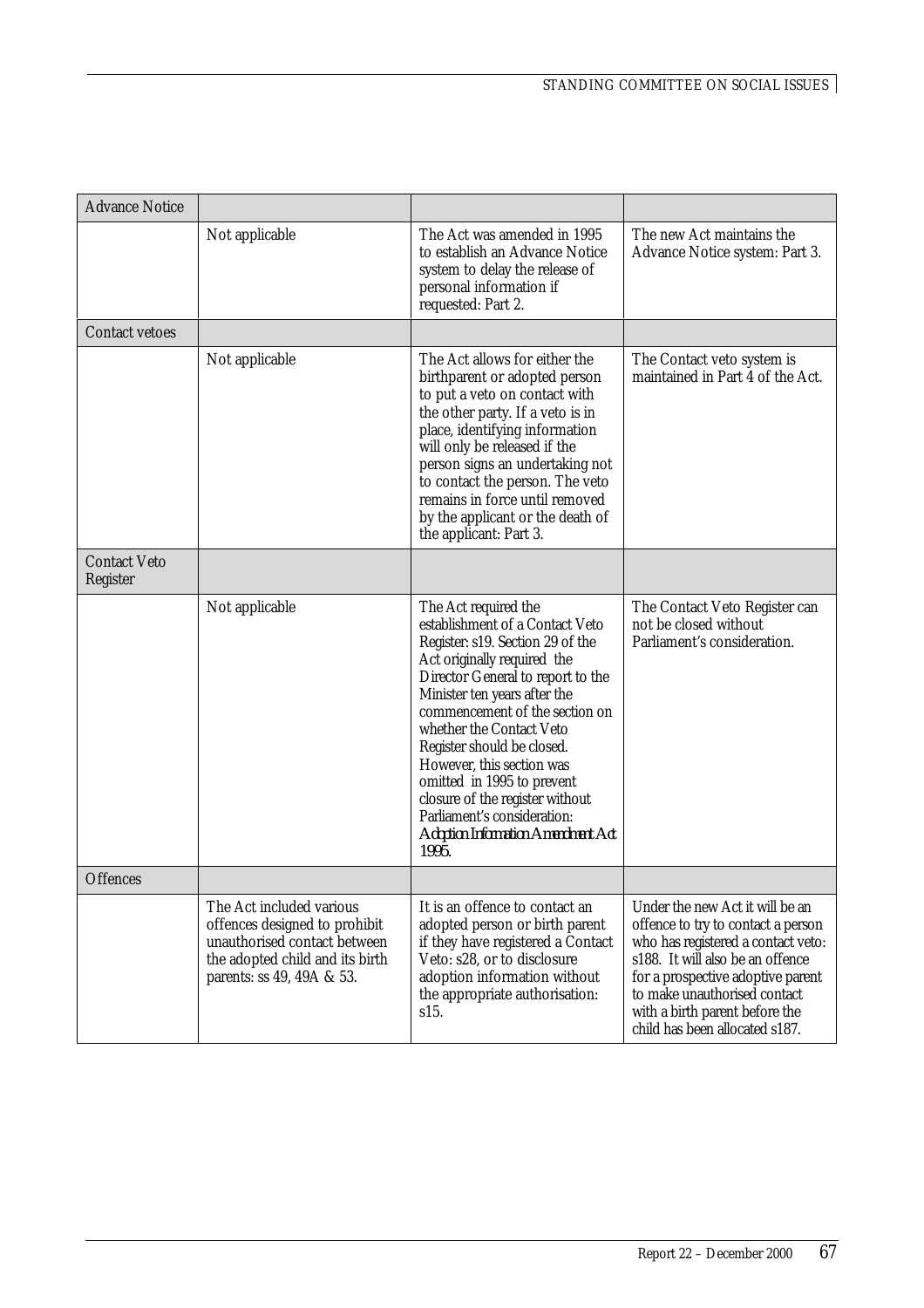| <b>Advance Notice</b>           |                                                                                                                                                           |                                                                                                                                                                                                                                                                                                                                                                                                                                                                         |                                                                                                                                                                                                                                                                                          |
|---------------------------------|-----------------------------------------------------------------------------------------------------------------------------------------------------------|-------------------------------------------------------------------------------------------------------------------------------------------------------------------------------------------------------------------------------------------------------------------------------------------------------------------------------------------------------------------------------------------------------------------------------------------------------------------------|------------------------------------------------------------------------------------------------------------------------------------------------------------------------------------------------------------------------------------------------------------------------------------------|
|                                 | Not applicable                                                                                                                                            | The Act was amended in 1995<br>to establish an Advance Notice<br>system to delay the release of<br>personal information if<br>requested: Part 2.                                                                                                                                                                                                                                                                                                                        | The new Act maintains the<br>Advance Notice system: Part 3.                                                                                                                                                                                                                              |
| <b>Contact vetoes</b>           |                                                                                                                                                           |                                                                                                                                                                                                                                                                                                                                                                                                                                                                         |                                                                                                                                                                                                                                                                                          |
|                                 | Not applicable                                                                                                                                            | The Act allows for either the<br>birthparent or adopted person<br>to put a veto on contact with<br>the other party. If a veto is in<br>place, identifying information<br>will only be released if the<br>person signs an undertaking not<br>to contact the person. The veto<br>remains in force until removed<br>by the applicant or the death of<br>the applicant: Part 3.                                                                                             | The Contact veto system is<br>maintained in Part 4 of the Act.                                                                                                                                                                                                                           |
| <b>Contact Veto</b><br>Register |                                                                                                                                                           |                                                                                                                                                                                                                                                                                                                                                                                                                                                                         |                                                                                                                                                                                                                                                                                          |
|                                 | Not applicable                                                                                                                                            | The Act required the<br>establishment of a Contact Veto<br>Register: s19. Section 29 of the<br>Act originally required the<br>Director General to report to the<br>Minister ten years after the<br>commencement of the section on<br>whether the Contact Veto<br>Register should be closed.<br>However, this section was<br>omitted in 1995 to prevent<br>closure of the register without<br>Parliament's consideration:<br>Adoption Information Amendment Act<br>1995. | The Contact Veto Register can<br>not be closed without<br>Parliament's consideration.                                                                                                                                                                                                    |
| <b>Offences</b>                 |                                                                                                                                                           |                                                                                                                                                                                                                                                                                                                                                                                                                                                                         |                                                                                                                                                                                                                                                                                          |
|                                 | The Act included various<br>offences designed to prohibit<br>unauthorised contact between<br>the adopted child and its birth<br>parents: ss 49, 49A & 53. | It is an offence to contact an<br>adopted person or birth parent<br>if they have registered a Contact<br>Veto: s28, or to disclosure<br>adoption information without<br>the appropriate authorisation:<br>s15.                                                                                                                                                                                                                                                          | Under the new Act it will be an<br>offence to try to contact a person<br>who has registered a contact veto:<br>s188. It will also be an offence<br>for a prospective adoptive parent<br>to make unauthorised contact<br>with a birth parent before the<br>child has been allocated s187. |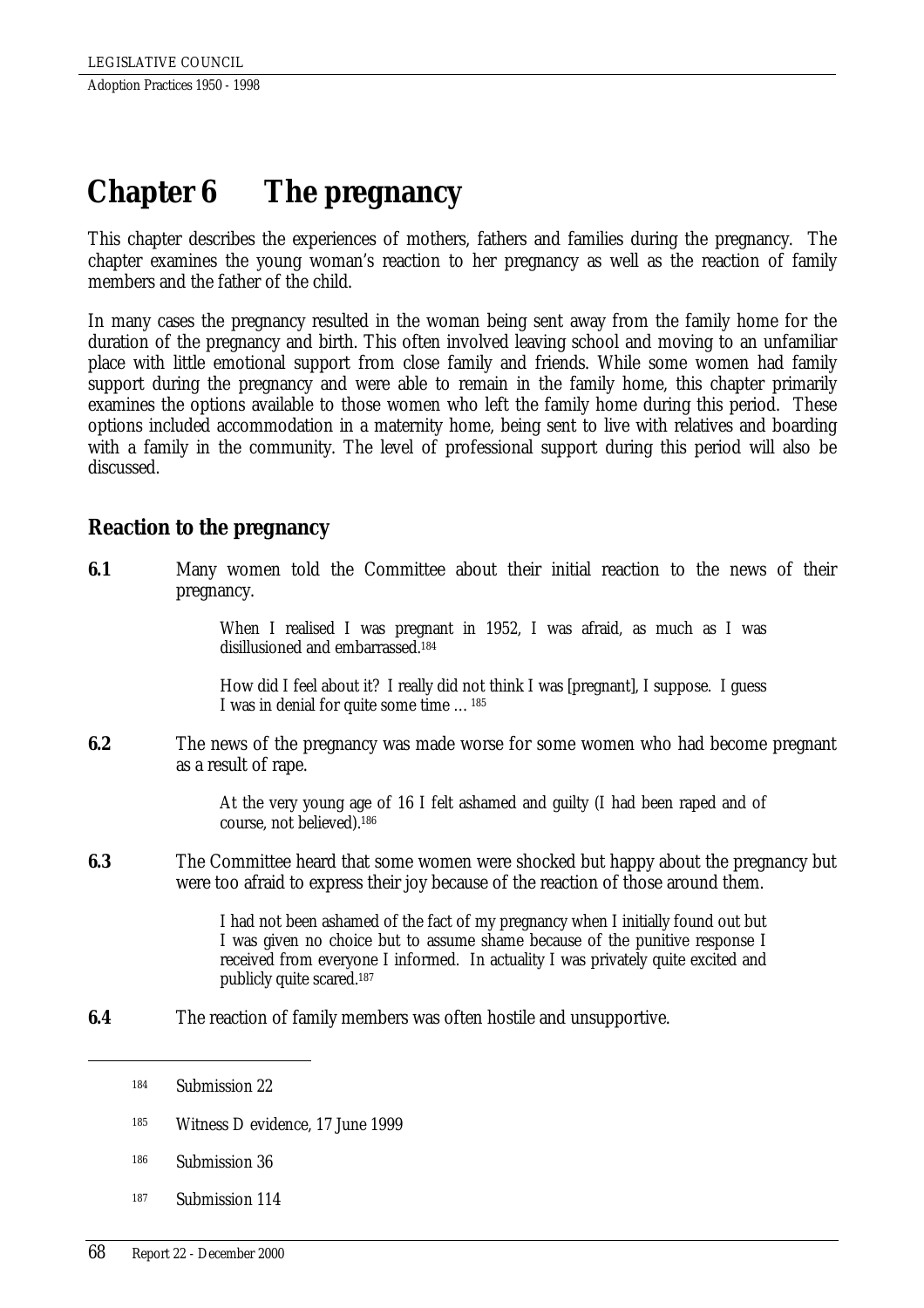# **Chapter 6 The pregnancy**

This chapter describes the experiences of mothers, fathers and families during the pregnancy. The chapter examines the young woman's reaction to her pregnancy as well as the reaction of family members and the father of the child.

In many cases the pregnancy resulted in the woman being sent away from the family home for the duration of the pregnancy and birth. This often involved leaving school and moving to an unfamiliar place with little emotional support from close family and friends. While some women had family support during the pregnancy and were able to remain in the family home, this chapter primarily examines the options available to those women who left the family home during this period. These options included accommodation in a maternity home, being sent to live with relatives and boarding with a family in the community. The level of professional support during this period will also be discussed.

## **Reaction to the pregnancy**

- **6.1** Many women told the Committee about their initial reaction to the news of their pregnancy. When I realised I was pregnant in 1952, I was afraid, as much as I was disillusioned and embarrassed.<sup>184</sup> How did I feel about it? I really did not think I was [pregnant], I suppose. I guess I was in denial for quite some time …<sup>185</sup> **6.2** The news of the pregnancy was made worse for some women who had become pregnant as a result of rape. At the very young age of 16 I felt ashamed and guilty (I had been raped and of course, not believed).<sup>186</sup> **6.3** The Committee heard that some women were shocked but happy about the pregnancy but were too afraid to express their joy because of the reaction of those around them. I had not been ashamed of the fact of my pregnancy when I initially found out but I was given no choice but to assume shame because of the punitive response I received from everyone I informed. In actuality I was privately quite excited and publicly quite scared.<sup>187</sup> **6.4** The reaction of family members was often hostile and unsupportive.  $\overline{a}$ <sup>184</sup> Submission 22 <sup>185</sup> Witness D evidence, 17 June 1999
	- <sup>186</sup> Submission 36
	- <sup>187</sup> Submission 114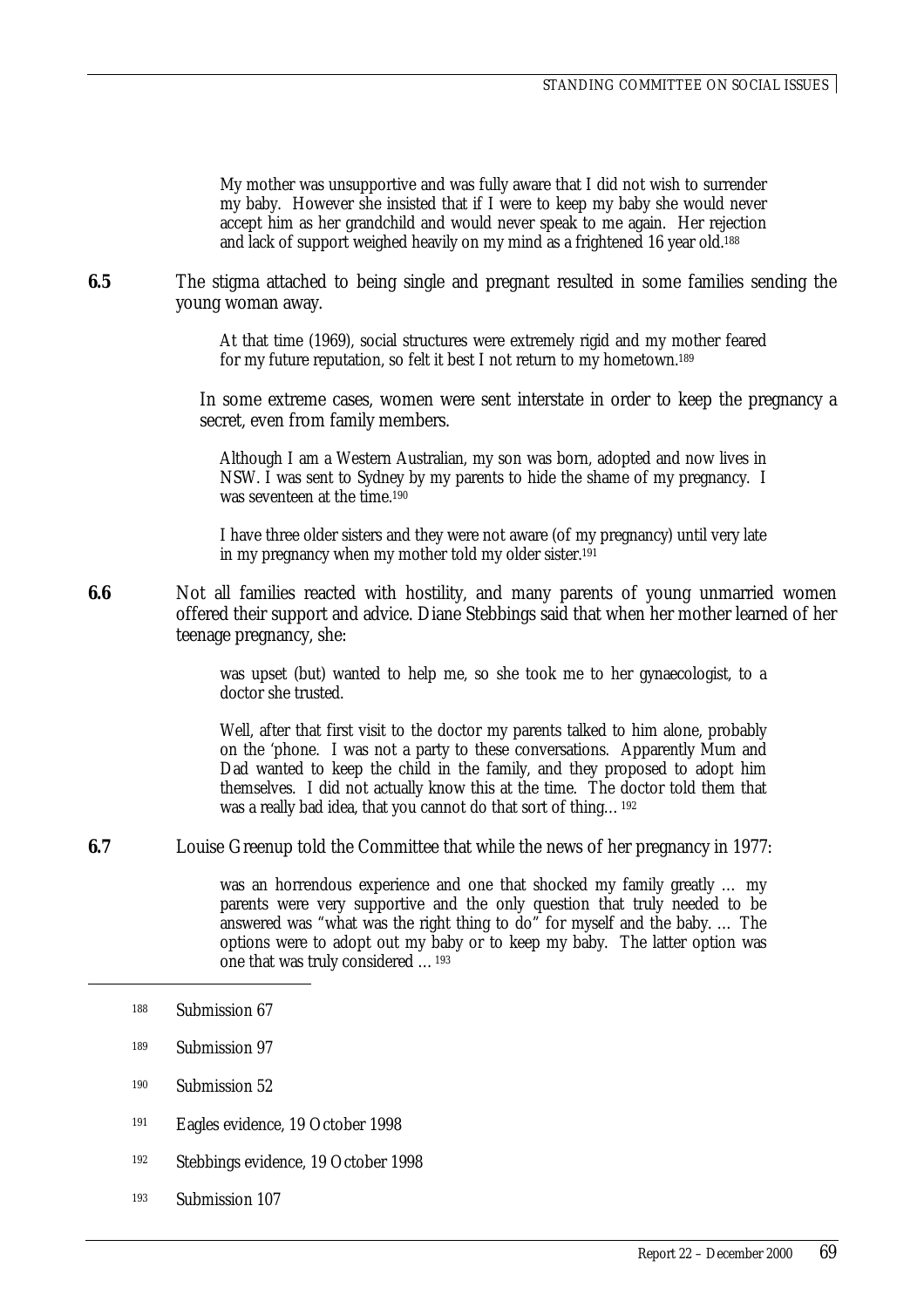My mother was unsupportive and was fully aware that I did not wish to surrender my baby. However she insisted that if I were to keep my baby she would never accept him as her grandchild and would never speak to me again. Her rejection and lack of support weighed heavily on my mind as a frightened 16 year old.<sup>188</sup>

**6.5** The stigma attached to being single and pregnant resulted in some families sending the young woman away.

> At that time (1969), social structures were extremely rigid and my mother feared for my future reputation, so felt it best I not return to my hometown.<sup>189</sup>

In some extreme cases, women were sent interstate in order to keep the pregnancy a secret, even from family members.

Although I am a Western Australian, my son was born, adopted and now lives in NSW. I was sent to Sydney by my parents to hide the shame of my pregnancy. I was seventeen at the time.<sup>190</sup>

I have three older sisters and they were not aware (of my pregnancy) until very late in my pregnancy when my mother told my older sister.<sup>191</sup>

**6.6** Not all families reacted with hostility, and many parents of young unmarried women offered their support and advice. Diane Stebbings said that when her mother learned of her teenage pregnancy, she:

> was upset (but) wanted to help me, so she took me to her gynaecologist, to a doctor she trusted.

> Well, after that first visit to the doctor my parents talked to him alone, probably on the 'phone. I was not a party to these conversations. Apparently Mum and Dad wanted to keep the child in the family, and they proposed to adopt him themselves. I did not actually know this at the time. The doctor told them that was a really bad idea, that you cannot do that sort of thing…<sup>192</sup>

**6.7** Louise Greenup told the Committee that while the news of her pregnancy in 1977:

was an horrendous experience and one that shocked my family greatly … my parents were very supportive and the only question that truly needed to be answered was "what was the right thing to do" for myself and the baby. … The options were to adopt out my baby or to keep my baby. The latter option was one that was truly considered …<sup>193</sup>

- <sup>189</sup> Submission 97
- <sup>190</sup> Submission 52
- <sup>191</sup> Eagles evidence, 19 October 1998
- <sup>192</sup> Stebbings evidence, 19 October 1998
- <sup>193</sup> Submission 107

<sup>188</sup> Submission 67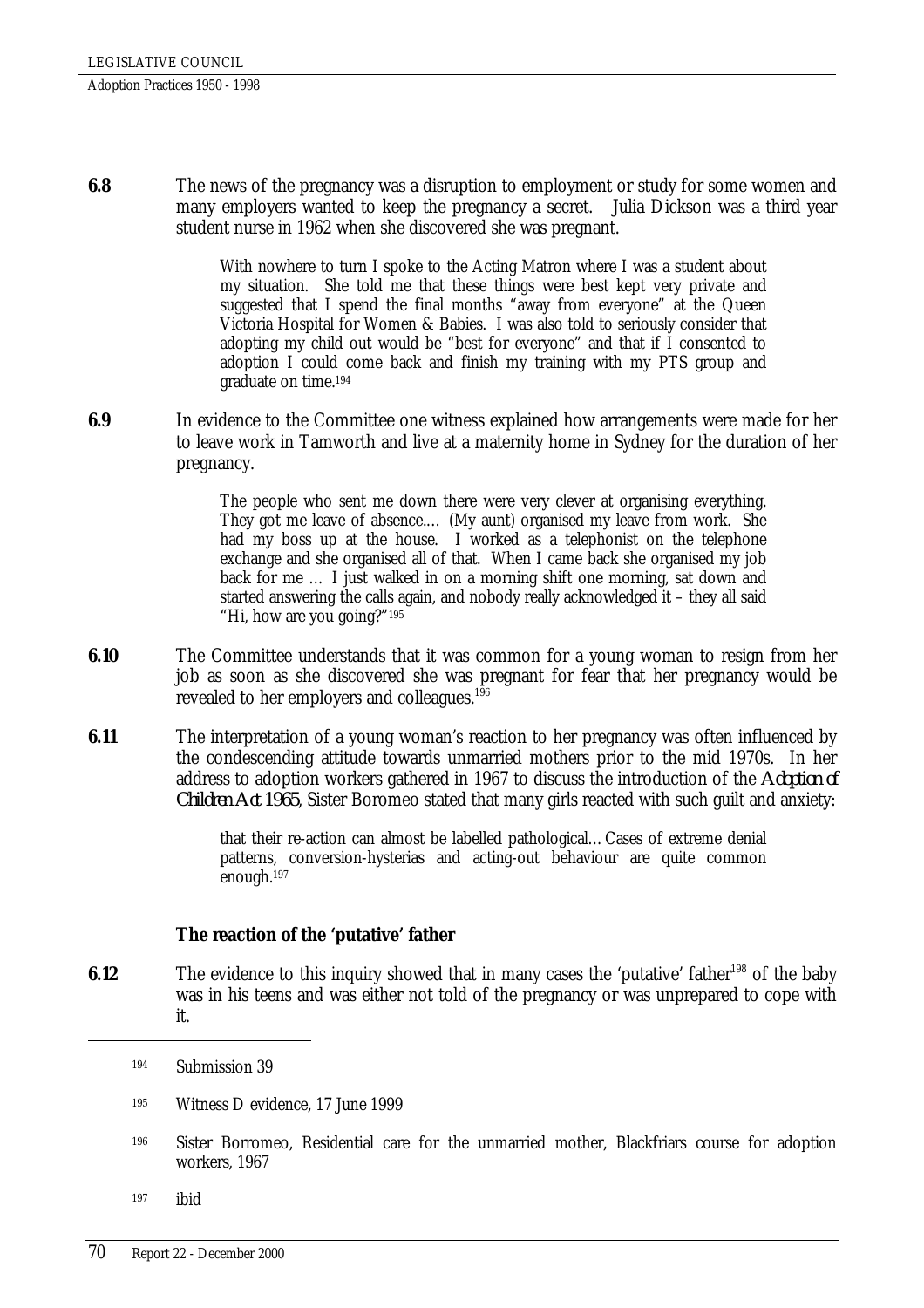**6.8** The news of the pregnancy was a disruption to employment or study for some women and many employers wanted to keep the pregnancy a secret. Julia Dickson was a third year student nurse in 1962 when she discovered she was pregnant.

> With nowhere to turn I spoke to the Acting Matron where I was a student about my situation. She told me that these things were best kept very private and suggested that I spend the final months "away from everyone" at the Queen Victoria Hospital for Women & Babies. I was also told to seriously consider that adopting my child out would be "best for everyone" and that if I consented to adoption I could come back and finish my training with my PTS group and graduate on time.<sup>194</sup>

**6.9** In evidence to the Committee one witness explained how arrangements were made for her to leave work in Tamworth and live at a maternity home in Sydney for the duration of her pregnancy.

> The people who sent me down there were very clever at organising everything. They got me leave of absence.… (My aunt) organised my leave from work. She had my boss up at the house. I worked as a telephonist on the telephone exchange and she organised all of that. When I came back she organised my job back for me … I just walked in on a morning shift one morning, sat down and started answering the calls again, and nobody really acknowledged it – they all said "Hi, how are you going?"<sup>195</sup>

- **6.10** The Committee understands that it was common for a young woman to resign from her job as soon as she discovered she was pregnant for fear that her pregnancy would be revealed to her employers and colleagues.<sup>196</sup>
- **6.11** The interpretation of a young woman's reaction to her pregnancy was often influenced by the condescending attitude towards unmarried mothers prior to the mid 1970s. In her address to adoption workers gathered in 1967 to discuss the introduction of the *Adoption of Children Act 1965*, Sister Boromeo stated that many girls reacted with such guilt and anxiety:

that their re-action can almost be labelled pathological…Cases of extreme denial patterns, conversion-hysterias and acting-out behaviour are quite common enough.<sup>197</sup>

#### **The reaction of the 'putative' father**

**6.12** The evidence to this inquiry showed that in many cases the 'putative' father<sup>198</sup> of the baby was in his teens and was either not told of the pregnancy or was unprepared to cope with it.

- <sup>195</sup> Witness D evidence, 17 June 1999
- <sup>196</sup> Sister Borromeo, Residential care for the unmarried mother, Blackfriars course for adoption workers, 1967
- <sup>197</sup> ibid

<sup>194</sup> Submission 39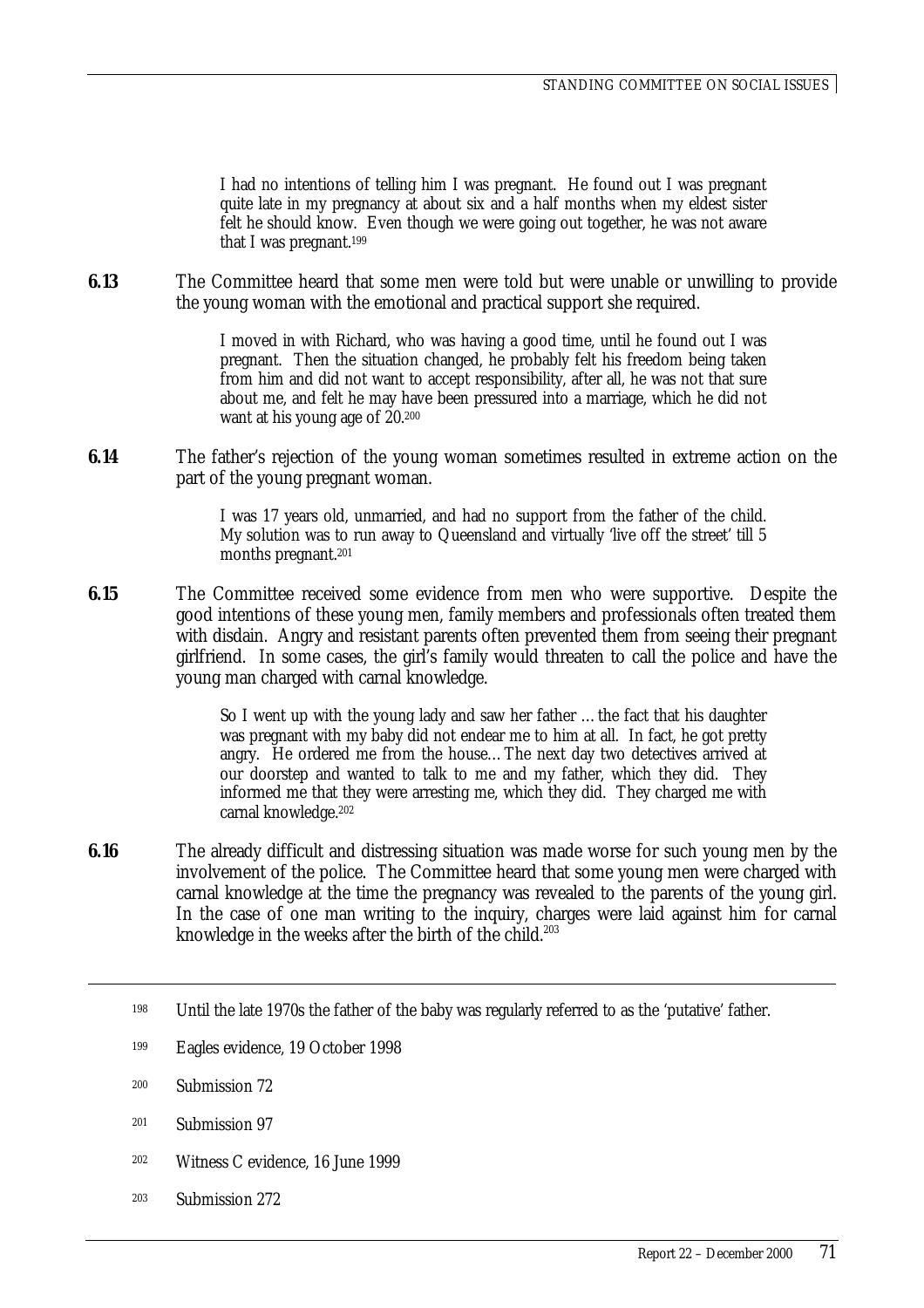I had no intentions of telling him I was pregnant. He found out I was pregnant quite late in my pregnancy at about six and a half months when my eldest sister felt he should know. Even though we were going out together, he was not aware that I was pregnant.<sup>199</sup>

**6.13** The Committee heard that some men were told but were unable or unwilling to provide the young woman with the emotional and practical support she required.

> I moved in with Richard, who was having a good time, until he found out I was pregnant. Then the situation changed, he probably felt his freedom being taken from him and did not want to accept responsibility, after all, he was not that sure about me, and felt he may have been pressured into a marriage, which he did not want at his young age of 20.<sup>200</sup>

**6.14** The father's rejection of the young woman sometimes resulted in extreme action on the part of the young pregnant woman.

> I was 17 years old, unmarried, and had no support from the father of the child. My solution was to run away to Queensland and virtually 'live off the street' till 5 months pregnant.<sup>201</sup>

**6.15** The Committee received some evidence from men who were supportive. Despite the good intentions of these young men, family members and professionals often treated them with disdain. Angry and resistant parents often prevented them from seeing their pregnant girlfriend. In some cases, the girl's family would threaten to call the police and have the young man charged with carnal knowledge.

> So I went up with the young lady and saw her father …the fact that his daughter was pregnant with my baby did not endear me to him at all. In fact, he got pretty angry. He ordered me from the house…The next day two detectives arrived at our doorstep and wanted to talk to me and my father, which they did. They informed me that they were arresting me, which they did. They charged me with carnal knowledge.<sup>202</sup>

- **6.16** The already difficult and distressing situation was made worse for such young men by the involvement of the police. The Committee heard that some young men were charged with carnal knowledge at the time the pregnancy was revealed to the parents of the young girl. In the case of one man writing to the inquiry, charges were laid against him for carnal knowledge in the weeks after the birth of the child.<sup>203</sup>
	- <sup>198</sup> Until the late 1970s the father of the baby was regularly referred to as the 'putative' father.
	- <sup>199</sup> Eagles evidence, 19 October 1998
	- <sup>200</sup> Submission 72

- <sup>201</sup> Submission 97
- <sup>202</sup> Witness C evidence, 16 June 1999
- <sup>203</sup> Submission 272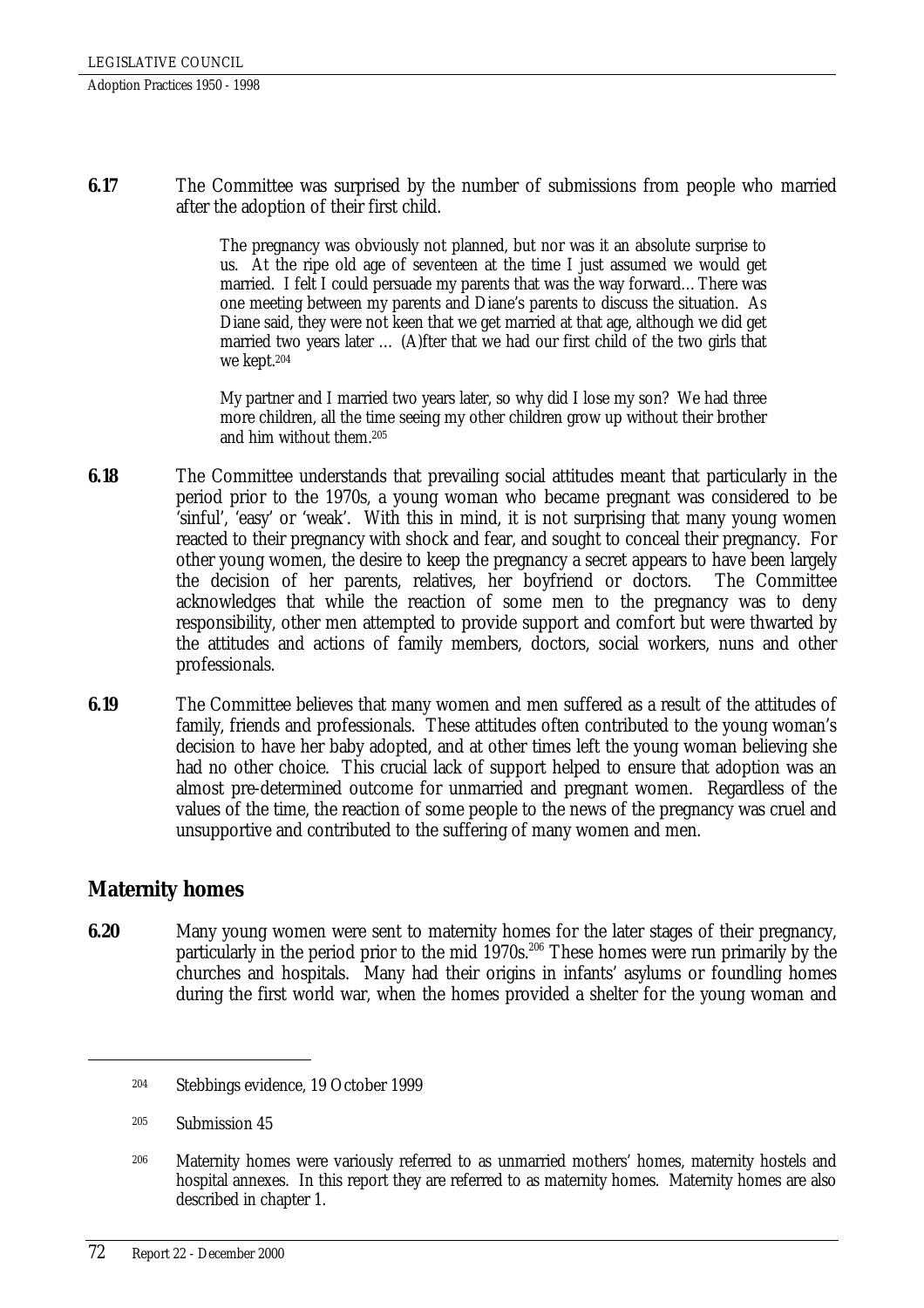**6.17** The Committee was surprised by the number of submissions from people who married after the adoption of their first child.

> The pregnancy was obviously not planned, but nor was it an absolute surprise to us. At the ripe old age of seventeen at the time I just assumed we would get married. I felt I could persuade my parents that was the way forward…There was one meeting between my parents and Diane's parents to discuss the situation. As Diane said, they were not keen that we get married at that age, although we did get married two years later … (A)fter that we had our first child of the two girls that we kept.<sup>204</sup>

> My partner and I married two years later, so why did I lose my son? We had three more children, all the time seeing my other children grow up without their brother and him without them.<sup>205</sup>

- **6.18** The Committee understands that prevailing social attitudes meant that particularly in the period prior to the 1970s, a young woman who became pregnant was considered to be 'sinful', 'easy' or 'weak'. With this in mind, it is not surprising that many young women reacted to their pregnancy with shock and fear, and sought to conceal their pregnancy. For other young women, the desire to keep the pregnancy a secret appears to have been largely the decision of her parents, relatives, her boyfriend or doctors. The Committee acknowledges that while the reaction of some men to the pregnancy was to deny responsibility, other men attempted to provide support and comfort but were thwarted by the attitudes and actions of family members, doctors, social workers, nuns and other professionals.
- **6.19** The Committee believes that many women and men suffered as a result of the attitudes of family, friends and professionals. These attitudes often contributed to the young woman's decision to have her baby adopted, and at other times left the young woman believing she had no other choice. This crucial lack of support helped to ensure that adoption was an almost pre-determined outcome for unmarried and pregnant women. Regardless of the values of the time, the reaction of some people to the news of the pregnancy was cruel and unsupportive and contributed to the suffering of many women and men.

## **Maternity homes**

 $\overline{a}$ 

**6.20** Many young women were sent to maternity homes for the later stages of their pregnancy, particularly in the period prior to the mid 1970s.<sup>206</sup> These homes were run primarily by the churches and hospitals. Many had their origins in infants' asylums or foundling homes during the first world war, when the homes provided a shelter for the young woman and

<sup>204</sup> Stebbings evidence, 19 October 1999

<sup>205</sup> Submission 45

<sup>206</sup> Maternity homes were variously referred to as unmarried mothers' homes, maternity hostels and hospital annexes. In this report they are referred to as maternity homes. Maternity homes are also described in chapter 1.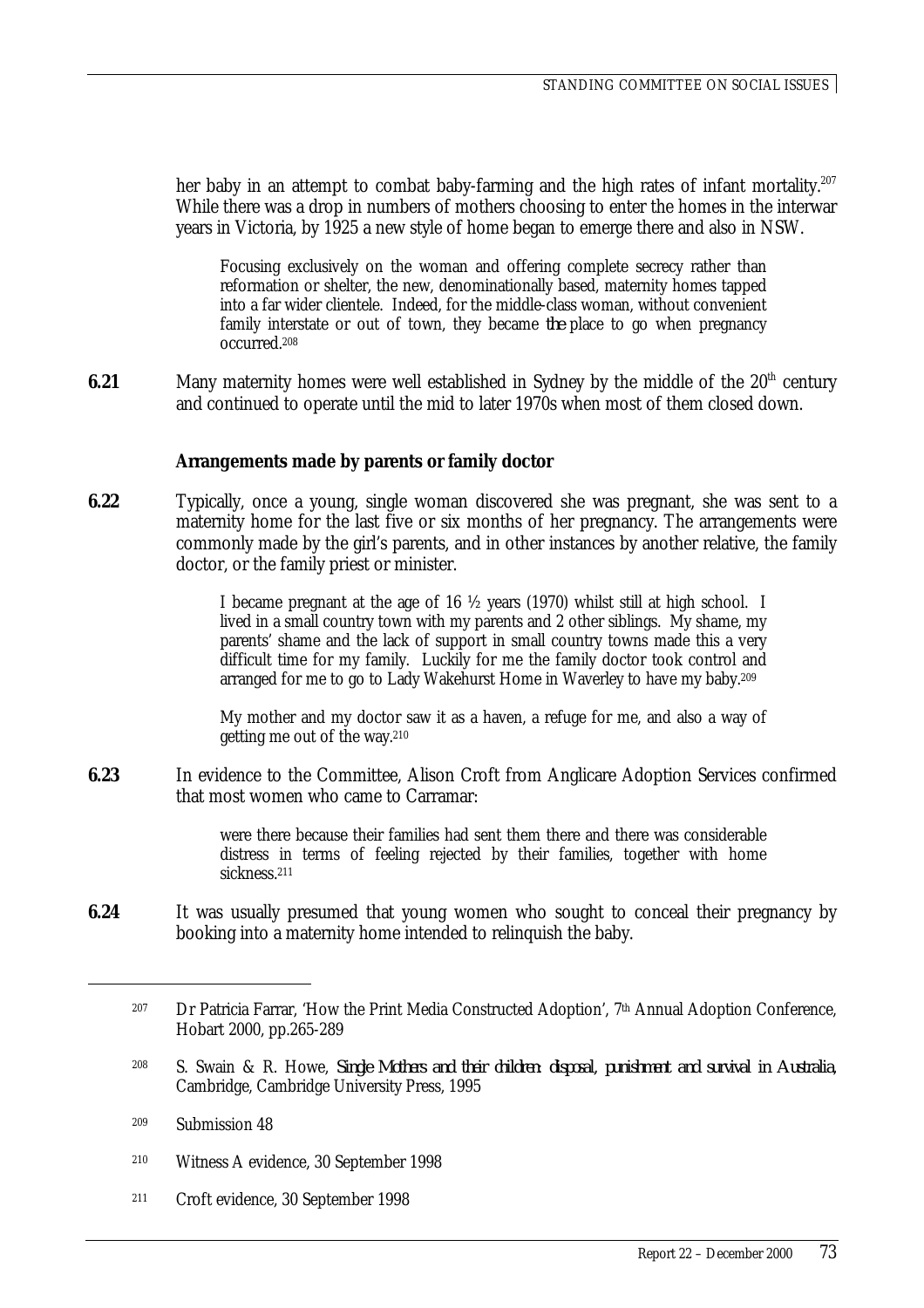her baby in an attempt to combat baby-farming and the high rates of infant mortality.<sup>207</sup> While there was a drop in numbers of mothers choosing to enter the homes in the interwar years in Victoria, by 1925 a new style of home began to emerge there and also in NSW.

Focusing exclusively on the woman and offering complete secrecy rather than reformation or shelter, the new, denominationally based, maternity homes tapped into a far wider clientele. Indeed, for the middle-class woman, without convenient family interstate or out of town, they became *the* place to go when pregnancy occurred.<sup>208</sup>

**6.21** Many maternity homes were well established in Sydney by the middle of the 20<sup>th</sup> century and continued to operate until the mid to later 1970s when most of them closed down.

#### **Arrangements made by parents or family doctor**

**6.22** Typically, once a young, single woman discovered she was pregnant, she was sent to a maternity home for the last five or six months of her pregnancy. The arrangements were commonly made by the girl's parents, and in other instances by another relative, the family doctor, or the family priest or minister.

> I became pregnant at the age of 16 ½ years (1970) whilst still at high school. I lived in a small country town with my parents and 2 other siblings. My shame, my parents' shame and the lack of support in small country towns made this a very difficult time for my family. Luckily for me the family doctor took control and arranged for me to go to Lady Wakehurst Home in Waverley to have my baby.<sup>209</sup>

> My mother and my doctor saw it as a haven, a refuge for me, and also a way of getting me out of the way.<sup>210</sup>

**6.23** In evidence to the Committee, Alison Croft from Anglicare Adoption Services confirmed that most women who came to Carramar:

> were there because their families had sent them there and there was considerable distress in terms of feeling rejected by their families, together with home sickness.<sup>211</sup>

**6.24** It was usually presumed that young women who sought to conceal their pregnancy by booking into a maternity home intended to relinquish the baby.

- <sup>208</sup> S. Swain & R. Howe, *Single Mothers and their children*: *disposal, punishment and survival in Australia*, Cambridge, Cambridge University Press, 1995
- <sup>209</sup> Submission 48

- <sup>210</sup> Witness A evidence, 30 September 1998
- <sup>211</sup> Croft evidence, 30 September 1998

<sup>207</sup> Dr Patricia Farrar, 'How the Print Media Constructed Adoption', 7th Annual Adoption Conference, Hobart 2000, pp.265-289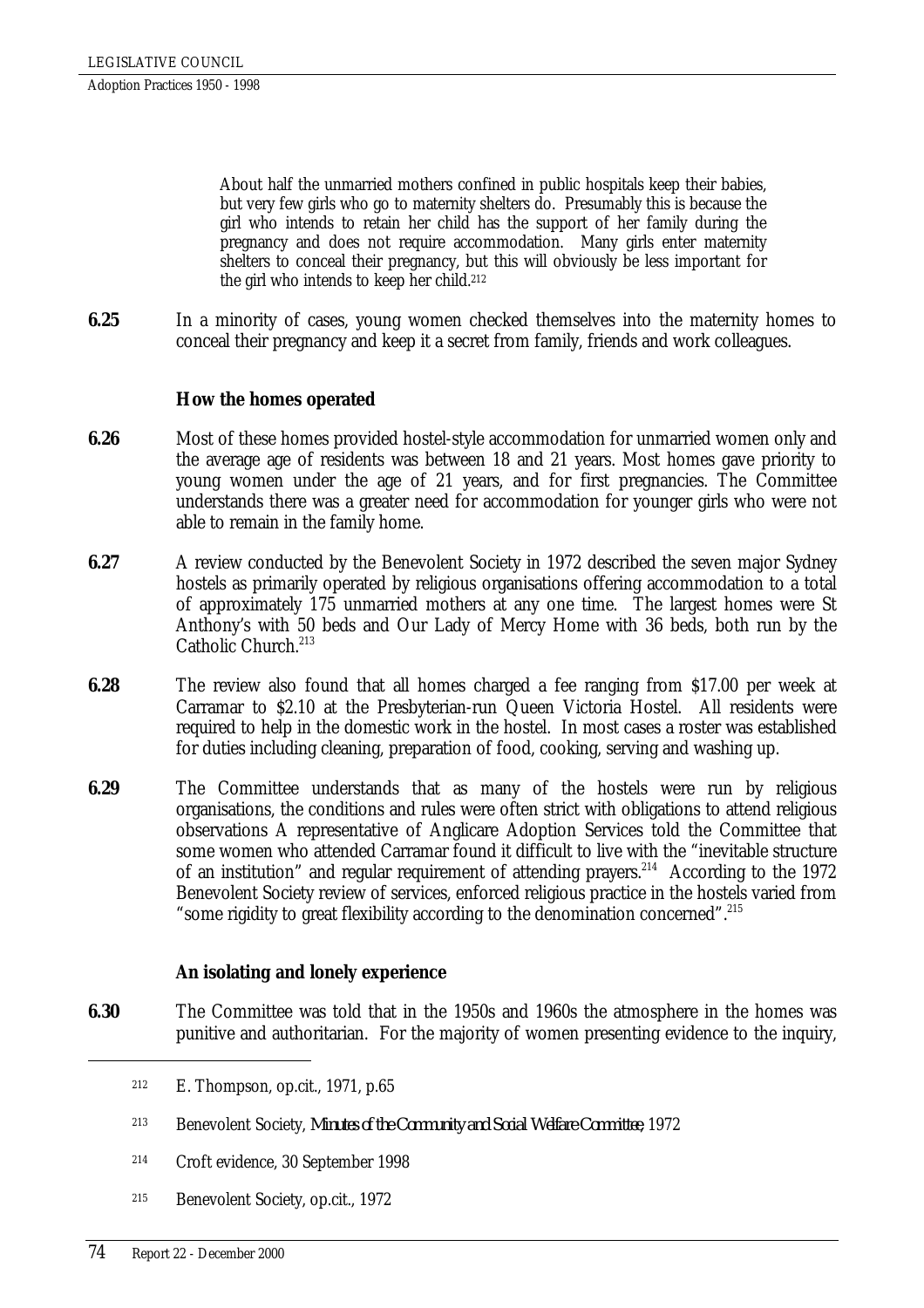About half the unmarried mothers confined in public hospitals keep their babies, but very few girls who go to maternity shelters do. Presumably this is because the girl who intends to retain her child has the support of her family during the pregnancy and does not require accommodation. Many girls enter maternity shelters to conceal their pregnancy, but this will obviously be less important for the girl who intends to keep her child.<sup>212</sup>

**6.25** In a minority of cases, young women checked themselves into the maternity homes to conceal their pregnancy and keep it a secret from family, friends and work colleagues.

#### **How the homes operated**

- **6.26** Most of these homes provided hostel-style accommodation for unmarried women only and the average age of residents was between 18 and 21 years. Most homes gave priority to young women under the age of 21 years, and for first pregnancies. The Committee understands there was a greater need for accommodation for younger girls who were not able to remain in the family home.
- **6.27** A review conducted by the Benevolent Society in 1972 described the seven major Sydney hostels as primarily operated by religious organisations offering accommodation to a total of approximately 175 unmarried mothers at any one time. The largest homes were St Anthony's with 50 beds and Our Lady of Mercy Home with 36 beds, both run by the Catholic Church.<sup>213</sup>
- **6.28** The review also found that all homes charged a fee ranging from \$17.00 per week at Carramar to \$2.10 at the Presbyterian-run Queen Victoria Hostel. All residents were required to help in the domestic work in the hostel. In most cases a roster was established for duties including cleaning, preparation of food, cooking, serving and washing up.
- **6.29** The Committee understands that as many of the hostels were run by religious organisations, the conditions and rules were often strict with obligations to attend religious observations A representative of Anglicare Adoption Services told the Committee that some women who attended Carramar found it difficult to live with the "inevitable structure of an institution" and regular requirement of attending prayers.<sup>214</sup> According to the 1972 Benevolent Society review of services, enforced religious practice in the hostels varied from "some rigidity to great flexibility according to the denomination concerned".<sup>215</sup>

#### **An isolating and lonely experience**

- **6.30** The Committee was told that in the 1950s and 1960s the atmosphere in the homes was punitive and authoritarian. For the majority of women presenting evidence to the inquiry,
	- <sup>212</sup> E. Thompson, op.cit., 1971, p.65
	- <sup>213</sup> Benevolent Society, *Minutes of the Community and Social Welfare Committee*, 1972
	- <sup>214</sup> Croft evidence, 30 September 1998
	- <sup>215</sup> Benevolent Society, op.cit., 1972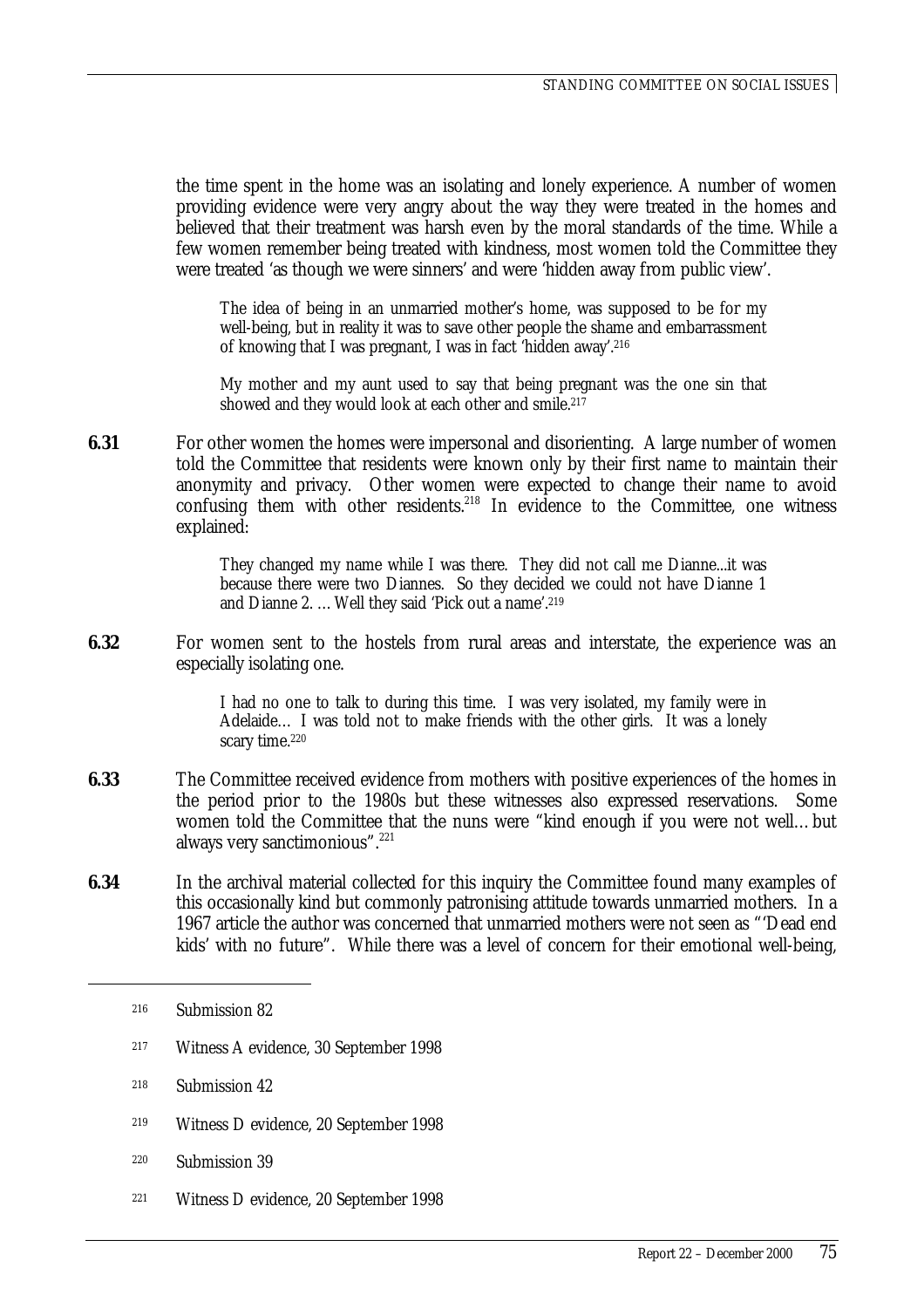the time spent in the home was an isolating and lonely experience. A number of women providing evidence were very angry about the way they were treated in the homes and believed that their treatment was harsh even by the moral standards of the time. While a few women remember being treated with kindness, most women told the Committee they were treated 'as though we were sinners' and were 'hidden away from public view'.

The idea of being in an unmarried mother's home, was supposed to be for my well-being, but in reality it was to save other people the shame and embarrassment of knowing that I was pregnant, I was in fact 'hidden away'.<sup>216</sup>

My mother and my aunt used to say that being pregnant was the one sin that showed and they would look at each other and smile.<sup>217</sup>

**6.31** For other women the homes were impersonal and disorienting. A large number of women told the Committee that residents were known only by their first name to maintain their anonymity and privacy. Other women were expected to change their name to avoid confusing them with other residents. $^{218}$  In evidence to the Committee, one witness explained:

> They changed my name while I was there. They did not call me Dianne...it was because there were two Diannes. So they decided we could not have Dianne 1 and Dianne 2. …Well they said 'Pick out a name'.<sup>219</sup>

**6.32** For women sent to the hostels from rural areas and interstate, the experience was an especially isolating one.

> I had no one to talk to during this time. I was very isolated, my family were in Adelaide… I was told not to make friends with the other girls. It was a lonely scary time.<sup>220</sup>

- **6.33** The Committee received evidence from mothers with positive experiences of the homes in the period prior to the 1980s but these witnesses also expressed reservations. Some women told the Committee that the nuns were "kind enough if you were not well…but always very sanctimonious".<sup>221</sup>
- **6.34** In the archival material collected for this inquiry the Committee found many examples of this occasionally kind but commonly patronising attitude towards unmarried mothers. In a 1967 article the author was concerned that unmarried mothers were not seen as "'Dead end kids' with no future". While there was a level of concern for their emotional well-being,

- <sup>217</sup> Witness A evidence, 30 September 1998
- <sup>218</sup> Submission 42
- <sup>219</sup> Witness D evidence, 20 September 1998
- <sup>220</sup> Submission 39
- <sup>221</sup> Witness D evidence, 20 September 1998

<sup>216</sup> Submission 82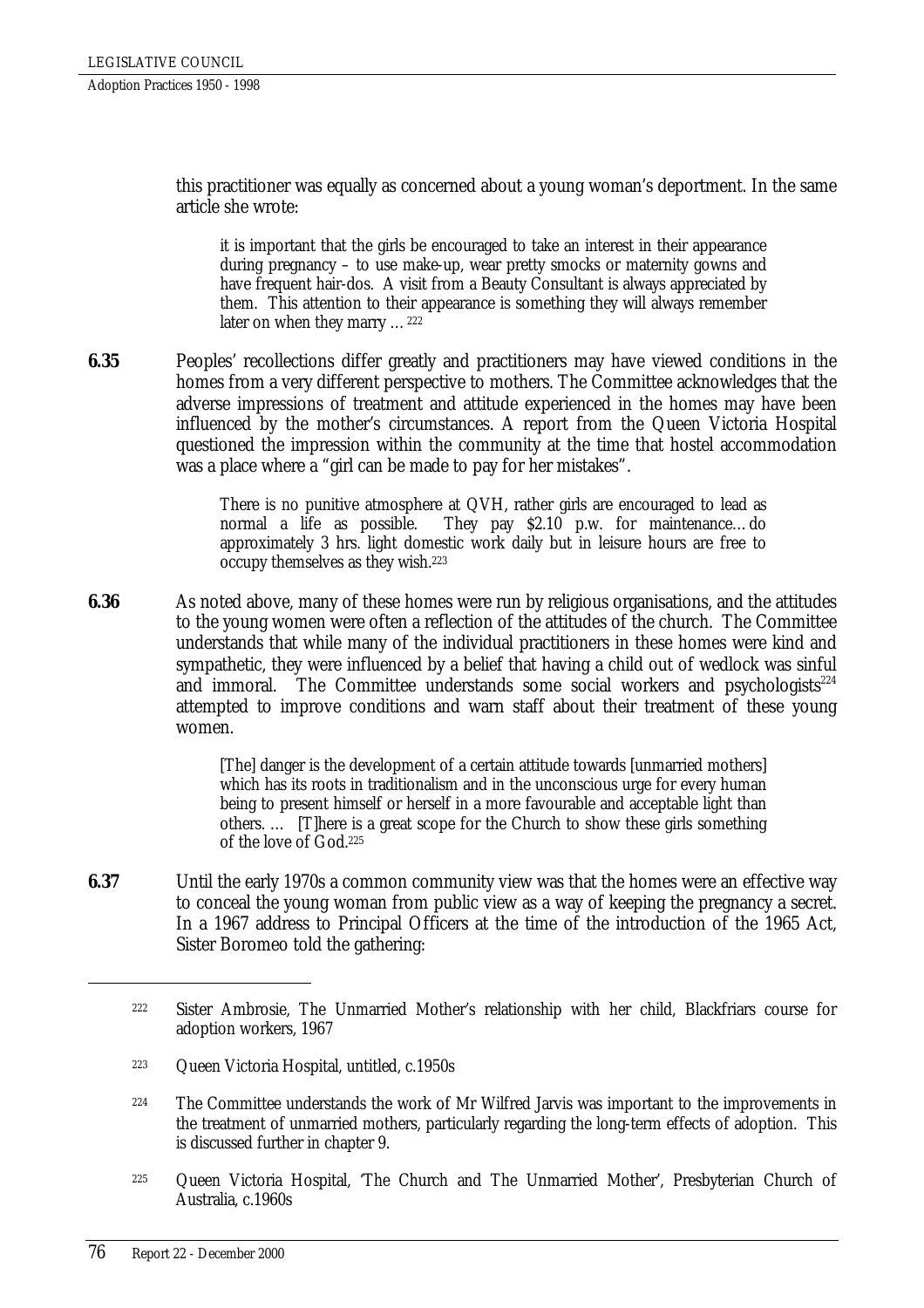this practitioner was equally as concerned about a young woman's deportment. In the same article she wrote:

it is important that the girls be encouraged to take an interest in their appearance during pregnancy – to use make-up, wear pretty smocks or maternity gowns and have frequent hair-dos. A visit from a Beauty Consultant is always appreciated by them. This attention to their appearance is something they will always remember later on when they marry …<sup>222</sup>

**6.35** Peoples' recollections differ greatly and practitioners may have viewed conditions in the homes from a very different perspective to mothers. The Committee acknowledges that the adverse impressions of treatment and attitude experienced in the homes may have been influenced by the mother's circumstances. A report from the Queen Victoria Hospital questioned the impression within the community at the time that hostel accommodation was a place where a "girl can be made to pay for her mistakes".

> There is no punitive atmosphere at QVH, rather girls are encouraged to lead as normal a life as possible. They pay \$2.10 p.w. for maintenance…do approximately 3 hrs. light domestic work daily but in leisure hours are free to occupy themselves as they wish.<sup>223</sup>

**6.36** As noted above, many of these homes were run by religious organisations, and the attitudes to the young women were often a reflection of the attitudes of the church. The Committee understands that while many of the individual practitioners in these homes were kind and sympathetic, they were influenced by a belief that having a child out of wedlock was sinful and immoral. The Committee understands some social workers and psychologists<sup>224</sup> attempted to improve conditions and warn staff about their treatment of these young women.

> [The] danger is the development of a certain attitude towards [unmarried mothers] which has its roots in traditionalism and in the unconscious urge for every human being to present himself or herself in a more favourable and acceptable light than others. … [T]here is a great scope for the Church to show these girls something of the love of God.<sup>225</sup>

**6.37** Until the early 1970s a common community view was that the homes were an effective way to conceal the young woman from public view as a way of keeping the pregnancy a secret. In a 1967 address to Principal Officers at the time of the introduction of the 1965 Act, Sister Boromeo told the gathering:

- <sup>223</sup> Queen Victoria Hospital, untitled, c.1950s
- <sup>224</sup> The Committee understands the work of Mr Wilfred Jarvis was important to the improvements in the treatment of unmarried mothers, particularly regarding the long-term effects of adoption. This is discussed further in chapter 9.
- <sup>225</sup> Queen Victoria Hospital, 'The Church and The Unmarried Mother', Presbyterian Church of Australia, c.1960s

<sup>222</sup> Sister Ambrosie, The Unmarried Mother's relationship with her child, Blackfriars course for adoption workers, 1967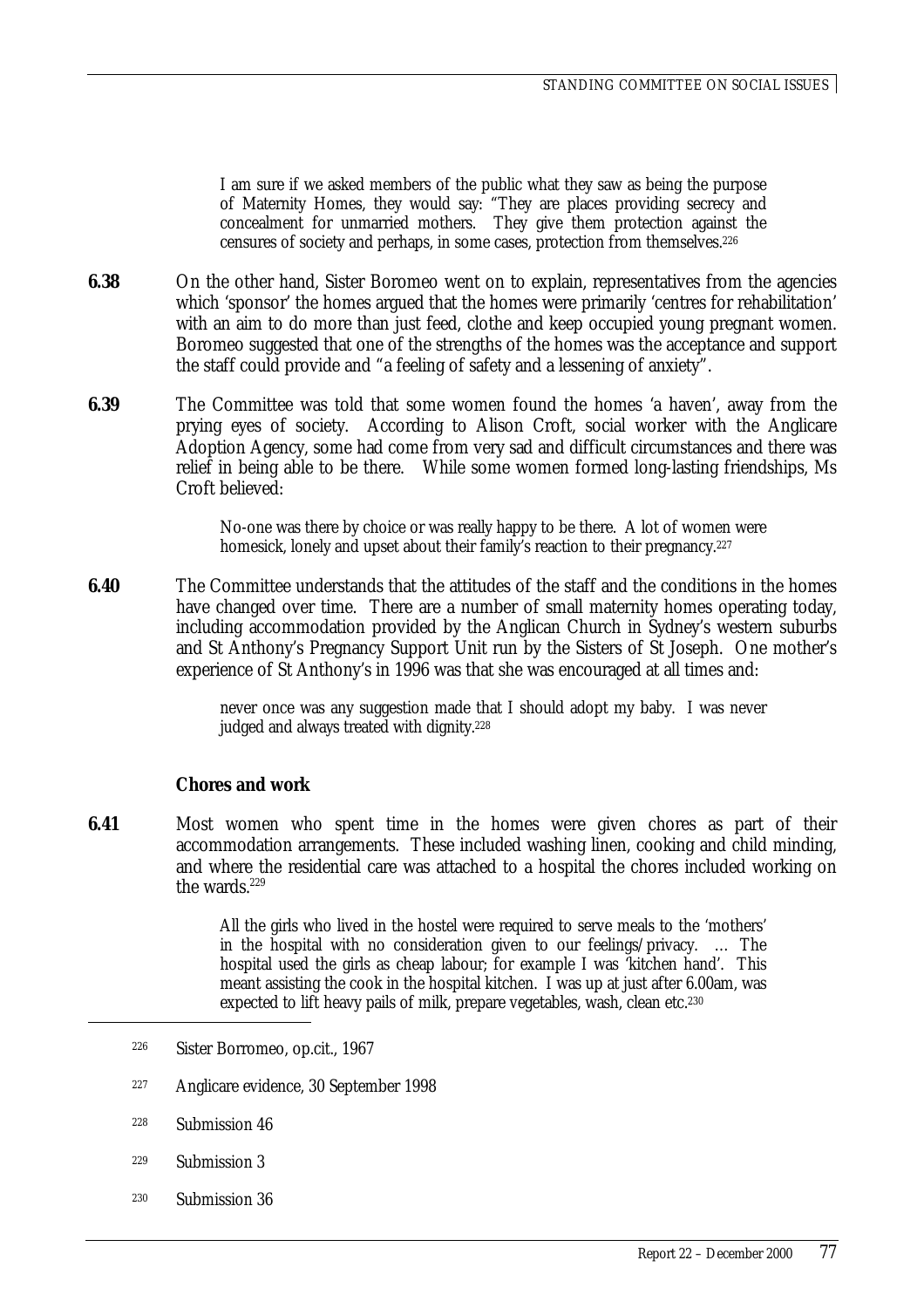I am sure if we asked members of the public what they saw as being the purpose of Maternity Homes, they would say: "They are places providing secrecy and concealment for unmarried mothers. They give them protection against the censures of society and perhaps, in some cases, protection from themselves.<sup>226</sup>

- **6.38** On the other hand, Sister Boromeo went on to explain, representatives from the agencies which 'sponsor' the homes argued that the homes were primarily 'centres for rehabilitation' with an aim to do more than just feed, clothe and keep occupied young pregnant women. Boromeo suggested that one of the strengths of the homes was the acceptance and support the staff could provide and "a feeling of safety and a lessening of anxiety".
- **6.39** The Committee was told that some women found the homes 'a haven', away from the prying eyes of society. According to Alison Croft, social worker with the Anglicare Adoption Agency, some had come from very sad and difficult circumstances and there was relief in being able to be there. While some women formed long-lasting friendships, Ms Croft believed:

No-one was there by choice or was really happy to be there. A lot of women were homesick, lonely and upset about their family's reaction to their pregnancy.<sup>227</sup>

**6.40** The Committee understands that the attitudes of the staff and the conditions in the homes have changed over time. There are a number of small maternity homes operating today, including accommodation provided by the Anglican Church in Sydney's western suburbs and St Anthony's Pregnancy Support Unit run by the Sisters of St Joseph. One mother's experience of St Anthony's in 1996 was that she was encouraged at all times and:

> never once was any suggestion made that I should adopt my baby. I was never judged and always treated with dignity.<sup>228</sup>

#### **Chores and work**

**6.41** Most women who spent time in the homes were given chores as part of their accommodation arrangements. These included washing linen, cooking and child minding, and where the residential care was attached to a hospital the chores included working on the wards $229$ 

> All the girls who lived in the hostel were required to serve meals to the 'mothers' in the hospital with no consideration given to our feelings/privacy. … The hospital used the girls as cheap labour; for example I was 'kitchen hand'. This meant assisting the cook in the hospital kitchen. I was up at just after 6.00am, was expected to lift heavy pails of milk, prepare vegetables, wash, clean etc.<sup>230</sup>

- <sup>226</sup> Sister Borromeo, op.cit., 1967
- <sup>227</sup> Anglicare evidence, 30 September 1998
- <sup>228</sup> Submission 46

- <sup>229</sup> Submission 3
- <sup>230</sup> Submission 36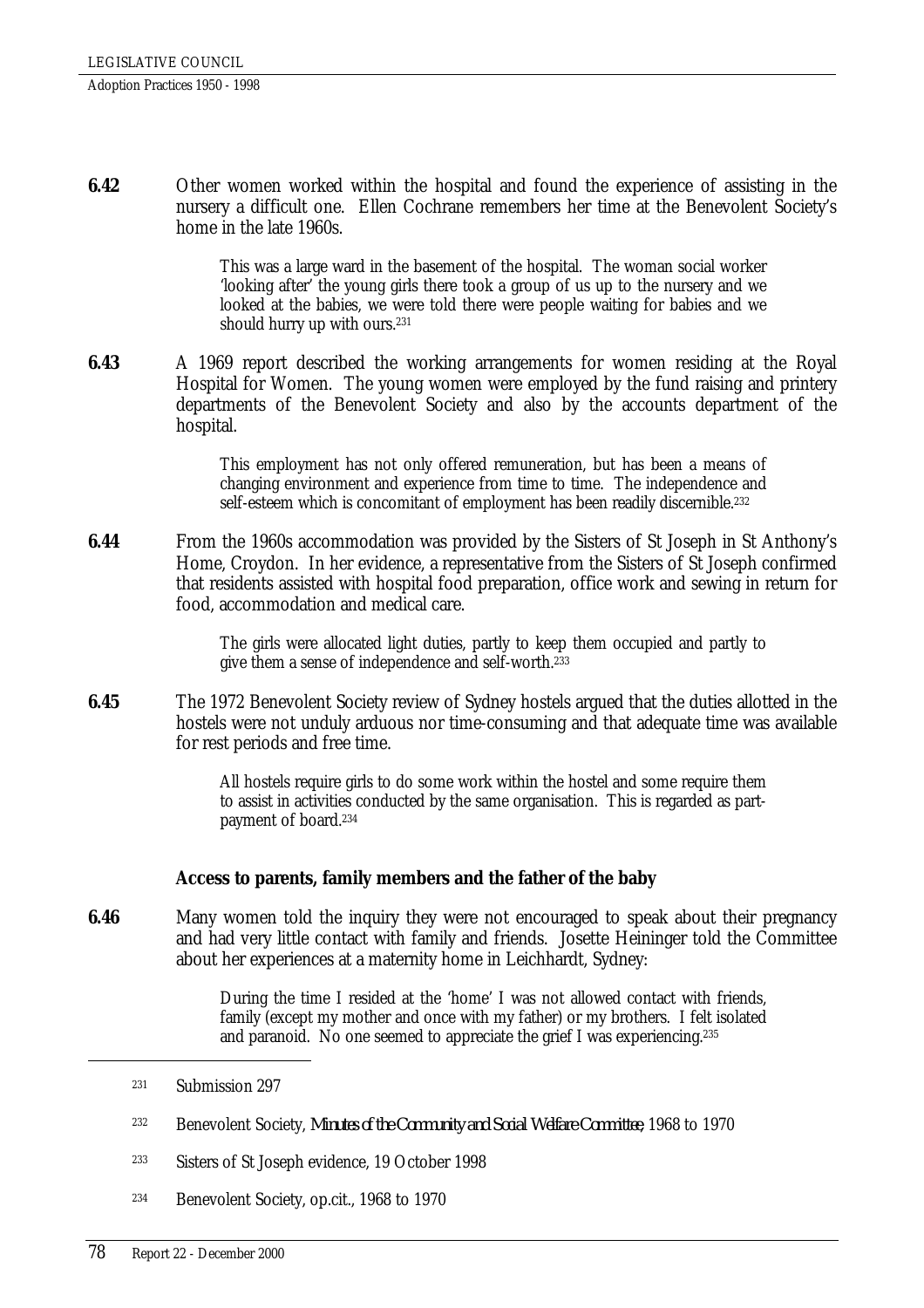**6.42** Other women worked within the hospital and found the experience of assisting in the nursery a difficult one. Ellen Cochrane remembers her time at the Benevolent Society's home in the late 1960s.

> This was a large ward in the basement of the hospital. The woman social worker 'looking after' the young girls there took a group of us up to the nursery and we looked at the babies, we were told there were people waiting for babies and we should hurry up with ours.<sup>231</sup>

**6.43** A 1969 report described the working arrangements for women residing at the Royal Hospital for Women. The young women were employed by the fund raising and printery departments of the Benevolent Society and also by the accounts department of the hospital.

> This employment has not only offered remuneration, but has been a means of changing environment and experience from time to time. The independence and self-esteem which is concomitant of employment has been readily discernible.<sup>232</sup>

**6.44** From the 1960s accommodation was provided by the Sisters of St Joseph in St Anthony's Home, Croydon. In her evidence, a representative from the Sisters of St Joseph confirmed that residents assisted with hospital food preparation, office work and sewing in return for food, accommodation and medical care.

> The girls were allocated light duties, partly to keep them occupied and partly to give them a sense of independence and self-worth.<sup>233</sup>

**6.45** The 1972 Benevolent Society review of Sydney hostels argued that the duties allotted in the hostels were not unduly arduous nor time-consuming and that adequate time was available for rest periods and free time.

> All hostels require girls to do some work within the hostel and some require them to assist in activities conducted by the same organisation. This is regarded as partpayment of board.<sup>234</sup>

#### **Access to parents, family members and the father of the baby**

**6.46** Many women told the inquiry they were not encouraged to speak about their pregnancy and had very little contact with family and friends. Josette Heininger told the Committee about her experiences at a maternity home in Leichhardt, Sydney:

> During the time I resided at the 'home' I was not allowed contact with friends, family (except my mother and once with my father) or my brothers. I felt isolated and paranoid. No one seemed to appreciate the grief I was experiencing.<sup>235</sup>

- <sup>232</sup> Benevolent Society, *Minutes of the Community and Social Welfare Committee*, 1968 to 1970
- <sup>233</sup> Sisters of St Joseph evidence, 19 October 1998
- <sup>234</sup> Benevolent Society, op.cit., 1968 to 1970

<sup>231</sup> Submission 297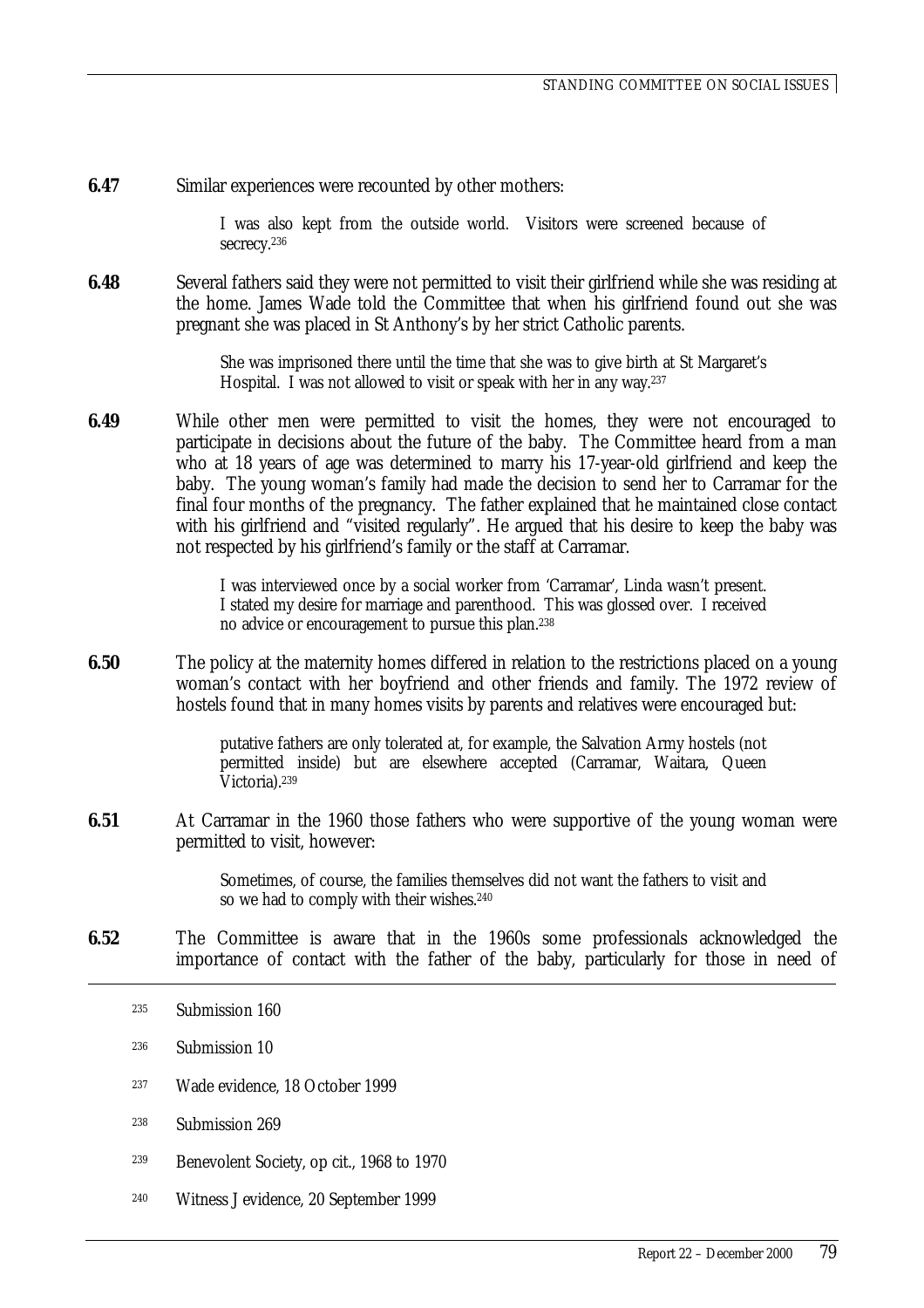**6.47** Similar experiences were recounted by other mothers:

I was also kept from the outside world. Visitors were screened because of secrecy.<sup>236</sup>

**6.48** Several fathers said they were not permitted to visit their girlfriend while she was residing at the home. James Wade told the Committee that when his girlfriend found out she was pregnant she was placed in St Anthony's by her strict Catholic parents.

> She was imprisoned there until the time that she was to give birth at St Margaret's Hospital. I was not allowed to visit or speak with her in any way.<sup>237</sup>

**6.49** While other men were permitted to visit the homes, they were not encouraged to participate in decisions about the future of the baby. The Committee heard from a man who at 18 years of age was determined to marry his 17-year-old girlfriend and keep the baby. The young woman's family had made the decision to send her to Carramar for the final four months of the pregnancy. The father explained that he maintained close contact with his girlfriend and "visited regularly". He argued that his desire to keep the baby was not respected by his girlfriend's family or the staff at Carramar.

> I was interviewed once by a social worker from 'Carramar', Linda wasn't present. I stated my desire for marriage and parenthood. This was glossed over. I received no advice or encouragement to pursue this plan.<sup>238</sup>

**6.50** The policy at the maternity homes differed in relation to the restrictions placed on a young woman's contact with her boyfriend and other friends and family. The 1972 review of hostels found that in many homes visits by parents and relatives were encouraged but:

> putative fathers are only tolerated at, for example, the Salvation Army hostels (not permitted inside) but are elsewhere accepted (Carramar, Waitara, Queen Victoria).<sup>239</sup>

**6.51** At Carramar in the 1960 those fathers who were supportive of the young woman were permitted to visit, however:

> Sometimes, of course, the families themselves did not want the fathers to visit and so we had to comply with their wishes.<sup>240</sup>

**6.52** The Committee is aware that in the 1960s some professionals acknowledged the importance of contact with the father of the baby, particularly for those in need of

- <sup>236</sup> Submission 10
- <sup>237</sup> Wade evidence, 18 October 1999
- <sup>238</sup> Submission 269
- <sup>239</sup> Benevolent Society, op cit., 1968 to 1970
- <sup>240</sup> Witness J evidence, 20 September 1999

<sup>235</sup> Submission 160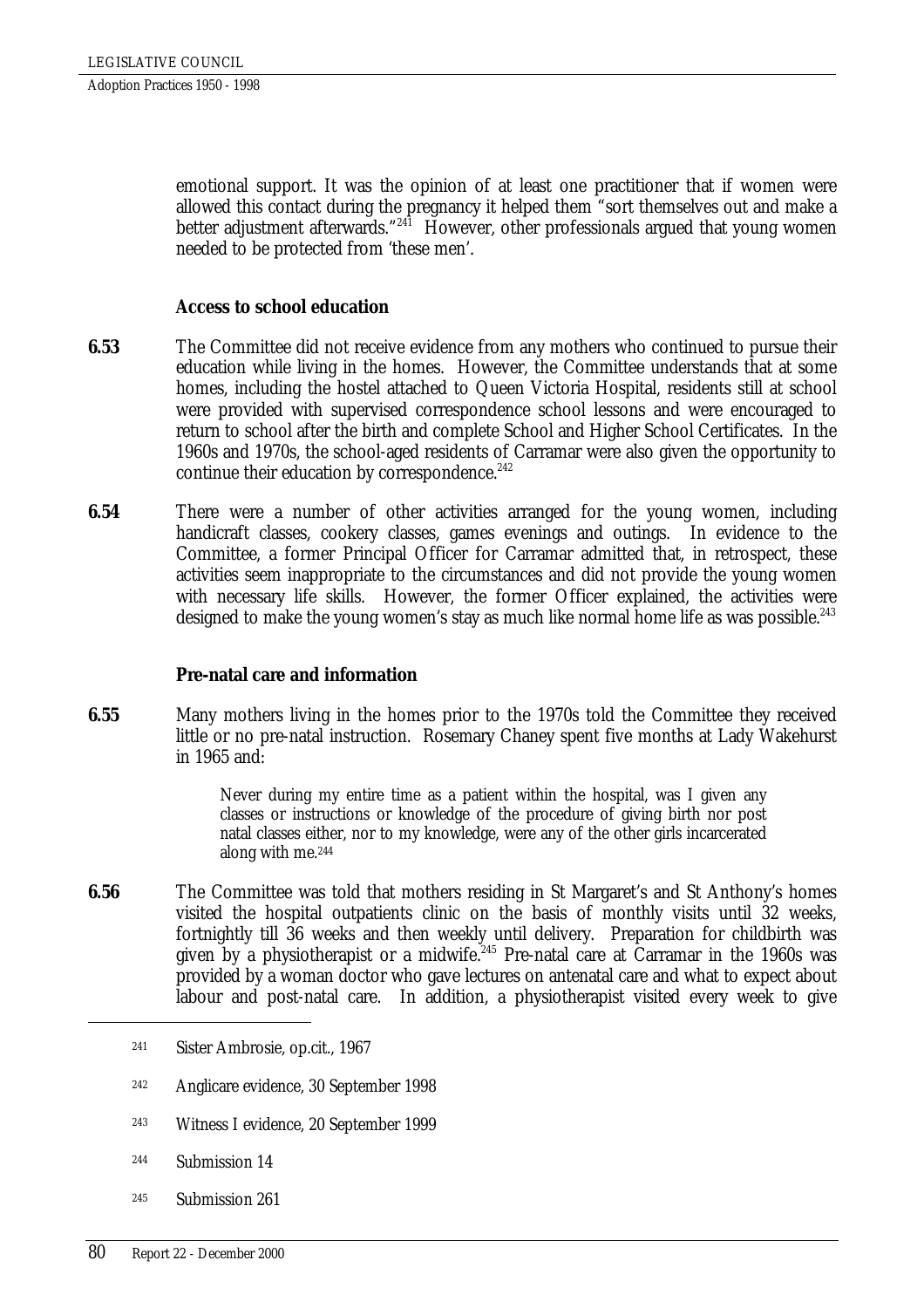emotional support. It was the opinion of at least one practitioner that if women were allowed this contact during the pregnancy it helped them "sort themselves out and make a better adjustment afterwards."<sup>241</sup> However, other professionals argued that young women needed to be protected from 'these men'.

## **Access to school education**

- **6.53** The Committee did not receive evidence from any mothers who continued to pursue their education while living in the homes. However, the Committee understands that at some homes, including the hostel attached to Queen Victoria Hospital, residents still at school were provided with supervised correspondence school lessons and were encouraged to return to school after the birth and complete School and Higher School Certificates. In the 1960s and 1970s, the school-aged residents of Carramar were also given the opportunity to continue their education by correspondence.<sup>242</sup>
- **6.54** There were a number of other activities arranged for the young women, including handicraft classes, cookery classes, games evenings and outings. In evidence to the Committee, a former Principal Officer for Carramar admitted that, in retrospect, these activities seem inappropriate to the circumstances and did not provide the young women with necessary life skills. However, the former Officer explained, the activities were designed to make the young women's stay as much like normal home life as was possible.<sup>243</sup>

## **Pre-natal care and information**

**6.55** Many mothers living in the homes prior to the 1970s told the Committee they received little or no pre-natal instruction. Rosemary Chaney spent five months at Lady Wakehurst in 1965 and:

> Never during my entire time as a patient within the hospital, was I given any classes or instructions or knowledge of the procedure of giving birth nor post natal classes either, nor to my knowledge, were any of the other girls incarcerated along with me.<sup>244</sup>

**6.56** The Committee was told that mothers residing in St Margaret's and St Anthony's homes visited the hospital outpatients clinic on the basis of monthly visits until 32 weeks, fortnightly till 36 weeks and then weekly until delivery. Preparation for childbirth was given by a physiotherapist or a midwife.<sup>245</sup> Pre-natal care at Carramar in the 1960s was provided by a woman doctor who gave lectures on antenatal care and what to expect about labour and post-natal care. In addition, a physiotherapist visited every week to give

- <sup>242</sup> Anglicare evidence, 30 September 1998
- <sup>243</sup> Witness I evidence, 20 September 1999
- <sup>244</sup> Submission 14
- <sup>245</sup> Submission 261

<sup>241</sup> Sister Ambrosie, op.cit., 1967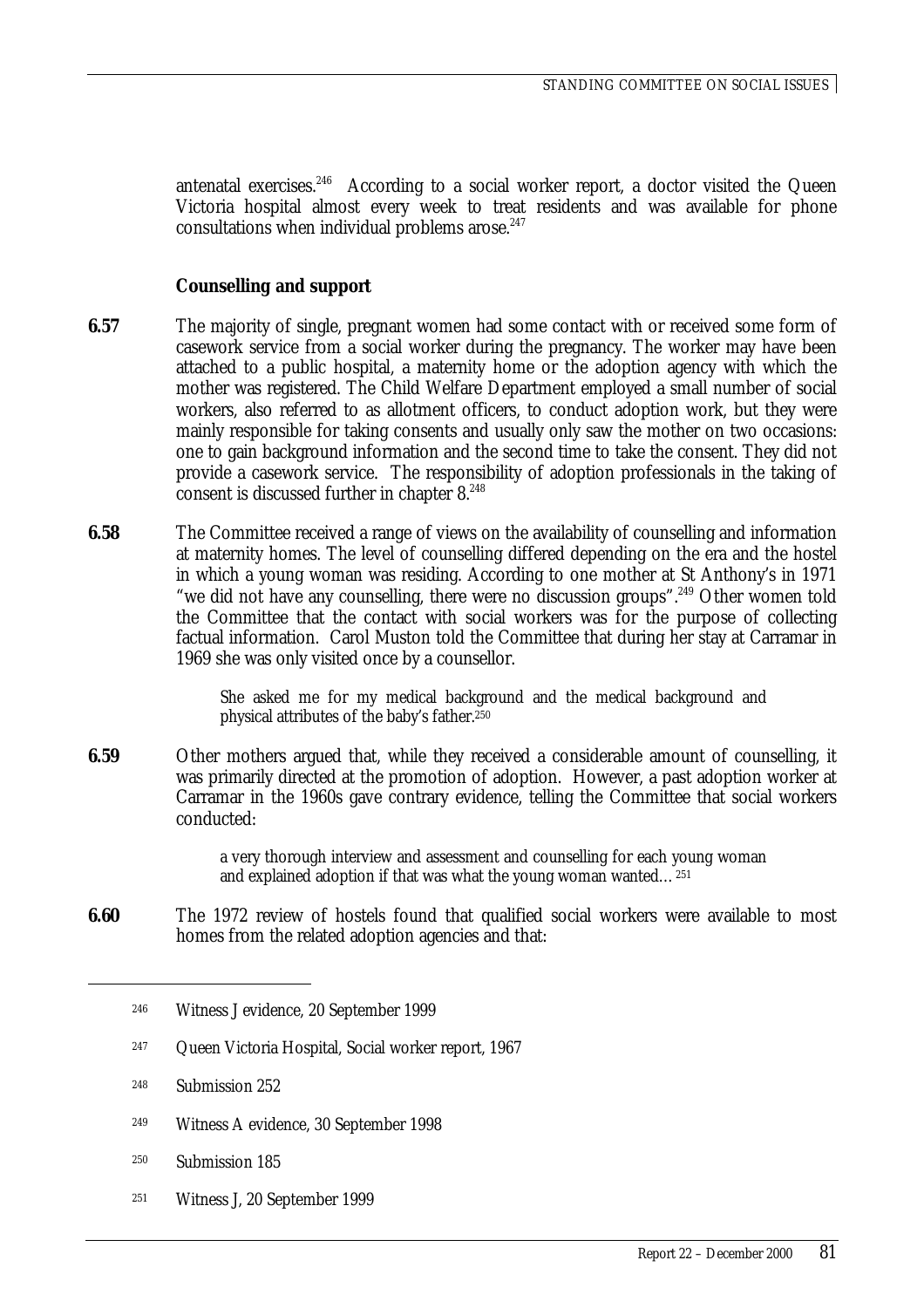antenatal exercises.<sup>246</sup> According to a social worker report, a doctor visited the Queen Victoria hospital almost every week to treat residents and was available for phone consultations when individual problems arose.<sup>247</sup>

#### **Counselling and support**

- **6.57** The majority of single, pregnant women had some contact with or received some form of casework service from a social worker during the pregnancy. The worker may have been attached to a public hospital, a maternity home or the adoption agency with which the mother was registered. The Child Welfare Department employed a small number of social workers, also referred to as allotment officers, to conduct adoption work, but they were mainly responsible for taking consents and usually only saw the mother on two occasions: one to gain background information and the second time to take the consent. They did not provide a casework service. The responsibility of adoption professionals in the taking of consent is discussed further in chapter  $8.^{248}$
- **6.58** The Committee received a range of views on the availability of counselling and information at maternity homes. The level of counselling differed depending on the era and the hostel in which a young woman was residing. According to one mother at St Anthony's in 1971 "we did not have any counselling, there were no discussion groups".<sup>249</sup> Other women told the Committee that the contact with social workers was for the purpose of collecting factual information. Carol Muston told the Committee that during her stay at Carramar in 1969 she was only visited once by a counsellor.

She asked me for my medical background and the medical background and physical attributes of the baby's father.<sup>250</sup>

**6.59** Other mothers argued that, while they received a considerable amount of counselling, it was primarily directed at the promotion of adoption. However, a past adoption worker at Carramar in the 1960s gave contrary evidence, telling the Committee that social workers conducted:

> a very thorough interview and assessment and counselling for each young woman and explained adoption if that was what the young woman wanted…<sup>251</sup>

**6.60** The 1972 review of hostels found that qualified social workers were available to most homes from the related adoption agencies and that:

- <sup>247</sup> Queen Victoria Hospital, Social worker report, 1967
- <sup>248</sup> Submission 252

- <sup>249</sup> Witness A evidence, 30 September 1998
- <sup>250</sup> Submission 185
- <sup>251</sup> Witness J, 20 September 1999

<sup>246</sup> Witness J evidence, 20 September 1999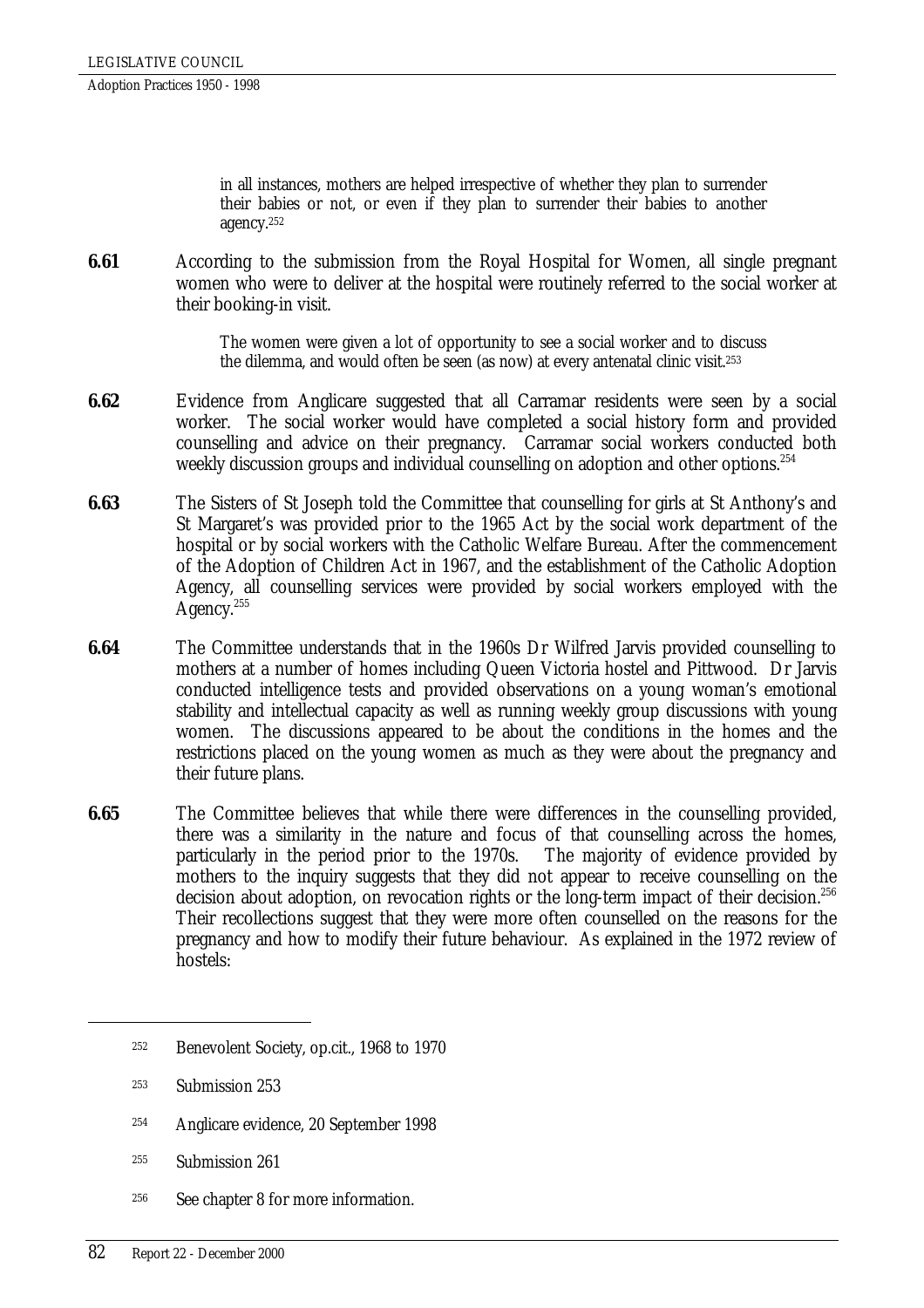in all instances, mothers are helped irrespective of whether they plan to surrender their babies or not, or even if they plan to surrender their babies to another agency.<sup>252</sup>

**6.61** According to the submission from the Royal Hospital for Women, all single pregnant women who were to deliver at the hospital were routinely referred to the social worker at their booking-in visit.

> The women were given a lot of opportunity to see a social worker and to discuss the dilemma, and would often be seen (as now) at every antenatal clinic visit.<sup>253</sup>

- **6.62** Evidence from Anglicare suggested that all Carramar residents were seen by a social worker. The social worker would have completed a social history form and provided counselling and advice on their pregnancy. Carramar social workers conducted both weekly discussion groups and individual counselling on adoption and other options.<sup>254</sup>
- **6.63** The Sisters of St Joseph told the Committee that counselling for girls at St Anthony's and St Margaret's was provided prior to the 1965 Act by the social work department of the hospital or by social workers with the Catholic Welfare Bureau. After the commencement of the Adoption of Children Act in 1967, and the establishment of the Catholic Adoption Agency, all counselling services were provided by social workers employed with the Agency.<sup>255</sup>
- **6.64** The Committee understands that in the 1960s Dr Wilfred Jarvis provided counselling to mothers at a number of homes including Queen Victoria hostel and Pittwood. Dr Jarvis conducted intelligence tests and provided observations on a young woman's emotional stability and intellectual capacity as well as running weekly group discussions with young women. The discussions appeared to be about the conditions in the homes and the restrictions placed on the young women as much as they were about the pregnancy and their future plans.
- **6.65** The Committee believes that while there were differences in the counselling provided, there was a similarity in the nature and focus of that counselling across the homes, particularly in the period prior to the 1970s. The majority of evidence provided by mothers to the inquiry suggests that they did not appear to receive counselling on the decision about adoption, on revocation rights or the long-term impact of their decision.<sup>256</sup> Their recollections suggest that they were more often counselled on the reasons for the pregnancy and how to modify their future behaviour. As explained in the 1972 review of hostels:

<sup>253</sup> Submission 253

- <sup>254</sup> Anglicare evidence, 20 September 1998
- <sup>255</sup> Submission 261
- <sup>256</sup> See chapter 8 for more information.

<sup>252</sup> Benevolent Society, op.cit., 1968 to 1970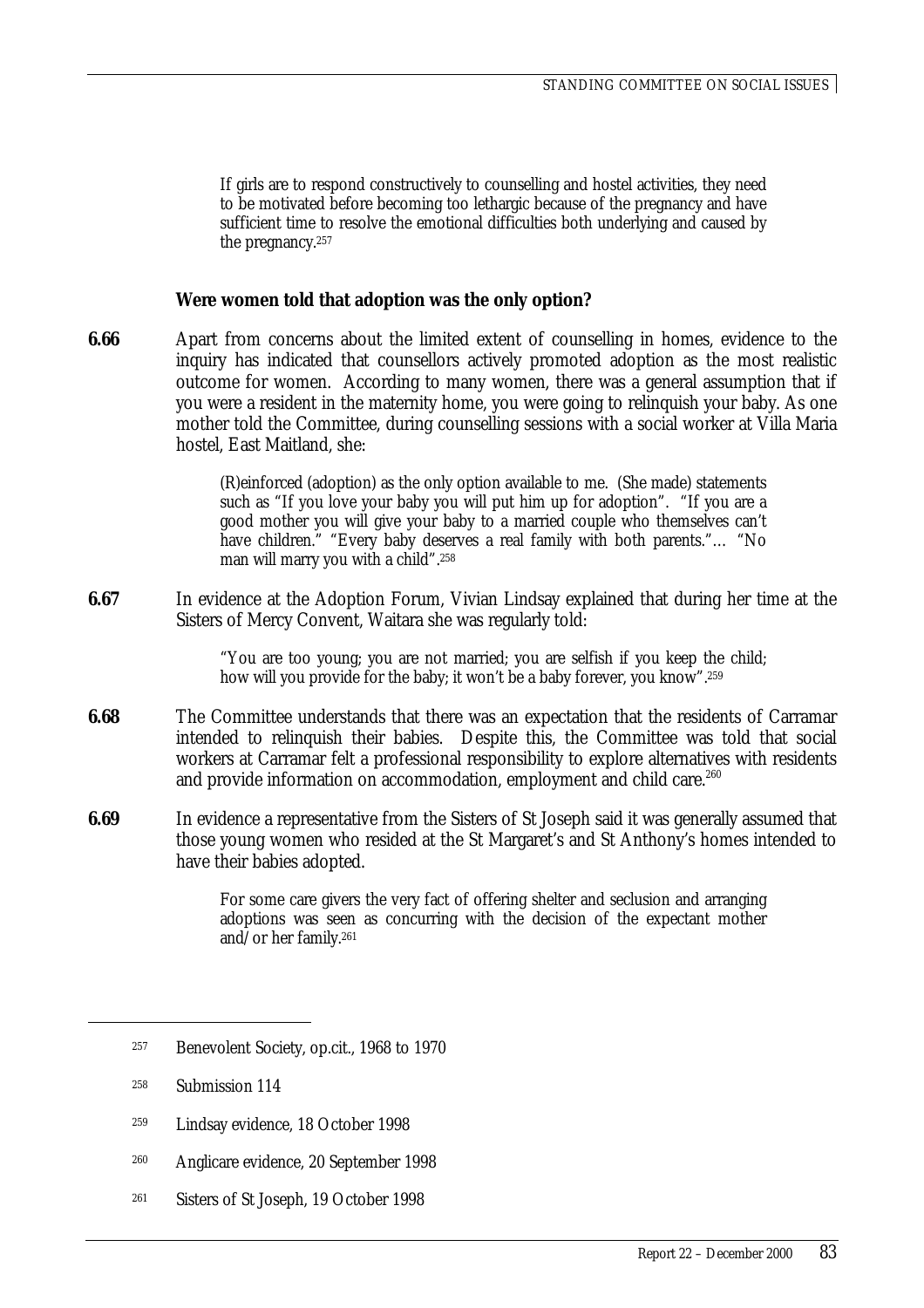If girls are to respond constructively to counselling and hostel activities, they need to be motivated before becoming too lethargic because of the pregnancy and have sufficient time to resolve the emotional difficulties both underlying and caused by the pregnancy.<sup>257</sup>

#### **Were women told that adoption was the only option?**

**6.66** Apart from concerns about the limited extent of counselling in homes, evidence to the inquiry has indicated that counsellors actively promoted adoption as the most realistic outcome for women. According to many women, there was a general assumption that if you were a resident in the maternity home, you were going to relinquish your baby. As one mother told the Committee, during counselling sessions with a social worker at Villa Maria hostel, East Maitland, she:

> (R)einforced (adoption) as the only option available to me. (She made) statements such as "If you love your baby you will put him up for adoption". "If you are a good mother you will give your baby to a married couple who themselves can't have children." "Every baby deserves a real family with both parents."… "No man will marry you with a child".<sup>258</sup>

**6.67** In evidence at the Adoption Forum, Vivian Lindsay explained that during her time at the Sisters of Mercy Convent, Waitara she was regularly told:

> "You are too young; you are not married; you are selfish if you keep the child; how will you provide for the baby; it won't be a baby forever, you know".<sup>259</sup>

- **6.68** The Committee understands that there was an expectation that the residents of Carramar intended to relinquish their babies. Despite this, the Committee was told that social workers at Carramar felt a professional responsibility to explore alternatives with residents and provide information on accommodation, employment and child care.<sup>260</sup>
- **6.69** In evidence a representative from the Sisters of St Joseph said it was generally assumed that those young women who resided at the St Margaret's and St Anthony's homes intended to have their babies adopted.

For some care givers the very fact of offering shelter and seclusion and arranging adoptions was seen as concurring with the decision of the expectant mother and/or her family.<sup>261</sup>

- <sup>259</sup> Lindsay evidence, 18 October 1998
- <sup>260</sup> Anglicare evidence, 20 September 1998
- <sup>261</sup> Sisters of St Joseph, 19 October 1998

<sup>257</sup> Benevolent Society, op.cit., 1968 to 1970

<sup>258</sup> Submission 114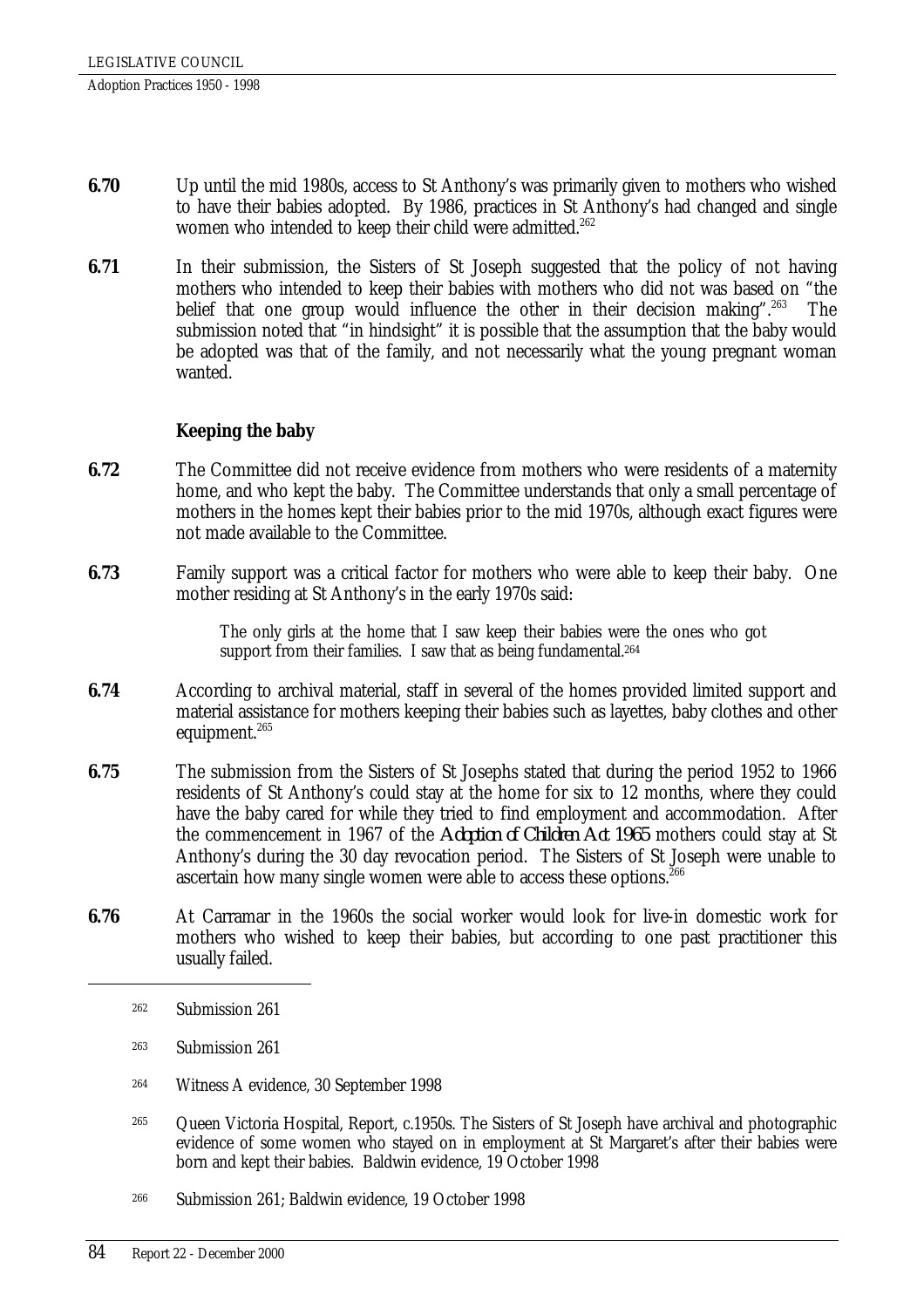- **6.70** Up until the mid 1980s, access to St Anthony's was primarily given to mothers who wished to have their babies adopted. By 1986, practices in St Anthony's had changed and single women who intended to keep their child were admitted.<sup>262</sup>
- **6.71** In their submission, the Sisters of St Joseph suggested that the policy of not having mothers who intended to keep their babies with mothers who did not was based on "the belief that one group would influence the other in their decision making".<sup>263</sup> The submission noted that "in hindsight" it is possible that the assumption that the baby would be adopted was that of the family, and not necessarily what the young pregnant woman wanted.

## **Keeping the baby**

- **6.72** The Committee did not receive evidence from mothers who were residents of a maternity home, and who kept the baby. The Committee understands that only a small percentage of mothers in the homes kept their babies prior to the mid 1970s, although exact figures were not made available to the Committee.
- **6.73** Family support was a critical factor for mothers who were able to keep their baby. One mother residing at St Anthony's in the early 1970s said:

The only girls at the home that I saw keep their babies were the ones who got support from their families. I saw that as being fundamental.<sup>264</sup>

- **6.74** According to archival material, staff in several of the homes provided limited support and material assistance for mothers keeping their babies such as layettes, baby clothes and other equipment.<sup>265</sup>
- **6.75** The submission from the Sisters of St Josephs stated that during the period 1952 to 1966 residents of St Anthony's could stay at the home for six to 12 months, where they could have the baby cared for while they tried to find employment and accommodation. After the commencement in 1967 of the *Adoption of Children Act 1965* mothers could stay at St Anthony's during the 30 day revocation period. The Sisters of St Joseph were unable to ascertain how many single women were able to access these options.<sup>266</sup>
- **6.76** At Carramar in the 1960s the social worker would look for live-in domestic work for mothers who wished to keep their babies, but according to one past practitioner this usually failed.

- <sup>263</sup> Submission 261
- <sup>264</sup> Witness A evidence, 30 September 1998
- <sup>265</sup> Queen Victoria Hospital, Report, c.1950s. The Sisters of St Joseph have archival and photographic evidence of some women who stayed on in employment at St Margaret's after their babies were born and kept their babies. Baldwin evidence, 19 October 1998
- <sup>266</sup> Submission 261; Baldwin evidence, 19 October 1998

<sup>262</sup> Submission 261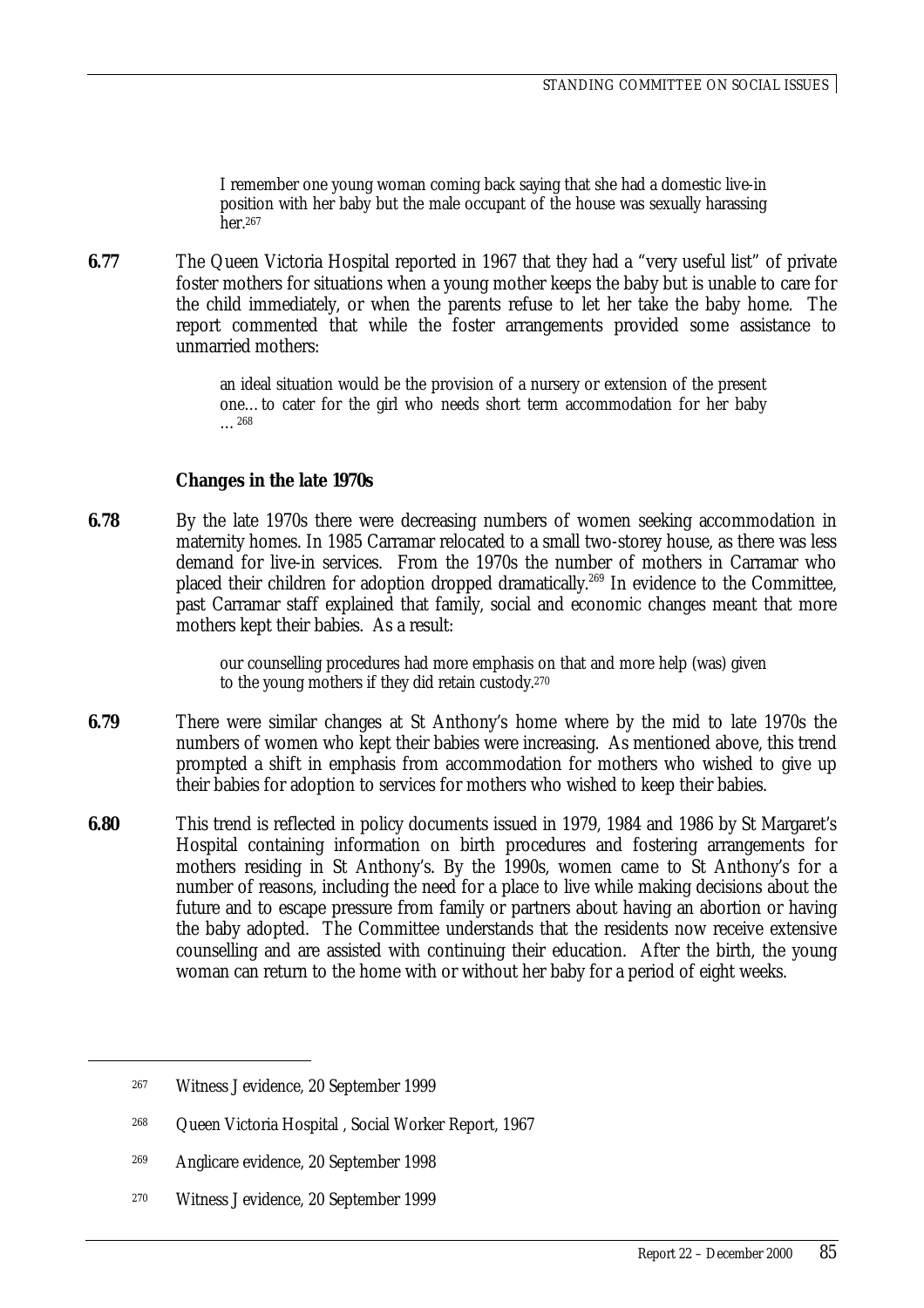I remember one young woman coming back saying that she had a domestic live-in position with her baby but the male occupant of the house was sexually harassing her.<sup>267</sup>

**6.77** The Queen Victoria Hospital reported in 1967 that they had a "very useful list" of private foster mothers for situations when a young mother keeps the baby but is unable to care for the child immediately, or when the parents refuse to let her take the baby home. The report commented that while the foster arrangements provided some assistance to unmarried mothers:

> an ideal situation would be the provision of a nursery or extension of the present one…to cater for the girl who needs short term accommodation for her baby …<sup>268</sup>

#### **Changes in the late 1970s**

**6.78** By the late 1970s there were decreasing numbers of women seeking accommodation in maternity homes. In 1985 Carramar relocated to a small two-storey house, as there was less demand for live-in services. From the 1970s the number of mothers in Carramar who placed their children for adoption dropped dramatically.<sup>269</sup> In evidence to the Committee, past Carramar staff explained that family, social and economic changes meant that more mothers kept their babies. As a result:

> our counselling procedures had more emphasis on that and more help (was) given to the young mothers if they did retain custody.<sup>270</sup>

- **6.79** There were similar changes at St Anthony's home where by the mid to late 1970s the numbers of women who kept their babies were increasing. As mentioned above, this trend prompted a shift in emphasis from accommodation for mothers who wished to give up their babies for adoption to services for mothers who wished to keep their babies.
- **6.80** This trend is reflected in policy documents issued in 1979, 1984 and 1986 by St Margaret's Hospital containing information on birth procedures and fostering arrangements for mothers residing in St Anthony's. By the 1990s, women came to St Anthony's for a number of reasons, including the need for a place to live while making decisions about the future and to escape pressure from family or partners about having an abortion or having the baby adopted. The Committee understands that the residents now receive extensive counselling and are assisted with continuing their education. After the birth, the young woman can return to the home with or without her baby for a period of eight weeks.

 $\overline{a}$ 

<sup>270</sup> Witness J evidence, 20 September 1999

<sup>267</sup> Witness J evidence, 20 September 1999

<sup>268</sup> Queen Victoria Hospital , Social Worker Report, 1967

<sup>269</sup> Anglicare evidence, 20 September 1998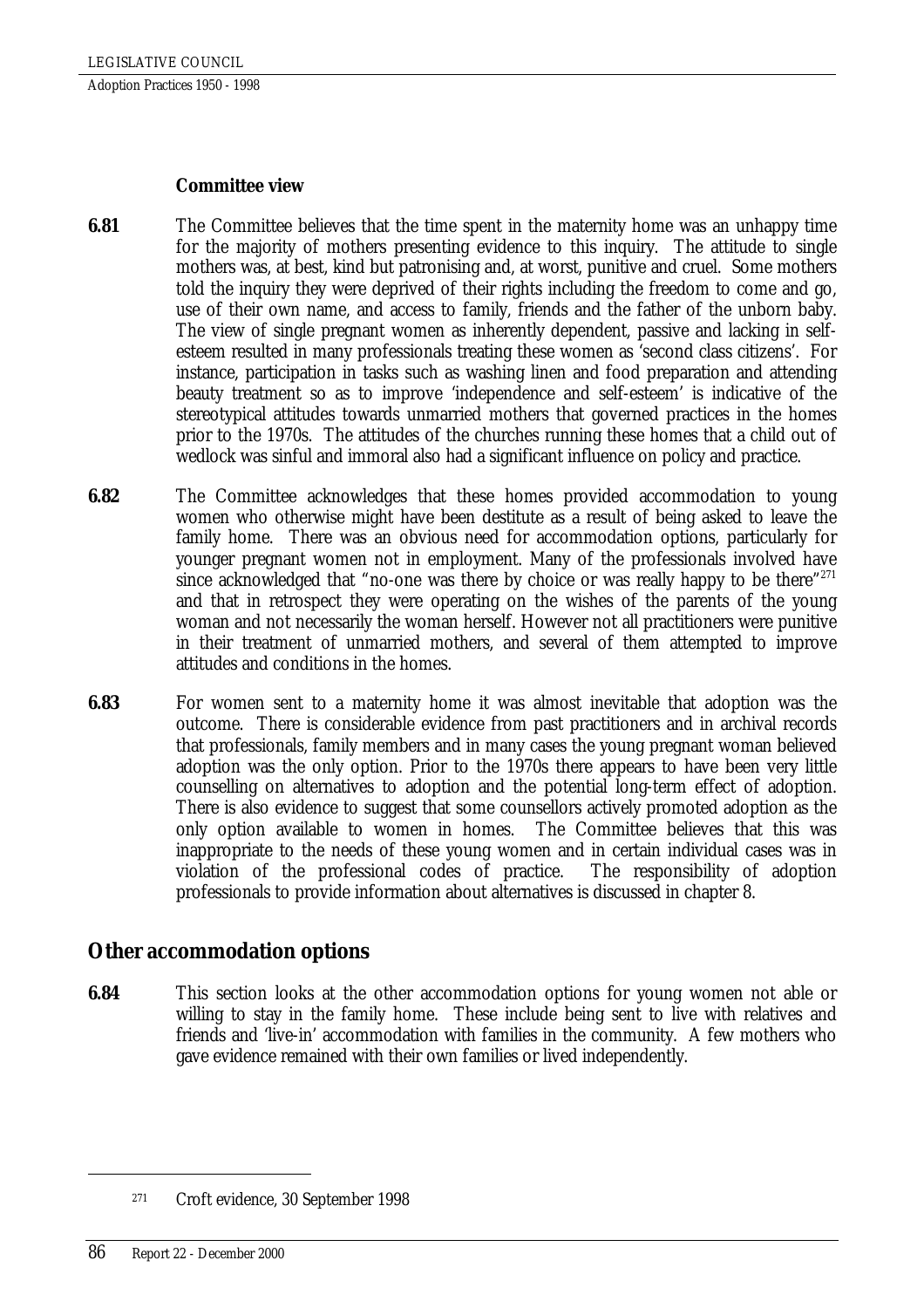#### **Committee view**

- **6.81** The Committee believes that the time spent in the maternity home was an unhappy time for the majority of mothers presenting evidence to this inquiry. The attitude to single mothers was, at best, kind but patronising and, at worst, punitive and cruel. Some mothers told the inquiry they were deprived of their rights including the freedom to come and go, use of their own name, and access to family, friends and the father of the unborn baby. The view of single pregnant women as inherently dependent, passive and lacking in selfesteem resulted in many professionals treating these women as 'second class citizens'. For instance, participation in tasks such as washing linen and food preparation and attending beauty treatment so as to improve 'independence and self-esteem' is indicative of the stereotypical attitudes towards unmarried mothers that governed practices in the homes prior to the 1970s. The attitudes of the churches running these homes that a child out of wedlock was sinful and immoral also had a significant influence on policy and practice.
- **6.82** The Committee acknowledges that these homes provided accommodation to young women who otherwise might have been destitute as a result of being asked to leave the family home. There was an obvious need for accommodation options, particularly for younger pregnant women not in employment. Many of the professionals involved have since acknowledged that "no-one was there by choice or was really happy to be there"<sup>271</sup> and that in retrospect they were operating on the wishes of the parents of the young woman and not necessarily the woman herself. However not all practitioners were punitive in their treatment of unmarried mothers, and several of them attempted to improve attitudes and conditions in the homes.
- **6.83** For women sent to a maternity home it was almost inevitable that adoption was the outcome. There is considerable evidence from past practitioners and in archival records that professionals, family members and in many cases the young pregnant woman believed adoption was the only option. Prior to the 1970s there appears to have been very little counselling on alternatives to adoption and the potential long-term effect of adoption. There is also evidence to suggest that some counsellors actively promoted adoption as the only option available to women in homes. The Committee believes that this was inappropriate to the needs of these young women and in certain individual cases was in violation of the professional codes of practice. The responsibility of adoption professionals to provide information about alternatives is discussed in chapter 8.

## **Other accommodation options**

**6.84** This section looks at the other accommodation options for young women not able or willing to stay in the family home. These include being sent to live with relatives and friends and 'live-in' accommodation with families in the community. A few mothers who gave evidence remained with their own families or lived independently.

<sup>271</sup> Croft evidence, 30 September 1998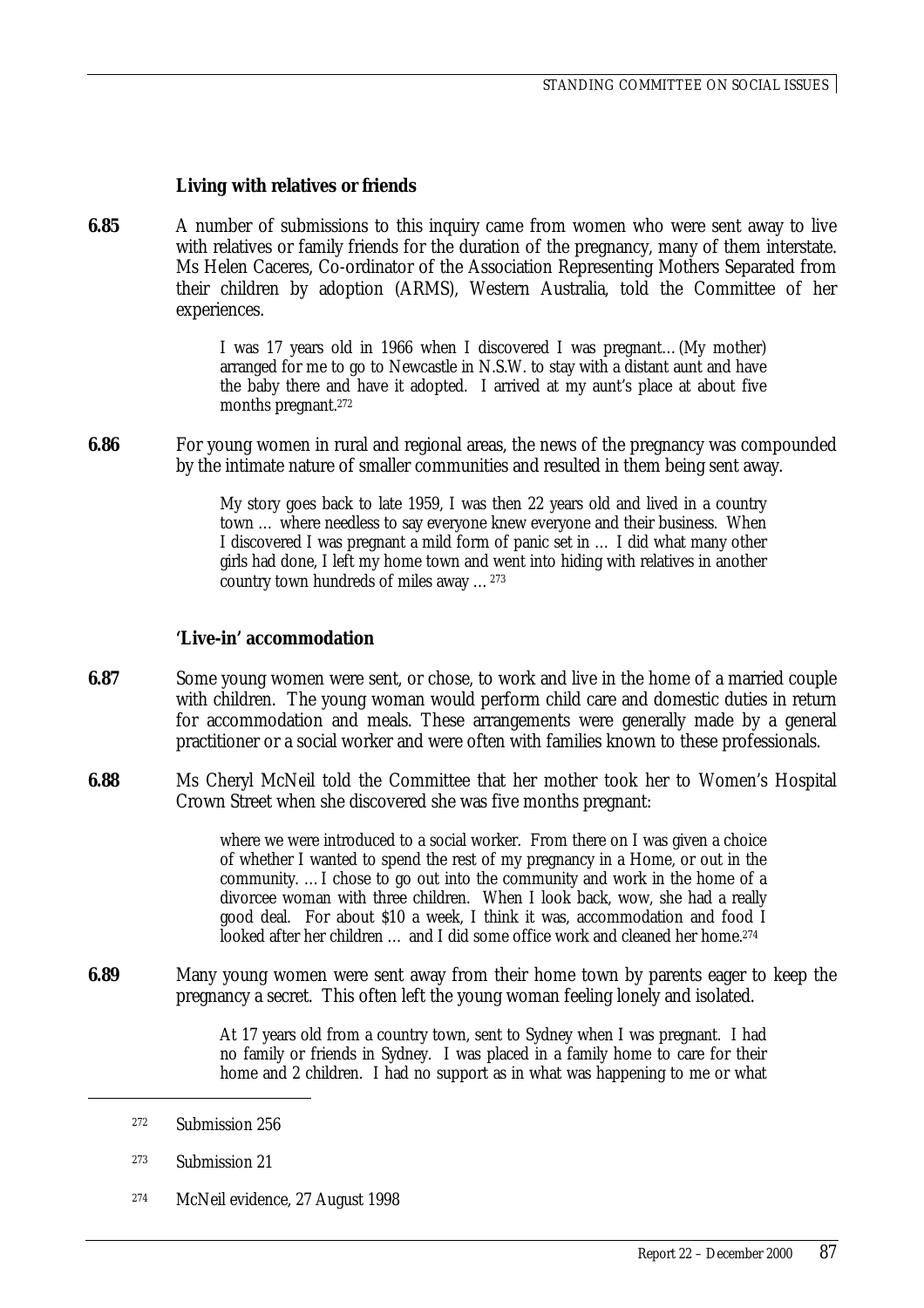#### **Living with relatives or friends**

**6.85** A number of submissions to this inquiry came from women who were sent away to live with relatives or family friends for the duration of the pregnancy, many of them interstate. Ms Helen Caceres, Co-ordinator of the Association Representing Mothers Separated from their children by adoption (ARMS), Western Australia, told the Committee of her experiences.

> I was 17 years old in 1966 when I discovered I was pregnant…(My mother) arranged for me to go to Newcastle in N.S.W. to stay with a distant aunt and have the baby there and have it adopted. I arrived at my aunt's place at about five months pregnant.<sup>272</sup>

**6.86** For young women in rural and regional areas, the news of the pregnancy was compounded by the intimate nature of smaller communities and resulted in them being sent away.

> My story goes back to late 1959, I was then 22 years old and lived in a country town … where needless to say everyone knew everyone and their business. When I discovered I was pregnant a mild form of panic set in … I did what many other girls had done, I left my home town and went into hiding with relatives in another country town hundreds of miles away …<sup>273</sup>

#### **'Live-in' accommodation**

- **6.87** Some young women were sent, or chose, to work and live in the home of a married couple with children. The young woman would perform child care and domestic duties in return for accommodation and meals. These arrangements were generally made by a general practitioner or a social worker and were often with families known to these professionals.
- **6.88** Ms Cheryl McNeil told the Committee that her mother took her to Women's Hospital Crown Street when she discovered she was five months pregnant:

where we were introduced to a social worker. From there on I was given a choice of whether I wanted to spend the rest of my pregnancy in a Home, or out in the community. …I chose to go out into the community and work in the home of a divorcee woman with three children. When I look back, wow, she had a really good deal. For about \$10 a week, I think it was, accommodation and food I looked after her children ... and I did some office work and cleaned her home.<sup>274</sup>

**6.89** Many young women were sent away from their home town by parents eager to keep the pregnancy a secret. This often left the young woman feeling lonely and isolated.

> At 17 years old from a country town, sent to Sydney when I was pregnant. I had no family or friends in Sydney. I was placed in a family home to care for their home and 2 children. I had no support as in what was happening to me or what

 $\overline{a}$ 

<sup>274</sup> McNeil evidence, 27 August 1998

<sup>272</sup> Submission 256

<sup>273</sup> Submission 21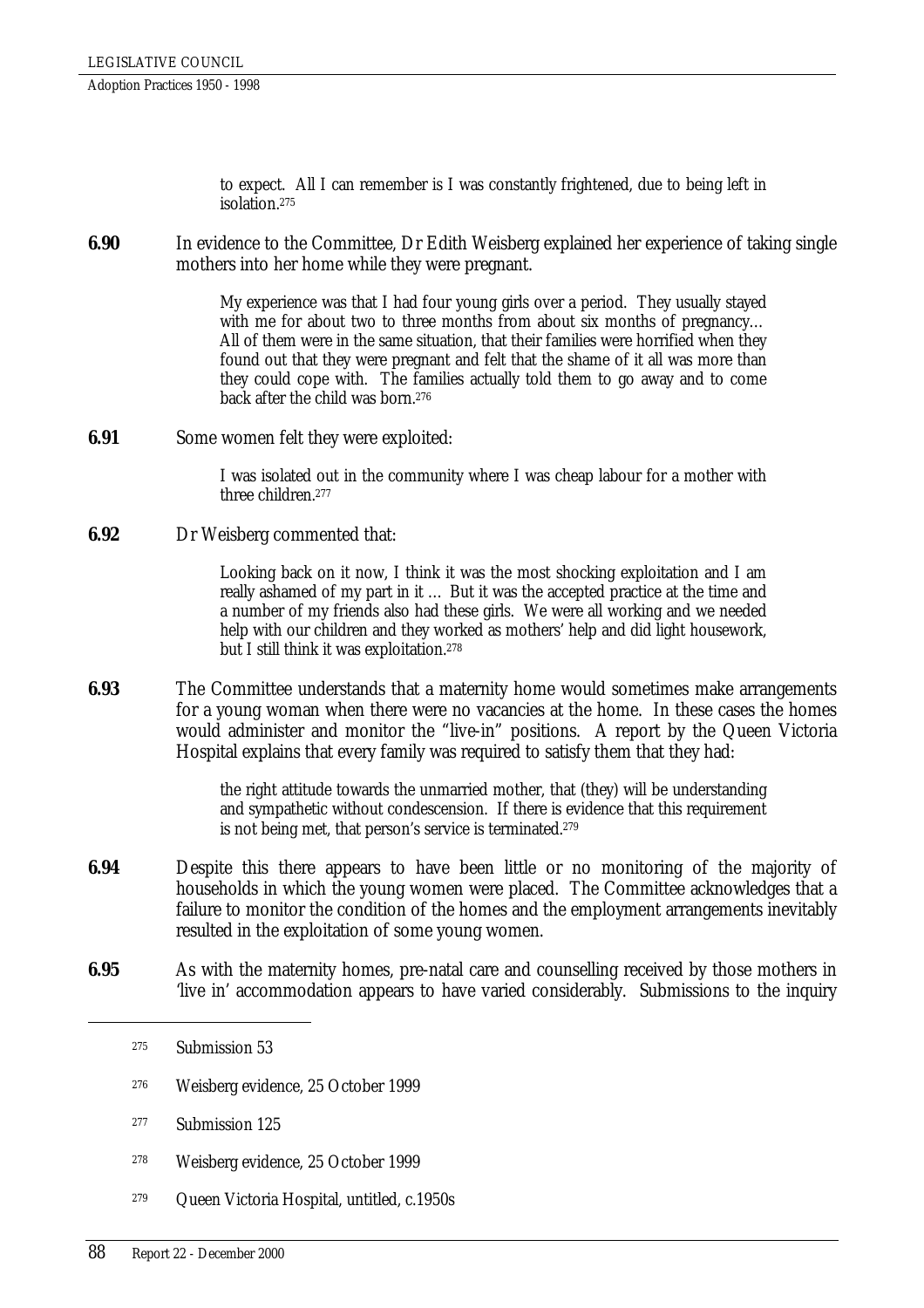to expect. All I can remember is I was constantly frightened, due to being left in isolation.<sup>275</sup>

**6.90** In evidence to the Committee, Dr Edith Weisberg explained her experience of taking single mothers into her home while they were pregnant.

> My experience was that I had four young girls over a period. They usually stayed with me for about two to three months from about six months of pregnancy... All of them were in the same situation, that their families were horrified when they found out that they were pregnant and felt that the shame of it all was more than they could cope with. The families actually told them to go away and to come back after the child was born.<sup>276</sup>

**6.91** Some women felt they were exploited:

I was isolated out in the community where I was cheap labour for a mother with three children.<sup>277</sup>

**6.92** Dr Weisberg commented that:

Looking back on it now, I think it was the most shocking exploitation and I am really ashamed of my part in it … But it was the accepted practice at the time and a number of my friends also had these girls. We were all working and we needed help with our children and they worked as mothers' help and did light housework, but I still think it was exploitation.<sup>278</sup>

**6.93** The Committee understands that a maternity home would sometimes make arrangements for a young woman when there were no vacancies at the home. In these cases the homes would administer and monitor the "live-in" positions. A report by the Queen Victoria Hospital explains that every family was required to satisfy them that they had:

> the right attitude towards the unmarried mother, that (they) will be understanding and sympathetic without condescension. If there is evidence that this requirement is not being met, that person's service is terminated.<sup>279</sup>

- **6.94** Despite this there appears to have been little or no monitoring of the majority of households in which the young women were placed. The Committee acknowledges that a failure to monitor the condition of the homes and the employment arrangements inevitably resulted in the exploitation of some young women.
- **6.95** As with the maternity homes, pre-natal care and counselling received by those mothers in 'live in' accommodation appears to have varied considerably. Submissions to the inquiry

- <sup>276</sup> Weisberg evidence, 25 October 1999
- <sup>277</sup> Submission 125
- <sup>278</sup> Weisberg evidence, 25 October 1999
- <sup>279</sup> Queen Victoria Hospital, untitled, c.1950s

<sup>275</sup> Submission 53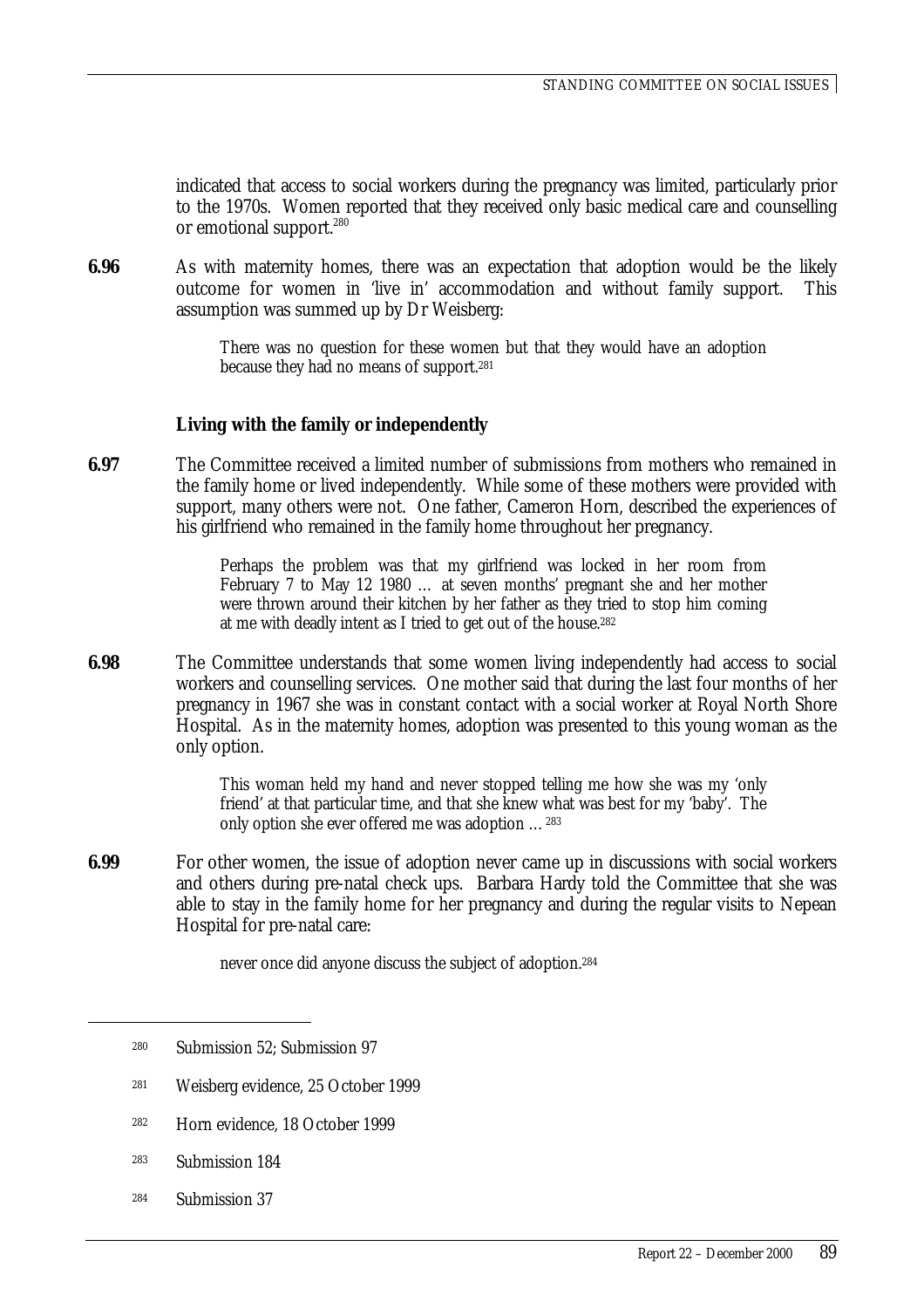indicated that access to social workers during the pregnancy was limited, particularly prior to the 1970s. Women reported that they received only basic medical care and counselling or emotional support.<sup>280</sup>

**6.96** As with maternity homes, there was an expectation that adoption would be the likely outcome for women in 'live in' accommodation and without family support. This assumption was summed up by Dr Weisberg:

> There was no question for these women but that they would have an adoption because they had no means of support.<sup>281</sup>

#### **Living with the family or independently**

**6.97** The Committee received a limited number of submissions from mothers who remained in the family home or lived independently. While some of these mothers were provided with support, many others were not. One father, Cameron Horn, described the experiences of his girlfriend who remained in the family home throughout her pregnancy.

> Perhaps the problem was that my girlfriend was locked in her room from February 7 to May 12 1980 … at seven months' pregnant she and her mother were thrown around their kitchen by her father as they tried to stop him coming at me with deadly intent as I tried to get out of the house.<sup>282</sup>

**6.98** The Committee understands that some women living independently had access to social workers and counselling services. One mother said that during the last four months of her pregnancy in 1967 she was in constant contact with a social worker at Royal North Shore Hospital. As in the maternity homes, adoption was presented to this young woman as the only option.

> This woman held my hand and never stopped telling me how she was my 'only friend' at that particular time, and that she knew what was best for my 'baby'. The only option she ever offered me was adoption …<sup>283</sup>

**6.99** For other women, the issue of adoption never came up in discussions with social workers and others during pre-natal check ups. Barbara Hardy told the Committee that she was able to stay in the family home for her pregnancy and during the regular visits to Nepean Hospital for pre-natal care:

never once did anyone discuss the subject of adoption.<sup>284</sup>

- <sup>282</sup> Horn evidence, 18 October 1999
- <sup>283</sup> Submission 184

 $\overline{a}$ 

<sup>284</sup> Submission 37

<sup>280</sup> Submission 52; Submission 97

<sup>281</sup> Weisberg evidence, 25 October 1999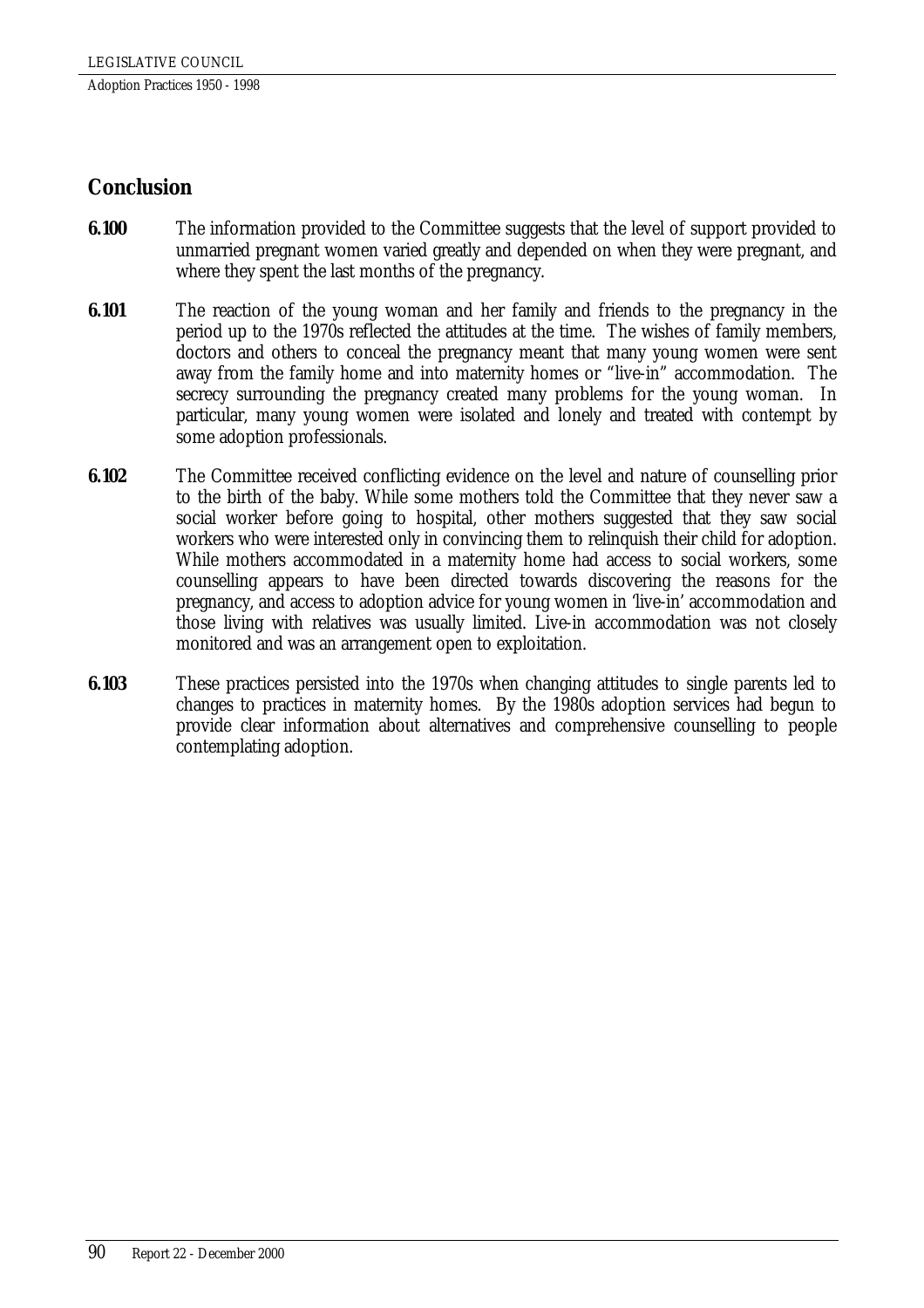## **Conclusion**

- **6.100** The information provided to the Committee suggests that the level of support provided to unmarried pregnant women varied greatly and depended on when they were pregnant, and where they spent the last months of the pregnancy.
- **6.101** The reaction of the young woman and her family and friends to the pregnancy in the period up to the 1970s reflected the attitudes at the time. The wishes of family members, doctors and others to conceal the pregnancy meant that many young women were sent away from the family home and into maternity homes or "live-in" accommodation. The secrecy surrounding the pregnancy created many problems for the young woman. In particular, many young women were isolated and lonely and treated with contempt by some adoption professionals.
- **6.102** The Committee received conflicting evidence on the level and nature of counselling prior to the birth of the baby. While some mothers told the Committee that they never saw a social worker before going to hospital, other mothers suggested that they saw social workers who were interested only in convincing them to relinquish their child for adoption. While mothers accommodated in a maternity home had access to social workers, some counselling appears to have been directed towards discovering the reasons for the pregnancy, and access to adoption advice for young women in 'live-in' accommodation and those living with relatives was usually limited. Live-in accommodation was not closely monitored and was an arrangement open to exploitation.
- **6.103** These practices persisted into the 1970s when changing attitudes to single parents led to changes to practices in maternity homes. By the 1980s adoption services had begun to provide clear information about alternatives and comprehensive counselling to people contemplating adoption.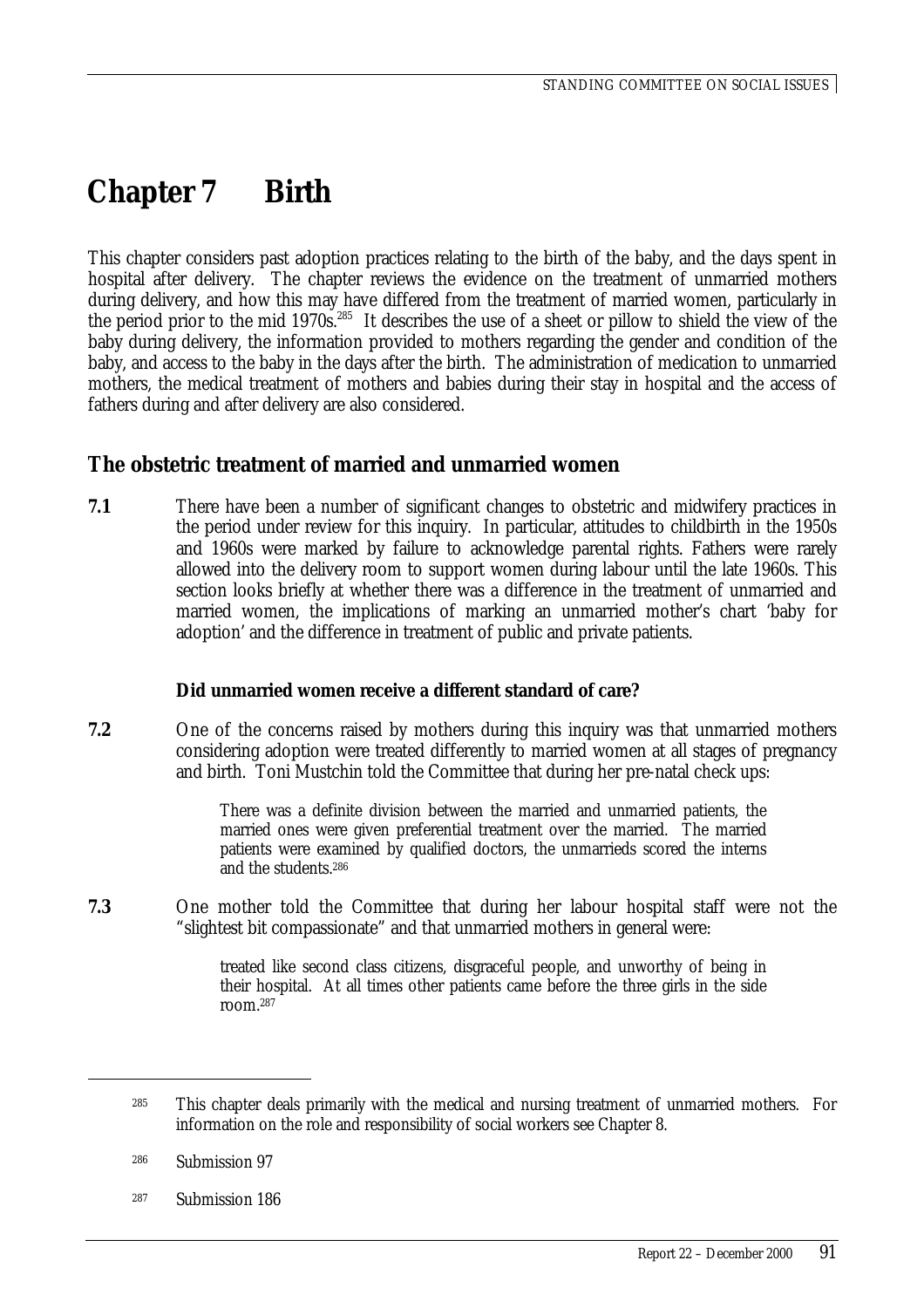# **Chapter 7 Birth**

This chapter considers past adoption practices relating to the birth of the baby, and the days spent in hospital after delivery. The chapter reviews the evidence on the treatment of unmarried mothers during delivery, and how this may have differed from the treatment of married women, particularly in the period prior to the mid 1970s.<sup>285</sup> It describes the use of a sheet or pillow to shield the view of the baby during delivery, the information provided to mothers regarding the gender and condition of the baby, and access to the baby in the days after the birth. The administration of medication to unmarried mothers, the medical treatment of mothers and babies during their stay in hospital and the access of fathers during and after delivery are also considered.

# **The obstetric treatment of married and unmarried women**

**7.1** There have been a number of significant changes to obstetric and midwifery practices in the period under review for this inquiry. In particular, attitudes to childbirth in the 1950s and 1960s were marked by failure to acknowledge parental rights. Fathers were rarely allowed into the delivery room to support women during labour until the late 1960s. This section looks briefly at whether there was a difference in the treatment of unmarried and married women, the implications of marking an unmarried mother's chart 'baby for adoption' and the difference in treatment of public and private patients.

## **Did unmarried women receive a different standard of care?**

**7.2** One of the concerns raised by mothers during this inquiry was that unmarried mothers considering adoption were treated differently to married women at all stages of pregnancy and birth. Toni Mustchin told the Committee that during her pre-natal check ups:

> There was a definite division between the married and unmarried patients, the married ones were given preferential treatment over the married. The married patients were examined by qualified doctors, the unmarrieds scored the interns and the students.<sup>286</sup>

**7.3** One mother told the Committee that during her labour hospital staff were not the "slightest bit compassionate" and that unmarried mothers in general were:

> treated like second class citizens, disgraceful people, and unworthy of being in their hospital. At all times other patients came before the three girls in the side room.<sup>287</sup>

 $\overline{a}$ 

<sup>287</sup> Submission 186

<sup>285</sup> This chapter deals primarily with the medical and nursing treatment of unmarried mothers. For information on the role and responsibility of social workers see Chapter 8.

<sup>286</sup> Submission 97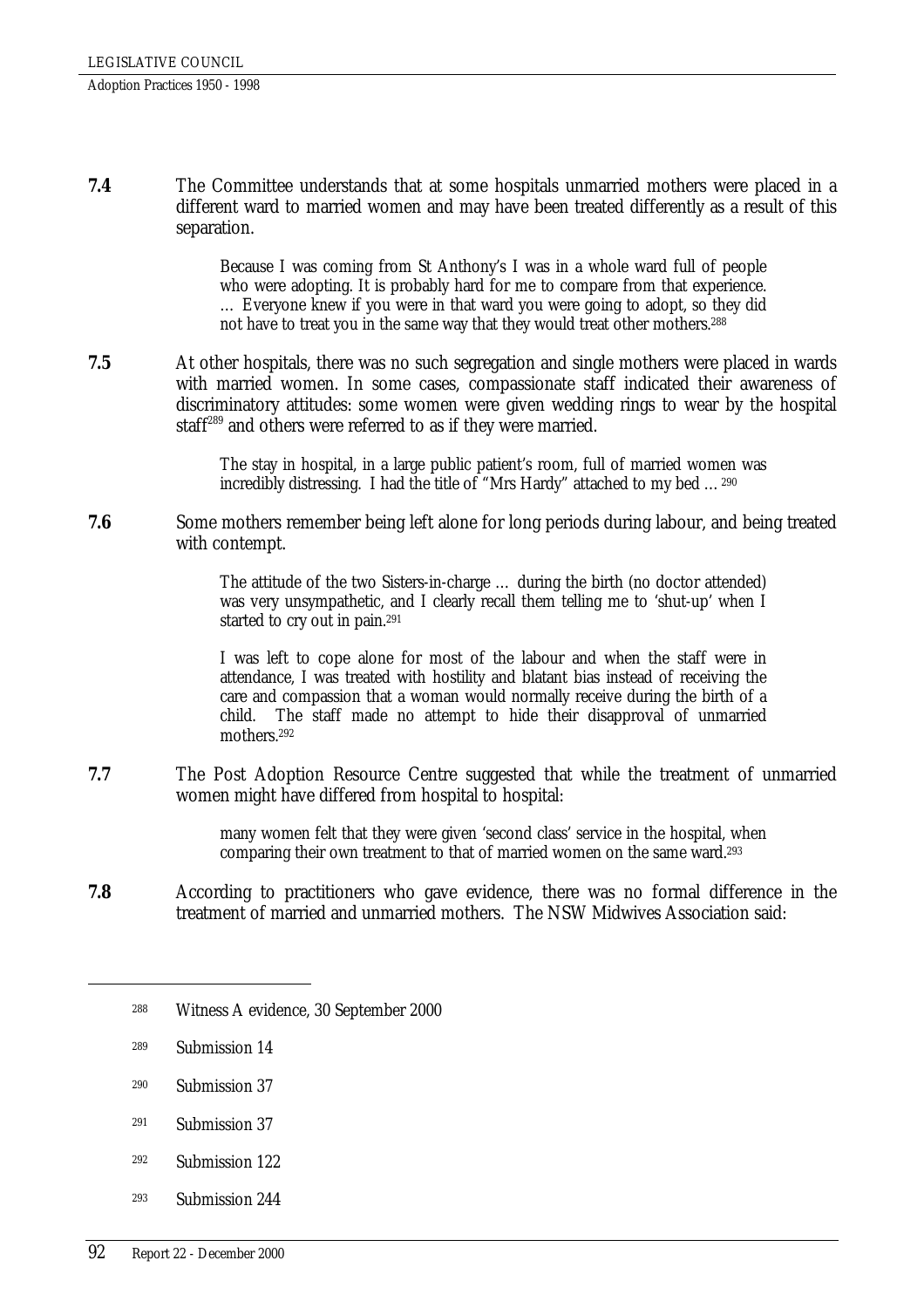**7.4** The Committee understands that at some hospitals unmarried mothers were placed in a different ward to married women and may have been treated differently as a result of this separation.

> Because I was coming from St Anthony's I was in a whole ward full of people who were adopting. It is probably hard for me to compare from that experience. … Everyone knew if you were in that ward you were going to adopt, so they did not have to treat you in the same way that they would treat other mothers.<sup>288</sup>

**7.5** At other hospitals, there was no such segregation and single mothers were placed in wards with married women. In some cases, compassionate staff indicated their awareness of discriminatory attitudes: some women were given wedding rings to wear by the hospital staff<sup>289</sup> and others were referred to as if they were married.

> The stay in hospital, in a large public patient's room, full of married women was incredibly distressing. I had the title of "Mrs Hardy" attached to my bed …<sup>290</sup>

**7.6** Some mothers remember being left alone for long periods during labour, and being treated with contempt.

> The attitude of the two Sisters-in-charge … during the birth (no doctor attended) was very unsympathetic, and I clearly recall them telling me to 'shut-up' when I started to cry out in pain.<sup>291</sup>

> I was left to cope alone for most of the labour and when the staff were in attendance, I was treated with hostility and blatant bias instead of receiving the care and compassion that a woman would normally receive during the birth of a child. The staff made no attempt to hide their disapproval of unmarried mothers.<sup>292</sup>

**7.7** The Post Adoption Resource Centre suggested that while the treatment of unmarried women might have differed from hospital to hospital:

> many women felt that they were given 'second class' service in the hospital, when comparing their own treatment to that of married women on the same ward.<sup>293</sup>

**7.8** According to practitioners who gave evidence, there was no formal difference in the treatment of married and unmarried mothers. The NSW Midwives Association said:

- <sup>290</sup> Submission 37
- <sup>291</sup> Submission 37
- <sup>292</sup> Submission 122
- <sup>293</sup> Submission 244

<sup>288</sup> Witness A evidence, 30 September 2000

<sup>289</sup> Submission 14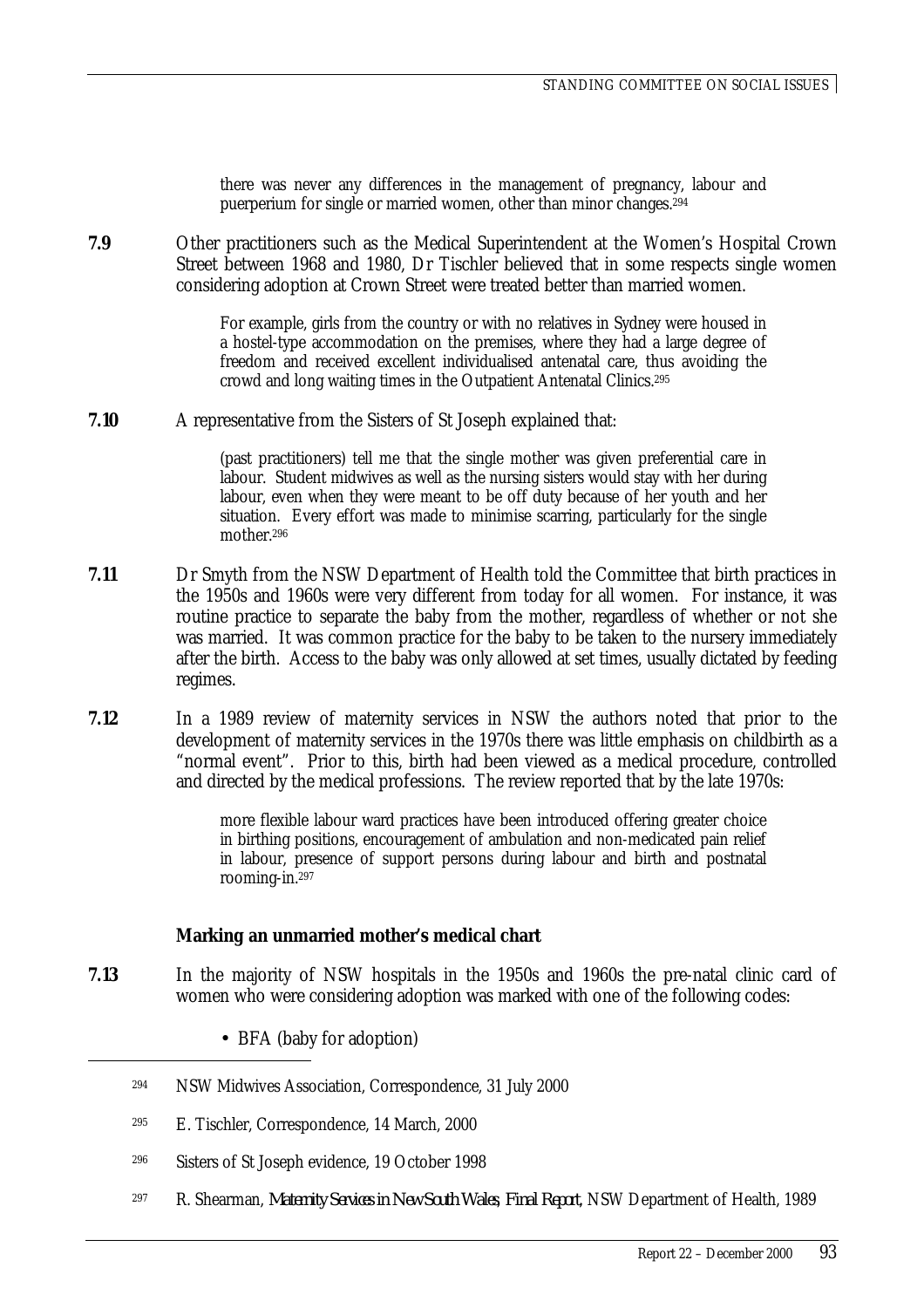there was never any differences in the management of pregnancy, labour and puerperium for single or married women, other than minor changes.<sup>294</sup>

**7.9** Other practitioners such as the Medical Superintendent at the Women's Hospital Crown Street between 1968 and 1980, Dr Tischler believed that in some respects single women considering adoption at Crown Street were treated better than married women.

> For example, girls from the country or with no relatives in Sydney were housed in a hostel-type accommodation on the premises, where they had a large degree of freedom and received excellent individualised antenatal care, thus avoiding the crowd and long waiting times in the Outpatient Antenatal Clinics.<sup>295</sup>

**7.10** A representative from the Sisters of St Joseph explained that:

(past practitioners) tell me that the single mother was given preferential care in labour. Student midwives as well as the nursing sisters would stay with her during labour, even when they were meant to be off duty because of her youth and her situation. Every effort was made to minimise scarring, particularly for the single mother.<sup>296</sup>

- **7.11** Dr Smyth from the NSW Department of Health told the Committee that birth practices in the 1950s and 1960s were very different from today for all women. For instance, it was routine practice to separate the baby from the mother, regardless of whether or not she was married. It was common practice for the baby to be taken to the nursery immediately after the birth. Access to the baby was only allowed at set times, usually dictated by feeding regimes.
- **7.12** In a 1989 review of maternity services in NSW the authors noted that prior to the development of maternity services in the 1970s there was little emphasis on childbirth as a "normal event". Prior to this, birth had been viewed as a medical procedure, controlled and directed by the medical professions. The review reported that by the late 1970s:

more flexible labour ward practices have been introduced offering greater choice in birthing positions, encouragement of ambulation and non-medicated pain relief in labour, presence of support persons during labour and birth and postnatal rooming-in.<sup>297</sup>

#### **Marking an unmarried mother's medical chart**

- **7.13** In the majority of NSW hospitals in the 1950s and 1960s the pre-natal clinic card of women who were considering adoption was marked with one of the following codes:
	- BFA (baby for adoption)
	- <sup>294</sup> NSW Midwives Association, Correspondence, 31 July 2000
	- <sup>295</sup> E. Tischler, Correspondence, 14 March, 2000

- <sup>296</sup> Sisters of St Joseph evidence, 19 October 1998
- <sup>297</sup> R. Shearman, *Maternity Services in New South Wales*, *Final Report*, NSW Department of Health, 1989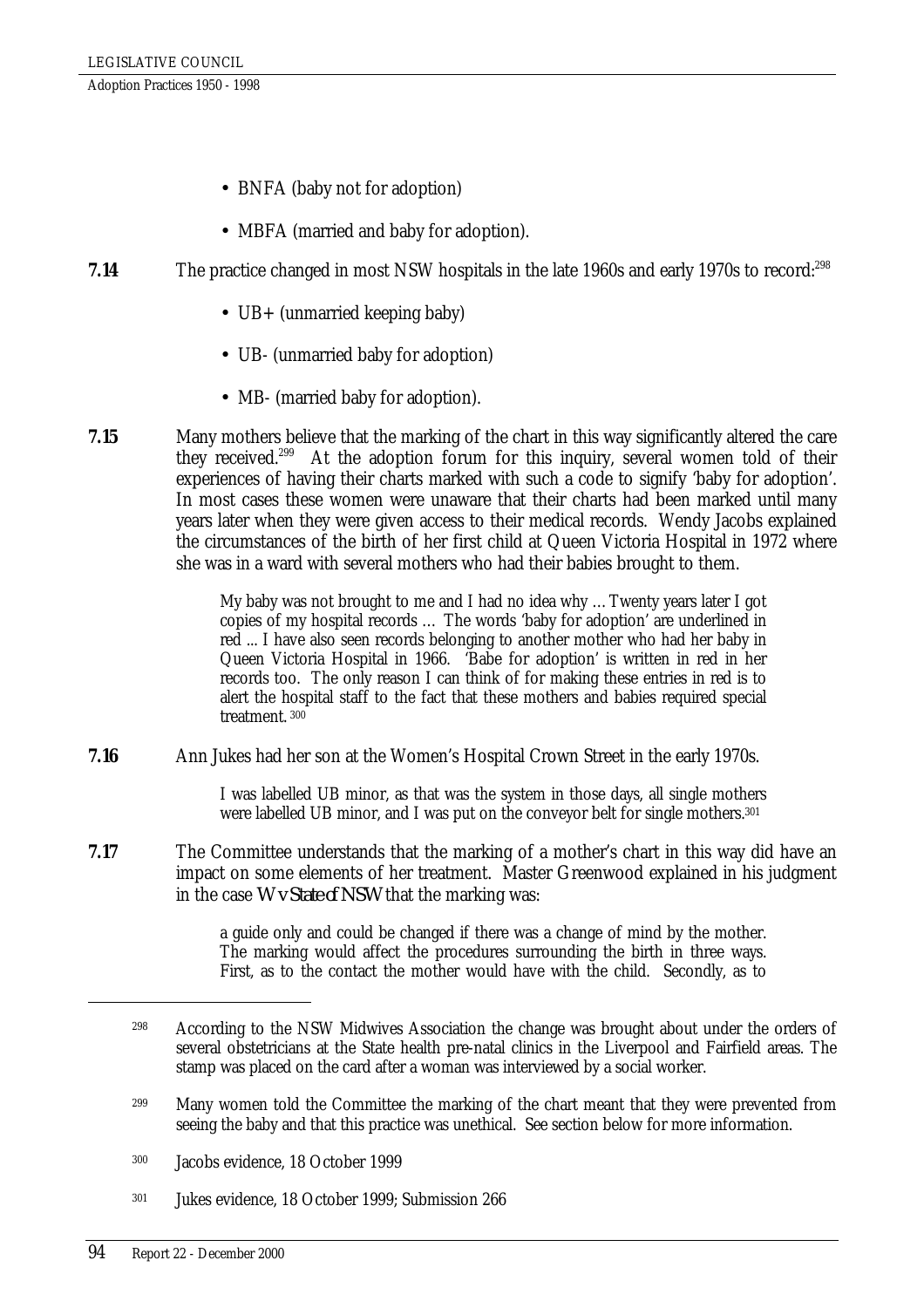- BNFA (baby not for adoption)
- MBFA (married and baby for adoption).
- **7.14** The practice changed in most NSW hospitals in the late 1960s and early 1970s to record:<sup>298</sup>
	- UB+ (unmarried keeping baby)
	- UB- (unmarried baby for adoption)
	- MB- (married baby for adoption).
- **7.15** Many mothers believe that the marking of the chart in this way significantly altered the care they received.<sup>299</sup> At the adoption forum for this inquiry, several women told of their experiences of having their charts marked with such a code to signify 'baby for adoption'. In most cases these women were unaware that their charts had been marked until many years later when they were given access to their medical records. Wendy Jacobs explained the circumstances of the birth of her first child at Queen Victoria Hospital in 1972 where she was in a ward with several mothers who had their babies brought to them.

My baby was not brought to me and I had no idea why …Twenty years later I got copies of my hospital records … The words 'baby for adoption' are underlined in red ... I have also seen records belonging to another mother who had her baby in Queen Victoria Hospital in 1966. 'Babe for adoption' is written in red in her records too. The only reason I can think of for making these entries in red is to alert the hospital staff to the fact that these mothers and babies required special treatment. <sup>300</sup>

**7.16** Ann Jukes had her son at the Women's Hospital Crown Street in the early 1970s.

I was labelled UB minor, as that was the system in those days, all single mothers were labelled UB minor, and I was put on the conveyor belt for single mothers.<sup>301</sup>

**7.17** The Committee understands that the marking of a mother's chart in this way did have an impact on some elements of her treatment. Master Greenwood explained in his judgment in the case *W v State of NSW* that the marking was:

> a guide only and could be changed if there was a change of mind by the mother. The marking would affect the procedures surrounding the birth in three ways. First, as to the contact the mother would have with the child. Secondly, as to

- <sup>298</sup> According to the NSW Midwives Association the change was brought about under the orders of several obstetricians at the State health pre-natal clinics in the Liverpool and Fairfield areas. The stamp was placed on the card after a woman was interviewed by a social worker.
- <sup>299</sup> Many women told the Committee the marking of the chart meant that they were prevented from seeing the baby and that this practice was unethical. See section below for more information.
- <sup>300</sup> Jacobs evidence, 18 October 1999
- <sup>301</sup> Jukes evidence, 18 October 1999; Submission 266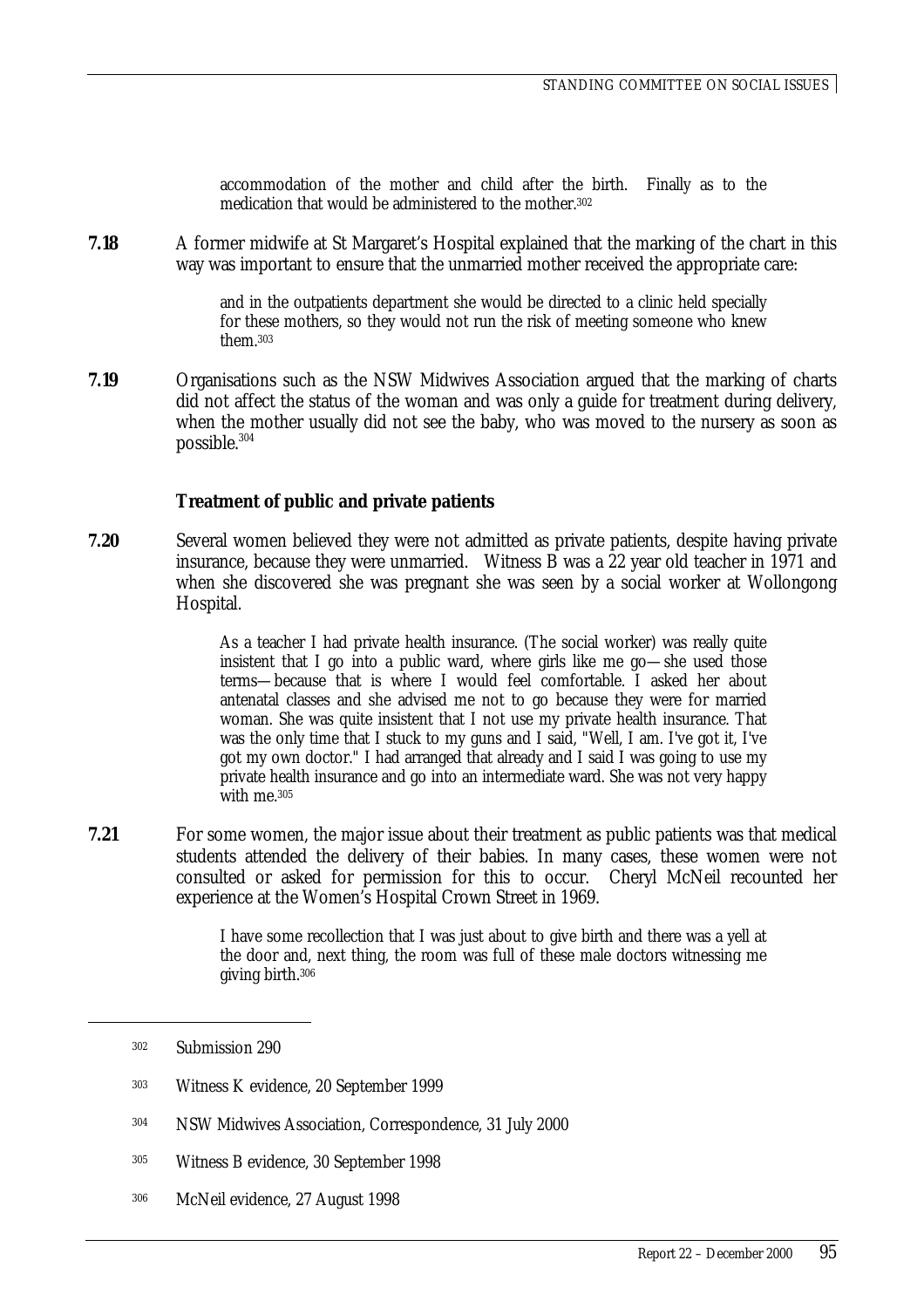accommodation of the mother and child after the birth. Finally as to the medication that would be administered to the mother.<sup>302</sup>

**7.18** A former midwife at St Margaret's Hospital explained that the marking of the chart in this way was important to ensure that the unmarried mother received the appropriate care:

> and in the outpatients department she would be directed to a clinic held specially for these mothers, so they would not run the risk of meeting someone who knew them 303

**7.19** Organisations such as the NSW Midwives Association argued that the marking of charts did not affect the status of the woman and was only a guide for treatment during delivery, when the mother usually did not see the baby, who was moved to the nursery as soon as possible.<sup>304</sup>

#### **Treatment of public and private patients**

**7.20** Several women believed they were not admitted as private patients, despite having private insurance, because they were unmarried. Witness B was a 22 year old teacher in 1971 and when she discovered she was pregnant she was seen by a social worker at Wollongong Hospital.

> As a teacher I had private health insurance. (The social worker) was really quite insistent that I go into a public ward, where girls like me go—she used those terms—because that is where I would feel comfortable. I asked her about antenatal classes and she advised me not to go because they were for married woman. She was quite insistent that I not use my private health insurance. That was the only time that I stuck to my guns and I said, "Well, I am. I've got it, I've got my own doctor." I had arranged that already and I said I was going to use my private health insurance and go into an intermediate ward. She was not very happy with  $me^{305}$

**7.21** For some women, the major issue about their treatment as public patients was that medical students attended the delivery of their babies. In many cases, these women were not consulted or asked for permission for this to occur. Cheryl McNeil recounted her experience at the Women's Hospital Crown Street in 1969.

> I have some recollection that I was just about to give birth and there was a yell at the door and, next thing, the room was full of these male doctors witnessing me giving birth.<sup>306</sup>

- <sup>303</sup> Witness K evidence, 20 September 1999
- <sup>304</sup> NSW Midwives Association, Correspondence, 31 July 2000
- <sup>305</sup> Witness B evidence, 30 September 1998
- <sup>306</sup> McNeil evidence, 27 August 1998

<sup>302</sup> Submission 290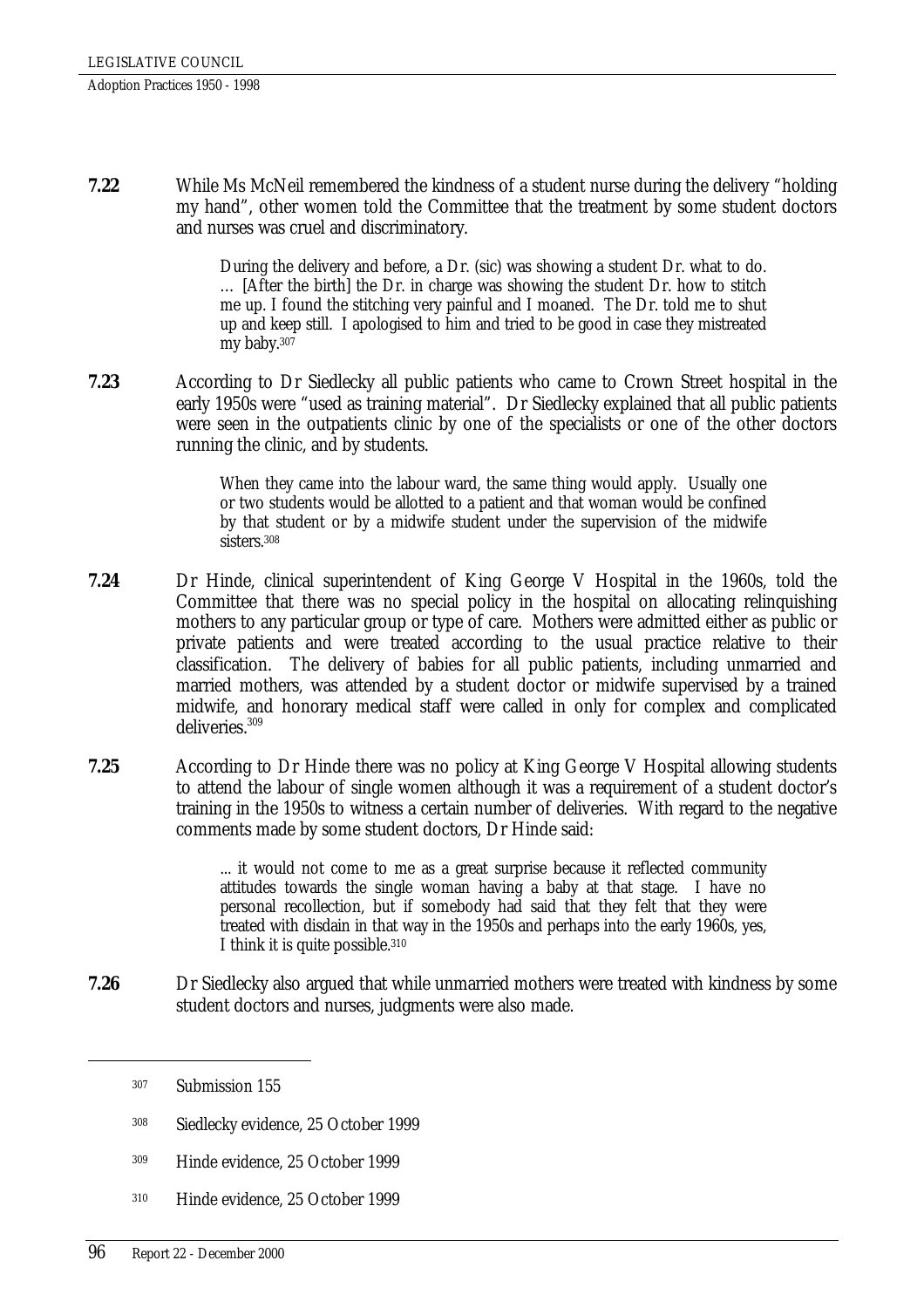**7.22** While Ms McNeil remembered the kindness of a student nurse during the delivery "holding my hand", other women told the Committee that the treatment by some student doctors and nurses was cruel and discriminatory.

> During the delivery and before, a Dr. (sic) was showing a student Dr. what to do. … [After the birth] the Dr. in charge was showing the student Dr. how to stitch me up. I found the stitching very painful and I moaned. The Dr. told me to shut up and keep still. I apologised to him and tried to be good in case they mistreated my baby.<sup>307</sup>

**7.23** According to Dr Siedlecky all public patients who came to Crown Street hospital in the early 1950s were "used as training material". Dr Siedlecky explained that all public patients were seen in the outpatients clinic by one of the specialists or one of the other doctors running the clinic, and by students.

> When they came into the labour ward, the same thing would apply. Usually one or two students would be allotted to a patient and that woman would be confined by that student or by a midwife student under the supervision of the midwife sisters.<sup>308</sup>

- **7.24** Dr Hinde, clinical superintendent of King George V Hospital in the 1960s, told the Committee that there was no special policy in the hospital on allocating relinquishing mothers to any particular group or type of care. Mothers were admitted either as public or private patients and were treated according to the usual practice relative to their classification. The delivery of babies for all public patients, including unmarried and married mothers, was attended by a student doctor or midwife supervised by a trained midwife, and honorary medical staff were called in only for complex and complicated deliveries.<sup>309</sup>
- **7.25** According to Dr Hinde there was no policy at King George V Hospital allowing students to attend the labour of single women although it was a requirement of a student doctor's training in the 1950s to witness a certain number of deliveries. With regard to the negative comments made by some student doctors, Dr Hinde said:

... it would not come to me as a great surprise because it reflected community attitudes towards the single woman having a baby at that stage. I have no personal recollection, but if somebody had said that they felt that they were treated with disdain in that way in the 1950s and perhaps into the early 1960s, yes, I think it is quite possible.<sup>310</sup>

**7.26** Dr Siedlecky also argued that while unmarried mothers were treated with kindness by some student doctors and nurses, judgments were also made.

<sup>307</sup> Submission 155

- <sup>308</sup> Siedlecky evidence, 25 October 1999
- <sup>309</sup> Hinde evidence, 25 October 1999
- <sup>310</sup> Hinde evidence, 25 October 1999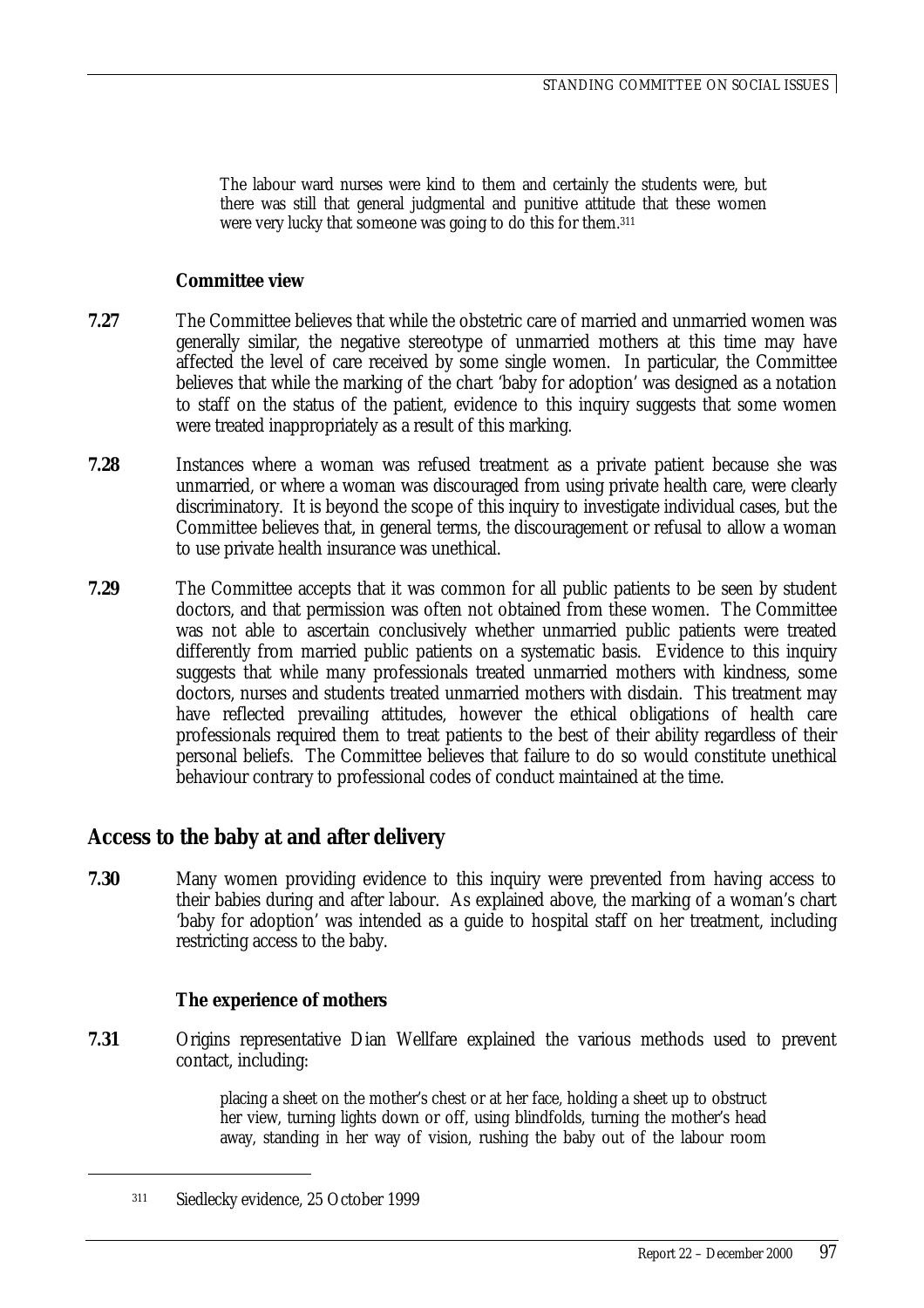The labour ward nurses were kind to them and certainly the students were, but there was still that general judgmental and punitive attitude that these women were very lucky that someone was going to do this for them.<sup>311</sup>

## **Committee view**

- **7.27** The Committee believes that while the obstetric care of married and unmarried women was generally similar, the negative stereotype of unmarried mothers at this time may have affected the level of care received by some single women. In particular, the Committee believes that while the marking of the chart 'baby for adoption' was designed as a notation to staff on the status of the patient, evidence to this inquiry suggests that some women were treated inappropriately as a result of this marking.
- **7.28** Instances where a woman was refused treatment as a private patient because she was unmarried, or where a woman was discouraged from using private health care, were clearly discriminatory. It is beyond the scope of this inquiry to investigate individual cases, but the Committee believes that, in general terms, the discouragement or refusal to allow a woman to use private health insurance was unethical.
- **7.29** The Committee accepts that it was common for all public patients to be seen by student doctors, and that permission was often not obtained from these women. The Committee was not able to ascertain conclusively whether unmarried public patients were treated differently from married public patients on a systematic basis. Evidence to this inquiry suggests that while many professionals treated unmarried mothers with kindness, some doctors, nurses and students treated unmarried mothers with disdain. This treatment may have reflected prevailing attitudes, however the ethical obligations of health care professionals required them to treat patients to the best of their ability regardless of their personal beliefs. The Committee believes that failure to do so would constitute unethical behaviour contrary to professional codes of conduct maintained at the time.

# **Access to the baby at and after delivery**

**7.30** Many women providing evidence to this inquiry were prevented from having access to their babies during and after labour. As explained above, the marking of a woman's chart 'baby for adoption' was intended as a guide to hospital staff on her treatment, including restricting access to the baby.

## **The experience of mothers**

**7.31** Origins representative Dian Wellfare explained the various methods used to prevent contact, including:

> placing a sheet on the mother's chest or at her face, holding a sheet up to obstruct her view, turning lights down or off, using blindfolds, turning the mother's head away, standing in her way of vision, rushing the baby out of the labour room

<sup>311</sup> Siedlecky evidence, 25 October 1999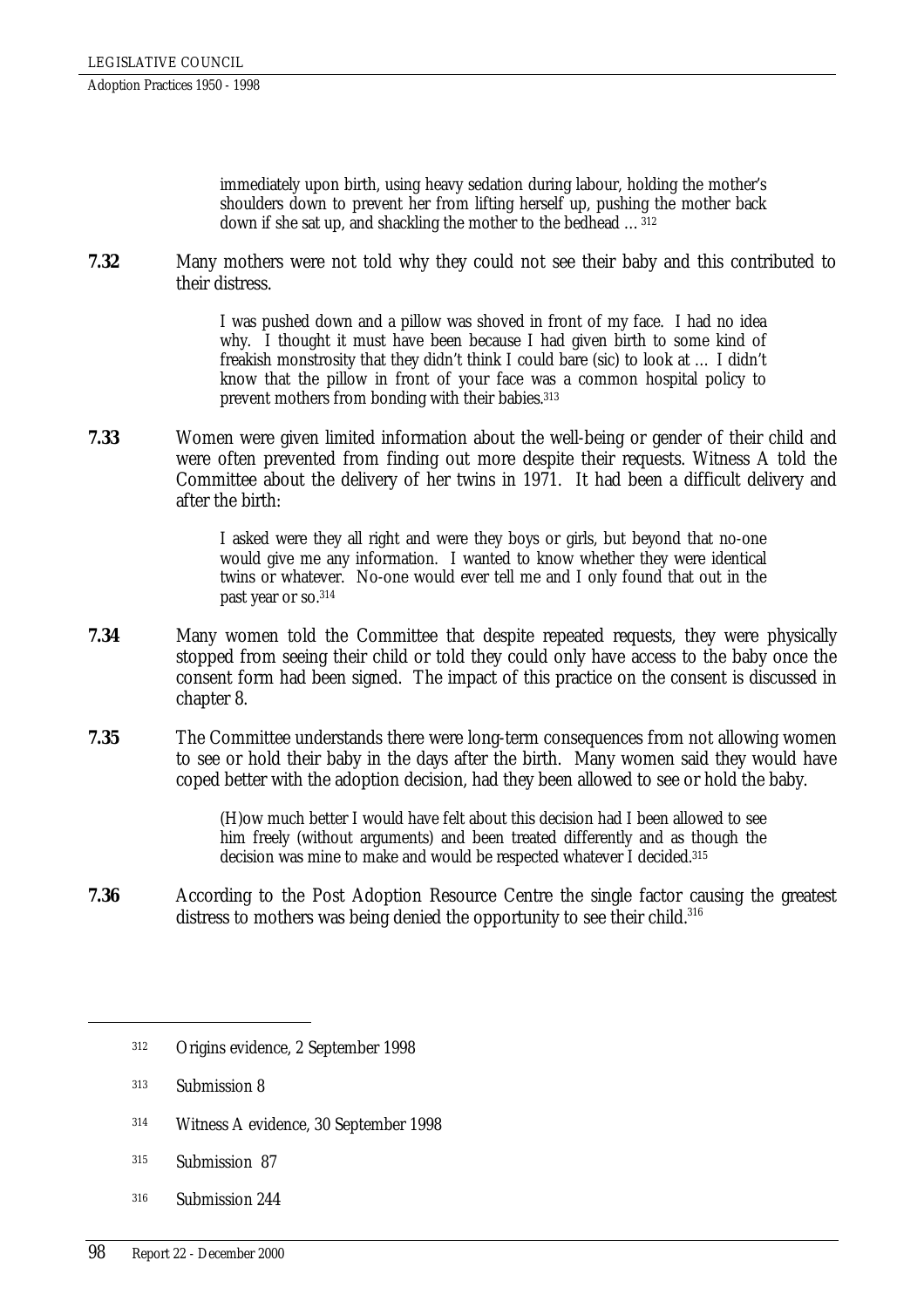immediately upon birth, using heavy sedation during labour, holding the mother's shoulders down to prevent her from lifting herself up, pushing the mother back down if she sat up, and shackling the mother to the bedhead …<sup>312</sup>

**7.32** Many mothers were not told why they could not see their baby and this contributed to their distress.

> I was pushed down and a pillow was shoved in front of my face. I had no idea why. I thought it must have been because I had given birth to some kind of freakish monstrosity that they didn't think I could bare (sic) to look at … I didn't know that the pillow in front of your face was a common hospital policy to prevent mothers from bonding with their babies.<sup>313</sup>

**7.33** Women were given limited information about the well-being or gender of their child and were often prevented from finding out more despite their requests. Witness A told the Committee about the delivery of her twins in 1971. It had been a difficult delivery and after the birth:

> I asked were they all right and were they boys or girls, but beyond that no-one would give me any information. I wanted to know whether they were identical twins or whatever. No-one would ever tell me and I only found that out in the past year or so.<sup>314</sup>

- **7.34** Many women told the Committee that despite repeated requests, they were physically stopped from seeing their child or told they could only have access to the baby once the consent form had been signed. The impact of this practice on the consent is discussed in chapter 8.
- **7.35** The Committee understands there were long-term consequences from not allowing women to see or hold their baby in the days after the birth. Many women said they would have coped better with the adoption decision, had they been allowed to see or hold the baby.

(H)ow much better I would have felt about this decision had I been allowed to see him freely (without arguments) and been treated differently and as though the decision was mine to make and would be respected whatever I decided.<sup>315</sup>

**7.36** According to the Post Adoption Resource Centre the single factor causing the greatest distress to mothers was being denied the opportunity to see their child.<sup>316</sup>

<sup>313</sup> Submission 8

- <sup>314</sup> Witness A evidence, 30 September 1998
- <sup>315</sup> Submission 87
- <sup>316</sup> Submission 244

<sup>312</sup> Origins evidence, 2 September 1998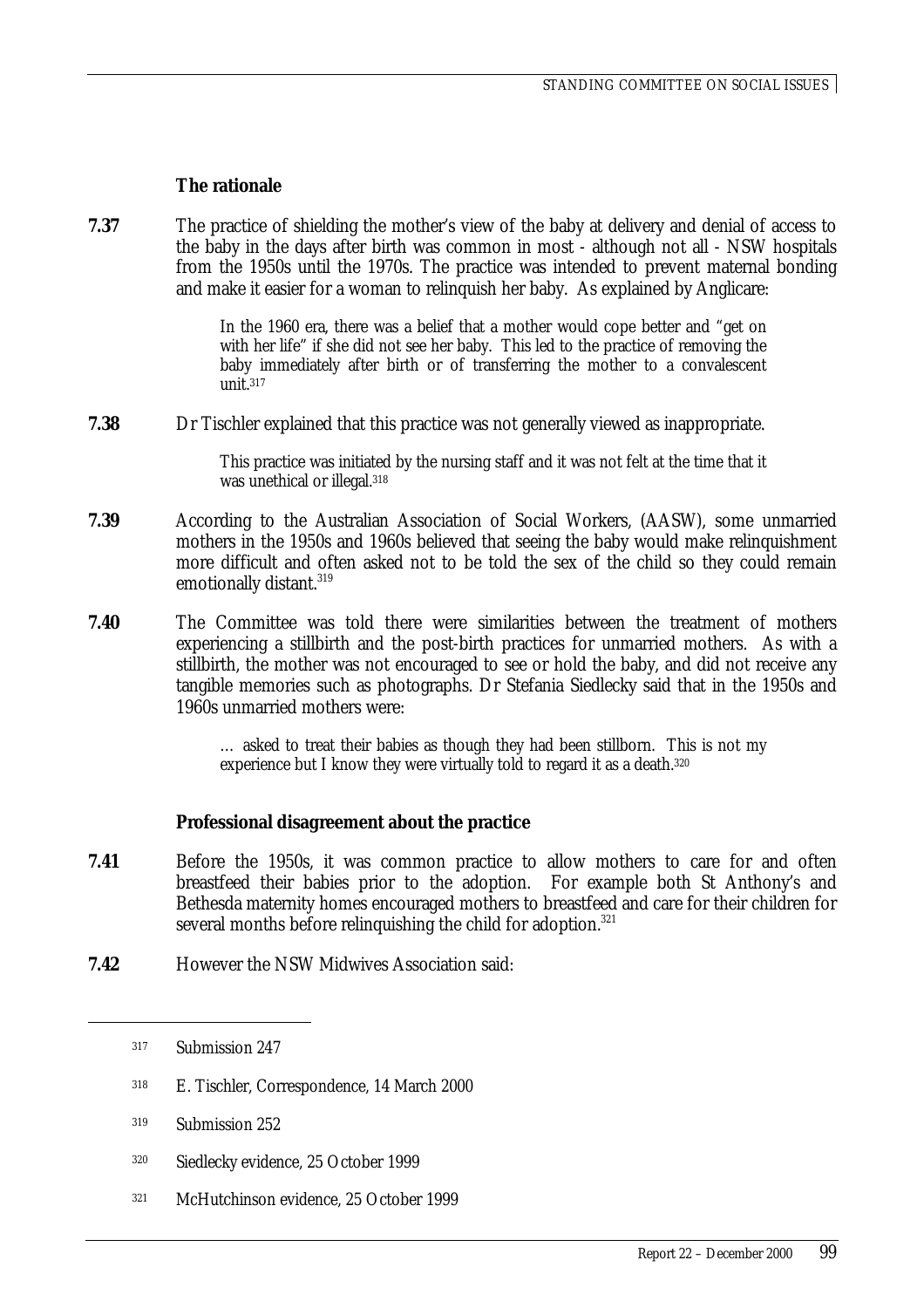#### **The rationale**

**7.37** The practice of shielding the mother's view of the baby at delivery and denial of access to the baby in the days after birth was common in most - although not all - NSW hospitals from the 1950s until the 1970s. The practice was intended to prevent maternal bonding and make it easier for a woman to relinquish her baby. As explained by Anglicare:

> In the 1960 era, there was a belief that a mother would cope better and "get on with her life" if she did not see her baby. This led to the practice of removing the baby immediately after birth or of transferring the mother to a convalescent unit.<sup>317</sup>

**7.38** Dr Tischler explained that this practice was not generally viewed as inappropriate.

This practice was initiated by the nursing staff and it was not felt at the time that it was unethical or illegal.<sup>318</sup>

- **7.39** According to the Australian Association of Social Workers, (AASW), some unmarried mothers in the 1950s and 1960s believed that seeing the baby would make relinquishment more difficult and often asked not to be told the sex of the child so they could remain emotionally distant.<sup>319</sup>
- **7.40** The Committee was told there were similarities between the treatment of mothers experiencing a stillbirth and the post-birth practices for unmarried mothers. As with a stillbirth, the mother was not encouraged to see or hold the baby, and did not receive any tangible memories such as photographs. Dr Stefania Siedlecky said that in the 1950s and 1960s unmarried mothers were:

… asked to treat their babies as though they had been stillborn. This is not my experience but I know they were virtually told to regard it as a death.<sup>320</sup>

#### **Professional disagreement about the practice**

- **7.41** Before the 1950s, it was common practice to allow mothers to care for and often breastfeed their babies prior to the adoption. For example both St Anthony's and Bethesda maternity homes encouraged mothers to breastfeed and care for their children for several months before relinquishing the child for adoption.<sup>321</sup>
- **7.42** However the NSW Midwives Association said:

- <sup>318</sup> E. Tischler, Correspondence, 14 March 2000
- <sup>319</sup> Submission 252
- <sup>320</sup> Siedlecky evidence, 25 October 1999
- <sup>321</sup> McHutchinson evidence, 25 October 1999

<sup>317</sup> Submission 247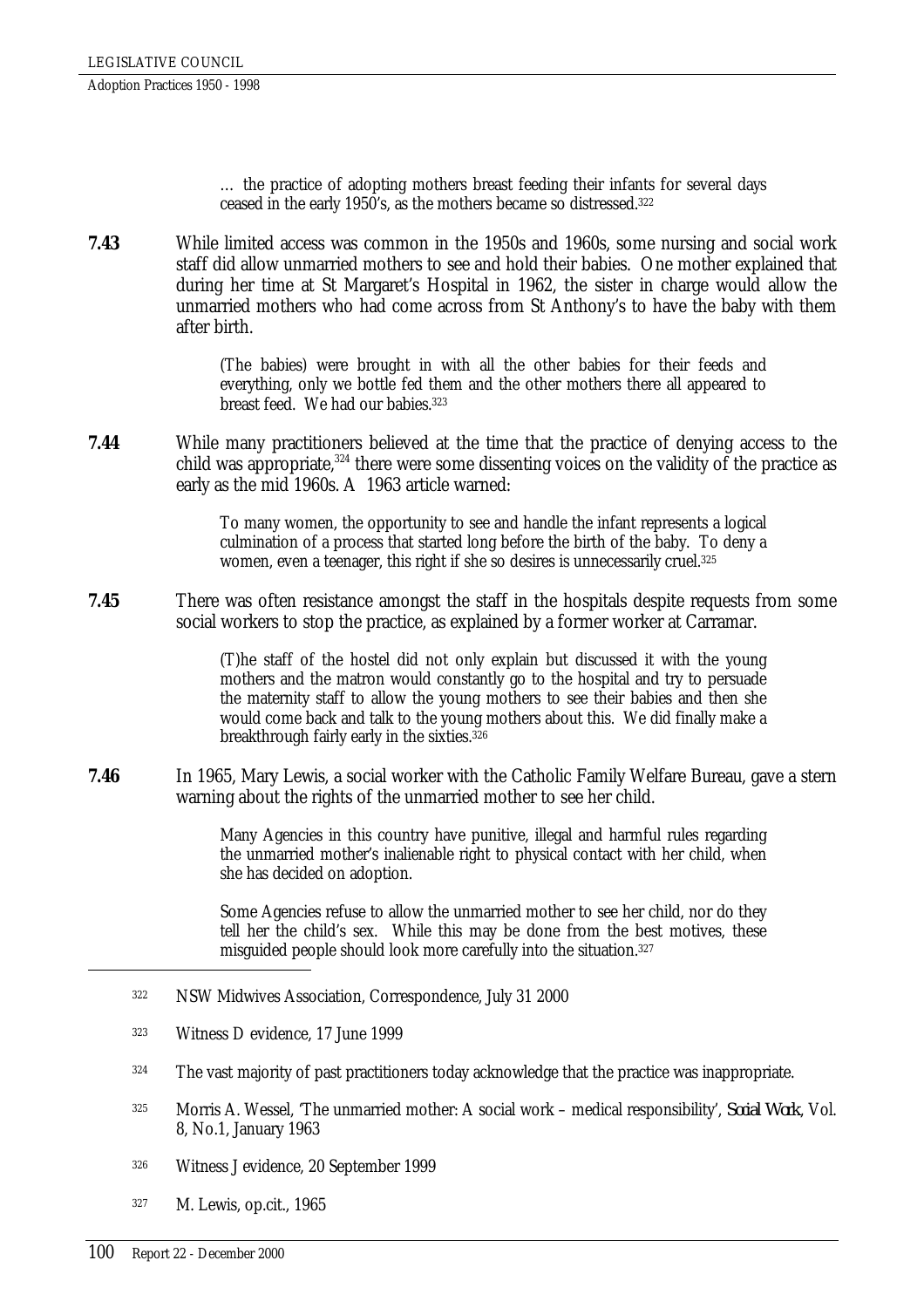… the practice of adopting mothers breast feeding their infants for several days ceased in the early 1950's, as the mothers became so distressed.<sup>322</sup>

**7.43** While limited access was common in the 1950s and 1960s, some nursing and social work staff did allow unmarried mothers to see and hold their babies. One mother explained that during her time at St Margaret's Hospital in 1962, the sister in charge would allow the unmarried mothers who had come across from St Anthony's to have the baby with them after birth.

> (The babies) were brought in with all the other babies for their feeds and everything, only we bottle fed them and the other mothers there all appeared to breast feed. We had our babies.<sup>323</sup>

**7.44** While many practitioners believed at the time that the practice of denying access to the child was appropriate,  $324$  there were some dissenting voices on the validity of the practice as early as the mid 1960s. A 1963 article warned:

> To many women, the opportunity to see and handle the infant represents a logical culmination of a process that started long before the birth of the baby. To deny a women, even a teenager, this right if she so desires is unnecessarily cruel.<sup>325</sup>

**7.45** There was often resistance amongst the staff in the hospitals despite requests from some social workers to stop the practice, as explained by a former worker at Carramar.

> (T)he staff of the hostel did not only explain but discussed it with the young mothers and the matron would constantly go to the hospital and try to persuade the maternity staff to allow the young mothers to see their babies and then she would come back and talk to the young mothers about this. We did finally make a breakthrough fairly early in the sixties.<sup>326</sup>

**7.46** In 1965, Mary Lewis, a social worker with the Catholic Family Welfare Bureau, gave a stern warning about the rights of the unmarried mother to see her child.

> Many Agencies in this country have punitive, illegal and harmful rules regarding the unmarried mother's inalienable right to physical contact with her child, when she has decided on adoption.

> Some Agencies refuse to allow the unmarried mother to see her child, nor do they tell her the child's sex. While this may be done from the best motives, these misguided people should look more carefully into the situation.<sup>327</sup>

- <sup>322</sup> NSW Midwives Association, Correspondence, July 31 2000
- <sup>323</sup> Witness D evidence, 17 June 1999
- <sup>324</sup> The vast majority of past practitioners today acknowledge that the practice was inappropriate.
- <sup>325</sup> Morris A. Wessel, 'The unmarried mother: A social work medical responsibility', *Social Work*, Vol. 8, No.1, January 1963
- <sup>326</sup> Witness J evidence, 20 September 1999
- <sup>327</sup> M. Lewis, op.cit., 1965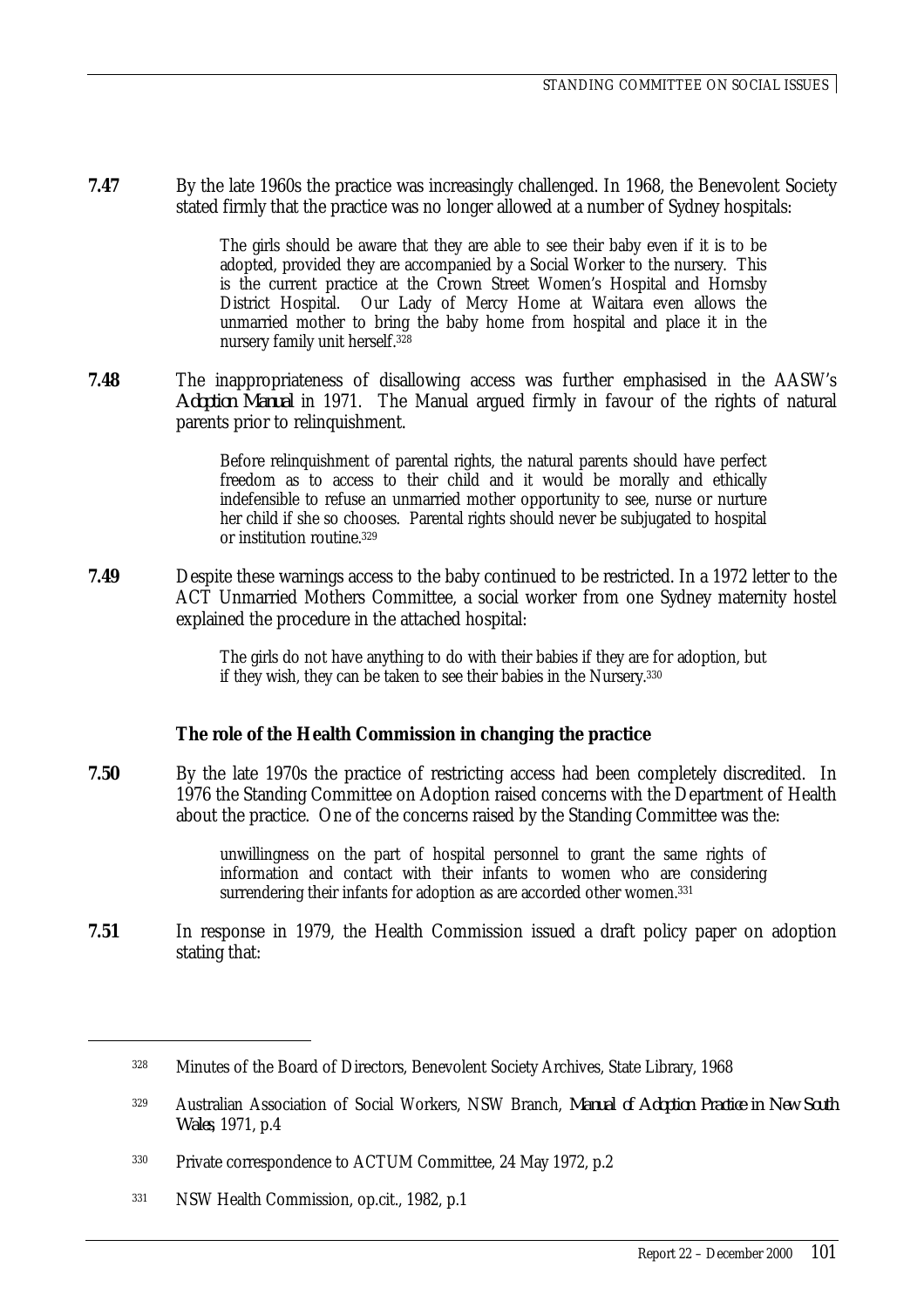**7.47** By the late 1960s the practice was increasingly challenged. In 1968, the Benevolent Society stated firmly that the practice was no longer allowed at a number of Sydney hospitals:

> The girls should be aware that they are able to see their baby even if it is to be adopted, provided they are accompanied by a Social Worker to the nursery. This is the current practice at the Crown Street Women's Hospital and Hornsby District Hospital. Our Lady of Mercy Home at Waitara even allows the unmarried mother to bring the baby home from hospital and place it in the nursery family unit herself.<sup>328</sup>

**7.48** The inappropriateness of disallowing access was further emphasised in the AASW's *Adoption Manual* in 1971. The Manual argued firmly in favour of the rights of natural parents prior to relinquishment.

> Before relinquishment of parental rights, the natural parents should have perfect freedom as to access to their child and it would be morally and ethically indefensible to refuse an unmarried mother opportunity to see, nurse or nurture her child if she so chooses. Parental rights should never be subjugated to hospital or institution routine.<sup>329</sup>

**7.49** Despite these warnings access to the baby continued to be restricted. In a 1972 letter to the ACT Unmarried Mothers Committee, a social worker from one Sydney maternity hostel explained the procedure in the attached hospital:

> The girls do not have anything to do with their babies if they are for adoption, but if they wish, they can be taken to see their babies in the Nursery.<sup>330</sup>

#### **The role of the Health Commission in changing the practice**

**7.50** By the late 1970s the practice of restricting access had been completely discredited. In 1976 the Standing Committee on Adoption raised concerns with the Department of Health about the practice. One of the concerns raised by the Standing Committee was the:

> unwillingness on the part of hospital personnel to grant the same rights of information and contact with their infants to women who are considering surrendering their infants for adoption as are accorded other women.<sup>331</sup>

**7.51** In response in 1979, the Health Commission issued a draft policy paper on adoption stating that:

<sup>329</sup> Australian Association of Social Workers, NSW Branch, *Manual of Adoption Practice in New South Wales*, 1971, p.4

<sup>331</sup> NSW Health Commission, op.cit., 1982, p.1

<sup>328</sup> Minutes of the Board of Directors, Benevolent Society Archives, State Library, 1968

<sup>330</sup> Private correspondence to ACTUM Committee, 24 May 1972, p.2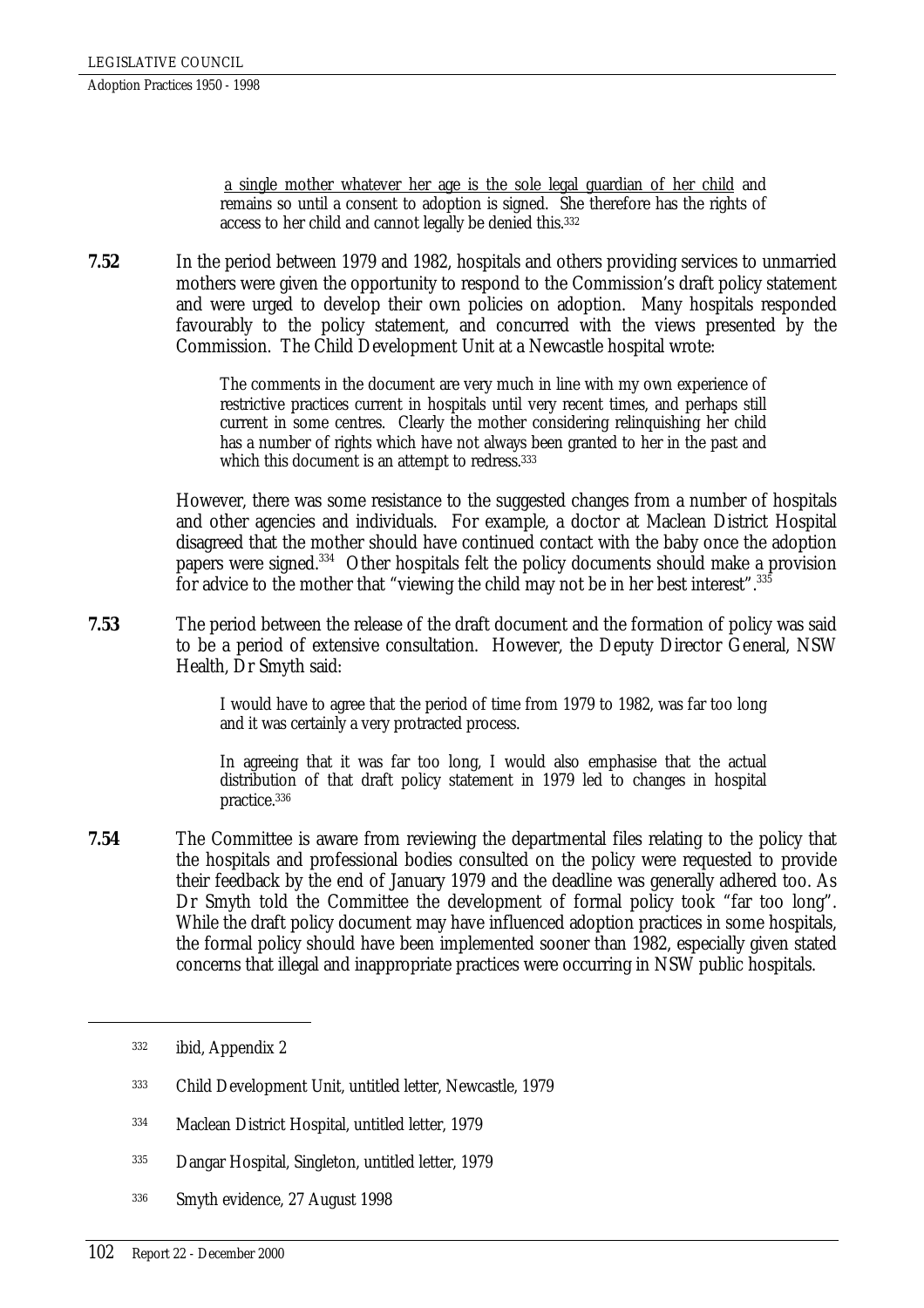a single mother whatever her age is the sole legal guardian of her child and remains so until a consent to adoption is signed. She therefore has the rights of access to her child and cannot legally be denied this.<sup>332</sup>

**7.52** In the period between 1979 and 1982, hospitals and others providing services to unmarried mothers were given the opportunity to respond to the Commission's draft policy statement and were urged to develop their own policies on adoption. Many hospitals responded favourably to the policy statement, and concurred with the views presented by the Commission. The Child Development Unit at a Newcastle hospital wrote:

> The comments in the document are very much in line with my own experience of restrictive practices current in hospitals until very recent times, and perhaps still current in some centres. Clearly the mother considering relinquishing her child has a number of rights which have not always been granted to her in the past and which this document is an attempt to redress.<sup>333</sup>

However, there was some resistance to the suggested changes from a number of hospitals and other agencies and individuals. For example, a doctor at Maclean District Hospital disagreed that the mother should have continued contact with the baby once the adoption papers were signed.<sup>334</sup> Other hospitals felt the policy documents should make a provision for advice to the mother that "viewing the child may not be in her best interest".<sup>335</sup>

**7.53** The period between the release of the draft document and the formation of policy was said to be a period of extensive consultation. However, the Deputy Director General, NSW Health, Dr Smyth said:

> I would have to agree that the period of time from 1979 to 1982, was far too long and it was certainly a very protracted process.

> In agreeing that it was far too long, I would also emphasise that the actual distribution of that draft policy statement in 1979 led to changes in hospital practice.<sup>336</sup>

**7.54** The Committee is aware from reviewing the departmental files relating to the policy that the hospitals and professional bodies consulted on the policy were requested to provide their feedback by the end of January 1979 and the deadline was generally adhered too. As Dr Smyth told the Committee the development of formal policy took "far too long". While the draft policy document may have influenced adoption practices in some hospitals, the formal policy should have been implemented sooner than 1982, especially given stated concerns that illegal and inappropriate practices were occurring in NSW public hospitals.

- <sup>333</sup> Child Development Unit, untitled letter, Newcastle, 1979
- <sup>334</sup> Maclean District Hospital, untitled letter, 1979
- <sup>335</sup> Dangar Hospital, Singleton, untitled letter, 1979
- <sup>336</sup> Smyth evidence, 27 August 1998

<sup>332</sup> ibid, Appendix 2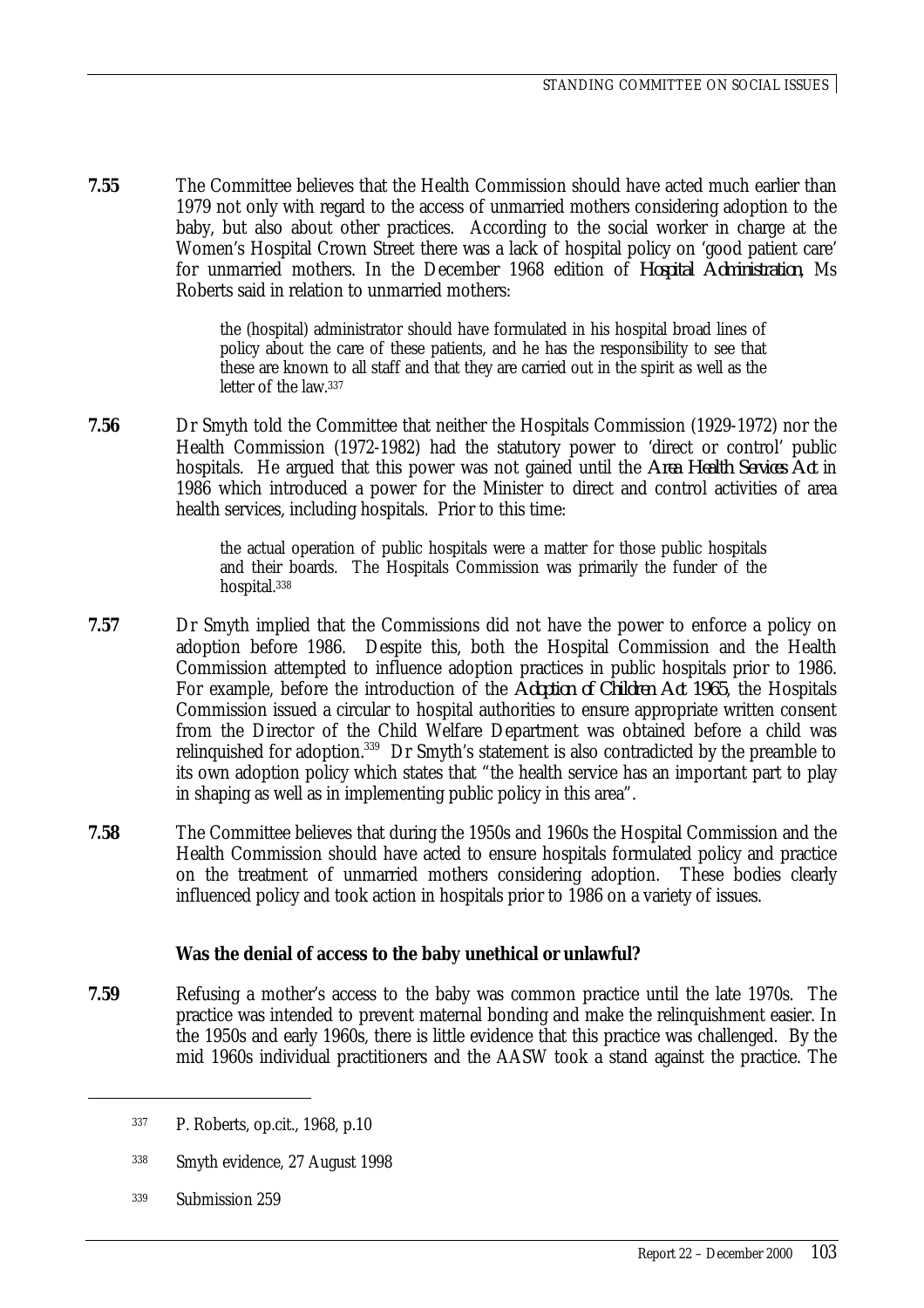**7.55** The Committee believes that the Health Commission should have acted much earlier than 1979 not only with regard to the access of unmarried mothers considering adoption to the baby, but also about other practices. According to the social worker in charge at the Women's Hospital Crown Street there was a lack of hospital policy on 'good patient care' for unmarried mothers. In the December 1968 edition of *Hospital Administration*, Ms Roberts said in relation to unmarried mothers:

> the (hospital) administrator should have formulated in his hospital broad lines of policy about the care of these patients, and he has the responsibility to see that these are known to all staff and that they are carried out in the spirit as well as the letter of the law.<sup>337</sup>

**7.56** Dr Smyth told the Committee that neither the Hospitals Commission (1929-1972) nor the Health Commission (1972-1982) had the statutory power to 'direct or control' public hospitals. He argued that this power was not gained until the *Area Health Services Act* in 1986 which introduced a power for the Minister to direct and control activities of area health services, including hospitals. Prior to this time:

> the actual operation of public hospitals were a matter for those public hospitals and their boards. The Hospitals Commission was primarily the funder of the hospital.<sup>338</sup>

- **7.57** Dr Smyth implied that the Commissions did not have the power to enforce a policy on adoption before 1986. Despite this, both the Hospital Commission and the Health Commission attempted to influence adoption practices in public hospitals prior to 1986. For example, before the introduction of the *Adoption of Children Act 1965*, the Hospitals Commission issued a circular to hospital authorities to ensure appropriate written consent from the Director of the Child Welfare Department was obtained before a child was relinquished for adoption.<sup>339</sup> Dr Smyth's statement is also contradicted by the preamble to its own adoption policy which states that "the health service has an important part to play in shaping as well as in implementing public policy in this area".
- **7.58** The Committee believes that during the 1950s and 1960s the Hospital Commission and the Health Commission should have acted to ensure hospitals formulated policy and practice on the treatment of unmarried mothers considering adoption. These bodies clearly influenced policy and took action in hospitals prior to 1986 on a variety of issues.

## **Was the denial of access to the baby unethical or unlawful?**

**7.59** Refusing a mother's access to the baby was common practice until the late 1970s. The practice was intended to prevent maternal bonding and make the relinquishment easier. In the 1950s and early 1960s, there is little evidence that this practice was challenged. By the mid 1960s individual practitioners and the AASW took a stand against the practice. The

<sup>339</sup> Submission 259

<sup>337</sup> P. Roberts, op.cit., 1968, p.10

<sup>338</sup> Smyth evidence, 27 August 1998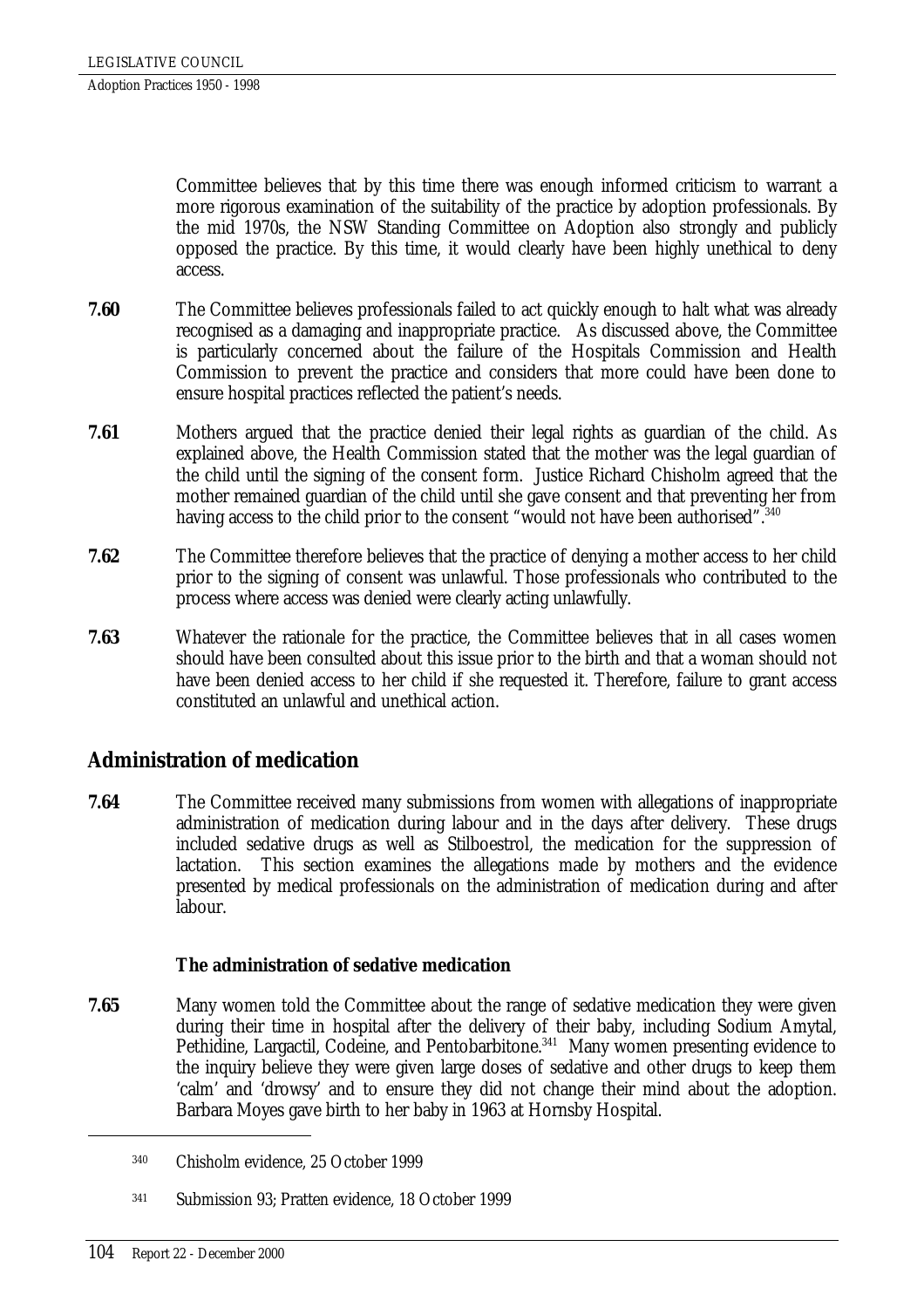Committee believes that by this time there was enough informed criticism to warrant a more rigorous examination of the suitability of the practice by adoption professionals. By the mid 1970s, the NSW Standing Committee on Adoption also strongly and publicly opposed the practice. By this time, it would clearly have been highly unethical to deny access.

- **7.60** The Committee believes professionals failed to act quickly enough to halt what was already recognised as a damaging and inappropriate practice. As discussed above, the Committee is particularly concerned about the failure of the Hospitals Commission and Health Commission to prevent the practice and considers that more could have been done to ensure hospital practices reflected the patient's needs.
- **7.61** Mothers argued that the practice denied their legal rights as guardian of the child. As explained above, the Health Commission stated that the mother was the legal guardian of the child until the signing of the consent form. Justice Richard Chisholm agreed that the mother remained guardian of the child until she gave consent and that preventing her from having access to the child prior to the consent "would not have been authorised".<sup>340</sup>
- **7.62** The Committee therefore believes that the practice of denying a mother access to her child prior to the signing of consent was unlawful. Those professionals who contributed to the process where access was denied were clearly acting unlawfully.
- **7.63** Whatever the rationale for the practice, the Committee believes that in all cases women should have been consulted about this issue prior to the birth and that a woman should not have been denied access to her child if she requested it. Therefore, failure to grant access constituted an unlawful and unethical action.

# **Administration of medication**

**7.64** The Committee received many submissions from women with allegations of inappropriate administration of medication during labour and in the days after delivery. These drugs included sedative drugs as well as Stilboestrol, the medication for the suppression of lactation. This section examines the allegations made by mothers and the evidence presented by medical professionals on the administration of medication during and after labour.

## **The administration of sedative medication**

**7.65** Many women told the Committee about the range of sedative medication they were given during their time in hospital after the delivery of their baby, including Sodium Amytal, Pethidine, Largactil, Codeine, and Pentobarbitone.<sup>341</sup> Many women presenting evidence to the inquiry believe they were given large doses of sedative and other drugs to keep them 'calm' and 'drowsy' and to ensure they did not change their mind about the adoption. Barbara Moyes gave birth to her baby in 1963 at Hornsby Hospital.

<sup>341</sup> Submission 93; Pratten evidence, 18 October 1999

<sup>340</sup> Chisholm evidence, 25 October 1999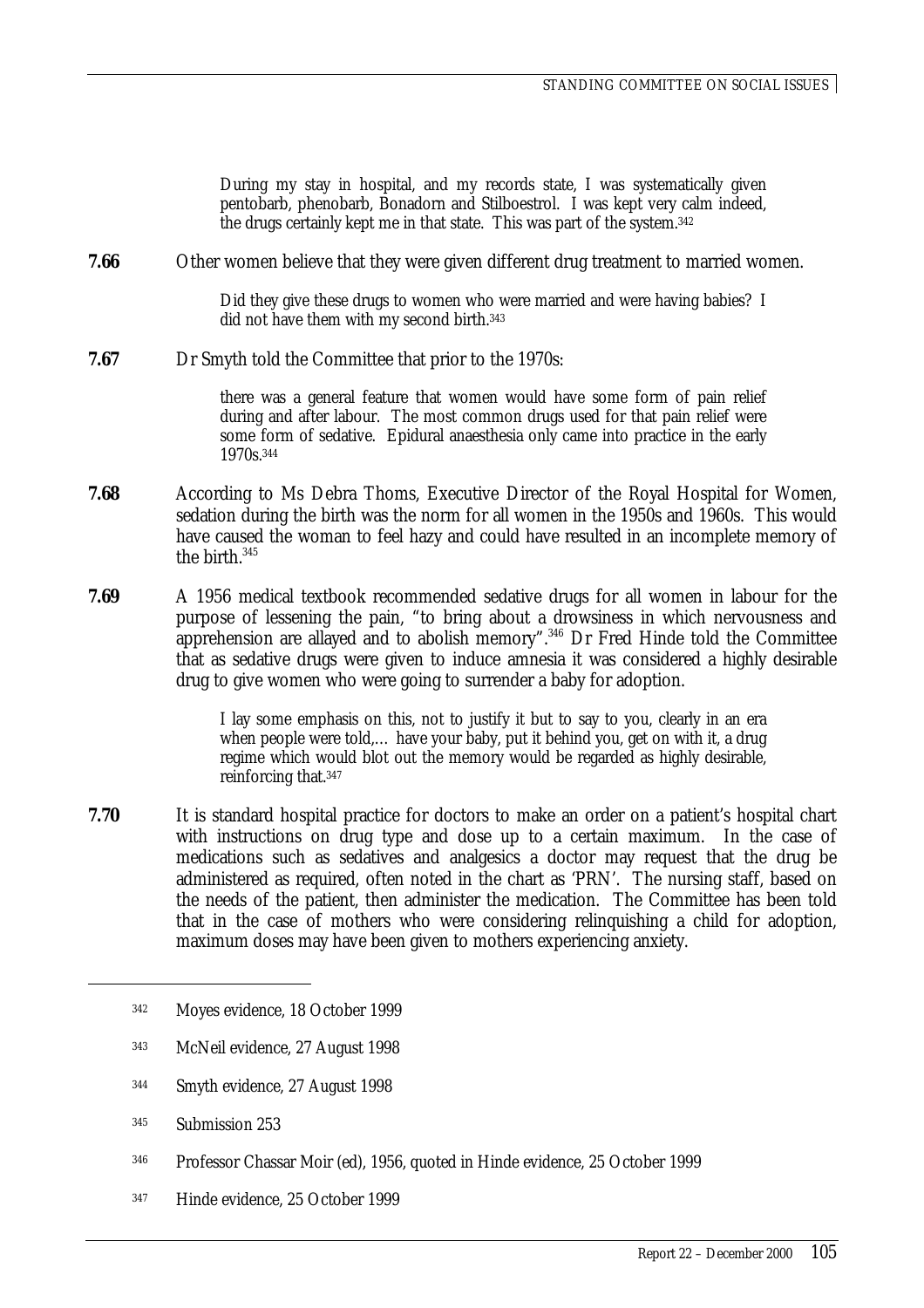During my stay in hospital, and my records state, I was systematically given pentobarb, phenobarb, Bonadorn and Stilboestrol. I was kept very calm indeed, the drugs certainly kept me in that state. This was part of the system.<sup>342</sup>

**7.66** Other women believe that they were given different drug treatment to married women.

Did they give these drugs to women who were married and were having babies? I did not have them with my second birth.<sup>343</sup>

**7.67** Dr Smyth told the Committee that prior to the 1970s:

there was a general feature that women would have some form of pain relief during and after labour. The most common drugs used for that pain relief were some form of sedative. Epidural anaesthesia only came into practice in the early 1970s.<sup>344</sup>

- **7.68** According to Ms Debra Thoms, Executive Director of the Royal Hospital for Women, sedation during the birth was the norm for all women in the 1950s and 1960s. This would have caused the woman to feel hazy and could have resulted in an incomplete memory of the birth.<sup>345</sup>
- **7.69** A 1956 medical textbook recommended sedative drugs for all women in labour for the purpose of lessening the pain, "to bring about a drowsiness in which nervousness and apprehension are allayed and to abolish memory".<sup>346</sup> Dr Fred Hinde told the Committee that as sedative drugs were given to induce amnesia it was considered a highly desirable drug to give women who were going to surrender a baby for adoption.

I lay some emphasis on this, not to justify it but to say to you, clearly in an era when people were told,… have your baby, put it behind you, get on with it, a drug regime which would blot out the memory would be regarded as highly desirable, reinforcing that.<sup>347</sup>

**7.70** It is standard hospital practice for doctors to make an order on a patient's hospital chart with instructions on drug type and dose up to a certain maximum. In the case of medications such as sedatives and analgesics a doctor may request that the drug be administered as required, often noted in the chart as 'PRN'. The nursing staff, based on the needs of the patient, then administer the medication. The Committee has been told that in the case of mothers who were considering relinquishing a child for adoption, maximum doses may have been given to mothers experiencing anxiety.

- <sup>343</sup> McNeil evidence, 27 August 1998
- <sup>344</sup> Smyth evidence, 27 August 1998
- <sup>345</sup> Submission 253

- <sup>346</sup> Professor Chassar Moir (ed), 1956, quoted in Hinde evidence, 25 October 1999
- <sup>347</sup> Hinde evidence, 25 October 1999

<sup>342</sup> Moyes evidence, 18 October 1999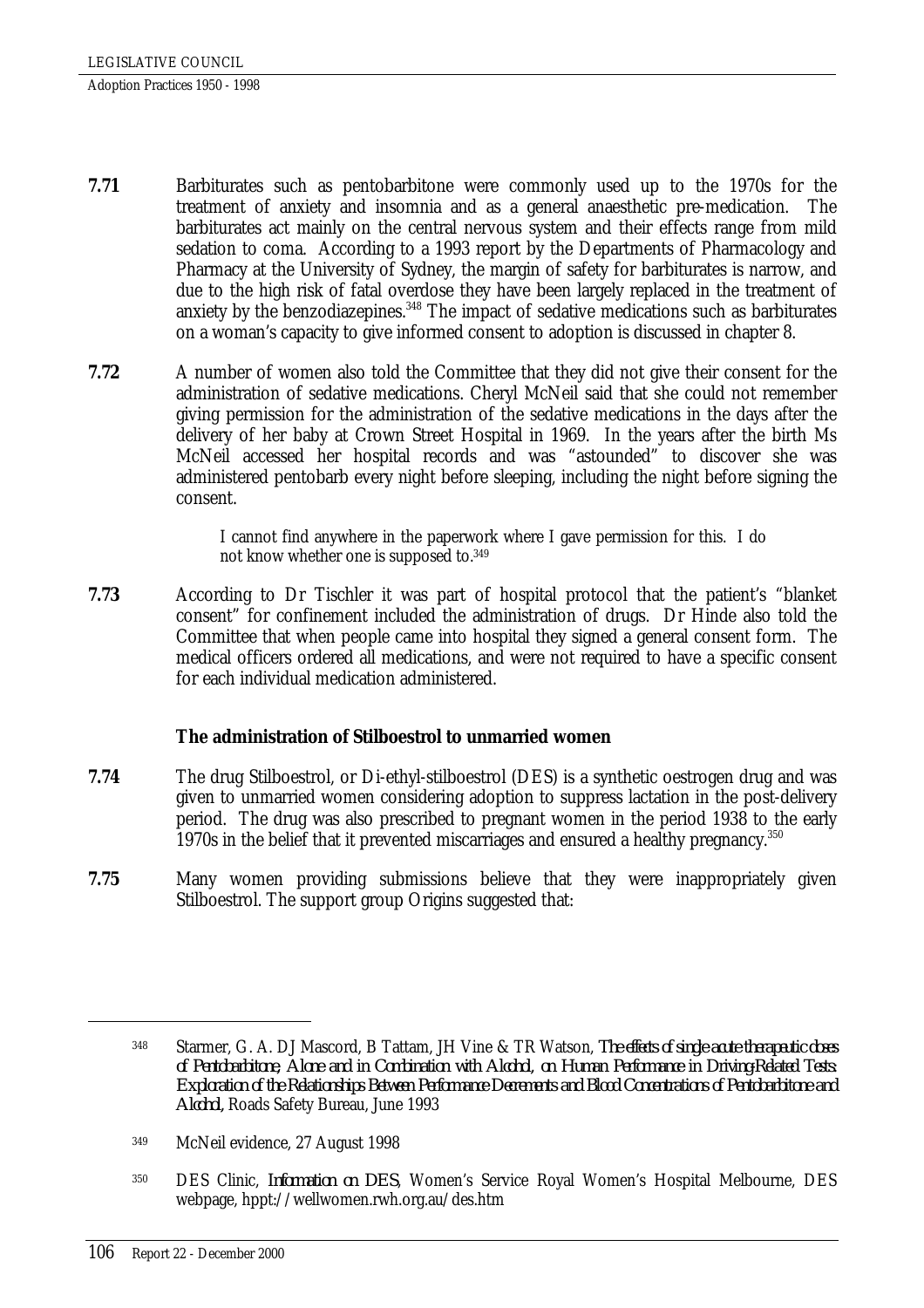- **7.71** Barbiturates such as pentobarbitone were commonly used up to the 1970s for the treatment of anxiety and insomnia and as a general anaesthetic pre-medication. The barbiturates act mainly on the central nervous system and their effects range from mild sedation to coma. According to a 1993 report by the Departments of Pharmacology and Pharmacy at the University of Sydney, the margin of safety for barbiturates is narrow, and due to the high risk of fatal overdose they have been largely replaced in the treatment of anxiety by the benzodiazepines.<sup>348</sup> The impact of sedative medications such as barbiturates on a woman's capacity to give informed consent to adoption is discussed in chapter 8.
- **7.72** A number of women also told the Committee that they did not give their consent for the administration of sedative medications. Cheryl McNeil said that she could not remember giving permission for the administration of the sedative medications in the days after the delivery of her baby at Crown Street Hospital in 1969. In the years after the birth Ms McNeil accessed her hospital records and was "astounded" to discover she was administered pentobarb every night before sleeping, including the night before signing the consent.

I cannot find anywhere in the paperwork where I gave permission for this. I do not know whether one is supposed to.<sup>349</sup>

**7.73** According to Dr Tischler it was part of hospital protocol that the patient's "blanket consent" for confinement included the administration of drugs. Dr Hinde also told the Committee that when people came into hospital they signed a general consent form. The medical officers ordered all medications, and were not required to have a specific consent for each individual medication administered.

## **The administration of Stilboestrol to unmarried women**

- **7.74** The drug Stilboestrol, or Di-ethyl-stilboestrol (DES) is a synthetic oestrogen drug and was given to unmarried women considering adoption to suppress lactation in the post-delivery period. The drug was also prescribed to pregnant women in the period 1938 to the early 1970s in the belief that it prevented miscarriages and ensured a healthy pregnancy.<sup>350</sup>
- **7.75** Many women providing submissions believe that they were inappropriately given Stilboestrol. The support group Origins suggested that:

- <sup>349</sup> McNeil evidence, 27 August 1998
- <sup>350</sup> DES Clinic, *Information on DES*, Women's Service Royal Women's Hospital Melbourne, DES webpage, hppt://wellwomen.rwh.org.au/des.htm

<sup>348</sup> Starmer, G. A. DJ Mascord, B Tattam, JH Vine & TR Watson, *The effects of single acute therapeutic doses of Pentobarbitone, Alone and in Combination with Alcohol, on Human Performance in Driving-Related Tests: Exploration of the Relationships Between Performance Decrements and Blood Concentrations of Pentobarbitone and Alcohol,* Roads Safety Bureau, June 1993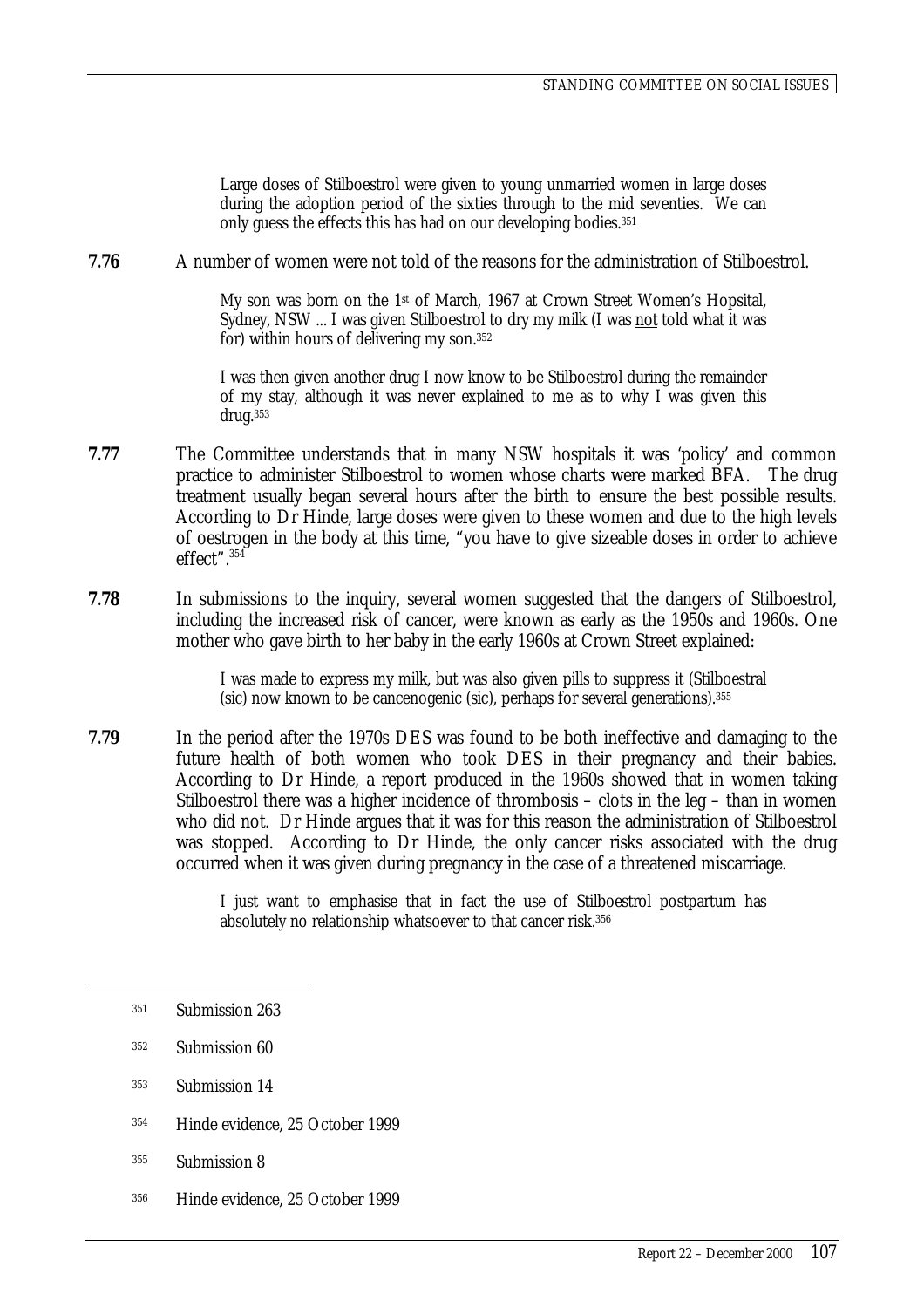Large doses of Stilboestrol were given to young unmarried women in large doses during the adoption period of the sixties through to the mid seventies. We can only guess the effects this has had on our developing bodies.<sup>351</sup>

**7.76** A number of women were not told of the reasons for the administration of Stilboestrol.

My son was born on the 1st of March, 1967 at Crown Street Women's Hopsital, Sydney, NSW ... I was given Stilboestrol to dry my milk (I was not told what it was for) within hours of delivering my son.<sup>352</sup>

I was then given another drug I now know to be Stilboestrol during the remainder of my stay, although it was never explained to me as to why I was given this drug.<sup>353</sup>

- **7.77** The Committee understands that in many NSW hospitals it was 'policy' and common practice to administer Stilboestrol to women whose charts were marked BFA. The drug treatment usually began several hours after the birth to ensure the best possible results. According to Dr Hinde, large doses were given to these women and due to the high levels of oestrogen in the body at this time, "you have to give sizeable doses in order to achieve effect".<sup>354</sup>
- **7.78** In submissions to the inquiry, several women suggested that the dangers of Stilboestrol, including the increased risk of cancer, were known as early as the 1950s and 1960s. One mother who gave birth to her baby in the early 1960s at Crown Street explained:

I was made to express my milk, but was also given pills to suppress it (Stilboestral (sic) now known to be cancenogenic (sic), perhaps for several generations).<sup>355</sup>

**7.79** In the period after the 1970s DES was found to be both ineffective and damaging to the future health of both women who took DES in their pregnancy and their babies. According to Dr Hinde, a report produced in the 1960s showed that in women taking Stilboestrol there was a higher incidence of thrombosis – clots in the leg – than in women who did not. Dr Hinde argues that it was for this reason the administration of Stilboestrol was stopped. According to Dr Hinde, the only cancer risks associated with the drug occurred when it was given during pregnancy in the case of a threatened miscarriage.

> I just want to emphasise that in fact the use of Stilboestrol postpartum has absolutely no relationship whatsoever to that cancer risk.<sup>356</sup>

- <sup>352</sup> Submission 60
- <sup>353</sup> Submission 14
- <sup>354</sup> Hinde evidence, 25 October 1999
- <sup>355</sup> Submission 8
- <sup>356</sup> Hinde evidence, 25 October 1999

<sup>351</sup> Submission 263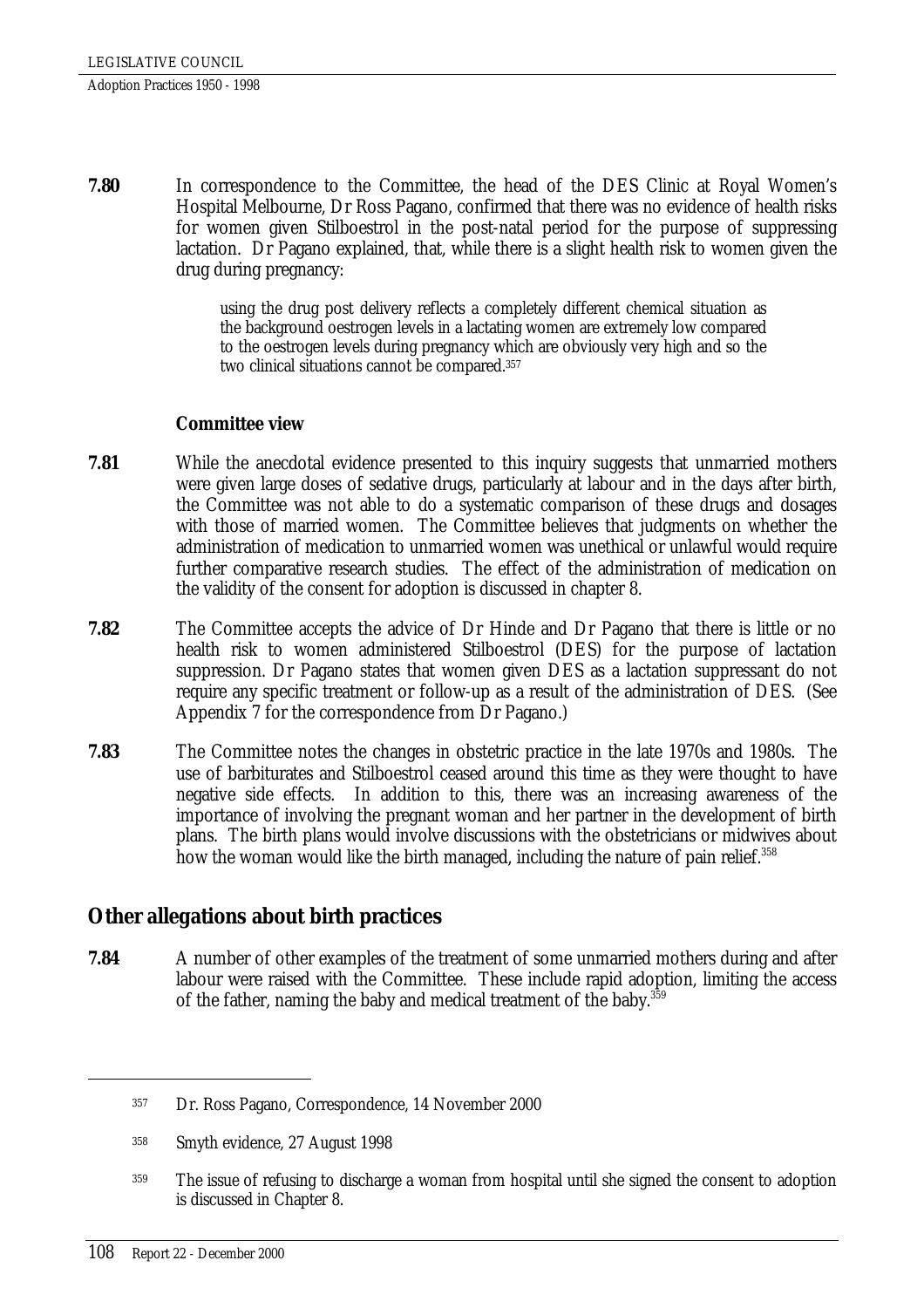**7.80** In correspondence to the Committee, the head of the DES Clinic at Royal Women's Hospital Melbourne, Dr Ross Pagano, confirmed that there was no evidence of health risks for women given Stilboestrol in the post-natal period for the purpose of suppressing lactation. Dr Pagano explained, that, while there is a slight health risk to women given the drug during pregnancy:

> using the drug post delivery reflects a completely different chemical situation as the background oestrogen levels in a lactating women are extremely low compared to the oestrogen levels during pregnancy which are obviously very high and so the two clinical situations cannot be compared.<sup>357</sup>

#### **Committee view**

- **7.81** While the anecdotal evidence presented to this inquiry suggests that unmarried mothers were given large doses of sedative drugs, particularly at labour and in the days after birth, the Committee was not able to do a systematic comparison of these drugs and dosages with those of married women. The Committee believes that judgments on whether the administration of medication to unmarried women was unethical or unlawful would require further comparative research studies. The effect of the administration of medication on the validity of the consent for adoption is discussed in chapter 8.
- **7.82** The Committee accepts the advice of Dr Hinde and Dr Pagano that there is little or no health risk to women administered Stilboestrol (DES) for the purpose of lactation suppression. Dr Pagano states that women given DES as a lactation suppressant do not require any specific treatment or follow-up as a result of the administration of DES. (See Appendix 7 for the correspondence from Dr Pagano.)
- **7.83** The Committee notes the changes in obstetric practice in the late 1970s and 1980s. The use of barbiturates and Stilboestrol ceased around this time as they were thought to have negative side effects. In addition to this, there was an increasing awareness of the importance of involving the pregnant woman and her partner in the development of birth plans. The birth plans would involve discussions with the obstetricians or midwives about how the woman would like the birth managed, including the nature of pain relief.<sup>358</sup>

# **Other allegations about birth practices**

**7.84** A number of other examples of the treatment of some unmarried mothers during and after labour were raised with the Committee. These include rapid adoption, limiting the access of the father, naming the baby and medical treatment of the baby.<sup>359</sup>

- <sup>358</sup> Smyth evidence, 27 August 1998
- <sup>359</sup> The issue of refusing to discharge a woman from hospital until she signed the consent to adoption is discussed in Chapter 8.

<sup>357</sup> Dr. Ross Pagano, Correspondence, 14 November 2000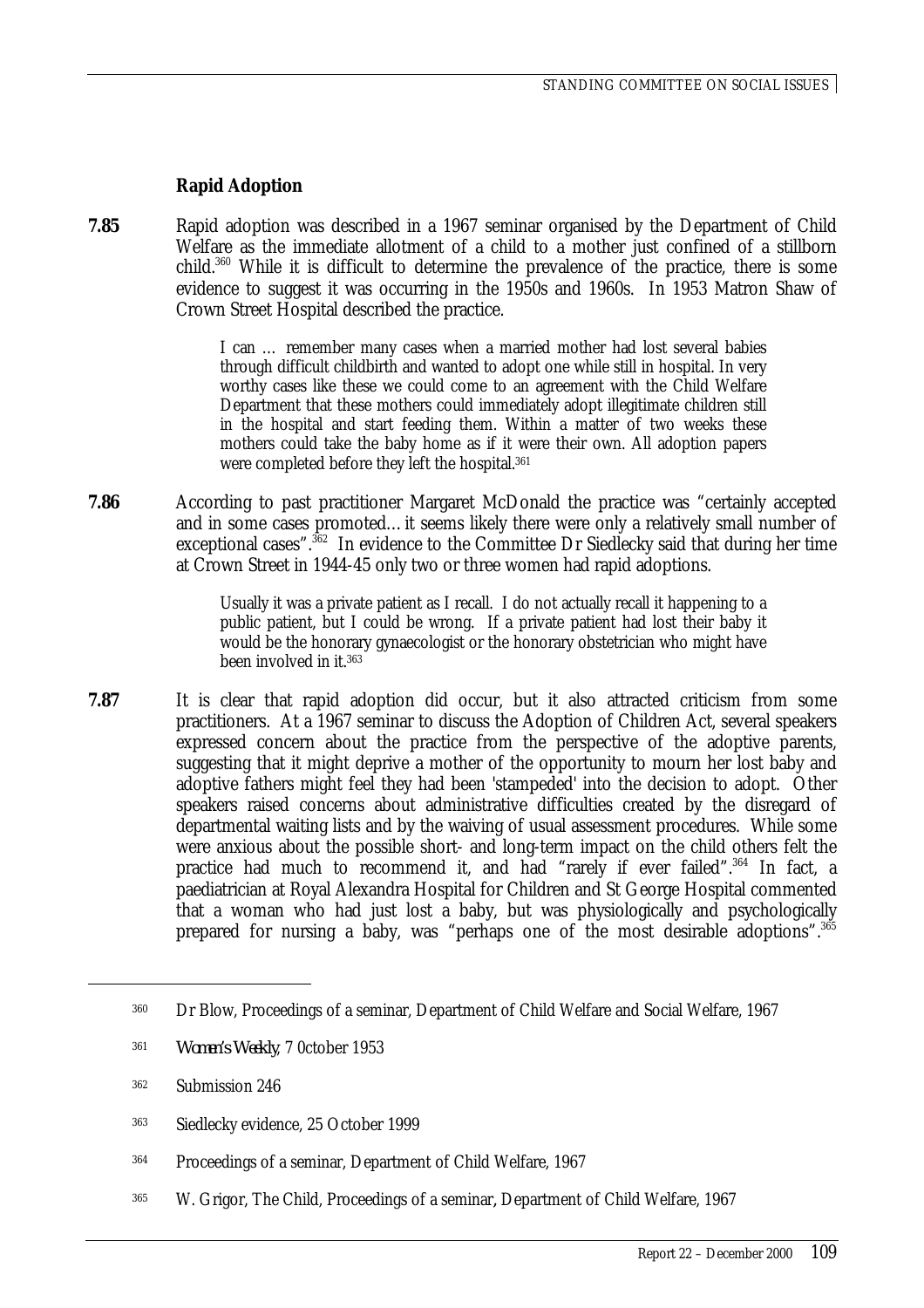#### **Rapid Adoption**

**7.85** Rapid adoption was described in a 1967 seminar organised by the Department of Child Welfare as the immediate allotment of a child to a mother just confined of a stillborn child.<sup>360</sup> While it is difficult to determine the prevalence of the practice, there is some evidence to suggest it was occurring in the 1950s and 1960s. In 1953 Matron Shaw of Crown Street Hospital described the practice.

> I can … remember many cases when a married mother had lost several babies through difficult childbirth and wanted to adopt one while still in hospital. In very worthy cases like these we could come to an agreement with the Child Welfare Department that these mothers could immediately adopt illegitimate children still in the hospital and start feeding them. Within a matter of two weeks these mothers could take the baby home as if it were their own. All adoption papers were completed before they left the hospital.<sup>361</sup>

**7.86** According to past practitioner Margaret McDonald the practice was "certainly accepted and in some cases promoted…it seems likely there were only a relatively small number of exceptional cases".<sup>362</sup> In evidence to the Committee Dr Siedlecky said that during her time at Crown Street in 1944-45 only two or three women had rapid adoptions.

> Usually it was a private patient as I recall. I do not actually recall it happening to a public patient, but I could be wrong. If a private patient had lost their baby it would be the honorary gynaecologist or the honorary obstetrician who might have been involved in it.<sup>363</sup>

**7.87** It is clear that rapid adoption did occur, but it also attracted criticism from some practitioners. At a 1967 seminar to discuss the Adoption of Children Act, several speakers expressed concern about the practice from the perspective of the adoptive parents, suggesting that it might deprive a mother of the opportunity to mourn her lost baby and adoptive fathers might feel they had been 'stampeded' into the decision to adopt. Other speakers raised concerns about administrative difficulties created by the disregard of departmental waiting lists and by the waiving of usual assessment procedures. While some were anxious about the possible short- and long-term impact on the child others felt the practice had much to recommend it, and had "rarely if ever failed".<sup>364</sup> In fact, a paediatrician at Royal Alexandra Hospital for Children and St George Hospital commented that a woman who had just lost a baby, but was physiologically and psychologically prepared for nursing a baby, was "perhaps one of the most desirable adoptions".<sup>365</sup>

- <sup>363</sup> Siedlecky evidence, 25 October 1999
- <sup>364</sup> Proceedings of a seminar, Department of Child Welfare, 1967
- <sup>365</sup> W. Grigor, The Child, Proceedings of a seminar*,* Department of Child Welfare, 1967

<sup>360</sup> Dr Blow, Proceedings of a seminar, Department of Child Welfare and Social Welfare, 1967

<sup>361</sup> *Women's Weekly*, 7 0ctober 1953

<sup>362</sup> Submission 246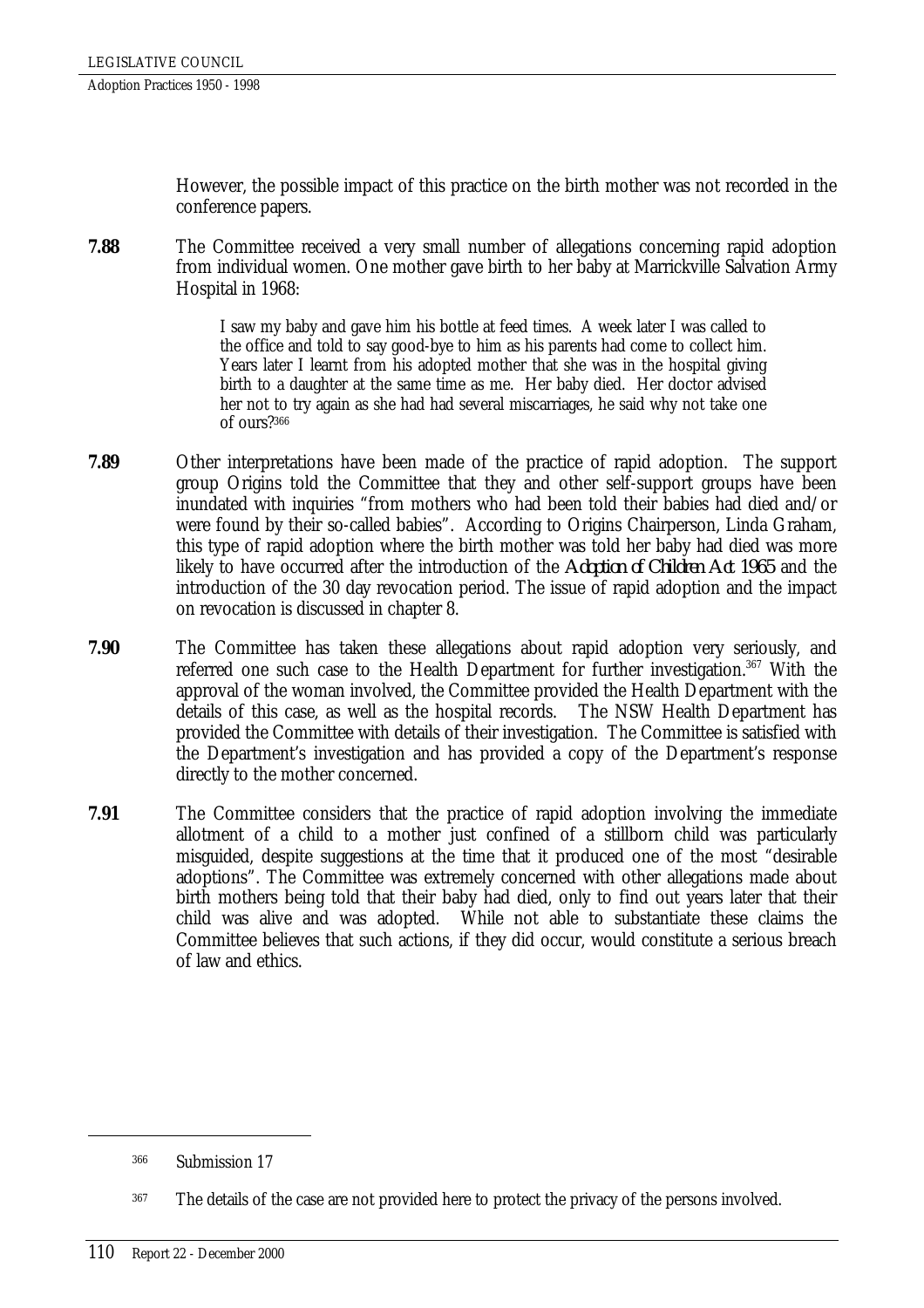However, the possible impact of this practice on the birth mother was not recorded in the conference papers.

**7.88** The Committee received a very small number of allegations concerning rapid adoption from individual women. One mother gave birth to her baby at Marrickville Salvation Army Hospital in 1968:

> I saw my baby and gave him his bottle at feed times. A week later I was called to the office and told to say good-bye to him as his parents had come to collect him. Years later I learnt from his adopted mother that she was in the hospital giving birth to a daughter at the same time as me. Her baby died. Her doctor advised her not to try again as she had had several miscarriages, he said why not take one of ours?<sup>366</sup>

- **7.89** Other interpretations have been made of the practice of rapid adoption. The support group Origins told the Committee that they and other self-support groups have been inundated with inquiries "from mothers who had been told their babies had died and/or were found by their so-called babies". According to Origins Chairperson, Linda Graham, this type of rapid adoption where the birth mother was told her baby had died was more likely to have occurred after the introduction of the *Adoption of Children Act 1965* and the introduction of the 30 day revocation period. The issue of rapid adoption and the impact on revocation is discussed in chapter 8.
- **7.90** The Committee has taken these allegations about rapid adoption very seriously, and referred one such case to the Health Department for further investigation.<sup>367</sup> With the approval of the woman involved, the Committee provided the Health Department with the details of this case, as well as the hospital records. The NSW Health Department has provided the Committee with details of their investigation. The Committee is satisfied with the Department's investigation and has provided a copy of the Department's response directly to the mother concerned.
- **7.91** The Committee considers that the practice of rapid adoption involving the immediate allotment of a child to a mother just confined of a stillborn child was particularly misguided, despite suggestions at the time that it produced one of the most "desirable adoptions". The Committee was extremely concerned with other allegations made about birth mothers being told that their baby had died, only to find out years later that their child was alive and was adopted. While not able to substantiate these claims the Committee believes that such actions, if they did occur, would constitute a serious breach of law and ethics.

<sup>366</sup> Submission 17

<sup>&</sup>lt;sup>367</sup> The details of the case are not provided here to protect the privacy of the persons involved.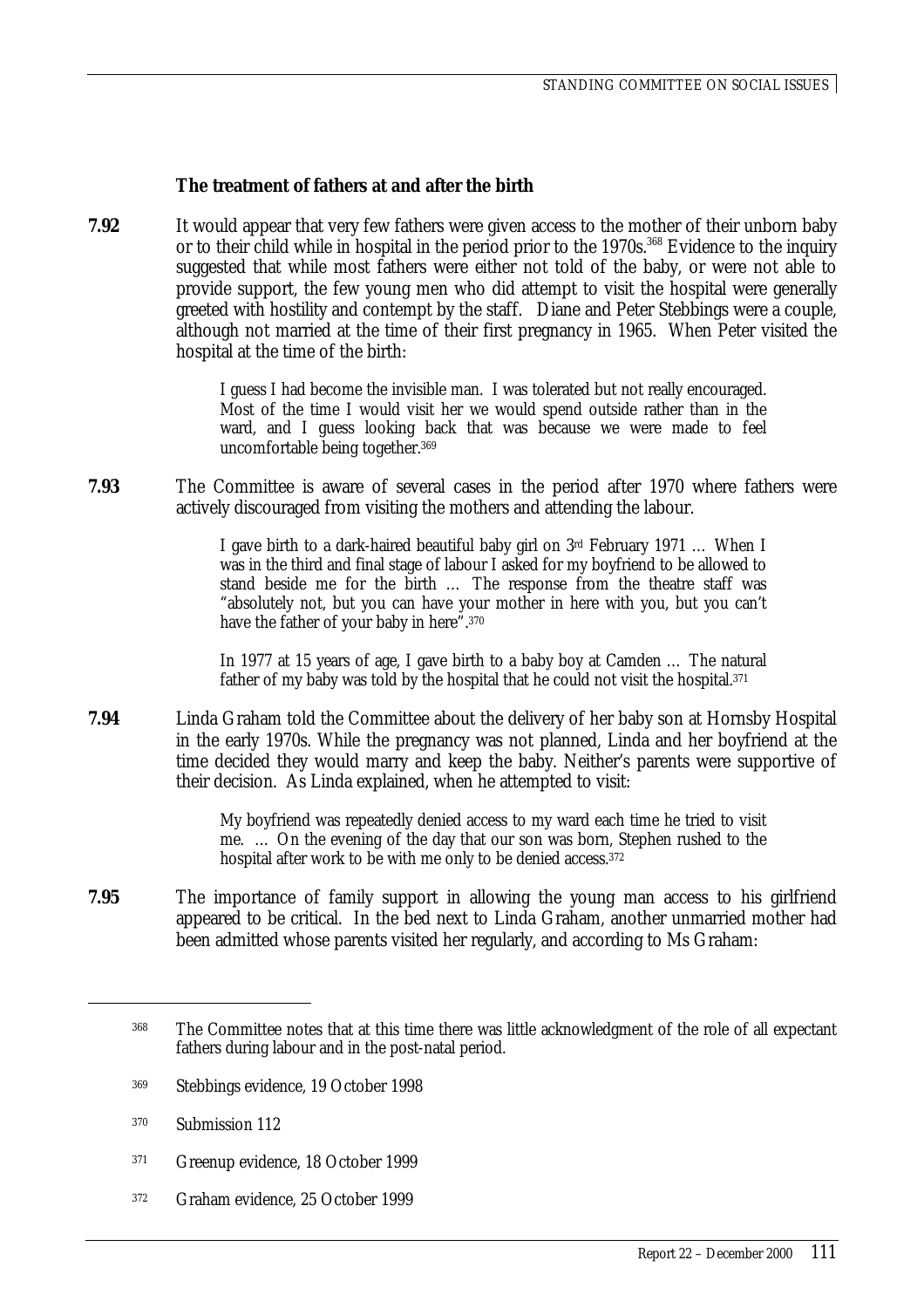#### **The treatment of fathers at and after the birth**

**7.92** It would appear that very few fathers were given access to the mother of their unborn baby or to their child while in hospital in the period prior to the 1970s.<sup>368</sup> Evidence to the inquiry suggested that while most fathers were either not told of the baby, or were not able to provide support, the few young men who did attempt to visit the hospital were generally greeted with hostility and contempt by the staff. Diane and Peter Stebbings were a couple, although not married at the time of their first pregnancy in 1965. When Peter visited the hospital at the time of the birth:

> I guess I had become the invisible man. I was tolerated but not really encouraged. Most of the time I would visit her we would spend outside rather than in the ward, and I guess looking back that was because we were made to feel uncomfortable being together.<sup>369</sup>

**7.93** The Committee is aware of several cases in the period after 1970 where fathers were actively discouraged from visiting the mothers and attending the labour.

> I gave birth to a dark-haired beautiful baby girl on 3rd February 1971 … When I was in the third and final stage of labour I asked for my boyfriend to be allowed to stand beside me for the birth … The response from the theatre staff was "absolutely not, but you can have your mother in here with you, but you can't have the father of your baby in here".<sup>370</sup>

> In 1977 at 15 years of age, I gave birth to a baby boy at Camden … The natural father of my baby was told by the hospital that he could not visit the hospital.<sup>371</sup>

**7.94** Linda Graham told the Committee about the delivery of her baby son at Hornsby Hospital in the early 1970s. While the pregnancy was not planned, Linda and her boyfriend at the time decided they would marry and keep the baby. Neither's parents were supportive of their decision. As Linda explained, when he attempted to visit:

> My boyfriend was repeatedly denied access to my ward each time he tried to visit me. … On the evening of the day that our son was born, Stephen rushed to the hospital after work to be with me only to be denied access.<sup>372</sup>

**7.95** The importance of family support in allowing the young man access to his girlfriend appeared to be critical. In the bed next to Linda Graham, another unmarried mother had been admitted whose parents visited her regularly, and according to Ms Graham:

- <sup>369</sup> Stebbings evidence, 19 October 1998
- <sup>370</sup> Submission 112

- <sup>371</sup> Greenup evidence, 18 October 1999
- <sup>372</sup> Graham evidence, 25 October 1999

<sup>368</sup> The Committee notes that at this time there was little acknowledgment of the role of all expectant fathers during labour and in the post-natal period.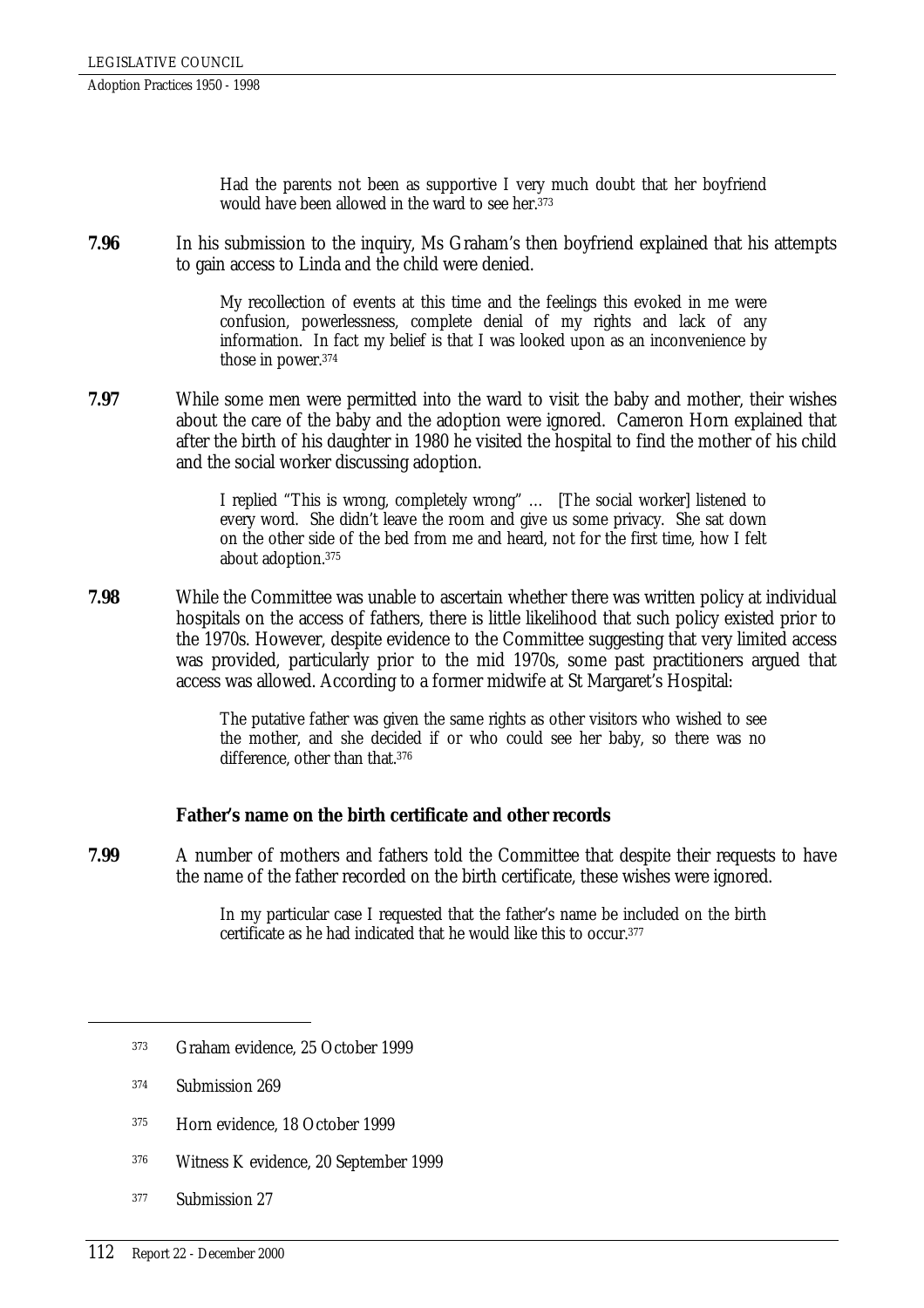Had the parents not been as supportive I very much doubt that her boyfriend would have been allowed in the ward to see her.<sup>373</sup>

**7.96** In his submission to the inquiry, Ms Graham's then boyfriend explained that his attempts to gain access to Linda and the child were denied.

> My recollection of events at this time and the feelings this evoked in me were confusion, powerlessness, complete denial of my rights and lack of any information. In fact my belief is that I was looked upon as an inconvenience by those in power.<sup>374</sup>

**7.97** While some men were permitted into the ward to visit the baby and mother, their wishes about the care of the baby and the adoption were ignored. Cameron Horn explained that after the birth of his daughter in 1980 he visited the hospital to find the mother of his child and the social worker discussing adoption.

> I replied "This is wrong, completely wrong" … [The social worker] listened to every word. She didn't leave the room and give us some privacy. She sat down on the other side of the bed from me and heard, not for the first time, how I felt about adoption.<sup>375</sup>

**7.98** While the Committee was unable to ascertain whether there was written policy at individual hospitals on the access of fathers, there is little likelihood that such policy existed prior to the 1970s. However, despite evidence to the Committee suggesting that very limited access was provided, particularly prior to the mid 1970s, some past practitioners argued that access was allowed. According to a former midwife at St Margaret's Hospital:

> The putative father was given the same rights as other visitors who wished to see the mother, and she decided if or who could see her baby, so there was no difference, other than that.<sup>376</sup>

## **Father's name on the birth certificate and other records**

**7.99** A number of mothers and fathers told the Committee that despite their requests to have the name of the father recorded on the birth certificate, these wishes were ignored.

> In my particular case I requested that the father's name be included on the birth certificate as he had indicated that he would like this to occur.<sup>377</sup>

<sup>374</sup> Submission 269

- <sup>375</sup> Horn evidence, 18 October 1999
- <sup>376</sup> Witness K evidence, 20 September 1999
- <sup>377</sup> Submission 27

<sup>373</sup> Graham evidence, 25 October 1999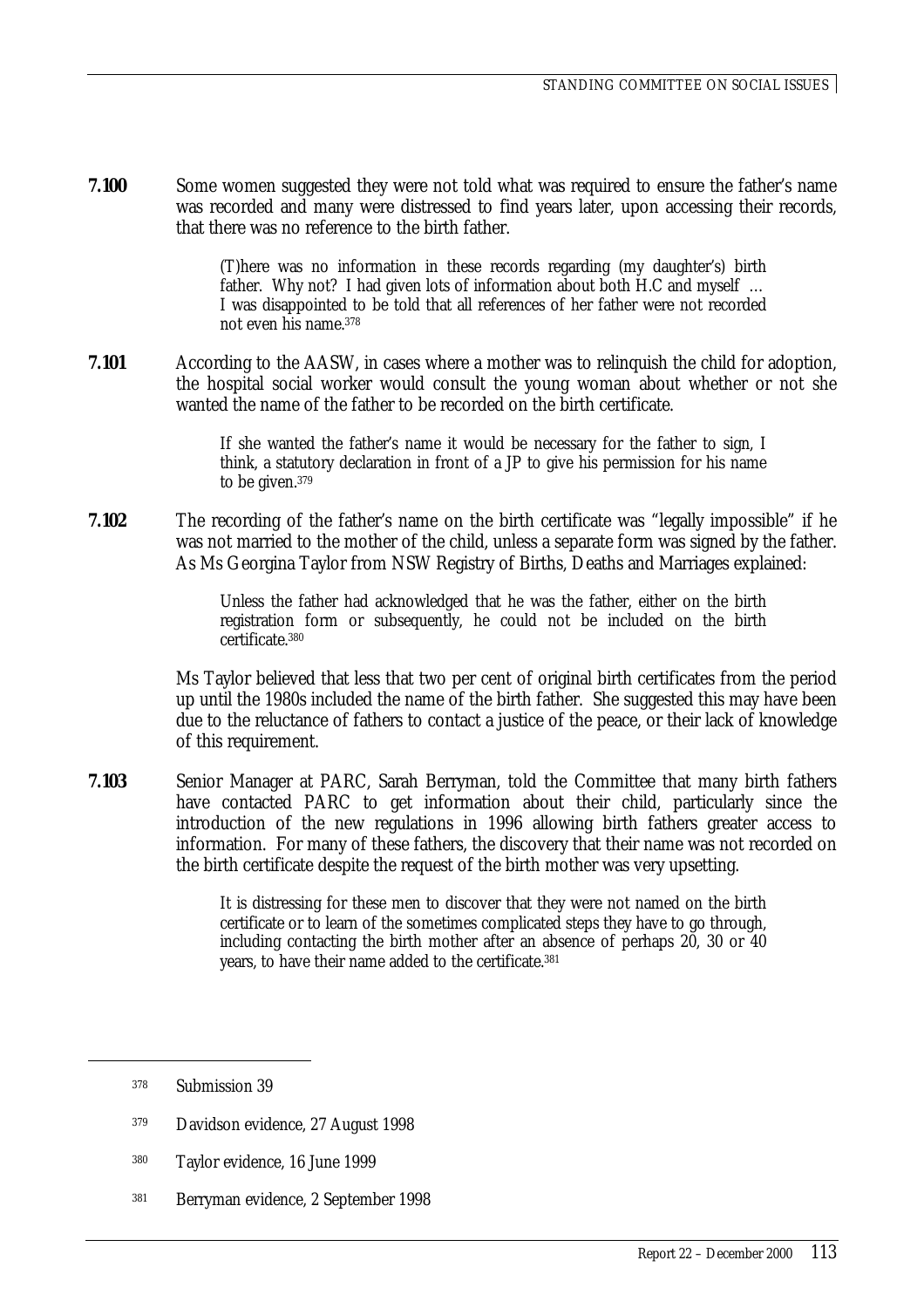**7.100** Some women suggested they were not told what was required to ensure the father's name was recorded and many were distressed to find years later, upon accessing their records, that there was no reference to the birth father.

> (T)here was no information in these records regarding (my daughter's) birth father. Why not? I had given lots of information about both H.C and myself ... I was disappointed to be told that all references of her father were not recorded not even his name.<sup>378</sup>

**7.101** According to the AASW, in cases where a mother was to relinquish the child for adoption, the hospital social worker would consult the young woman about whether or not she wanted the name of the father to be recorded on the birth certificate.

> If she wanted the father's name it would be necessary for the father to sign, I think, a statutory declaration in front of a JP to give his permission for his name to be given.<sup>379</sup>

**7.102** The recording of the father's name on the birth certificate was "legally impossible" if he was not married to the mother of the child, unless a separate form was signed by the father. As Ms Georgina Taylor from NSW Registry of Births, Deaths and Marriages explained:

> Unless the father had acknowledged that he was the father, either on the birth registration form or subsequently, he could not be included on the birth certificate.<sup>380</sup>

Ms Taylor believed that less that two per cent of original birth certificates from the period up until the 1980s included the name of the birth father. She suggested this may have been due to the reluctance of fathers to contact a justice of the peace, or their lack of knowledge of this requirement.

**7.103** Senior Manager at PARC, Sarah Berryman, told the Committee that many birth fathers have contacted PARC to get information about their child, particularly since the introduction of the new regulations in 1996 allowing birth fathers greater access to information. For many of these fathers, the discovery that their name was not recorded on the birth certificate despite the request of the birth mother was very upsetting.

> It is distressing for these men to discover that they were not named on the birth certificate or to learn of the sometimes complicated steps they have to go through, including contacting the birth mother after an absence of perhaps 20, 30 or 40 years, to have their name added to the certificate.<sup>381</sup>

- <sup>379</sup> Davidson evidence, 27 August 1998
- <sup>380</sup> Taylor evidence, 16 June 1999
- <sup>381</sup> Berryman evidence, 2 September 1998

<sup>378</sup> Submission 39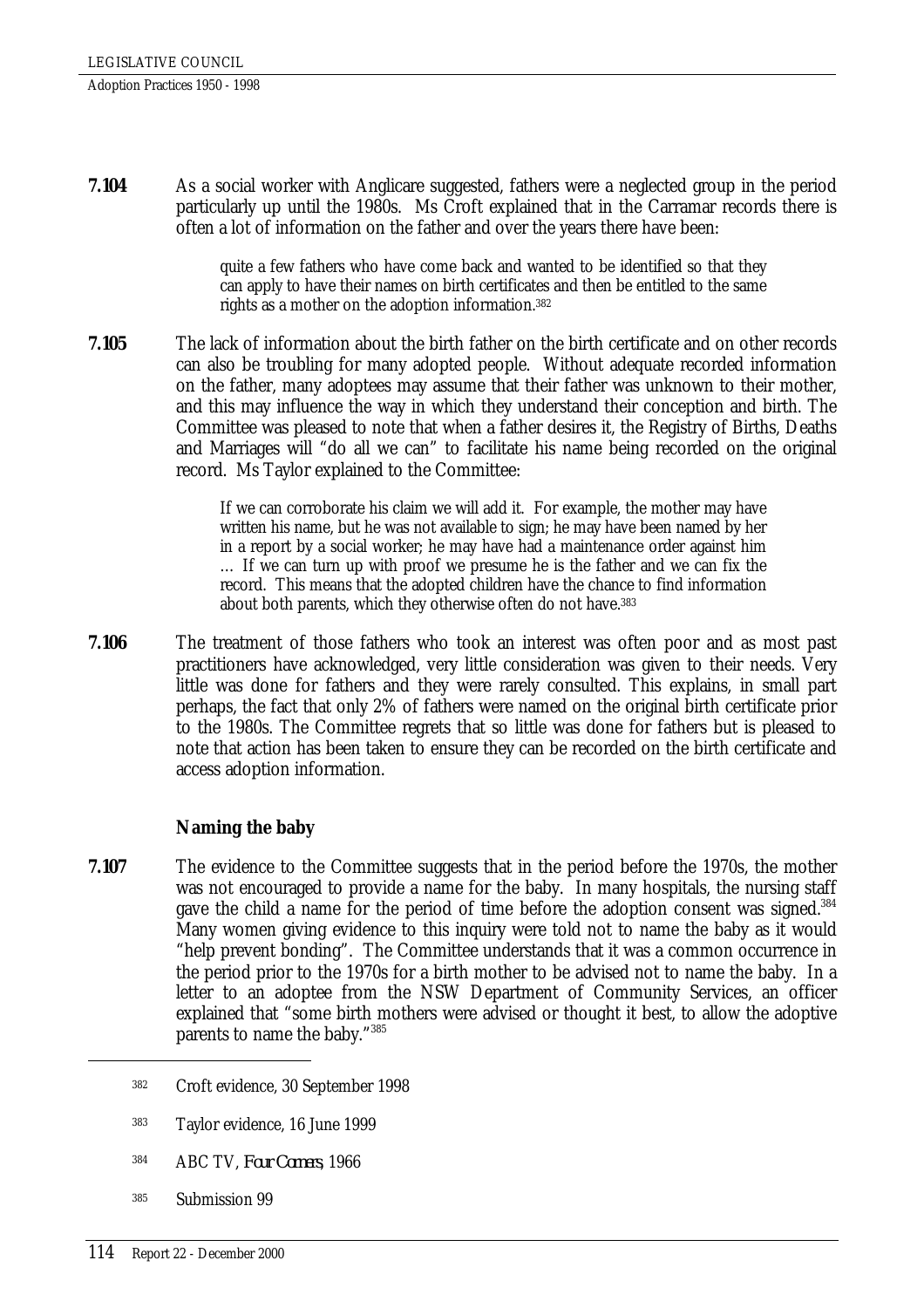**7.104** As a social worker with Anglicare suggested, fathers were a neglected group in the period particularly up until the 1980s. Ms Croft explained that in the Carramar records there is often a lot of information on the father and over the years there have been:

> quite a few fathers who have come back and wanted to be identified so that they can apply to have their names on birth certificates and then be entitled to the same rights as a mother on the adoption information.<sup>382</sup>

**7.105** The lack of information about the birth father on the birth certificate and on other records can also be troubling for many adopted people. Without adequate recorded information on the father, many adoptees may assume that their father was unknown to their mother, and this may influence the way in which they understand their conception and birth. The Committee was pleased to note that when a father desires it, the Registry of Births, Deaths and Marriages will "do all we can" to facilitate his name being recorded on the original record. Ms Taylor explained to the Committee:

> If we can corroborate his claim we will add it. For example, the mother may have written his name, but he was not available to sign; he may have been named by her in a report by a social worker; he may have had a maintenance order against him … If we can turn up with proof we presume he is the father and we can fix the record. This means that the adopted children have the chance to find information about both parents, which they otherwise often do not have.<sup>383</sup>

**7.106** The treatment of those fathers who took an interest was often poor and as most past practitioners have acknowledged, very little consideration was given to their needs. Very little was done for fathers and they were rarely consulted. This explains, in small part perhaps, the fact that only 2% of fathers were named on the original birth certificate prior to the 1980s. The Committee regrets that so little was done for fathers but is pleased to note that action has been taken to ensure they can be recorded on the birth certificate and access adoption information.

# **Naming the baby**

**7.107** The evidence to the Committee suggests that in the period before the 1970s, the mother was not encouraged to provide a name for the baby. In many hospitals, the nursing staff gave the child a name for the period of time before the adoption consent was signed.<sup>384</sup> Many women giving evidence to this inquiry were told not to name the baby as it would "help prevent bonding". The Committee understands that it was a common occurrence in the period prior to the 1970s for a birth mother to be advised not to name the baby. In a letter to an adoptee from the NSW Department of Community Services, an officer explained that "some birth mothers were advised or thought it best, to allow the adoptive parents to name the baby."<sup>385</sup>

- <sup>383</sup> Taylor evidence, 16 June 1999
- <sup>384</sup> ABC TV, *Four Corners*, 1966
- <sup>385</sup> Submission 99

<sup>382</sup> Croft evidence, 30 September 1998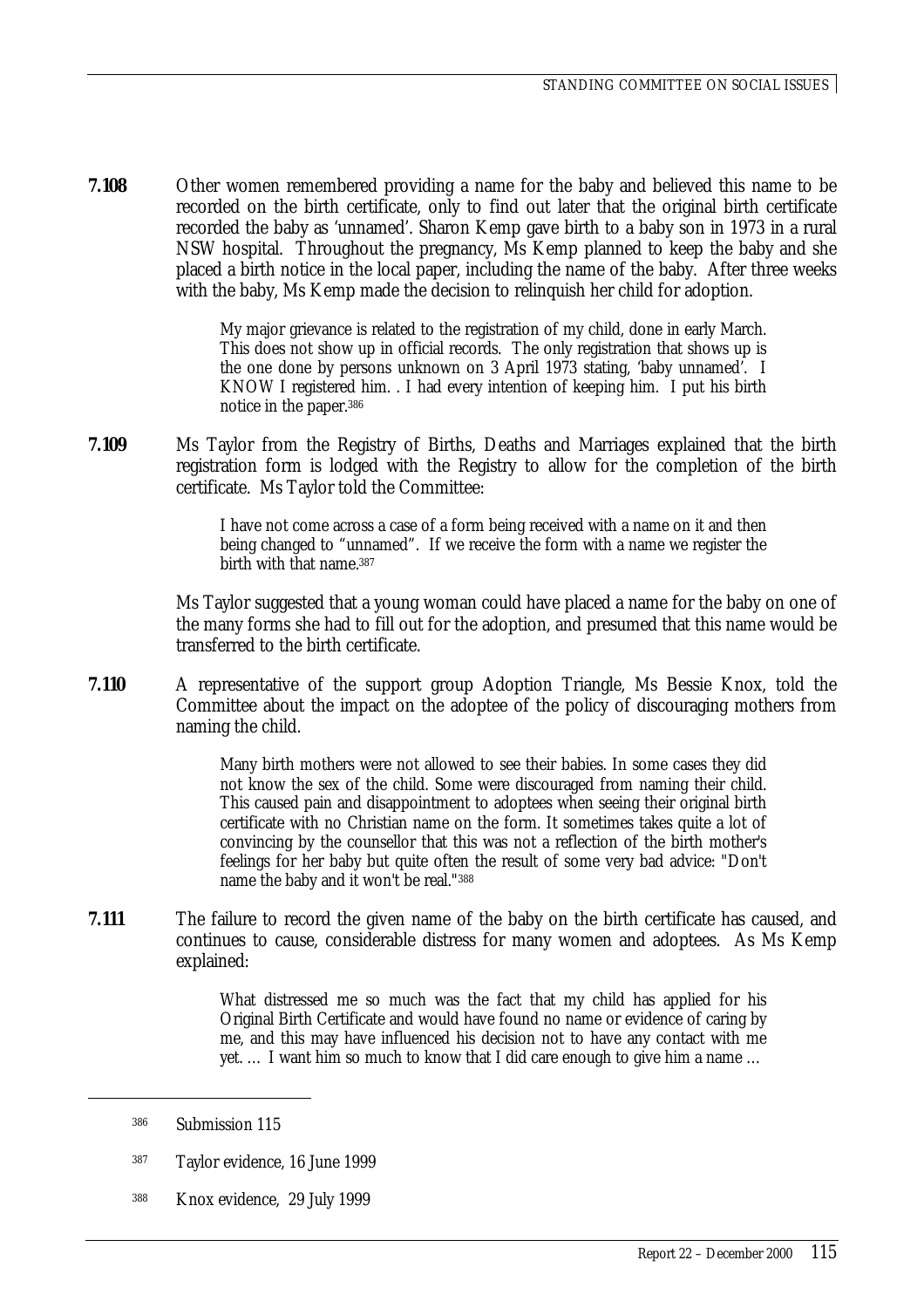**7.108** Other women remembered providing a name for the baby and believed this name to be recorded on the birth certificate, only to find out later that the original birth certificate recorded the baby as 'unnamed'. Sharon Kemp gave birth to a baby son in 1973 in a rural NSW hospital. Throughout the pregnancy, Ms Kemp planned to keep the baby and she placed a birth notice in the local paper, including the name of the baby. After three weeks with the baby, Ms Kemp made the decision to relinquish her child for adoption.

> My major grievance is related to the registration of my child, done in early March. This does not show up in official records. The only registration that shows up is the one done by persons unknown on 3 April 1973 stating, 'baby unnamed'. I KNOW I registered him. . I had every intention of keeping him. I put his birth notice in the paper.<sup>386</sup>

**7.109** Ms Taylor from the Registry of Births, Deaths and Marriages explained that the birth registration form is lodged with the Registry to allow for the completion of the birth certificate. Ms Taylor told the Committee:

> I have not come across a case of a form being received with a name on it and then being changed to "unnamed". If we receive the form with a name we register the birth with that name.<sup>387</sup>

Ms Taylor suggested that a young woman could have placed a name for the baby on one of the many forms she had to fill out for the adoption, and presumed that this name would be transferred to the birth certificate.

**7.110** A representative of the support group Adoption Triangle, Ms Bessie Knox, told the Committee about the impact on the adoptee of the policy of discouraging mothers from naming the child.

> Many birth mothers were not allowed to see their babies. In some cases they did not know the sex of the child. Some were discouraged from naming their child. This caused pain and disappointment to adoptees when seeing their original birth certificate with no Christian name on the form. It sometimes takes quite a lot of convincing by the counsellor that this was not a reflection of the birth mother's feelings for her baby but quite often the result of some very bad advice: "Don't name the baby and it won't be real."<sup>388</sup>

**7.111** The failure to record the given name of the baby on the birth certificate has caused, and continues to cause, considerable distress for many women and adoptees. As Ms Kemp explained:

> What distressed me so much was the fact that my child has applied for his Original Birth Certificate and would have found no name or evidence of caring by me, and this may have influenced his decision not to have any contact with me yet. … I want him so much to know that I did care enough to give him a name …

 $\overline{a}$ 

<sup>388</sup> Knox evidence, 29 July 1999

<sup>386</sup> Submission 115

<sup>387</sup> Taylor evidence, 16 June 1999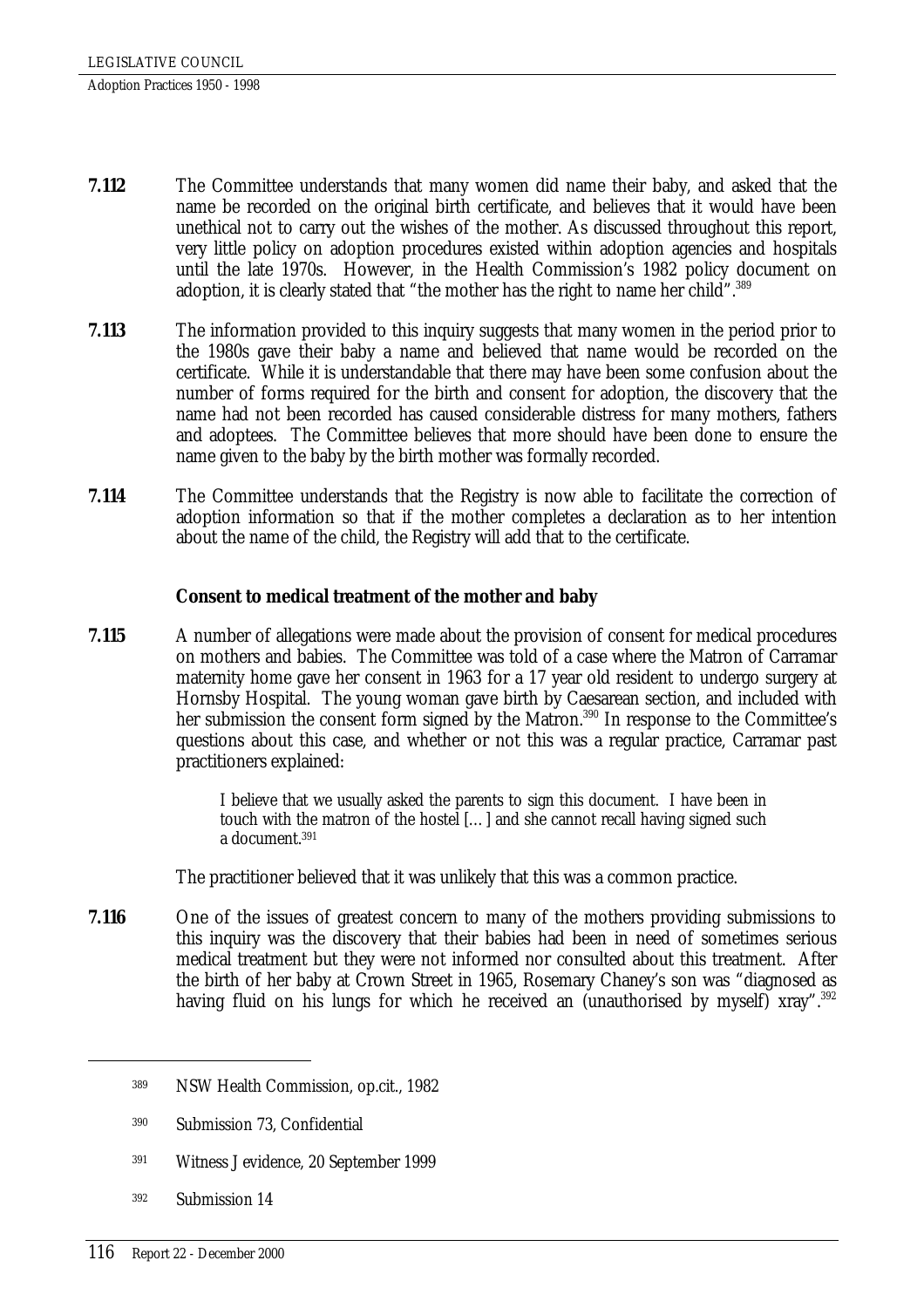- **7.112** The Committee understands that many women did name their baby, and asked that the name be recorded on the original birth certificate, and believes that it would have been unethical not to carry out the wishes of the mother. As discussed throughout this report, very little policy on adoption procedures existed within adoption agencies and hospitals until the late 1970s. However, in the Health Commission's 1982 policy document on adoption, it is clearly stated that "the mother has the right to name her child".<sup>389</sup>
- **7.113** The information provided to this inquiry suggests that many women in the period prior to the 1980s gave their baby a name and believed that name would be recorded on the certificate. While it is understandable that there may have been some confusion about the number of forms required for the birth and consent for adoption, the discovery that the name had not been recorded has caused considerable distress for many mothers, fathers and adoptees. The Committee believes that more should have been done to ensure the name given to the baby by the birth mother was formally recorded.
- **7.114** The Committee understands that the Registry is now able to facilitate the correction of adoption information so that if the mother completes a declaration as to her intention about the name of the child, the Registry will add that to the certificate.

# **Consent to medical treatment of the mother and baby**

**7.115** A number of allegations were made about the provision of consent for medical procedures on mothers and babies. The Committee was told of a case where the Matron of Carramar maternity home gave her consent in 1963 for a 17 year old resident to undergo surgery at Hornsby Hospital. The young woman gave birth by Caesarean section, and included with her submission the consent form signed by the Matron.<sup>390</sup> In response to the Committee's questions about this case, and whether or not this was a regular practice, Carramar past practitioners explained:

> I believe that we usually asked the parents to sign this document. I have been in touch with the matron of the hostel […] and she cannot recall having signed such a document.<sup>391</sup>

The practitioner believed that it was unlikely that this was a common practice.

**7.116** One of the issues of greatest concern to many of the mothers providing submissions to this inquiry was the discovery that their babies had been in need of sometimes serious medical treatment but they were not informed nor consulted about this treatment. After the birth of her baby at Crown Street in 1965, Rosemary Chaney's son was "diagnosed as having fluid on his lungs for which he received an (unauthorised by myself) xray".<sup>392</sup>

- <sup>390</sup> Submission 73, Confidential
- <sup>391</sup> Witness J evidence, 20 September 1999
- <sup>392</sup> Submission 14

<sup>389</sup> NSW Health Commission, op.cit., 1982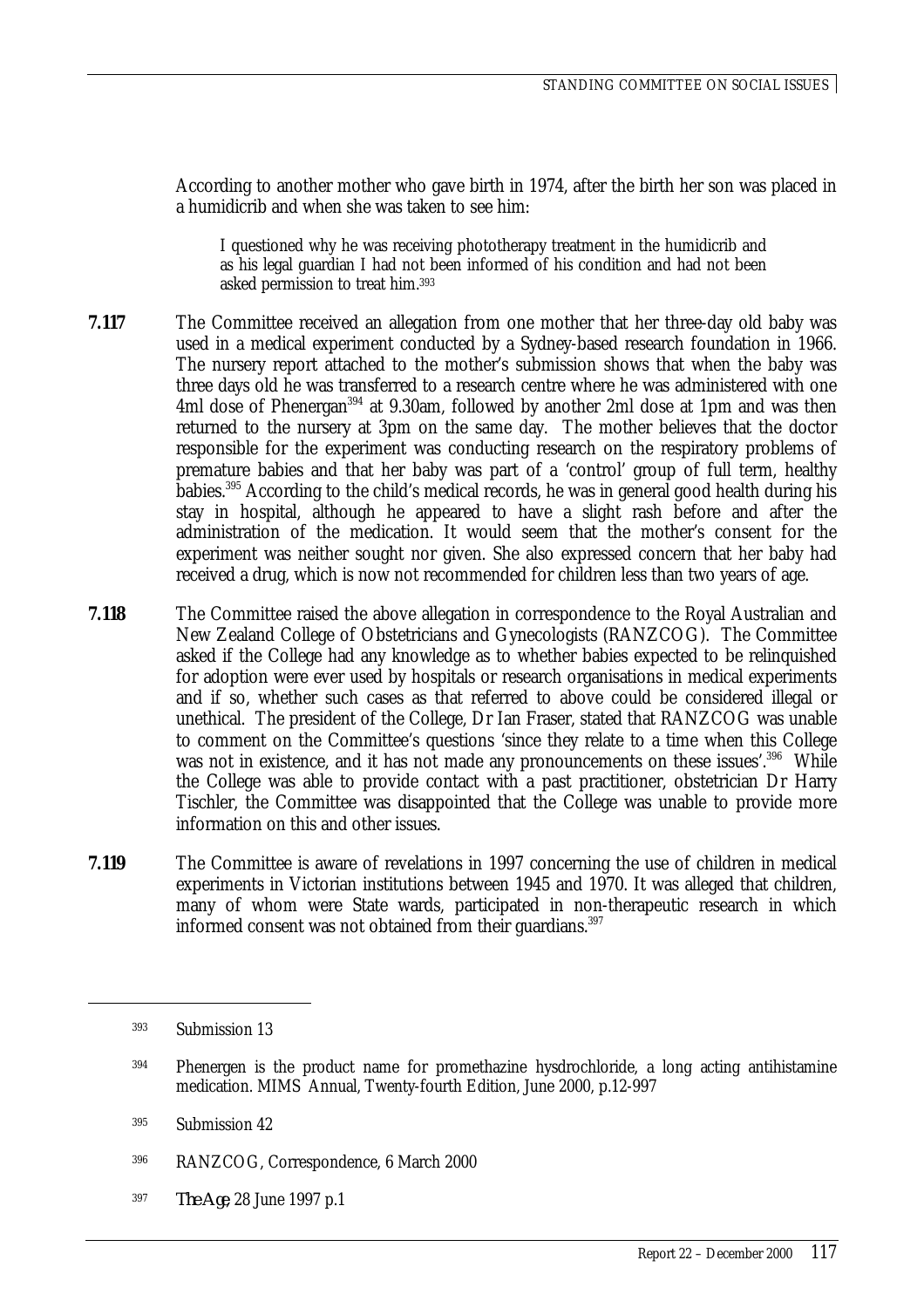According to another mother who gave birth in 1974, after the birth her son was placed in a humidicrib and when she was taken to see him:

I questioned why he was receiving phototherapy treatment in the humidicrib and as his legal guardian I had not been informed of his condition and had not been asked permission to treat him.<sup>393</sup>

- **7.117** The Committee received an allegation from one mother that her three-day old baby was used in a medical experiment conducted by a Sydney-based research foundation in 1966. The nursery report attached to the mother's submission shows that when the baby was three days old he was transferred to a research centre where he was administered with one 4ml dose of Phenergan<sup>394</sup> at 9.30am, followed by another 2ml dose at 1pm and was then returned to the nursery at 3pm on the same day. The mother believes that the doctor responsible for the experiment was conducting research on the respiratory problems of premature babies and that her baby was part of a 'control' group of full term, healthy babies.<sup>395</sup> According to the child's medical records, he was in general good health during his stay in hospital, although he appeared to have a slight rash before and after the administration of the medication. It would seem that the mother's consent for the experiment was neither sought nor given. She also expressed concern that her baby had received a drug, which is now not recommended for children less than two years of age.
- **7.118** The Committee raised the above allegation in correspondence to the Royal Australian and New Zealand College of Obstetricians and Gynecologists (RANZCOG). The Committee asked if the College had any knowledge as to whether babies expected to be relinquished for adoption were ever used by hospitals or research organisations in medical experiments and if so, whether such cases as that referred to above could be considered illegal or unethical. The president of the College, Dr Ian Fraser, stated that RANZCOG was unable to comment on the Committee's questions 'since they relate to a time when this College was not in existence, and it has not made any pronouncements on these issues'.<sup>396</sup> While the College was able to provide contact with a past practitioner, obstetrician Dr Harry Tischler, the Committee was disappointed that the College was unable to provide more information on this and other issues.
- **7.119** The Committee is aware of revelations in 1997 concerning the use of children in medical experiments in Victorian institutions between 1945 and 1970. It was alleged that children, many of whom were State wards, participated in non-therapeutic research in which informed consent was not obtained from their guardians.<sup>397</sup>

 $\overline{a}$ 

<sup>394</sup> Phenergen is the product name for promethazine hysdrochloride, a long acting antihistamine medication. MIMS Annual, Twenty-fourth Edition, June 2000, p.12-997

- <sup>396</sup> RANZCOG, Correspondence, 6 March 2000
- <sup>397</sup> *The Age*, 28 June 1997 p.1

<sup>393</sup> Submission 13

<sup>395</sup> Submission 42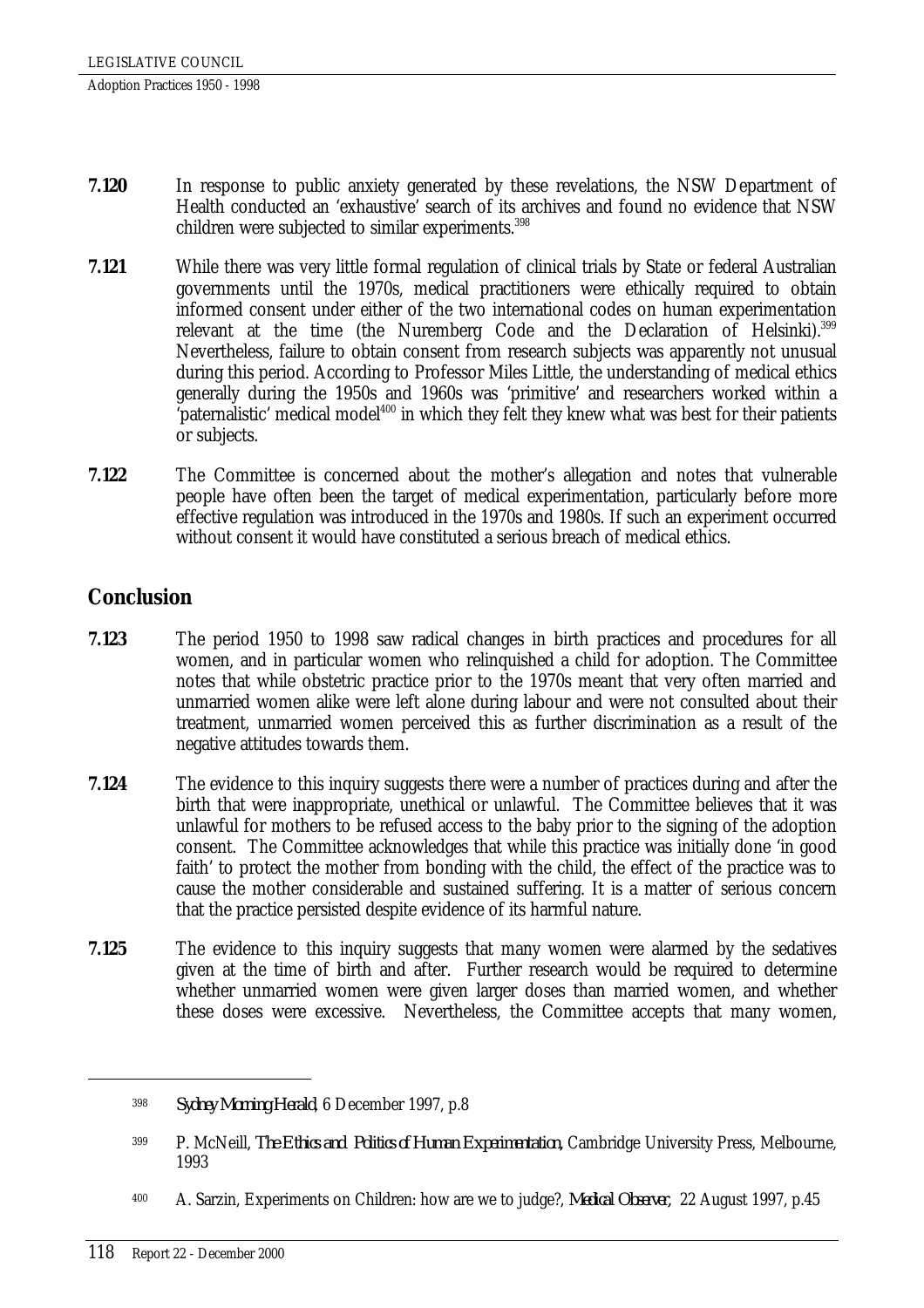- **7.120** In response to public anxiety generated by these revelations, the NSW Department of Health conducted an 'exhaustive' search of its archives and found no evidence that NSW children were subjected to similar experiments.<sup>398</sup>
- **7.121** While there was very little formal regulation of clinical trials by State or federal Australian governments until the 1970s, medical practitioners were ethically required to obtain informed consent under either of the two international codes on human experimentation relevant at the time (the Nuremberg Code and the Declaration of Helsinki).<sup>399</sup> Nevertheless, failure to obtain consent from research subjects was apparently not unusual during this period. According to Professor Miles Little, the understanding of medical ethics generally during the 1950s and 1960s was 'primitive' and researchers worked within a 'paternalistic' medical model<sup>400</sup> in which they felt they knew what was best for their patients or subjects.
- **7.122** The Committee is concerned about the mother's allegation and notes that vulnerable people have often been the target of medical experimentation, particularly before more effective regulation was introduced in the 1970s and 1980s. If such an experiment occurred without consent it would have constituted a serious breach of medical ethics.

# **Conclusion**

- **7.123** The period 1950 to 1998 saw radical changes in birth practices and procedures for all women, and in particular women who relinquished a child for adoption. The Committee notes that while obstetric practice prior to the 1970s meant that very often married and unmarried women alike were left alone during labour and were not consulted about their treatment, unmarried women perceived this as further discrimination as a result of the negative attitudes towards them.
- **7.124** The evidence to this inquiry suggests there were a number of practices during and after the birth that were inappropriate, unethical or unlawful. The Committee believes that it was unlawful for mothers to be refused access to the baby prior to the signing of the adoption consent. The Committee acknowledges that while this practice was initially done 'in good faith' to protect the mother from bonding with the child, the effect of the practice was to cause the mother considerable and sustained suffering. It is a matter of serious concern that the practice persisted despite evidence of its harmful nature.
- **7.125** The evidence to this inquiry suggests that many women were alarmed by the sedatives given at the time of birth and after. Further research would be required to determine whether unmarried women were given larger doses than married women, and whether these doses were excessive. Nevertheless, the Committee accepts that many women,

<sup>400</sup> A. Sarzin, Experiments on Children: how are we to judge?, *Medical Observer,* 22 August 1997, p.45

<sup>398</sup> *Sydney Morning Herald*, 6 December 1997, p.8

<sup>399</sup> P. McNeill, *The Ethics and Politics of Human Experimentation,* Cambridge University Press, Melbourne, 1993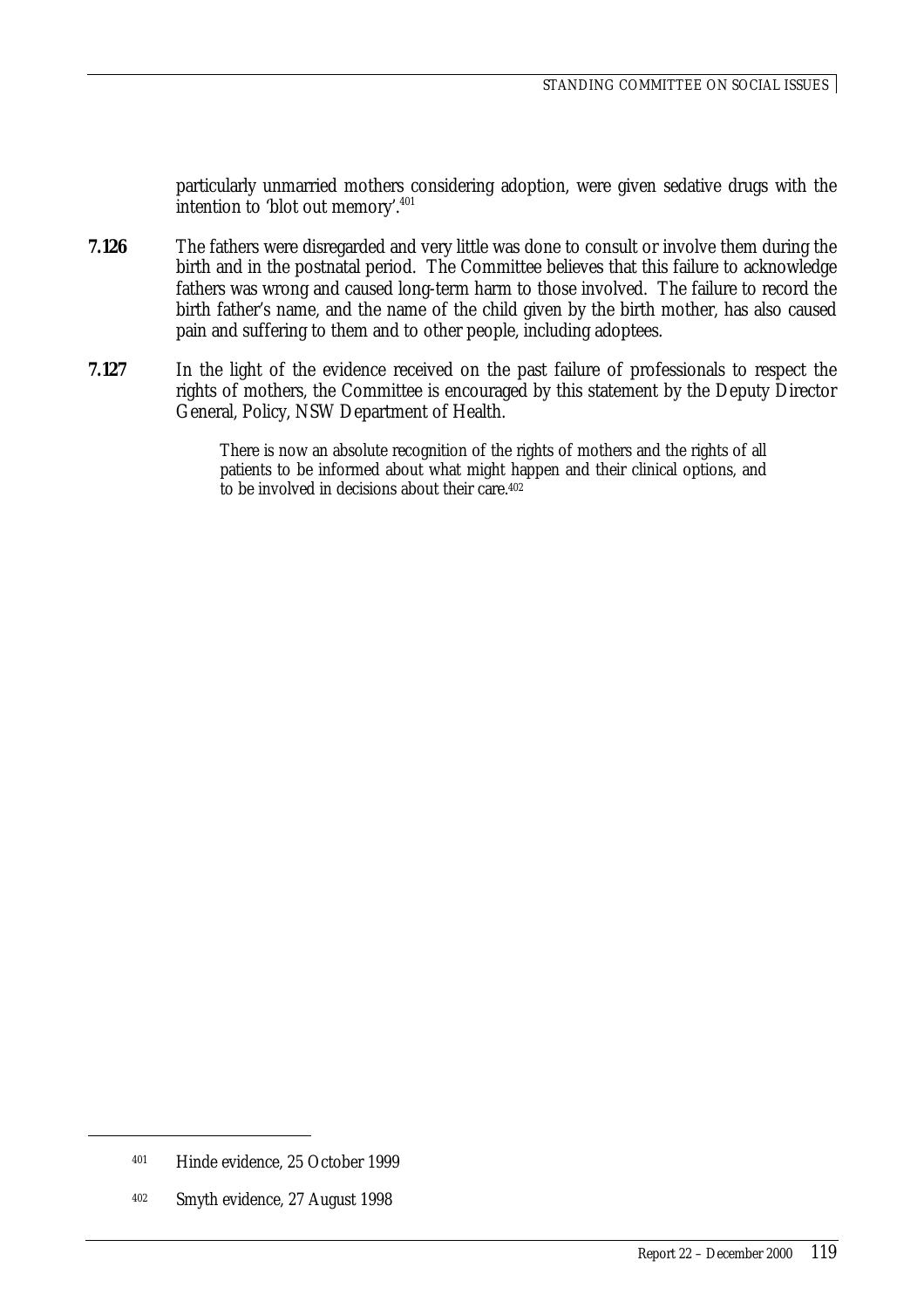particularly unmarried mothers considering adoption, were given sedative drugs with the intention to 'blot out memory'.<sup>401</sup>

- **7.126** The fathers were disregarded and very little was done to consult or involve them during the birth and in the postnatal period. The Committee believes that this failure to acknowledge fathers was wrong and caused long-term harm to those involved. The failure to record the birth father's name, and the name of the child given by the birth mother, has also caused pain and suffering to them and to other people, including adoptees.
- **7.127** In the light of the evidence received on the past failure of professionals to respect the rights of mothers, the Committee is encouraged by this statement by the Deputy Director General, Policy, NSW Department of Health.

There is now an absolute recognition of the rights of mothers and the rights of all patients to be informed about what might happen and their clinical options, and to be involved in decisions about their care.<sup>402</sup>

<sup>401</sup> Hinde evidence, 25 October 1999

<sup>402</sup> Smyth evidence, 27 August 1998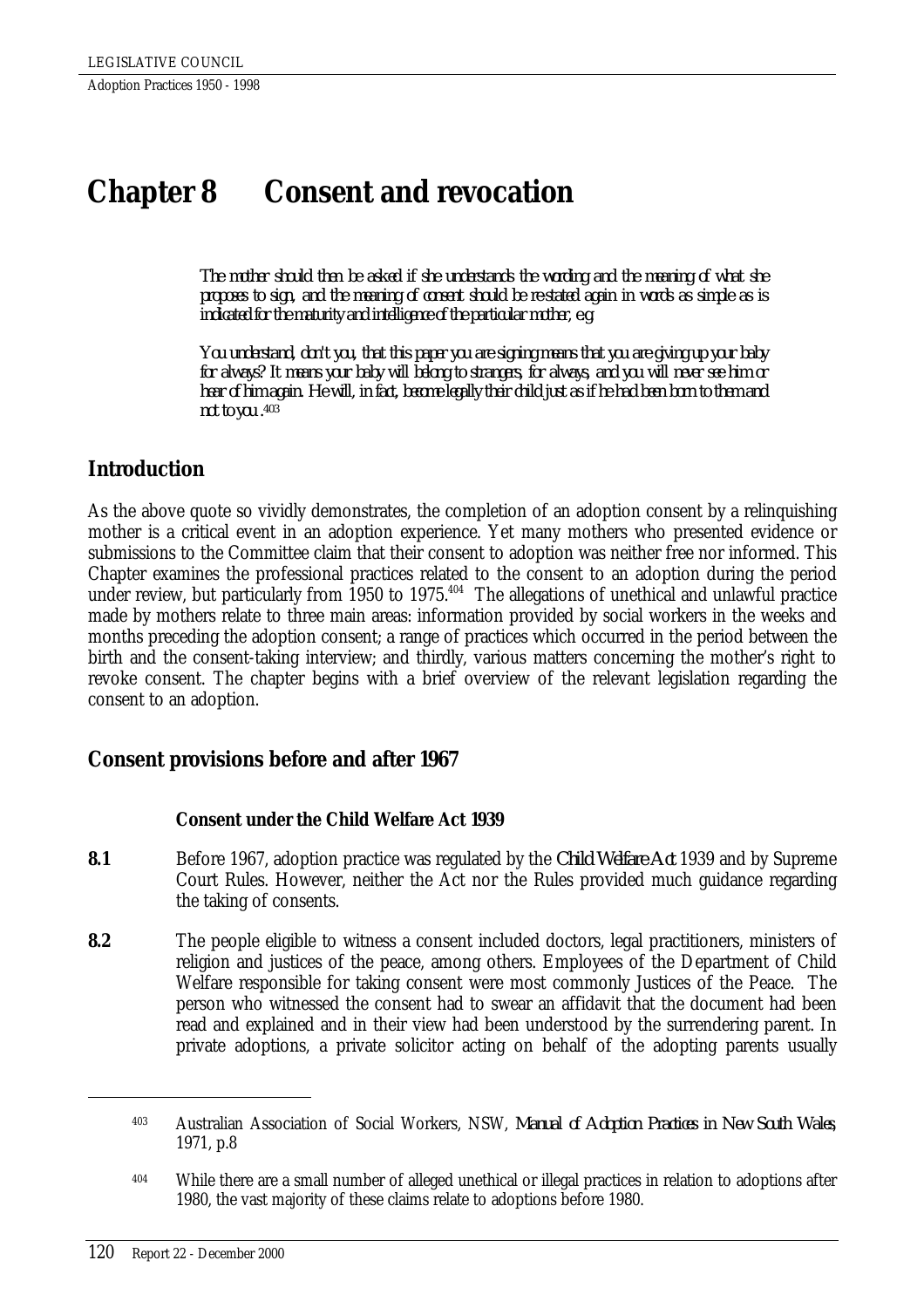# **Chapter 8 Consent and revocation**

*The mother should then be asked if she understands the wording and the meaning of what she proposes to sign, and the meaning of consent should be re-stated again in words as simple as is indicated for the maturity and intelligence of the particular mother, e.g.*

*You understand, don't you, that this paper you are signing means that you are giving up your baby for always? It means your baby will belong to strangers, for always, and you will never see him or hear of him again. He will, in fact, become legally their child just as if he had been born to them and not to you .<sup>403</sup>*

# **Introduction**

As the above quote so vividly demonstrates, the completion of an adoption consent by a relinquishing mother is a critical event in an adoption experience. Yet many mothers who presented evidence or submissions to the Committee claim that their consent to adoption was neither free nor informed. This Chapter examines the professional practices related to the consent to an adoption during the period under review, but particularly from 1950 to 1975.<sup>404</sup> The allegations of unethical and unlawful practice made by mothers relate to three main areas: information provided by social workers in the weeks and months preceding the adoption consent; a range of practices which occurred in the period between the birth and the consent-taking interview; and thirdly, various matters concerning the mother's right to revoke consent. The chapter begins with a brief overview of the relevant legislation regarding the consent to an adoption.

# **Consent provisions before and after 1967**

## **Consent under the** *Child Welfare Act 1939*

- **8.1** Before 1967, adoption practice was regulated by the *Child Welfare Act* 1939 and by Supreme Court Rules. However, neither the Act nor the Rules provided much guidance regarding the taking of consents.
- 8.2 The people eligible to witness a consent included doctors, legal practitioners, ministers of religion and justices of the peace, among others. Employees of the Department of Child Welfare responsible for taking consent were most commonly Justices of the Peace. The person who witnessed the consent had to swear an affidavit that the document had been read and explained and in their view had been understood by the surrendering parent. In private adoptions, a private solicitor acting on behalf of the adopting parents usually

<sup>403</sup> Australian Association of Social Workers, NSW, *Manual of Adoption Practices in New South Wales*, 1971, p.8

<sup>404</sup> While there are a small number of alleged unethical or illegal practices in relation to adoptions after 1980, the vast majority of these claims relate to adoptions before 1980.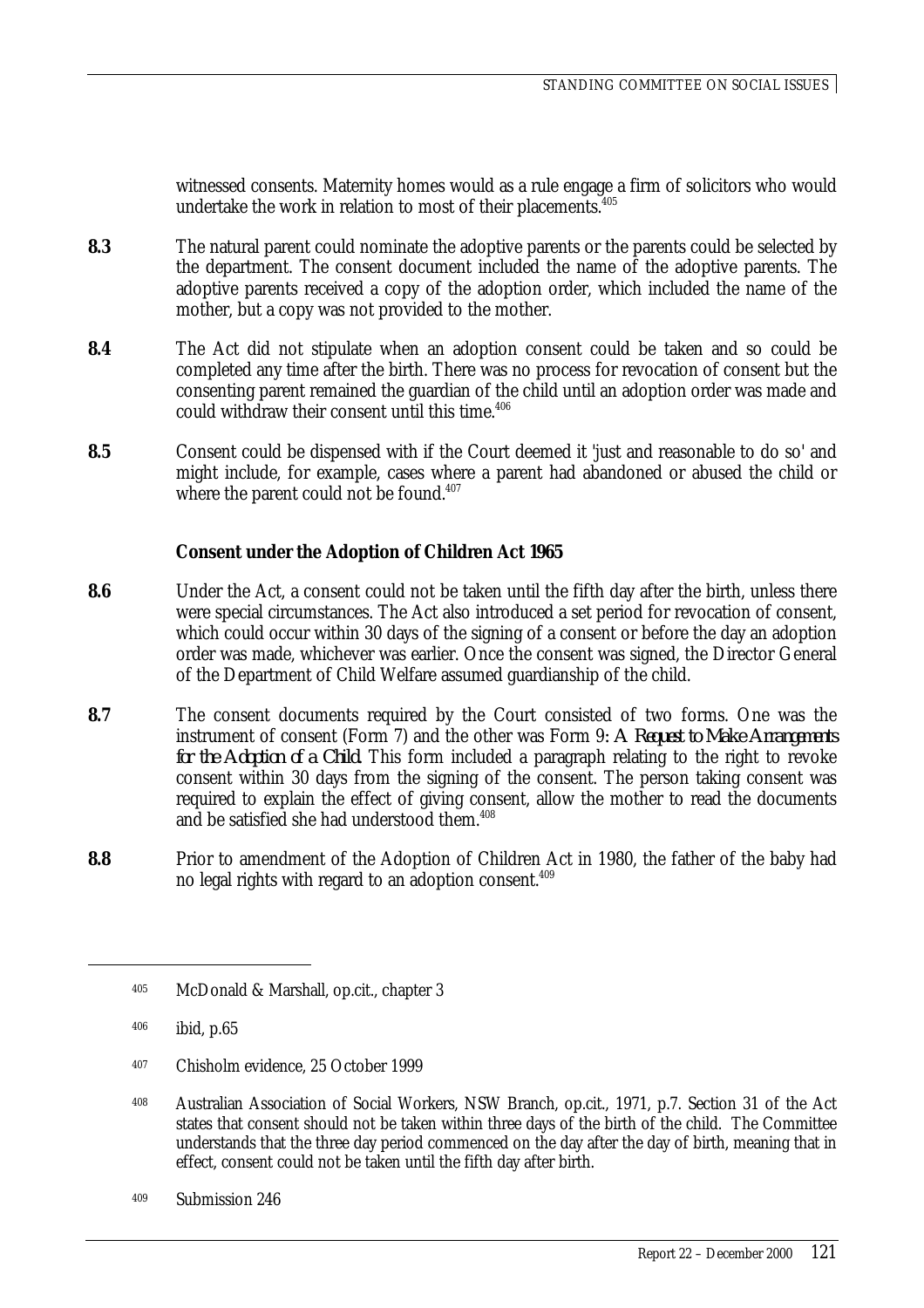witnessed consents. Maternity homes would as a rule engage a firm of solicitors who would undertake the work in relation to most of their placements.<sup>405</sup>

- 8.3 The natural parent could nominate the adoptive parents or the parents could be selected by the department. The consent document included the name of the adoptive parents. The adoptive parents received a copy of the adoption order, which included the name of the mother, but a copy was not provided to the mother.
- **8.4** The Act did not stipulate when an adoption consent could be taken and so could be completed any time after the birth. There was no process for revocation of consent but the consenting parent remained the guardian of the child until an adoption order was made and could withdraw their consent until this time.<sup>406</sup>
- **8.5** Consent could be dispensed with if the Court deemed it 'just and reasonable to do so' and might include, for example, cases where a parent had abandoned or abused the child or where the parent could not be found.<sup>407</sup>

# **Consent under the** *Adoption of Children Act 1965*

- 8.6 Under the Act, a consent could not be taken until the fifth day after the birth, unless there were special circumstances. The Act also introduced a set period for revocation of consent, which could occur within 30 days of the signing of a consent or before the day an adoption order was made, whichever was earlier. Once the consent was signed, the Director General of the Department of Child Welfare assumed guardianship of the child.
- **8.7** The consent documents required by the Court consisted of two forms. One was the instrument of consent (Form 7) and the other was Form 9*: A Request to Make Arrangements for the Adoption of a Child.* This form included a paragraph relating to the right to revoke consent within 30 days from the signing of the consent. The person taking consent was required to explain the effect of giving consent, allow the mother to read the documents and be satisfied she had understood them.<sup>408</sup>
- 8.8 Prior to amendment of the Adoption of Children Act in 1980, the father of the baby had no legal rights with regard to an adoption consent.<sup>409</sup>

- <sup>407</sup> Chisholm evidence, 25 October 1999
- <sup>408</sup> Australian Association of Social Workers, NSW Branch, op.cit., 1971, p.7. Section 31 of the Act states that consent should not be taken within three days of the birth of the child. The Committee understands that the three day period commenced on the day after the day of birth, meaning that in effect, consent could not be taken until the fifth day after birth.
- <sup>409</sup> Submission 246

<sup>405</sup> McDonald & Marshall, op.cit., chapter 3

<sup>406</sup> ibid, p.65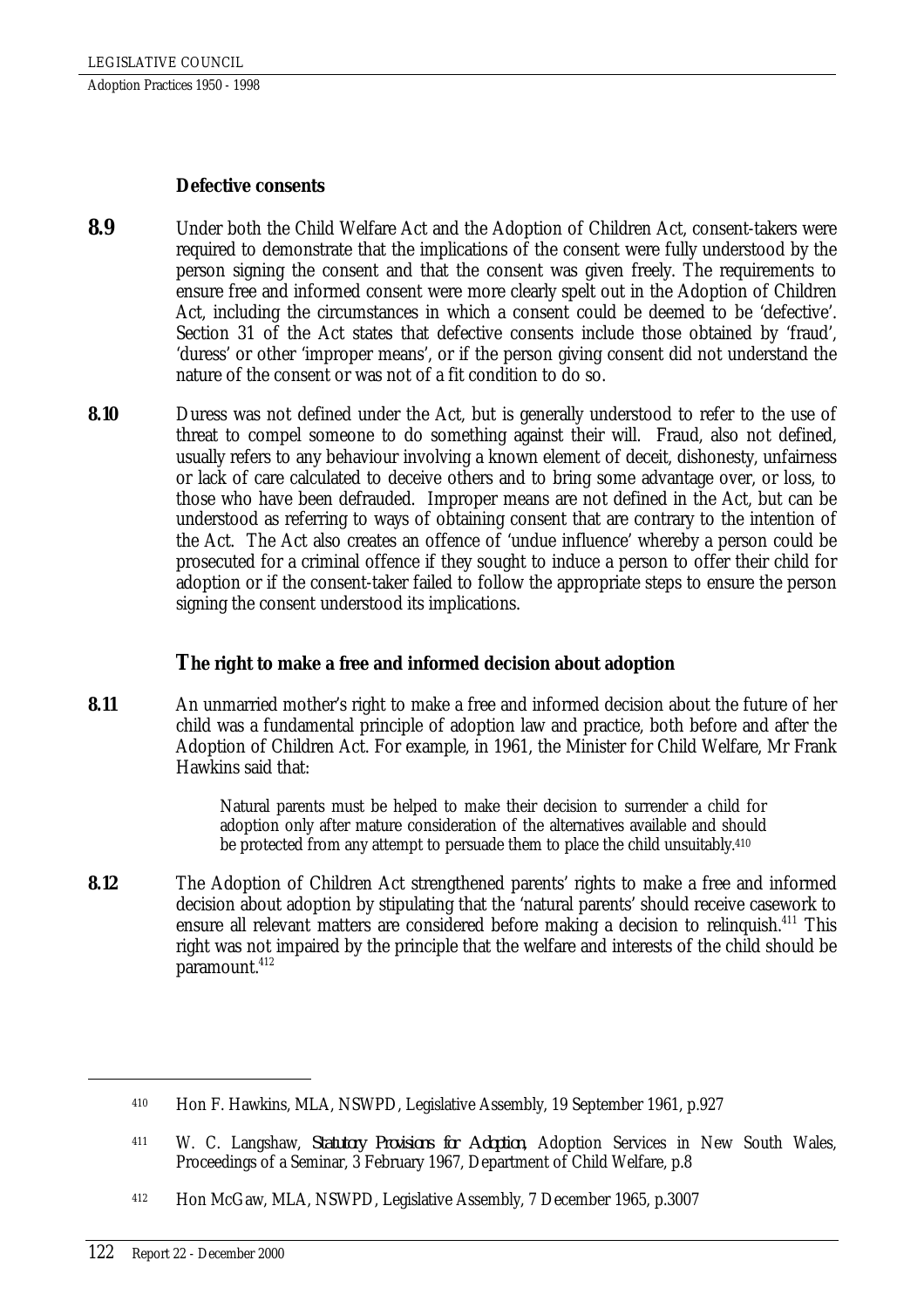# **Defective consents**

- 8.9 Under both the Child Welfare Act and the Adoption of Children Act, consent-takers were required to demonstrate that the implications of the consent were fully understood by the person signing the consent and that the consent was given freely. The requirements to ensure free and informed consent were more clearly spelt out in the Adoption of Children Act, including the circumstances in which a consent could be deemed to be 'defective'. Section 31 of the Act states that defective consents include those obtained by 'fraud', 'duress' or other 'improper means', or if the person giving consent did not understand the nature of the consent or was not of a fit condition to do so.
- **8.10** Duress was not defined under the Act, but is generally understood to refer to the use of threat to compel someone to do something against their will. Fraud, also not defined, usually refers to any behaviour involving a known element of deceit, dishonesty, unfairness or lack of care calculated to deceive others and to bring some advantage over, or loss, to those who have been defrauded. Improper means are not defined in the Act, but can be understood as referring to ways of obtaining consent that are contrary to the intention of the Act. The Act also creates an offence of 'undue influence' whereby a person could be prosecuted for a criminal offence if they sought to induce a person to offer their child for adoption or if the consent-taker failed to follow the appropriate steps to ensure the person signing the consent understood its implications.

# **The right to make a free and informed decision about adoption**

**8.11** An unmarried mother's right to make a free and informed decision about the future of her child was a fundamental principle of adoption law and practice, both before and after the Adoption of Children Act. For example, in 1961, the Minister for Child Welfare, Mr Frank Hawkins said that:

> Natural parents must be helped to make their decision to surrender a child for adoption only after mature consideration of the alternatives available and should be protected from any attempt to persuade them to place the child unsuitably.<sup>410</sup>

**8.12** The Adoption of Children Act strengthened parents' rights to make a free and informed decision about adoption by stipulating that the 'natural parents' should receive casework to ensure all relevant matters are considered before making a decision to relinquish.<sup>411</sup> This right was not impaired by the principle that the welfare and interests of the child should be paramount.<sup>412</sup>

<sup>412</sup> Hon McGaw, MLA, NSWPD, Legislative Assembly, 7 December 1965, p.3007

<sup>410</sup> Hon F. Hawkins, MLA, NSWPD, Legislative Assembly, 19 September 1961, p.927

<sup>411</sup> W. C. Langshaw, *Statutory Provisions for Adoption*, Adoption Services in New South Wales, Proceedings of a Seminar, 3 February 1967, Department of Child Welfare, p.8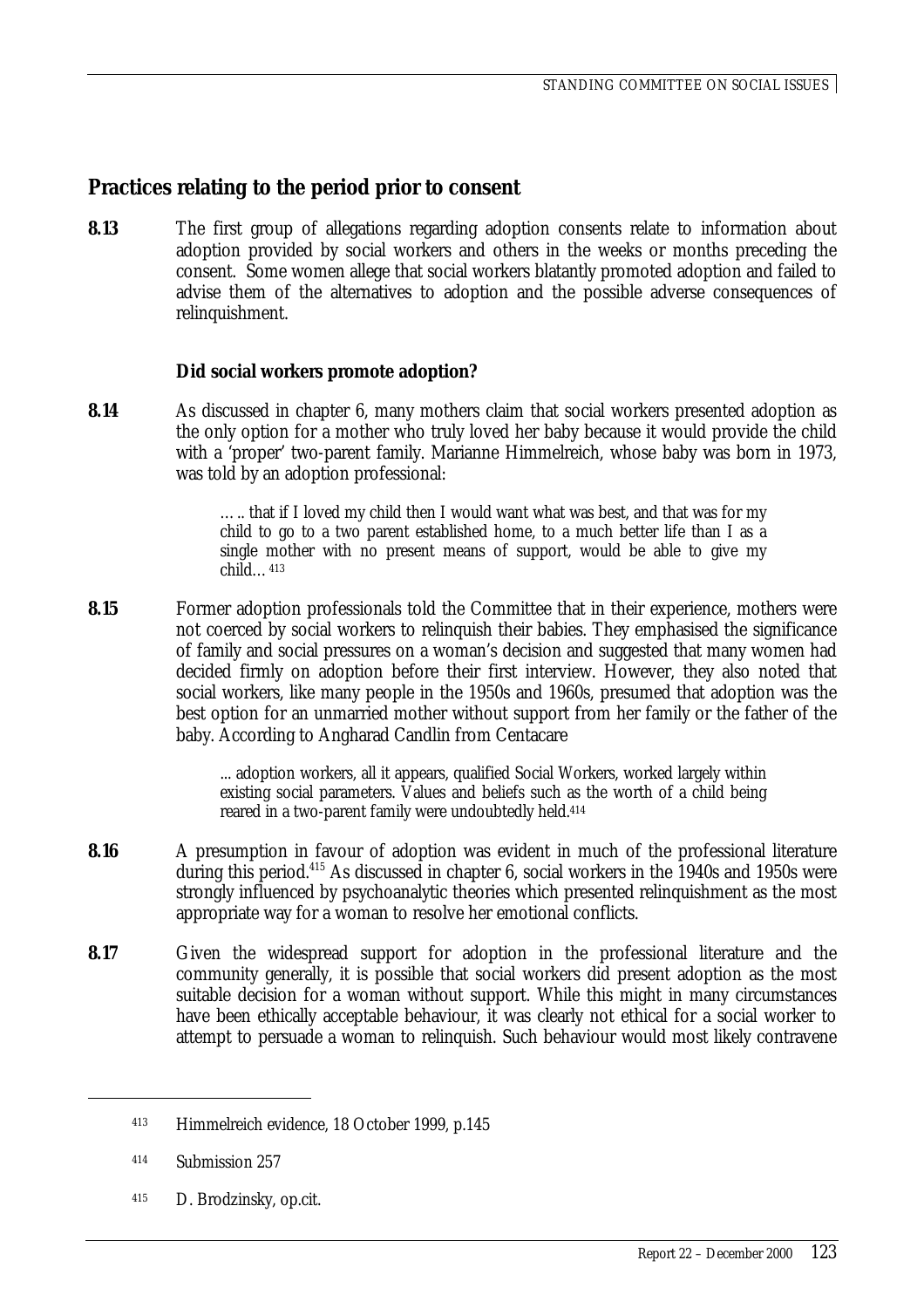# **Practices relating to the period prior to consent**

8.13 The first group of allegations regarding adoption consents relate to information about adoption provided by social workers and others in the weeks or months preceding the consent. Some women allege that social workers blatantly promoted adoption and failed to advise them of the alternatives to adoption and the possible adverse consequences of relinquishment.

# **Did social workers promote adoption?**

8.14 As discussed in chapter 6, many mothers claim that social workers presented adoption as the only option for a mother who truly loved her baby because it would provide the child with a 'proper' two-parent family. Marianne Himmelreich, whose baby was born in 1973, was told by an adoption professional:

> ….. that if I loved my child then I would want what was best, and that was for my child to go to a two parent established home, to a much better life than I as a single mother with no present means of support, would be able to give my  $child...$ 413

8.15 Former adoption professionals told the Committee that in their experience, mothers were not coerced by social workers to relinquish their babies. They emphasised the significance of family and social pressures on a woman's decision and suggested that many women had decided firmly on adoption before their first interview. However, they also noted that social workers, like many people in the 1950s and 1960s, presumed that adoption was the best option for an unmarried mother without support from her family or the father of the baby. According to Angharad Candlin from Centacare

> ... adoption workers, all it appears, qualified Social Workers, worked largely within existing social parameters. Values and beliefs such as the worth of a child being reared in a two-parent family were undoubtedly held.<sup>414</sup>

- **8.16** A presumption in favour of adoption was evident in much of the professional literature during this period.<sup>415</sup> As discussed in chapter 6, social workers in the 1940s and 1950s were strongly influenced by psychoanalytic theories which presented relinquishment as the most appropriate way for a woman to resolve her emotional conflicts.
- 8.17 Given the widespread support for adoption in the professional literature and the community generally, it is possible that social workers did present adoption as the most suitable decision for a woman without support. While this might in many circumstances have been ethically acceptable behaviour, it was clearly not ethical for a social worker to attempt to persuade a woman to relinquish. Such behaviour would most likely contravene

 $\overline{a}$ 

415 D. Brodzinsky, op.cit.

<sup>413</sup> Himmelreich evidence, 18 October 1999, p.145

<sup>414</sup> Submission 257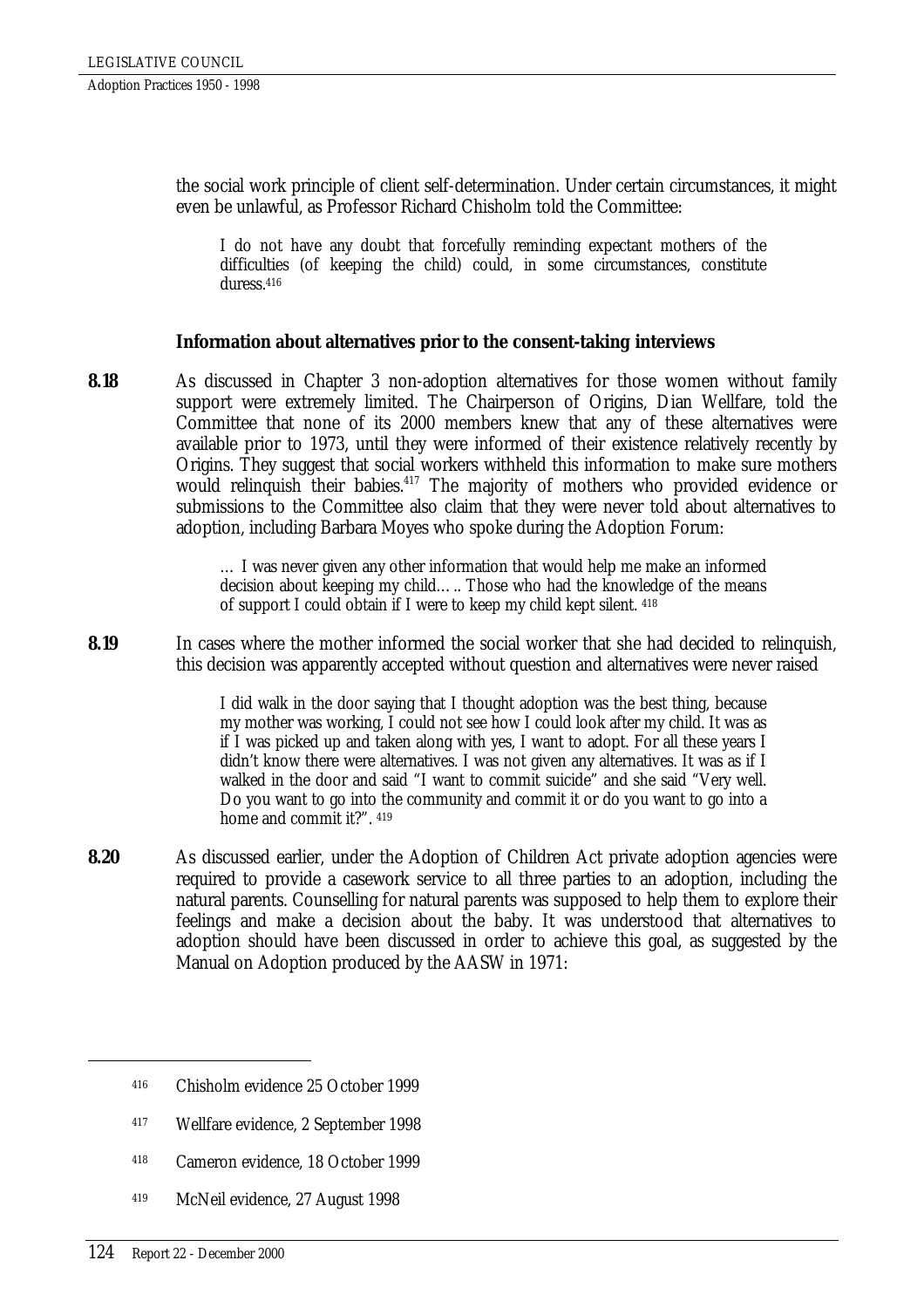the social work principle of client self-determination. Under certain circumstances, it might even be unlawful, as Professor Richard Chisholm told the Committee:

I do not have any doubt that forcefully reminding expectant mothers of the difficulties (of keeping the child) could, in some circumstances, constitute duress<sup>416</sup>

#### **Information about alternatives prior to the consent-taking interviews**

8.18 As discussed in Chapter 3 non-adoption alternatives for those women without family support were extremely limited. The Chairperson of Origins, Dian Wellfare, told the Committee that none of its 2000 members knew that any of these alternatives were available prior to 1973, until they were informed of their existence relatively recently by Origins. They suggest that social workers withheld this information to make sure mothers would relinquish their babies.<sup>417</sup> The majority of mothers who provided evidence or submissions to the Committee also claim that they were never told about alternatives to adoption, including Barbara Moyes who spoke during the Adoption Forum:

> … I was never given any other information that would help me make an informed decision about keeping my child….. Those who had the knowledge of the means of support I could obtain if I were to keep my child kept silent. <sup>418</sup>

**8.19** In cases where the mother informed the social worker that she had decided to relinquish, this decision was apparently accepted without question and alternatives were never raised

> I did walk in the door saying that I thought adoption was the best thing, because my mother was working, I could not see how I could look after my child. It was as if I was picked up and taken along with yes, I want to adopt. For all these years I didn't know there were alternatives. I was not given any alternatives. It was as if I walked in the door and said "I want to commit suicide" and she said "Very well. Do you want to go into the community and commit it or do you want to go into a home and commit it?". <sup>419</sup>

- 8.20 As discussed earlier, under the Adoption of Children Act private adoption agencies were required to provide a casework service to all three parties to an adoption, including the natural parents. Counselling for natural parents was supposed to help them to explore their feelings and make a decision about the baby. It was understood that alternatives to adoption should have been discussed in order to achieve this goal, as suggested by the Manual on Adoption produced by the AASW in 1971:
	- <sup>416</sup> Chisholm evidence 25 October 1999
	- <sup>417</sup> Wellfare evidence, 2 September 1998
	- <sup>418</sup> Cameron evidence, 18 October 1999
	- <sup>419</sup> McNeil evidence, 27 August 1998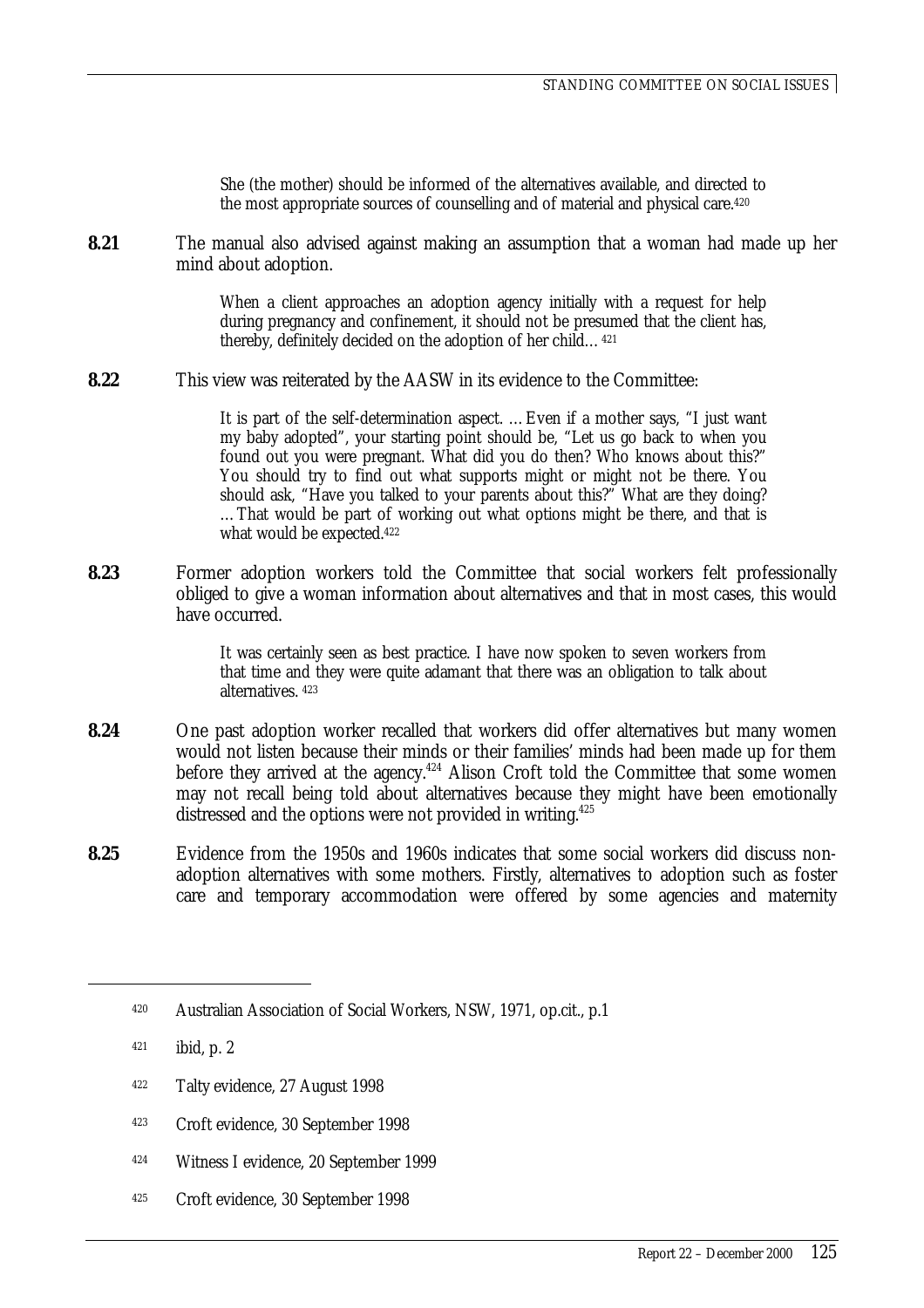She (the mother) should be informed of the alternatives available, and directed to the most appropriate sources of counselling and of material and physical care.<sup>420</sup>

**8.21** The manual also advised against making an assumption that a woman had made up her mind about adoption.

> When a client approaches an adoption agency initially with a request for help during pregnancy and confinement, it should not be presumed that the client has, thereby, definitely decided on the adoption of her child…<sup>421</sup>

**8.22** This view was reiterated by the AASW in its evidence to the Committee:

It is part of the self-determination aspect. …Even if a mother says, "I just want my baby adopted", your starting point should be, "Let us go back to when you found out you were pregnant. What did you do then? Who knows about this?" You should try to find out what supports might or might not be there. You should ask, "Have you talked to your parents about this?" What are they doing? …That would be part of working out what options might be there, and that is what would be expected.<sup>422</sup>

8.23 Former adoption workers told the Committee that social workers felt professionally obliged to give a woman information about alternatives and that in most cases, this would have occurred.

> It was certainly seen as best practice. I have now spoken to seven workers from that time and they were quite adamant that there was an obligation to talk about alternatives. <sup>423</sup>

- **8.24** One past adoption worker recalled that workers did offer alternatives but many women would not listen because their minds or their families' minds had been made up for them before they arrived at the agency.<sup>424</sup> Alison Croft told the Committee that some women may not recall being told about alternatives because they might have been emotionally distressed and the options were not provided in writing.<sup>425</sup>
- **8.25** Evidence from the 1950s and 1960s indicates that some social workers did discuss nonadoption alternatives with some mothers. Firstly, alternatives to adoption such as foster care and temporary accommodation were offered by some agencies and maternity

- <sup>422</sup> Talty evidence, 27 August 1998
- <sup>423</sup> Croft evidence, 30 September 1998
- <sup>424</sup> Witness I evidence, 20 September 1999
- <sup>425</sup> Croft evidence, 30 September 1998

<sup>420</sup> Australian Association of Social Workers, NSW, 1971, op.cit., p.1

<sup>421</sup> ibid, p. 2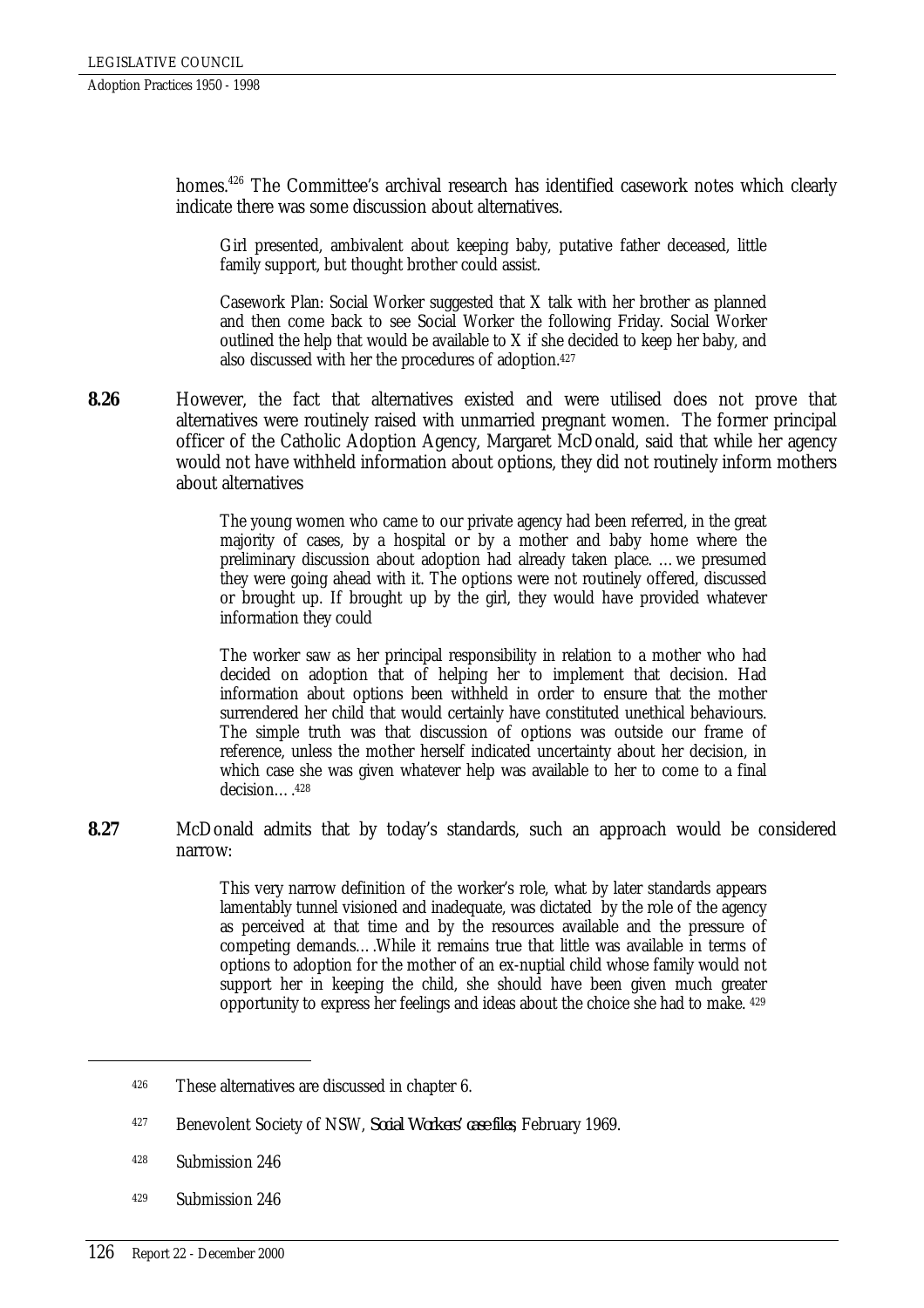homes.<sup>426</sup> The Committee's archival research has identified casework notes which clearly indicate there was some discussion about alternatives.

Girl presented, ambivalent about keeping baby, putative father deceased, little family support, but thought brother could assist.

Casework Plan: Social Worker suggested that X talk with her brother as planned and then come back to see Social Worker the following Friday. Social Worker outlined the help that would be available to X if she decided to keep her baby, and also discussed with her the procedures of adoption.<sup>427</sup>

**8.26** However, the fact that alternatives existed and were utilised does not prove that alternatives were routinely raised with unmarried pregnant women. The former principal officer of the Catholic Adoption Agency, Margaret McDonald, said that while her agency would not have withheld information about options, they did not routinely inform mothers about alternatives

> The young women who came to our private agency had been referred, in the great majority of cases, by a hospital or by a mother and baby home where the preliminary discussion about adoption had already taken place. …we presumed they were going ahead with it. The options were not routinely offered, discussed or brought up. If brought up by the girl, they would have provided whatever information they could

> The worker saw as her principal responsibility in relation to a mother who had decided on adoption that of helping her to implement that decision. Had information about options been withheld in order to ensure that the mother surrendered her child that would certainly have constituted unethical behaviours. The simple truth was that discussion of options was outside our frame of reference, unless the mother herself indicated uncertainty about her decision, in which case she was given whatever help was available to her to come to a final decision….<sup>428</sup>

**8.27** McDonald admits that by today's standards, such an approach would be considered narrow:

> This very narrow definition of the worker's role, what by later standards appears lamentably tunnel visioned and inadequate, was dictated by the role of the agency as perceived at that time and by the resources available and the pressure of competing demands….While it remains true that little was available in terms of options to adoption for the mother of an ex-nuptial child whose family would not support her in keeping the child, she should have been given much greater opportunity to express her feelings and ideas about the choice she had to make. <sup>429</sup>

- <sup>428</sup> Submission 246
- <sup>429</sup> Submission 246

<sup>426</sup> These alternatives are discussed in chapter 6.

<sup>427</sup> Benevolent Society of NSW, *Social Workers' case files*, February 1969.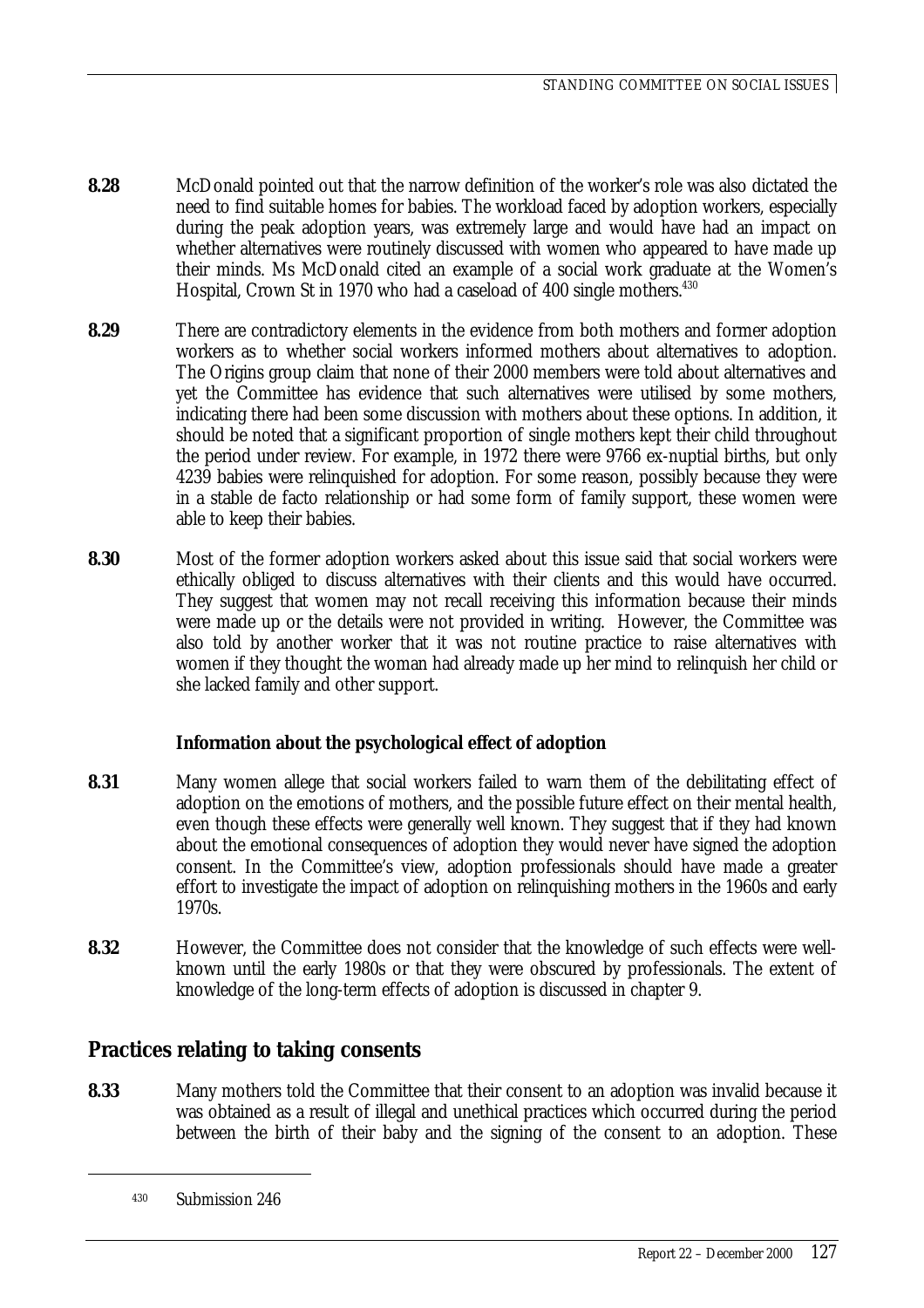- **8.28** McDonald pointed out that the narrow definition of the worker's role was also dictated the need to find suitable homes for babies. The workload faced by adoption workers, especially during the peak adoption years, was extremely large and would have had an impact on whether alternatives were routinely discussed with women who appeared to have made up their minds. Ms McDonald cited an example of a social work graduate at the Women's Hospital, Crown St in 1970 who had a caseload of 400 single mothers.<sup>430</sup>
- **8.29** There are contradictory elements in the evidence from both mothers and former adoption workers as to whether social workers informed mothers about alternatives to adoption. The Origins group claim that none of their 2000 members were told about alternatives and yet the Committee has evidence that such alternatives were utilised by some mothers, indicating there had been some discussion with mothers about these options. In addition, it should be noted that a significant proportion of single mothers kept their child throughout the period under review. For example, in 1972 there were 9766 ex-nuptial births, but only 4239 babies were relinquished for adoption. For some reason, possibly because they were in a stable de facto relationship or had some form of family support, these women were able to keep their babies.
- 8.30 Most of the former adoption workers asked about this issue said that social workers were ethically obliged to discuss alternatives with their clients and this would have occurred. They suggest that women may not recall receiving this information because their minds were made up or the details were not provided in writing. However, the Committee was also told by another worker that it was not routine practice to raise alternatives with women if they thought the woman had already made up her mind to relinquish her child or she lacked family and other support.

# **Information about the psychological effect of adoption**

- **8.31** Many women allege that social workers failed to warn them of the debilitating effect of adoption on the emotions of mothers, and the possible future effect on their mental health, even though these effects were generally well known. They suggest that if they had known about the emotional consequences of adoption they would never have signed the adoption consent. In the Committee's view, adoption professionals should have made a greater effort to investigate the impact of adoption on relinquishing mothers in the 1960s and early 1970s.
- **8.32** However, the Committee does not consider that the knowledge of such effects were wellknown until the early 1980s or that they were obscured by professionals. The extent of knowledge of the long-term effects of adoption is discussed in chapter 9.

# **Practices relating to taking consents**

**8.33** Many mothers told the Committee that their consent to an adoption was invalid because it was obtained as a result of illegal and unethical practices which occurred during the period between the birth of their baby and the signing of the consent to an adoption. These

<sup>430</sup> Submission 246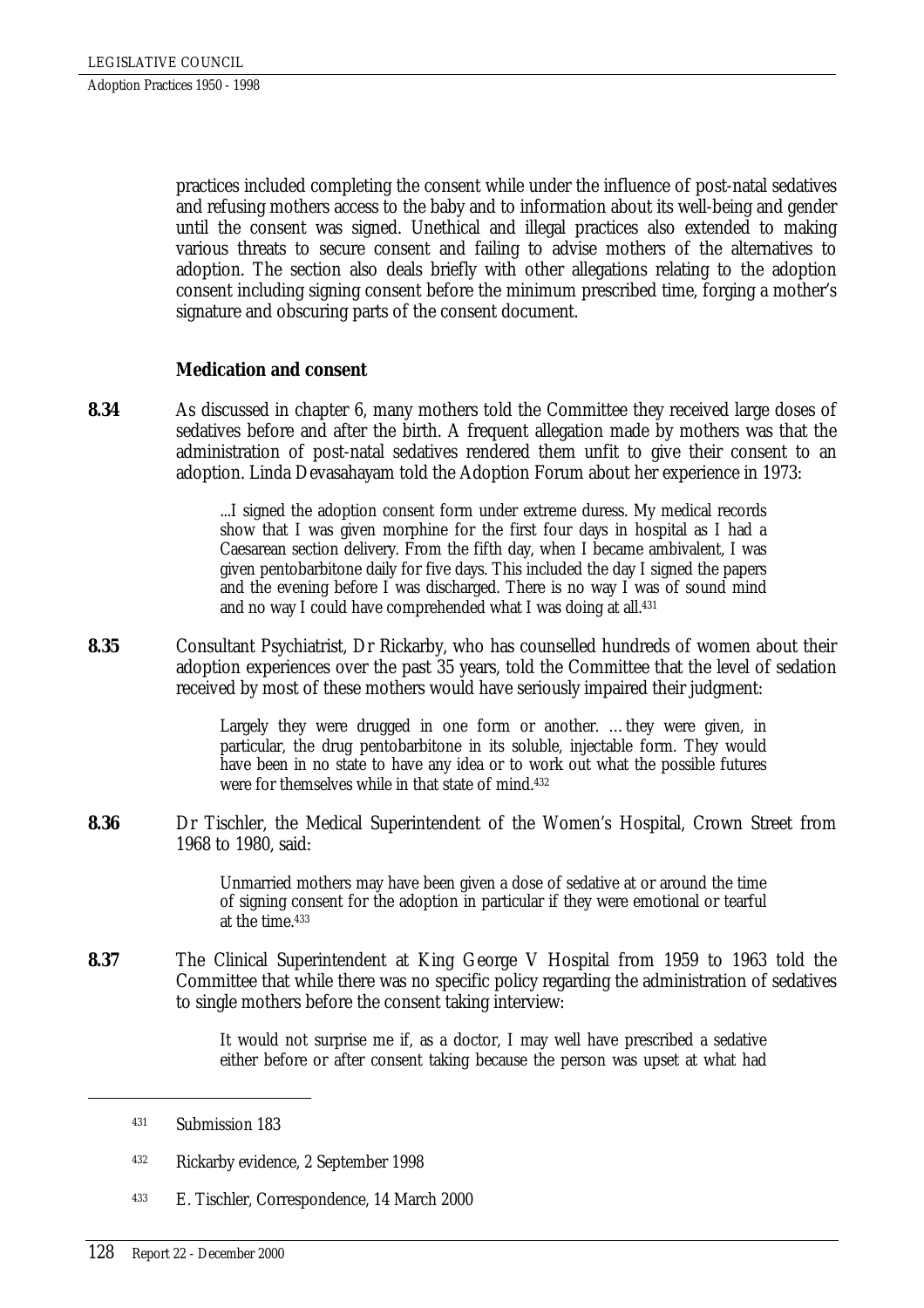practices included completing the consent while under the influence of post-natal sedatives and refusing mothers access to the baby and to information about its well-being and gender until the consent was signed. Unethical and illegal practices also extended to making various threats to secure consent and failing to advise mothers of the alternatives to adoption. The section also deals briefly with other allegations relating to the adoption consent including signing consent before the minimum prescribed time, forging a mother's signature and obscuring parts of the consent document.

### **Medication and consent**

**8.34** As discussed in chapter 6, many mothers told the Committee they received large doses of sedatives before and after the birth. A frequent allegation made by mothers was that the administration of post-natal sedatives rendered them unfit to give their consent to an adoption. Linda Devasahayam told the Adoption Forum about her experience in 1973:

> ...I signed the adoption consent form under extreme duress. My medical records show that I was given morphine for the first four days in hospital as I had a Caesarean section delivery. From the fifth day, when I became ambivalent, I was given pentobarbitone daily for five days. This included the day I signed the papers and the evening before I was discharged. There is no way I was of sound mind and no way I could have comprehended what I was doing at all.<sup>431</sup>

**8.35** Consultant Psychiatrist, Dr Rickarby, who has counselled hundreds of women about their adoption experiences over the past 35 years, told the Committee that the level of sedation received by most of these mothers would have seriously impaired their judgment:

> Largely they were drugged in one form or another. …they were given, in particular, the drug pentobarbitone in its soluble, injectable form. They would have been in no state to have any idea or to work out what the possible futures were for themselves while in that state of mind.<sup>432</sup>

**8.36** Dr Tischler, the Medical Superintendent of the Women's Hospital, Crown Street from 1968 to 1980, said:

> Unmarried mothers may have been given a dose of sedative at or around the time of signing consent for the adoption in particular if they were emotional or tearful at the time.<sup>433</sup>

**8.37** The Clinical Superintendent at King George V Hospital from 1959 to 1963 told the Committee that while there was no specific policy regarding the administration of sedatives to single mothers before the consent taking interview:

> It would not surprise me if, as a doctor, I may well have prescribed a sedative either before or after consent taking because the person was upset at what had

- <sup>432</sup> Rickarby evidence, 2 September 1998
- <sup>433</sup> E. Tischler, Correspondence, 14 March 2000

<sup>431</sup> Submission 183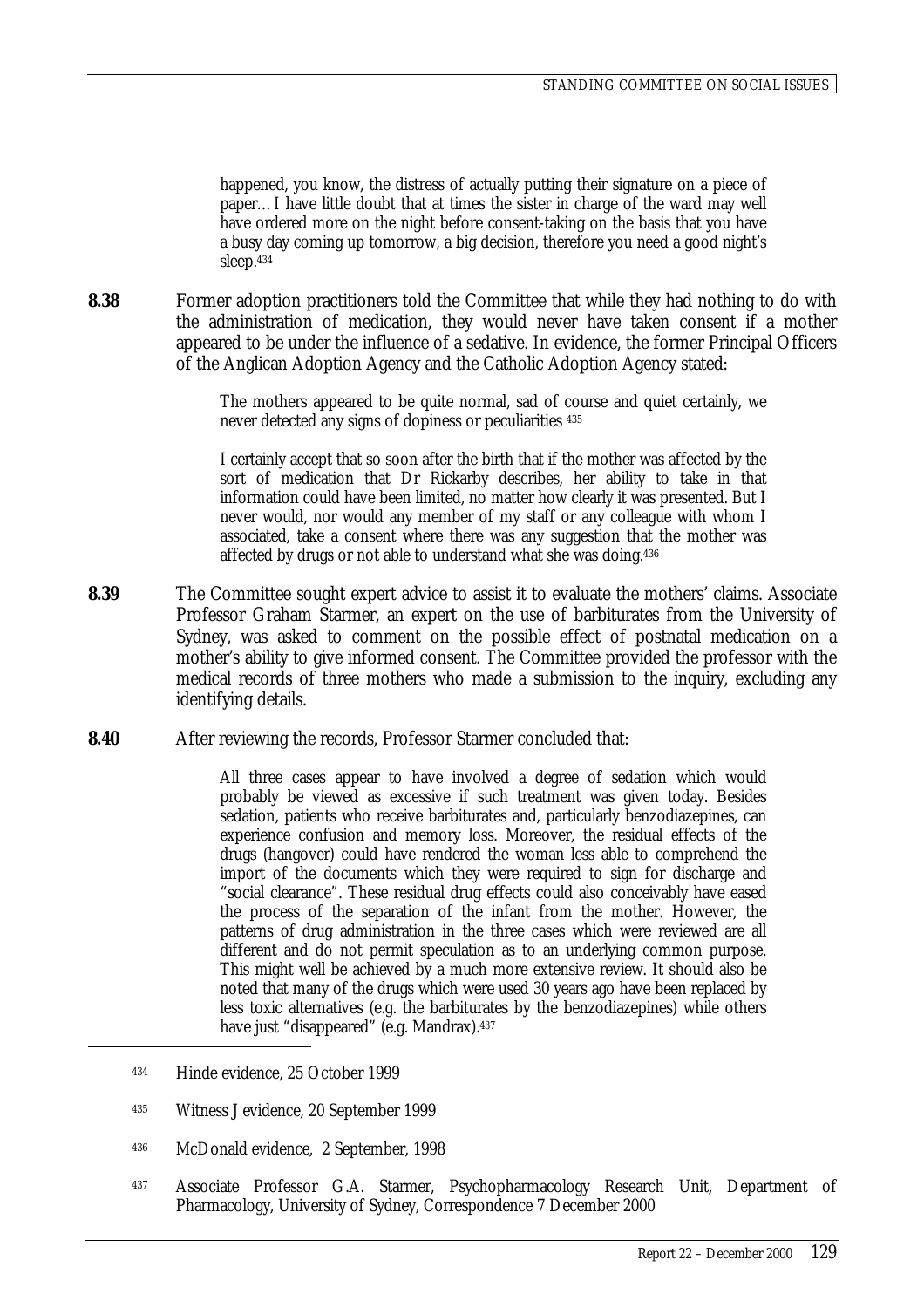happened, you know, the distress of actually putting their signature on a piece of paper…I have little doubt that at times the sister in charge of the ward may well have ordered more on the night before consent-taking on the basis that you have a busy day coming up tomorrow, a big decision, therefore you need a good night's sleep.<sup>434</sup>

**8.38** Former adoption practitioners told the Committee that while they had nothing to do with the administration of medication, they would never have taken consent if a mother appeared to be under the influence of a sedative. In evidence, the former Principal Officers of the Anglican Adoption Agency and the Catholic Adoption Agency stated:

> The mothers appeared to be quite normal, sad of course and quiet certainly, we never detected any signs of dopiness or peculiarities <sup>435</sup>

> I certainly accept that so soon after the birth that if the mother was affected by the sort of medication that Dr Rickarby describes, her ability to take in that information could have been limited, no matter how clearly it was presented. But I never would, nor would any member of my staff or any colleague with whom I associated, take a consent where there was any suggestion that the mother was affected by drugs or not able to understand what she was doing.<sup>436</sup>

- 8.39 The Committee sought expert advice to assist it to evaluate the mothers' claims. Associate Professor Graham Starmer, an expert on the use of barbiturates from the University of Sydney, was asked to comment on the possible effect of postnatal medication on a mother's ability to give informed consent. The Committee provided the professor with the medical records of three mothers who made a submission to the inquiry, excluding any identifying details.
- **8.40** After reviewing the records, Professor Starmer concluded that:

All three cases appear to have involved a degree of sedation which would probably be viewed as excessive if such treatment was given today. Besides sedation, patients who receive barbiturates and, particularly benzodiazepines, can experience confusion and memory loss. Moreover, the residual effects of the drugs (hangover) could have rendered the woman less able to comprehend the import of the documents which they were required to sign for discharge and "social clearance". These residual drug effects could also conceivably have eased the process of the separation of the infant from the mother. However, the patterns of drug administration in the three cases which were reviewed are all different and do not permit speculation as to an underlying common purpose. This might well be achieved by a much more extensive review. It should also be noted that many of the drugs which were used 30 years ago have been replaced by less toxic alternatives (e.g. the barbiturates by the benzodiazepines) while others have just "disappeared" (e.g. Mandrax).<sup>437</sup>

<sup>434</sup> Hinde evidence, 25 October 1999

- <sup>435</sup> Witness J evidence, 20 September 1999
- <sup>436</sup> McDonald evidence, 2 September, 1998
- <sup>437</sup> Associate Professor G.A. Starmer, Psychopharmacology Research Unit, Department of Pharmacology, University of Sydney, Correspondence 7 December 2000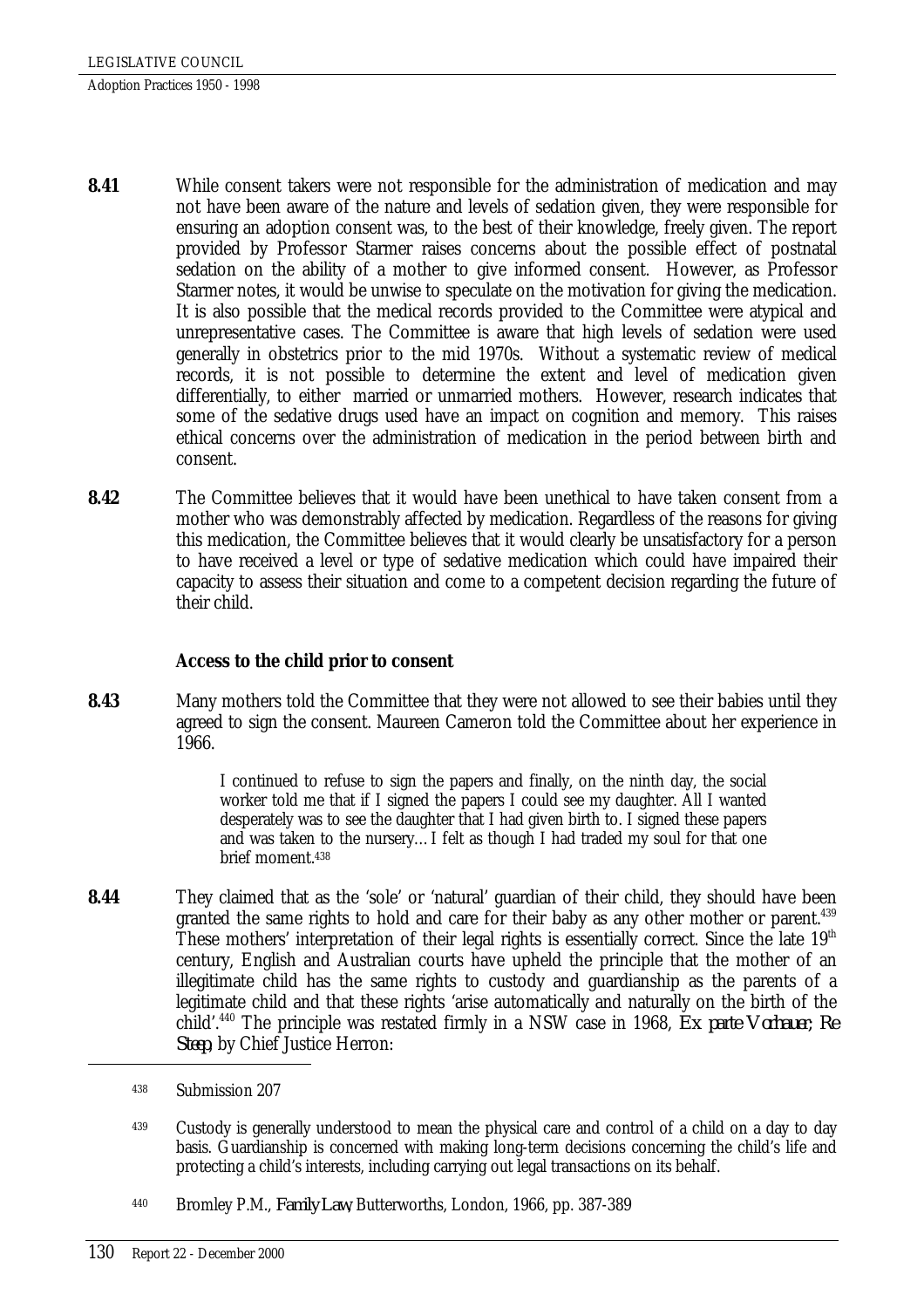- 8.41 While consent takers were not responsible for the administration of medication and may not have been aware of the nature and levels of sedation given, they were responsible for ensuring an adoption consent was, to the best of their knowledge, freely given. The report provided by Professor Starmer raises concerns about the possible effect of postnatal sedation on the ability of a mother to give informed consent. However, as Professor Starmer notes, it would be unwise to speculate on the motivation for giving the medication. It is also possible that the medical records provided to the Committee were atypical and unrepresentative cases. The Committee is aware that high levels of sedation were used generally in obstetrics prior to the mid 1970s. Without a systematic review of medical records, it is not possible to determine the extent and level of medication given differentially, to either married or unmarried mothers. However, research indicates that some of the sedative drugs used have an impact on cognition and memory. This raises ethical concerns over the administration of medication in the period between birth and consent.
- **8.42** The Committee believes that it would have been unethical to have taken consent from a mother who was demonstrably affected by medication. Regardless of the reasons for giving this medication, the Committee believes that it would clearly be unsatisfactory for a person to have received a level or type of sedative medication which could have impaired their capacity to assess their situation and come to a competent decision regarding the future of their child.

### **Access to the child prior to consent**

**8.43** Many mothers told the Committee that they were not allowed to see their babies until they agreed to sign the consent. Maureen Cameron told the Committee about her experience in 1966.

> I continued to refuse to sign the papers and finally, on the ninth day, the social worker told me that if I signed the papers I could see my daughter. All I wanted desperately was to see the daughter that I had given birth to. I signed these papers and was taken to the nursery…I felt as though I had traded my soul for that one brief moment.<sup>438</sup>

- **8.44** They claimed that as the 'sole' or 'natural' guardian of their child, they should have been granted the same rights to hold and care for their baby as any other mother or parent.<sup>439</sup> These mothers' interpretation of their legal rights is essentially correct. Since the late  $19<sup>th</sup>$ century, English and Australian courts have upheld the principle that the mother of an illegitimate child has the same rights to custody and guardianship as the parents of a legitimate child and that these rights 'arise automatically and naturally on the birth of the child'.<sup>440</sup> The principle was restated firmly in a NSW case in 1968, *Ex parte Vorhauer; Re Steep*, by Chief Justice Herron:
	- <sup>438</sup> Submission 207

- <sup>439</sup> Custody is generally understood to mean the physical care and control of a child on a day to day basis. Guardianship is concerned with making long-term decisions concerning the child's life and protecting a child's interests, including carrying out legal transactions on its behalf.
- <sup>440</sup> Bromley P.M., *Family Law*, Butterworths, London, 1966, pp. 387-389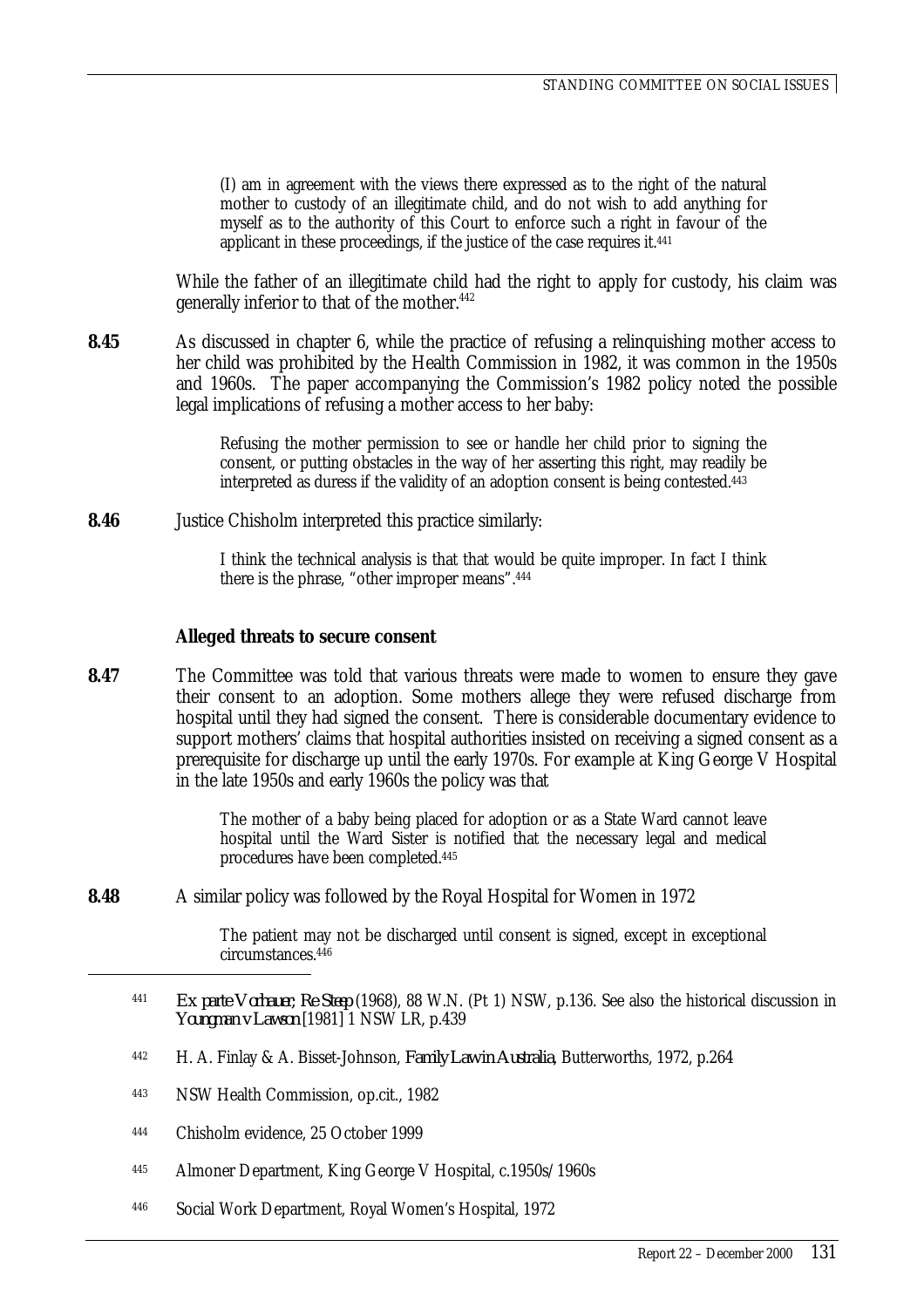(I) am in agreement with the views there expressed as to the right of the natural mother to custody of an illegitimate child, and do not wish to add anything for myself as to the authority of this Court to enforce such a right in favour of the applicant in these proceedings, if the justice of the case requires it.<sup>441</sup>

While the father of an illegitimate child had the right to apply for custody, his claim was generally inferior to that of the mother.<sup>442</sup>

**8.45** As discussed in chapter 6, while the practice of refusing a relinquishing mother access to her child was prohibited by the Health Commission in 1982, it was common in the 1950s and 1960s. The paper accompanying the Commission's 1982 policy noted the possible legal implications of refusing a mother access to her baby:

> Refusing the mother permission to see or handle her child prior to signing the consent, or putting obstacles in the way of her asserting this right, may readily be interpreted as duress if the validity of an adoption consent is being contested.<sup>443</sup>

**8.46** Justice Chisholm interpreted this practice similarly:

I think the technical analysis is that that would be quite improper. In fact I think there is the phrase, "other improper means".<sup>444</sup>

#### **Alleged threats to secure consent**

**8.47** The Committee was told that various threats were made to women to ensure they gave their consent to an adoption. Some mothers allege they were refused discharge from hospital until they had signed the consent. There is considerable documentary evidence to support mothers' claims that hospital authorities insisted on receiving a signed consent as a prerequisite for discharge up until the early 1970s. For example at King George V Hospital in the late 1950s and early 1960s the policy was that

> The mother of a baby being placed for adoption or as a State Ward cannot leave hospital until the Ward Sister is notified that the necessary legal and medical procedures have been completed.<sup>445</sup>

**8.48** A similar policy was followed by the Royal Hospital for Women in 1972

The patient may not be discharged until consent is signed, except in exceptional circumstances.<sup>446</sup>

- <sup>441</sup> *Ex parte Vorhauer; Re Steep* (1968), 88 W.N. (Pt 1) NSW, p.136. See also the historical discussion in *Youngman v Lawson* [1981] 1 NSW LR, p.439
- <sup>442</sup> H. A. Finlay & A. Bisset-Johnson, *Family Law in Australia*, Butterworths, 1972, p.264
- <sup>443</sup> NSW Health Commission, op.cit., 1982
- <sup>444</sup> Chisholm evidence, 25 October 1999

- <sup>445</sup> Almoner Department, King George V Hospital, c.1950s/1960s
- <sup>446</sup> Social Work Department, Royal Women's Hospital, 1972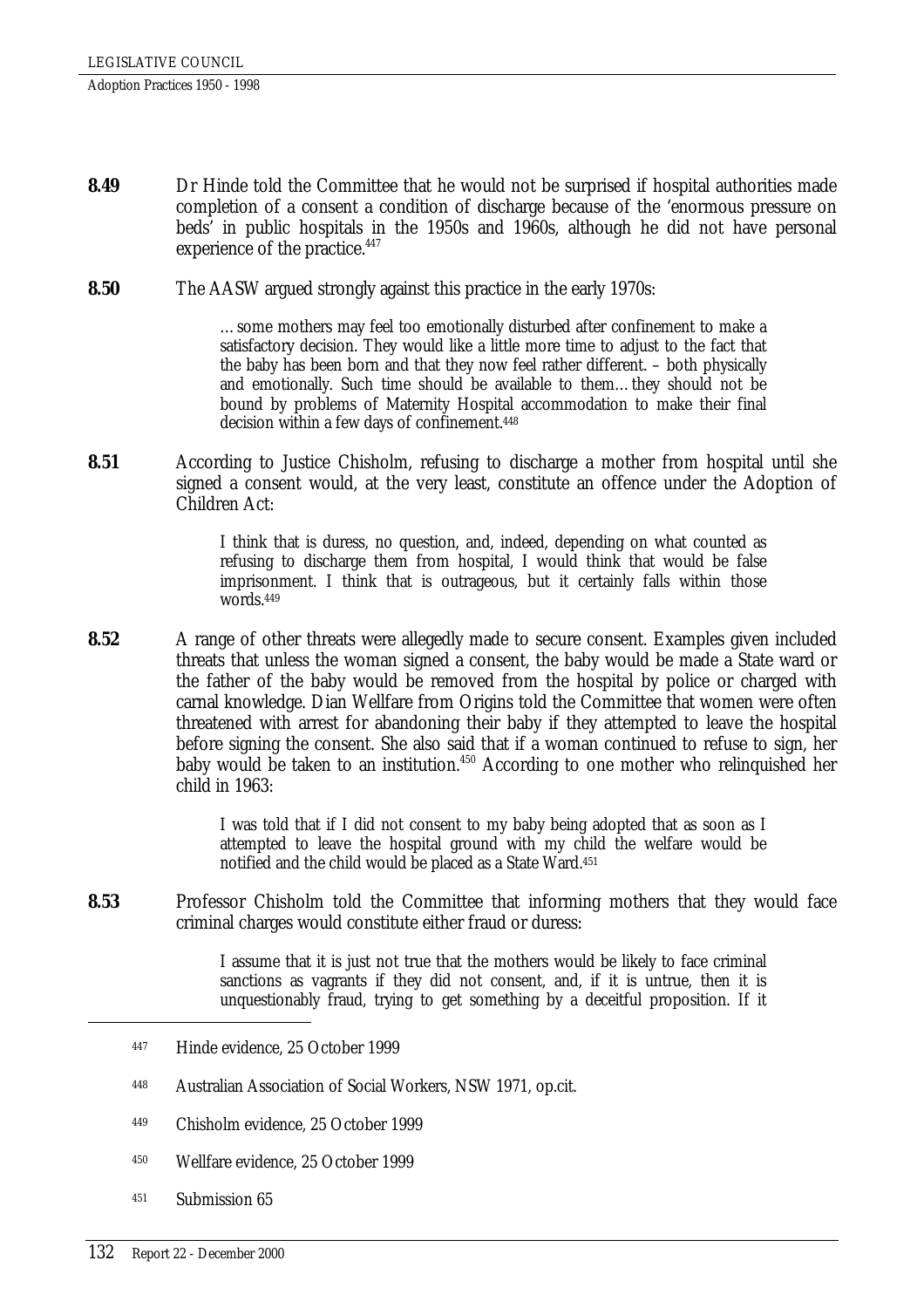- **8.49** Dr Hinde told the Committee that he would not be surprised if hospital authorities made completion of a consent a condition of discharge because of the 'enormous pressure on beds' in public hospitals in the 1950s and 1960s, although he did not have personal experience of the practice.<sup>447</sup>
- **8.50** The AASW argued strongly against this practice in the early 1970s:

…some mothers may feel too emotionally disturbed after confinement to make a satisfactory decision. They would like a little more time to adjust to the fact that the baby has been born and that they now feel rather different. – both physically and emotionally. Such time should be available to them…they should not be bound by problems of Maternity Hospital accommodation to make their final decision within a few days of confinement.<sup>448</sup>

**8.51** According to Justice Chisholm, refusing to discharge a mother from hospital until she signed a consent would, at the very least, constitute an offence under the Adoption of Children Act:

> I think that is duress, no question, and, indeed, depending on what counted as refusing to discharge them from hospital, I would think that would be false imprisonment. I think that is outrageous, but it certainly falls within those words.<sup>449</sup>

8.52 A range of other threats were allegedly made to secure consent. Examples given included threats that unless the woman signed a consent, the baby would be made a State ward or the father of the baby would be removed from the hospital by police or charged with carnal knowledge. Dian Wellfare from Origins told the Committee that women were often threatened with arrest for abandoning their baby if they attempted to leave the hospital before signing the consent. She also said that if a woman continued to refuse to sign, her baby would be taken to an institution.<sup>450</sup> According to one mother who relinquished her child in 1963:

> I was told that if I did not consent to my baby being adopted that as soon as I attempted to leave the hospital ground with my child the welfare would be notified and the child would be placed as a State Ward.<sup>451</sup>

**8.53** Professor Chisholm told the Committee that informing mothers that they would face criminal charges would constitute either fraud or duress:

> I assume that it is just not true that the mothers would be likely to face criminal sanctions as vagrants if they did not consent, and, if it is untrue, then it is unquestionably fraud, trying to get something by a deceitful proposition. If it

- <sup>447</sup> Hinde evidence, 25 October 1999
- <sup>448</sup> Australian Association of Social Workers, NSW 1971, op.cit.
- <sup>449</sup> Chisholm evidence, 25 October 1999
- <sup>450</sup> Wellfare evidence, 25 October 1999
- <sup>451</sup> Submission 65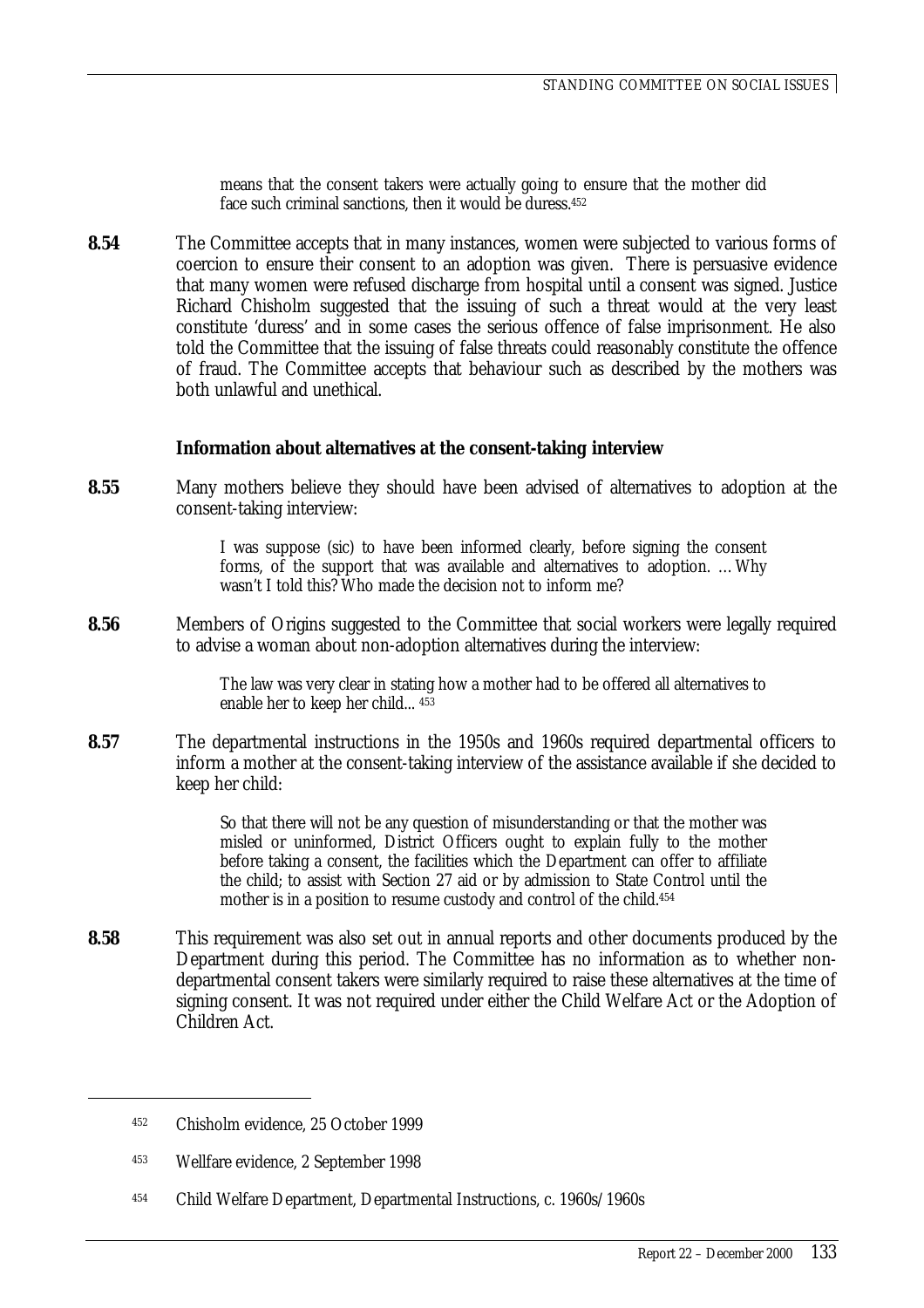means that the consent takers were actually going to ensure that the mother did face such criminal sanctions, then it would be duress.<sup>452</sup>

8.54 The Committee accepts that in many instances, women were subjected to various forms of coercion to ensure their consent to an adoption was given. There is persuasive evidence that many women were refused discharge from hospital until a consent was signed. Justice Richard Chisholm suggested that the issuing of such a threat would at the very least constitute 'duress' and in some cases the serious offence of false imprisonment. He also told the Committee that the issuing of false threats could reasonably constitute the offence of fraud. The Committee accepts that behaviour such as described by the mothers was both unlawful and unethical.

### **Information about alternatives at the consent-taking interview**

**8.55** Many mothers believe they should have been advised of alternatives to adoption at the consent-taking interview:

> I was suppose (sic) to have been informed clearly, before signing the consent forms, of the support that was available and alternatives to adoption. …Why wasn't I told this? Who made the decision not to inform me?

**8.56** Members of Origins suggested to the Committee that social workers were legally required to advise a woman about non-adoption alternatives during the interview:

> The law was very clear in stating how a mother had to be offered all alternatives to enable her to keep her child... <sup>453</sup>

8.57 The departmental instructions in the 1950s and 1960s required departmental officers to inform a mother at the consent-taking interview of the assistance available if she decided to keep her child:

> So that there will not be any question of misunderstanding or that the mother was misled or uninformed, District Officers ought to explain fully to the mother before taking a consent, the facilities which the Department can offer to affiliate the child; to assist with Section 27 aid or by admission to State Control until the mother is in a position to resume custody and control of the child.<sup>454</sup>

**8.58** This requirement was also set out in annual reports and other documents produced by the Department during this period. The Committee has no information as to whether nondepartmental consent takers were similarly required to raise these alternatives at the time of signing consent. It was not required under either the Child Welfare Act or the Adoption of Children Act.

<sup>452</sup> Chisholm evidence, 25 October 1999

<sup>453</sup> Wellfare evidence, 2 September 1998

<sup>454</sup> Child Welfare Department, Departmental Instructions, c. 1960s/1960s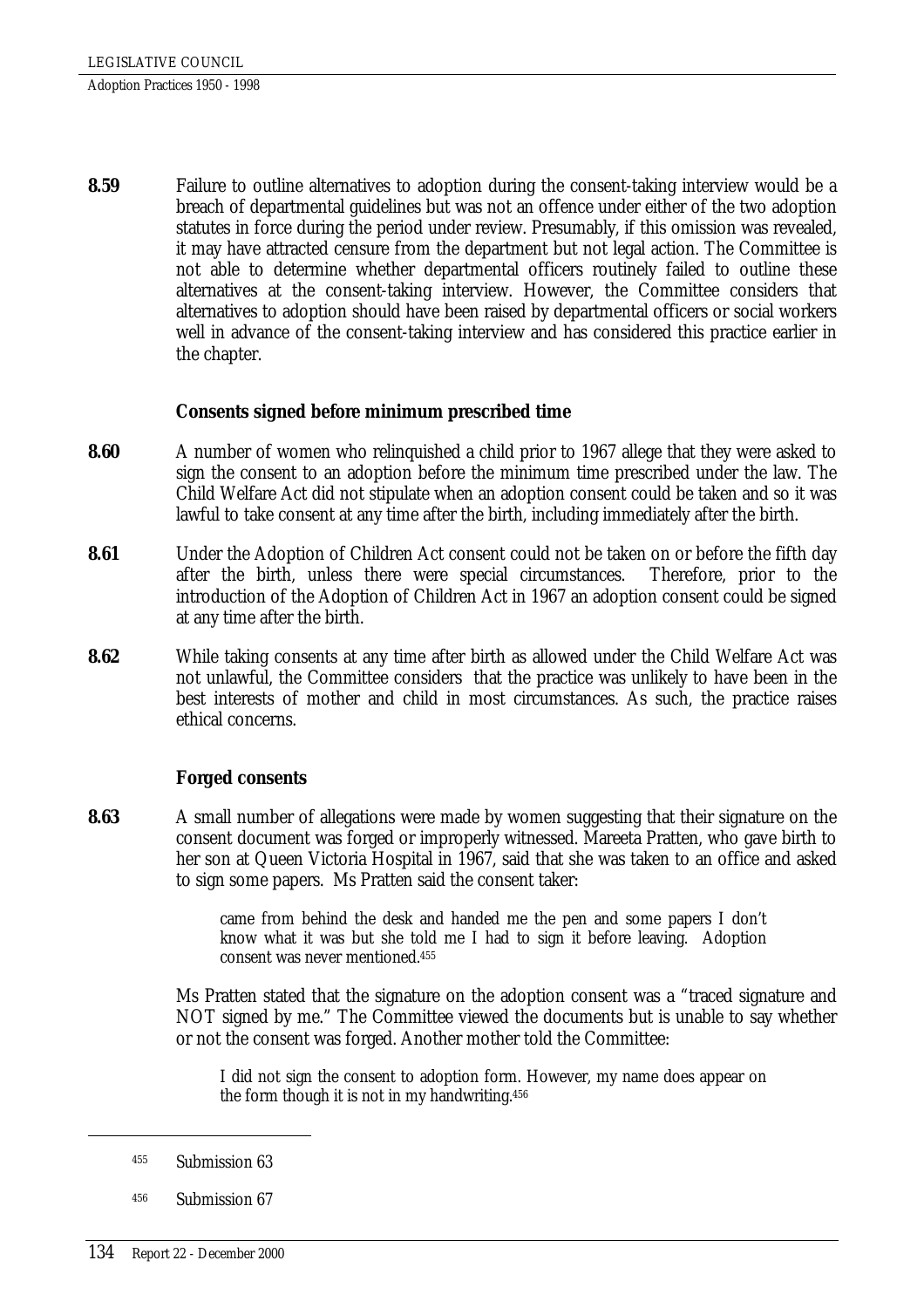**8.59** Failure to outline alternatives to adoption during the consent-taking interview would be a breach of departmental guidelines but was not an offence under either of the two adoption statutes in force during the period under review. Presumably, if this omission was revealed, it may have attracted censure from the department but not legal action. The Committee is not able to determine whether departmental officers routinely failed to outline these alternatives at the consent-taking interview. However, the Committee considers that alternatives to adoption should have been raised by departmental officers or social workers well in advance of the consent-taking interview and has considered this practice earlier in the chapter.

## **Consents signed before minimum prescribed time**

- **8.60** A number of women who relinquished a child prior to 1967 allege that they were asked to sign the consent to an adoption before the minimum time prescribed under the law. The Child Welfare Act did not stipulate when an adoption consent could be taken and so it was lawful to take consent at any time after the birth, including immediately after the birth.
- **8.61** Under the Adoption of Children Act consent could not be taken on or before the fifth day after the birth, unless there were special circumstances. Therefore, prior to the introduction of the Adoption of Children Act in 1967 an adoption consent could be signed at any time after the birth.
- **8.62** While taking consents at any time after birth as allowed under the Child Welfare Act was not unlawful, the Committee considers that the practice was unlikely to have been in the best interests of mother and child in most circumstances. As such, the practice raises ethical concerns.

## **Forged consents**

**8.63** A small number of allegations were made by women suggesting that their signature on the consent document was forged or improperly witnessed. Mareeta Pratten, who gave birth to her son at Queen Victoria Hospital in 1967, said that she was taken to an office and asked to sign some papers. Ms Pratten said the consent taker:

> came from behind the desk and handed me the pen and some papers I don't know what it was but she told me I had to sign it before leaving. Adoption consent was never mentioned.<sup>455</sup>

Ms Pratten stated that the signature on the adoption consent was a "traced signature and NOT signed by me." The Committee viewed the documents but is unable to say whether or not the consent was forged. Another mother told the Committee:

I did not sign the consent to adoption form. However, my name does appear on the form though it is not in my handwriting.<sup>456</sup>

- <sup>455</sup> Submission 63
- <sup>456</sup> Submission 67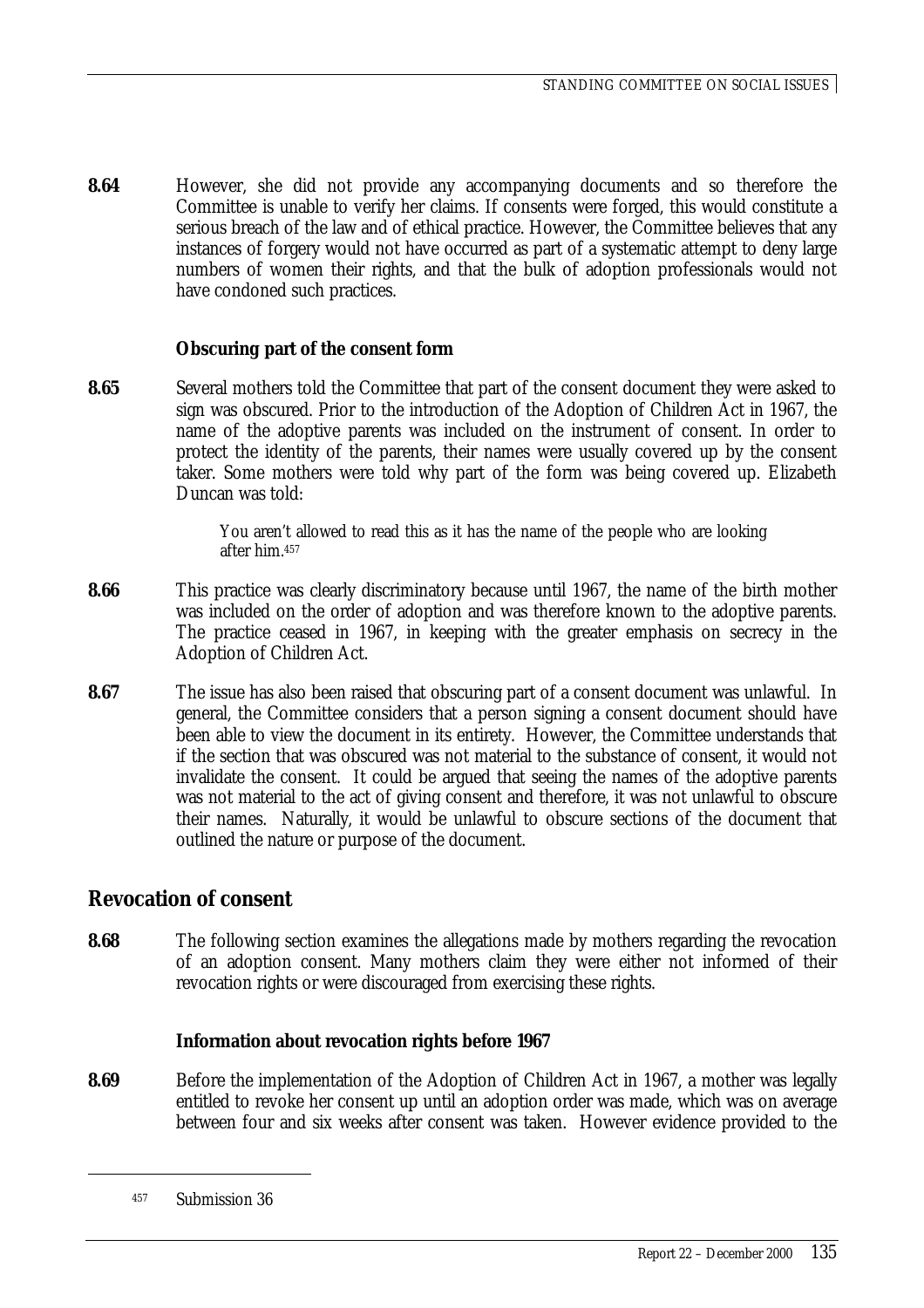**8.64** However, she did not provide any accompanying documents and so therefore the Committee is unable to verify her claims. If consents were forged, this would constitute a serious breach of the law and of ethical practice. However, the Committee believes that any instances of forgery would not have occurred as part of a systematic attempt to deny large numbers of women their rights, and that the bulk of adoption professionals would not have condoned such practices.

## **Obscuring part of the consent form**

**8.65** Several mothers told the Committee that part of the consent document they were asked to sign was obscured. Prior to the introduction of the Adoption of Children Act in 1967, the name of the adoptive parents was included on the instrument of consent. In order to protect the identity of the parents, their names were usually covered up by the consent taker. Some mothers were told why part of the form was being covered up. Elizabeth Duncan was told:

> You aren't allowed to read this as it has the name of the people who are looking after him.<sup>457</sup>

- **8.66** This practice was clearly discriminatory because until 1967, the name of the birth mother was included on the order of adoption and was therefore known to the adoptive parents. The practice ceased in 1967, in keeping with the greater emphasis on secrecy in the Adoption of Children Act.
- **8.67** The issue has also been raised that obscuring part of a consent document was unlawful. In general, the Committee considers that a person signing a consent document should have been able to view the document in its entirety. However, the Committee understands that if the section that was obscured was not material to the substance of consent, it would not invalidate the consent. It could be argued that seeing the names of the adoptive parents was not material to the act of giving consent and therefore, it was not unlawful to obscure their names. Naturally, it would be unlawful to obscure sections of the document that outlined the nature or purpose of the document.

# **Revocation of consent**

**8.68** The following section examines the allegations made by mothers regarding the revocation of an adoption consent. Many mothers claim they were either not informed of their revocation rights or were discouraged from exercising these rights.

### **Information about revocation rights before 1967**

**8.69** Before the implementation of the Adoption of Children Act in 1967, a mother was legally entitled to revoke her consent up until an adoption order was made, which was on average between four and six weeks after consent was taken. However evidence provided to the

<sup>457</sup> Submission 36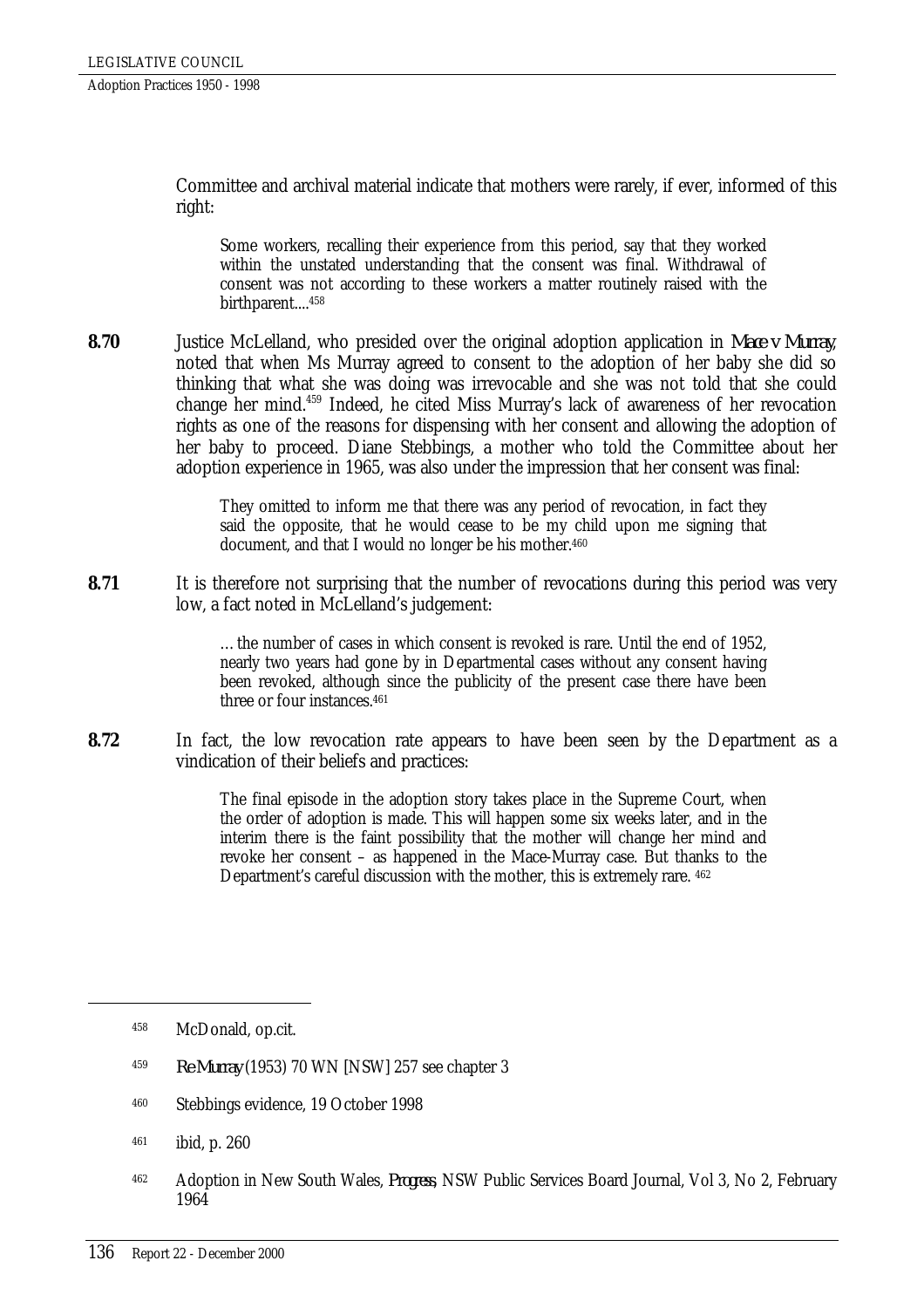Committee and archival material indicate that mothers were rarely, if ever, informed of this right:

Some workers, recalling their experience from this period, say that they worked within the unstated understanding that the consent was final. Withdrawal of consent was not according to these workers a matter routinely raised with the birthparent....<sup>458</sup>

**8.70** Justice McLelland, who presided over the original adoption application in *Mace v Murray*, noted that when Ms Murray agreed to consent to the adoption of her baby she did so thinking that what she was doing was irrevocable and she was not told that she could change her mind.<sup>459</sup> Indeed, he cited Miss Murray's lack of awareness of her revocation rights as one of the reasons for dispensing with her consent and allowing the adoption of her baby to proceed. Diane Stebbings, a mother who told the Committee about her adoption experience in 1965, was also under the impression that her consent was final:

> They omitted to inform me that there was any period of revocation, in fact they said the opposite, that he would cease to be my child upon me signing that document, and that I would no longer be his mother.<sup>460</sup>

**8.71** It is therefore not surprising that the number of revocations during this period was very low, a fact noted in McLelland's judgement:

> …the number of cases in which consent is revoked is rare. Until the end of 1952, nearly two years had gone by in Departmental cases without any consent having been revoked, although since the publicity of the present case there have been three or four instances.<sup>461</sup>

**8.72** In fact, the low revocation rate appears to have been seen by the Department as a vindication of their beliefs and practices:

> The final episode in the adoption story takes place in the Supreme Court, when the order of adoption is made. This will happen some six weeks later, and in the interim there is the faint possibility that the mother will change her mind and revoke her consent – as happened in the Mace-Murray case. But thanks to the Department's careful discussion with the mother, this is extremely rare. <sup>462</sup>

- <sup>459</sup> *Re Murray* (1953) 70 WN [NSW] 257 see chapter 3
- <sup>460</sup> Stebbings evidence, 19 October 1998
- <sup>461</sup> ibid, p. 260
- <sup>462</sup> Adoption in New South Wales, *Progress*, NSW Public Services Board Journal, Vol 3, No 2, February 1964

<sup>458</sup> McDonald, op.cit.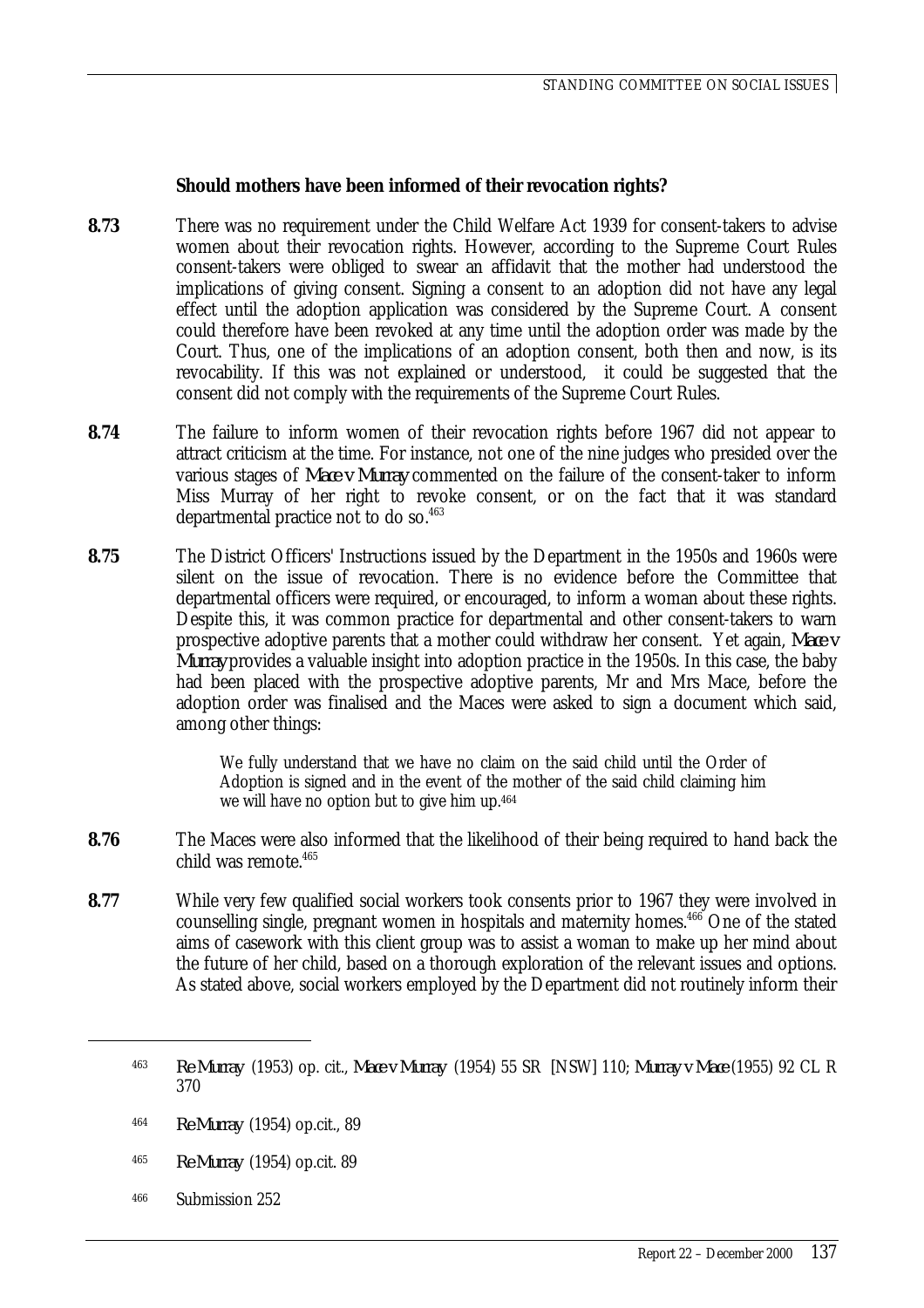### **Should mothers have been informed of their revocation rights?**

- **8.73** There was no requirement under the Child Welfare Act 1939 for consent-takers to advise women about their revocation rights. However, according to the Supreme Court Rules consent-takers were obliged to swear an affidavit that the mother had understood the implications of giving consent. Signing a consent to an adoption did not have any legal effect until the adoption application was considered by the Supreme Court. A consent could therefore have been revoked at any time until the adoption order was made by the Court. Thus, one of the implications of an adoption consent, both then and now, is its revocability. If this was not explained or understood, it could be suggested that the consent did not comply with the requirements of the Supreme Court Rules.
- **8.74** The failure to inform women of their revocation rights before 1967 did not appear to attract criticism at the time. For instance, not one of the nine judges who presided over the various stages of *Mace v Murray* commented on the failure of the consent-taker to inform Miss Murray of her right to revoke consent, or on the fact that it was standard departmental practice not to do so.<sup>463</sup>
- **8.75** The District Officers' Instructions issued by the Department in the 1950s and 1960s were silent on the issue of revocation. There is no evidence before the Committee that departmental officers were required, or encouraged, to inform a woman about these rights. Despite this, it was common practice for departmental and other consent-takers to warn prospective adoptive parents that a mother could withdraw her consent. Yet again, *Mace v Murray* provides a valuable insight into adoption practice in the 1950s. In this case, the baby had been placed with the prospective adoptive parents, Mr and Mrs Mace, before the adoption order was finalised and the Maces were asked to sign a document which said, among other things:

We fully understand that we have no claim on the said child until the Order of Adoption is signed and in the event of the mother of the said child claiming him we will have no option but to give him up.<sup>464</sup>

- **8.76** The Maces were also informed that the likelihood of their being required to hand back the child was remote.<sup>465</sup>
- **8.77** While very few qualified social workers took consents prior to 1967 they were involved in counselling single, pregnant women in hospitals and maternity homes.<sup>466</sup> One of the stated aims of casework with this client group was to assist a woman to make up her mind about the future of her child, based on a thorough exploration of the relevant issues and options. As stated above, social workers employed by the Department did not routinely inform their

- <sup>464</sup> *Re Murray* (1954) op.cit., 89
- <sup>465</sup> *Re Murray* (1954) op.cit. 89
- <sup>466</sup> Submission 252

<sup>463</sup> *Re Murray* (1953) op. cit., *Mace v Murray* (1954) 55 SR [NSW] 110; *Murray v Mace* (1955) 92 CL R 370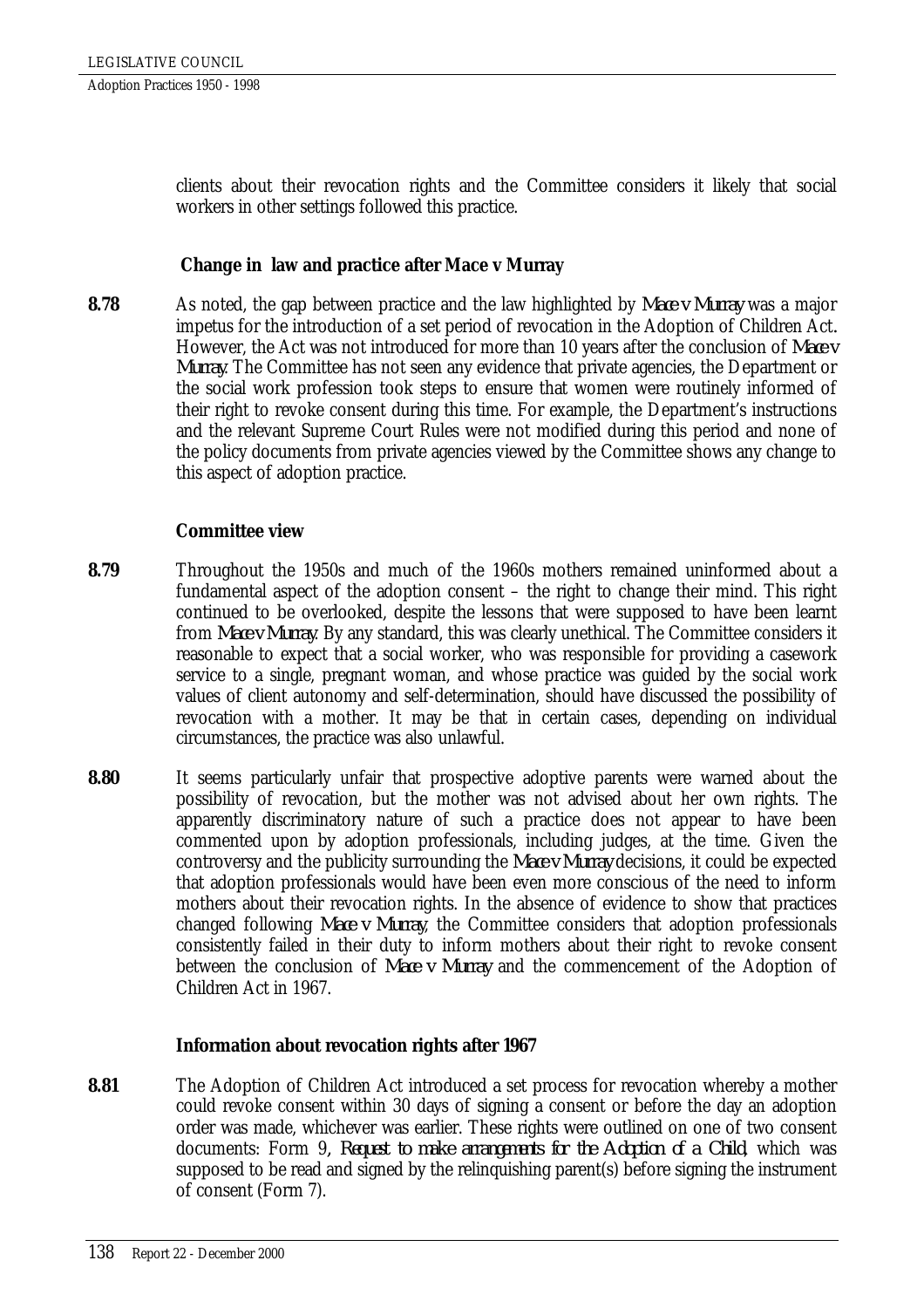clients about their revocation rights and the Committee considers it likely that social workers in other settings followed this practice.

# **Change in law and practice after** *Mace v Murray*

**8.78** As noted, the gap between practice and the law highlighted by *Mace v Murray* was a major impetus for the introduction of a set period of revocation in the Adoption of Children Act*.* However, the Act was not introduced for more than 10 years after the conclusion of *Mace v Murray*. The Committee has not seen any evidence that private agencies, the Department or the social work profession took steps to ensure that women were routinely informed of their right to revoke consent during this time. For example, the Department's instructions and the relevant Supreme Court Rules were not modified during this period and none of the policy documents from private agencies viewed by the Committee shows any change to this aspect of adoption practice.

## **Committee view**

- **8.79** Throughout the 1950s and much of the 1960s mothers remained uninformed about a fundamental aspect of the adoption consent – the right to change their mind. This right continued to be overlooked, despite the lessons that were supposed to have been learnt from *Mace v Murray*. By any standard, this was clearly unethical. The Committee considers it reasonable to expect that a social worker, who was responsible for providing a casework service to a single, pregnant woman, and whose practice was guided by the social work values of client autonomy and self-determination, should have discussed the possibility of revocation with a mother. It may be that in certain cases, depending on individual circumstances, the practice was also unlawful.
- **8.80** It seems particularly unfair that prospective adoptive parents were warned about the possibility of revocation, but the mother was not advised about her own rights. The apparently discriminatory nature of such a practice does not appear to have been commented upon by adoption professionals, including judges, at the time. Given the controversy and the publicity surrounding the *Mace v Murray* decisions, it could be expected that adoption professionals would have been even more conscious of the need to inform mothers about their revocation rights. In the absence of evidence to show that practices changed following *Mace v Murray*, the Committee considers that adoption professionals consistently failed in their duty to inform mothers about their right to revoke consent between the conclusion of *Mace v Murray* and the commencement of the Adoption of Children Act in 1967.

## **Information about revocation rights after 1967**

**8.81** The Adoption of Children Act introduced a set process for revocation whereby a mother could revoke consent within 30 days of signing a consent or before the day an adoption order was made, whichever was earlier. These rights were outlined on one of two consent documents: Form 9*, Request to make arrangements for the Adoption of a Child*, which was supposed to be read and signed by the relinquishing parent(s) before signing the instrument of consent (Form 7).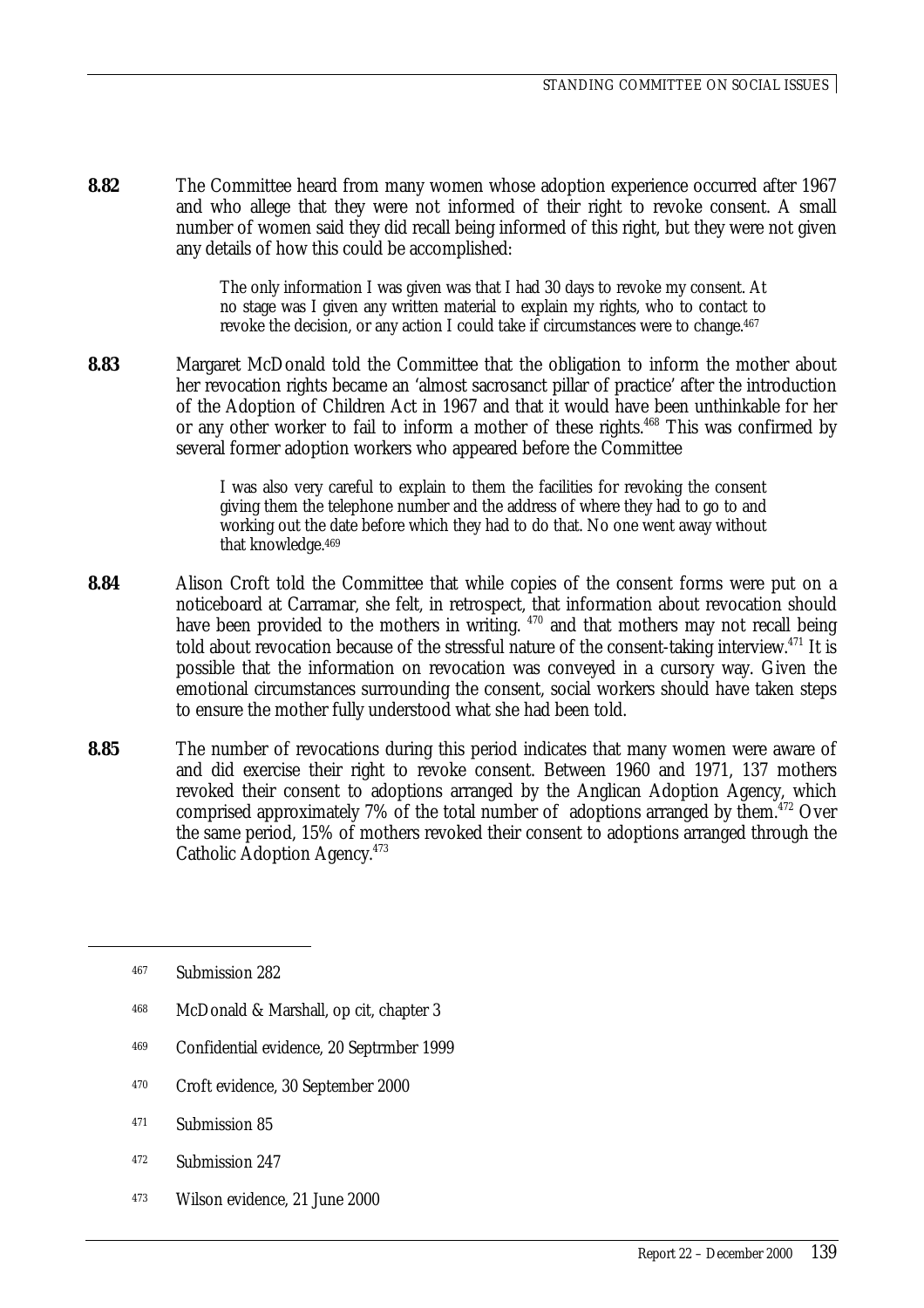**8.82** The Committee heard from many women whose adoption experience occurred after 1967 and who allege that they were not informed of their right to revoke consent. A small number of women said they did recall being informed of this right, but they were not given any details of how this could be accomplished:

> The only information I was given was that I had 30 days to revoke my consent. At no stage was I given any written material to explain my rights, who to contact to revoke the decision, or any action I could take if circumstances were to change.<sup>467</sup>

**8.83** Margaret McDonald told the Committee that the obligation to inform the mother about her revocation rights became an 'almost sacrosanct pillar of practice' after the introduction of the Adoption of Children Act in 1967 and that it would have been unthinkable for her or any other worker to fail to inform a mother of these rights.<sup>468</sup> This was confirmed by several former adoption workers who appeared before the Committee

> I was also very careful to explain to them the facilities for revoking the consent giving them the telephone number and the address of where they had to go to and working out the date before which they had to do that. No one went away without that knowledge.<sup>469</sup>

- **8.84** Alison Croft told the Committee that while copies of the consent forms were put on a noticeboard at Carramar, she felt, in retrospect, that information about revocation should have been provided to the mothers in writing. <sup>470</sup> and that mothers may not recall being told about revocation because of the stressful nature of the consent-taking interview.<sup>471</sup> It is possible that the information on revocation was conveyed in a cursory way. Given the emotional circumstances surrounding the consent, social workers should have taken steps to ensure the mother fully understood what she had been told.
- **8.85** The number of revocations during this period indicates that many women were aware of and did exercise their right to revoke consent. Between 1960 and 1971, 137 mothers revoked their consent to adoptions arranged by the Anglican Adoption Agency, which comprised approximately 7% of the total number of adoptions arranged by them.<sup>472</sup> Over the same period, 15% of mothers revoked their consent to adoptions arranged through the Catholic Adoption Agency.<sup>473</sup>

<sup>467</sup> Submission 282

- <sup>468</sup> McDonald & Marshall, op cit, chapter 3
- <sup>469</sup> Confidential evidence, 20 Septrmber 1999
- <sup>470</sup> Croft evidence, 30 September 2000
- <sup>471</sup> Submission 85
- <sup>472</sup> Submission 247
- <sup>473</sup> Wilson evidence, 21 June 2000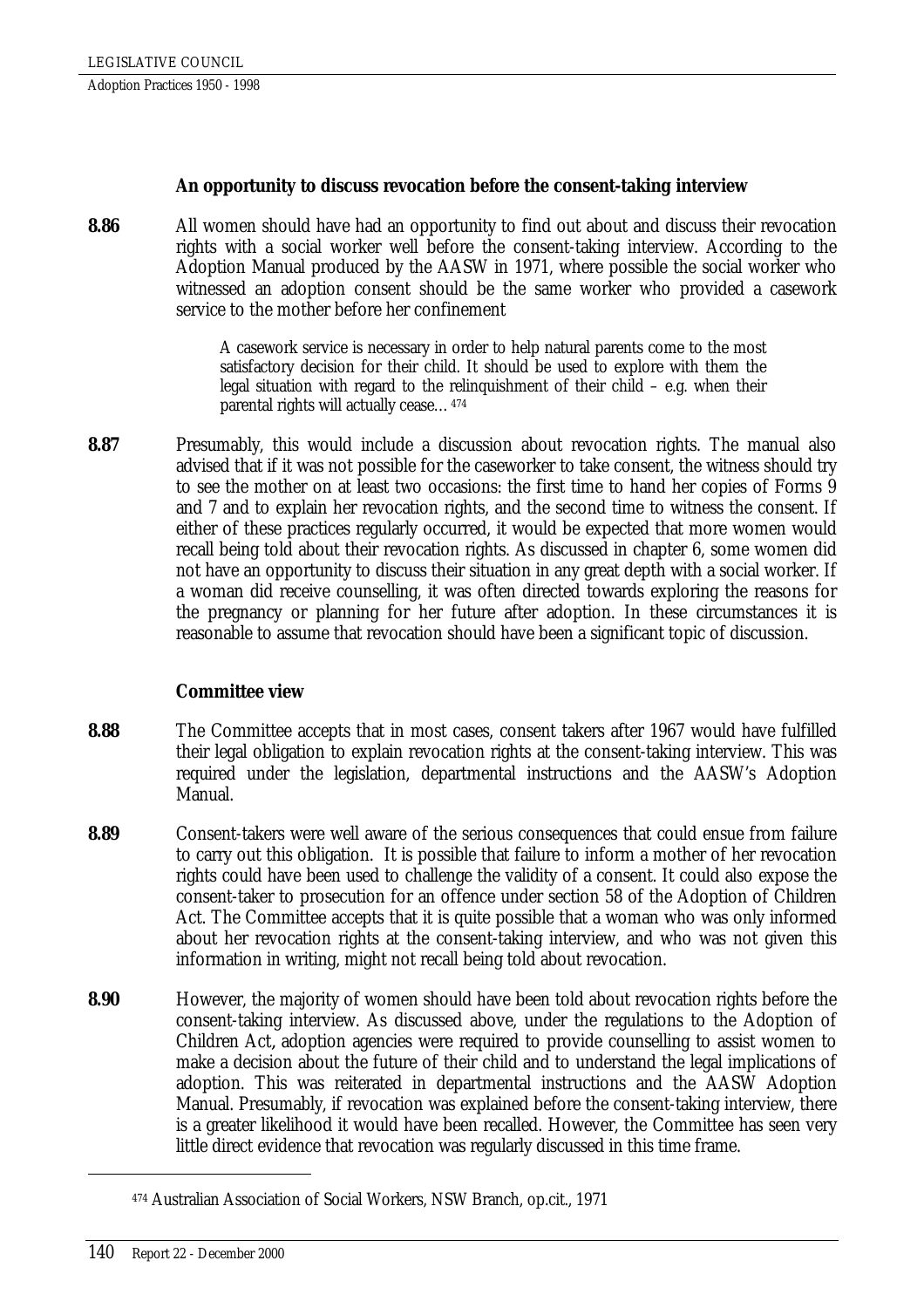### **An opportunity to discuss revocation before the consent-taking interview**

**8.86** All women should have had an opportunity to find out about and discuss their revocation rights with a social worker well before the consent-taking interview. According to the Adoption Manual produced by the AASW in 1971, where possible the social worker who witnessed an adoption consent should be the same worker who provided a casework service to the mother before her confinement

> A casework service is necessary in order to help natural parents come to the most satisfactory decision for their child. It should be used to explore with them the legal situation with regard to the relinquishment of their child – e.g. when their parental rights will actually cease…<sup>474</sup>

**8.87** Presumably, this would include a discussion about revocation rights. The manual also advised that if it was not possible for the caseworker to take consent, the witness should try to see the mother on at least two occasions: the first time to hand her copies of Forms 9 and 7 and to explain her revocation rights, and the second time to witness the consent. If either of these practices regularly occurred, it would be expected that more women would recall being told about their revocation rights. As discussed in chapter 6, some women did not have an opportunity to discuss their situation in any great depth with a social worker. If a woman did receive counselling, it was often directed towards exploring the reasons for the pregnancy or planning for her future after adoption. In these circumstances it is reasonable to assume that revocation should have been a significant topic of discussion.

## **Committee view**

- **8.88** The Committee accepts that in most cases, consent takers after 1967 would have fulfilled their legal obligation to explain revocation rights at the consent-taking interview. This was required under the legislation, departmental instructions and the AASW's Adoption Manual.
- 8.89 Consent-takers were well aware of the serious consequences that could ensue from failure to carry out this obligation. It is possible that failure to inform a mother of her revocation rights could have been used to challenge the validity of a consent. It could also expose the consent-taker to prosecution for an offence under section 58 of the Adoption of Children Act. The Committee accepts that it is quite possible that a woman who was only informed about her revocation rights at the consent-taking interview, and who was not given this information in writing, might not recall being told about revocation.
- **8.90** However, the majority of women should have been told about revocation rights before the consent-taking interview. As discussed above, under the regulations to the Adoption of Children Act*,* adoption agencies were required to provide counselling to assist women to make a decision about the future of their child and to understand the legal implications of adoption. This was reiterated in departmental instructions and the AASW Adoption Manual. Presumably, if revocation was explained before the consent-taking interview, there is a greater likelihood it would have been recalled. However, the Committee has seen very little direct evidence that revocation was regularly discussed in this time frame.

<sup>474</sup> Australian Association of Social Workers, NSW Branch, op.cit., 1971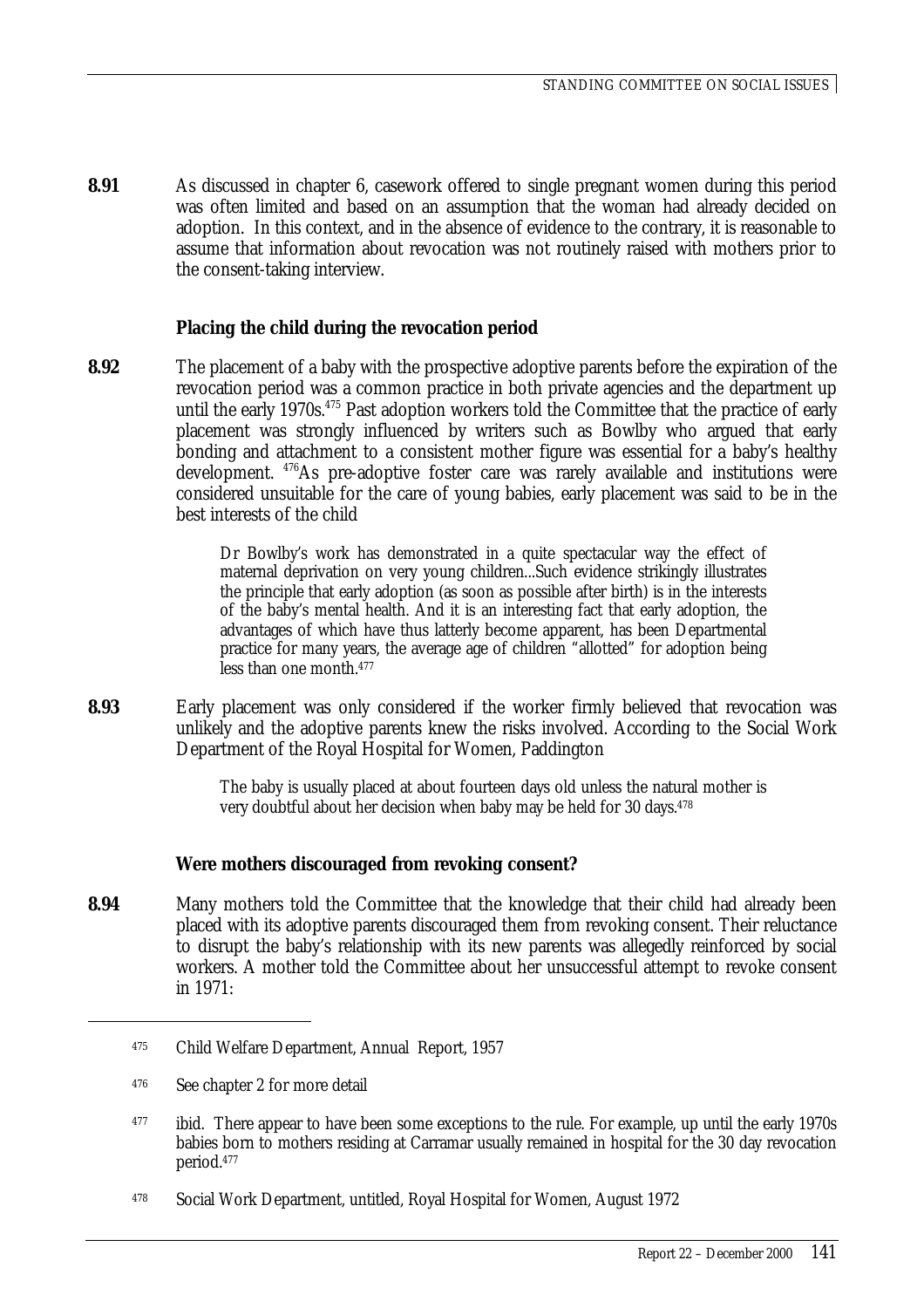8.91 As discussed in chapter 6, casework offered to single pregnant women during this period was often limited and based on an assumption that the woman had already decided on adoption. In this context, and in the absence of evidence to the contrary, it is reasonable to assume that information about revocation was not routinely raised with mothers prior to the consent-taking interview.

## **Placing the child during the revocation period**

**8.92** The placement of a baby with the prospective adoptive parents before the expiration of the revocation period was a common practice in both private agencies and the department up until the early 1970s.<sup>475</sup> Past adoption workers told the Committee that the practice of early placement was strongly influenced by writers such as Bowlby who argued that early bonding and attachment to a consistent mother figure was essential for a baby's healthy development. <sup>476</sup>As pre-adoptive foster care was rarely available and institutions were considered unsuitable for the care of young babies, early placement was said to be in the best interests of the child

> Dr Bowlby's work has demonstrated in a quite spectacular way the effect of maternal deprivation on very young children...Such evidence strikingly illustrates the principle that early adoption (as soon as possible after birth) is in the interests of the baby's mental health. And it is an interesting fact that early adoption, the advantages of which have thus latterly become apparent, has been Departmental practice for many years, the average age of children "allotted" for adoption being less than one month.<sup>477</sup>

8.93 Early placement was only considered if the worker firmly believed that revocation was unlikely and the adoptive parents knew the risks involved. According to the Social Work Department of the Royal Hospital for Women, Paddington

> The baby is usually placed at about fourteen days old unless the natural mother is very doubtful about her decision when baby may be held for 30 days.<sup>478</sup>

## **Were mothers discouraged from revoking consent?**

**8.94** Many mothers told the Committee that the knowledge that their child had already been placed with its adoptive parents discouraged them from revoking consent. Their reluctance to disrupt the baby's relationship with its new parents was allegedly reinforced by social workers. A mother told the Committee about her unsuccessful attempt to revoke consent in 1971:

<sup>476</sup> See chapter 2 for more detail

- <sup>477</sup> ibid. There appear to have been some exceptions to the rule. For example, up until the early 1970s babies born to mothers residing at Carramar usually remained in hospital for the 30 day revocation period.<sup>477</sup>
- <sup>478</sup> Social Work Department, untitled, Royal Hospital for Women, August 1972

<sup>475</sup> Child Welfare Department, Annual Report, 1957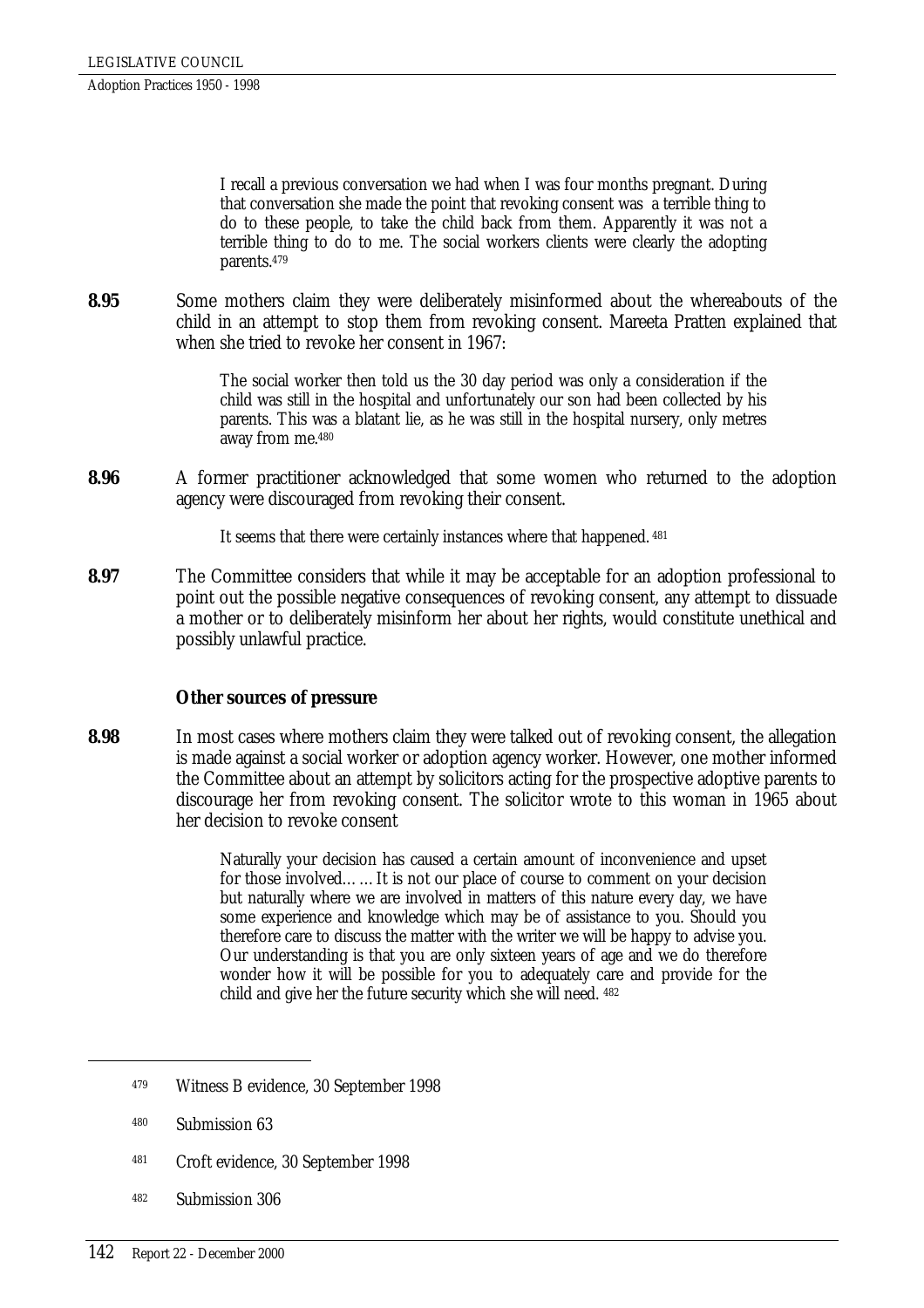I recall a previous conversation we had when I was four months pregnant. During that conversation she made the point that revoking consent was a terrible thing to do to these people, to take the child back from them. Apparently it was not a terrible thing to do to me. The social workers clients were clearly the adopting parents.<sup>479</sup>

**8.95** Some mothers claim they were deliberately misinformed about the whereabouts of the child in an attempt to stop them from revoking consent. Mareeta Pratten explained that when she tried to revoke her consent in 1967:

> The social worker then told us the 30 day period was only a consideration if the child was still in the hospital and unfortunately our son had been collected by his parents. This was a blatant lie, as he was still in the hospital nursery, only metres away from me.<sup>480</sup>

**8.96** A former practitioner acknowledged that some women who returned to the adoption agency were discouraged from revoking their consent.

It seems that there were certainly instances where that happened. <sup>481</sup>

8.97 The Committee considers that while it may be acceptable for an adoption professional to point out the possible negative consequences of revoking consent, any attempt to dissuade a mother or to deliberately misinform her about her rights, would constitute unethical and possibly unlawful practice.

## **Other sources of pressure**

**8.98** In most cases where mothers claim they were talked out of revoking consent, the allegation is made against a social worker or adoption agency worker. However, one mother informed the Committee about an attempt by solicitors acting for the prospective adoptive parents to discourage her from revoking consent. The solicitor wrote to this woman in 1965 about her decision to revoke consent

> Naturally your decision has caused a certain amount of inconvenience and upset for those involved……It is not our place of course to comment on your decision but naturally where we are involved in matters of this nature every day, we have some experience and knowledge which may be of assistance to you. Should you therefore care to discuss the matter with the writer we will be happy to advise you. Our understanding is that you are only sixteen years of age and we do therefore wonder how it will be possible for you to adequately care and provide for the child and give her the future security which she will need. <sup>482</sup>

- <sup>479</sup> Witness B evidence, 30 September 1998
- <sup>480</sup> Submission 63

- <sup>481</sup> Croft evidence, 30 September 1998
- <sup>482</sup> Submission 306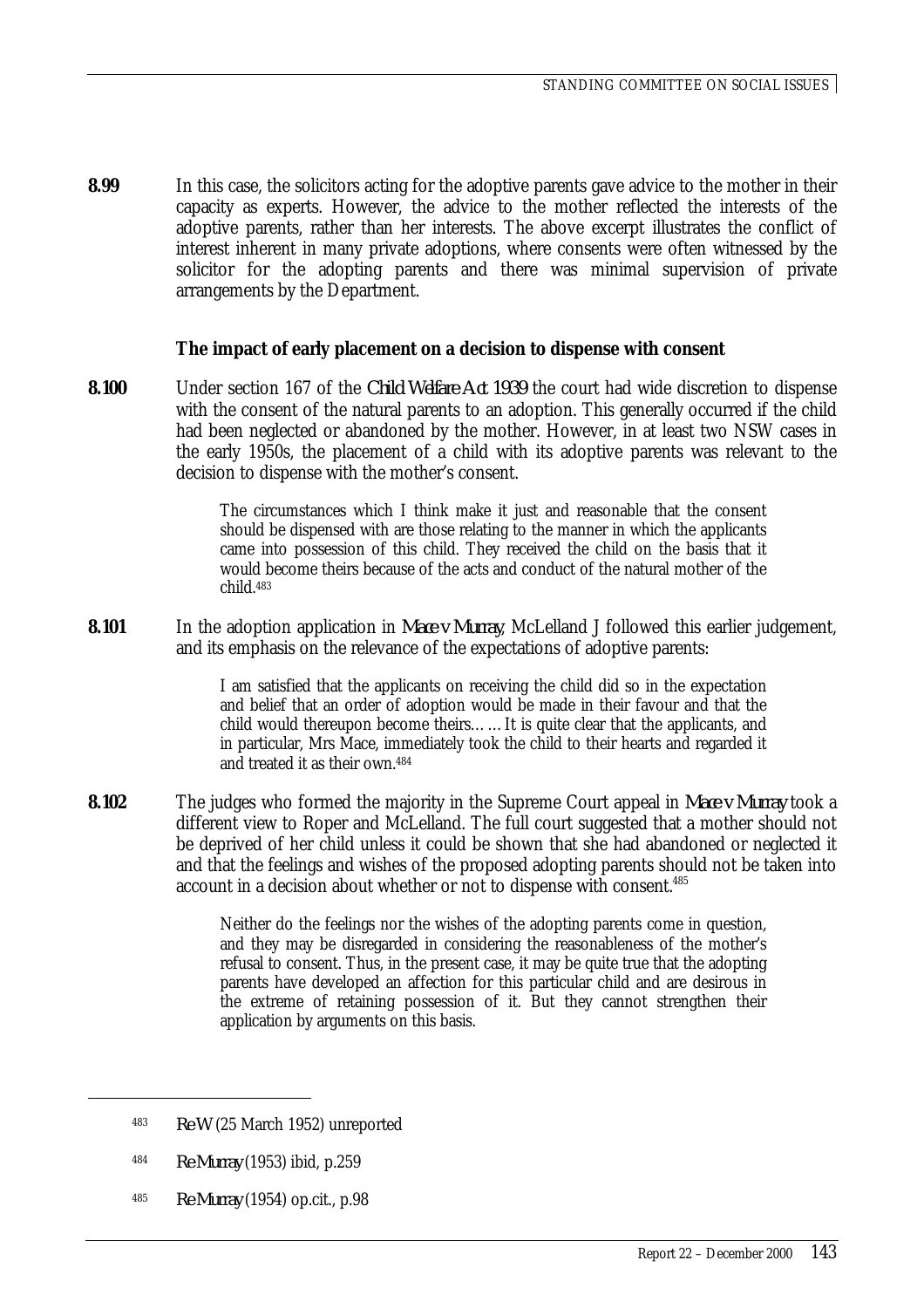STANDING COMMITTEE ON SOCIAL ISSUES

8.99 In this case, the solicitors acting for the adoptive parents gave advice to the mother in their capacity as experts. However, the advice to the mother reflected the interests of the adoptive parents, rather than her interests. The above excerpt illustrates the conflict of interest inherent in many private adoptions, where consents were often witnessed by the solicitor for the adopting parents and there was minimal supervision of private arrangements by the Department.

## **The impact of early placement on a decision to dispense with consent**

**8.100** Under section 167 of the *Child Welfare Act 1939* the court had wide discretion to dispense with the consent of the natural parents to an adoption. This generally occurred if the child had been neglected or abandoned by the mother. However, in at least two NSW cases in the early 1950s, the placement of a child with its adoptive parents was relevant to the decision to dispense with the mother's consent.

> The circumstances which I think make it just and reasonable that the consent should be dispensed with are those relating to the manner in which the applicants came into possession of this child. They received the child on the basis that it would become theirs because of the acts and conduct of the natural mother of the child.<sup>483</sup>

**8.101** In the adoption application in *Mace v Murray*, McLelland J followed this earlier judgement, and its emphasis on the relevance of the expectations of adoptive parents:

> I am satisfied that the applicants on receiving the child did so in the expectation and belief that an order of adoption would be made in their favour and that the child would thereupon become theirs……It is quite clear that the applicants, and in particular, Mrs Mace, immediately took the child to their hearts and regarded it and treated it as their own.<sup>484</sup>

**8.102** The judges who formed the majority in the Supreme Court appeal in *Mace v Murray* took a different view to Roper and McLelland. The full court suggested that a mother should not be deprived of her child unless it could be shown that she had abandoned or neglected it and that the feelings and wishes of the proposed adopting parents should not be taken into account in a decision about whether or not to dispense with consent.<sup>485</sup>

> Neither do the feelings nor the wishes of the adopting parents come in question, and they may be disregarded in considering the reasonableness of the mother's refusal to consent. Thus, in the present case, it may be quite true that the adopting parents have developed an affection for this particular child and are desirous in the extreme of retaining possession of it. But they cannot strengthen their application by arguments on this basis.

 $\overline{a}$ 

<sup>485</sup> *Re Murray* (1954) op.cit., p.98

<sup>483</sup> *Re W* (25 March 1952) unreported

<sup>484</sup> *Re Murray* (1953) ibid, p.259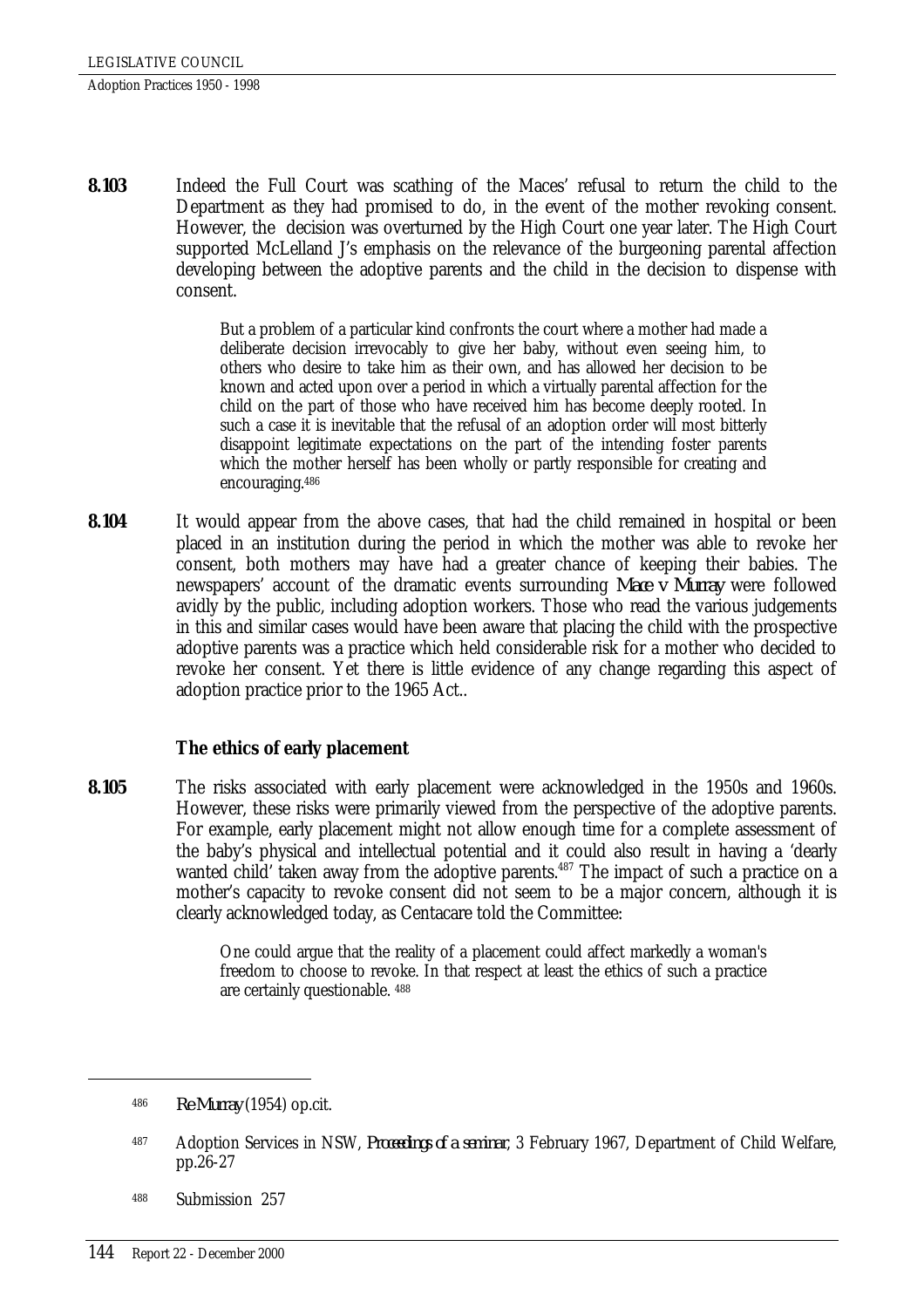**8.103** Indeed the Full Court was scathing of the Maces' refusal to return the child to the Department as they had promised to do, in the event of the mother revoking consent. However, the decision was overturned by the High Court one year later. The High Court supported McLelland J's emphasis on the relevance of the burgeoning parental affection developing between the adoptive parents and the child in the decision to dispense with consent.

> But a problem of a particular kind confronts the court where a mother had made a deliberate decision irrevocably to give her baby, without even seeing him, to others who desire to take him as their own, and has allowed her decision to be known and acted upon over a period in which a virtually parental affection for the child on the part of those who have received him has become deeply rooted. In such a case it is inevitable that the refusal of an adoption order will most bitterly disappoint legitimate expectations on the part of the intending foster parents which the mother herself has been wholly or partly responsible for creating and encouraging.<sup>486</sup>

**8.104** It would appear from the above cases, that had the child remained in hospital or been placed in an institution during the period in which the mother was able to revoke her consent, both mothers may have had a greater chance of keeping their babies. The newspapers' account of the dramatic events surrounding *Mace v Murray* were followed avidly by the public, including adoption workers. Those who read the various judgements in this and similar cases would have been aware that placing the child with the prospective adoptive parents was a practice which held considerable risk for a mother who decided to revoke her consent. Yet there is little evidence of any change regarding this aspect of adoption practice prior to the 1965 Act..

### **The ethics of early placement**

**8.105** The risks associated with early placement were acknowledged in the 1950s and 1960s. However, these risks were primarily viewed from the perspective of the adoptive parents. For example, early placement might not allow enough time for a complete assessment of the baby's physical and intellectual potential and it could also result in having a 'dearly wanted child' taken away from the adoptive parents.<sup>487</sup> The impact of such a practice on a mother's capacity to revoke consent did not seem to be a major concern, although it is clearly acknowledged today, as Centacare told the Committee:

> One could argue that the reality of a placement could affect markedly a woman's freedom to choose to revoke. In that respect at least the ethics of such a practice are certainly questionable. <sup>488</sup>

<sup>488</sup> Submission 257

<sup>486</sup> *Re Murray* (1954) op.cit.

<sup>487</sup> Adoption Services in NSW, *Proceedings of a seminar*, 3 February 1967, Department of Child Welfare, pp.26-27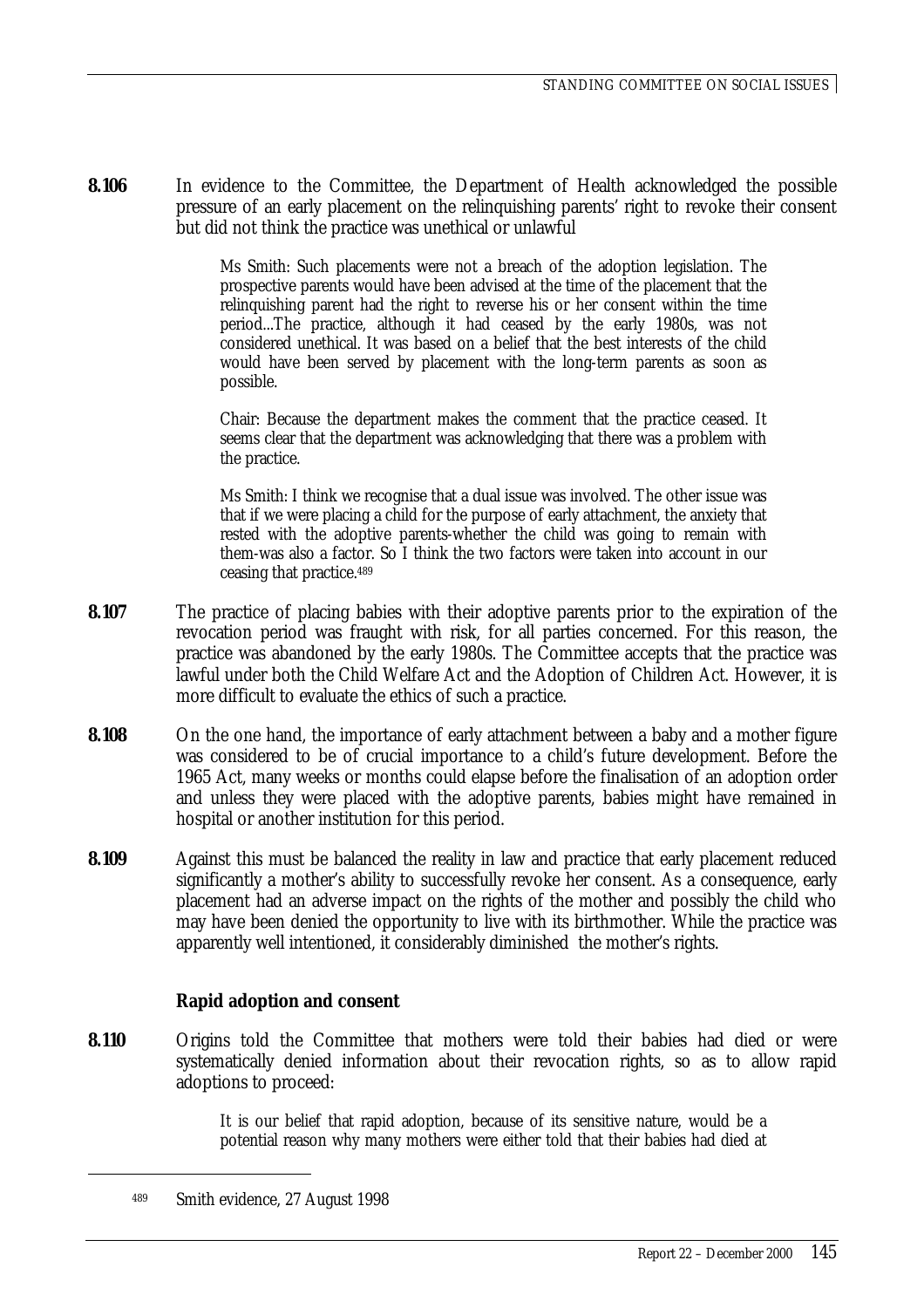8.106 In evidence to the Committee, the Department of Health acknowledged the possible pressure of an early placement on the relinquishing parents' right to revoke their consent but did not think the practice was unethical or unlawful

> Ms Smith: Such placements were not a breach of the adoption legislation. The prospective parents would have been advised at the time of the placement that the relinquishing parent had the right to reverse his or her consent within the time period...The practice, although it had ceased by the early 1980s, was not considered unethical. It was based on a belief that the best interests of the child would have been served by placement with the long-term parents as soon as possible.

> Chair: Because the department makes the comment that the practice ceased. It seems clear that the department was acknowledging that there was a problem with the practice.

> Ms Smith: I think we recognise that a dual issue was involved. The other issue was that if we were placing a child for the purpose of early attachment, the anxiety that rested with the adoptive parents-whether the child was going to remain with them-was also a factor. So I think the two factors were taken into account in our ceasing that practice.<sup>489</sup>

- **8.107** The practice of placing babies with their adoptive parents prior to the expiration of the revocation period was fraught with risk, for all parties concerned. For this reason, the practice was abandoned by the early 1980s. The Committee accepts that the practice was lawful under both the Child Welfare Act and the Adoption of Children Act. However, it is more difficult to evaluate the ethics of such a practice.
- **8.108** On the one hand, the importance of early attachment between a baby and a mother figure was considered to be of crucial importance to a child's future development. Before the 1965 Act, many weeks or months could elapse before the finalisation of an adoption order and unless they were placed with the adoptive parents, babies might have remained in hospital or another institution for this period.
- **8.109** Against this must be balanced the reality in law and practice that early placement reduced significantly a mother's ability to successfully revoke her consent. As a consequence, early placement had an adverse impact on the rights of the mother and possibly the child who may have been denied the opportunity to live with its birthmother. While the practice was apparently well intentioned, it considerably diminished the mother's rights.

## **Rapid adoption and consent**

8.110 Origins told the Committee that mothers were told their babies had died or were systematically denied information about their revocation rights, so as to allow rapid adoptions to proceed:

> It is our belief that rapid adoption, because of its sensitive nature, would be a potential reason why many mothers were either told that their babies had died at

<sup>489</sup> Smith evidence, 27 August 1998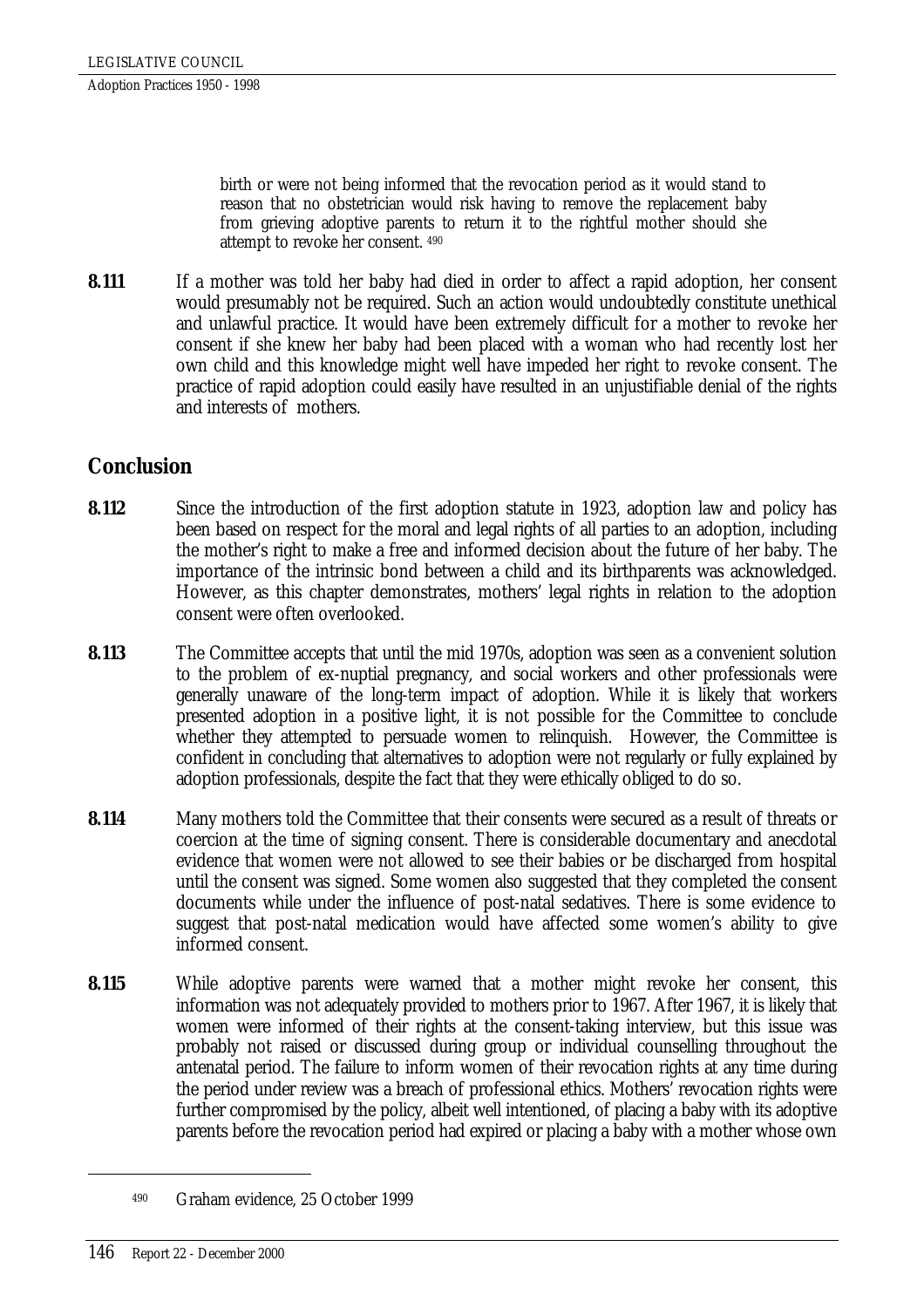birth or were not being informed that the revocation period as it would stand to reason that no obstetrician would risk having to remove the replacement baby from grieving adoptive parents to return it to the rightful mother should she attempt to revoke her consent. <sup>490</sup>

8.111 If a mother was told her baby had died in order to affect a rapid adoption, her consent would presumably not be required. Such an action would undoubtedly constitute unethical and unlawful practice. It would have been extremely difficult for a mother to revoke her consent if she knew her baby had been placed with a woman who had recently lost her own child and this knowledge might well have impeded her right to revoke consent. The practice of rapid adoption could easily have resulted in an unjustifiable denial of the rights and interests of mothers.

# **Conclusion**

- **8.112** Since the introduction of the first adoption statute in 1923, adoption law and policy has been based on respect for the moral and legal rights of all parties to an adoption, including the mother's right to make a free and informed decision about the future of her baby. The importance of the intrinsic bond between a child and its birthparents was acknowledged. However, as this chapter demonstrates, mothers' legal rights in relation to the adoption consent were often overlooked.
- **8.113** The Committee accepts that until the mid 1970s, adoption was seen as a convenient solution to the problem of ex-nuptial pregnancy, and social workers and other professionals were generally unaware of the long-term impact of adoption. While it is likely that workers presented adoption in a positive light, it is not possible for the Committee to conclude whether they attempted to persuade women to relinquish. However, the Committee is confident in concluding that alternatives to adoption were not regularly or fully explained by adoption professionals, despite the fact that they were ethically obliged to do so.
- 8.114 Many mothers told the Committee that their consents were secured as a result of threats or coercion at the time of signing consent. There is considerable documentary and anecdotal evidence that women were not allowed to see their babies or be discharged from hospital until the consent was signed. Some women also suggested that they completed the consent documents while under the influence of post-natal sedatives. There is some evidence to suggest that post-natal medication would have affected some women's ability to give informed consent.
- 8.115 While adoptive parents were warned that a mother might revoke her consent, this information was not adequately provided to mothers prior to 1967. After 1967, it is likely that women were informed of their rights at the consent-taking interview, but this issue was probably not raised or discussed during group or individual counselling throughout the antenatal period. The failure to inform women of their revocation rights at any time during the period under review was a breach of professional ethics. Mothers' revocation rights were further compromised by the policy, albeit well intentioned, of placing a baby with its adoptive parents before the revocation period had expired or placing a baby with a mother whose own

<sup>490</sup> Graham evidence, 25 October 1999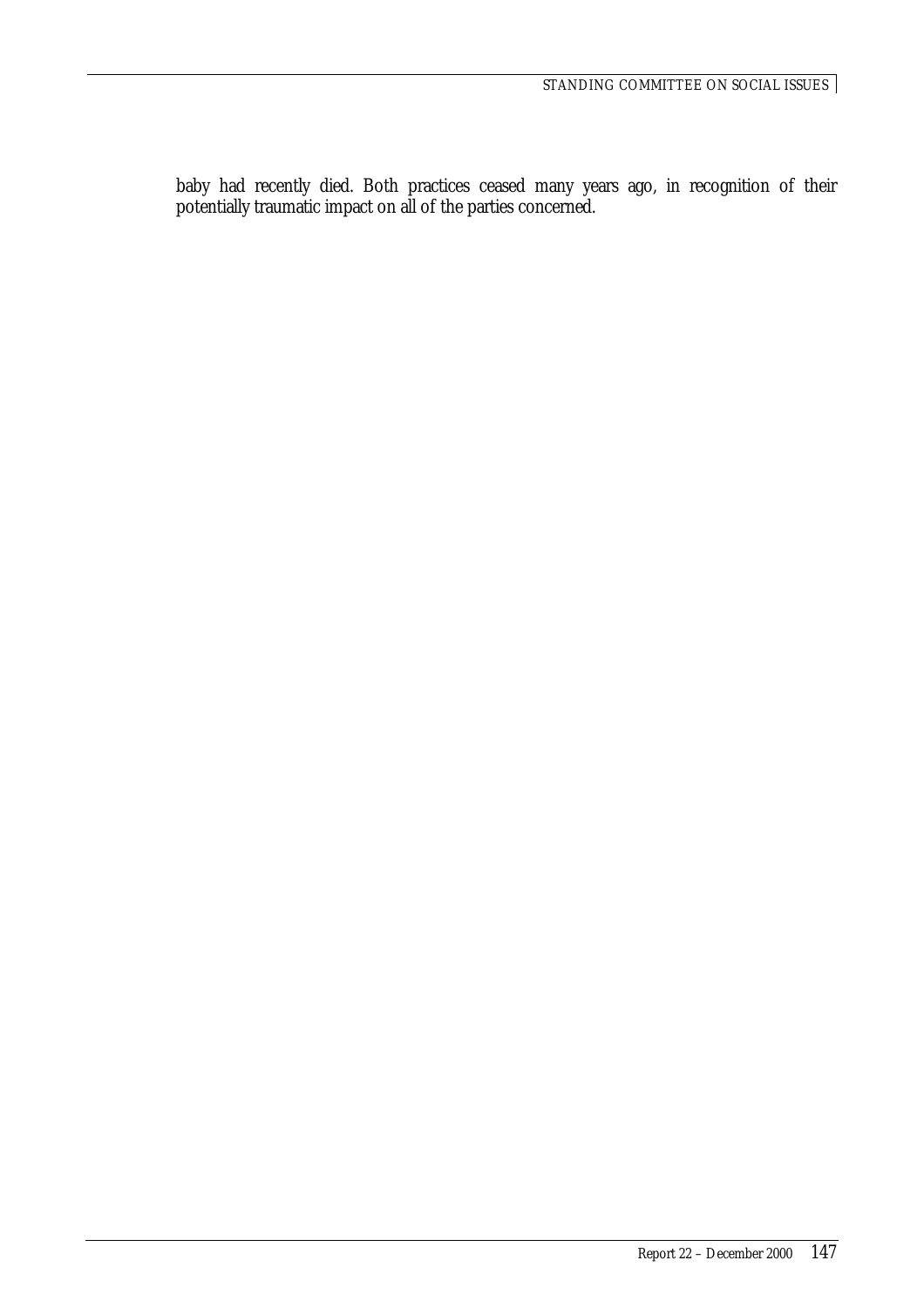baby had recently died. Both practices ceased many years ago, in recognition of their potentially traumatic impact on all of the parties concerned.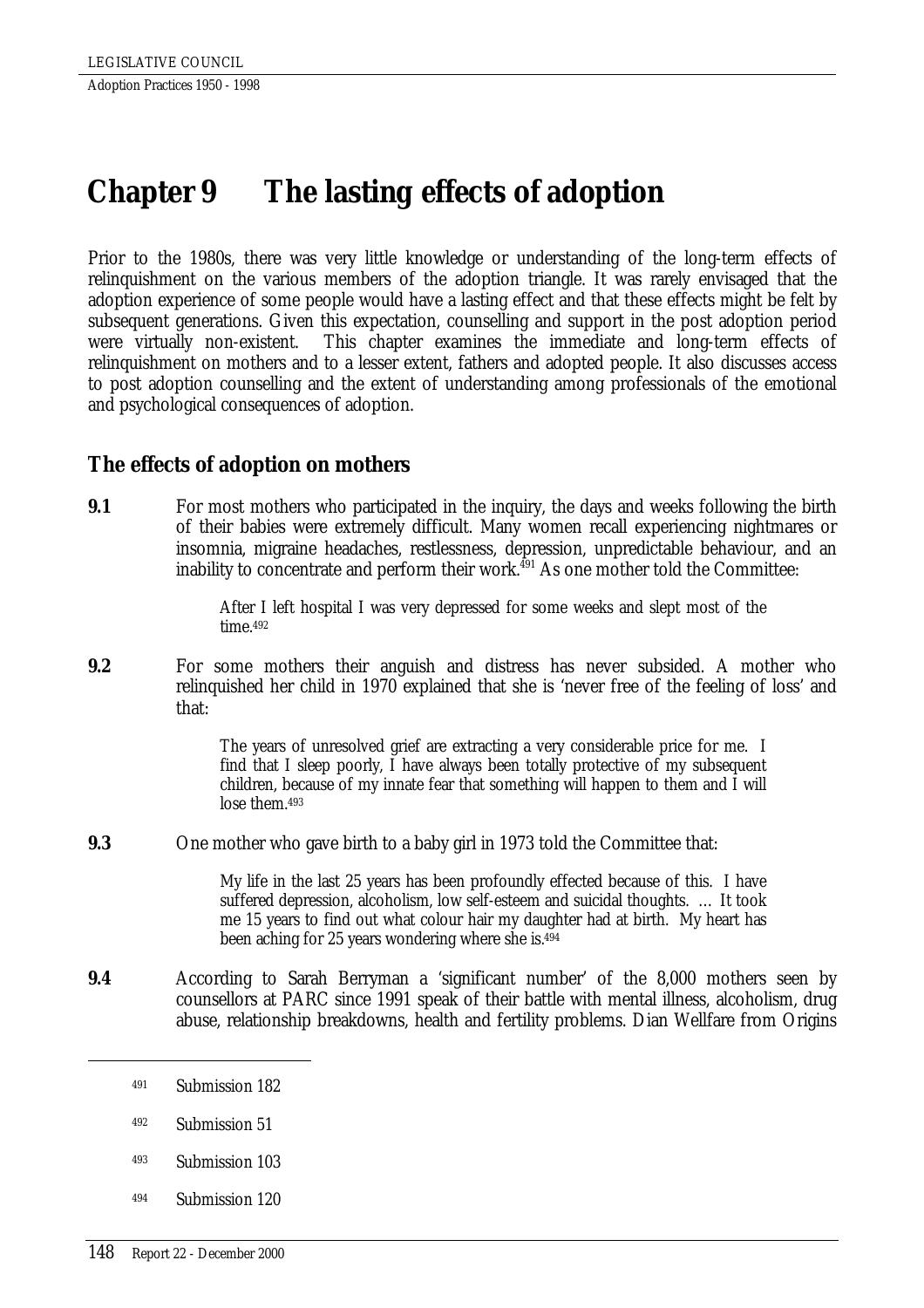# **Chapter 9 The lasting effects of adoption**

Prior to the 1980s, there was very little knowledge or understanding of the long-term effects of relinquishment on the various members of the adoption triangle. It was rarely envisaged that the adoption experience of some people would have a lasting effect and that these effects might be felt by subsequent generations. Given this expectation, counselling and support in the post adoption period were virtually non-existent. This chapter examines the immediate and long-term effects of relinquishment on mothers and to a lesser extent, fathers and adopted people. It also discusses access to post adoption counselling and the extent of understanding among professionals of the emotional and psychological consequences of adoption.

# **The effects of adoption on mothers**

**9.1** For most mothers who participated in the inquiry, the days and weeks following the birth of their babies were extremely difficult. Many women recall experiencing nightmares or insomnia, migraine headaches, restlessness, depression, unpredictable behaviour, and an inability to concentrate and perform their work. $^{491}$  As one mother told the Committee:

> After I left hospital I was very depressed for some weeks and slept most of the time.<sup>492</sup>

**9.2** For some mothers their anguish and distress has never subsided. A mother who relinquished her child in 1970 explained that she is 'never free of the feeling of loss' and that:

> The years of unresolved grief are extracting a very considerable price for me. I find that I sleep poorly, I have always been totally protective of my subsequent children, because of my innate fear that something will happen to them and I will lose them.<sup>493</sup>

**9.3** One mother who gave birth to a baby girl in 1973 told the Committee that:

My life in the last 25 years has been profoundly effected because of this. I have suffered depression, alcoholism, low self-esteem and suicidal thoughts. … It took me 15 years to find out what colour hair my daughter had at birth. My heart has been aching for 25 years wondering where she is. 494

- **9.4** According to Sarah Berryman a 'significant number' of the 8,000 mothers seen by counsellors at PARC since 1991 speak of their battle with mental illness, alcoholism, drug abuse, relationship breakdowns, health and fertility problems. Dian Wellfare from Origins
	- <sup>491</sup> Submission 182

- <sup>492</sup> Submission 51
- <sup>493</sup> Submission 103
- <sup>494</sup> Submission 120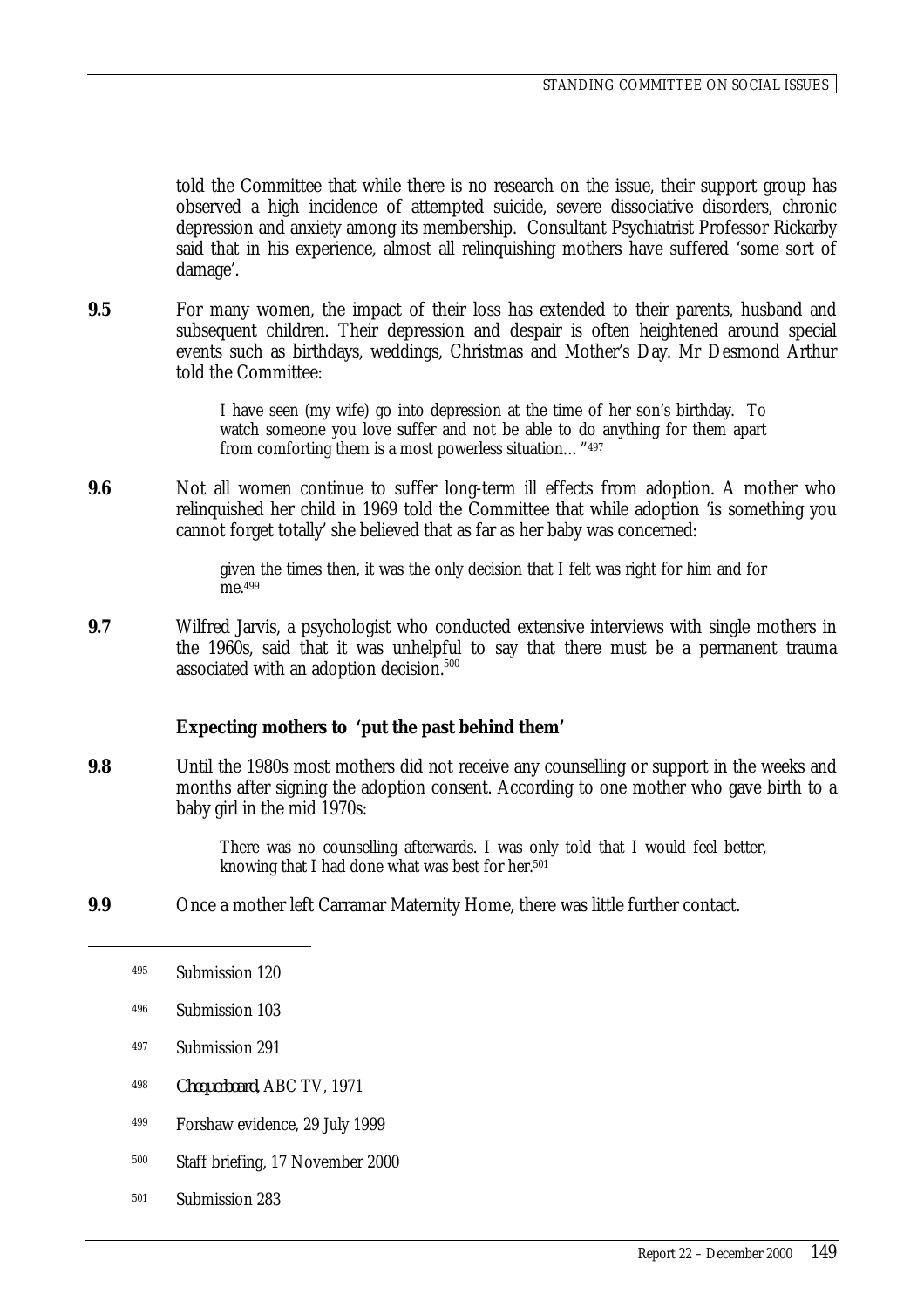told the Committee that while there is no research on the issue, their support group has observed a high incidence of attempted suicide, severe dissociative disorders, chronic depression and anxiety among its membership. Consultant Psychiatrist Professor Rickarby said that in his experience, almost all relinquishing mothers have suffered 'some sort of damage'.

**9.5** For many women, the impact of their loss has extended to their parents, husband and subsequent children. Their depression and despair is often heightened around special events such as birthdays, weddings, Christmas and Mother's Day. Mr Desmond Arthur told the Committee:

> I have seen (my wife) go into depression at the time of her son's birthday. To watch someone you love suffer and not be able to do anything for them apart from comforting them is a most powerless situation…"<sup>497</sup>

**9.6** Not all women continue to suffer long-term ill effects from adoption. A mother who relinquished her child in 1969 told the Committee that while adoption 'is something you cannot forget totally' she believed that as far as her baby was concerned:

> given the times then, it was the only decision that I felt was right for him and for me.<sup>499</sup>

**9.7** Wilfred Jarvis, a psychologist who conducted extensive interviews with single mothers in the 1960s, said that it was unhelpful to say that there must be a permanent trauma associated with an adoption decision.<sup>500</sup>

### **Expecting mothers to 'put the past behind them'**

**9.8** Until the 1980s most mothers did not receive any counselling or support in the weeks and months after signing the adoption consent. According to one mother who gave birth to a baby girl in the mid 1970s:

> There was no counselling afterwards. I was only told that I would feel better, knowing that I had done what was best for her.<sup>501</sup>

**9.9** Once a mother left Carramar Maternity Home, there was little further contact.

- <sup>496</sup> Submission 103
- <sup>497</sup> Submission 291
- <sup>498</sup> *Chequerboard,* ABC TV, 1971
- <sup>499</sup> Forshaw evidence, 29 July 1999
- <sup>500</sup> Staff briefing, 17 November 2000
- <sup>501</sup> Submission 283

<sup>495</sup> Submission 120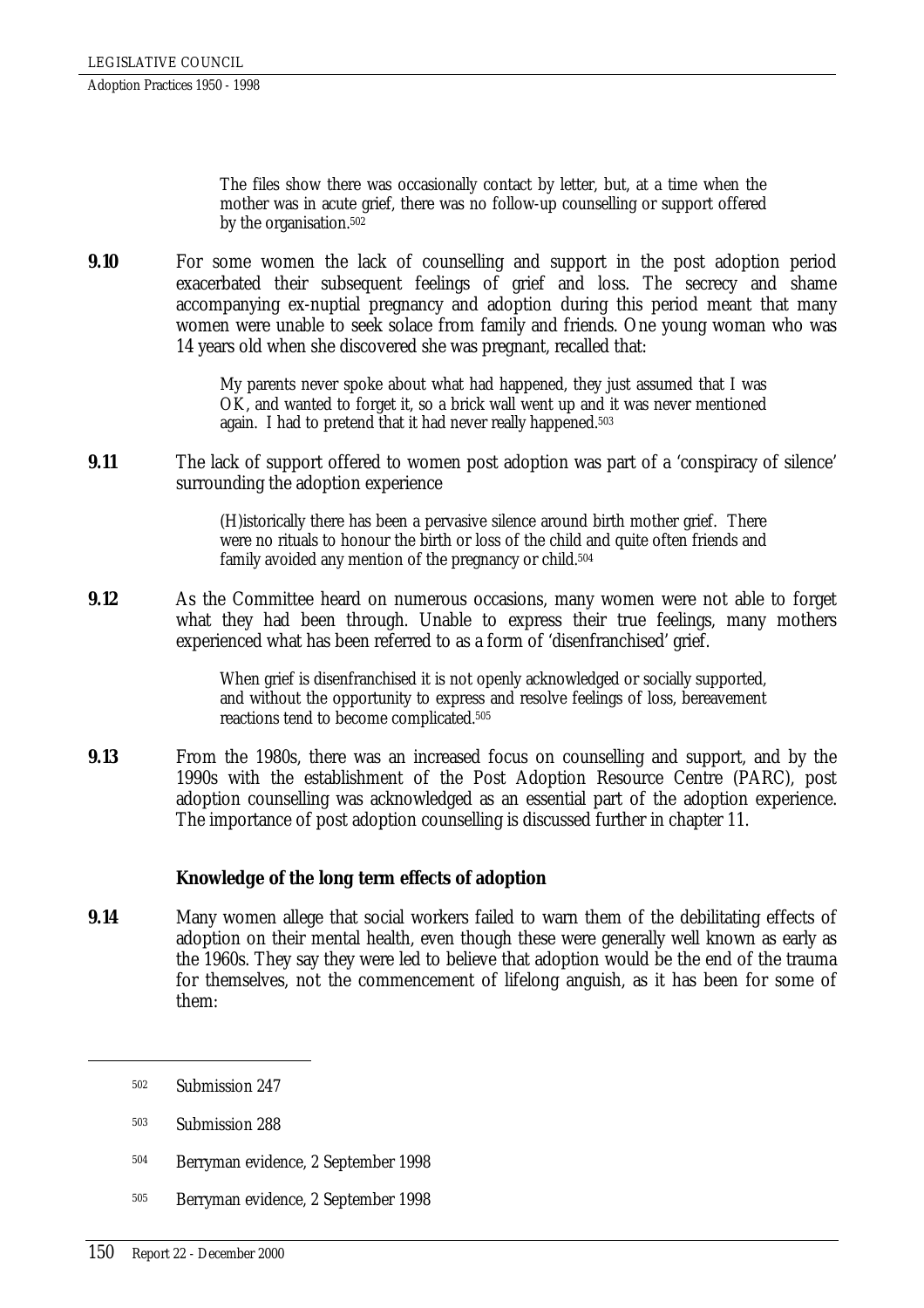The files show there was occasionally contact by letter, but, at a time when the mother was in acute grief, there was no follow-up counselling or support offered by the organisation.<sup>502</sup>

**9.10** For some women the lack of counselling and support in the post adoption period exacerbated their subsequent feelings of grief and loss. The secrecy and shame accompanying ex-nuptial pregnancy and adoption during this period meant that many women were unable to seek solace from family and friends. One young woman who was 14 years old when she discovered she was pregnant, recalled that:

> My parents never spoke about what had happened, they just assumed that I was OK, and wanted to forget it, so a brick wall went up and it was never mentioned again. I had to pretend that it had never really happened.<sup>503</sup>

**9.11** The lack of support offered to women post adoption was part of a 'conspiracy of silence' surrounding the adoption experience

> (H)istorically there has been a pervasive silence around birth mother grief. There were no rituals to honour the birth or loss of the child and quite often friends and family avoided any mention of the pregnancy or child.<sup>504</sup>

**9.12** As the Committee heard on numerous occasions, many women were not able to forget what they had been through. Unable to express their true feelings, many mothers experienced what has been referred to as a form of 'disenfranchised' grief.

> When grief is disenfranchised it is not openly acknowledged or socially supported, and without the opportunity to express and resolve feelings of loss, bereavement reactions tend to become complicated.<sup>505</sup>

**9.13** From the 1980s, there was an increased focus on counselling and support, and by the 1990s with the establishment of the Post Adoption Resource Centre (PARC), post adoption counselling was acknowledged as an essential part of the adoption experience. The importance of post adoption counselling is discussed further in chapter 11.

## **Knowledge of the long term effects of adoption**

**9.14** Many women allege that social workers failed to warn them of the debilitating effects of adoption on their mental health, even though these were generally well known as early as the 1960s. They say they were led to believe that adoption would be the end of the trauma for themselves, not the commencement of lifelong anguish, as it has been for some of them:

- <sup>504</sup> Berryman evidence, 2 September 1998
- <sup>505</sup> Berryman evidence, 2 September 1998

<sup>502</sup> Submission 247

<sup>503</sup> Submission 288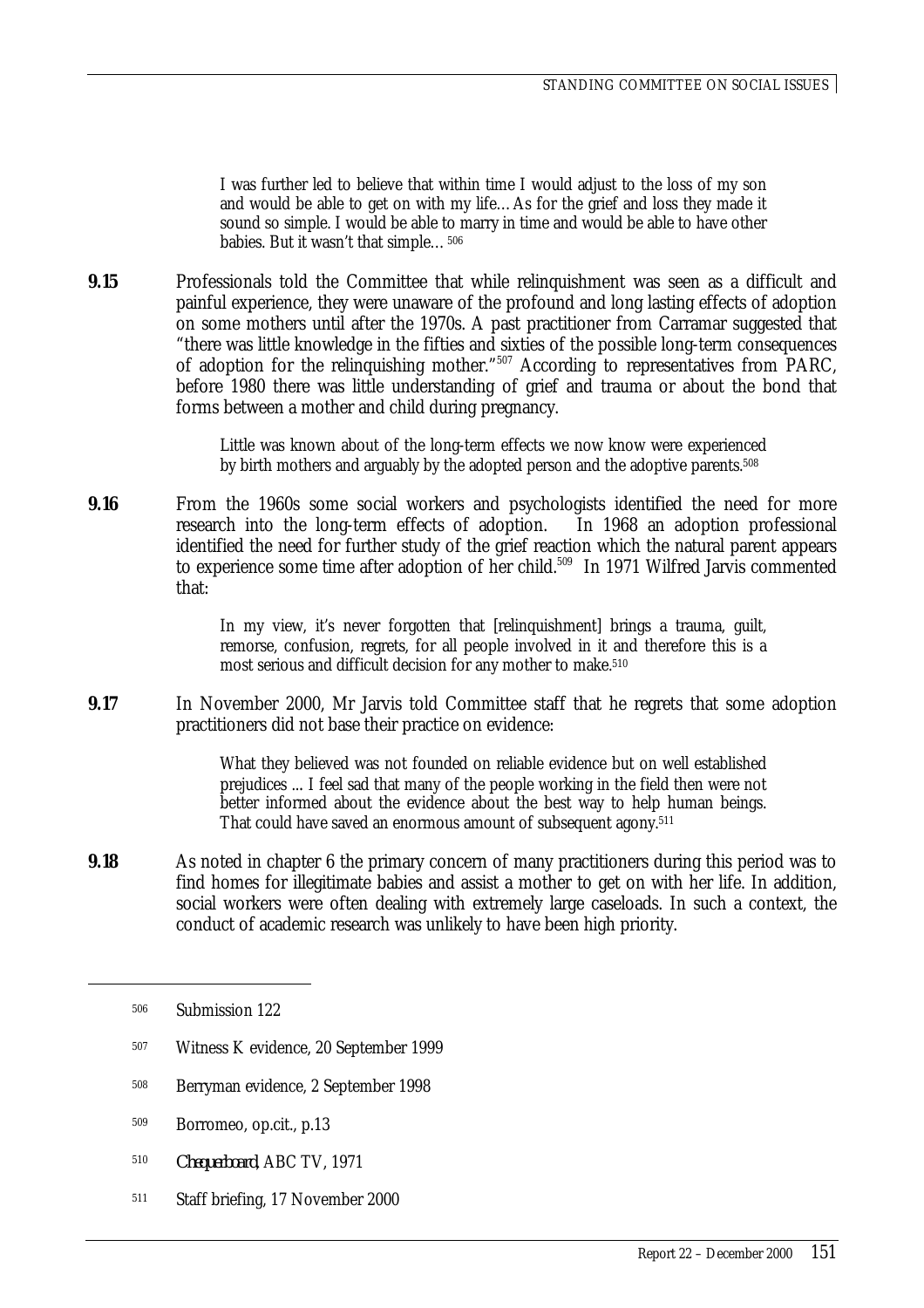I was further led to believe that within time I would adjust to the loss of my son and would be able to get on with my life…As for the grief and loss they made it sound so simple. I would be able to marry in time and would be able to have other babies. But it wasn't that simple…<sup>506</sup>

**9.15** Professionals told the Committee that while relinguishment was seen as a difficult and painful experience, they were unaware of the profound and long lasting effects of adoption on some mothers until after the 1970s. A past practitioner from Carramar suggested that "there was little knowledge in the fifties and sixties of the possible long-term consequences of adoption for the relinquishing mother."<sup>507</sup> According to representatives from PARC, before 1980 there was little understanding of grief and trauma or about the bond that forms between a mother and child during pregnancy.

> Little was known about of the long-term effects we now know were experienced by birth mothers and arguably by the adopted person and the adoptive parents.<sup>508</sup>

**9.16** From the 1960s some social workers and psychologists identified the need for more research into the long-term effects of adoption. In 1968 an adoption professional identified the need for further study of the grief reaction which the natural parent appears to experience some time after adoption of her child.<sup>509</sup> In 1971 Wilfred Jarvis commented that:

> In my view, it's never forgotten that [relinquishment] brings a trauma, guilt, remorse, confusion, regrets, for all people involved in it and therefore this is a most serious and difficult decision for any mother to make.<sup>510</sup>

**9.17** In November 2000, Mr Jarvis told Committee staff that he regrets that some adoption practitioners did not base their practice on evidence:

> What they believed was not founded on reliable evidence but on well established prejudices ... I feel sad that many of the people working in the field then were not better informed about the evidence about the best way to help human beings. That could have saved an enormous amount of subsequent agony.<sup>511</sup>

**9.18** As noted in chapter 6 the primary concern of many practitioners during this period was to find homes for illegitimate babies and assist a mother to get on with her life. In addition, social workers were often dealing with extremely large caseloads. In such a context, the conduct of academic research was unlikely to have been high priority.

- <sup>507</sup> Witness K evidence, 20 September 1999
- <sup>508</sup> Berryman evidence, 2 September 1998
- <sup>509</sup> Borromeo, op.cit., p.13
- <sup>510</sup> *Chequerboard*, ABC TV, 1971
- <sup>511</sup> Staff briefing, 17 November 2000

<sup>506</sup> Submission 122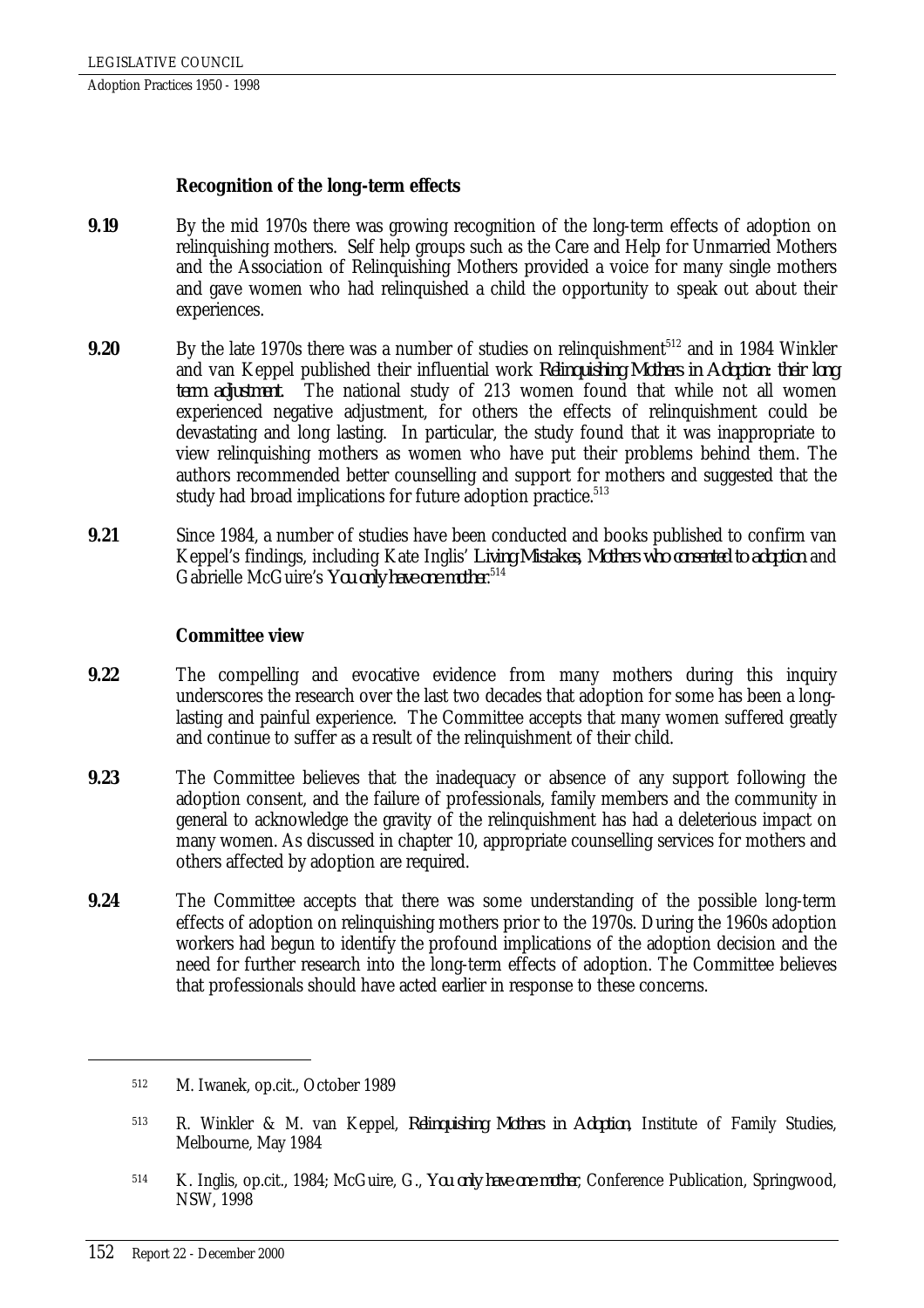### **Recognition of the long-term effects**

- **9.19** By the mid 1970s there was growing recognition of the long-term effects of adoption on relinquishing mothers. Self help groups such as the Care and Help for Unmarried Mothers and the Association of Relinquishing Mothers provided a voice for many single mothers and gave women who had relinquished a child the opportunity to speak out about their experiences.
- **9.20** By the late 1970s there was a number of studies on relinguishment<sup>512</sup> and in 1984 Winkler and van Keppel published their influential work *Relinquishing Mothers in Adoption: their long term adjustment*. The national study of 213 women found that while not all women experienced negative adjustment, for others the effects of relinquishment could be devastating and long lasting. In particular, the study found that it was inappropriate to view relinquishing mothers as women who have put their problems behind them. The authors recommended better counselling and support for mothers and suggested that the study had broad implications for future adoption practice.<sup>513</sup>
- **9.21** Since 1984, a number of studies have been conducted and books published to confirm van Keppel's findings, including Kate Inglis' *Living Mistakes, Mothers who consented to adoption* and Gabrielle McGuire's *You only have one mother*. 514

### **Committee view**

- **9.22** The compelling and evocative evidence from many mothers during this inquiry underscores the research over the last two decades that adoption for some has been a longlasting and painful experience. The Committee accepts that many women suffered greatly and continue to suffer as a result of the relinquishment of their child.
- **9.23** The Committee believes that the inadequacy or absence of any support following the adoption consent, and the failure of professionals, family members and the community in general to acknowledge the gravity of the relinquishment has had a deleterious impact on many women. As discussed in chapter 10, appropriate counselling services for mothers and others affected by adoption are required.
- **9.24** The Committee accepts that there was some understanding of the possible long-term effects of adoption on relinquishing mothers prior to the 1970s. During the 1960s adoption workers had begun to identify the profound implications of the adoption decision and the need for further research into the long-term effects of adoption. The Committee believes that professionals should have acted earlier in response to these concerns.

<sup>514</sup> K. Inglis, op.cit., 1984; McGuire, G., *You only have one mother*, Conference Publication, Springwood, NSW, 1998

<sup>512</sup> M. Iwanek, op.cit., October 1989

<sup>513</sup> R. Winkler & M. van Keppel, *Relinquishing Mothers in Adoption*, Institute of Family Studies, Melbourne, May 1984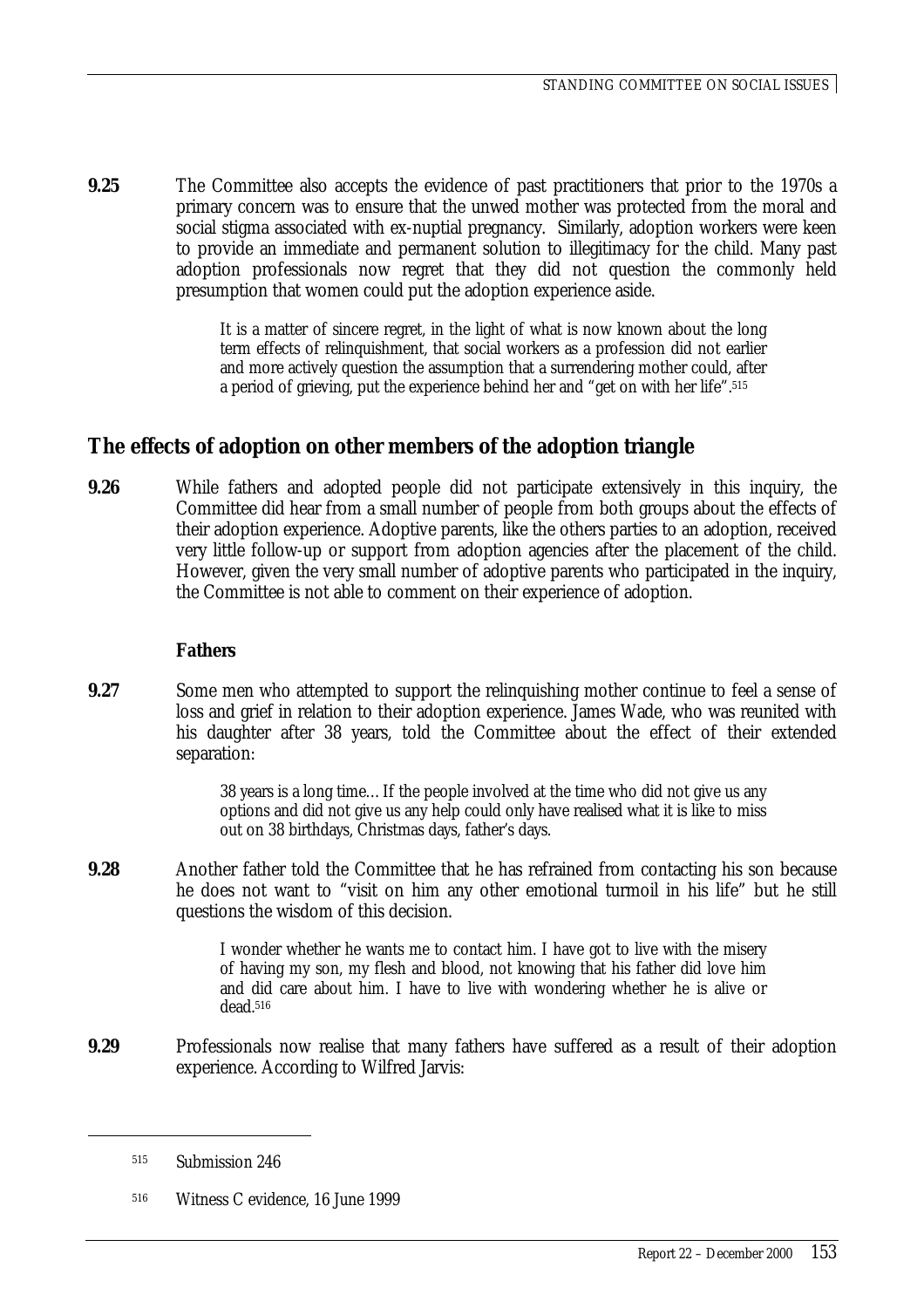**9.25** The Committee also accepts the evidence of past practitioners that prior to the 1970s a primary concern was to ensure that the unwed mother was protected from the moral and social stigma associated with ex-nuptial pregnancy. Similarly, adoption workers were keen to provide an immediate and permanent solution to illegitimacy for the child. Many past adoption professionals now regret that they did not question the commonly held presumption that women could put the adoption experience aside.

> It is a matter of sincere regret, in the light of what is now known about the long term effects of relinquishment, that social workers as a profession did not earlier and more actively question the assumption that a surrendering mother could, after a period of grieving, put the experience behind her and "get on with her life".<sup>515</sup>

# **The effects of adoption on other members of the adoption triangle**

**9.26** While fathers and adopted people did not participate extensively in this inquiry, the Committee did hear from a small number of people from both groups about the effects of their adoption experience. Adoptive parents, like the others parties to an adoption, received very little follow-up or support from adoption agencies after the placement of the child. However, given the very small number of adoptive parents who participated in the inquiry, the Committee is not able to comment on their experience of adoption.

# **Fathers**

**9.27** Some men who attempted to support the relinguishing mother continue to feel a sense of loss and grief in relation to their adoption experience. James Wade, who was reunited with his daughter after 38 years, told the Committee about the effect of their extended separation:

> 38 years is a long time…If the people involved at the time who did not give us any options and did not give us any help could only have realised what it is like to miss out on 38 birthdays, Christmas days, father's days.

**9.28** Another father told the Committee that he has refrained from contacting his son because he does not want to "visit on him any other emotional turmoil in his life" but he still questions the wisdom of this decision.

> I wonder whether he wants me to contact him. I have got to live with the misery of having my son, my flesh and blood, not knowing that his father did love him and did care about him. I have to live with wondering whether he is alive or dead.<sup>516</sup>

**9.29** Professionals now realise that many fathers have suffered as a result of their adoption experience. According to Wilfred Jarvis:

<sup>515</sup> Submission 246

<sup>516</sup> Witness C evidence, 16 June 1999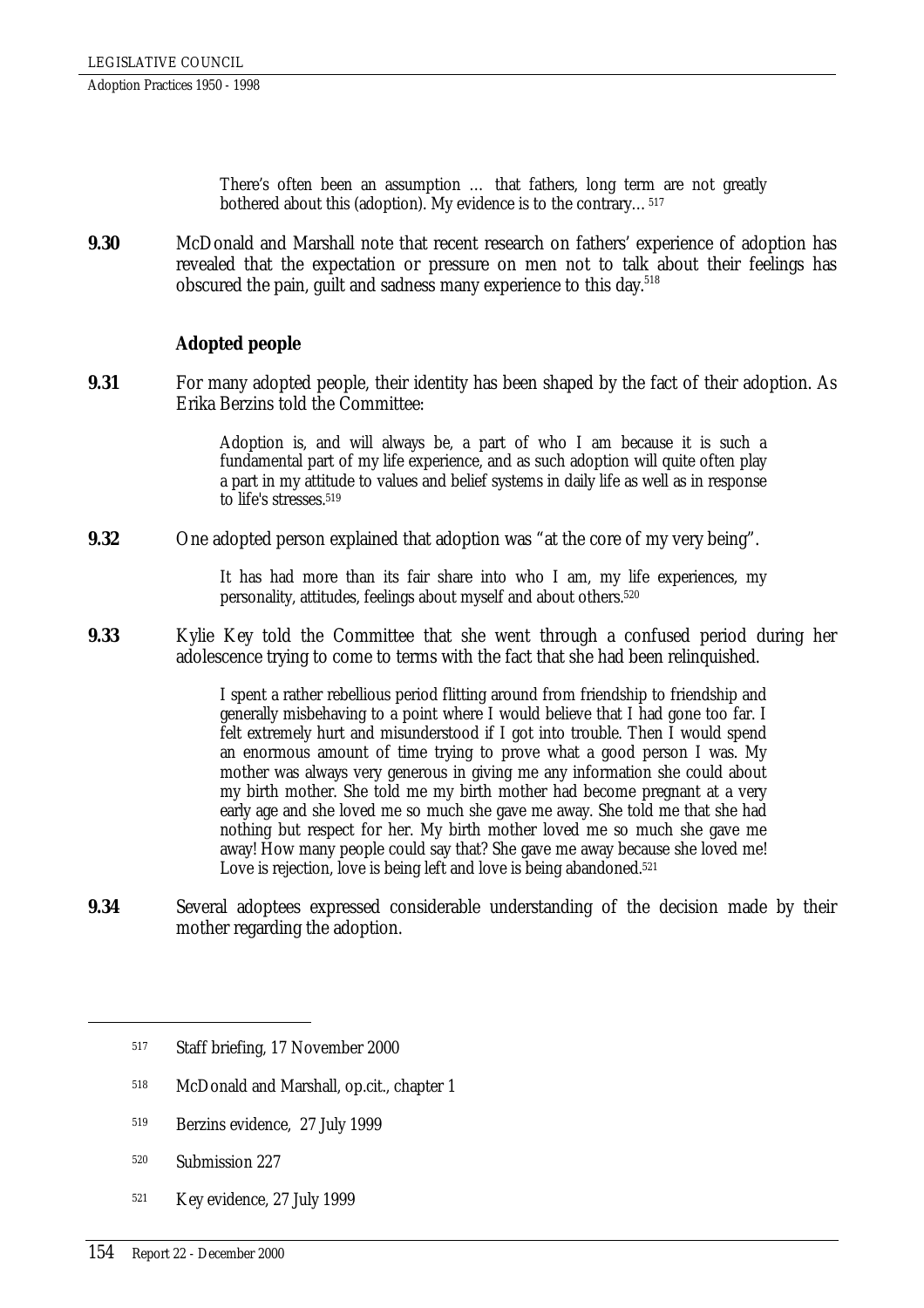There's often been an assumption … that fathers, long term are not greatly bothered about this (adoption). My evidence is to the contrary…<sup>517</sup>

**9.30** McDonald and Marshall note that recent research on fathers' experience of adoption has revealed that the expectation or pressure on men not to talk about their feelings has obscured the pain, guilt and sadness many experience to this day.<sup>518</sup>

# **Adopted people**

**9.31** For many adopted people, their identity has been shaped by the fact of their adoption. As Erika Berzins told the Committee:

> Adoption is, and will always be, a part of who I am because it is such a fundamental part of my life experience, and as such adoption will quite often play a part in my attitude to values and belief systems in daily life as well as in response to life's stresses.<sup>519</sup>

**9.32** One adopted person explained that adoption was "at the core of my very being".

It has had more than its fair share into who I am, my life experiences, my personality, attitudes, feelings about myself and about others.<sup>520</sup>

**9.33** Kylie Key told the Committee that she went through a confused period during her adolescence trying to come to terms with the fact that she had been relinquished.

> I spent a rather rebellious period flitting around from friendship to friendship and generally misbehaving to a point where I would believe that I had gone too far. I felt extremely hurt and misunderstood if I got into trouble. Then I would spend an enormous amount of time trying to prove what a good person I was. My mother was always very generous in giving me any information she could about my birth mother. She told me my birth mother had become pregnant at a very early age and she loved me so much she gave me away. She told me that she had nothing but respect for her. My birth mother loved me so much she gave me away! How many people could say that? She gave me away because she loved me! Love is rejection, love is being left and love is being abandoned.<sup>521</sup>

**9.34** Several adoptees expressed considerable understanding of the decision made by their mother regarding the adoption.

- <sup>518</sup> McDonald and Marshall, op.cit., chapter 1
- <sup>519</sup> Berzins evidence, 27 July 1999
- <sup>520</sup> Submission 227
- <sup>521</sup> Key evidence, 27 July 1999

<sup>517</sup> Staff briefing, 17 November 2000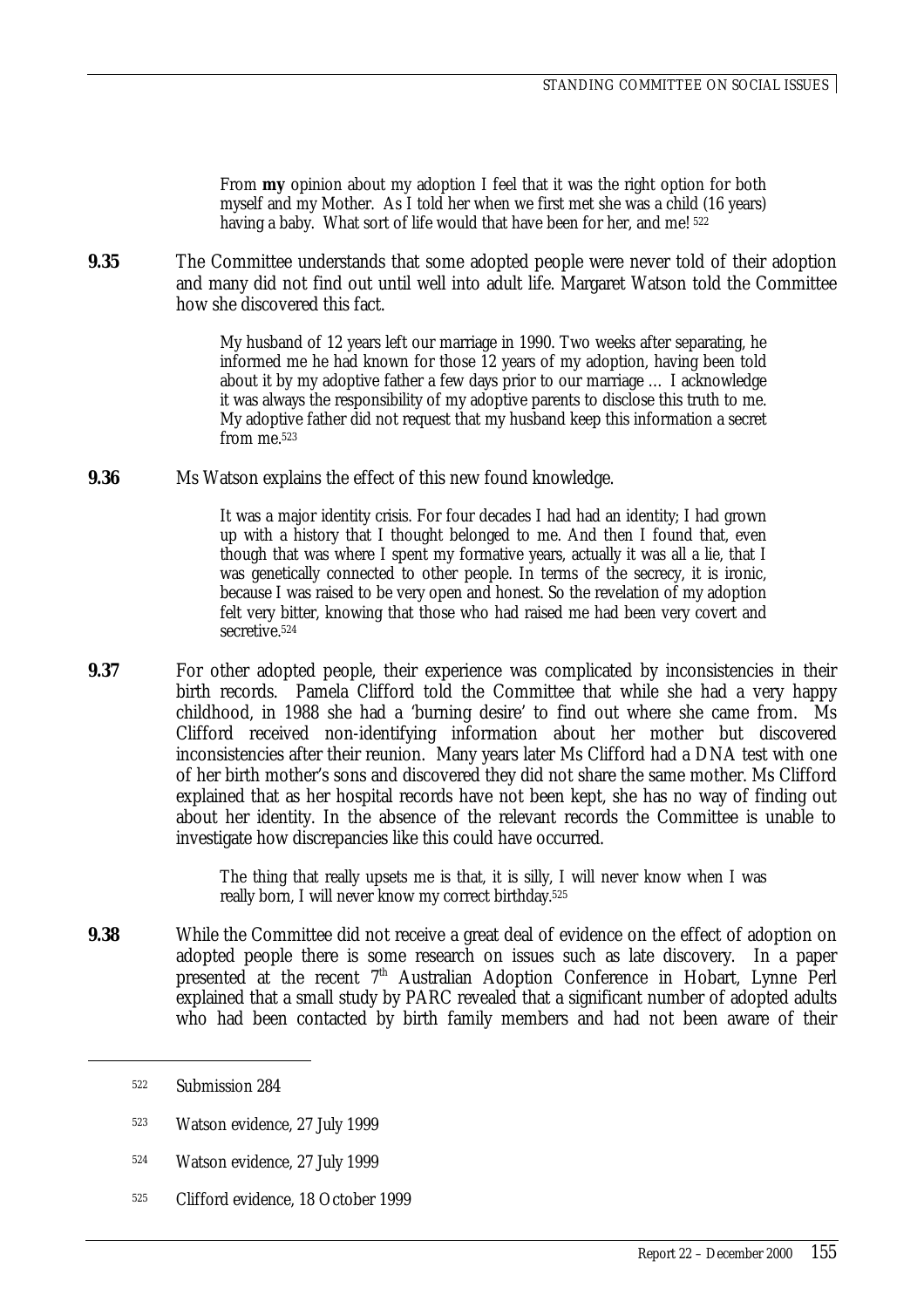From **my** opinion about my adoption I feel that it was the right option for both myself and my Mother. As I told her when we first met she was a child (16 years) having a baby. What sort of life would that have been for her, and me! <sup>522</sup>

**9.35** The Committee understands that some adopted people were never told of their adoption and many did not find out until well into adult life. Margaret Watson told the Committee how she discovered this fact.

> My husband of 12 years left our marriage in 1990. Two weeks after separating, he informed me he had known for those 12 years of my adoption, having been told about it by my adoptive father a few days prior to our marriage … I acknowledge it was always the responsibility of my adoptive parents to disclose this truth to me. My adoptive father did not request that my husband keep this information a secret from me.<sup>523</sup>

**9.36** Ms Watson explains the effect of this new found knowledge.

It was a major identity crisis. For four decades I had had an identity; I had grown up with a history that I thought belonged to me. And then I found that, even though that was where I spent my formative years, actually it was all a lie, that I was genetically connected to other people. In terms of the secrecy, it is ironic, because I was raised to be very open and honest. So the revelation of my adoption felt very bitter, knowing that those who had raised me had been very covert and secretive.<sup>524</sup>

**9.37** For other adopted people, their experience was complicated by inconsistencies in their birth records. Pamela Clifford told the Committee that while she had a very happy childhood, in 1988 she had a 'burning desire' to find out where she came from. Ms Clifford received non-identifying information about her mother but discovered inconsistencies after their reunion. Many years later Ms Clifford had a DNA test with one of her birth mother's sons and discovered they did not share the same mother. Ms Clifford explained that as her hospital records have not been kept, she has no way of finding out about her identity. In the absence of the relevant records the Committee is unable to investigate how discrepancies like this could have occurred.

> The thing that really upsets me is that, it is silly, I will never know when I was really born, I will never know my correct birthday.<sup>525</sup>

**9.38** While the Committee did not receive a great deal of evidence on the effect of adoption on adopted people there is some research on issues such as late discovery. In a paper presented at the recent 7<sup>th</sup> Australian Adoption Conference in Hobart, Lynne Perl explained that a small study by PARC revealed that a significant number of adopted adults who had been contacted by birth family members and had not been aware of their

- <sup>523</sup> Watson evidence, 27 July 1999
- <sup>524</sup> Watson evidence, 27 July 1999
- <sup>525</sup> Clifford evidence, 18 October 1999

<sup>522</sup> Submission 284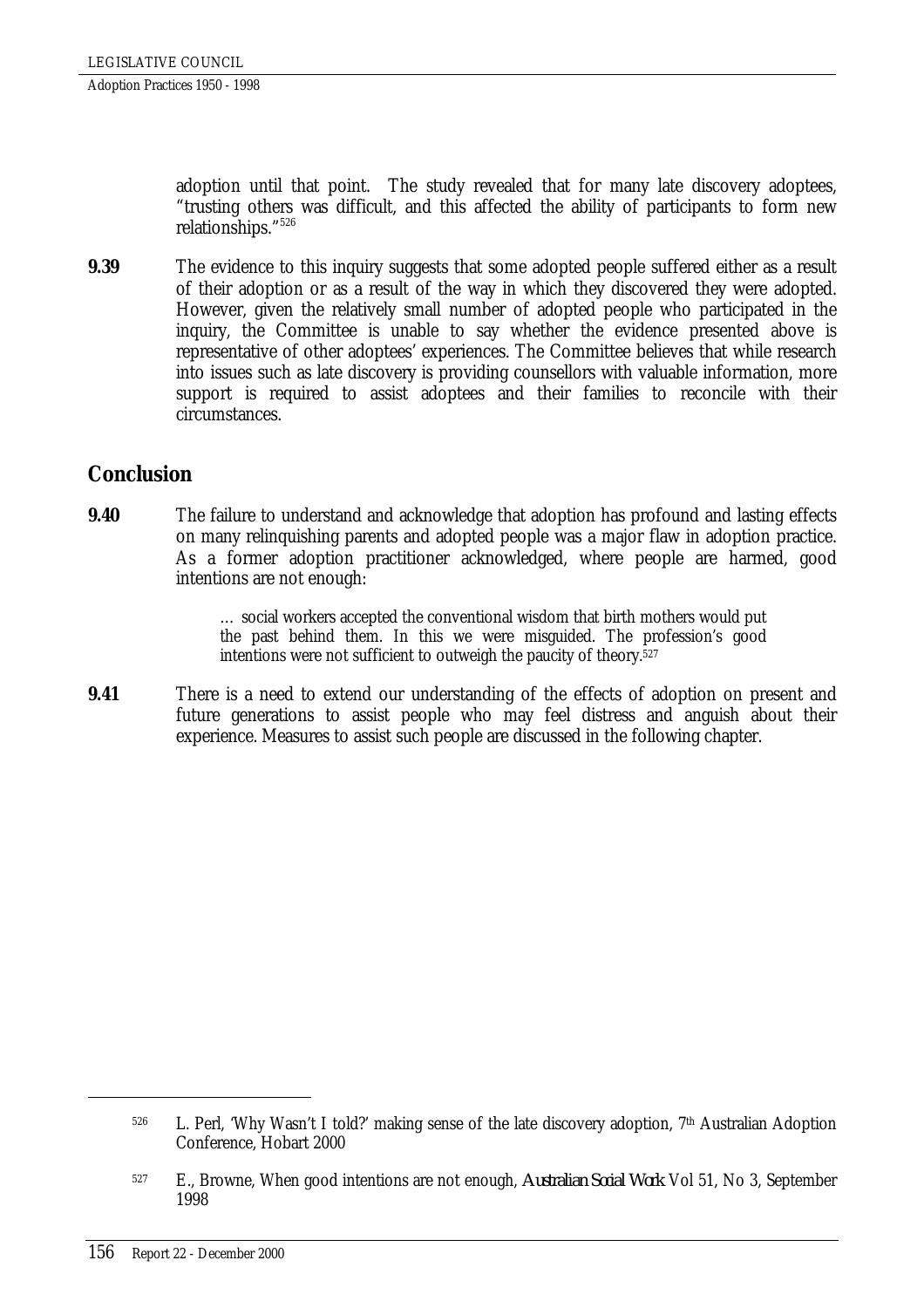adoption until that point. The study revealed that for many late discovery adoptees, "trusting others was difficult, and this affected the ability of participants to form new relationships."<sup>526</sup>

**9.39** The evidence to this inquiry suggests that some adopted people suffered either as a result of their adoption or as a result of the way in which they discovered they were adopted. However, given the relatively small number of adopted people who participated in the inquiry, the Committee is unable to say whether the evidence presented above is representative of other adoptees' experiences. The Committee believes that while research into issues such as late discovery is providing counsellors with valuable information, more support is required to assist adoptees and their families to reconcile with their circumstances.

# **Conclusion**

**9.40** The failure to understand and acknowledge that adoption has profound and lasting effects on many relinquishing parents and adopted people was a major flaw in adoption practice. As a former adoption practitioner acknowledged, where people are harmed, good intentions are not enough:

> … social workers accepted the conventional wisdom that birth mothers would put the past behind them. In this we were misguided. The profession's good intentions were not sufficient to outweigh the paucity of theory.<sup>527</sup>

**9.41** There is a need to extend our understanding of the effects of adoption on present and future generations to assist people who may feel distress and anguish about their experience. Measures to assist such people are discussed in the following chapter.

<sup>526</sup> L. Perl, 'Why Wasn't I told?' making sense of the late discovery adoption, 7th Australian Adoption Conference, Hobart 2000

<sup>527</sup> E., Browne, When good intentions are not enough, *Australian Social Work* Vol 51, No 3, September 1998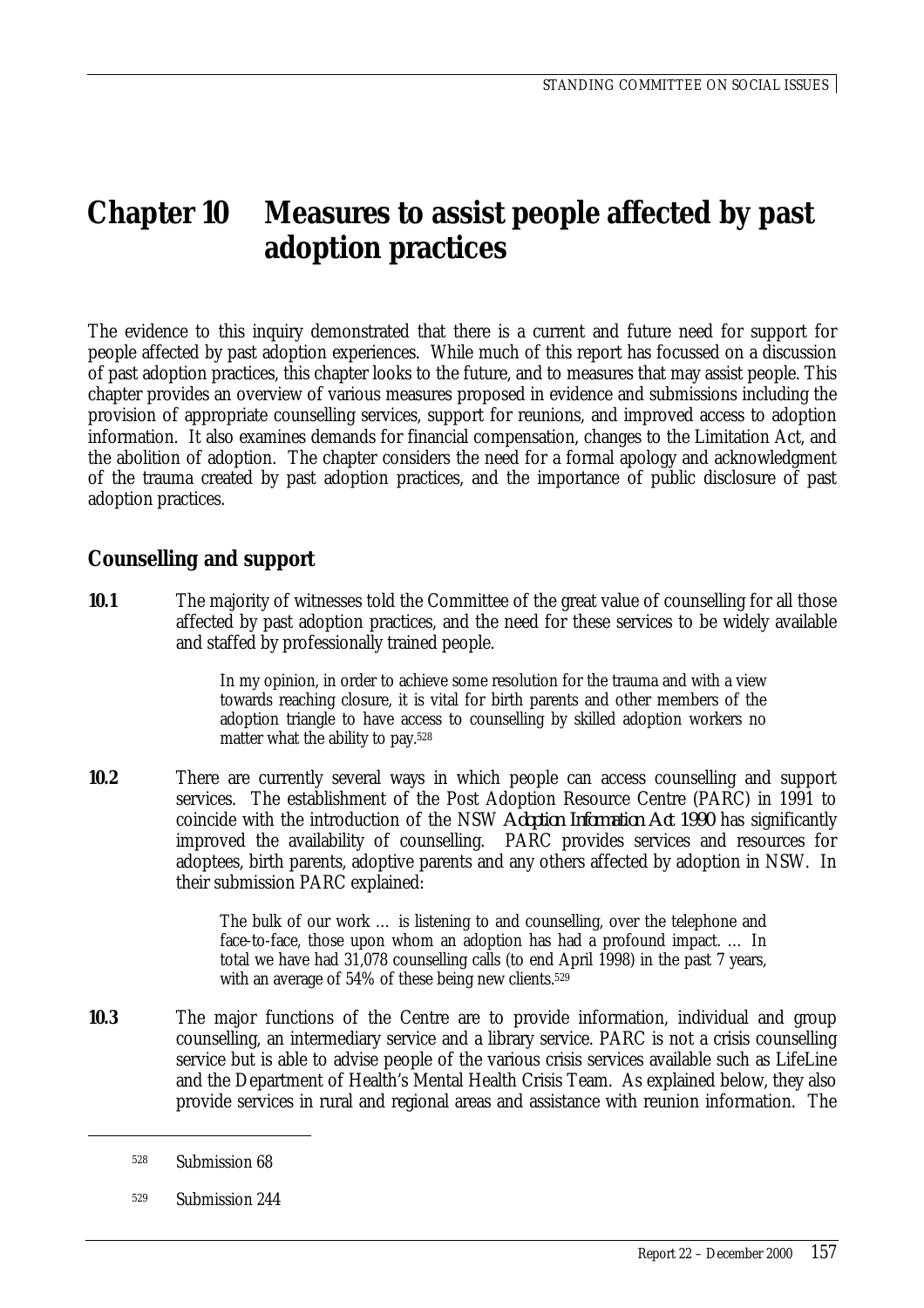# **Chapter 10 Measures to assist people affected by past adoption practices**

The evidence to this inquiry demonstrated that there is a current and future need for support for people affected by past adoption experiences. While much of this report has focussed on a discussion of past adoption practices, this chapter looks to the future, and to measures that may assist people. This chapter provides an overview of various measures proposed in evidence and submissions including the provision of appropriate counselling services, support for reunions, and improved access to adoption information. It also examines demands for financial compensation, changes to the Limitation Act, and the abolition of adoption. The chapter considers the need for a formal apology and acknowledgment of the trauma created by past adoption practices, and the importance of public disclosure of past adoption practices.

# **Counselling and support**

**10.1** The majority of witnesses told the Committee of the great value of counselling for all those affected by past adoption practices, and the need for these services to be widely available and staffed by professionally trained people.

> In my opinion, in order to achieve some resolution for the trauma and with a view towards reaching closure, it is vital for birth parents and other members of the adoption triangle to have access to counselling by skilled adoption workers no matter what the ability to pay.<sup>528</sup>

**10.2** There are currently several ways in which people can access counselling and support services. The establishment of the Post Adoption Resource Centre (PARC) in 1991 to coincide with the introduction of the NSW *Adoption Information Act 1990* has significantly improved the availability of counselling. PARC provides services and resources for adoptees, birth parents, adoptive parents and any others affected by adoption in NSW. In their submission PARC explained:

> The bulk of our work … is listening to and counselling, over the telephone and face-to-face, those upon whom an adoption has had a profound impact. … In total we have had 31,078 counselling calls (to end April 1998) in the past 7 years, with an average of 54% of these being new clients.<sup>529</sup>

**10.3** The major functions of the Centre are to provide information, individual and group counselling, an intermediary service and a library service. PARC is not a crisis counselling service but is able to advise people of the various crisis services available such as LifeLine and the Department of Health's Mental Health Crisis Team. As explained below, they also provide services in rural and regional areas and assistance with reunion information. The

<sup>528</sup> Submission 68

<sup>529</sup> Submission 244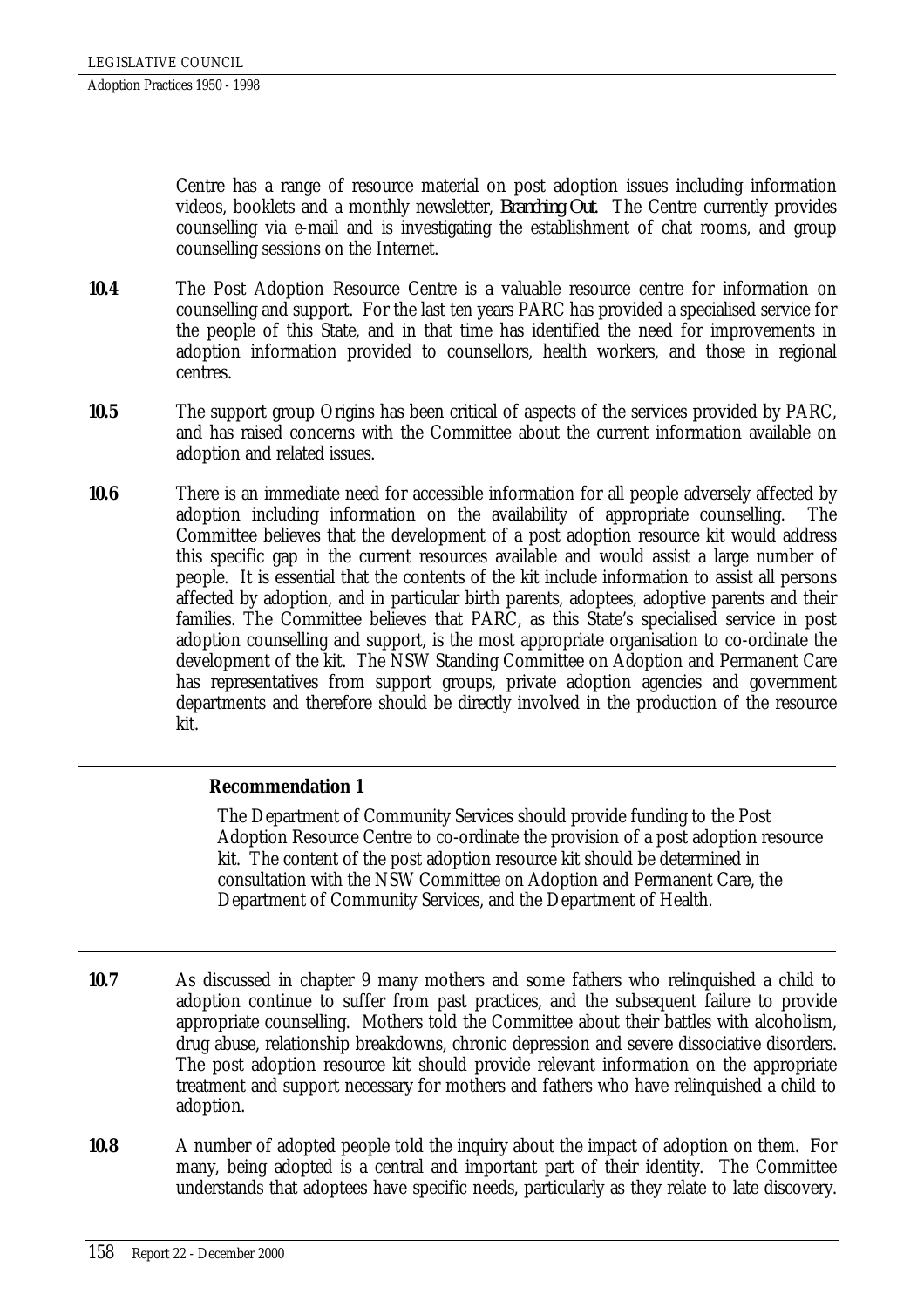Centre has a range of resource material on post adoption issues including information videos, booklets and a monthly newsletter, *Branching Out*. The Centre currently provides counselling via e-mail and is investigating the establishment of chat rooms, and group counselling sessions on the Internet.

- **10.4** The Post Adoption Resource Centre is a valuable resource centre for information on counselling and support. For the last ten years PARC has provided a specialised service for the people of this State, and in that time has identified the need for improvements in adoption information provided to counsellors, health workers, and those in regional centres.
- **10.5** The support group Origins has been critical of aspects of the services provided by PARC, and has raised concerns with the Committee about the current information available on adoption and related issues.
- **10.6** There is an immediate need for accessible information for all people adversely affected by adoption including information on the availability of appropriate counselling. The Committee believes that the development of a post adoption resource kit would address this specific gap in the current resources available and would assist a large number of people. It is essential that the contents of the kit include information to assist all persons affected by adoption, and in particular birth parents, adoptees, adoptive parents and their families. The Committee believes that PARC, as this State's specialised service in post adoption counselling and support, is the most appropriate organisation to co-ordinate the development of the kit. The NSW Standing Committee on Adoption and Permanent Care has representatives from support groups, private adoption agencies and government departments and therefore should be directly involved in the production of the resource kit.

# **Recommendation 1**

The Department of Community Services should provide funding to the Post Adoption Resource Centre to co-ordinate the provision of a post adoption resource kit. The content of the post adoption resource kit should be determined in consultation with the NSW Committee on Adoption and Permanent Care, the Department of Community Services, and the Department of Health.

**10.7** As discussed in chapter 9 many mothers and some fathers who relinquished a child to adoption continue to suffer from past practices, and the subsequent failure to provide appropriate counselling. Mothers told the Committee about their battles with alcoholism, drug abuse, relationship breakdowns, chronic depression and severe dissociative disorders. The post adoption resource kit should provide relevant information on the appropriate treatment and support necessary for mothers and fathers who have relinquished a child to adoption.

**10.8** A number of adopted people told the inquiry about the impact of adoption on them. For many, being adopted is a central and important part of their identity. The Committee understands that adoptees have specific needs, particularly as they relate to late discovery.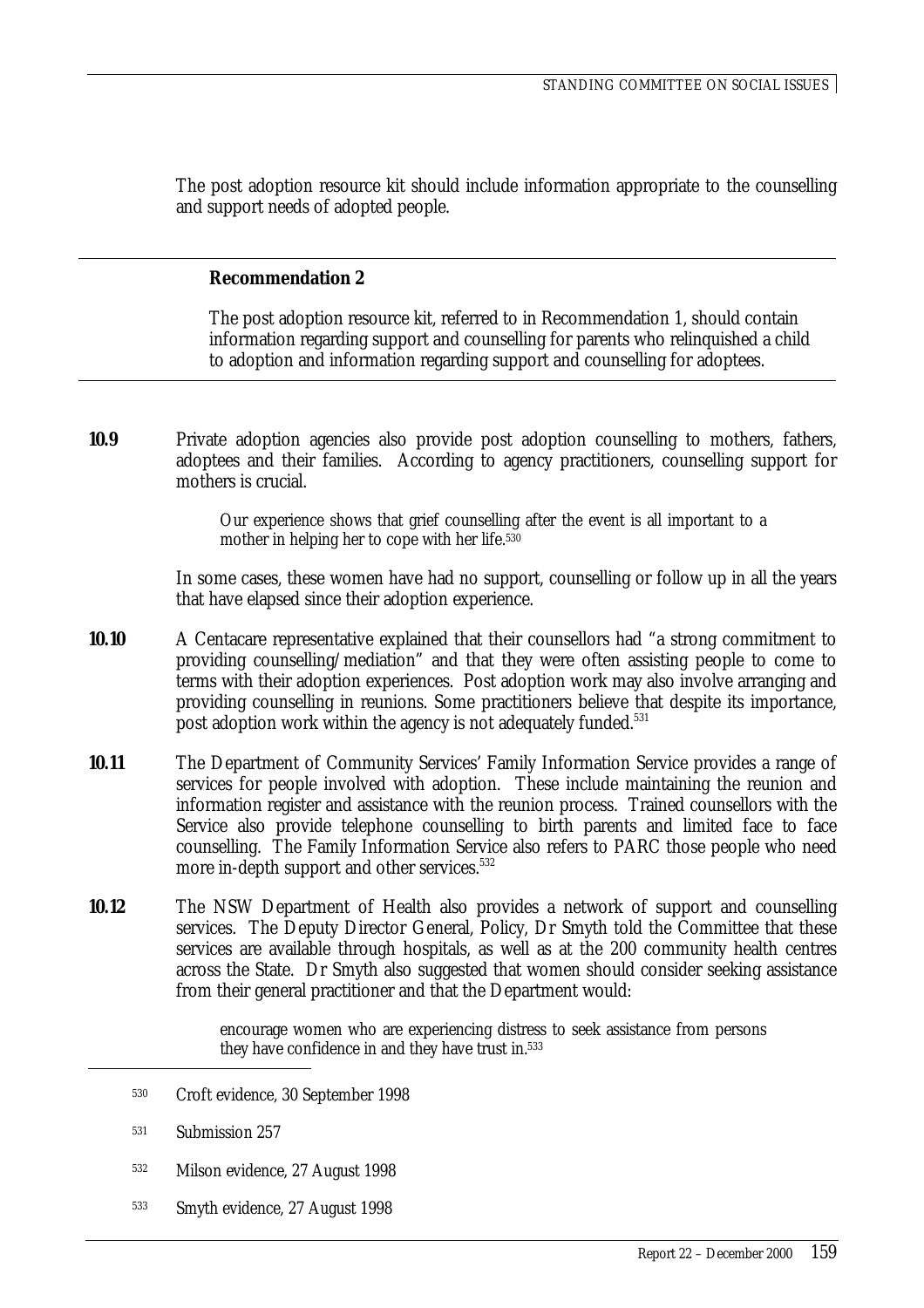The post adoption resource kit should include information appropriate to the counselling and support needs of adopted people.

### **Recommendation 2**

The post adoption resource kit, referred to in Recommendation 1, should contain information regarding support and counselling for parents who relinquished a child to adoption and information regarding support and counselling for adoptees.

**10.9** Private adoption agencies also provide post adoption counselling to mothers, fathers, adoptees and their families. According to agency practitioners, counselling support for mothers is crucial.

> Our experience shows that grief counselling after the event is all important to a mother in helping her to cope with her life.<sup>530</sup>

In some cases, these women have had no support, counselling or follow up in all the years that have elapsed since their adoption experience.

- **10.10** A Centacare representative explained that their counsellors had "a strong commitment to providing counselling/mediation" and that they were often assisting people to come to terms with their adoption experiences. Post adoption work may also involve arranging and providing counselling in reunions. Some practitioners believe that despite its importance, post adoption work within the agency is not adequately funded.<sup>531</sup>
- **10.11** The Department of Community Services' Family Information Service provides a range of services for people involved with adoption. These include maintaining the reunion and information register and assistance with the reunion process. Trained counsellors with the Service also provide telephone counselling to birth parents and limited face to face counselling. The Family Information Service also refers to PARC those people who need more in-depth support and other services.<sup>532</sup>
- **10.12** The NSW Department of Health also provides a network of support and counselling services. The Deputy Director General, Policy, Dr Smyth told the Committee that these services are available through hospitals, as well as at the 200 community health centres across the State. Dr Smyth also suggested that women should consider seeking assistance from their general practitioner and that the Department would:

encourage women who are experiencing distress to seek assistance from persons they have confidence in and they have trust in.<sup>533</sup>

- <sup>530</sup> Croft evidence, 30 September 1998
- <sup>531</sup> Submission 257

- <sup>532</sup> Milson evidence, 27 August 1998
- <sup>533</sup> Smyth evidence, 27 August 1998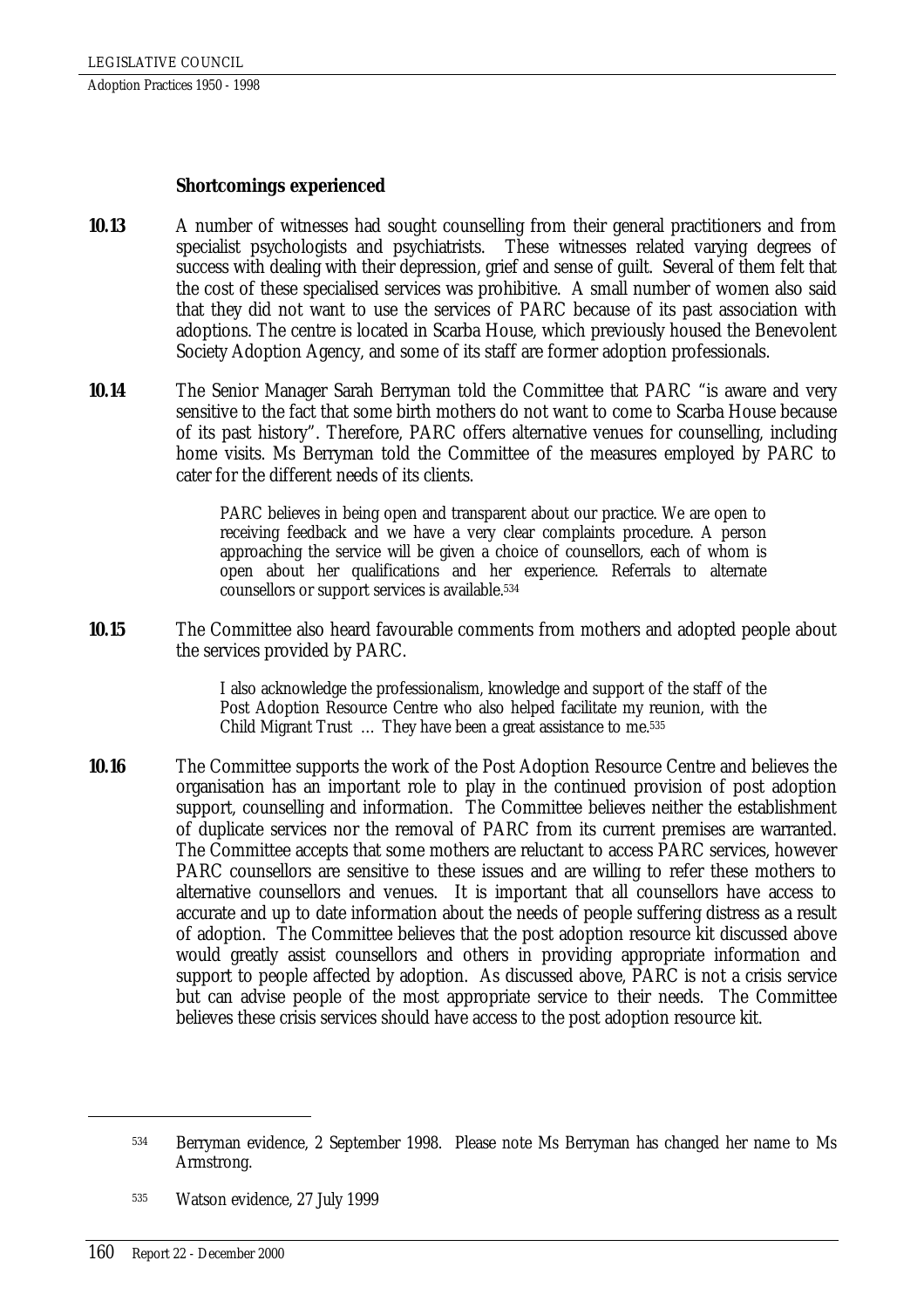# **Shortcomings experienced**

- **10.13** A number of witnesses had sought counselling from their general practitioners and from specialist psychologists and psychiatrists. These witnesses related varying degrees of success with dealing with their depression, grief and sense of guilt. Several of them felt that the cost of these specialised services was prohibitive. A small number of women also said that they did not want to use the services of PARC because of its past association with adoptions. The centre is located in Scarba House, which previously housed the Benevolent Society Adoption Agency, and some of its staff are former adoption professionals.
- 10.14 The Senior Manager Sarah Berryman told the Committee that PARC "is aware and very sensitive to the fact that some birth mothers do not want to come to Scarba House because of its past history". Therefore, PARC offers alternative venues for counselling, including home visits. Ms Berryman told the Committee of the measures employed by PARC to cater for the different needs of its clients.

PARC believes in being open and transparent about our practice. We are open to receiving feedback and we have a very clear complaints procedure. A person approaching the service will be given a choice of counsellors, each of whom is open about her qualifications and her experience. Referrals to alternate counsellors or support services is available.<sup>534</sup>

**10.15** The Committee also heard favourable comments from mothers and adopted people about the services provided by PARC.

> I also acknowledge the professionalism, knowledge and support of the staff of the Post Adoption Resource Centre who also helped facilitate my reunion, with the Child Migrant Trust … They have been a great assistance to me.<sup>535</sup>

**10.16** The Committee supports the work of the Post Adoption Resource Centre and believes the organisation has an important role to play in the continued provision of post adoption support, counselling and information. The Committee believes neither the establishment of duplicate services nor the removal of PARC from its current premises are warranted. The Committee accepts that some mothers are reluctant to access PARC services, however PARC counsellors are sensitive to these issues and are willing to refer these mothers to alternative counsellors and venues. It is important that all counsellors have access to accurate and up to date information about the needs of people suffering distress as a result of adoption. The Committee believes that the post adoption resource kit discussed above would greatly assist counsellors and others in providing appropriate information and support to people affected by adoption. As discussed above, PARC is not a crisis service but can advise people of the most appropriate service to their needs. The Committee believes these crisis services should have access to the post adoption resource kit.

<sup>535</sup> Watson evidence, 27 July 1999

<sup>534</sup> Berryman evidence, 2 September 1998. Please note Ms Berryman has changed her name to Ms Armstrong.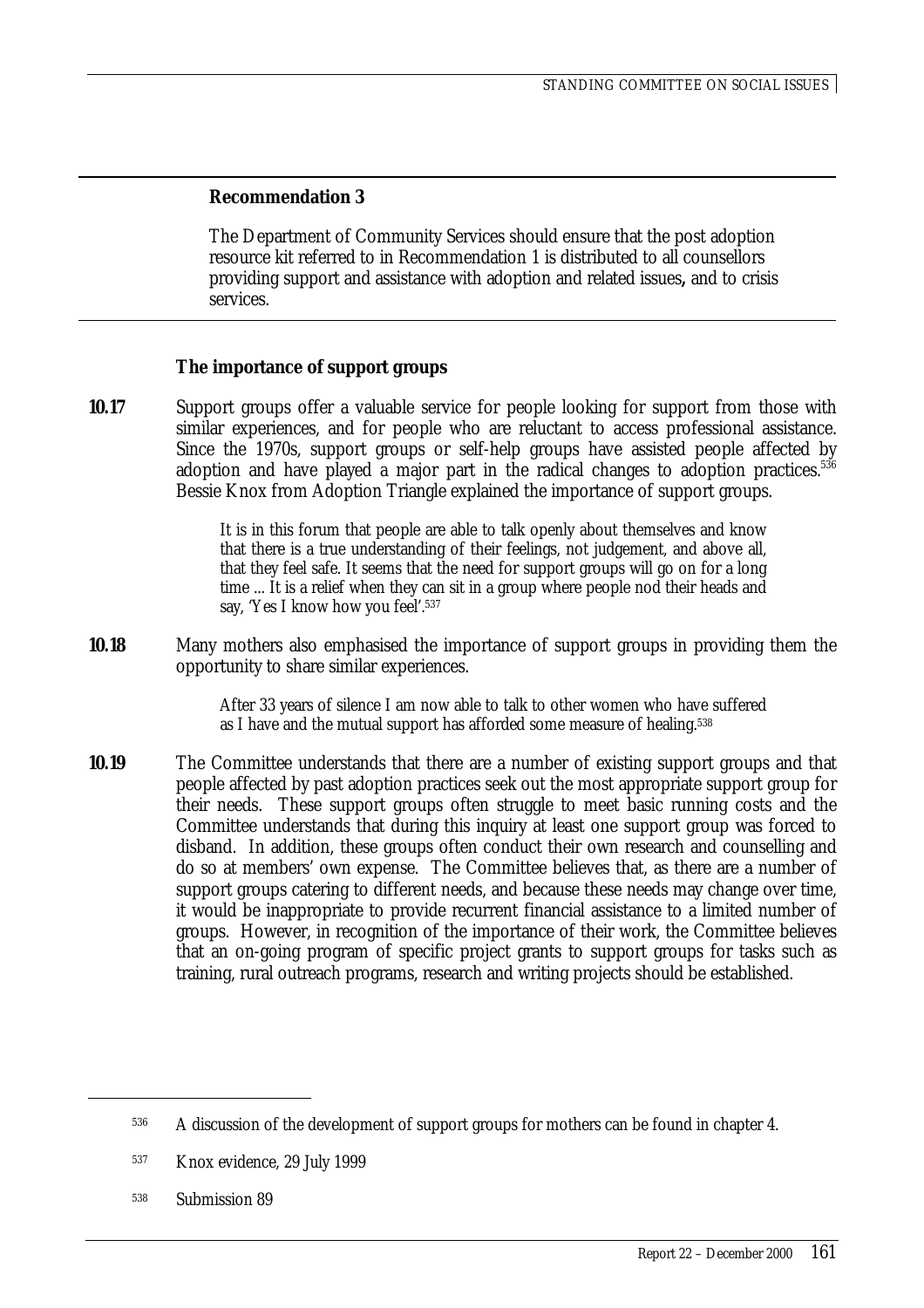### **Recommendation 3**

The Department of Community Services should ensure that the post adoption resource kit referred to in Recommendation 1 is distributed to all counsellors providing support and assistance with adoption and related issues**,** and to crisis services.

### **The importance of support groups**

**10.17** Support groups offer a valuable service for people looking for support from those with similar experiences, and for people who are reluctant to access professional assistance. Since the 1970s, support groups or self-help groups have assisted people affected by adoption and have played a major part in the radical changes to adoption practices.<sup>536</sup> Bessie Knox from Adoption Triangle explained the importance of support groups.

> It is in this forum that people are able to talk openly about themselves and know that there is a true understanding of their feelings, not judgement, and above all, that they feel safe. It seems that the need for support groups will go on for a long time ... It is a relief when they can sit in a group where people nod their heads and say, 'Yes I know how you feel'.<sup>537</sup>

**10.18** Many mothers also emphasised the importance of support groups in providing them the opportunity to share similar experiences.

> After 33 years of silence I am now able to talk to other women who have suffered as I have and the mutual support has afforded some measure of healing.<sup>538</sup>

**10.19** The Committee understands that there are a number of existing support groups and that people affected by past adoption practices seek out the most appropriate support group for their needs. These support groups often struggle to meet basic running costs and the Committee understands that during this inquiry at least one support group was forced to disband. In addition, these groups often conduct their own research and counselling and do so at members' own expense. The Committee believes that, as there are a number of support groups catering to different needs, and because these needs may change over time, it would be inappropriate to provide recurrent financial assistance to a limited number of groups. However, in recognition of the importance of their work, the Committee believes that an on-going program of specific project grants to support groups for tasks such as training, rural outreach programs, research and writing projects should be established.

<sup>538</sup> Submission 89

<sup>536</sup> A discussion of the development of support groups for mothers can be found in chapter 4.

<sup>537</sup> Knox evidence, 29 July 1999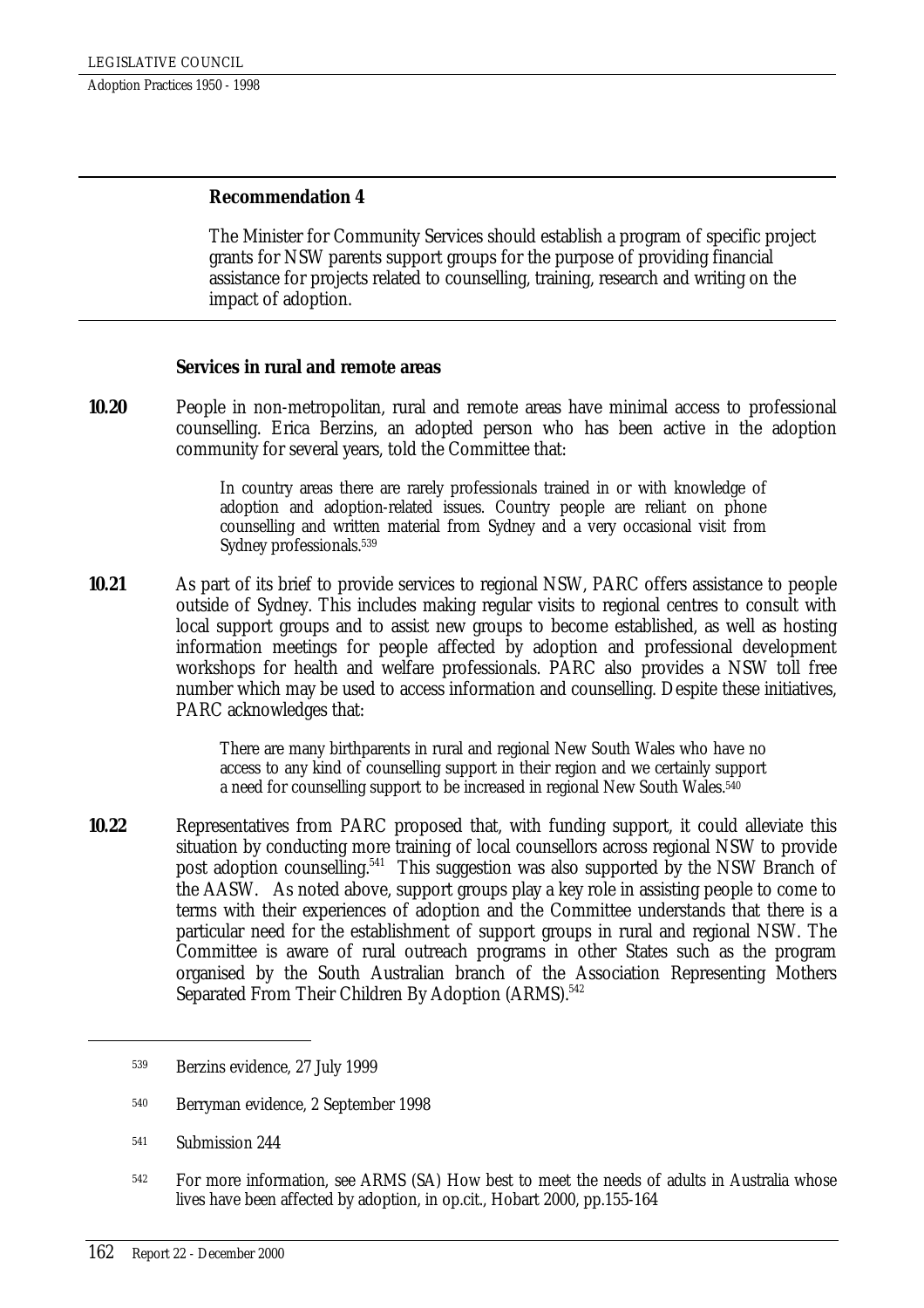#### **Recommendation 4**

The Minister for Community Services should establish a program of specific project grants for NSW parents support groups for the purpose of providing financial assistance for projects related to counselling, training, research and writing on the impact of adoption.

#### **Services in rural and remote areas**

**10.20** People in non-metropolitan, rural and remote areas have minimal access to professional counselling. Erica Berzins, an adopted person who has been active in the adoption community for several years, told the Committee that:

> In country areas there are rarely professionals trained in or with knowledge of adoption and adoption-related issues. Country people are reliant on phone counselling and written material from Sydney and a very occasional visit from Sydney professionals.<sup>539</sup>

**10.21** As part of its brief to provide services to regional NSW, PARC offers assistance to people outside of Sydney. This includes making regular visits to regional centres to consult with local support groups and to assist new groups to become established, as well as hosting information meetings for people affected by adoption and professional development workshops for health and welfare professionals. PARC also provides a NSW toll free number which may be used to access information and counselling. Despite these initiatives, PARC acknowledges that:

> There are many birthparents in rural and regional New South Wales who have no access to any kind of counselling support in their region and we certainly support a need for counselling support to be increased in regional New South Wales.<sup>540</sup>

**10.22** Representatives from PARC proposed that, with funding support, it could alleviate this situation by conducting more training of local counsellors across regional NSW to provide post adoption counselling.<sup>541</sup> This suggestion was also supported by the NSW Branch of the AASW. As noted above, support groups play a key role in assisting people to come to terms with their experiences of adoption and the Committee understands that there is a particular need for the establishment of support groups in rural and regional NSW. The Committee is aware of rural outreach programs in other States such as the program organised by the South Australian branch of the Association Representing Mothers Separated From Their Children By Adoption (ARMS).<sup>542</sup>

- <sup>540</sup> Berryman evidence, 2 September 1998
- <sup>541</sup> Submission 244
- <sup>542</sup> For more information, see ARMS (SA) How best to meet the needs of adults in Australia whose lives have been affected by adoption, in op.cit., Hobart 2000, pp.155-164

<sup>539</sup> Berzins evidence, 27 July 1999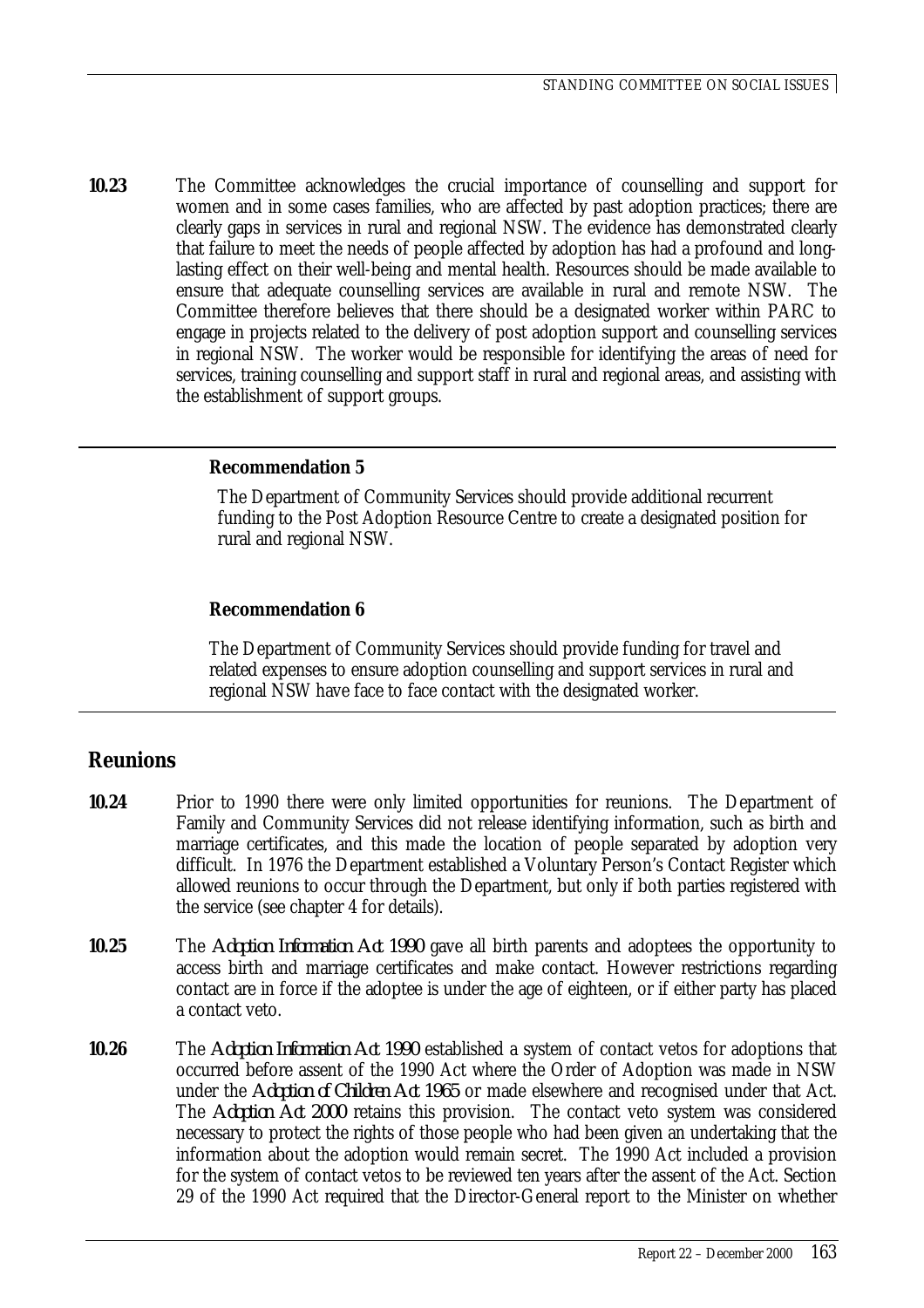**10.23** The Committee acknowledges the crucial importance of counselling and support for women and in some cases families, who are affected by past adoption practices; there are clearly gaps in services in rural and regional NSW. The evidence has demonstrated clearly that failure to meet the needs of people affected by adoption has had a profound and longlasting effect on their well-being and mental health. Resources should be made available to ensure that adequate counselling services are available in rural and remote NSW. The Committee therefore believes that there should be a designated worker within PARC to engage in projects related to the delivery of post adoption support and counselling services in regional NSW. The worker would be responsible for identifying the areas of need for services, training counselling and support staff in rural and regional areas, and assisting with the establishment of support groups.

#### **Recommendation 5**

The Department of Community Services should provide additional recurrent funding to the Post Adoption Resource Centre to create a designated position for rural and regional NSW.

#### **Recommendation 6**

The Department of Community Services should provide funding for travel and related expenses to ensure adoption counselling and support services in rural and regional NSW have face to face contact with the designated worker.

## **Reunions**

- **10.24** Prior to 1990 there were only limited opportunities for reunions. The Department of Family and Community Services did not release identifying information, such as birth and marriage certificates, and this made the location of people separated by adoption very difficult. In 1976 the Department established a Voluntary Person's Contact Register which allowed reunions to occur through the Department, but only if both parties registered with the service (see chapter 4 for details).
- **10.25** The *Adoption Information Act 1990* gave all birth parents and adoptees the opportunity to access birth and marriage certificates and make contact. However restrictions regarding contact are in force if the adoptee is under the age of eighteen, or if either party has placed a contact veto.
- **10.26** The *Adoption Information Act 1990* established a system of contact vetos for adoptions that occurred before assent of the 1990 Act where the Order of Adoption was made in NSW under the *Adoption of Children Act 1965* or made elsewhere and recognised under that Act. The *Adoption Act 2000* retains this provision. The contact veto system was considered necessary to protect the rights of those people who had been given an undertaking that the information about the adoption would remain secret. The 1990 Act included a provision for the system of contact vetos to be reviewed ten years after the assent of the Act. Section 29 of the 1990 Act required that the Director-General report to the Minister on whether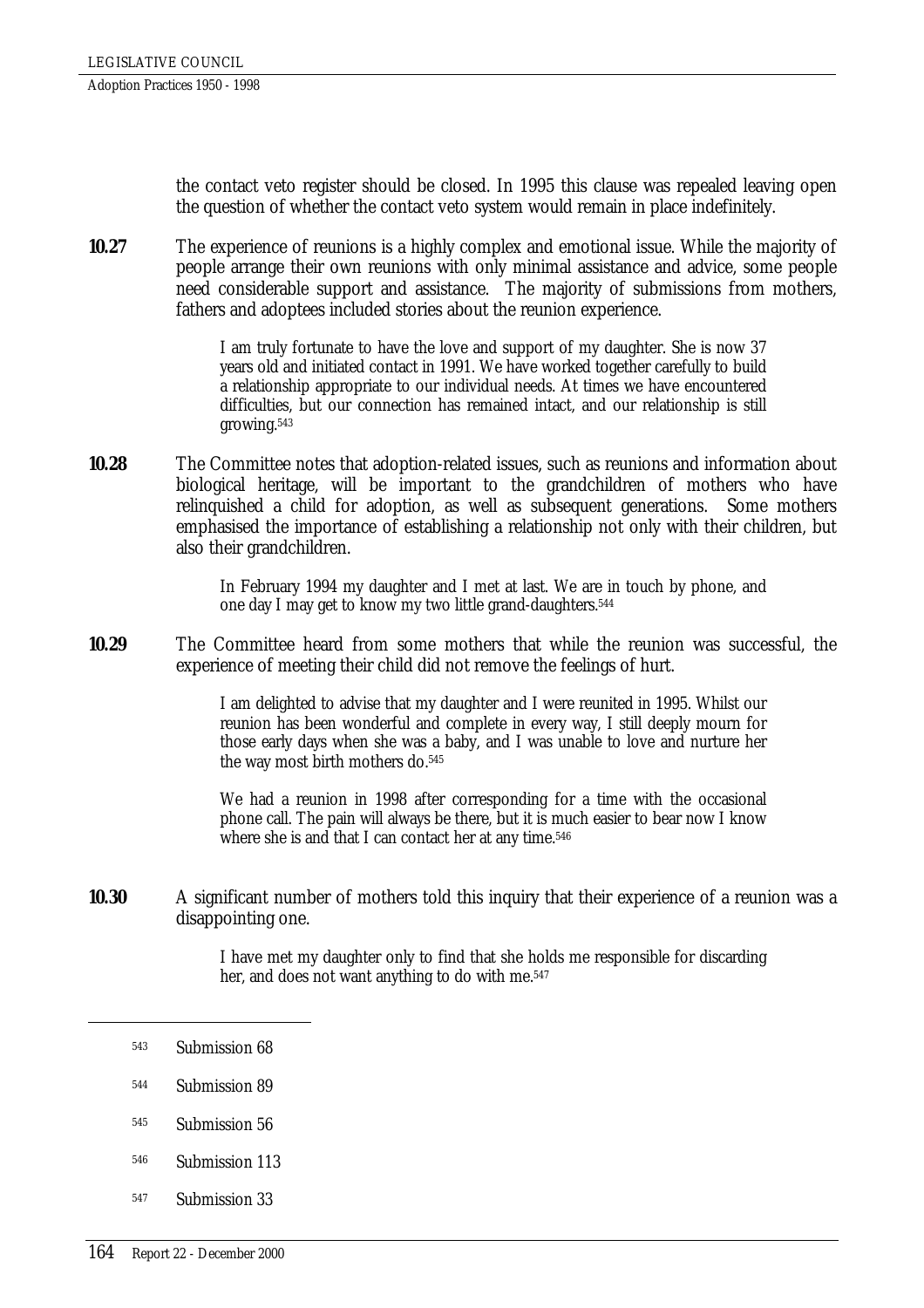the contact veto register should be closed. In 1995 this clause was repealed leaving open the question of whether the contact veto system would remain in place indefinitely.

**10.27** The experience of reunions is a highly complex and emotional issue. While the majority of people arrange their own reunions with only minimal assistance and advice, some people need considerable support and assistance. The majority of submissions from mothers, fathers and adoptees included stories about the reunion experience.

> I am truly fortunate to have the love and support of my daughter. She is now 37 years old and initiated contact in 1991. We have worked together carefully to build a relationship appropriate to our individual needs. At times we have encountered difficulties, but our connection has remained intact, and our relationship is still growing.<sup>543</sup>

**10.28** The Committee notes that adoption-related issues, such as reunions and information about biological heritage, will be important to the grandchildren of mothers who have relinquished a child for adoption, as well as subsequent generations. Some mothers emphasised the importance of establishing a relationship not only with their children, but also their grandchildren.

> In February 1994 my daughter and I met at last. We are in touch by phone, and one day I may get to know my two little grand-daughters.<sup>544</sup>

**10.29** The Committee heard from some mothers that while the reunion was successful, the experience of meeting their child did not remove the feelings of hurt.

> I am delighted to advise that my daughter and I were reunited in 1995. Whilst our reunion has been wonderful and complete in every way, I still deeply mourn for those early days when she was a baby, and I was unable to love and nurture her the way most birth mothers do.<sup>545</sup>

> We had a reunion in 1998 after corresponding for a time with the occasional phone call. The pain will always be there, but it is much easier to bear now I know where she is and that I can contact her at any time.<sup>546</sup>

**10.30** A significant number of mothers told this inquiry that their experience of a reunion was a disappointing one.

> I have met my daughter only to find that she holds me responsible for discarding her, and does not want anything to do with me.<sup>547</sup>

<sup>543</sup> Submission 68

- <sup>544</sup> Submission 89
- <sup>545</sup> Submission 56
- <sup>546</sup> Submission 113
- <sup>547</sup> Submission 33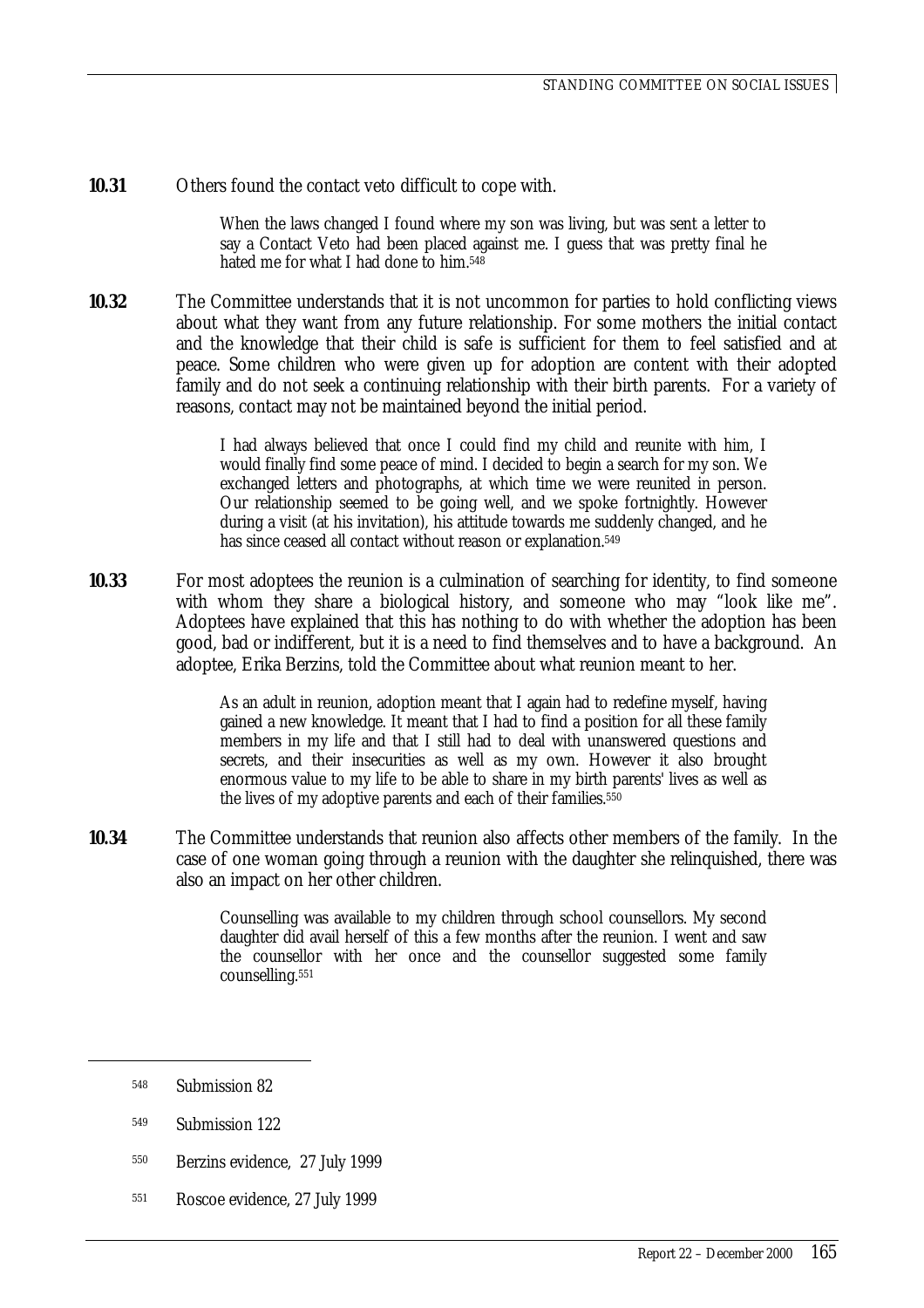10.31 Others found the contact veto difficult to cope with.

When the laws changed I found where my son was living, but was sent a letter to say a Contact Veto had been placed against me. I guess that was pretty final he hated me for what I had done to him.<sup>548</sup>

**10.32** The Committee understands that it is not uncommon for parties to hold conflicting views about what they want from any future relationship. For some mothers the initial contact and the knowledge that their child is safe is sufficient for them to feel satisfied and at peace. Some children who were given up for adoption are content with their adopted family and do not seek a continuing relationship with their birth parents. For a variety of reasons, contact may not be maintained beyond the initial period.

> I had always believed that once I could find my child and reunite with him, I would finally find some peace of mind. I decided to begin a search for my son. We exchanged letters and photographs, at which time we were reunited in person. Our relationship seemed to be going well, and we spoke fortnightly. However during a visit (at his invitation), his attitude towards me suddenly changed, and he has since ceased all contact without reason or explanation.<sup>549</sup>

**10.33** For most adoptees the reunion is a culmination of searching for identity, to find someone with whom they share a biological history, and someone who may "look like me". Adoptees have explained that this has nothing to do with whether the adoption has been good, bad or indifferent, but it is a need to find themselves and to have a background. An adoptee, Erika Berzins, told the Committee about what reunion meant to her.

> As an adult in reunion, adoption meant that I again had to redefine myself, having gained a new knowledge. It meant that I had to find a position for all these family members in my life and that I still had to deal with unanswered questions and secrets, and their insecurities as well as my own. However it also brought enormous value to my life to be able to share in my birth parents' lives as well as the lives of my adoptive parents and each of their families.<sup>550</sup>

**10.34** The Committee understands that reunion also affects other members of the family. In the case of one woman going through a reunion with the daughter she relinquished, there was also an impact on her other children.

> Counselling was available to my children through school counsellors. My second daughter did avail herself of this a few months after the reunion. I went and saw the counsellor with her once and the counsellor suggested some family counselling.<sup>551</sup>

<sup>548</sup> Submission 82

- <sup>549</sup> Submission 122
- <sup>550</sup> Berzins evidence, 27 July 1999
- <sup>551</sup> Roscoe evidence, 27 July 1999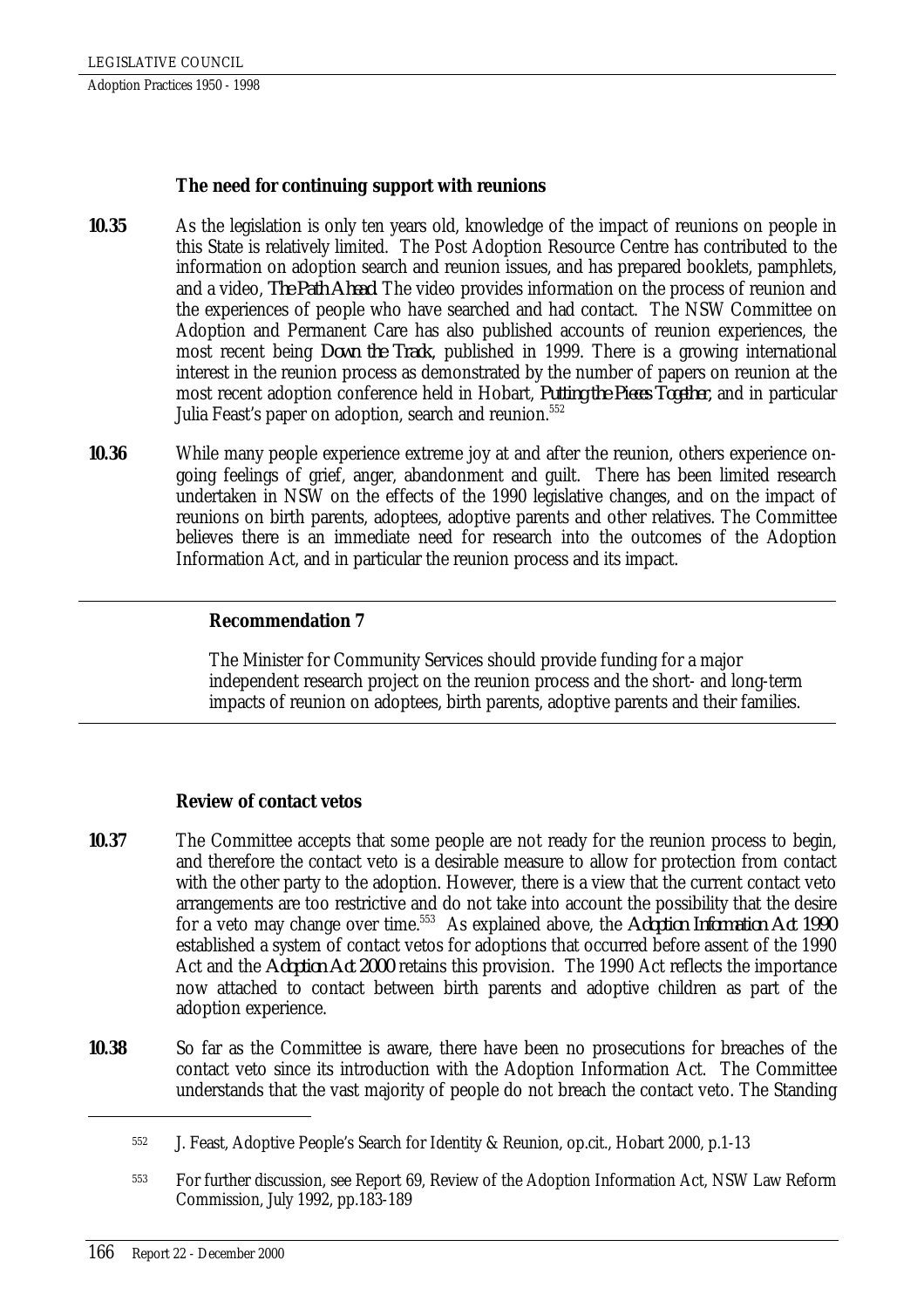## **The need for continuing support with reunions**

- **10.35** As the legislation is only ten years old, knowledge of the impact of reunions on people in this State is relatively limited. The Post Adoption Resource Centre has contributed to the information on adoption search and reunion issues, and has prepared booklets, pamphlets, and a video, *The Path Ahead*. The video provides information on the process of reunion and the experiences of people who have searched and had contact. The NSW Committee on Adoption and Permanent Care has also published accounts of reunion experiences, the most recent being *Down the Track*, published in 1999. There is a growing international interest in the reunion process as demonstrated by the number of papers on reunion at the most recent adoption conference held in Hobart, *Putting the Pieces Together,* and in particular Julia Feast's paper on adoption, search and reunion.<sup>552</sup>
- **10.36** While many people experience extreme joy at and after the reunion, others experience ongoing feelings of grief, anger, abandonment and guilt. There has been limited research undertaken in NSW on the effects of the 1990 legislative changes, and on the impact of reunions on birth parents, adoptees, adoptive parents and other relatives. The Committee believes there is an immediate need for research into the outcomes of the Adoption Information Act, and in particular the reunion process and its impact.

## **Recommendation 7**

The Minister for Community Services should provide funding for a major independent research project on the reunion process and the short- and long-term impacts of reunion on adoptees, birth parents, adoptive parents and their families.

## **Review of contact vetos**

- **10.37** The Committee accepts that some people are not ready for the reunion process to begin, and therefore the contact veto is a desirable measure to allow for protection from contact with the other party to the adoption. However, there is a view that the current contact veto arrangements are too restrictive and do not take into account the possibility that the desire for a veto may change over time.<sup>553</sup> As explained above, the *Adoption Information Act 1990* established a system of contact vetos for adoptions that occurred before assent of the 1990 Act and the *Adoption Act 2000* retains this provision. The 1990 Act reflects the importance now attached to contact between birth parents and adoptive children as part of the adoption experience.
- **10.38** So far as the Committee is aware, there have been no prosecutions for breaches of the contact veto since its introduction with the Adoption Information Act. The Committee understands that the vast majority of people do not breach the contact veto. The Standing

<sup>553</sup> For further discussion, see Report 69, Review of the Adoption Information Act, NSW Law Reform Commission, July 1992, pp.183-189

<sup>552</sup> J. Feast, Adoptive People's Search for Identity & Reunion, op.cit., Hobart 2000, p.1-13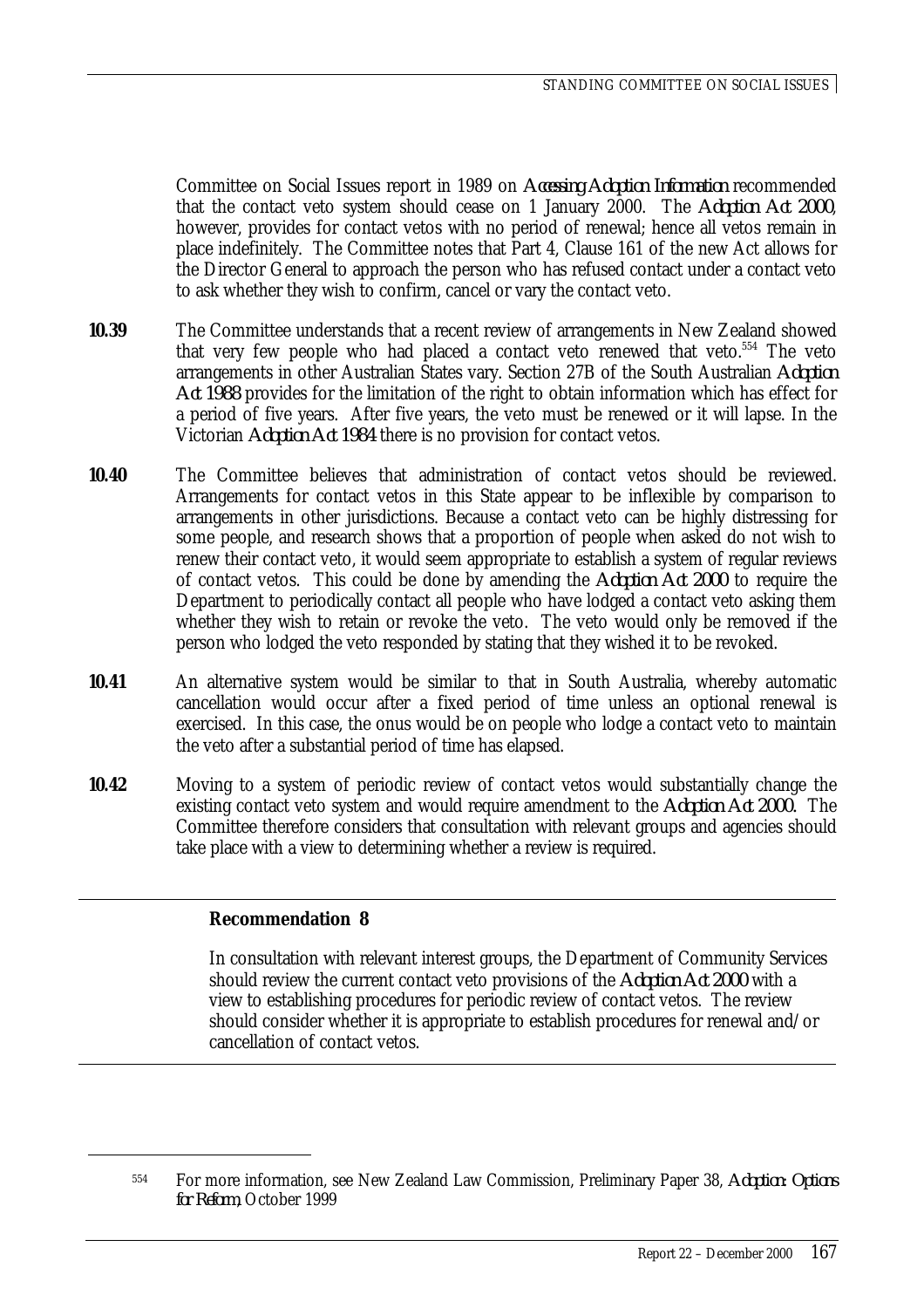Committee on Social Issues report in 1989 on *Accessing Adoption Information* recommended that the contact veto system should cease on 1 January 2000. The *Adoption Act 2000*, however, provides for contact vetos with no period of renewal; hence all vetos remain in place indefinitely. The Committee notes that Part 4, Clause 161 of the new Act allows for the Director General to approach the person who has refused contact under a contact veto to ask whether they wish to confirm, cancel or vary the contact veto.

- **10.39** The Committee understands that a recent review of arrangements in New Zealand showed that very few people who had placed a contact veto renewed that veto.<sup>554</sup> The veto arrangements in other Australian States vary. Section 27B of the South Australian *Adoption Act 1988* provides for the limitation of the right to obtain information which has effect for a period of five years. After five years, the veto must be renewed or it will lapse. In the Victorian *Adoption Act 1984* there is no provision for contact vetos.
- **10.40** The Committee believes that administration of contact vetos should be reviewed. Arrangements for contact vetos in this State appear to be inflexible by comparison to arrangements in other jurisdictions. Because a contact veto can be highly distressing for some people, and research shows that a proportion of people when asked do not wish to renew their contact veto, it would seem appropriate to establish a system of regular reviews of contact vetos. This could be done by amending the *Adoption Act 2000* to require the Department to periodically contact all people who have lodged a contact veto asking them whether they wish to retain or revoke the veto. The veto would only be removed if the person who lodged the veto responded by stating that they wished it to be revoked.
- **10.41** An alternative system would be similar to that in South Australia, whereby automatic cancellation would occur after a fixed period of time unless an optional renewal is exercised. In this case, the onus would be on people who lodge a contact veto to maintain the veto after a substantial period of time has elapsed.
- **10.42** Moving to a system of periodic review of contact vetos would substantially change the existing contact veto system and would require amendment to the *Adoption Act 2000.* The Committee therefore considers that consultation with relevant groups and agencies should take place with a view to determining whether a review is required.

## **Recommendation 8**

 $\overline{a}$ 

In consultation with relevant interest groups, the Department of Community Services should review the current contact veto provisions of the *Adoption Act 2000* with a view to establishing procedures for periodic review of contact vetos. The review should consider whether it is appropriate to establish procedures for renewal and/or cancellation of contact vetos.

<sup>554</sup> For more information, see New Zealand Law Commission, Preliminary Paper 38, *Adoption: Options for Reform*, October 1999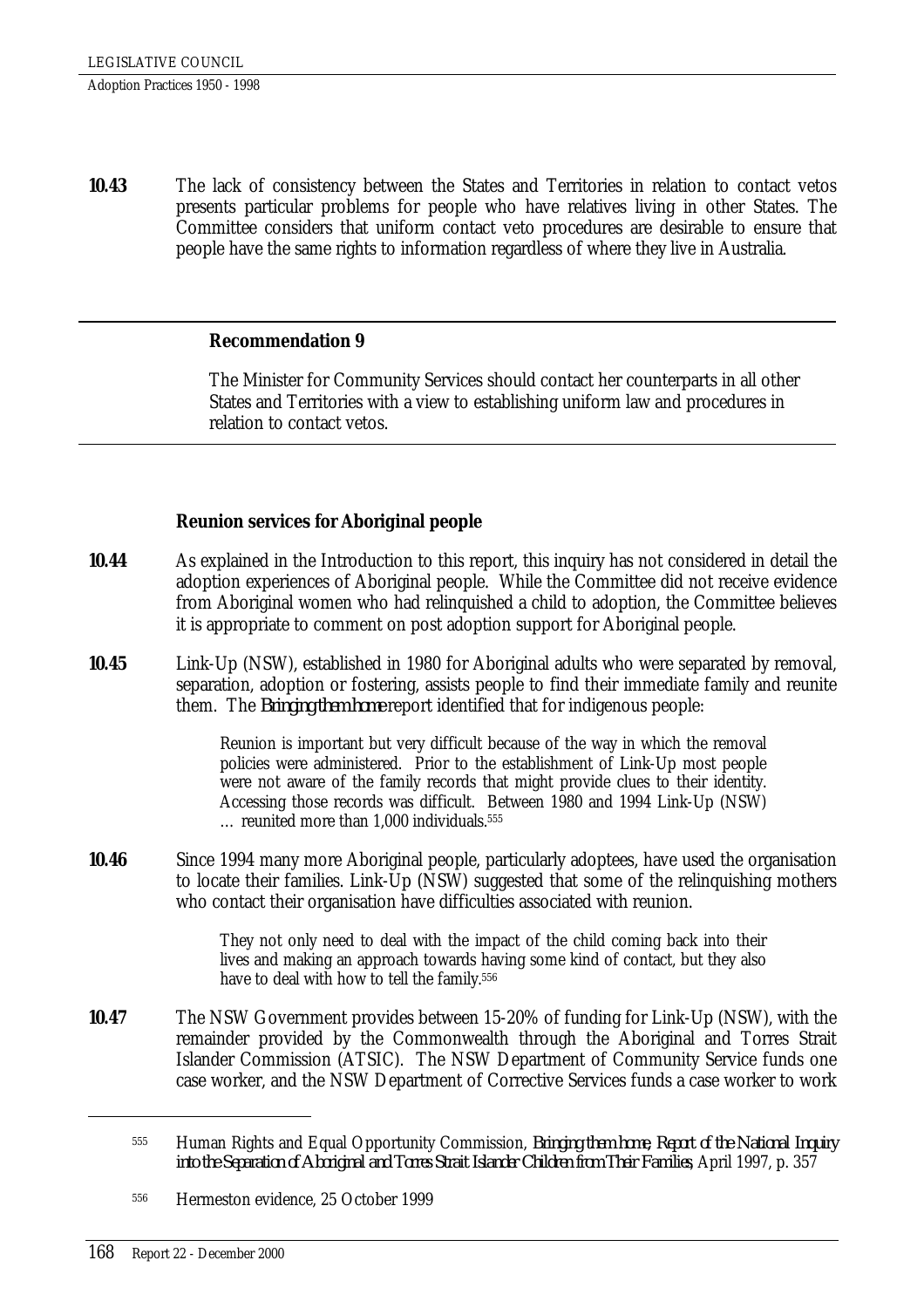**10.43** The lack of consistency between the States and Territories in relation to contact vetos presents particular problems for people who have relatives living in other States. The Committee considers that uniform contact veto procedures are desirable to ensure that people have the same rights to information regardless of where they live in Australia.

#### **Recommendation 9**

The Minister for Community Services should contact her counterparts in all other States and Territories with a view to establishing uniform law and procedures in relation to contact vetos.

## **Reunion services for Aboriginal people**

- **10.44** As explained in the Introduction to this report, this inquiry has not considered in detail the adoption experiences of Aboriginal people. While the Committee did not receive evidence from Aboriginal women who had relinquished a child to adoption, the Committee believes it is appropriate to comment on post adoption support for Aboriginal people.
- **10.45** Link-Up (NSW), established in 1980 for Aboriginal adults who were separated by removal, separation, adoption or fostering, assists people to find their immediate family and reunite them. The *Bringing them home* report identified that for indigenous people:

Reunion is important but very difficult because of the way in which the removal policies were administered. Prior to the establishment of Link-Up most people were not aware of the family records that might provide clues to their identity. Accessing those records was difficult. Between 1980 and 1994 Link-Up (NSW) … reunited more than 1,000 individuals.<sup>555</sup>

**10.46** Since 1994 many more Aboriginal people, particularly adoptees, have used the organisation to locate their families. Link-Up (NSW) suggested that some of the relinquishing mothers who contact their organisation have difficulties associated with reunion.

> They not only need to deal with the impact of the child coming back into their lives and making an approach towards having some kind of contact, but they also have to deal with how to tell the family.<sup>556</sup>

**10.47** The NSW Government provides between 15-20% of funding for Link-Up (NSW), with the remainder provided by the Commonwealth through the Aboriginal and Torres Strait Islander Commission (ATSIC). The NSW Department of Community Service funds one case worker, and the NSW Department of Corrective Services funds a case worker to work

<sup>555</sup> Human Rights and Equal Opportunity Commission, *Bringing them home, Report of the National Inquiry into the Separation of Aboriginal and Torres Strait Islander Children from Their Families*, April 1997, p. 357

<sup>556</sup> Hermeston evidence, 25 October 1999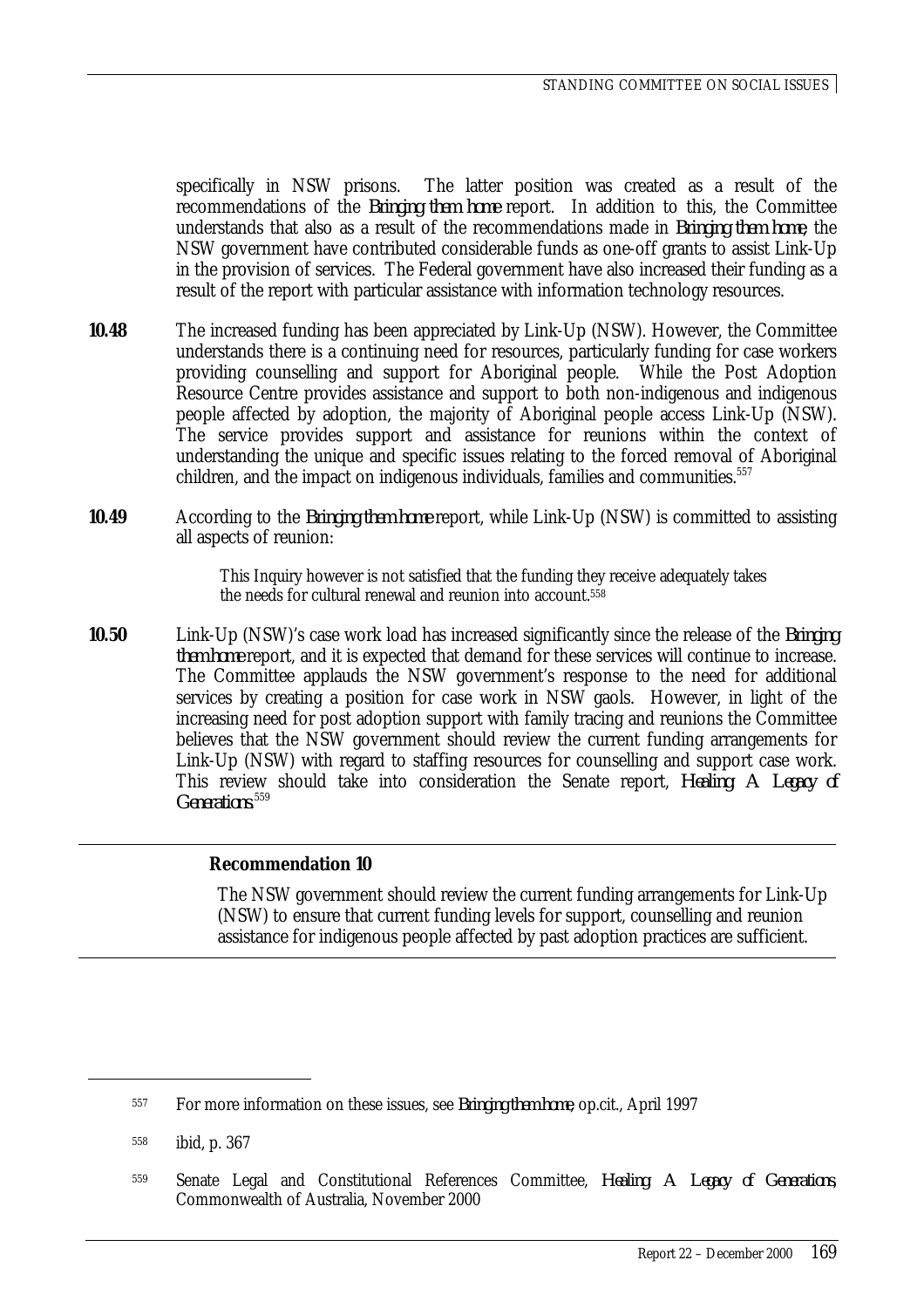specifically in NSW prisons. The latter position was created as a result of the recommendations of the *Bringing them home* report. In addition to this, the Committee understands that also as a result of the recommendations made in *Bringing them home*, the NSW government have contributed considerable funds as one-off grants to assist Link-Up in the provision of services. The Federal government have also increased their funding as a result of the report with particular assistance with information technology resources.

**10.48** The increased funding has been appreciated by Link-Up (NSW). However, the Committee understands there is a continuing need for resources, particularly funding for case workers providing counselling and support for Aboriginal people. While the Post Adoption Resource Centre provides assistance and support to both non-indigenous and indigenous people affected by adoption, the majority of Aboriginal people access Link-Up (NSW). The service provides support and assistance for reunions within the context of understanding the unique and specific issues relating to the forced removal of Aboriginal children, and the impact on indigenous individuals, families and communities.<sup>557</sup>

**10.49** According to the *Bringing them home* report, while Link-Up (NSW) is committed to assisting all aspects of reunion:

> This Inquiry however is not satisfied that the funding they receive adequately takes the needs for cultural renewal and reunion into account.<sup>558</sup>

**10.50** Link-Up (NSW)'s case work load has increased significantly since the release of the *Bringing them home* report, and it is expected that demand for these services will continue to increase. The Committee applauds the NSW government's response to the need for additional services by creating a position for case work in NSW gaols. However, in light of the increasing need for post adoption support with family tracing and reunions the Committee believes that the NSW government should review the current funding arrangements for Link-Up (NSW) with regard to staffing resources for counselling and support case work. This review should take into consideration the Senate report, *Healing: A Legacy of Generations*. 559

## **Recommendation 10**

The NSW government should review the current funding arrangements for Link-Up (NSW) to ensure that current funding levels for support, counselling and reunion assistance for indigenous people affected by past adoption practices are sufficient.

<sup>557</sup> For more information on these issues, see *Bringing them home*, op.cit., April 1997

<sup>558</sup> ibid, p. 367

<sup>559</sup> Senate Legal and Constitutional References Committee, *Healing: A Legacy of Generations*, Commonwealth of Australia, November 2000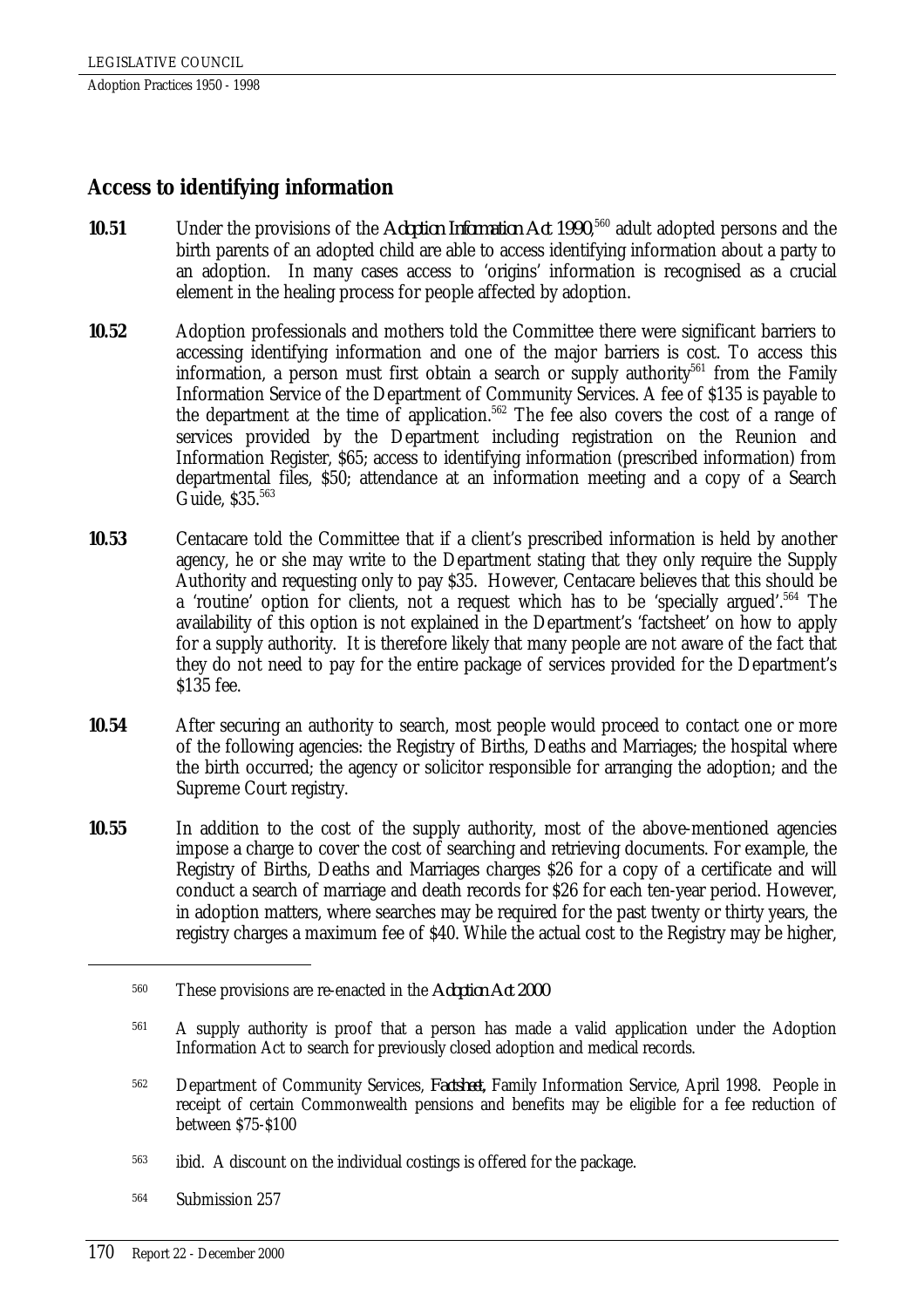## **Access to identifying information**

- **10.51** Under the provisions of the *Adoption Information Act 1990*,<sup>560</sup> adult adopted persons and the birth parents of an adopted child are able to access identifying information about a party to an adoption. In many cases access to 'origins' information is recognised as a crucial element in the healing process for people affected by adoption.
- **10.52** Adoption professionals and mothers told the Committee there were significant barriers to accessing identifying information and one of the major barriers is cost. To access this information, a person must first obtain a search or supply authority<sup>561</sup> from the Family Information Service of the Department of Community Services. A fee of \$135 is payable to the department at the time of application.<sup>562</sup> The fee also covers the cost of a range of services provided by the Department including registration on the Reunion and Information Register, \$65; access to identifying information (prescribed information) from departmental files, \$50; attendance at an information meeting and a copy of a Search Guide, \$35.563
- **10.53** Centacare told the Committee that if a client's prescribed information is held by another agency, he or she may write to the Department stating that they only require the Supply Authority and requesting only to pay \$35. However, Centacare believes that this should be a 'routine' option for clients, not a request which has to be 'specially argued'.<sup>564</sup> The availability of this option is not explained in the Department's 'factsheet' on how to apply for a supply authority. It is therefore likely that many people are not aware of the fact that they do not need to pay for the entire package of services provided for the Department's \$135 fee.
- **10.54** After securing an authority to search, most people would proceed to contact one or more of the following agencies: the Registry of Births, Deaths and Marriages; the hospital where the birth occurred; the agency or solicitor responsible for arranging the adoption; and the Supreme Court registry.
- 10.55 In addition to the cost of the supply authority, most of the above-mentioned agencies impose a charge to cover the cost of searching and retrieving documents. For example, the Registry of Births, Deaths and Marriages charges \$26 for a copy of a certificate and will conduct a search of marriage and death records for \$26 for each ten-year period. However, in adoption matters, where searches may be required for the past twenty or thirty years, the registry charges a maximum fee of \$40. While the actual cost to the Registry may be higher,

<sup>564</sup> Submission 257

<sup>560</sup> These provisions are re-enacted in the *Adoption Act 2000*

<sup>561</sup> A supply authority is proof that a person has made a valid application under the Adoption Information Act to search for previously closed adoption and medical records.

<sup>562</sup> Department of Community Services, *Factsheet,* Family Information Service, April 1998. People in receipt of certain Commonwealth pensions and benefits may be eligible for a fee reduction of between \$75-\$100

<sup>563</sup> ibid. A discount on the individual costings is offered for the package.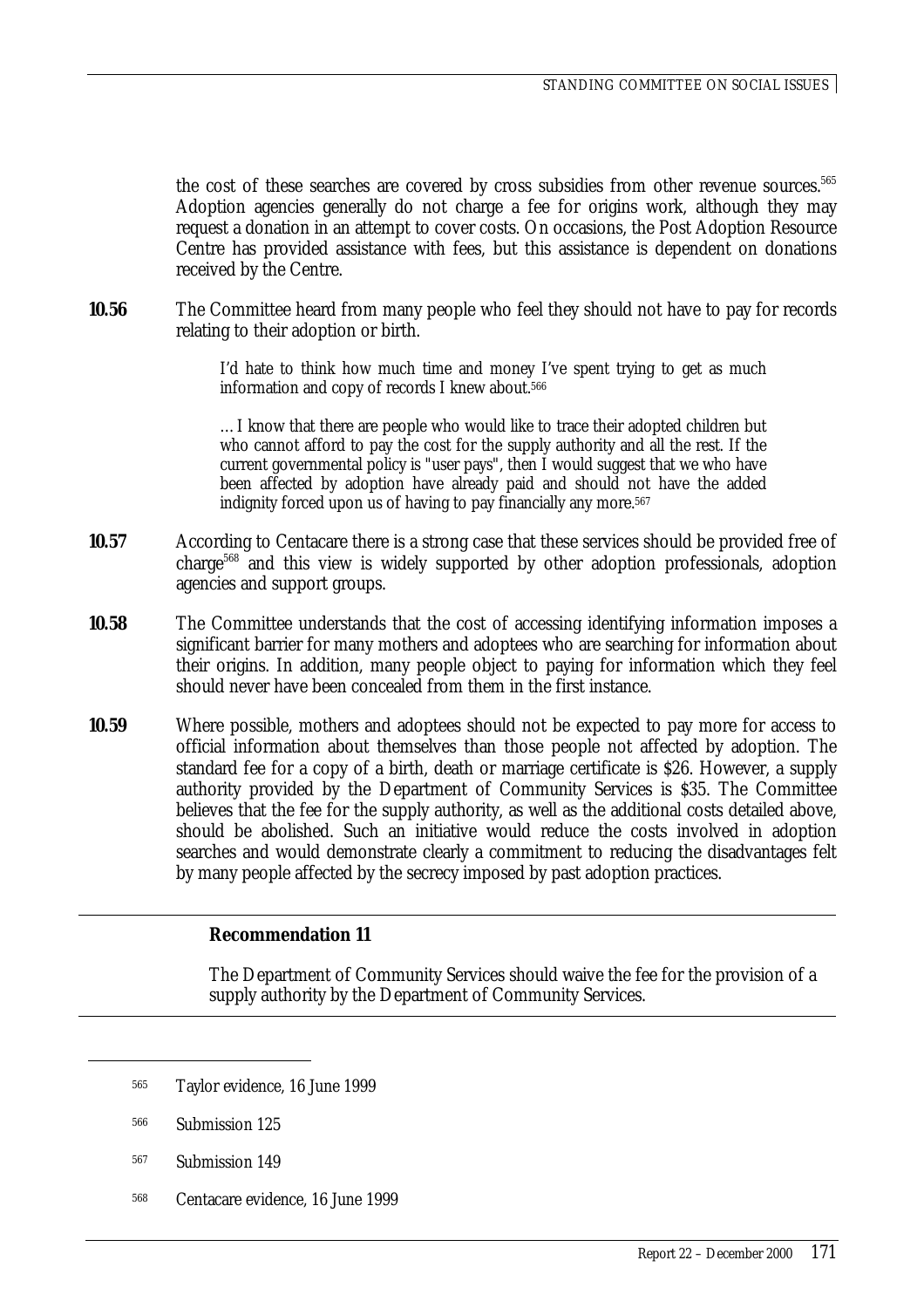the cost of these searches are covered by cross subsidies from other revenue sources.<sup>565</sup> Adoption agencies generally do not charge a fee for origins work, although they may request a donation in an attempt to cover costs. On occasions, the Post Adoption Resource Centre has provided assistance with fees, but this assistance is dependent on donations received by the Centre.

**10.56** The Committee heard from many people who feel they should not have to pay for records relating to their adoption or birth.

> I'd hate to think how much time and money I've spent trying to get as much information and copy of records I knew about.<sup>566</sup>

> …I know that there are people who would like to trace their adopted children but who cannot afford to pay the cost for the supply authority and all the rest. If the current governmental policy is "user pays", then I would suggest that we who have been affected by adoption have already paid and should not have the added indignity forced upon us of having to pay financially any more.<sup>567</sup>

- **10.57** According to Centacare there is a strong case that these services should be provided free of charge<sup>568</sup> and this view is widely supported by other adoption professionals, adoption agencies and support groups.
- **10.58** The Committee understands that the cost of accessing identifying information imposes a significant barrier for many mothers and adoptees who are searching for information about their origins. In addition, many people object to paying for information which they feel should never have been concealed from them in the first instance.
- **10.59** Where possible, mothers and adoptees should not be expected to pay more for access to official information about themselves than those people not affected by adoption. The standard fee for a copy of a birth, death or marriage certificate is \$26. However, a supply authority provided by the Department of Community Services is \$35. The Committee believes that the fee for the supply authority, as well as the additional costs detailed above, should be abolished. Such an initiative would reduce the costs involved in adoption searches and would demonstrate clearly a commitment to reducing the disadvantages felt by many people affected by the secrecy imposed by past adoption practices.

## **Recommendation 11**

The Department of Community Services should waive the fee for the provision of a supply authority by the Department of Community Services.

- <sup>565</sup> Taylor evidence, 16 June 1999
- <sup>566</sup> Submission 125

- <sup>567</sup> Submission 149
- <sup>568</sup> Centacare evidence, 16 June 1999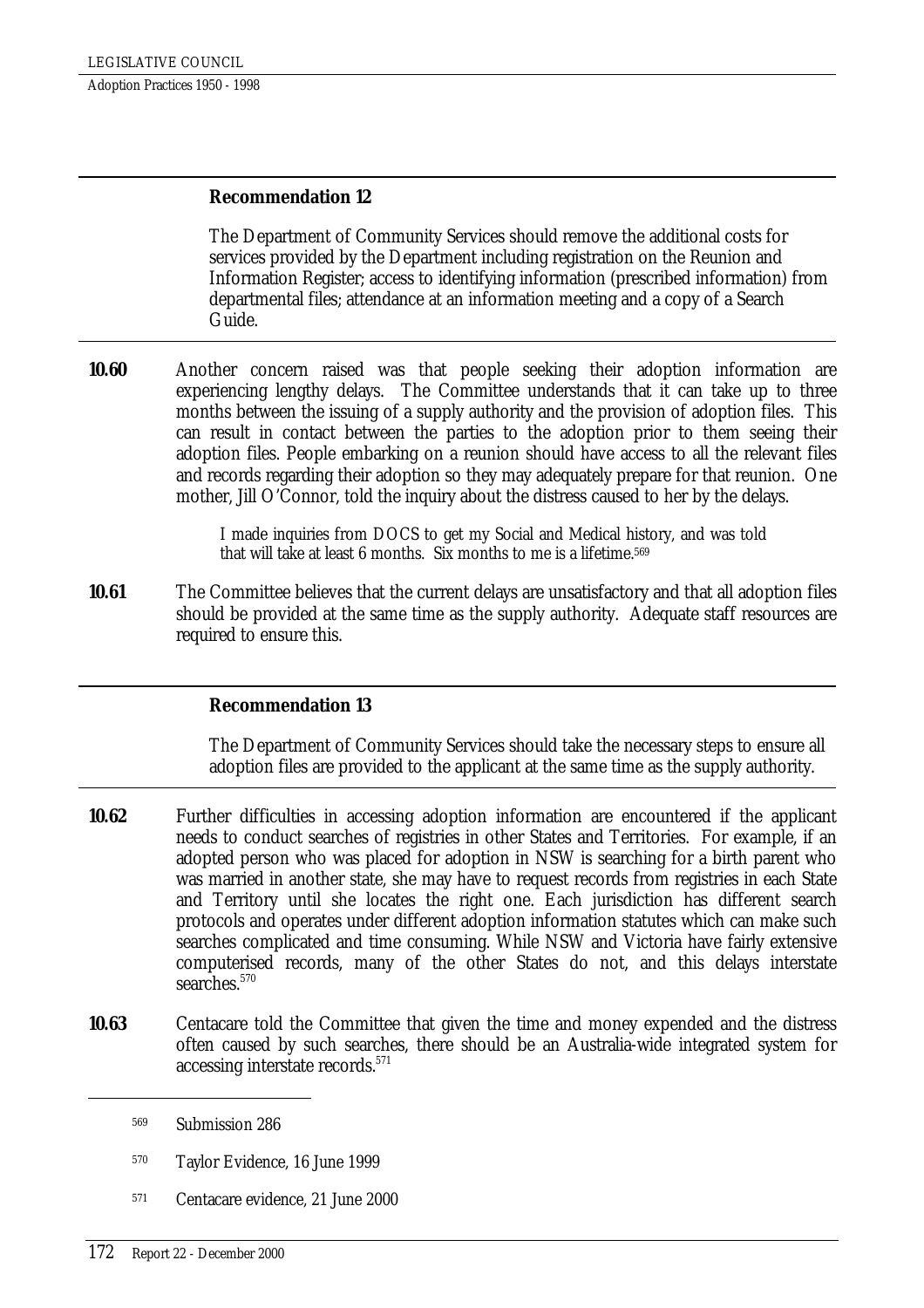#### **Recommendation 12**

The Department of Community Services should remove the additional costs for services provided by the Department including registration on the Reunion and Information Register; access to identifying information (prescribed information) from departmental files; attendance at an information meeting and a copy of a Search Guide.

**10.60** Another concern raised was that people seeking their adoption information are experiencing lengthy delays. The Committee understands that it can take up to three months between the issuing of a supply authority and the provision of adoption files. This can result in contact between the parties to the adoption prior to them seeing their adoption files. People embarking on a reunion should have access to all the relevant files and records regarding their adoption so they may adequately prepare for that reunion. One mother, Jill O'Connor, told the inquiry about the distress caused to her by the delays.

> I made inquiries from DOCS to get my Social and Medical history, and was told that will take at least 6 months. Six months to me is a lifetime.<sup>569</sup>

**10.61** The Committee believes that the current delays are unsatisfactory and that all adoption files should be provided at the same time as the supply authority. Adequate staff resources are required to ensure this.

#### **Recommendation 13**

The Department of Community Services should take the necessary steps to ensure all adoption files are provided to the applicant at the same time as the supply authority.

- **10.62** Further difficulties in accessing adoption information are encountered if the applicant needs to conduct searches of registries in other States and Territories. For example, if an adopted person who was placed for adoption in NSW is searching for a birth parent who was married in another state, she may have to request records from registries in each State and Territory until she locates the right one. Each jurisdiction has different search protocols and operates under different adoption information statutes which can make such searches complicated and time consuming. While NSW and Victoria have fairly extensive computerised records, many of the other States do not, and this delays interstate searches.<sup>570</sup>
- **10.63** Centacare told the Committee that given the time and money expended and the distress often caused by such searches, there should be an Australia-wide integrated system for accessing interstate records.<sup>571</sup>

- <sup>570</sup> Taylor Evidence, 16 June 1999
- <sup>571</sup> Centacare evidence, 21 June 2000

<sup>569</sup> Submission 286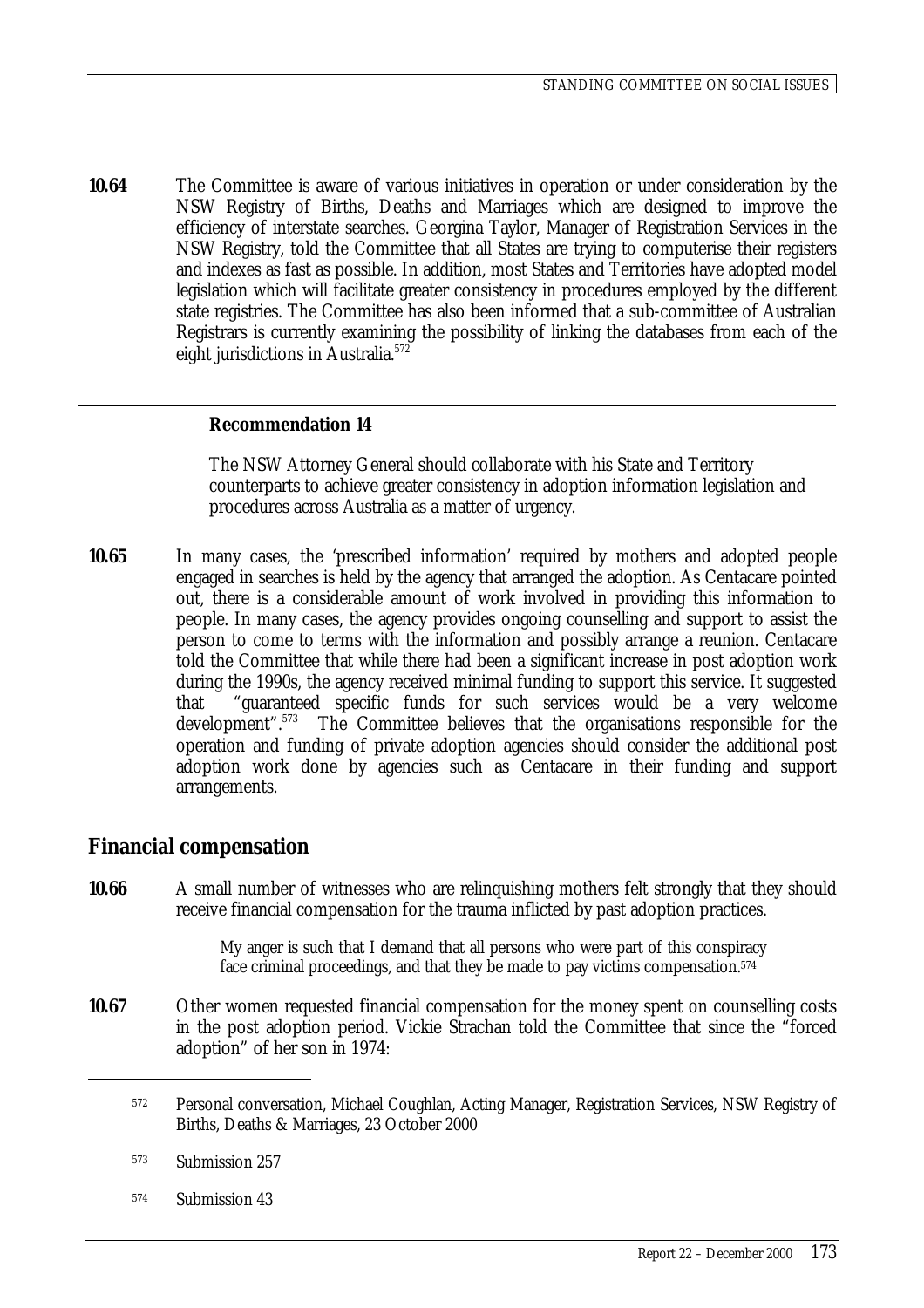**10.64** The Committee is aware of various initiatives in operation or under consideration by the NSW Registry of Births, Deaths and Marriages which are designed to improve the efficiency of interstate searches. Georgina Taylor, Manager of Registration Services in the NSW Registry, told the Committee that all States are trying to computerise their registers and indexes as fast as possible. In addition, most States and Territories have adopted model legislation which will facilitate greater consistency in procedures employed by the different state registries. The Committee has also been informed that a sub-committee of Australian Registrars is currently examining the possibility of linking the databases from each of the eight jurisdictions in Australia.<sup>572</sup>

#### **Recommendation 14**

The NSW Attorney General should collaborate with his State and Territory counterparts to achieve greater consistency in adoption information legislation and procedures across Australia as a matter of urgency.

**10.65** In many cases, the 'prescribed information' required by mothers and adopted people engaged in searches is held by the agency that arranged the adoption. As Centacare pointed out, there is a considerable amount of work involved in providing this information to people. In many cases, the agency provides ongoing counselling and support to assist the person to come to terms with the information and possibly arrange a reunion. Centacare told the Committee that while there had been a significant increase in post adoption work during the 1990s, the agency received minimal funding to support this service. It suggested that "guaranteed specific funds for such services would be a very welcome development".<sup>573</sup> The Committee believes that the organisations responsible for the operation and funding of private adoption agencies should consider the additional post adoption work done by agencies such as Centacare in their funding and support arrangements.

## **Financial compensation**

**10.66** A small number of witnesses who are relinguishing mothers felt strongly that they should receive financial compensation for the trauma inflicted by past adoption practices.

> My anger is such that I demand that all persons who were part of this conspiracy face criminal proceedings, and that they be made to pay victims compensation.<sup>574</sup>

**10.67** Other women requested financial compensation for the money spent on counselling costs in the post adoption period. Vickie Strachan told the Committee that since the "forced adoption" of her son in 1974:

<sup>573</sup> Submission 257

 $\overline{a}$ 

<sup>574</sup> Submission 43

<sup>572</sup> Personal conversation, Michael Coughlan, Acting Manager, Registration Services, NSW Registry of Births, Deaths & Marriages, 23 October 2000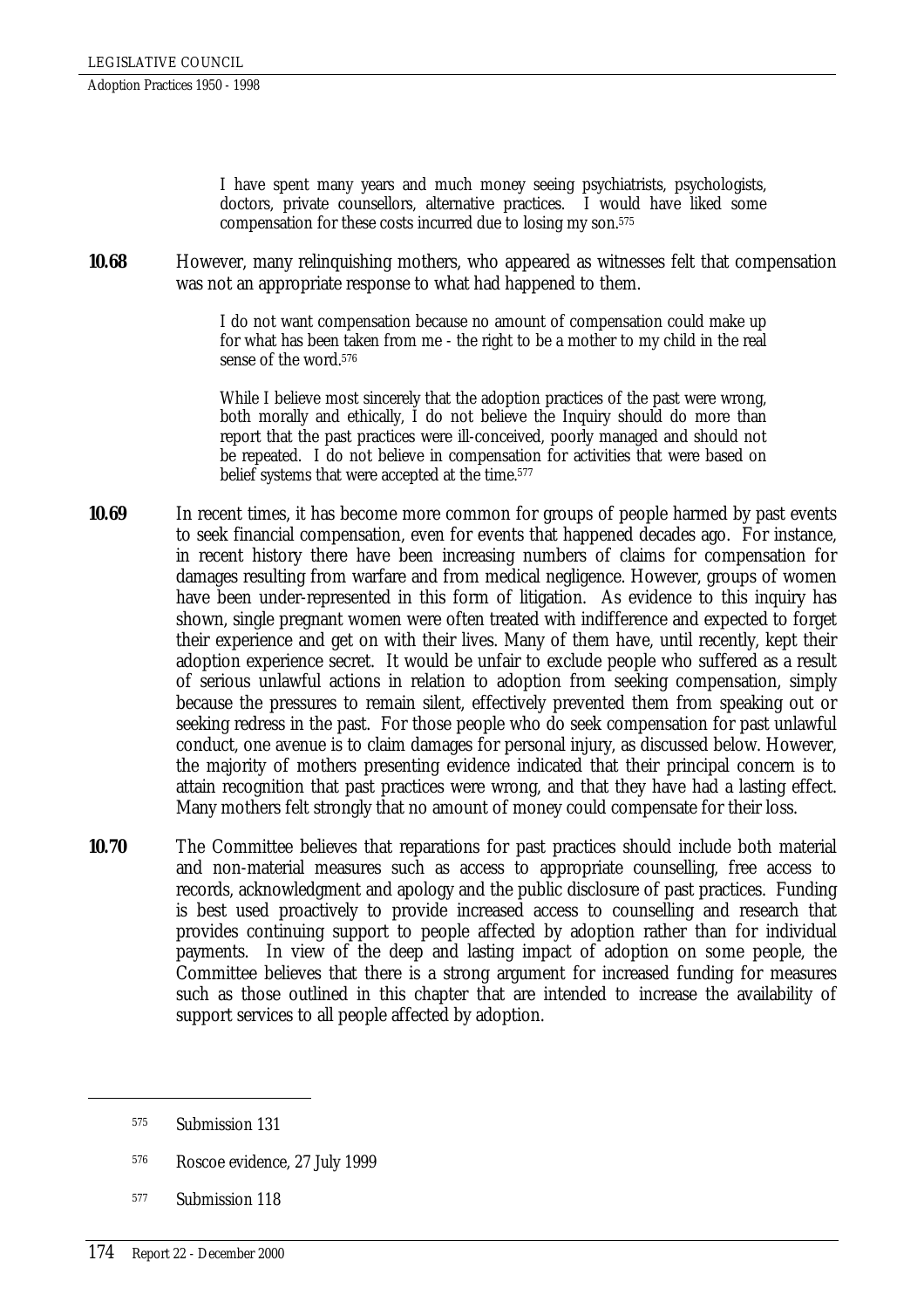I have spent many years and much money seeing psychiatrists, psychologists, doctors, private counsellors, alternative practices. I would have liked some compensation for these costs incurred due to losing my son.<sup>575</sup>

**10.68** However, many relinquishing mothers, who appeared as witnesses felt that compensation was not an appropriate response to what had happened to them.

> I do not want compensation because no amount of compensation could make up for what has been taken from me - the right to be a mother to my child in the real sense of the word.<sup>576</sup>

> While I believe most sincerely that the adoption practices of the past were wrong, both morally and ethically, I do not believe the Inquiry should do more than report that the past practices were ill-conceived, poorly managed and should not be repeated. I do not believe in compensation for activities that were based on belief systems that were accepted at the time.<sup>577</sup>

- **10.69** In recent times, it has become more common for groups of people harmed by past events to seek financial compensation, even for events that happened decades ago. For instance, in recent history there have been increasing numbers of claims for compensation for damages resulting from warfare and from medical negligence. However, groups of women have been under-represented in this form of litigation. As evidence to this inquiry has shown, single pregnant women were often treated with indifference and expected to forget their experience and get on with their lives. Many of them have, until recently, kept their adoption experience secret. It would be unfair to exclude people who suffered as a result of serious unlawful actions in relation to adoption from seeking compensation, simply because the pressures to remain silent, effectively prevented them from speaking out or seeking redress in the past. For those people who do seek compensation for past unlawful conduct, one avenue is to claim damages for personal injury, as discussed below. However, the majority of mothers presenting evidence indicated that their principal concern is to attain recognition that past practices were wrong, and that they have had a lasting effect. Many mothers felt strongly that no amount of money could compensate for their loss.
- **10.70** The Committee believes that reparations for past practices should include both material and non-material measures such as access to appropriate counselling, free access to records, acknowledgment and apology and the public disclosure of past practices. Funding is best used proactively to provide increased access to counselling and research that provides continuing support to people affected by adoption rather than for individual payments. In view of the deep and lasting impact of adoption on some people, the Committee believes that there is a strong argument for increased funding for measures such as those outlined in this chapter that are intended to increase the availability of support services to all people affected by adoption.

- <sup>576</sup> Roscoe evidence, 27 July 1999
- <sup>577</sup> Submission 118

<sup>575</sup> Submission 131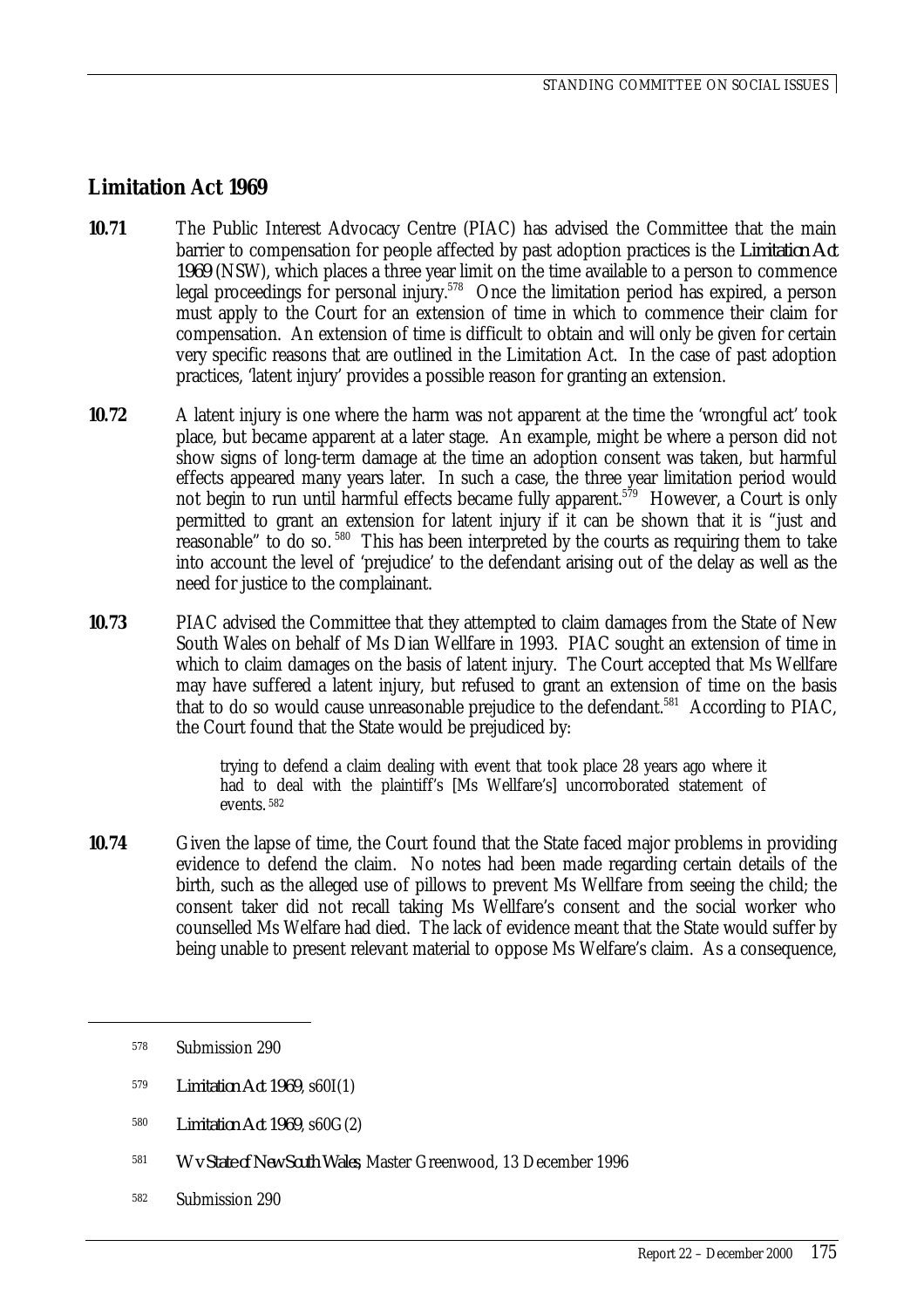## *Limitation Act 1969*

- **10.71** The Public Interest Advocacy Centre (PIAC) has advised the Committee that the main barrier to compensation for people affected by past adoption practices is the *Limitation Act 1969* (NSW), which places a three year limit on the time available to a person to commence legal proceedings for personal injury.<sup>578</sup> Once the limitation period has expired, a person must apply to the Court for an extension of time in which to commence their claim for compensation. An extension of time is difficult to obtain and will only be given for certain very specific reasons that are outlined in the Limitation Act. In the case of past adoption practices, 'latent injury' provides a possible reason for granting an extension.
- **10.72** A latent injury is one where the harm was not apparent at the time the 'wrongful act' took place, but became apparent at a later stage. An example, might be where a person did not show signs of long-term damage at the time an adoption consent was taken, but harmful effects appeared many years later. In such a case, the three year limitation period would not begin to run until harmful effects became fully apparent.<sup>579</sup> However, a Court is only permitted to grant an extension for latent injury if it can be shown that it is "just and reasonable" to do so.  $580$  This has been interpreted by the courts as requiring them to take into account the level of 'prejudice' to the defendant arising out of the delay as well as the need for justice to the complainant.
- **10.73** PIAC advised the Committee that they attempted to claim damages from the State of New South Wales on behalf of Ms Dian Wellfare in 1993. PIAC sought an extension of time in which to claim damages on the basis of latent injury. The Court accepted that Ms Wellfare may have suffered a latent injury, but refused to grant an extension of time on the basis that to do so would cause unreasonable prejudice to the defendant.<sup>581</sup> According to PIAC, the Court found that the State would be prejudiced by:

trying to defend a claim dealing with event that took place 28 years ago where it had to deal with the plaintiff's [Ms Wellfare's] uncorroborated statement of events. <sup>582</sup>

**10.74** Given the lapse of time, the Court found that the State faced major problems in providing evidence to defend the claim. No notes had been made regarding certain details of the birth, such as the alleged use of pillows to prevent Ms Wellfare from seeing the child; the consent taker did not recall taking Ms Wellfare's consent and the social worker who counselled Ms Welfare had died. The lack of evidence meant that the State would suffer by being unable to present relevant material to oppose Ms Welfare's claim. As a consequence,

- <sup>579</sup> *Limitation Act 1969*, s60I(1)
- <sup>580</sup> *Limitation Act 1969*, s60G(2)
- <sup>581</sup> *W v State of New South Wales*, Master Greenwood, 13 December 1996
- <sup>582</sup> Submission 290

<sup>578</sup> Submission 290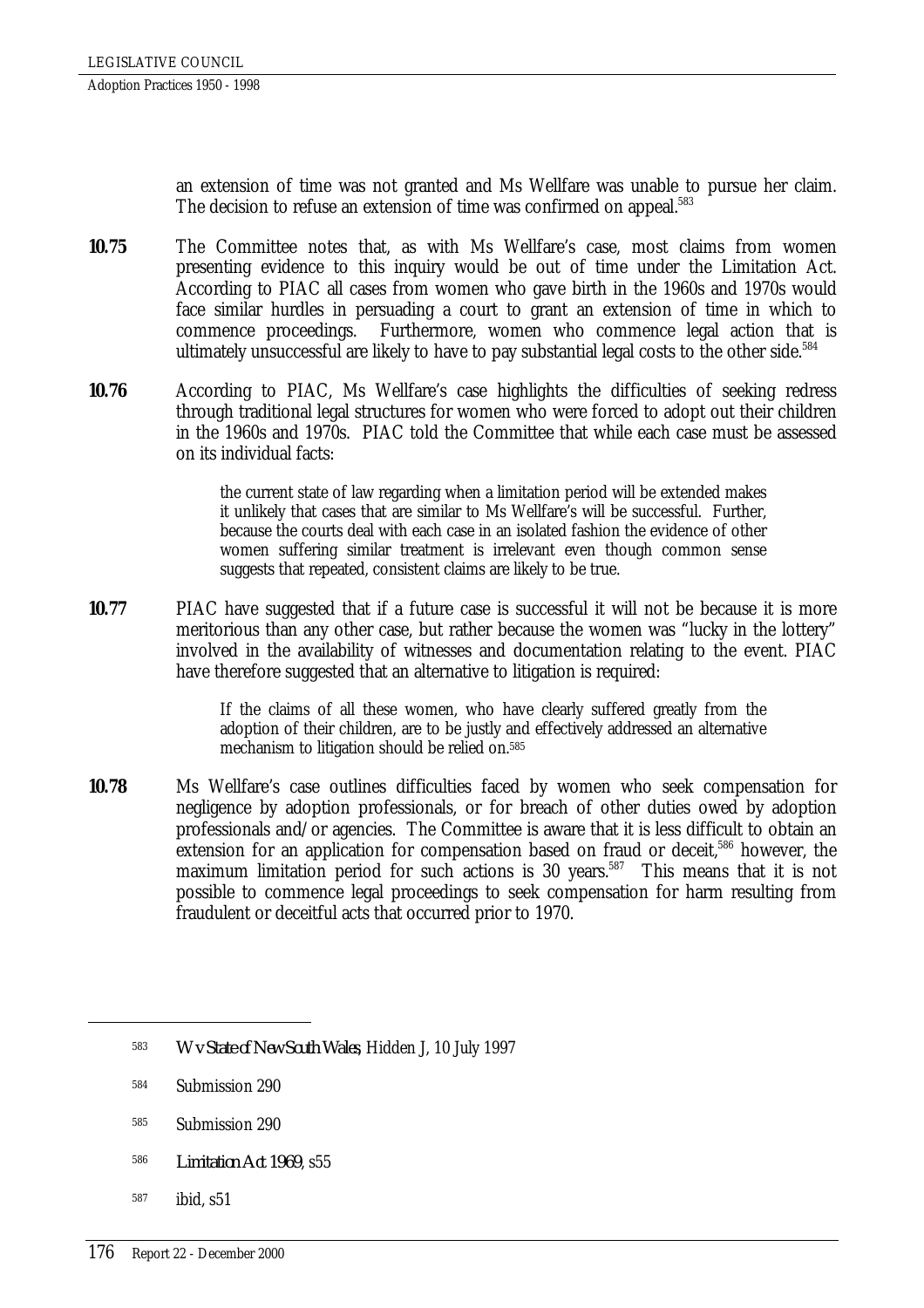an extension of time was not granted and Ms Wellfare was unable to pursue her claim. The decision to refuse an extension of time was confirmed on appeal.<sup>583</sup>

- **10.75** The Committee notes that, as with Ms Wellfare's case, most claims from women presenting evidence to this inquiry would be out of time under the Limitation Act. According to PIAC all cases from women who gave birth in the 1960s and 1970s would face similar hurdles in persuading a court to grant an extension of time in which to commence proceedings. Furthermore, women who commence legal action that is ultimately unsuccessful are likely to have to pay substantial legal costs to the other side.<sup>584</sup>
- **10.76** According to PIAC, Ms Wellfare's case highlights the difficulties of seeking redress through traditional legal structures for women who were forced to adopt out their children in the 1960s and 1970s. PIAC told the Committee that while each case must be assessed on its individual facts:

the current state of law regarding when a limitation period will be extended makes it unlikely that cases that are similar to Ms Wellfare's will be successful. Further, because the courts deal with each case in an isolated fashion the evidence of other women suffering similar treatment is irrelevant even though common sense suggests that repeated, consistent claims are likely to be true.

**10.77** PIAC have suggested that if a future case is successful it will not be because it is more meritorious than any other case, but rather because the women was "lucky in the lottery" involved in the availability of witnesses and documentation relating to the event. PIAC have therefore suggested that an alternative to litigation is required:

> If the claims of all these women, who have clearly suffered greatly from the adoption of their children, are to be justly and effectively addressed an alternative mechanism to litigation should be relied on.<sup>585</sup>

**10.78** Ms Wellfare's case outlines difficulties faced by women who seek compensation for negligence by adoption professionals, or for breach of other duties owed by adoption professionals and/or agencies. The Committee is aware that it is less difficult to obtain an extension for an application for compensation based on fraud or deceit,<sup>586</sup> however, the maximum limitation period for such actions is 30 years.<sup>587</sup> This means that it is not possible to commence legal proceedings to seek compensation for harm resulting from fraudulent or deceitful acts that occurred prior to 1970.

- <sup>584</sup> Submission 290
- <sup>585</sup> Submission 290
- <sup>586</sup> *Limitation Act 1969*, s55
- <sup>587</sup> ibid, s51

<sup>583</sup> *W v State of New South Wales*, Hidden J, 10 July 1997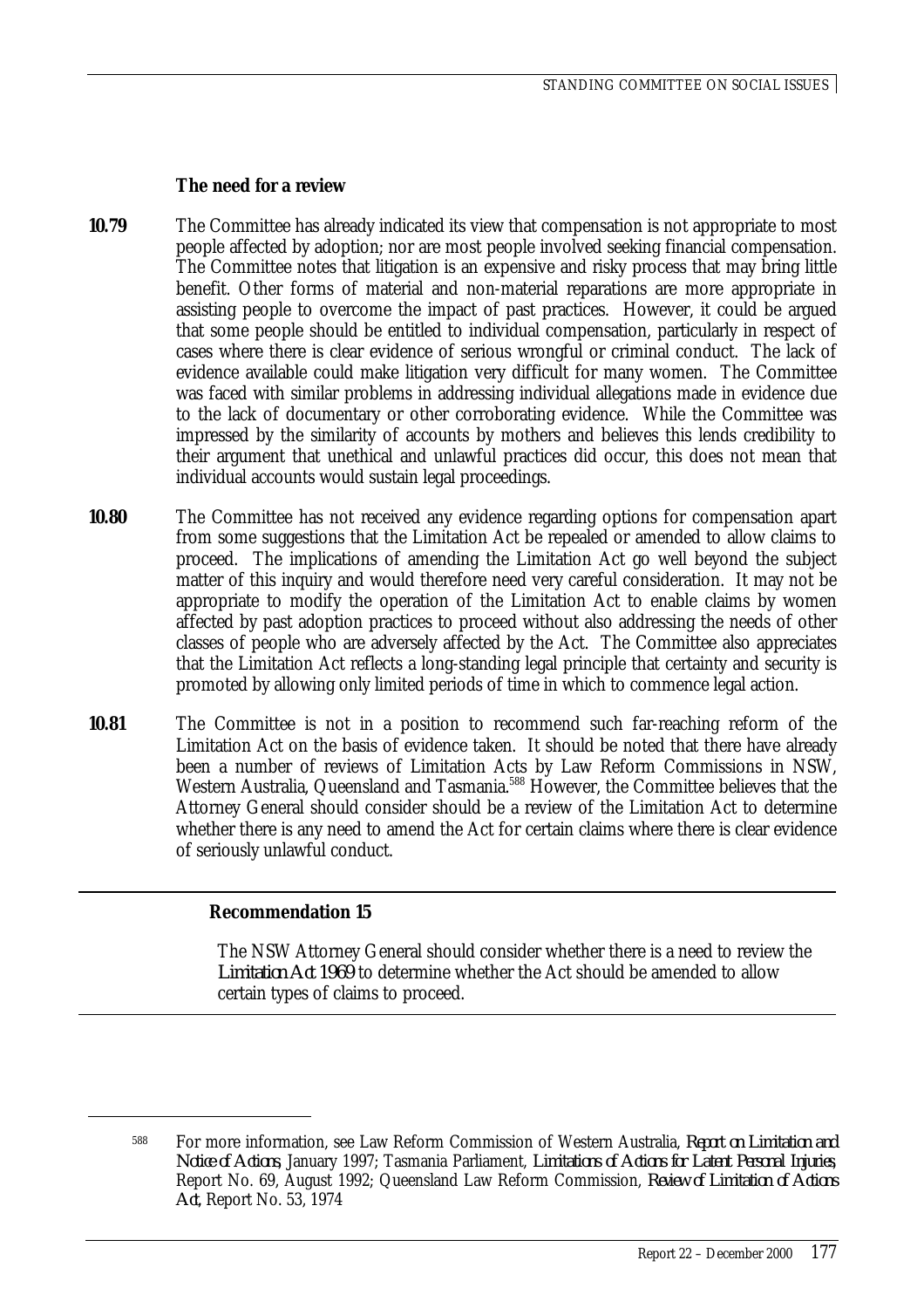#### **The need for a review**

- **10.79** The Committee has already indicated its view that compensation is not appropriate to most people affected by adoption; nor are most people involved seeking financial compensation. The Committee notes that litigation is an expensive and risky process that may bring little benefit. Other forms of material and non-material reparations are more appropriate in assisting people to overcome the impact of past practices. However, it could be argued that some people should be entitled to individual compensation, particularly in respect of cases where there is clear evidence of serious wrongful or criminal conduct. The lack of evidence available could make litigation very difficult for many women. The Committee was faced with similar problems in addressing individual allegations made in evidence due to the lack of documentary or other corroborating evidence. While the Committee was impressed by the similarity of accounts by mothers and believes this lends credibility to their argument that unethical and unlawful practices did occur, this does not mean that individual accounts would sustain legal proceedings.
- **10.80** The Committee has not received any evidence regarding options for compensation apart from some suggestions that the Limitation Act be repealed or amended to allow claims to proceed. The implications of amending the Limitation Act go well beyond the subject matter of this inquiry and would therefore need very careful consideration. It may not be appropriate to modify the operation of the Limitation Act to enable claims by women affected by past adoption practices to proceed without also addressing the needs of other classes of people who are adversely affected by the Act. The Committee also appreciates that the Limitation Act reflects a long-standing legal principle that certainty and security is promoted by allowing only limited periods of time in which to commence legal action.
- **10.81** The Committee is not in a position to recommend such far-reaching reform of the Limitation Act on the basis of evidence taken. It should be noted that there have already been a number of reviews of Limitation Acts by Law Reform Commissions in NSW, Western Australia, Queensland and Tasmania.<sup>588</sup> However, the Committee believes that the Attorney General should consider should be a review of the Limitation Act to determine whether there is any need to amend the Act for certain claims where there is clear evidence of seriously unlawful conduct.

## **Recommendation 15**

 $\overline{a}$ 

The NSW Attorney General should consider whether there is a need to review the *Limitation Act 1969* to determine whether the Act should be amended to allow certain types of claims to proceed.

<sup>588</sup> For more information, see Law Reform Commission of Western Australia, *Report on Limitation and Notice of Actions*, January 1997; Tasmania Parliament, *Limitations of Actions for Latent Personal Injuries*, Report No. 69, August 1992; Queensland Law Reform Commission, *Review of Limitation of Actions Act*, Report No. 53, 1974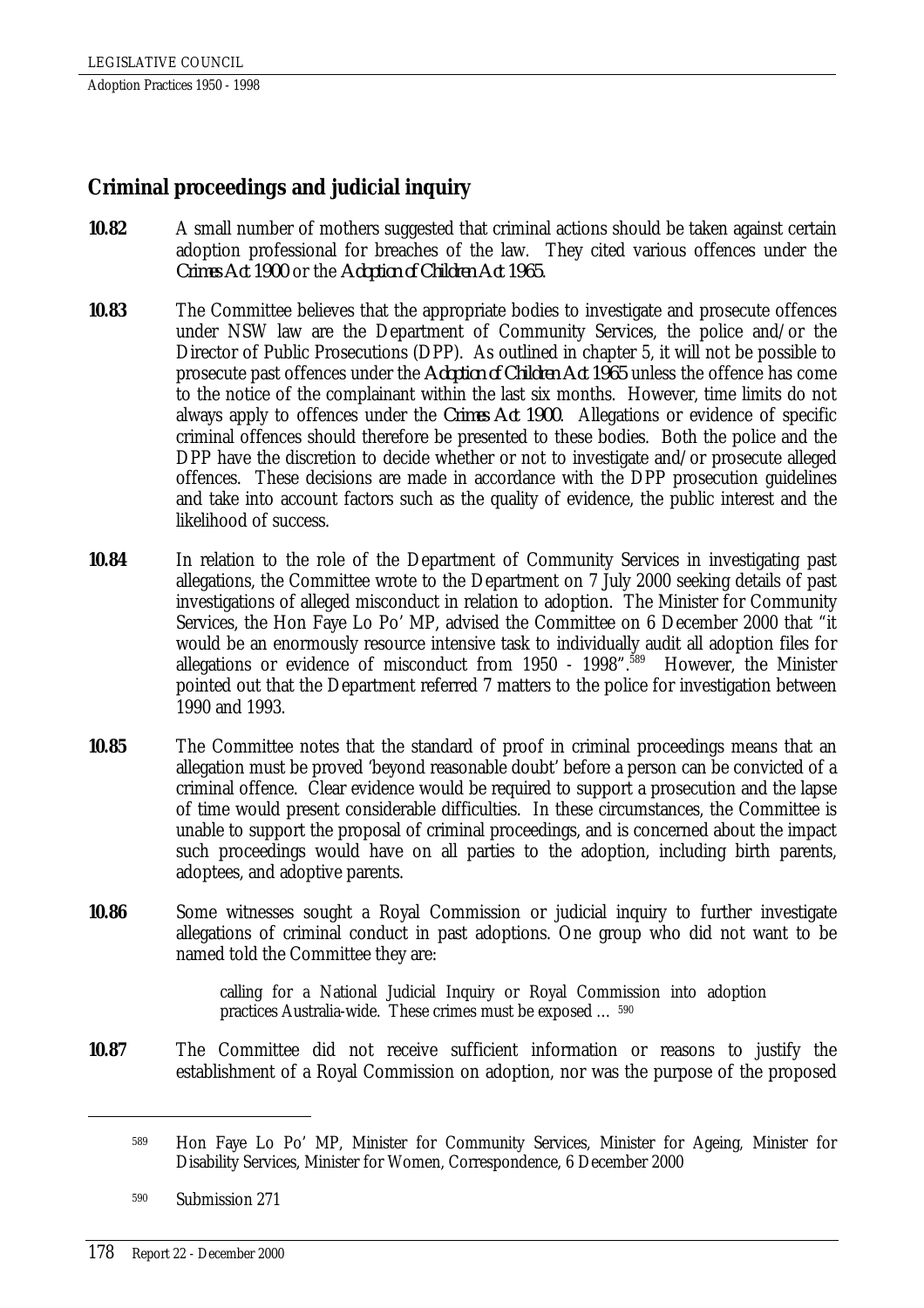## **Criminal proceedings and judicial inquiry**

- **10.82** A small number of mothers suggested that criminal actions should be taken against certain adoption professional for breaches of the law. They cited various offences under the *Crimes Act 1900* or the *Adoption of Children Act 1965*.
- **10.83** The Committee believes that the appropriate bodies to investigate and prosecute offences under NSW law are the Department of Community Services, the police and/or the Director of Public Prosecutions (DPP). As outlined in chapter 5, it will not be possible to prosecute past offences under the *Adoption of Children Act 1965* unless the offence has come to the notice of the complainant within the last six months. However, time limits do not always apply to offences under the *Crimes Act 1900*. Allegations or evidence of specific criminal offences should therefore be presented to these bodies. Both the police and the DPP have the discretion to decide whether or not to investigate and/or prosecute alleged offences. These decisions are made in accordance with the DPP prosecution guidelines and take into account factors such as the quality of evidence, the public interest and the likelihood of success.
- **10.84** In relation to the role of the Department of Community Services in investigating past allegations, the Committee wrote to the Department on 7 July 2000 seeking details of past investigations of alleged misconduct in relation to adoption. The Minister for Community Services, the Hon Faye Lo Po' MP, advised the Committee on 6 December 2000 that "it would be an enormously resource intensive task to individually audit all adoption files for allegations or evidence of misconduct from  $1950 - 1998$ ".<sup>589</sup> However, the Minister pointed out that the Department referred 7 matters to the police for investigation between 1990 and 1993.
- **10.85** The Committee notes that the standard of proof in criminal proceedings means that an allegation must be proved 'beyond reasonable doubt' before a person can be convicted of a criminal offence. Clear evidence would be required to support a prosecution and the lapse of time would present considerable difficulties. In these circumstances, the Committee is unable to support the proposal of criminal proceedings, and is concerned about the impact such proceedings would have on all parties to the adoption, including birth parents, adoptees, and adoptive parents.
- **10.86** Some witnesses sought a Royal Commission or judicial inquiry to further investigate allegations of criminal conduct in past adoptions. One group who did not want to be named told the Committee they are:

calling for a National Judicial Inquiry or Royal Commission into adoption practices Australia-wide. These crimes must be exposed … <sup>590</sup>

**10.87** The Committee did not receive sufficient information or reasons to justify the establishment of a Royal Commission on adoption, nor was the purpose of the proposed

<sup>589</sup> Hon Faye Lo Po' MP, Minister for Community Services, Minister for Ageing, Minister for Disability Services, Minister for Women, Correspondence, 6 December 2000

<sup>590</sup> Submission 271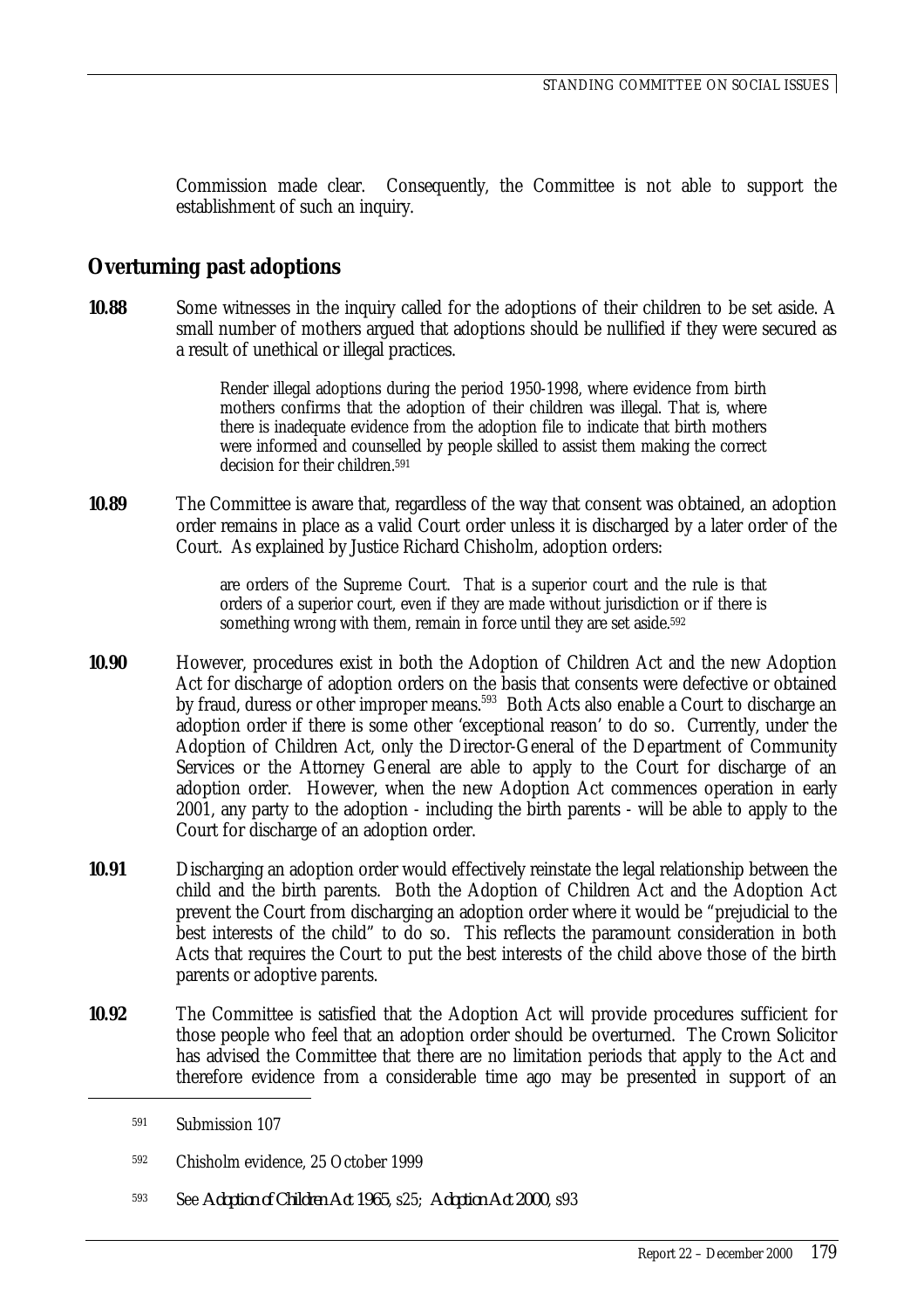Commission made clear. Consequently, the Committee is not able to support the establishment of such an inquiry.

## **Overturning past adoptions**

**10.88** Some witnesses in the inquiry called for the adoptions of their children to be set aside. A small number of mothers argued that adoptions should be nullified if they were secured as a result of unethical or illegal practices.

> Render illegal adoptions during the period 1950-1998, where evidence from birth mothers confirms that the adoption of their children was illegal. That is, where there is inadequate evidence from the adoption file to indicate that birth mothers were informed and counselled by people skilled to assist them making the correct decision for their children.<sup>591</sup>

**10.89** The Committee is aware that, regardless of the way that consent was obtained, an adoption order remains in place as a valid Court order unless it is discharged by a later order of the Court. As explained by Justice Richard Chisholm, adoption orders:

> are orders of the Supreme Court. That is a superior court and the rule is that orders of a superior court, even if they are made without jurisdiction or if there is something wrong with them, remain in force until they are set aside.<sup>592</sup>

- **10.90** However, procedures exist in both the Adoption of Children Act and the new Adoption Act for discharge of adoption orders on the basis that consents were defective or obtained by fraud, duress or other improper means.<sup>593</sup> Both Acts also enable a Court to discharge an adoption order if there is some other 'exceptional reason' to do so. Currently, under the Adoption of Children Act, only the Director-General of the Department of Community Services or the Attorney General are able to apply to the Court for discharge of an adoption order. However, when the new Adoption Act commences operation in early 2001, any party to the adoption - including the birth parents - will be able to apply to the Court for discharge of an adoption order.
- **10.91** Discharging an adoption order would effectively reinstate the legal relationship between the child and the birth parents. Both the Adoption of Children Act and the Adoption Act prevent the Court from discharging an adoption order where it would be "prejudicial to the best interests of the child" to do so. This reflects the paramount consideration in both Acts that requires the Court to put the best interests of the child above those of the birth parents or adoptive parents.
- **10.92** The Committee is satisfied that the Adoption Act will provide procedures sufficient for those people who feel that an adoption order should be overturned. The Crown Solicitor has advised the Committee that there are no limitation periods that apply to the Act and therefore evidence from a considerable time ago may be presented in support of an

- <sup>592</sup> Chisholm evidence, 25 October 1999
- <sup>593</sup> See *Adoption of Children Act 1965*, s25; *Adoption Act 2000*, s93

<sup>591</sup> Submission 107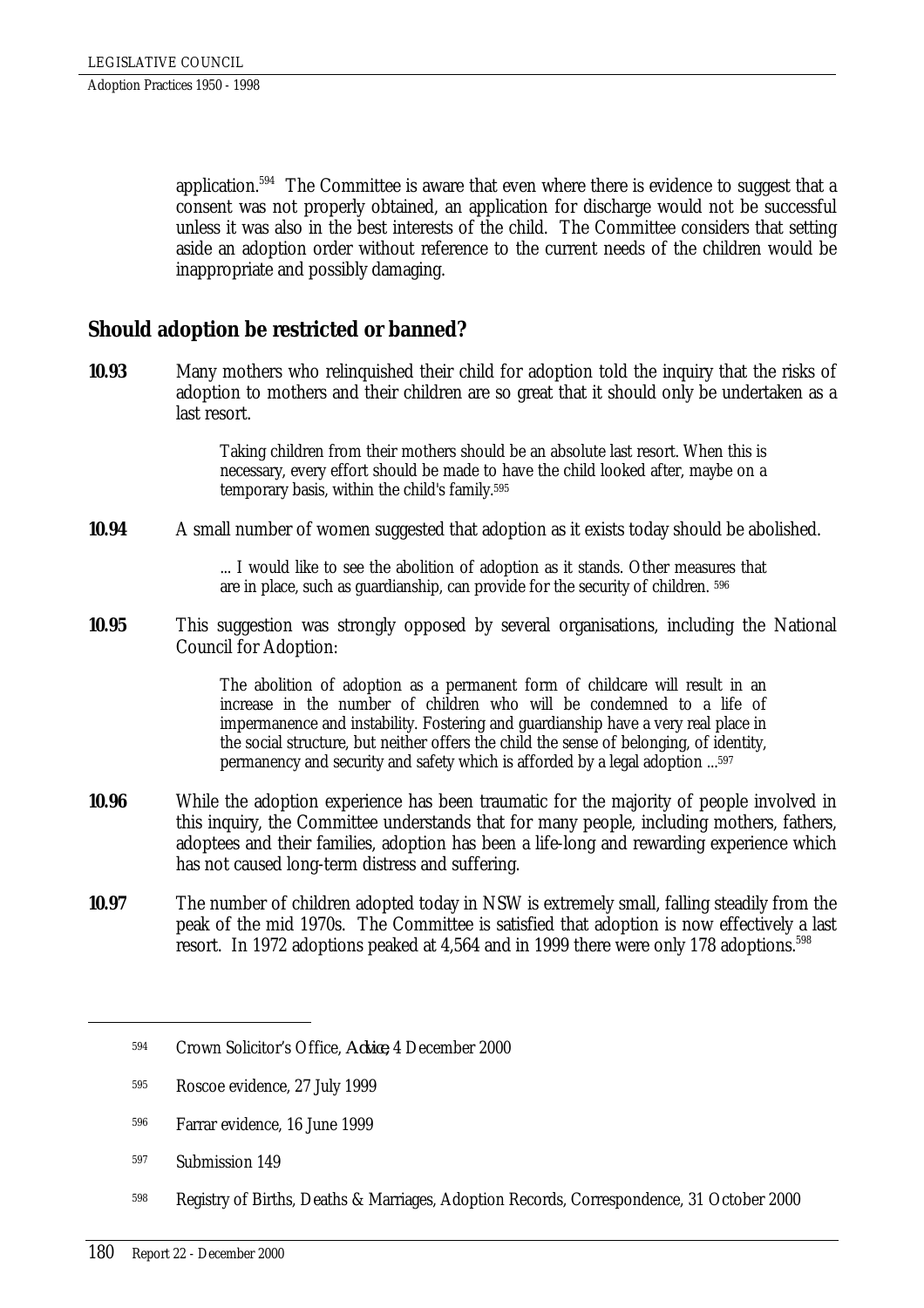application.<sup>594</sup> The Committee is aware that even where there is evidence to suggest that a consent was not properly obtained, an application for discharge would not be successful unless it was also in the best interests of the child. The Committee considers that setting aside an adoption order without reference to the current needs of the children would be inappropriate and possibly damaging.

## **Should adoption be restricted or banned?**

**10.93** Many mothers who relinquished their child for adoption told the inquiry that the risks of adoption to mothers and their children are so great that it should only be undertaken as a last resort.

> Taking children from their mothers should be an absolute last resort. When this is necessary, every effort should be made to have the child looked after, maybe on a temporary basis, within the child's family.<sup>595</sup>

**10.94** A small number of women suggested that adoption as it exists today should be abolished.

... I would like to see the abolition of adoption as it stands. Other measures that are in place, such as guardianship, can provide for the security of children. <sup>596</sup>

10.95 This suggestion was strongly opposed by several organisations, including the National Council for Adoption:

> The abolition of adoption as a permanent form of childcare will result in an increase in the number of children who will be condemned to a life of impermanence and instability. Fostering and guardianship have a very real place in the social structure, but neither offers the child the sense of belonging, of identity, permanency and security and safety which is afforded by a legal adoption ...<sup>597</sup>

- **10.96** While the adoption experience has been traumatic for the majority of people involved in this inquiry, the Committee understands that for many people, including mothers, fathers, adoptees and their families, adoption has been a life-long and rewarding experience which has not caused long-term distress and suffering.
- **10.97** The number of children adopted today in NSW is extremely small, falling steadily from the peak of the mid 1970s. The Committee is satisfied that adoption is now effectively a last resort. In 1972 adoptions peaked at 4.564 and in 1999 there were only 178 adoptions.<sup>598</sup>

- <sup>595</sup> Roscoe evidence, 27 July 1999
- <sup>596</sup> Farrar evidence, 16 June 1999
- <sup>597</sup> Submission 149
- <sup>598</sup> Registry of Births, Deaths & Marriages, Adoption Records, Correspondence, 31 October 2000

<sup>594</sup> Crown Solicitor's Office, *Advice,* 4 December 2000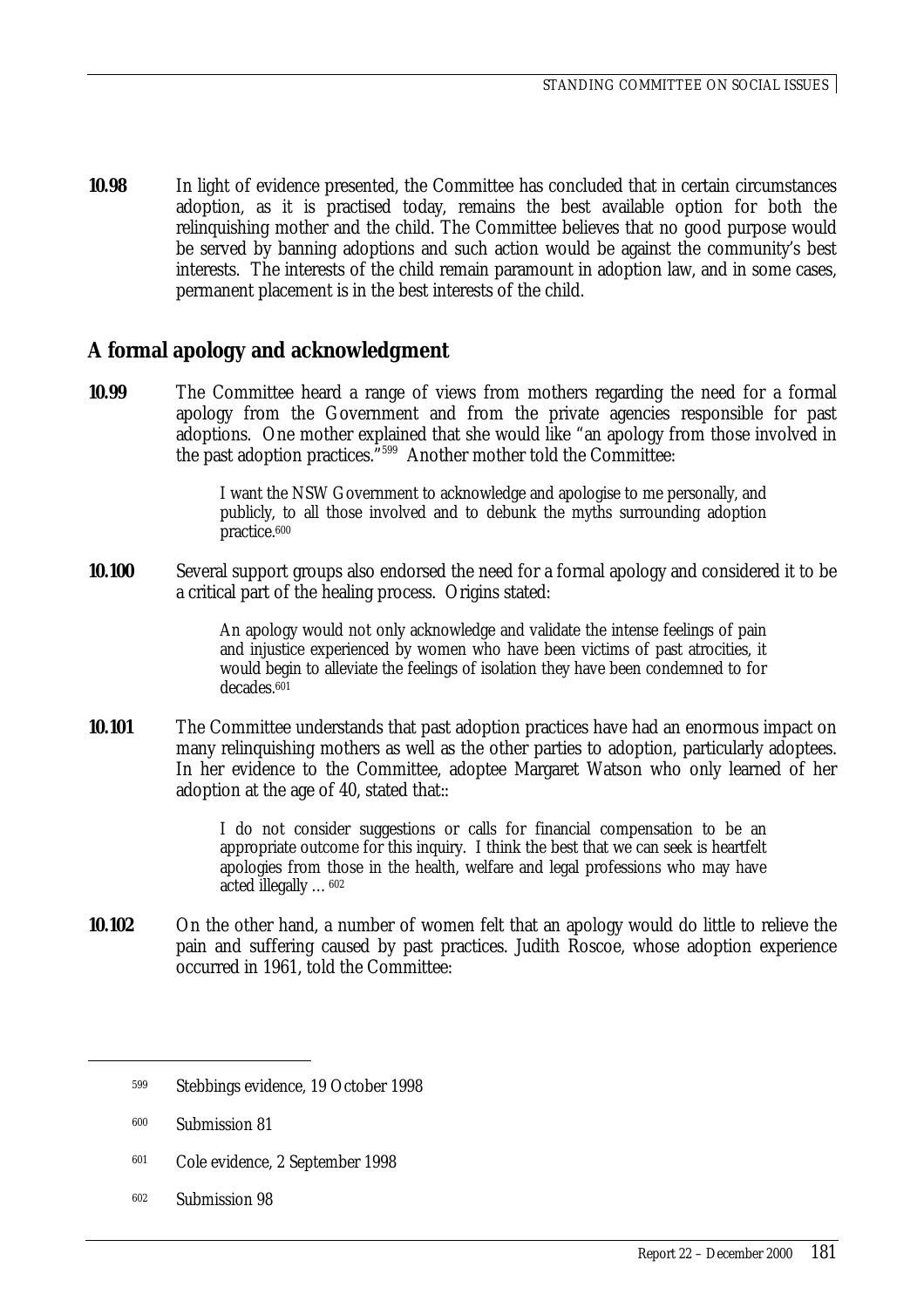**10.98** In light of evidence presented, the Committee has concluded that in certain circumstances adoption, as it is practised today, remains the best available option for both the relinquishing mother and the child. The Committee believes that no good purpose would be served by banning adoptions and such action would be against the community's best interests. The interests of the child remain paramount in adoption law, and in some cases, permanent placement is in the best interests of the child.

## **A formal apology and acknowledgment**

**10.99** The Committee heard a range of views from mothers regarding the need for a formal apology from the Government and from the private agencies responsible for past adoptions. One mother explained that she would like "an apology from those involved in the past adoption practices."<sup>599</sup> Another mother told the Committee:

> I want the NSW Government to acknowledge and apologise to me personally, and publicly, to all those involved and to debunk the myths surrounding adoption practice.<sup>600</sup>

**10.100** Several support groups also endorsed the need for a formal apology and considered it to be a critical part of the healing process. Origins stated:

> An apology would not only acknowledge and validate the intense feelings of pain and injustice experienced by women who have been victims of past atrocities, it would begin to alleviate the feelings of isolation they have been condemned to for decades.<sup>601</sup>

**10.101** The Committee understands that past adoption practices have had an enormous impact on many relinquishing mothers as well as the other parties to adoption, particularly adoptees. In her evidence to the Committee, adoptee Margaret Watson who only learned of her adoption at the age of 40, stated that::

> I do not consider suggestions or calls for financial compensation to be an appropriate outcome for this inquiry. I think the best that we can seek is heartfelt apologies from those in the health, welfare and legal professions who may have acted illegally …<sup>602</sup>

**10.102** On the other hand, a number of women felt that an apology would do little to relieve the pain and suffering caused by past practices. Judith Roscoe, whose adoption experience occurred in 1961, told the Committee:

<sup>600</sup> Submission 81

- <sup>601</sup> Cole evidence, 2 September 1998
- <sup>602</sup> Submission 98

<sup>599</sup> Stebbings evidence, 19 October 1998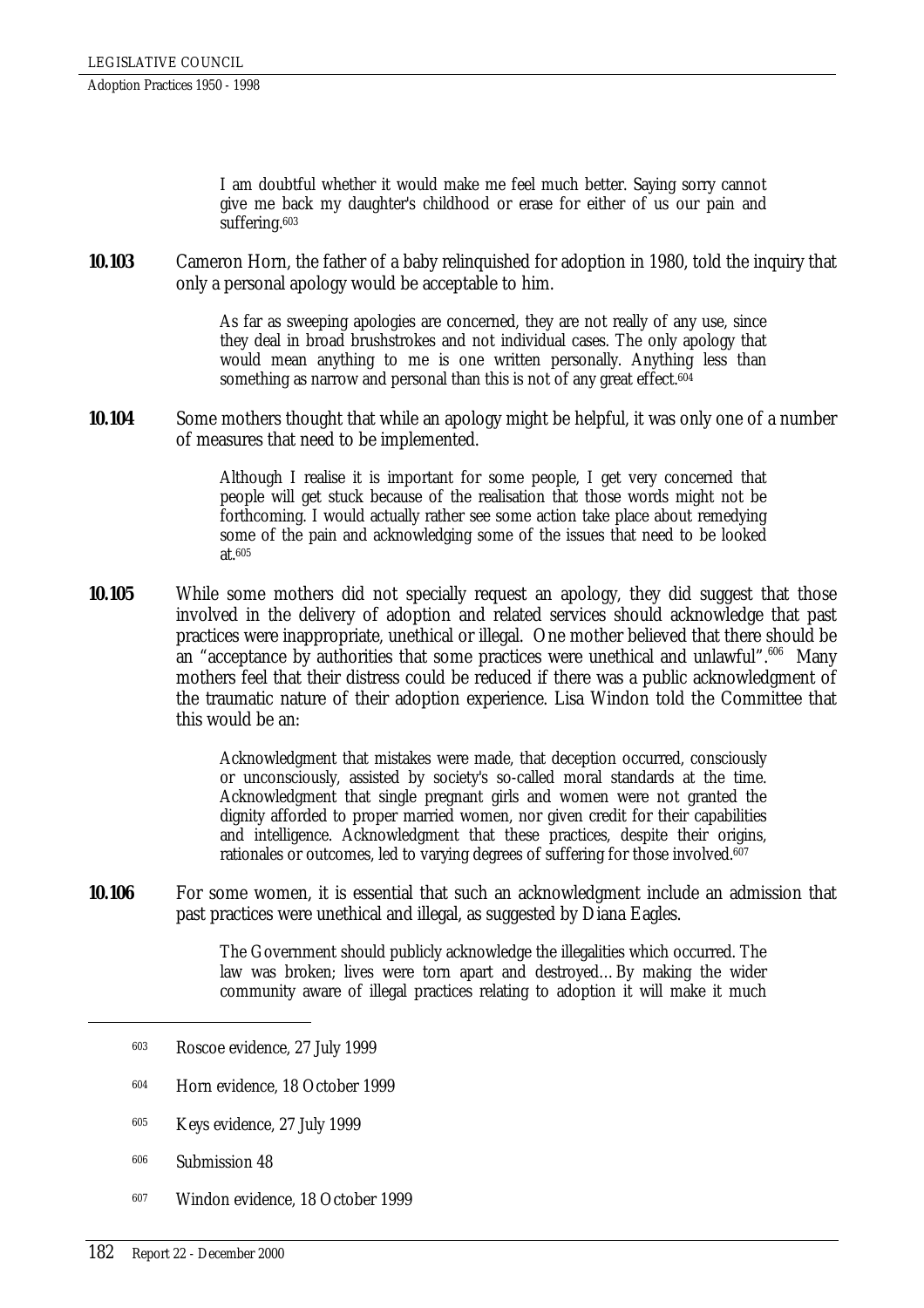I am doubtful whether it would make me feel much better. Saying sorry cannot give me back my daughter's childhood or erase for either of us our pain and suffering.<sup>603</sup>

**10.103** Cameron Horn, the father of a baby relinquished for adoption in 1980, told the inquiry that only a personal apology would be acceptable to him.

> As far as sweeping apologies are concerned, they are not really of any use, since they deal in broad brushstrokes and not individual cases. The only apology that would mean anything to me is one written personally. Anything less than something as narrow and personal than this is not of any great effect.<sup>604</sup>

**10.104** Some mothers thought that while an apology might be helpful, it was only one of a number of measures that need to be implemented.

> Although I realise it is important for some people, I get very concerned that people will get stuck because of the realisation that those words might not be forthcoming. I would actually rather see some action take place about remedying some of the pain and acknowledging some of the issues that need to be looked at.<sup>605</sup>

**10.105** While some mothers did not specially request an apology, they did suggest that those involved in the delivery of adoption and related services should acknowledge that past practices were inappropriate, unethical or illegal. One mother believed that there should be an "acceptance by authorities that some practices were unethical and unlawful". $606$  Many mothers feel that their distress could be reduced if there was a public acknowledgment of the traumatic nature of their adoption experience. Lisa Windon told the Committee that this would be an:

> Acknowledgment that mistakes were made, that deception occurred, consciously or unconsciously, assisted by society's so-called moral standards at the time. Acknowledgment that single pregnant girls and women were not granted the dignity afforded to proper married women, nor given credit for their capabilities and intelligence. Acknowledgment that these practices, despite their origins, rationales or outcomes, led to varying degrees of suffering for those involved.<sup>607</sup>

**10.106** For some women, it is essential that such an acknowledgment include an admission that past practices were unethical and illegal, as suggested by Diana Eagles.

> The Government should publicly acknowledge the illegalities which occurred. The law was broken; lives were torn apart and destroyed…By making the wider community aware of illegal practices relating to adoption it will make it much

- <sup>603</sup> Roscoe evidence, 27 July 1999
- <sup>604</sup> Horn evidence, 18 October 1999
- <sup>605</sup> Keys evidence, 27 July 1999
- <sup>606</sup> Submission 48
- <sup>607</sup> Windon evidence, 18 October 1999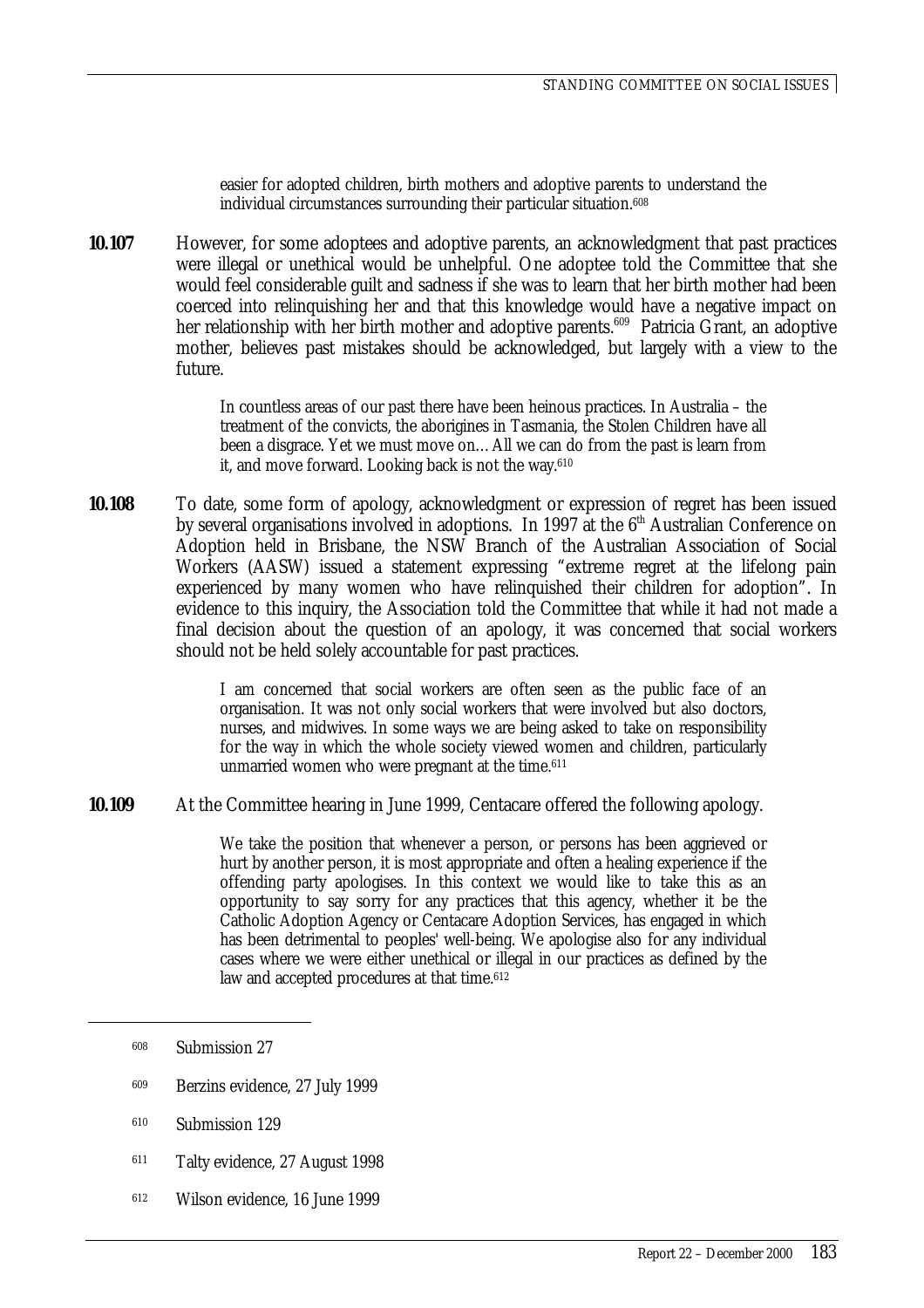easier for adopted children, birth mothers and adoptive parents to understand the individual circumstances surrounding their particular situation.<sup>608</sup>

**10.107** However, for some adoptees and adoptive parents, an acknowledgment that past practices were illegal or unethical would be unhelpful. One adoptee told the Committee that she would feel considerable guilt and sadness if she was to learn that her birth mother had been coerced into relinquishing her and that this knowledge would have a negative impact on her relationship with her birth mother and adoptive parents.<sup>609</sup> Patricia Grant, an adoptive mother, believes past mistakes should be acknowledged, but largely with a view to the future.

> In countless areas of our past there have been heinous practices. In Australia – the treatment of the convicts, the aborigines in Tasmania, the Stolen Children have all been a disgrace. Yet we must move on…All we can do from the past is learn from it, and move forward. Looking back is not the way.<sup>610</sup>

**10.108** To date, some form of apology, acknowledgment or expression of regret has been issued by several organisations involved in adoptions. In 1997 at the  $6<sup>th</sup>$  Australian Conference on Adoption held in Brisbane, the NSW Branch of the Australian Association of Social Workers (AASW) issued a statement expressing "extreme regret at the lifelong pain experienced by many women who have relinquished their children for adoption". In evidence to this inquiry, the Association told the Committee that while it had not made a final decision about the question of an apology, it was concerned that social workers should not be held solely accountable for past practices.

> I am concerned that social workers are often seen as the public face of an organisation. It was not only social workers that were involved but also doctors, nurses, and midwives. In some ways we are being asked to take on responsibility for the way in which the whole society viewed women and children, particularly unmarried women who were pregnant at the time.<sup>611</sup>

**10.109** At the Committee hearing in June 1999, Centacare offered the following apology.

We take the position that whenever a person, or persons has been aggrieved or hurt by another person, it is most appropriate and often a healing experience if the offending party apologises. In this context we would like to take this as an opportunity to say sorry for any practices that this agency, whether it be the Catholic Adoption Agency or Centacare Adoption Services, has engaged in which has been detrimental to peoples' well-being. We apologise also for any individual cases where we were either unethical or illegal in our practices as defined by the law and accepted procedures at that time.<sup>612</sup>

- <sup>609</sup> Berzins evidence, 27 July 1999
- <sup>610</sup> Submission 129
- <sup>611</sup> Talty evidence, 27 August 1998
- <sup>612</sup> Wilson evidence, 16 June 1999

<sup>608</sup> Submission 27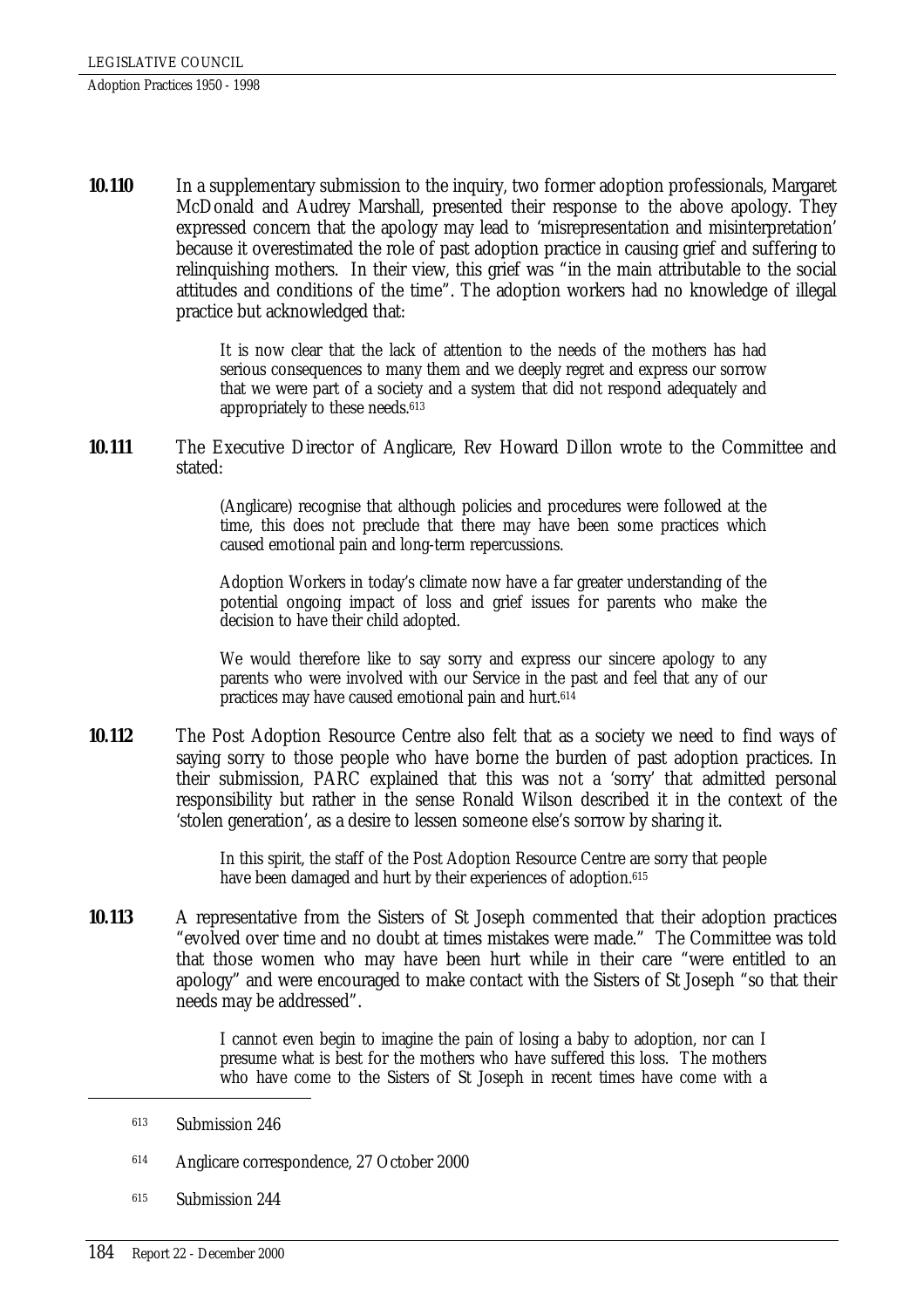**10.110** In a supplementary submission to the inquiry, two former adoption professionals, Margaret McDonald and Audrey Marshall, presented their response to the above apology. They expressed concern that the apology may lead to 'misrepresentation and misinterpretation' because it overestimated the role of past adoption practice in causing grief and suffering to relinquishing mothers. In their view, this grief was "in the main attributable to the social attitudes and conditions of the time". The adoption workers had no knowledge of illegal practice but acknowledged that:

> It is now clear that the lack of attention to the needs of the mothers has had serious consequences to many them and we deeply regret and express our sorrow that we were part of a society and a system that did not respond adequately and appropriately to these needs.<sup>613</sup>

**10.111** The Executive Director of Anglicare, Rev Howard Dillon wrote to the Committee and stated:

> (Anglicare) recognise that although policies and procedures were followed at the time, this does not preclude that there may have been some practices which caused emotional pain and long-term repercussions.

> Adoption Workers in today's climate now have a far greater understanding of the potential ongoing impact of loss and grief issues for parents who make the decision to have their child adopted.

> We would therefore like to say sorry and express our sincere apology to any parents who were involved with our Service in the past and feel that any of our practices may have caused emotional pain and hurt.<sup>614</sup>

**10.112** The Post Adoption Resource Centre also felt that as a society we need to find ways of saying sorry to those people who have borne the burden of past adoption practices. In their submission, PARC explained that this was not a 'sorry' that admitted personal responsibility but rather in the sense Ronald Wilson described it in the context of the 'stolen generation', as a desire to lessen someone else's sorrow by sharing it.

> In this spirit, the staff of the Post Adoption Resource Centre are sorry that people have been damaged and hurt by their experiences of adoption.<sup>615</sup>

**10.113** A representative from the Sisters of St Joseph commented that their adoption practices "evolved over time and no doubt at times mistakes were made." The Committee was told that those women who may have been hurt while in their care "were entitled to an apology" and were encouraged to make contact with the Sisters of St Joseph "so that their needs may be addressed".

> I cannot even begin to imagine the pain of losing a baby to adoption, nor can I presume what is best for the mothers who have suffered this loss. The mothers who have come to the Sisters of St Joseph in recent times have come with a

- <sup>614</sup> Anglicare correspondence, 27 October 2000
- <sup>615</sup> Submission 244

<sup>613</sup> Submission 246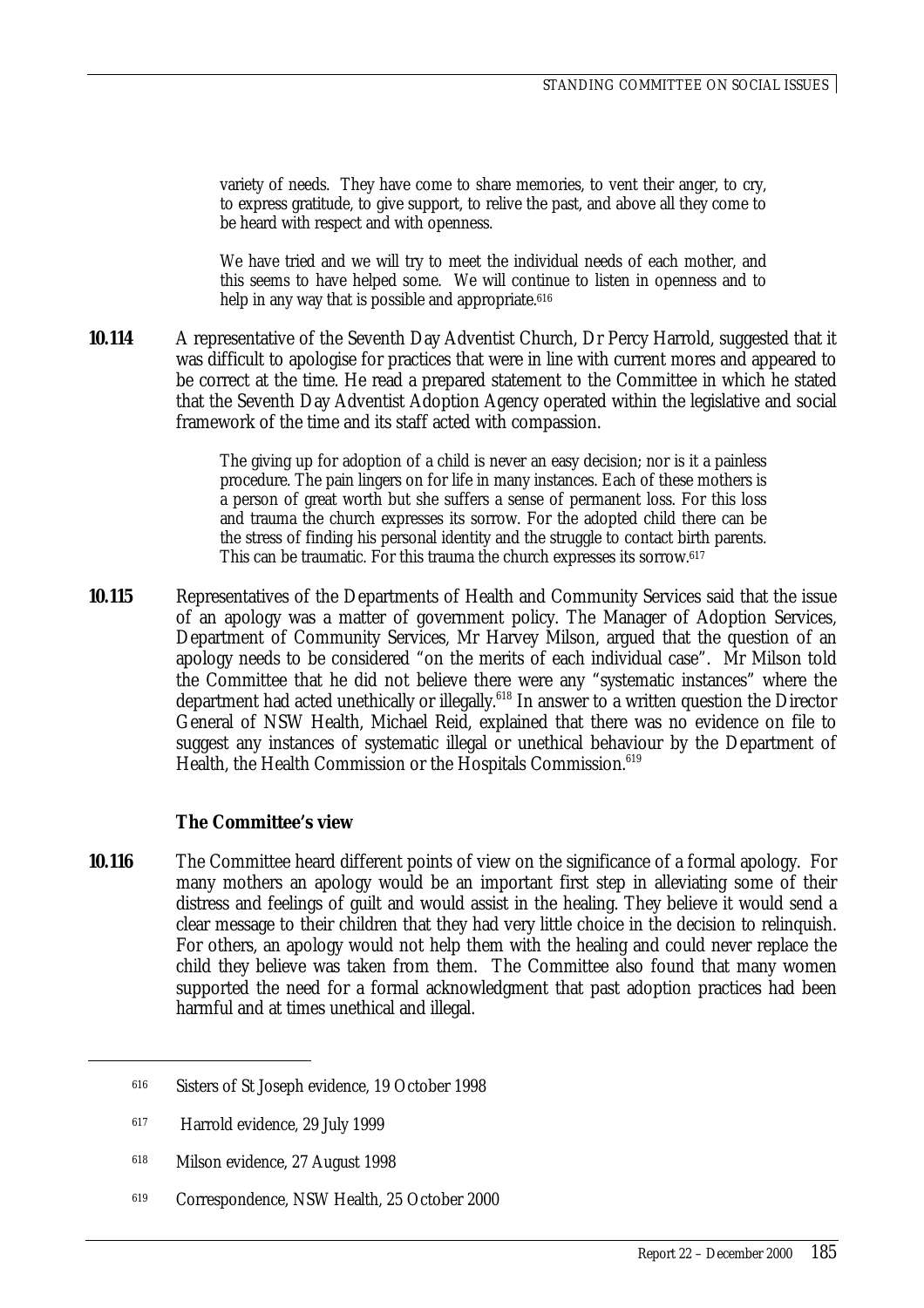variety of needs. They have come to share memories, to vent their anger, to cry, to express gratitude, to give support, to relive the past, and above all they come to be heard with respect and with openness.

We have tried and we will try to meet the individual needs of each mother, and this seems to have helped some. We will continue to listen in openness and to help in any way that is possible and appropriate.<sup>616</sup>

**10.114** A representative of the Seventh Day Adventist Church, Dr Percy Harrold, suggested that it was difficult to apologise for practices that were in line with current mores and appeared to be correct at the time. He read a prepared statement to the Committee in which he stated that the Seventh Day Adventist Adoption Agency operated within the legislative and social framework of the time and its staff acted with compassion.

> The giving up for adoption of a child is never an easy decision; nor is it a painless procedure. The pain lingers on for life in many instances. Each of these mothers is a person of great worth but she suffers a sense of permanent loss. For this loss and trauma the church expresses its sorrow. For the adopted child there can be the stress of finding his personal identity and the struggle to contact birth parents. This can be traumatic. For this trauma the church expresses its sorrow.<sup>617</sup>

**10.115** Representatives of the Departments of Health and Community Services said that the issue of an apology was a matter of government policy. The Manager of Adoption Services, Department of Community Services, Mr Harvey Milson, argued that the question of an apology needs to be considered "on the merits of each individual case". Mr Milson told the Committee that he did not believe there were any "systematic instances" where the department had acted unethically or illegally.<sup>618</sup> In answer to a written question the Director General of NSW Health, Michael Reid, explained that there was no evidence on file to suggest any instances of systematic illegal or unethical behaviour by the Department of Health, the Health Commission or the Hospitals Commission.<sup>619</sup>

#### **The Committee's view**

**10.116** The Committee heard different points of view on the significance of a formal apology. For many mothers an apology would be an important first step in alleviating some of their distress and feelings of guilt and would assist in the healing. They believe it would send a clear message to their children that they had very little choice in the decision to relinquish. For others, an apology would not help them with the healing and could never replace the child they believe was taken from them. The Committee also found that many women supported the need for a formal acknowledgment that past adoption practices had been harmful and at times unethical and illegal.

- <sup>618</sup> Milson evidence, 27 August 1998
- <sup>619</sup> Correspondence, NSW Health, 25 October 2000

<sup>616</sup> Sisters of St Joseph evidence, 19 October 1998

<sup>617</sup> Harrold evidence, 29 July 1999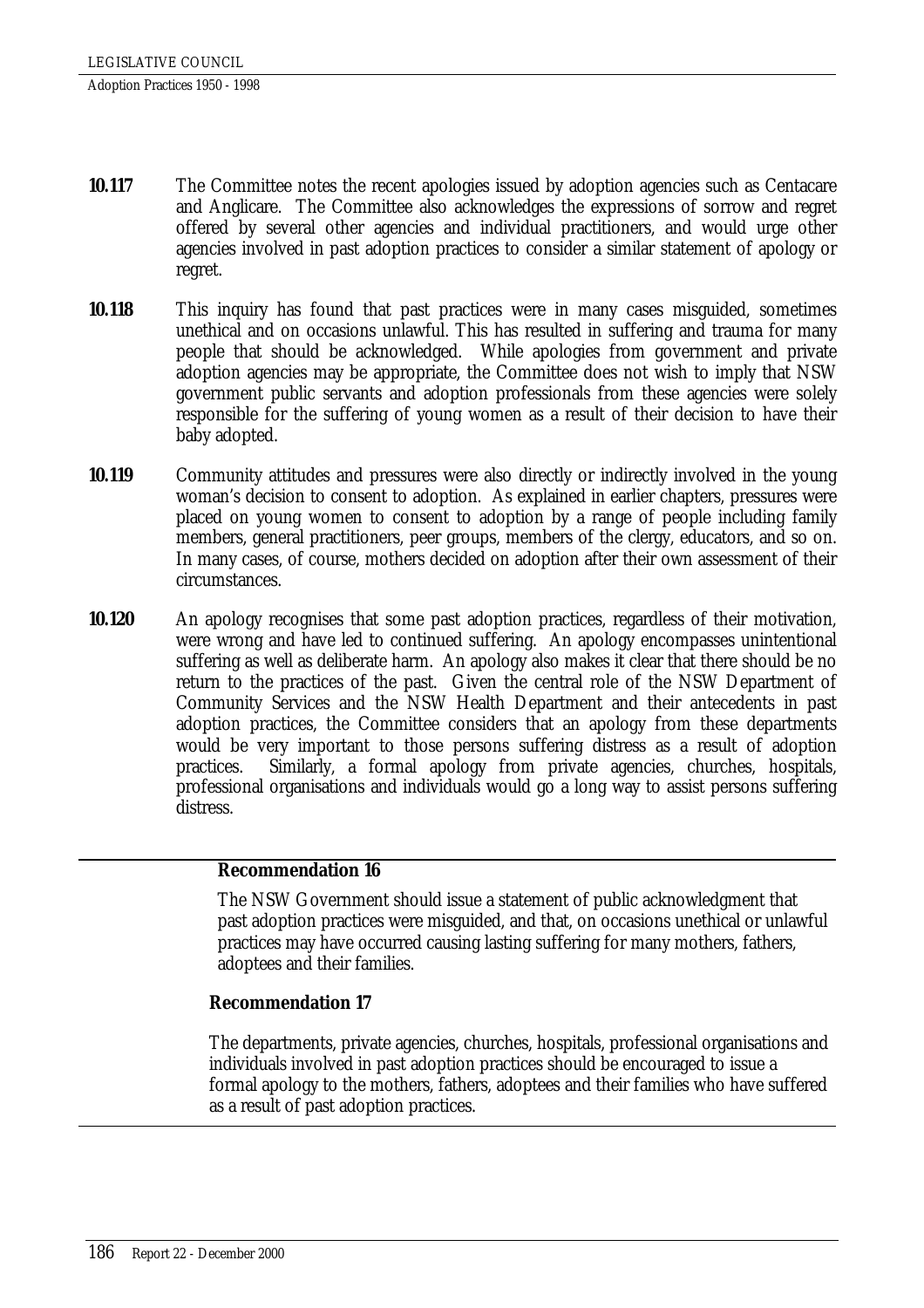- **10.117** The Committee notes the recent apologies issued by adoption agencies such as Centacare and Anglicare. The Committee also acknowledges the expressions of sorrow and regret offered by several other agencies and individual practitioners, and would urge other agencies involved in past adoption practices to consider a similar statement of apology or regret.
- **10.118** This inquiry has found that past practices were in many cases misguided, sometimes unethical and on occasions unlawful. This has resulted in suffering and trauma for many people that should be acknowledged. While apologies from government and private adoption agencies may be appropriate, the Committee does not wish to imply that NSW government public servants and adoption professionals from these agencies were solely responsible for the suffering of young women as a result of their decision to have their baby adopted.
- **10.119** Community attitudes and pressures were also directly or indirectly involved in the young woman's decision to consent to adoption. As explained in earlier chapters, pressures were placed on young women to consent to adoption by a range of people including family members, general practitioners, peer groups, members of the clergy, educators, and so on. In many cases, of course, mothers decided on adoption after their own assessment of their circumstances.
- **10.120** An apology recognises that some past adoption practices, regardless of their motivation, were wrong and have led to continued suffering. An apology encompasses unintentional suffering as well as deliberate harm. An apology also makes it clear that there should be no return to the practices of the past. Given the central role of the NSW Department of Community Services and the NSW Health Department and their antecedents in past adoption practices, the Committee considers that an apology from these departments would be very important to those persons suffering distress as a result of adoption practices. Similarly, a formal apology from private agencies, churches, hospitals, professional organisations and individuals would go a long way to assist persons suffering distress.

#### **Recommendation 16**

The NSW Government should issue a statement of public acknowledgment that past adoption practices were misguided, and that, on occasions unethical or unlawful practices may have occurred causing lasting suffering for many mothers, fathers, adoptees and their families.

## **Recommendation 17**

The departments, private agencies, churches, hospitals, professional organisations and individuals involved in past adoption practices should be encouraged to issue a formal apology to the mothers, fathers, adoptees and their families who have suffered as a result of past adoption practices.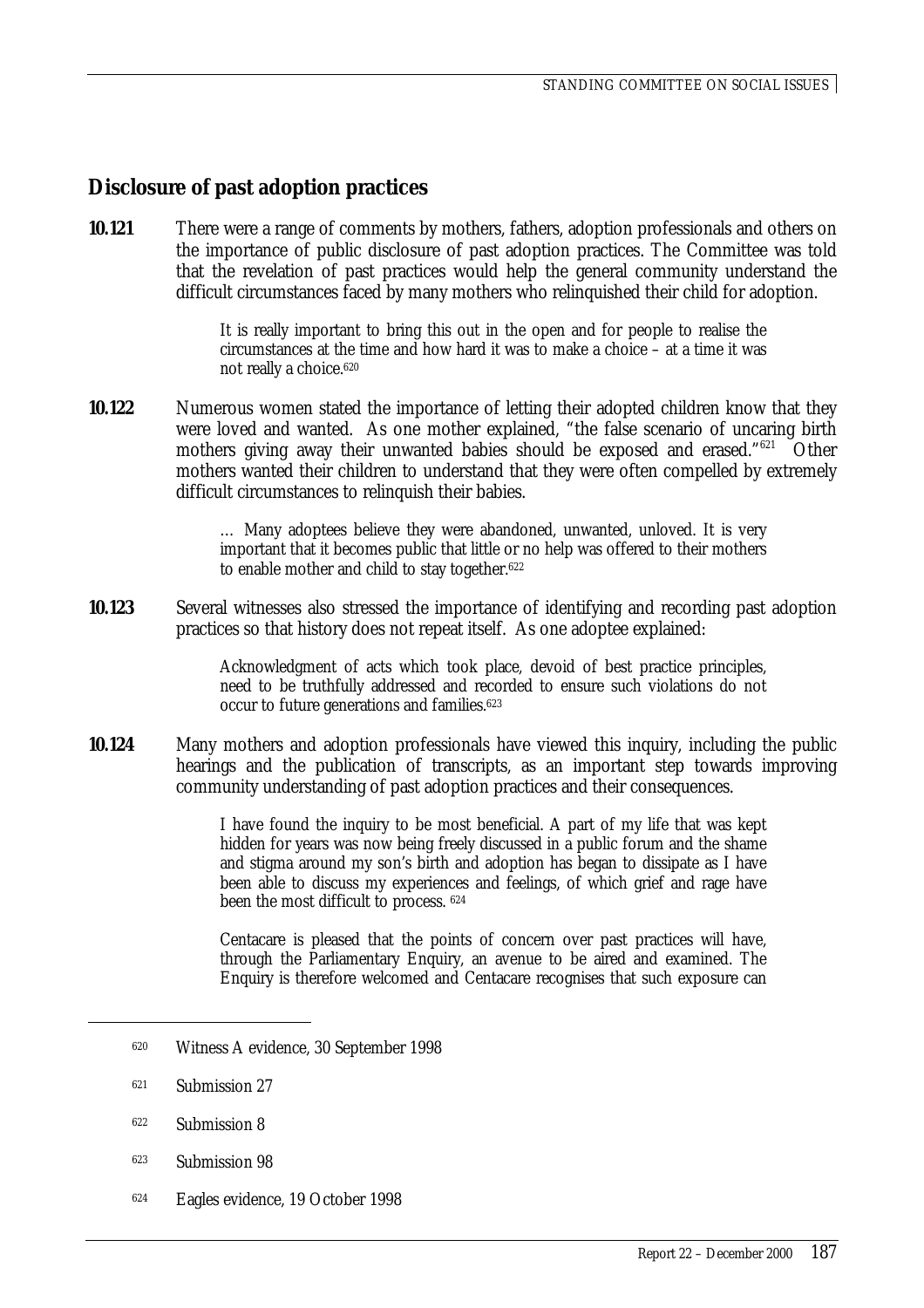## **Disclosure of past adoption practices**

**10.121** There were a range of comments by mothers, fathers, adoption professionals and others on the importance of public disclosure of past adoption practices. The Committee was told that the revelation of past practices would help the general community understand the difficult circumstances faced by many mothers who relinquished their child for adoption.

> It is really important to bring this out in the open and for people to realise the circumstances at the time and how hard it was to make a choice – at a time it was not really a choice.<sup>620</sup>

**10.122** Numerous women stated the importance of letting their adopted children know that they were loved and wanted. As one mother explained, "the false scenario of uncaring birth mothers giving away their unwanted babies should be exposed and erased."<sup>621</sup> Other mothers wanted their children to understand that they were often compelled by extremely difficult circumstances to relinquish their babies.

> … Many adoptees believe they were abandoned, unwanted, unloved. It is very important that it becomes public that little or no help was offered to their mothers to enable mother and child to stay together.<sup>622</sup>

**10.123** Several witnesses also stressed the importance of identifying and recording past adoption practices so that history does not repeat itself. As one adoptee explained:

> Acknowledgment of acts which took place, devoid of best practice principles, need to be truthfully addressed and recorded to ensure such violations do not occur to future generations and families.<sup>623</sup>

**10.124** Many mothers and adoption professionals have viewed this inquiry, including the public hearings and the publication of transcripts, as an important step towards improving community understanding of past adoption practices and their consequences.

> I have found the inquiry to be most beneficial. A part of my life that was kept hidden for years was now being freely discussed in a public forum and the shame and stigma around my son's birth and adoption has began to dissipate as I have been able to discuss my experiences and feelings, of which grief and rage have been the most difficult to process. <sup>624</sup>

> Centacare is pleased that the points of concern over past practices will have, through the Parliamentary Enquiry, an avenue to be aired and examined. The Enquiry is therefore welcomed and Centacare recognises that such exposure can

- <sup>622</sup> Submission 8
- <sup>623</sup> Submission 98
- <sup>624</sup> Eagles evidence, 19 October 1998

<sup>620</sup> Witness A evidence, 30 September 1998

<sup>621</sup> Submission 27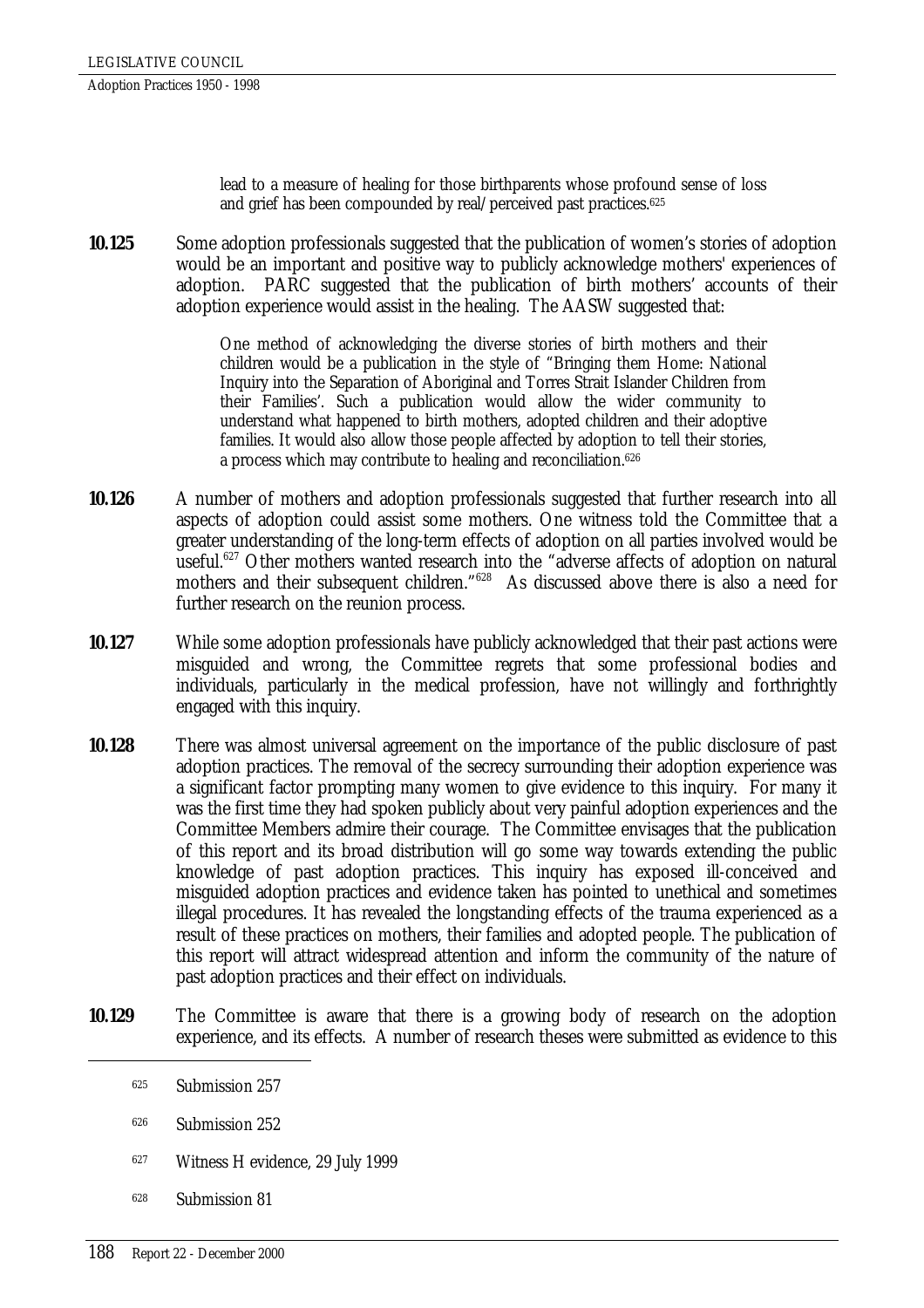lead to a measure of healing for those birthparents whose profound sense of loss and grief has been compounded by real/perceived past practices.<sup>625</sup>

10.125 Some adoption professionals suggested that the publication of women's stories of adoption would be an important and positive way to publicly acknowledge mothers' experiences of adoption. PARC suggested that the publication of birth mothers' accounts of their adoption experience would assist in the healing. The AASW suggested that:

> One method of acknowledging the diverse stories of birth mothers and their children would be a publication in the style of "Bringing them Home: National Inquiry into the Separation of Aboriginal and Torres Strait Islander Children from their Families'. Such a publication would allow the wider community to understand what happened to birth mothers, adopted children and their adoptive families. It would also allow those people affected by adoption to tell their stories, a process which may contribute to healing and reconciliation.<sup>626</sup>

- **10.126** A number of mothers and adoption professionals suggested that further research into all aspects of adoption could assist some mothers. One witness told the Committee that a greater understanding of the long-term effects of adoption on all parties involved would be useful.<sup>627</sup> Other mothers wanted research into the "adverse affects of adoption on natural mothers and their subsequent children."<sup>628</sup> As discussed above there is also a need for further research on the reunion process.
- **10.127** While some adoption professionals have publicly acknowledged that their past actions were misguided and wrong, the Committee regrets that some professional bodies and individuals, particularly in the medical profession, have not willingly and forthrightly engaged with this inquiry.
- **10.128** There was almost universal agreement on the importance of the public disclosure of past adoption practices. The removal of the secrecy surrounding their adoption experience was a significant factor prompting many women to give evidence to this inquiry. For many it was the first time they had spoken publicly about very painful adoption experiences and the Committee Members admire their courage. The Committee envisages that the publication of this report and its broad distribution will go some way towards extending the public knowledge of past adoption practices. This inquiry has exposed ill-conceived and misguided adoption practices and evidence taken has pointed to unethical and sometimes illegal procedures. It has revealed the longstanding effects of the trauma experienced as a result of these practices on mothers, their families and adopted people. The publication of this report will attract widespread attention and inform the community of the nature of past adoption practices and their effect on individuals.
- **10.129** The Committee is aware that there is a growing body of research on the adoption experience, and its effects. A number of research theses were submitted as evidence to this
	- <sup>625</sup> Submission 257

- <sup>626</sup> Submission 252
- <sup>627</sup> Witness H evidence, 29 July 1999
- <sup>628</sup> Submission 81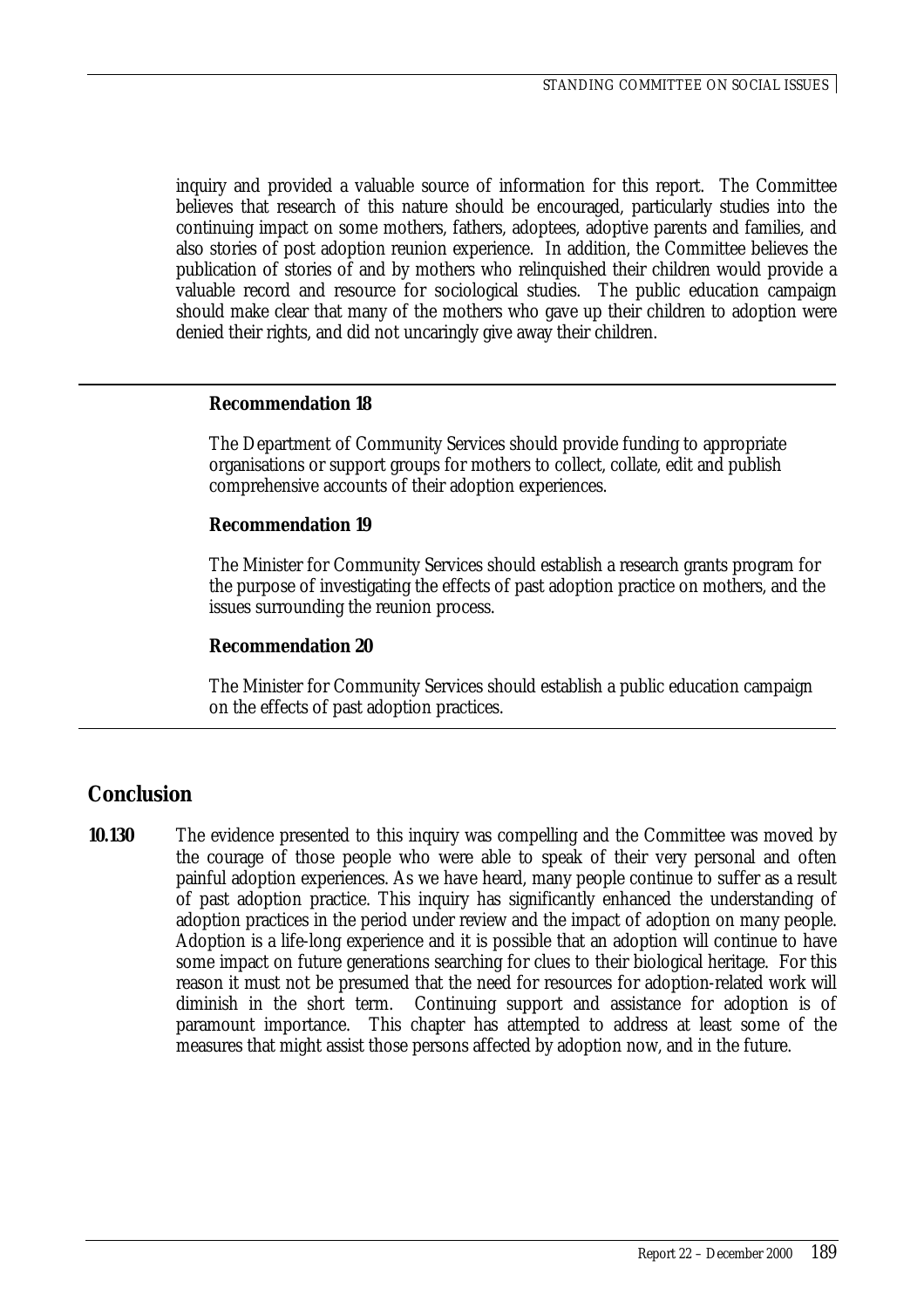inquiry and provided a valuable source of information for this report. The Committee believes that research of this nature should be encouraged, particularly studies into the continuing impact on some mothers, fathers, adoptees, adoptive parents and families, and also stories of post adoption reunion experience. In addition, the Committee believes the publication of stories of and by mothers who relinquished their children would provide a valuable record and resource for sociological studies. The public education campaign should make clear that many of the mothers who gave up their children to adoption were denied their rights, and did not uncaringly give away their children.

#### **Recommendation 18**

The Department of Community Services should provide funding to appropriate organisations or support groups for mothers to collect, collate, edit and publish comprehensive accounts of their adoption experiences.

#### **Recommendation 19**

The Minister for Community Services should establish a research grants program for the purpose of investigating the effects of past adoption practice on mothers, and the issues surrounding the reunion process.

#### **Recommendation 20**

The Minister for Community Services should establish a public education campaign on the effects of past adoption practices.

## **Conclusion**

**10.130** The evidence presented to this inquiry was compelling and the Committee was moved by the courage of those people who were able to speak of their very personal and often painful adoption experiences. As we have heard, many people continue to suffer as a result of past adoption practice. This inquiry has significantly enhanced the understanding of adoption practices in the period under review and the impact of adoption on many people. Adoption is a life-long experience and it is possible that an adoption will continue to have some impact on future generations searching for clues to their biological heritage. For this reason it must not be presumed that the need for resources for adoption-related work will diminish in the short term. Continuing support and assistance for adoption is of paramount importance. This chapter has attempted to address at least some of the measures that might assist those persons affected by adoption now, and in the future.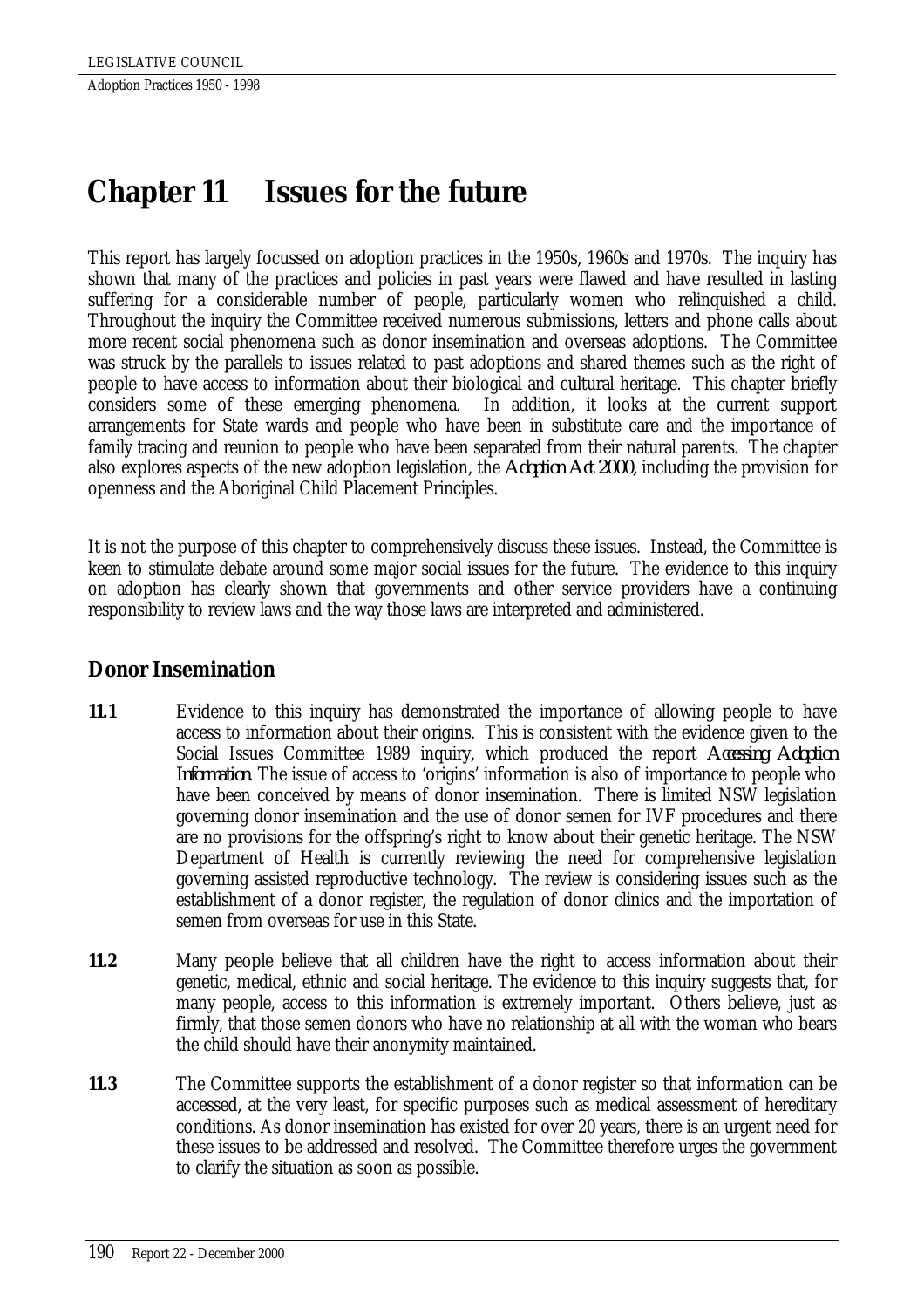## **Chapter 11 Issues for the future**

This report has largely focussed on adoption practices in the 1950s, 1960s and 1970s. The inquiry has shown that many of the practices and policies in past years were flawed and have resulted in lasting suffering for a considerable number of people, particularly women who relinquished a child. Throughout the inquiry the Committee received numerous submissions, letters and phone calls about more recent social phenomena such as donor insemination and overseas adoptions. The Committee was struck by the parallels to issues related to past adoptions and shared themes such as the right of people to have access to information about their biological and cultural heritage. This chapter briefly considers some of these emerging phenomena. In addition, it looks at the current support arrangements for State wards and people who have been in substitute care and the importance of family tracing and reunion to people who have been separated from their natural parents. The chapter also explores aspects of the new adoption legislation, the *Adoption Act 2000,* including the provision for openness and the Aboriginal Child Placement Principles.

It is not the purpose of this chapter to comprehensively discuss these issues. Instead, the Committee is keen to stimulate debate around some major social issues for the future. The evidence to this inquiry on adoption has clearly shown that governments and other service providers have a continuing responsibility to review laws and the way those laws are interpreted and administered.

## **Donor Insemination**

- **11.1** Evidence to this inquiry has demonstrated the importance of allowing people to have access to information about their origins. This is consistent with the evidence given to the Social Issues Committee 1989 inquiry, which produced the report *Accessing Adoption Information*. The issue of access to 'origins' information is also of importance to people who have been conceived by means of donor insemination. There is limited NSW legislation governing donor insemination and the use of donor semen for IVF procedures and there are no provisions for the offspring's right to know about their genetic heritage. The NSW Department of Health is currently reviewing the need for comprehensive legislation governing assisted reproductive technology. The review is considering issues such as the establishment of a donor register, the regulation of donor clinics and the importation of semen from overseas for use in this State.
- **11.2** Many people believe that all children have the right to access information about their genetic, medical, ethnic and social heritage. The evidence to this inquiry suggests that, for many people, access to this information is extremely important. Others believe, just as firmly, that those semen donors who have no relationship at all with the woman who bears the child should have their anonymity maintained.
- **11.3** The Committee supports the establishment of a donor register so that information can be accessed, at the very least, for specific purposes such as medical assessment of hereditary conditions. As donor insemination has existed for over 20 years, there is an urgent need for these issues to be addressed and resolved. The Committee therefore urges the government to clarify the situation as soon as possible.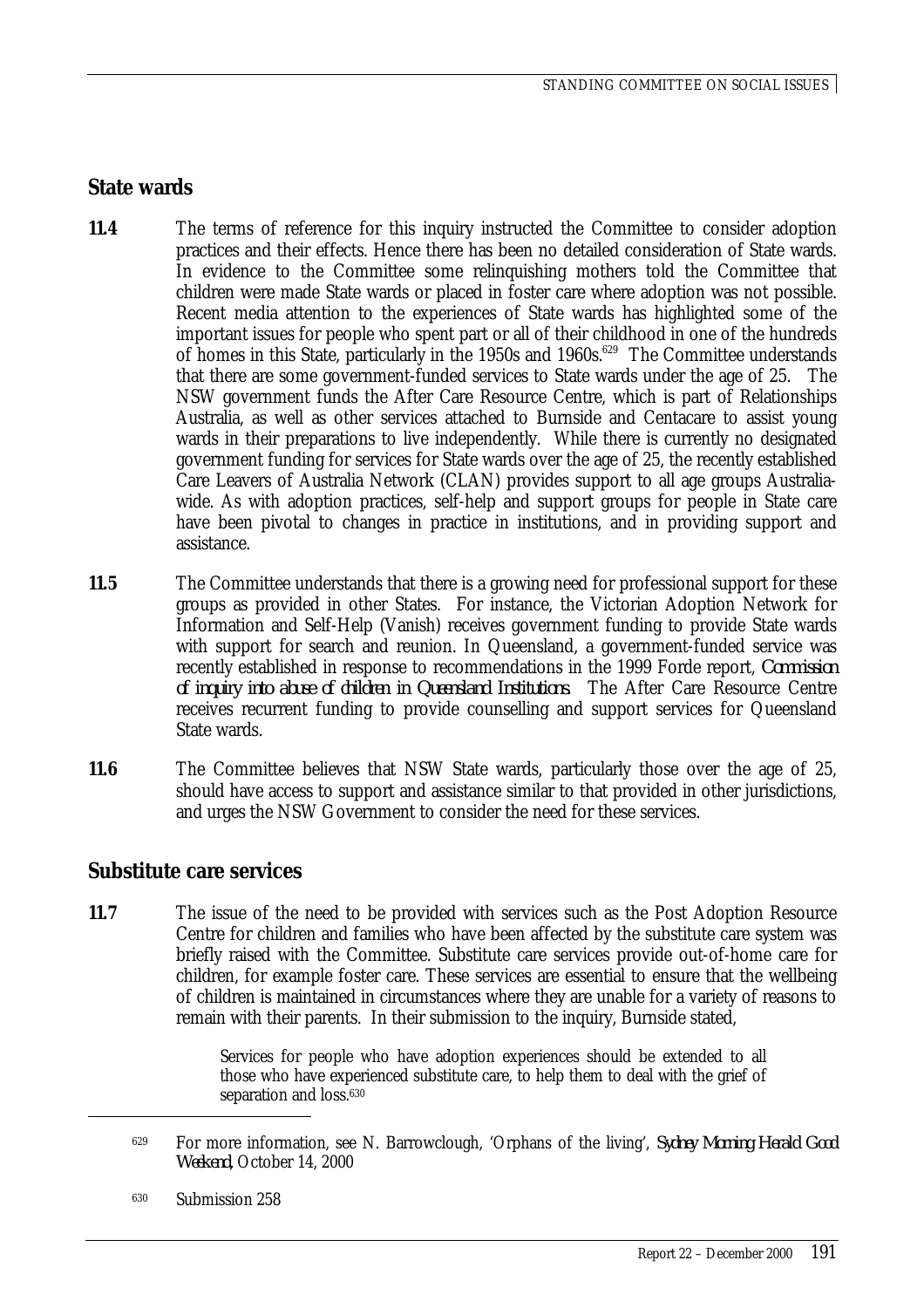## **State wards**

- **11.4** The terms of reference for this inquiry instructed the Committee to consider adoption practices and their effects. Hence there has been no detailed consideration of State wards. In evidence to the Committee some relinquishing mothers told the Committee that children were made State wards or placed in foster care where adoption was not possible. Recent media attention to the experiences of State wards has highlighted some of the important issues for people who spent part or all of their childhood in one of the hundreds of homes in this State, particularly in the 1950s and 1960s.<sup>629</sup> The Committee understands that there are some government-funded services to State wards under the age of 25. The NSW government funds the After Care Resource Centre, which is part of Relationships Australia, as well as other services attached to Burnside and Centacare to assist young wards in their preparations to live independently. While there is currently no designated government funding for services for State wards over the age of 25, the recently established Care Leavers of Australia Network (CLAN) provides support to all age groups Australiawide. As with adoption practices, self-help and support groups for people in State care have been pivotal to changes in practice in institutions, and in providing support and assistance.
- **11.5** The Committee understands that there is a growing need for professional support for these groups as provided in other States. For instance, the Victorian Adoption Network for Information and Self-Help (Vanish) receives government funding to provide State wards with support for search and reunion. In Queensland, a government-funded service was recently established in response to recommendations in the 1999 Forde report, *Commission of inquiry into abuse of children in Queensland Institutions*. The After Care Resource Centre receives recurrent funding to provide counselling and support services for Queensland State wards.
- **11.6** The Committee believes that NSW State wards, particularly those over the age of 25, should have access to support and assistance similar to that provided in other jurisdictions, and urges the NSW Government to consider the need for these services.

## **Substitute care services**

**11.7** The issue of the need to be provided with services such as the Post Adoption Resource Centre for children and families who have been affected by the substitute care system was briefly raised with the Committee. Substitute care services provide out-of-home care for children, for example foster care. These services are essential to ensure that the wellbeing of children is maintained in circumstances where they are unable for a variety of reasons to remain with their parents. In their submission to the inquiry, Burnside stated,

> Services for people who have adoption experiences should be extended to all those who have experienced substitute care, to help them to deal with the grief of separation and loss.<sup>630</sup>

- <sup>629</sup> For more information, see N. Barrowclough, 'Orphans of the living', *Sydney Morning Herald Good Weekend,* October 14, 2000
- <sup>630</sup> Submission 258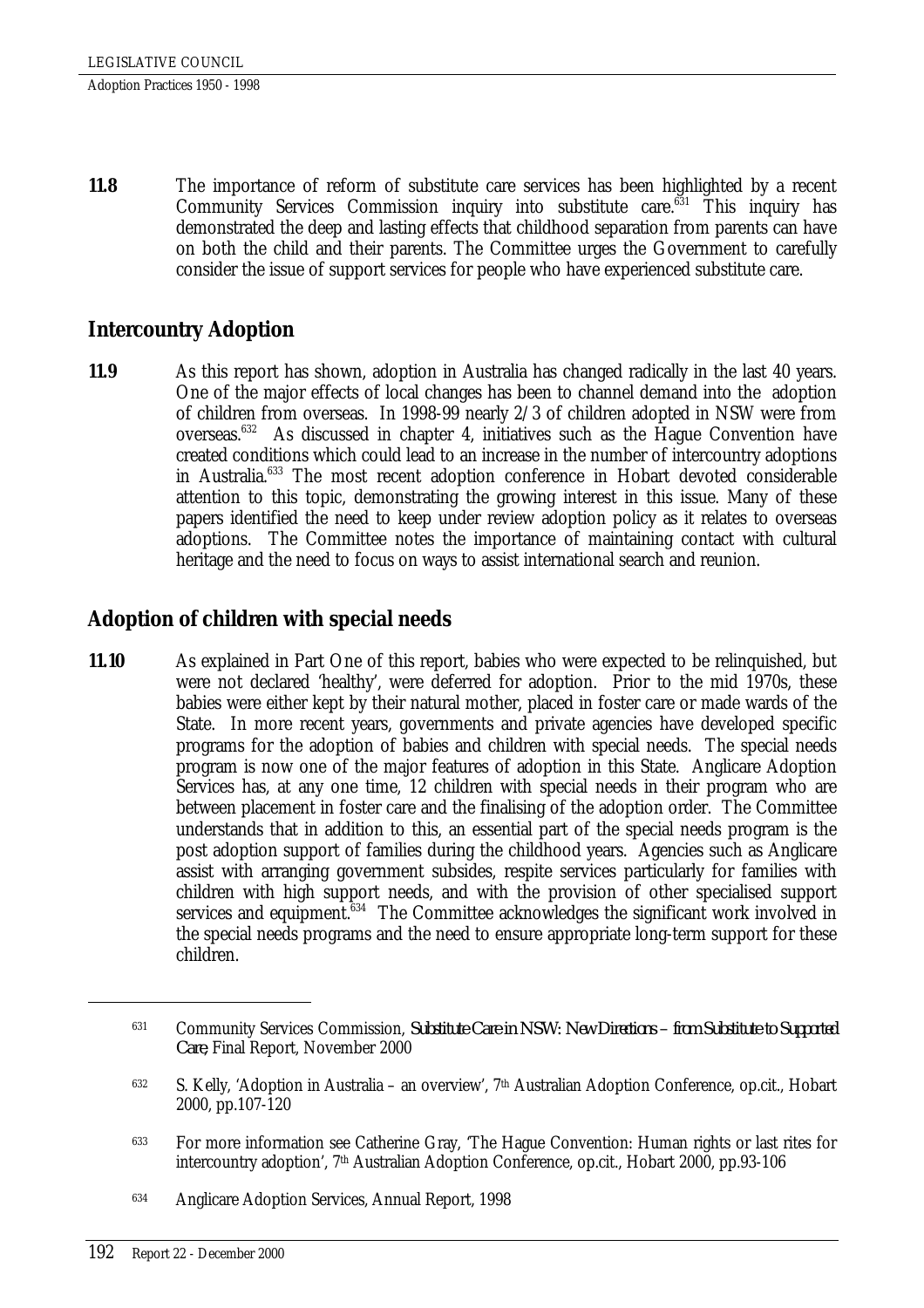**11.8** The importance of reform of substitute care services has been highlighted by a recent Community Services Commission inquiry into substitute care. $631$  This inquiry has demonstrated the deep and lasting effects that childhood separation from parents can have on both the child and their parents. The Committee urges the Government to carefully consider the issue of support services for people who have experienced substitute care.

## **Intercountry Adoption**

**11.9** As this report has shown, adoption in Australia has changed radically in the last 40 years. One of the major effects of local changes has been to channel demand into the adoption of children from overseas. In 1998-99 nearly 2/3 of children adopted in NSW were from overseas.<sup>632</sup> As discussed in chapter 4, initiatives such as the Hague Convention have created conditions which could lead to an increase in the number of intercountry adoptions in Australia.<sup>633</sup> The most recent adoption conference in Hobart devoted considerable attention to this topic, demonstrating the growing interest in this issue. Many of these papers identified the need to keep under review adoption policy as it relates to overseas adoptions. The Committee notes the importance of maintaining contact with cultural heritage and the need to focus on ways to assist international search and reunion.

## **Adoption of children with special needs**

**11.10** As explained in Part One of this report, babies who were expected to be relinquished, but were not declared 'healthy', were deferred for adoption. Prior to the mid 1970s, these babies were either kept by their natural mother, placed in foster care or made wards of the State. In more recent years, governments and private agencies have developed specific programs for the adoption of babies and children with special needs. The special needs program is now one of the major features of adoption in this State. Anglicare Adoption Services has, at any one time, 12 children with special needs in their program who are between placement in foster care and the finalising of the adoption order. The Committee understands that in addition to this, an essential part of the special needs program is the post adoption support of families during the childhood years. Agencies such as Anglicare assist with arranging government subsides, respite services particularly for families with children with high support needs, and with the provision of other specialised support services and equipment. $634$  The Committee acknowledges the significant work involved in the special needs programs and the need to ensure appropriate long-term support for these children.

- <sup>633</sup> For more information see Catherine Gray, 'The Hague Convention: Human rights or last rites for intercountry adoption', 7<sup>th</sup> Australian Adoption Conference, op.cit., Hobart 2000, pp.93-106
- <sup>634</sup> Anglicare Adoption Services, Annual Report, 1998

<sup>631</sup> Community Services Commission, *Substitute Care in NSW: New Directions – from Substitute to Supported Care*, Final Report, November 2000

<sup>632</sup> S. Kelly, 'Adoption in Australia – an overview', 7th Australian Adoption Conference, op.cit., Hobart 2000, pp.107-120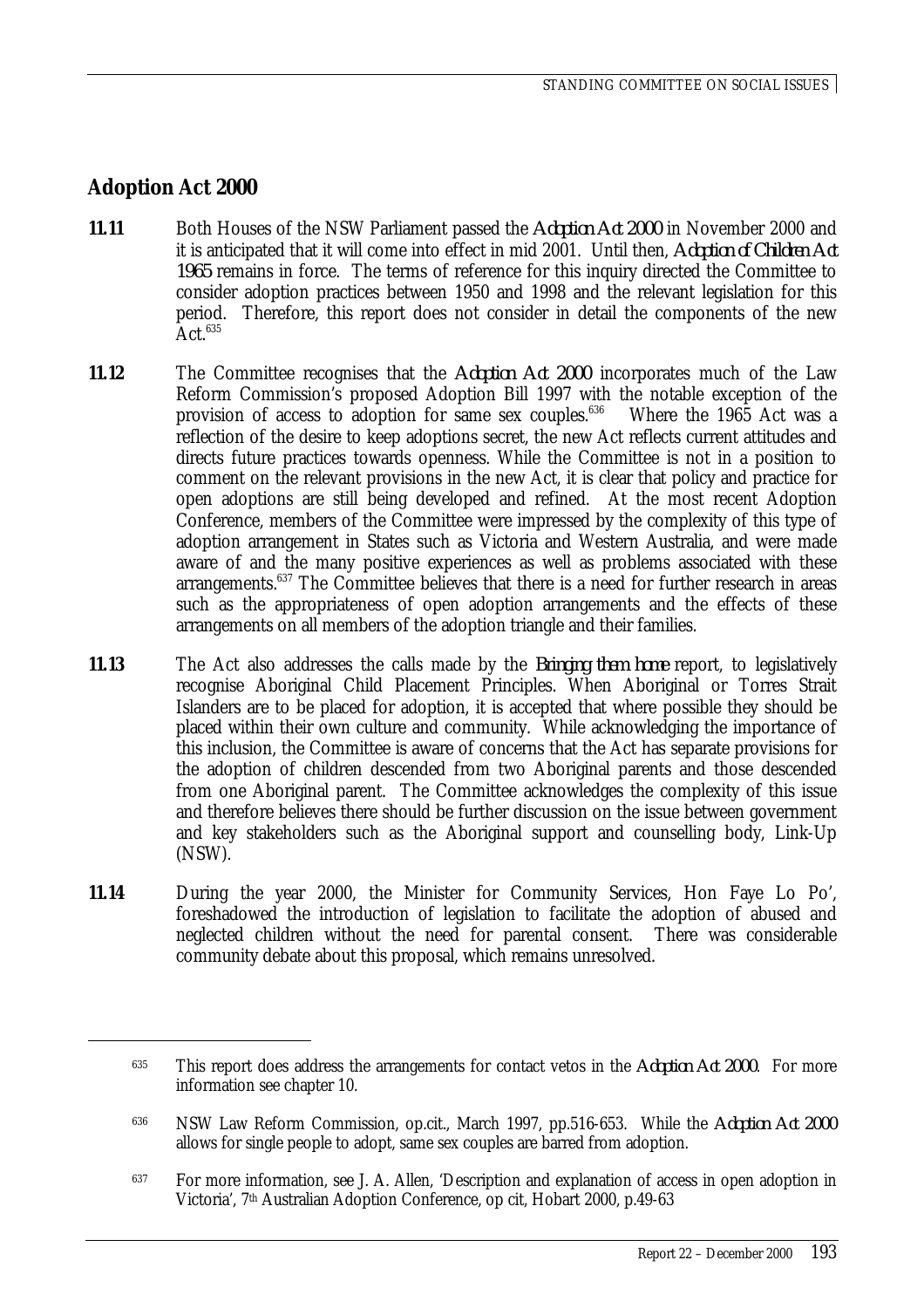## *Adoption Act 2000*

- **11.11** Both Houses of the NSW Parliament passed the *Adoption Act 2000* in November 2000 and it is anticipated that it will come into effect in mid 2001. Until then, *Adoption of Children Act 1965* remains in force. The terms of reference for this inquiry directed the Committee to consider adoption practices between 1950 and 1998 and the relevant legislation for this period. Therefore, this report does not consider in detail the components of the new  $\rm \AA{ct}$ <sup>635</sup>
- **11.12** The Committee recognises that the *Adoption Act 2000* incorporates much of the Law Reform Commission's proposed Adoption Bill 1997 with the notable exception of the provision of access to adoption for same sex couples.<sup>636</sup> Where the 1965 Act was a reflection of the desire to keep adoptions secret, the new Act reflects current attitudes and directs future practices towards openness. While the Committee is not in a position to comment on the relevant provisions in the new Act, it is clear that policy and practice for open adoptions are still being developed and refined. At the most recent Adoption Conference, members of the Committee were impressed by the complexity of this type of adoption arrangement in States such as Victoria and Western Australia, and were made aware of and the many positive experiences as well as problems associated with these arrangements.<sup>637</sup> The Committee believes that there is a need for further research in areas such as the appropriateness of open adoption arrangements and the effects of these arrangements on all members of the adoption triangle and their families.
- **11.13** The Act also addresses the calls made by the *Bringing them home* report, to legislatively recognise Aboriginal Child Placement Principles. When Aboriginal or Torres Strait Islanders are to be placed for adoption, it is accepted that where possible they should be placed within their own culture and community. While acknowledging the importance of this inclusion, the Committee is aware of concerns that the Act has separate provisions for the adoption of children descended from two Aboriginal parents and those descended from one Aboriginal parent. The Committee acknowledges the complexity of this issue and therefore believes there should be further discussion on the issue between government and key stakeholders such as the Aboriginal support and counselling body, Link-Up (NSW).
- **11.14** During the year 2000, the Minister for Community Services, Hon Faye Lo Po', foreshadowed the introduction of legislation to facilitate the adoption of abused and neglected children without the need for parental consent. There was considerable community debate about this proposal, which remains unresolved.

<sup>635</sup> This report does address the arrangements for contact vetos in the *Adoption Act 2000*. For more information see chapter 10.

<sup>636</sup> NSW Law Reform Commission, op.cit., March 1997, pp.516-653. While the *Adoption Act 2000* allows for single people to adopt, same sex couples are barred from adoption.

<sup>637</sup> For more information, see J. A. Allen, 'Description and explanation of access in open adoption in Victoria', 7th Australian Adoption Conference, op cit, Hobart 2000, p.49-63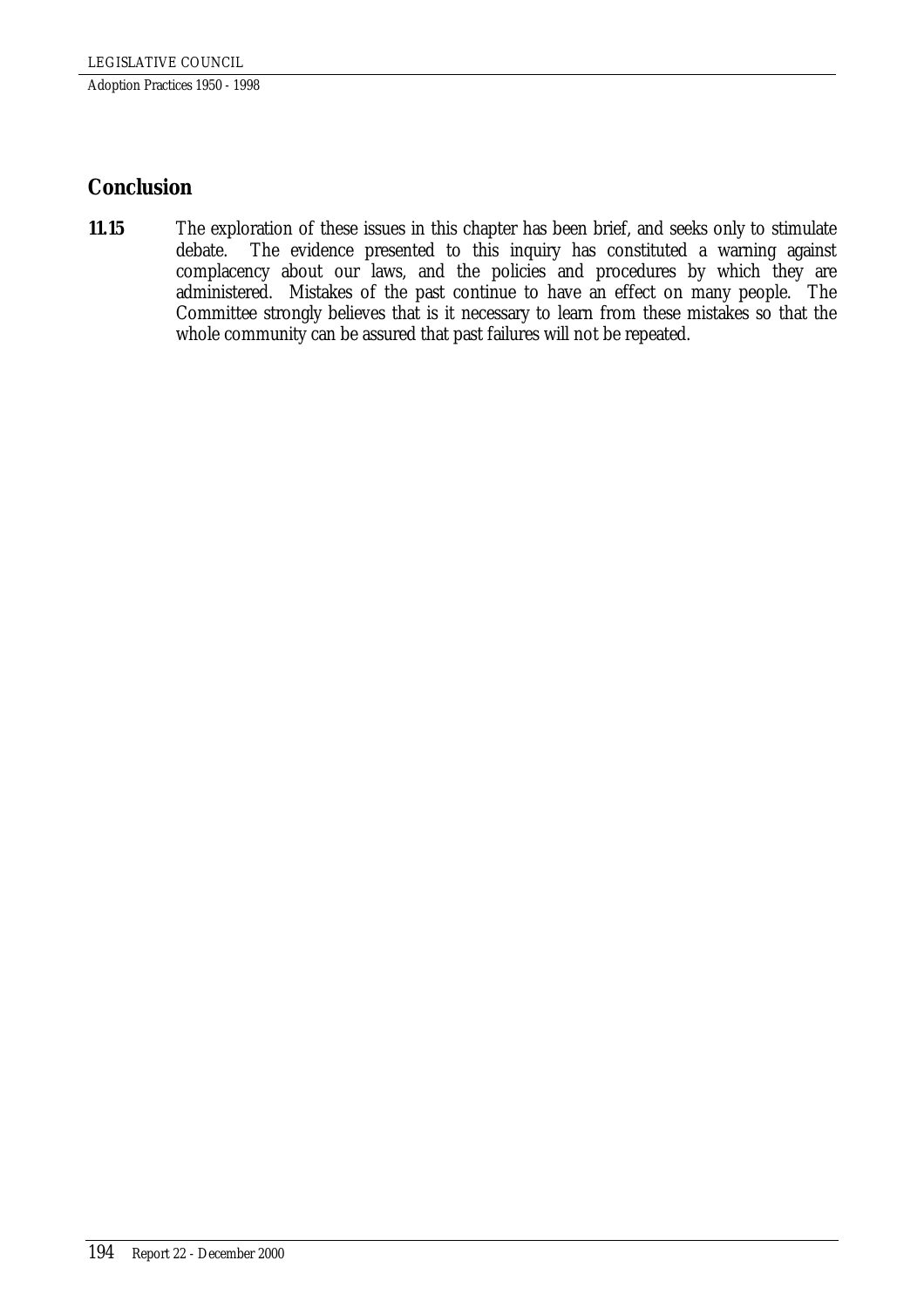## **Conclusion**

**11.15** The exploration of these issues in this chapter has been brief, and seeks only to stimulate debate. The evidence presented to this inquiry has constituted a warning against complacency about our laws, and the policies and procedures by which they are administered. Mistakes of the past continue to have an effect on many people. The Committee strongly believes that is it necessary to learn from these mistakes so that the whole community can be assured that past failures will not be repeated.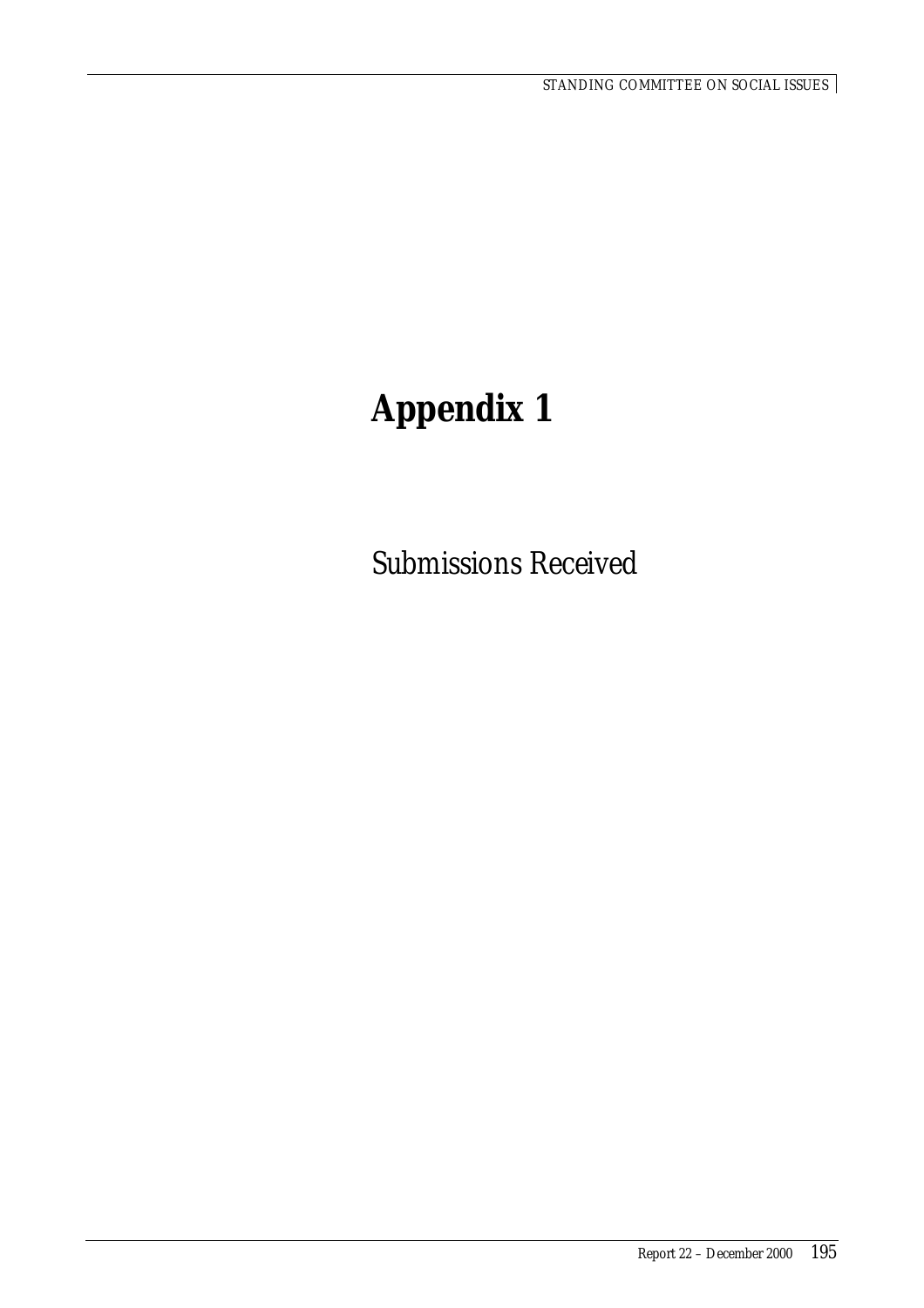# **Appendix 1**

Submissions Received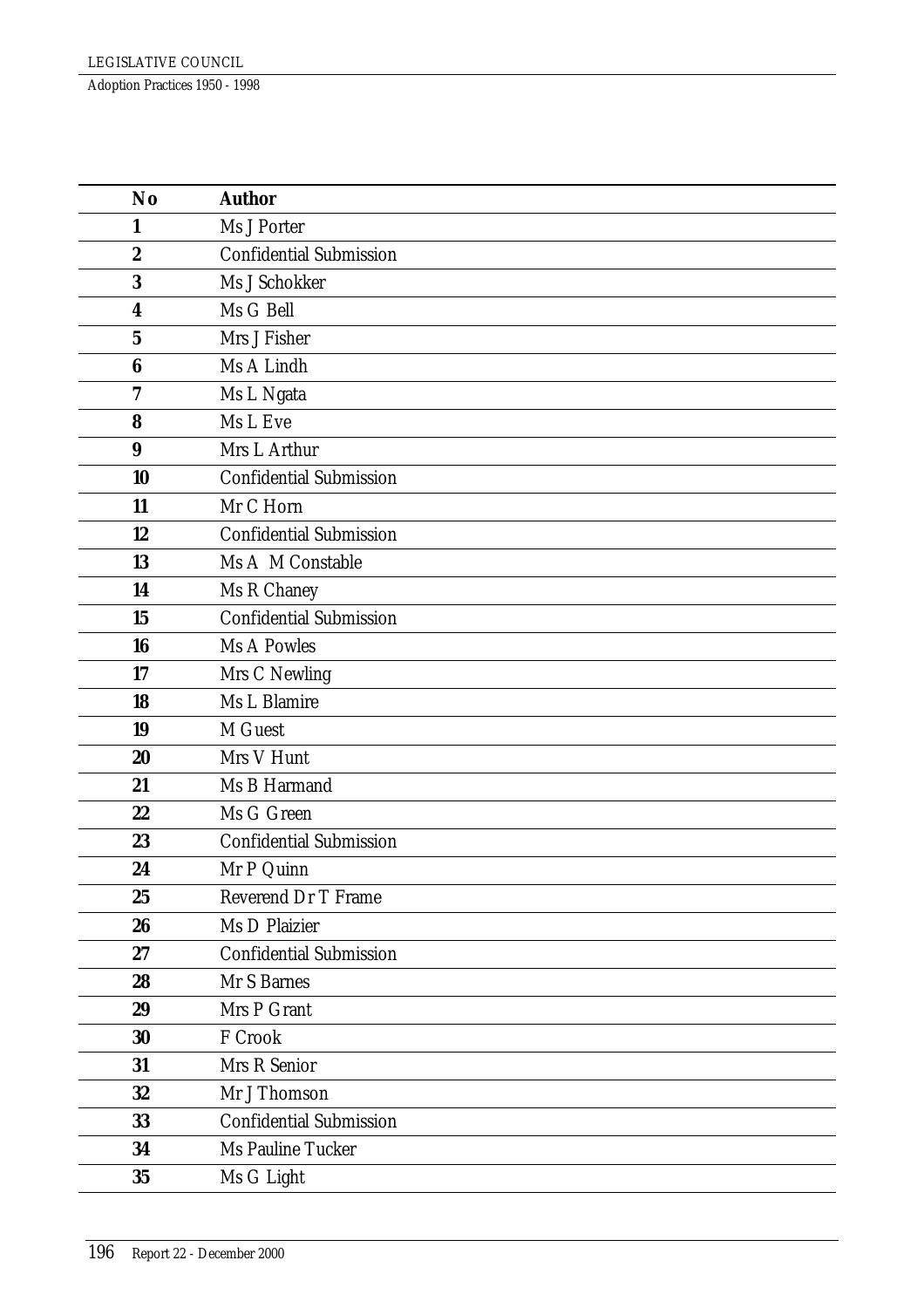| N <sub>0</sub>   | <b>Author</b>                  |
|------------------|--------------------------------|
| 1                | Ms J Porter                    |
| $\boldsymbol{2}$ | <b>Confidential Submission</b> |
| 3                | Ms J Schokker                  |
| $\boldsymbol{4}$ | Ms G Bell                      |
| $\mathbf 5$      | Mrs J Fisher                   |
| $\boldsymbol{6}$ | Ms A Lindh                     |
| 7                | Ms L Ngata                     |
| 8                | Ms L Eve                       |
| $\boldsymbol{9}$ | Mrs L Arthur                   |
| 10               | <b>Confidential Submission</b> |
| 11               | Mr C Horn                      |
| 12               | <b>Confidential Submission</b> |
| 13               | Ms A M Constable               |
| 14               | Ms R Chaney                    |
| 15               | <b>Confidential Submission</b> |
| 16               | Ms A Powles                    |
| 17               | Mrs C Newling                  |
| 18               | Ms L Blamire                   |
| 19               | M Guest                        |
| 20               | Mrs V Hunt                     |
| 21               | Ms B Harmand                   |
| 22               | Ms G Green                     |
| 23               | <b>Confidential Submission</b> |
| 24               | Mr P Quinn                     |
| 25               | Reverend Dr T Frame            |
| 26               | Ms D Plaizier                  |
| 27               | <b>Confidential Submission</b> |
| 28               | Mr S Barnes                    |
| 29               | Mrs P Grant                    |
| 30               | F Crook                        |
| 31               | Mrs R Senior                   |
| 32               | Mr J Thomson                   |
| 33               | <b>Confidential Submission</b> |
| 34               | Ms Pauline Tucker              |
| 35               | Ms G Light                     |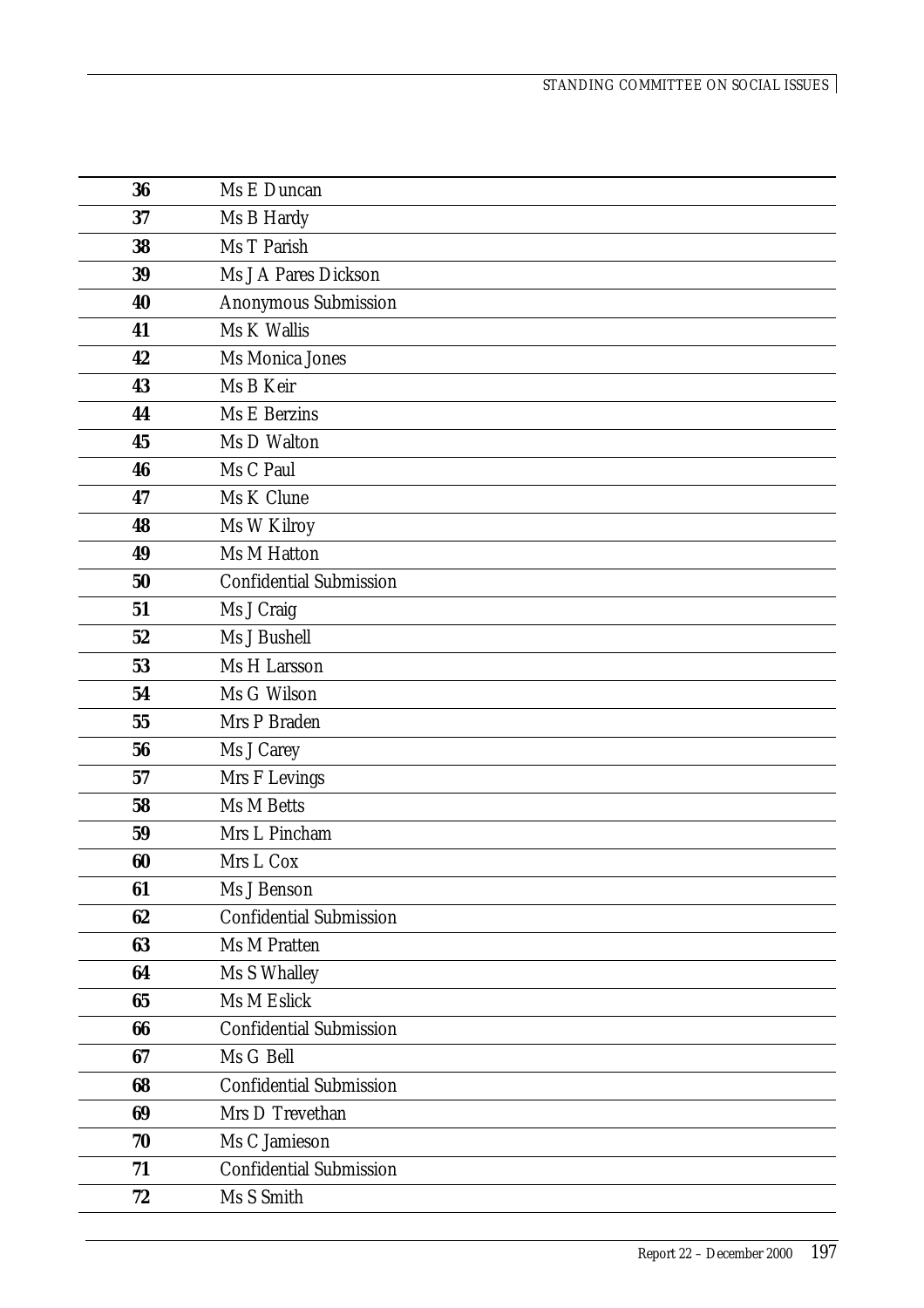| 36 | Ms E Duncan                    |
|----|--------------------------------|
| 37 | Ms B Hardy                     |
| 38 | Ms T Parish                    |
| 39 | Ms J A Pares Dickson           |
| 40 | Anonymous Submission           |
| 41 | Ms K Wallis                    |
| 42 | Ms Monica Jones                |
| 43 | Ms B Keir                      |
| 44 | Ms E Berzins                   |
| 45 | Ms D Walton                    |
| 46 | Ms C Paul                      |
| 47 | Ms K Clune                     |
| 48 | Ms W Kilroy                    |
| 49 | Ms M Hatton                    |
| 50 | <b>Confidential Submission</b> |
| 51 | Ms J Craig                     |
| 52 | Ms J Bushell                   |
| 53 | Ms H Larsson                   |
| 54 | Ms G Wilson                    |
| 55 | Mrs P Braden                   |
| 56 | Ms J Carey                     |
| 57 | Mrs F Levings                  |
| 58 | Ms M Betts                     |
| 59 | Mrs L Pincham                  |
| 60 | Mrs L Cox                      |
| 61 | Ms J Benson                    |
| 62 | <b>Confidential Submission</b> |
| 63 | Ms M Pratten                   |
| 64 | Ms S Whalley                   |
| 65 | Ms M Eslick                    |
| 66 | <b>Confidential Submission</b> |
| 67 | Ms G Bell                      |
| 68 | <b>Confidential Submission</b> |
| 69 | Mrs D Trevethan                |
| 70 | Ms C Jamieson                  |
| 71 | <b>Confidential Submission</b> |
| 72 | Ms S Smith                     |
|    |                                |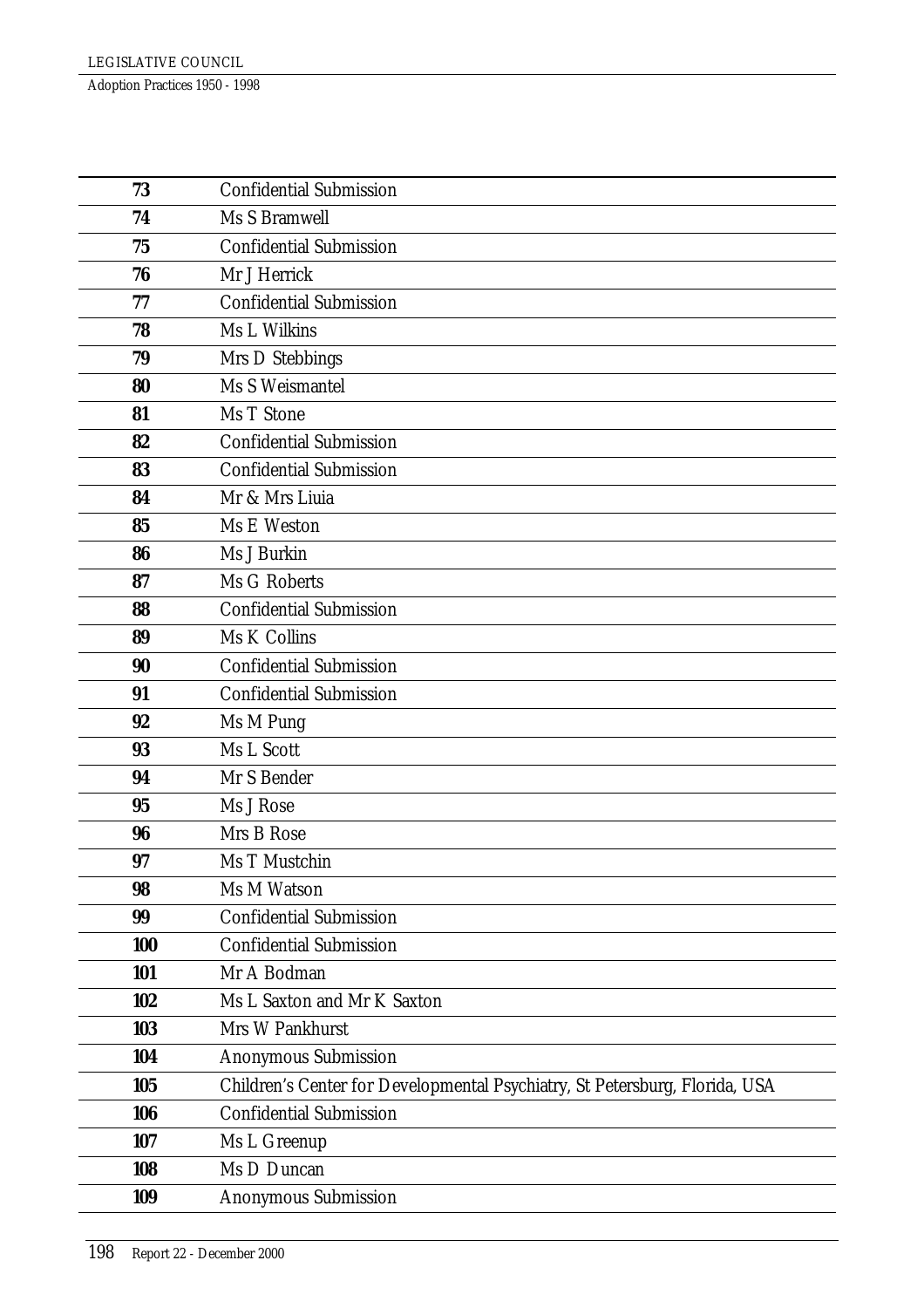| 73  | <b>Confidential Submission</b>                                              |
|-----|-----------------------------------------------------------------------------|
| 74  | Ms S Bramwell                                                               |
| 75  | <b>Confidential Submission</b>                                              |
| 76  | Mr J Herrick                                                                |
| 77  | <b>Confidential Submission</b>                                              |
| 78  | Ms L Wilkins                                                                |
| 79  | Mrs D Stebbings                                                             |
| 80  | Ms S Weismantel                                                             |
| 81  | Ms T Stone                                                                  |
| 82  | <b>Confidential Submission</b>                                              |
| 83  | <b>Confidential Submission</b>                                              |
| 84  | Mr & Mrs Liuia                                                              |
| 85  | Ms E Weston                                                                 |
| 86  | Ms J Burkin                                                                 |
| 87  | Ms G Roberts                                                                |
| 88  | <b>Confidential Submission</b>                                              |
| 89  | Ms K Collins                                                                |
| 90  | <b>Confidential Submission</b>                                              |
| 91  | <b>Confidential Submission</b>                                              |
| 92  | Ms M Pung                                                                   |
| 93  | Ms L Scott                                                                  |
| 94  | Mr S Bender                                                                 |
| 95  | Ms J Rose                                                                   |
| 96  | Mrs B Rose                                                                  |
| 97  | Ms T Mustchin                                                               |
| 98  | Ms M Watson                                                                 |
| 99  | <b>Confidential Submission</b>                                              |
| 100 | <b>Confidential Submission</b>                                              |
| 101 | Mr A Bodman                                                                 |
| 102 | Ms L Saxton and Mr K Saxton                                                 |
| 103 | Mrs W Pankhurst                                                             |
| 104 | Anonymous Submission                                                        |
| 105 | Children's Center for Developmental Psychiatry, St Petersburg, Florida, USA |
| 106 | <b>Confidential Submission</b>                                              |
| 107 | Ms L Greenup                                                                |
| 108 | Ms D Duncan                                                                 |
| 109 | Anonymous Submission                                                        |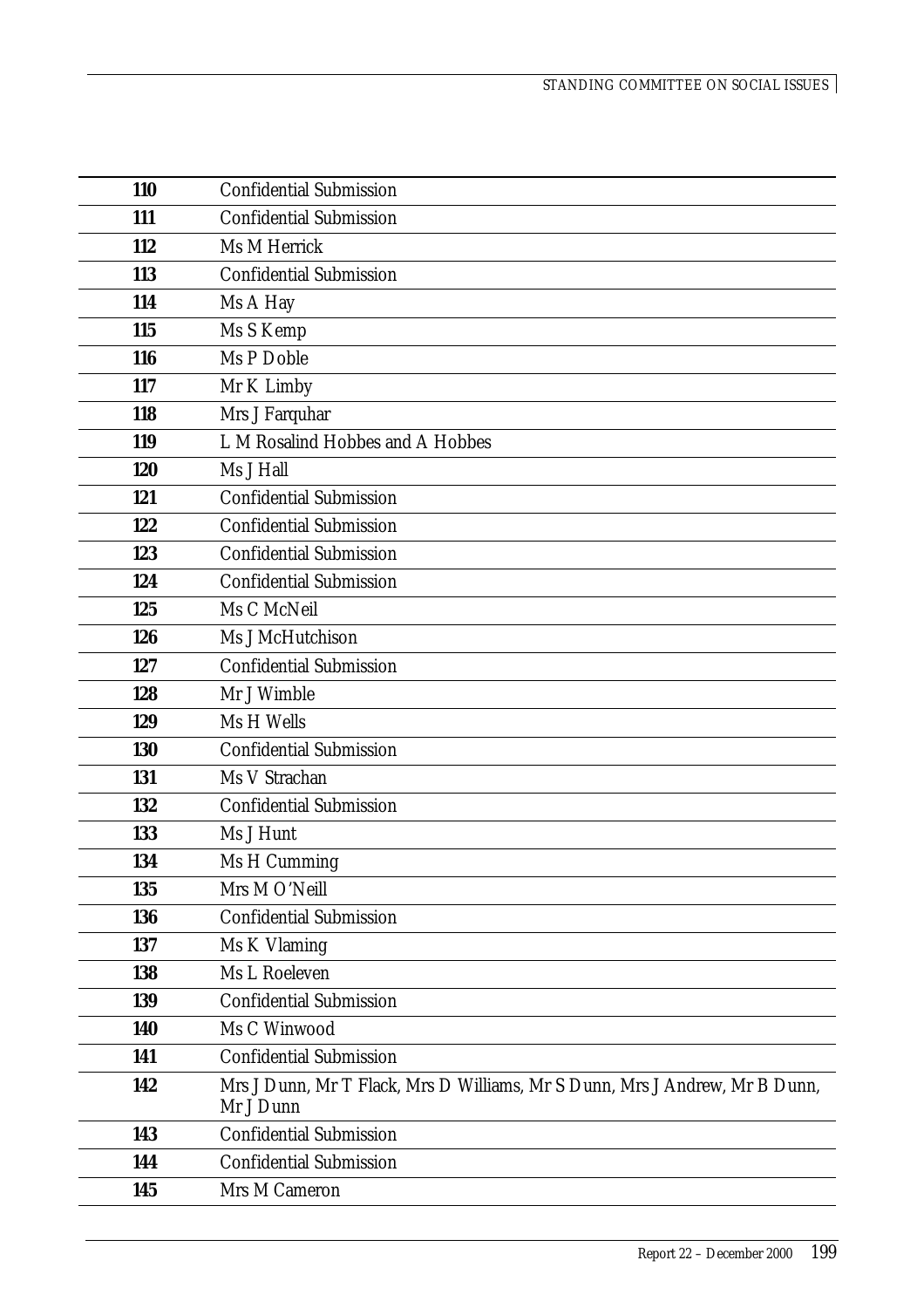| 110        | <b>Confidential Submission</b>                                                           |
|------------|------------------------------------------------------------------------------------------|
| 111        | <b>Confidential Submission</b>                                                           |
| 112        | Ms M Herrick                                                                             |
| 113        | <b>Confidential Submission</b>                                                           |
| 114        | Ms A Hay                                                                                 |
| 115        | Ms S Kemp                                                                                |
| 116        | Ms P Doble                                                                               |
| 117        | Mr K Limby                                                                               |
| 118        | Mrs J Farquhar                                                                           |
| 119        | L M Rosalind Hobbes and A Hobbes                                                         |
| 120        | Ms J Hall                                                                                |
| 121        | <b>Confidential Submission</b>                                                           |
| 122        | <b>Confidential Submission</b>                                                           |
| 123        | <b>Confidential Submission</b>                                                           |
| 124        | <b>Confidential Submission</b>                                                           |
| 125        | Ms C McNeil                                                                              |
| 126        | Ms J McHutchison                                                                         |
| 127        | <b>Confidential Submission</b>                                                           |
| 128        | Mr J Wimble                                                                              |
| 129        | Ms H Wells                                                                               |
| 130        | <b>Confidential Submission</b>                                                           |
| 131        | Ms V Strachan                                                                            |
| 132        | <b>Confidential Submission</b>                                                           |
| 133        | Ms J Hunt                                                                                |
| 134        | Ms H Cumming                                                                             |
| 135        | Mrs M O'Neill                                                                            |
| 136        | <b>Confidential Submission</b>                                                           |
| 137        | Ms K Vlaming                                                                             |
| 138        | Ms L Roeleven                                                                            |
| 139        | <b>Confidential Submission</b>                                                           |
| <b>140</b> | Ms C Winwood                                                                             |
| 141        | <b>Confidential Submission</b>                                                           |
| 142        | Mrs J Dunn, Mr T Flack, Mrs D Williams, Mr S Dunn, Mrs J Andrew, Mr B Dunn,<br>Mr J Dunn |
| 143        | <b>Confidential Submission</b>                                                           |
| 144        | <b>Confidential Submission</b>                                                           |
| 145        | Mrs M Cameron                                                                            |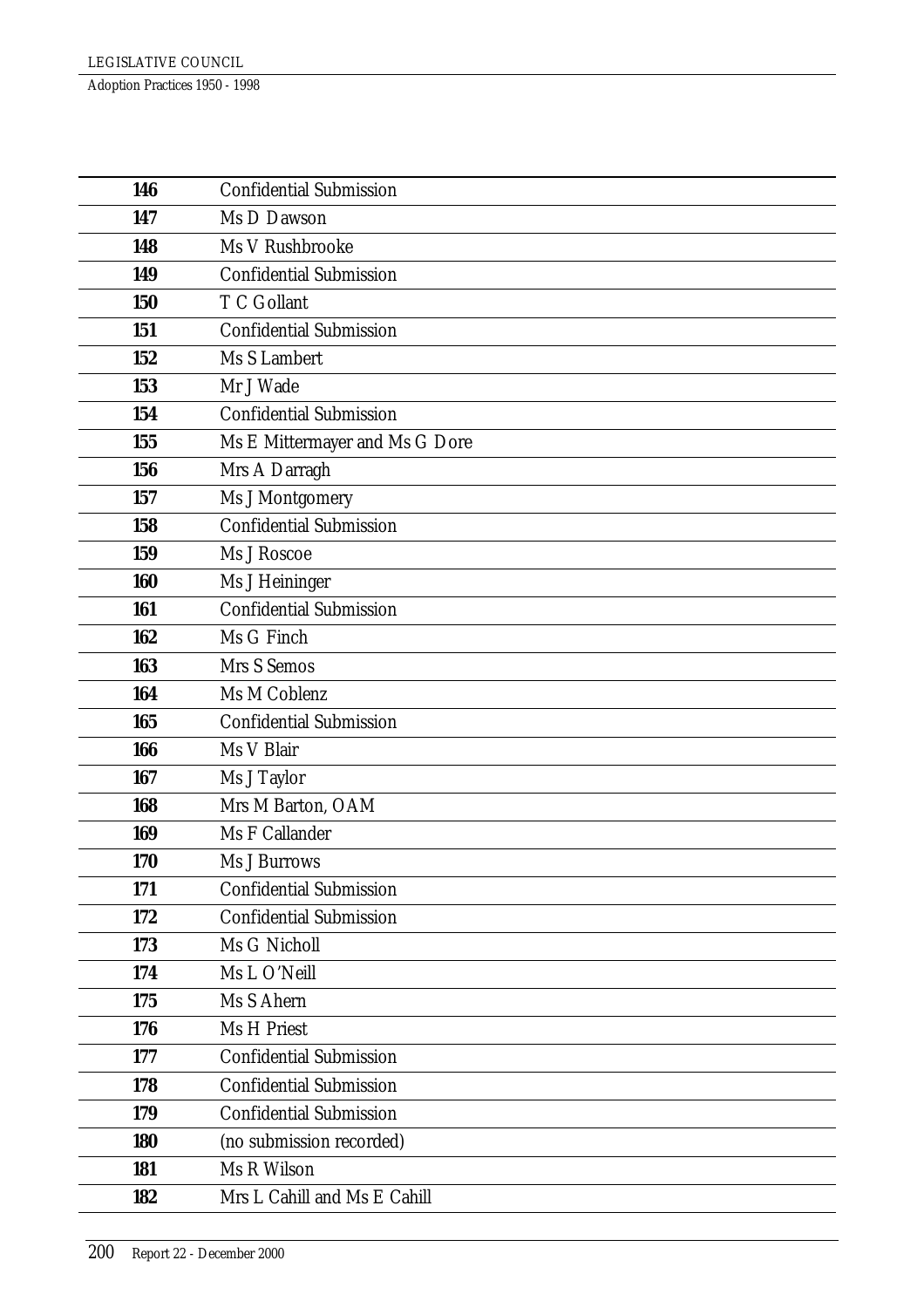| 146        | <b>Confidential Submission</b> |
|------------|--------------------------------|
| 147        | Ms D Dawson                    |
| 148        | Ms V Rushbrooke                |
| 149        | <b>Confidential Submission</b> |
| 150        | T C Gollant                    |
|            | <b>Confidential Submission</b> |
| 151        |                                |
| 152        | Ms S Lambert                   |
| 153        | Mr J Wade                      |
| 154        | <b>Confidential Submission</b> |
| 155        | Ms E Mittermayer and Ms G Dore |
| 156        | Mrs A Darragh                  |
| 157        | Ms J Montgomery                |
| 158        | <b>Confidential Submission</b> |
| 159        | Ms J Roscoe                    |
| 160        | Ms J Heininger                 |
| 161        | <b>Confidential Submission</b> |
| 162        | Ms G Finch                     |
| 163        | Mrs S Semos                    |
| 164        | Ms M Coblenz                   |
| 165        | <b>Confidential Submission</b> |
| 166        | Ms V Blair                     |
| 167        | Ms J Taylor                    |
| 168        | Mrs M Barton, OAM              |
| 169        | Ms F Callander                 |
| 170        | <b>Ms J Burrows</b>            |
| 171        | <b>Confidential Submission</b> |
| 172        | <b>Confidential Submission</b> |
| 173        | Ms G Nicholl                   |
| 174        | Ms L O'Neill                   |
| 175        | Ms S Ahern                     |
| 176        | Ms H Priest                    |
| 177        | <b>Confidential Submission</b> |
| 178        | <b>Confidential Submission</b> |
| 179        | <b>Confidential Submission</b> |
| <b>180</b> | (no submission recorded)       |
| <b>181</b> | Ms R Wilson                    |
| 182        | Mrs L Cahill and Ms E Cahill   |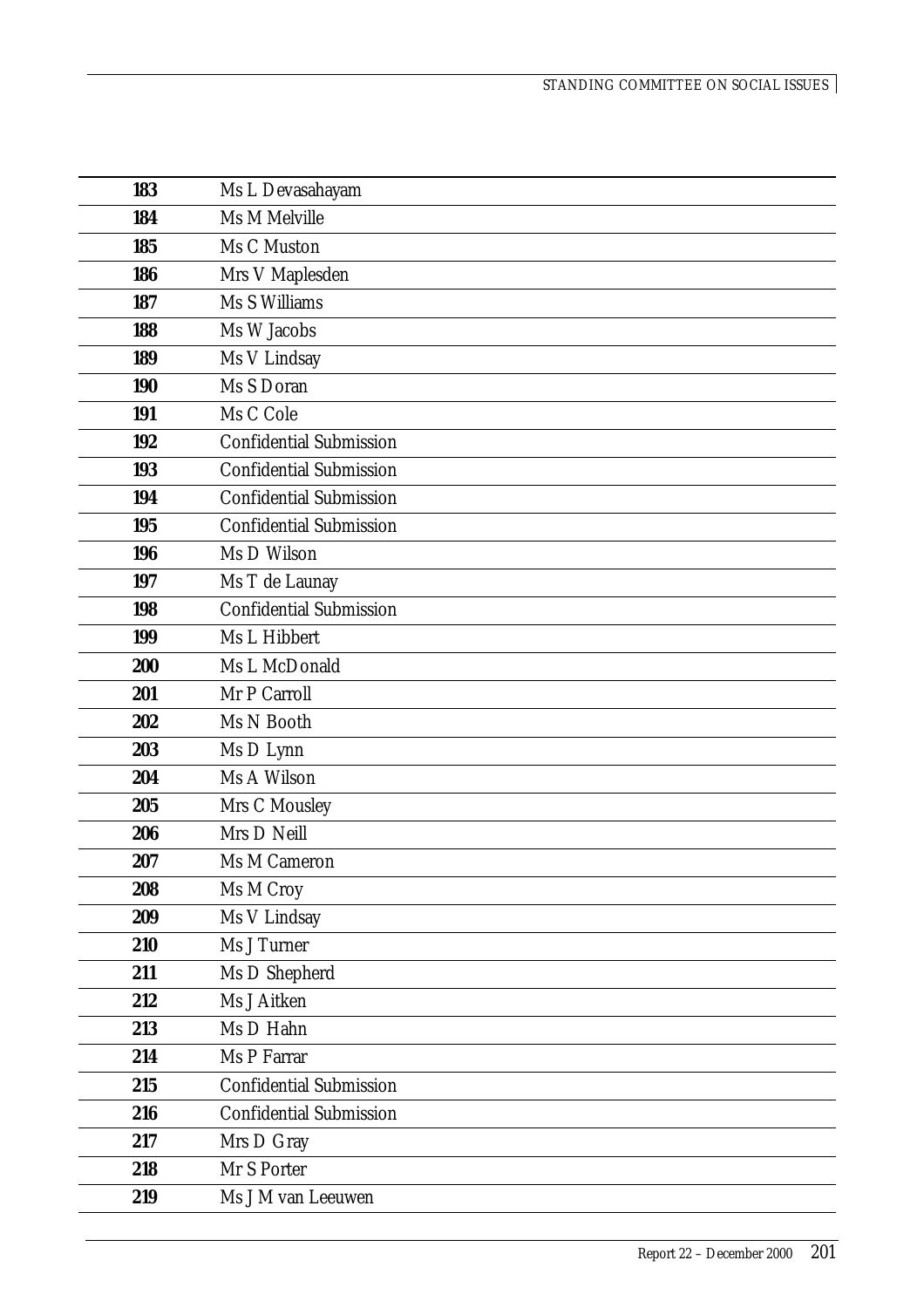| 183 | Ms L Devasahayam               |
|-----|--------------------------------|
| 184 | Ms M Melville                  |
| 185 | Ms C Muston                    |
| 186 | Mrs V Maplesden                |
| 187 | Ms S Williams                  |
| 188 | Ms W Jacobs                    |
| 189 | Ms V Lindsay                   |
| 190 | Ms S Doran                     |
| 191 | Ms C Cole                      |
| 192 | <b>Confidential Submission</b> |
| 193 | <b>Confidential Submission</b> |
| 194 | <b>Confidential Submission</b> |
| 195 | <b>Confidential Submission</b> |
| 196 | Ms D Wilson                    |
| 197 | Ms T de Launay                 |
| 198 | <b>Confidential Submission</b> |
| 199 | Ms L Hibbert                   |
| 200 | Ms L McDonald                  |
| 201 | Mr P Carroll                   |
| 202 | Ms N Booth                     |
| 203 | Ms D Lynn                      |
| 204 | Ms A Wilson                    |
| 205 | Mrs C Mousley                  |
| 206 | Mrs D Neill                    |
| 207 | Ms M Cameron                   |
| 208 | Ms M Croy                      |
| 209 | Ms V Lindsay                   |
| 210 | Ms J Turner                    |
| 211 | Ms D Shepherd                  |
| 212 | Ms J Aitken                    |
| 213 | Ms D Hahn                      |
| 214 | Ms P Farrar                    |
| 215 | <b>Confidential Submission</b> |
| 216 | <b>Confidential Submission</b> |
| 217 | Mrs D Gray                     |
| 218 | Mr S Porter                    |
| 219 | Ms J M van Leeuwen             |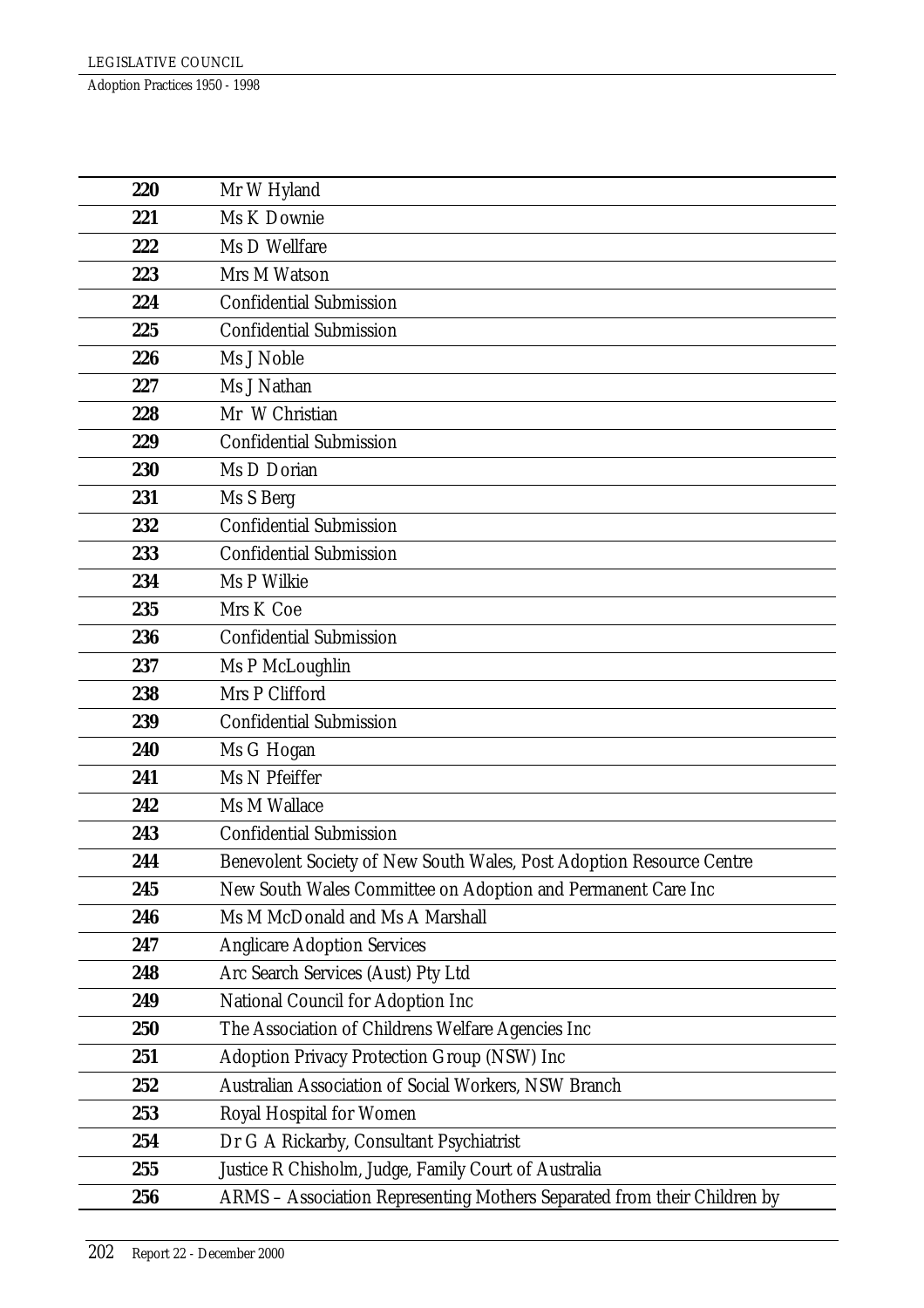| 220 | Mr W Hyland                                                              |
|-----|--------------------------------------------------------------------------|
| 221 | Ms K Downie                                                              |
| 222 | Ms D Wellfare                                                            |
| 223 | Mrs M Watson                                                             |
| 224 | <b>Confidential Submission</b>                                           |
| 225 | <b>Confidential Submission</b>                                           |
| 226 | Ms J Noble                                                               |
| 227 | Ms J Nathan                                                              |
| 228 | Mr W Christian                                                           |
| 229 | <b>Confidential Submission</b>                                           |
| 230 | Ms D Dorian                                                              |
| 231 | Ms S Berg                                                                |
| 232 | <b>Confidential Submission</b>                                           |
| 233 | <b>Confidential Submission</b>                                           |
| 234 | Ms P Wilkie                                                              |
| 235 | Mrs K Coe                                                                |
| 236 | <b>Confidential Submission</b>                                           |
| 237 | Ms P McLoughlin                                                          |
| 238 | Mrs P Clifford                                                           |
| 239 | <b>Confidential Submission</b>                                           |
| 240 | Ms G Hogan                                                               |
| 241 | Ms N Pfeiffer                                                            |
| 242 | Ms M Wallace                                                             |
| 243 | <b>Confidential Submission</b>                                           |
| 244 | Benevolent Society of New South Wales, Post Adoption Resource Centre     |
| 245 | New South Wales Committee on Adoption and Permanent Care Inc             |
| 246 | Ms M McDonald and Ms A Marshall                                          |
| 247 | <b>Anglicare Adoption Services</b>                                       |
| 248 | Arc Search Services (Aust) Pty Ltd                                       |
| 249 | National Council for Adoption Inc                                        |
| 250 | The Association of Childrens Welfare Agencies Inc                        |
| 251 | Adoption Privacy Protection Group (NSW) Inc                              |
| 252 | Australian Association of Social Workers, NSW Branch                     |
| 253 | Royal Hospital for Women                                                 |
| 254 | Dr G A Rickarby, Consultant Psychiatrist                                 |
| 255 | Justice R Chisholm, Judge, Family Court of Australia                     |
| 256 | ARMS - Association Representing Mothers Separated from their Children by |
|     |                                                                          |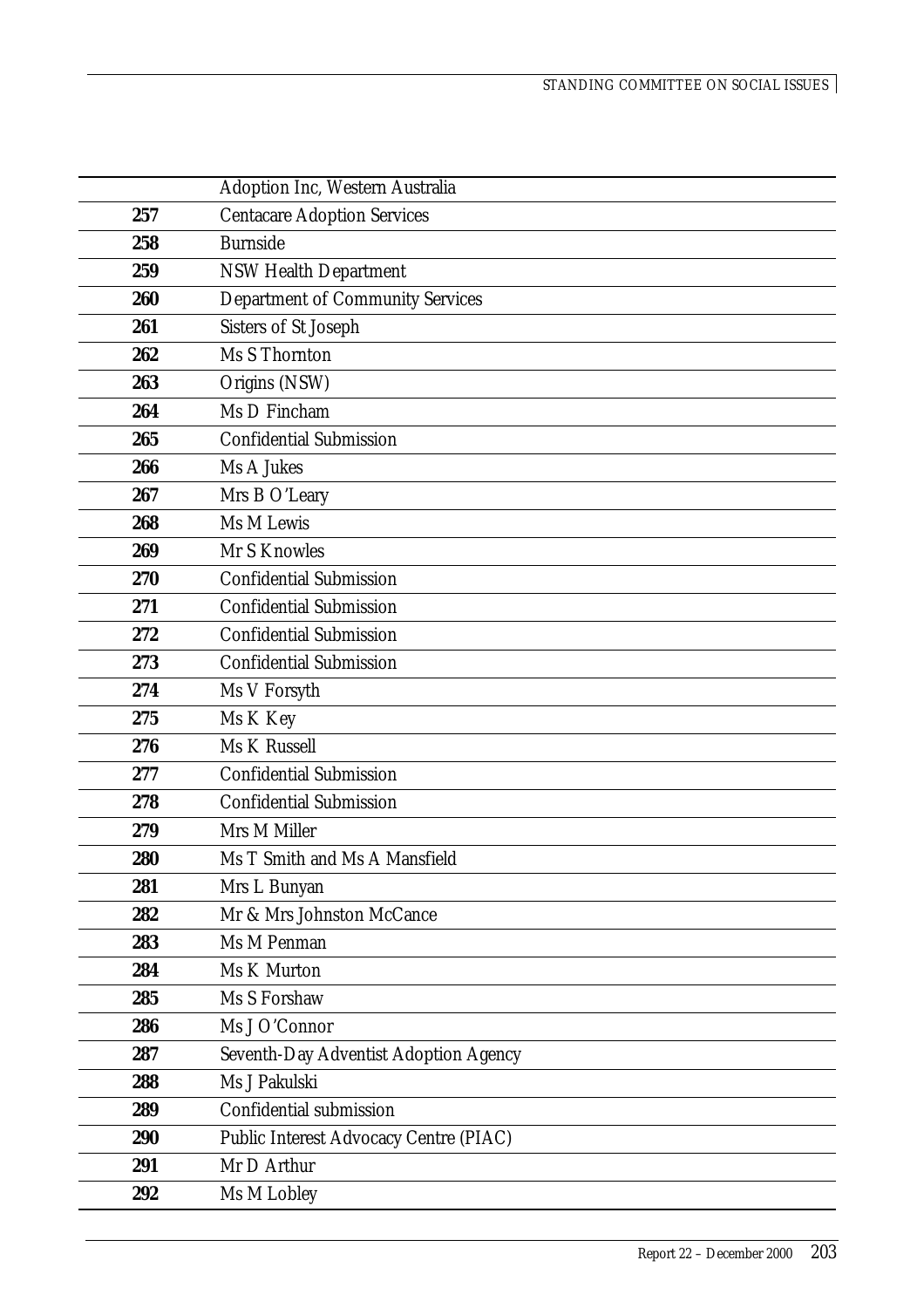|     | Adoption Inc, Western Australia         |
|-----|-----------------------------------------|
| 257 | <b>Centacare Adoption Services</b>      |
| 258 | <b>Burnside</b>                         |
| 259 | <b>NSW Health Department</b>            |
| 260 | <b>Department of Community Services</b> |
| 261 | Sisters of St Joseph                    |
| 262 | Ms S Thornton                           |
| 263 | Origins (NSW)                           |
| 264 | Ms D Fincham                            |
| 265 | <b>Confidential Submission</b>          |
| 266 | Ms A Jukes                              |
| 267 | Mrs B O'Leary                           |
| 268 | Ms M Lewis                              |
| 269 | Mr S Knowles                            |
| 270 | <b>Confidential Submission</b>          |
| 271 | <b>Confidential Submission</b>          |
| 272 | <b>Confidential Submission</b>          |
| 273 | <b>Confidential Submission</b>          |
| 274 | Ms V Forsyth                            |
| 275 | Ms K Key                                |
| 276 | Ms K Russell                            |
| 277 | <b>Confidential Submission</b>          |
| 278 | <b>Confidential Submission</b>          |
| 279 | Mrs M Miller                            |
| 280 | Ms T Smith and Ms A Mansfield           |
| 281 | Mrs L Bunyan                            |
| 282 | Mr & Mrs Johnston McCance               |
| 283 | Ms M Penman                             |
| 284 | Ms K Murton                             |
| 285 | Ms S Forshaw                            |
| 286 | Ms J O'Connor                           |
| 287 | Seventh-Day Adventist Adoption Agency   |
| 288 | Ms J Pakulski                           |
| 289 | Confidential submission                 |
| 290 | Public Interest Advocacy Centre (PIAC)  |
| 291 | Mr D Arthur                             |
| 292 | Ms M Lobley                             |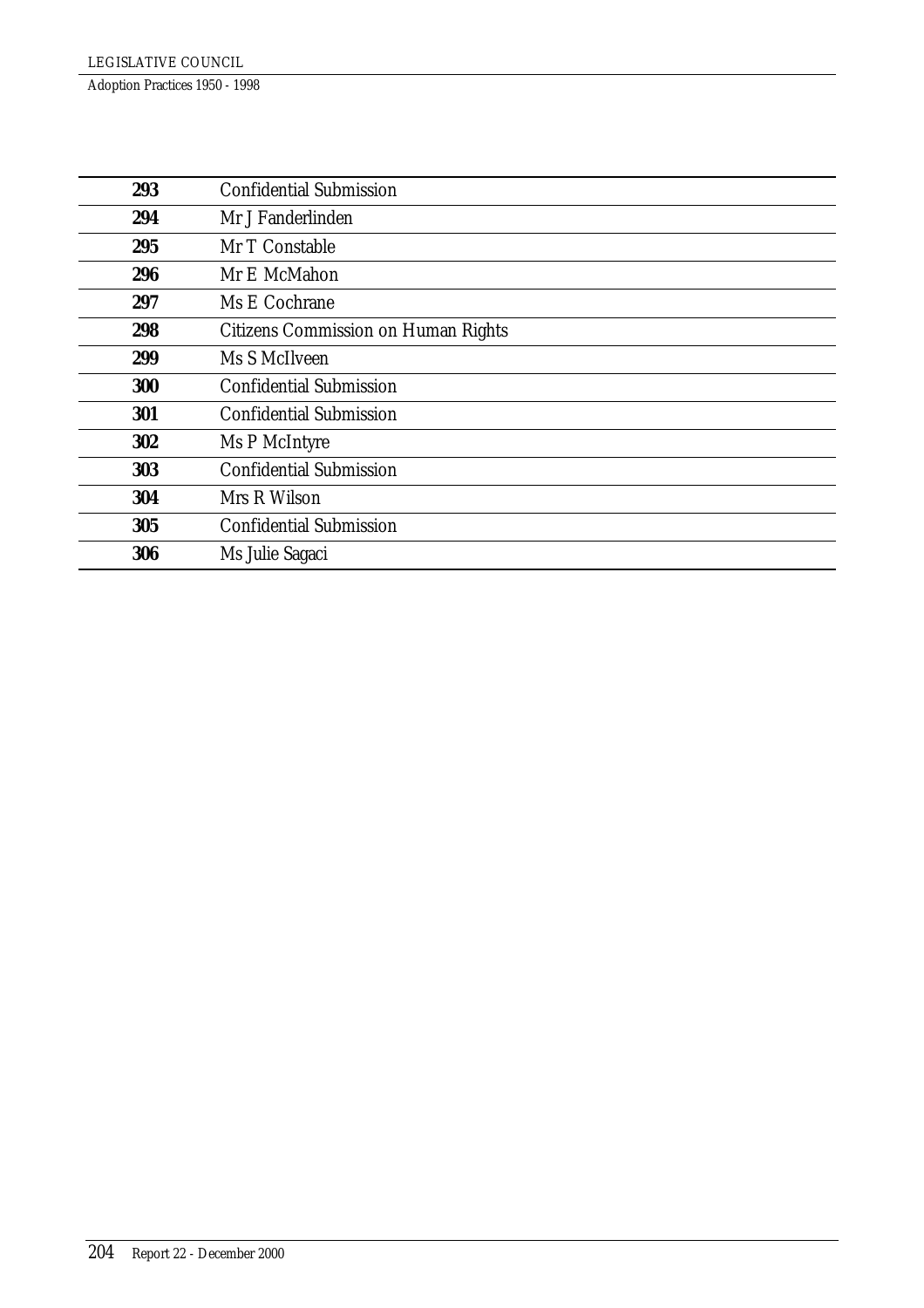| <b>Confidential Submission</b>             |
|--------------------------------------------|
| Mr J Fanderlinden                          |
| Mr T Constable                             |
| Mr E McMahon                               |
| Ms E Cochrane                              |
| <b>Citizens Commission on Human Rights</b> |
| Ms S McIlveen                              |
| <b>Confidential Submission</b>             |
| <b>Confidential Submission</b>             |
| Ms P McIntyre                              |
| <b>Confidential Submission</b>             |
| Mrs R Wilson                               |
| <b>Confidential Submission</b>             |
| Ms Julie Sagaci                            |
|                                            |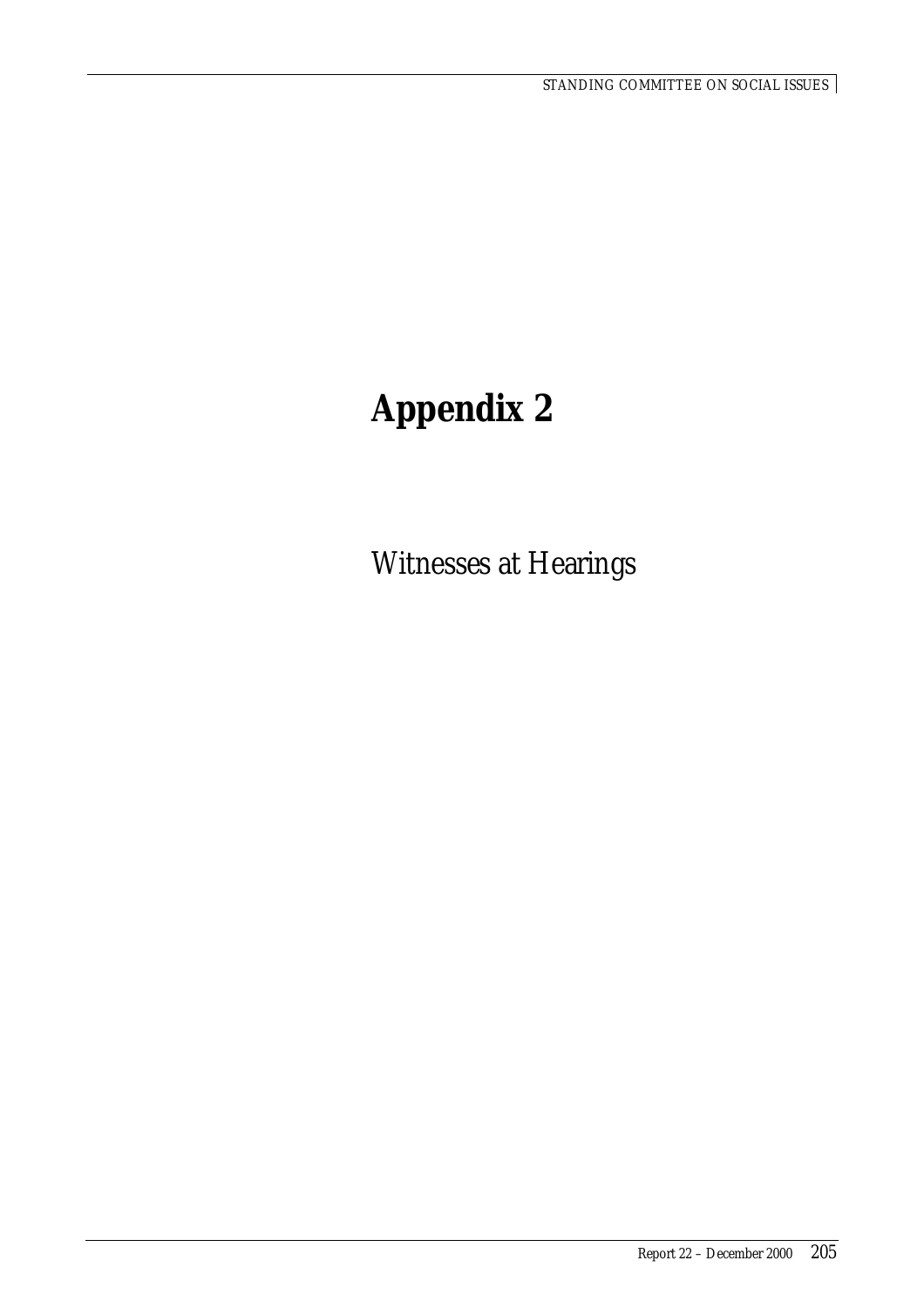Witnesses at Hearings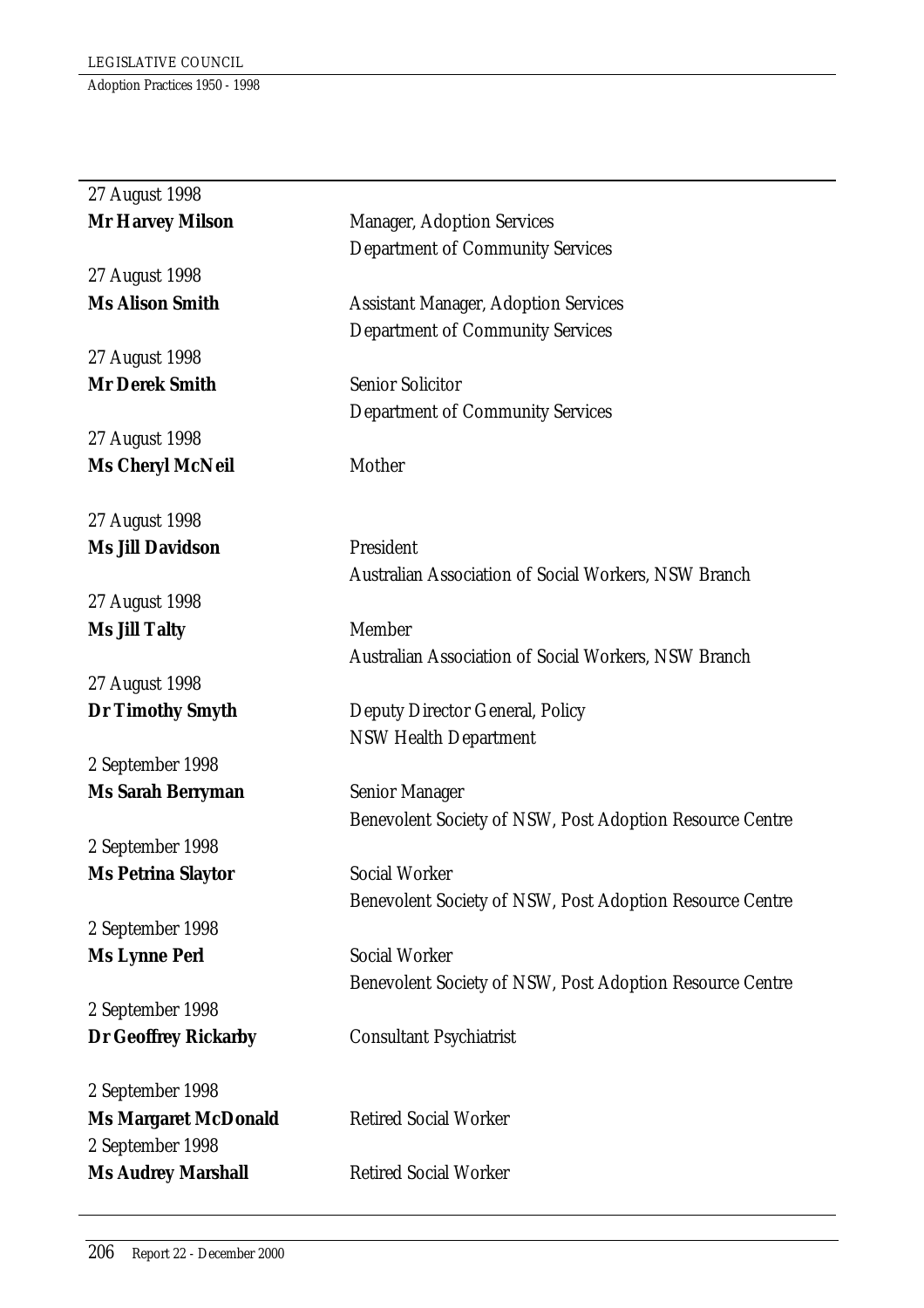| 27 August 1998              |                                                          |
|-----------------------------|----------------------------------------------------------|
| <b>Mr Harvey Milson</b>     | <b>Manager, Adoption Services</b>                        |
|                             | <b>Department of Community Services</b>                  |
| 27 August 1998              |                                                          |
| <b>Ms Alison Smith</b>      | <b>Assistant Manager, Adoption Services</b>              |
|                             | <b>Department of Community Services</b>                  |
| 27 August 1998              |                                                          |
| <b>Mr Derek Smith</b>       | <b>Senior Solicitor</b>                                  |
|                             | <b>Department of Community Services</b>                  |
| 27 August 1998              |                                                          |
| <b>Ms Cheryl McNeil</b>     | Mother                                                   |
|                             |                                                          |
| 27 August 1998              |                                                          |
| <b>Ms Jill Davidson</b>     | President                                                |
|                             | Australian Association of Social Workers, NSW Branch     |
| 27 August 1998              |                                                          |
| <b>Ms Jill Talty</b>        | Member                                                   |
|                             | Australian Association of Social Workers, NSW Branch     |
| 27 August 1998              |                                                          |
| <b>Dr Timothy Smyth</b>     | <b>Deputy Director General, Policy</b>                   |
|                             | <b>NSW Health Department</b>                             |
| 2 September 1998            |                                                          |
| <b>Ms Sarah Berryman</b>    | <b>Senior Manager</b>                                    |
|                             | Benevolent Society of NSW, Post Adoption Resource Centre |
| 2 September 1998            |                                                          |
| <b>Ms Petrina Slaytor</b>   | <b>Social Worker</b>                                     |
|                             | Benevolent Society of NSW, Post Adoption Resource Centre |
| 2 September 1998            |                                                          |
| <b>Ms Lynne Perl</b>        | <b>Social Worker</b>                                     |
|                             | Benevolent Society of NSW, Post Adoption Resource Centre |
| 2 September 1998            |                                                          |
| <b>Dr Geoffrey Rickarby</b> | <b>Consultant Psychiatrist</b>                           |
| 2 September 1998            |                                                          |
| <b>Ms Margaret McDonald</b> | <b>Retired Social Worker</b>                             |
| 2 September 1998            |                                                          |
| <b>Ms Audrey Marshall</b>   | <b>Retired Social Worker</b>                             |
|                             |                                                          |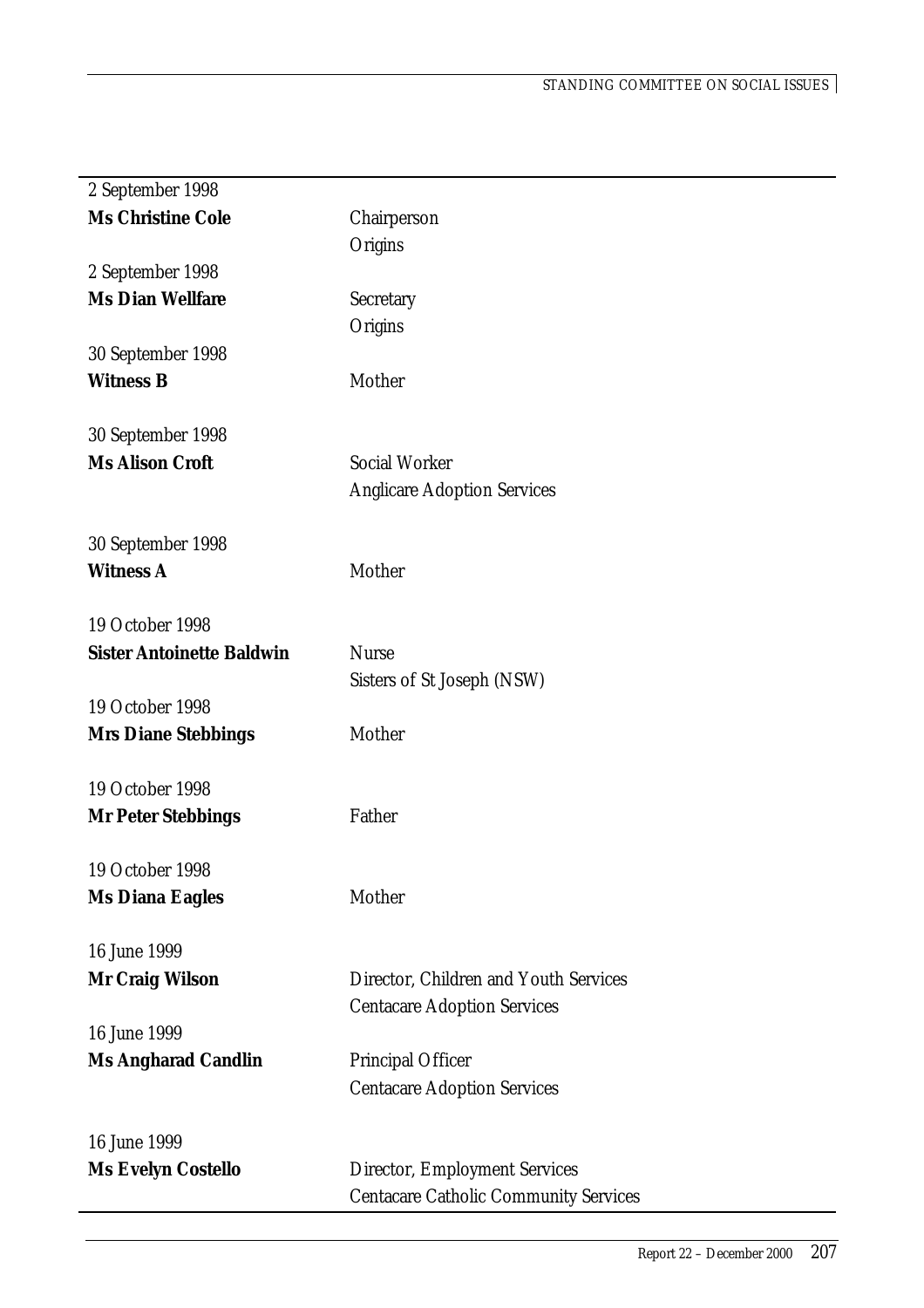| 2 September 1998                                    |                                              |
|-----------------------------------------------------|----------------------------------------------|
| <b>Ms Christine Cole</b>                            | Chairperson                                  |
|                                                     | Origins                                      |
| 2 September 1998                                    |                                              |
| <b>Ms Dian Wellfare</b>                             | Secretary                                    |
|                                                     | Origins                                      |
| 30 September 1998                                   |                                              |
| <b>Witness B</b>                                    | Mother                                       |
|                                                     |                                              |
| 30 September 1998                                   |                                              |
| <b>Ms Alison Croft</b>                              | <b>Social Worker</b>                         |
|                                                     | <b>Anglicare Adoption Services</b>           |
|                                                     |                                              |
| 30 September 1998                                   |                                              |
| <b>Witness A</b>                                    | Mother                                       |
|                                                     |                                              |
| 19 October 1998<br><b>Sister Antoinette Baldwin</b> | <b>Nurse</b>                                 |
|                                                     |                                              |
| 19 October 1998                                     | Sisters of St Joseph (NSW)                   |
| <b>Mrs Diane Stebbings</b>                          | Mother                                       |
|                                                     |                                              |
| 19 October 1998                                     |                                              |
| <b>Mr Peter Stebbings</b>                           | Father                                       |
|                                                     |                                              |
| 19 October 1998                                     |                                              |
| <b>Ms Diana Eagles</b>                              | Mother                                       |
|                                                     |                                              |
| 16 June 1999                                        |                                              |
| <b>Mr Craig Wilson</b>                              | Director, Children and Youth Services        |
|                                                     | <b>Centacare Adoption Services</b>           |
| 16 June 1999                                        |                                              |
| <b>Ms Angharad Candlin</b>                          | <b>Principal Officer</b>                     |
|                                                     | <b>Centacare Adoption Services</b>           |
|                                                     |                                              |
| 16 June 1999                                        |                                              |
| <b>Ms Evelyn Costello</b>                           | <b>Director, Employment Services</b>         |
|                                                     | <b>Centacare Catholic Community Services</b> |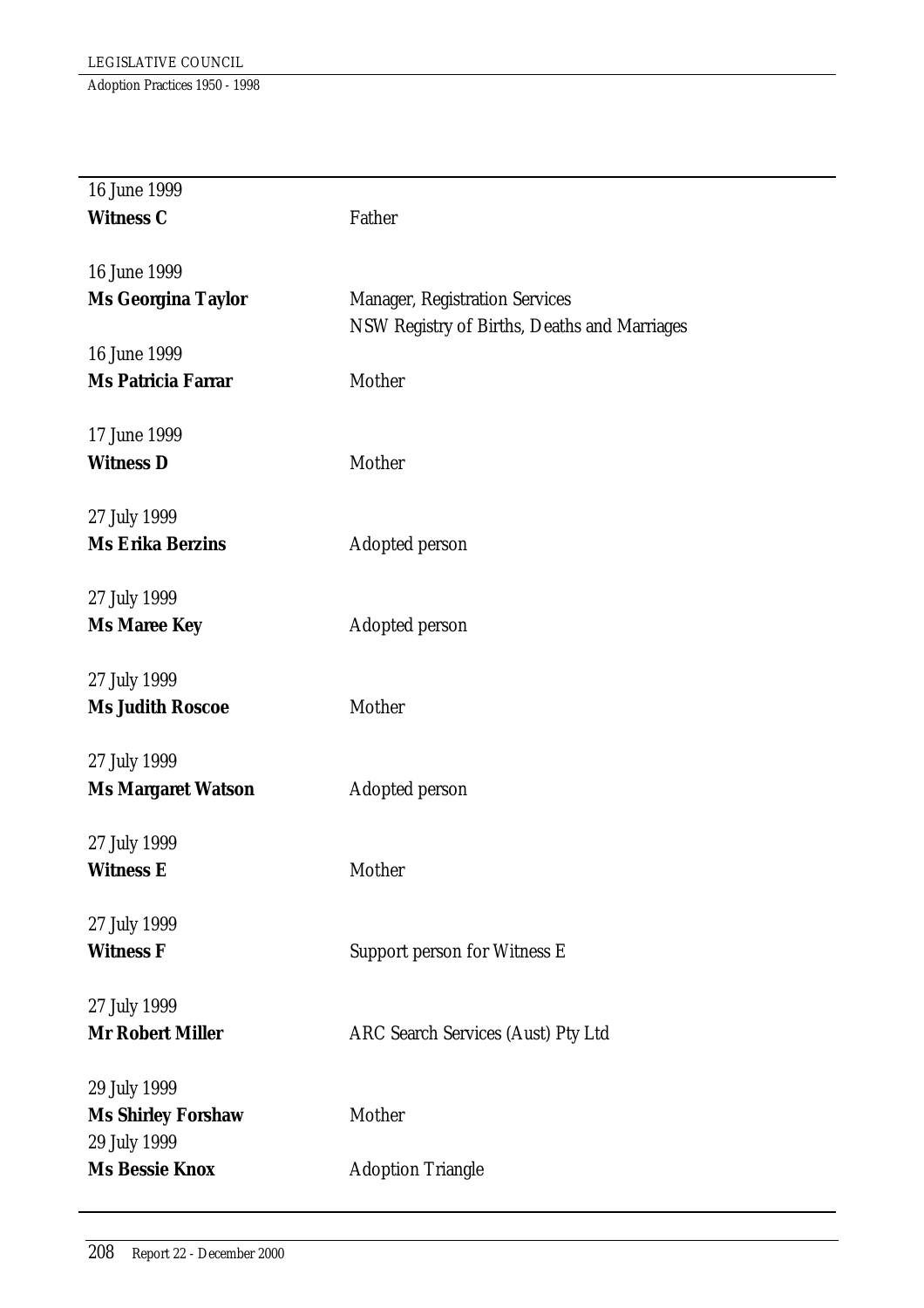| 16 June 1999              |                                              |
|---------------------------|----------------------------------------------|
| <b>Witness C</b>          | Father                                       |
|                           |                                              |
| 16 June 1999              |                                              |
| <b>Ms Georgina Taylor</b> | <b>Manager, Registration Services</b>        |
|                           | NSW Registry of Births, Deaths and Marriages |
| 16 June 1999              |                                              |
| <b>Ms Patricia Farrar</b> | Mother                                       |
|                           |                                              |
| 17 June 1999              |                                              |
| <b>Witness D</b>          | Mother                                       |
|                           |                                              |
| 27 July 1999              |                                              |
| <b>Ms Erika Berzins</b>   | Adopted person                               |
|                           |                                              |
| 27 July 1999              |                                              |
| <b>Ms Maree Key</b>       | Adopted person                               |
|                           |                                              |
| 27 July 1999              |                                              |
| <b>Ms Judith Roscoe</b>   | Mother                                       |
|                           |                                              |
| 27 July 1999              |                                              |
| <b>Ms Margaret Watson</b> | Adopted person                               |
|                           |                                              |
| 27 July 1999              |                                              |
| <b>Witness E</b>          | Mother                                       |
|                           |                                              |
| 27 July 1999              |                                              |
| <b>Witness F</b>          | Support person for Witness E                 |
|                           |                                              |
| 27 July 1999              |                                              |
| <b>Mr Robert Miller</b>   | ARC Search Services (Aust) Pty Ltd           |
|                           |                                              |
| 29 July 1999              |                                              |
| <b>Ms Shirley Forshaw</b> | Mother                                       |
| 29 July 1999              |                                              |
| <b>Ms Bessie Knox</b>     | <b>Adoption Triangle</b>                     |
|                           |                                              |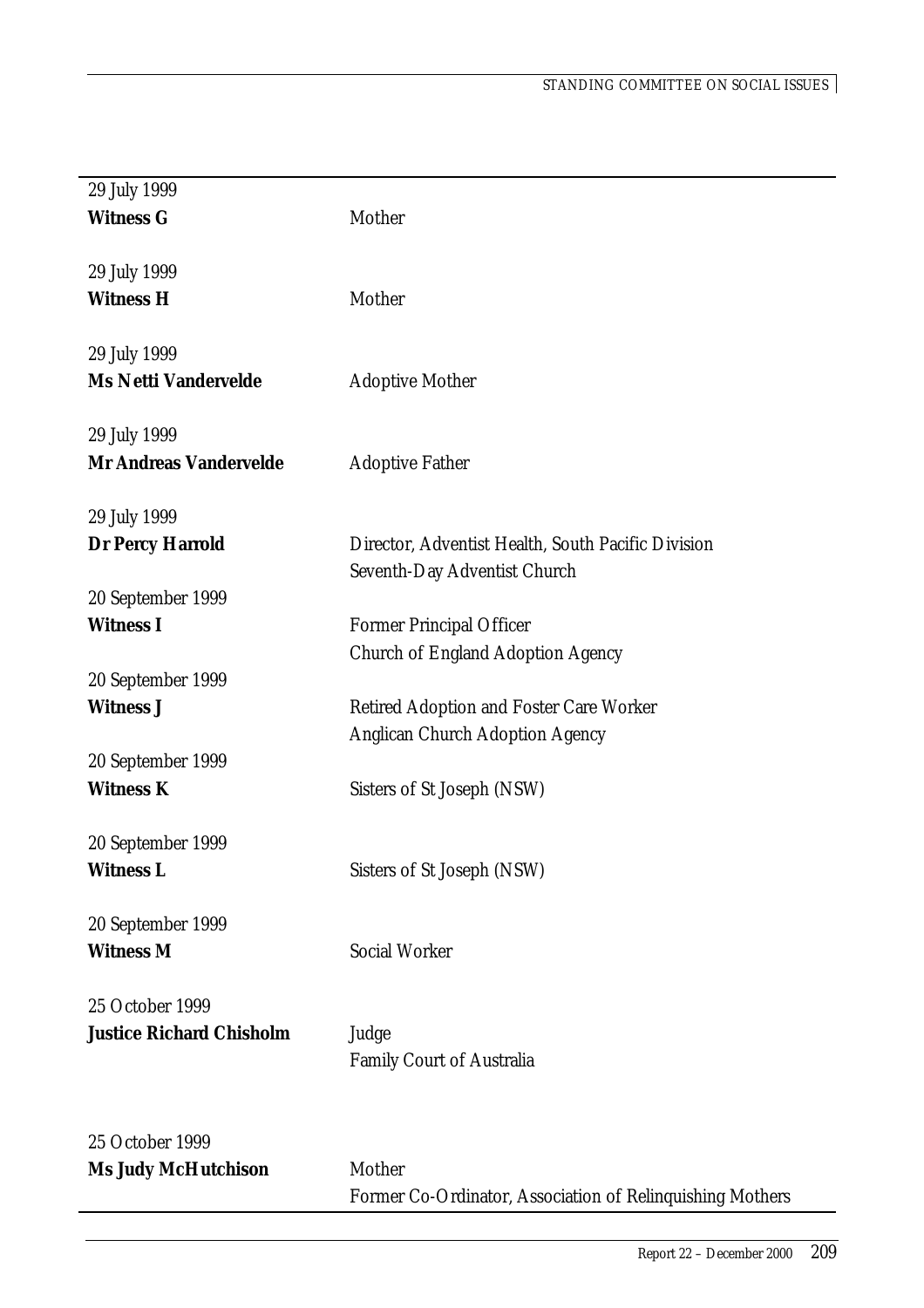| 29 July 1999                    |                                                           |
|---------------------------------|-----------------------------------------------------------|
| <b>Witness G</b>                | Mother                                                    |
|                                 |                                                           |
| 29 July 1999                    |                                                           |
| <b>Witness H</b>                | Mother                                                    |
|                                 |                                                           |
| 29 July 1999                    |                                                           |
| <b>Ms Netti Vandervelde</b>     | <b>Adoptive Mother</b>                                    |
| 29 July 1999                    |                                                           |
| <b>Mr Andreas Vandervelde</b>   | <b>Adoptive Father</b>                                    |
|                                 |                                                           |
| 29 July 1999                    |                                                           |
| <b>Dr Percy Harrold</b>         | Director, Adventist Health, South Pacific Division        |
|                                 | Seventh-Day Adventist Church                              |
| 20 September 1999               |                                                           |
| <b>Witness I</b>                | <b>Former Principal Officer</b>                           |
|                                 | <b>Church of England Adoption Agency</b>                  |
| 20 September 1999               |                                                           |
| <b>Witness J</b>                | <b>Retired Adoption and Foster Care Worker</b>            |
|                                 | Anglican Church Adoption Agency                           |
| 20 September 1999               |                                                           |
| <b>Witness K</b>                | Sisters of St Joseph (NSW)                                |
| 20 September 1999               |                                                           |
| <b>Witness L</b>                | Sisters of St Joseph (NSW)                                |
|                                 |                                                           |
| 20 September 1999               |                                                           |
| <b>Witness M</b>                | <b>Social Worker</b>                                      |
|                                 |                                                           |
| 25 October 1999                 |                                                           |
| <b>Justice Richard Chisholm</b> | Judge                                                     |
|                                 | <b>Family Court of Australia</b>                          |
|                                 |                                                           |
|                                 |                                                           |
| 25 October 1999                 |                                                           |
| <b>Ms Judy McHutchison</b>      | Mother                                                    |
|                                 | Former Co-Ordinator, Association of Relinquishing Mothers |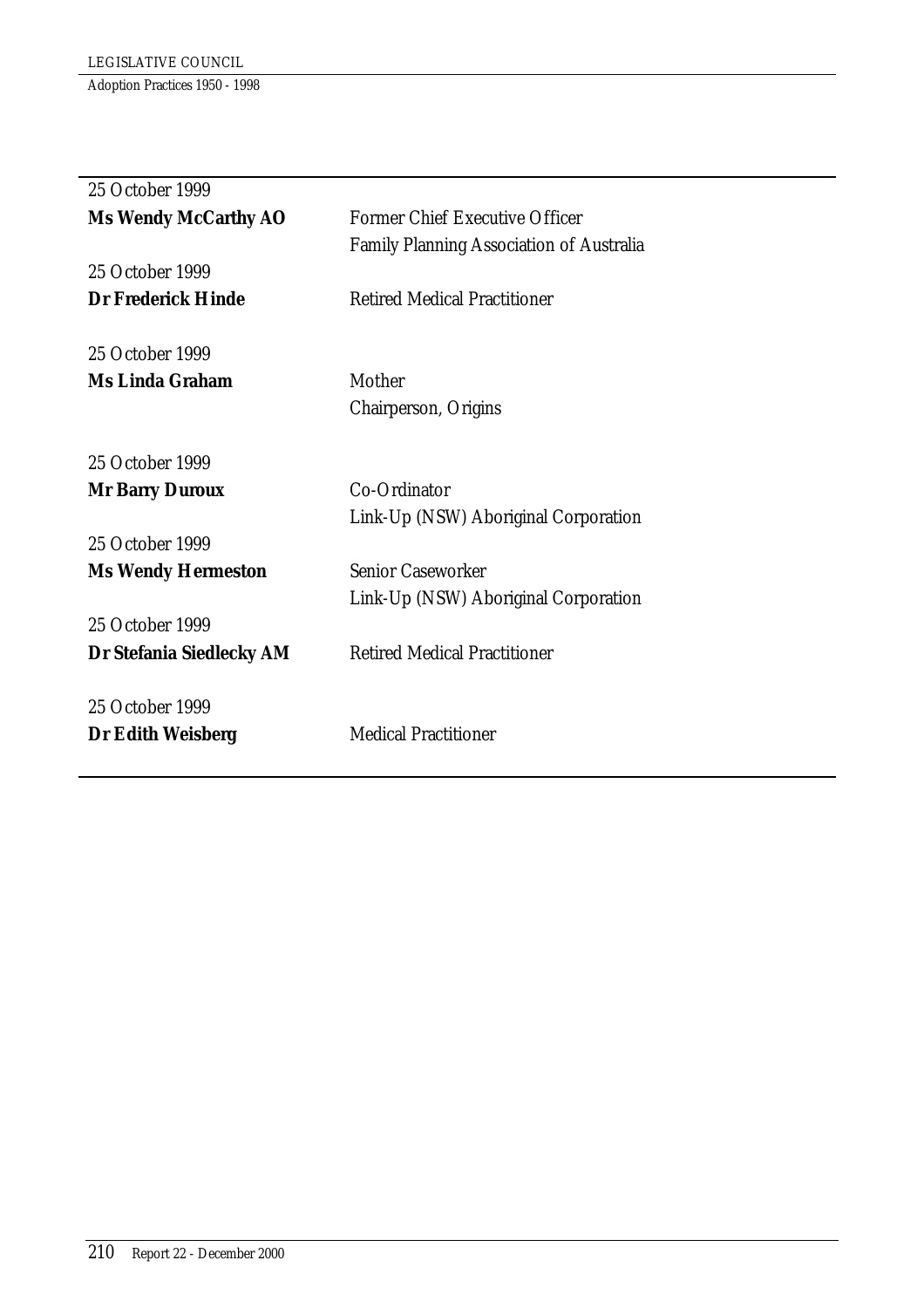| 25 October 1999                 |                                                 |
|---------------------------------|-------------------------------------------------|
| <b>Ms Wendy McCarthy AO</b>     | <b>Former Chief Executive Officer</b>           |
|                                 | <b>Family Planning Association of Australia</b> |
| 25 October 1999                 |                                                 |
| <b>Dr Frederick Hinde</b>       | <b>Retired Medical Practitioner</b>             |
| 25 October 1999                 |                                                 |
| <b>Ms Linda Graham</b>          | Mother                                          |
|                                 | Chairperson, Origins                            |
| 25 October 1999                 |                                                 |
| <b>Mr Barry Duroux</b>          | Co-Ordinator                                    |
|                                 | Link-Up (NSW) Aboriginal Corporation            |
| 25 October 1999                 |                                                 |
| <b>Ms Wendy Hermeston</b>       | <b>Senior Caseworker</b>                        |
|                                 | Link-Up (NSW) Aboriginal Corporation            |
| 25 October 1999                 |                                                 |
| <b>Dr Stefania Siedlecky AM</b> | <b>Retired Medical Practitioner</b>             |
| 25 October 1999                 |                                                 |
| Dr Edith Weisberg               | <b>Medical Practitioner</b>                     |
|                                 |                                                 |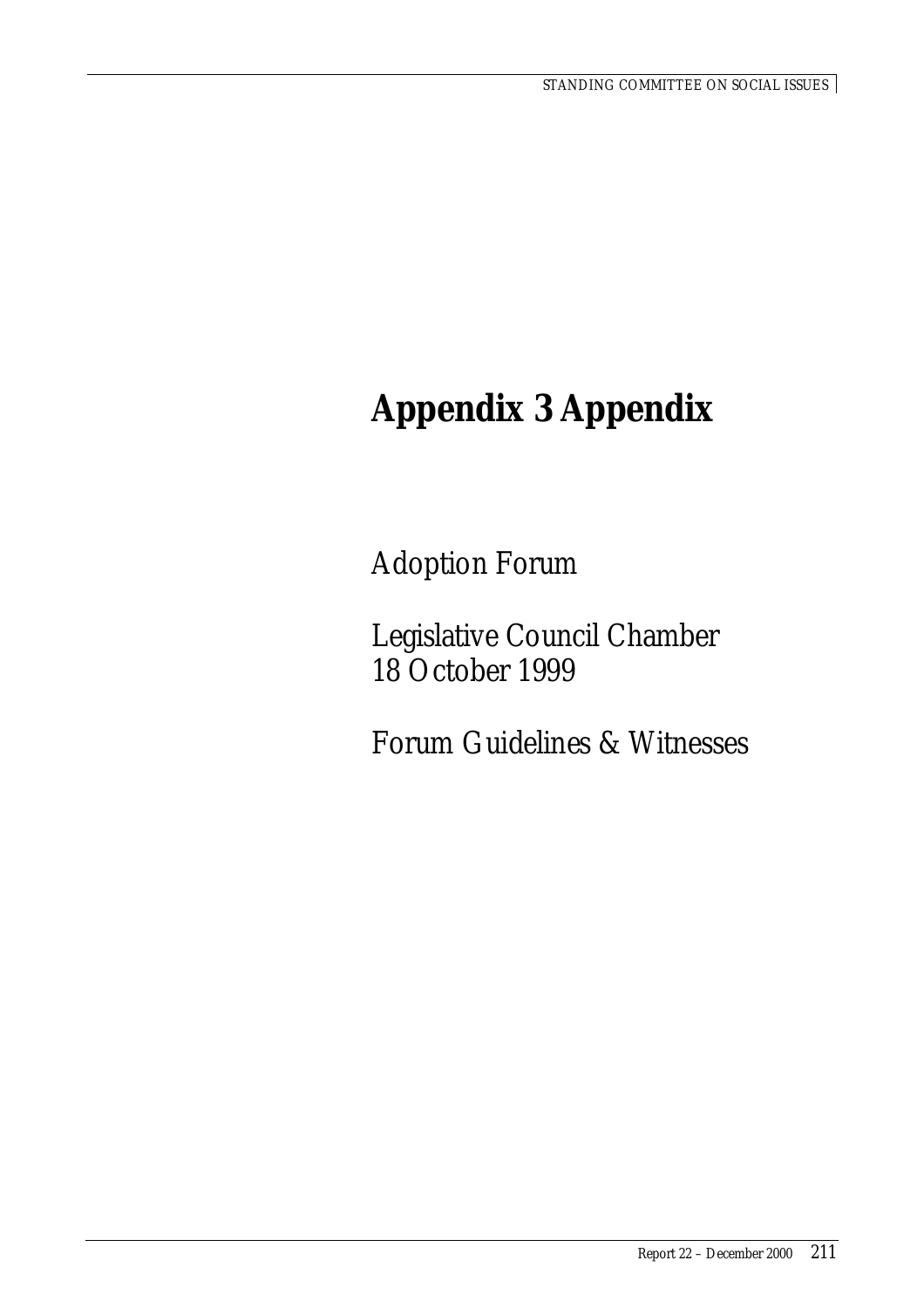## **Appendix 3 Appendix**

Adoption Forum

Legislative Council Chamber 18 October 1999

Forum Guidelines & Witnesses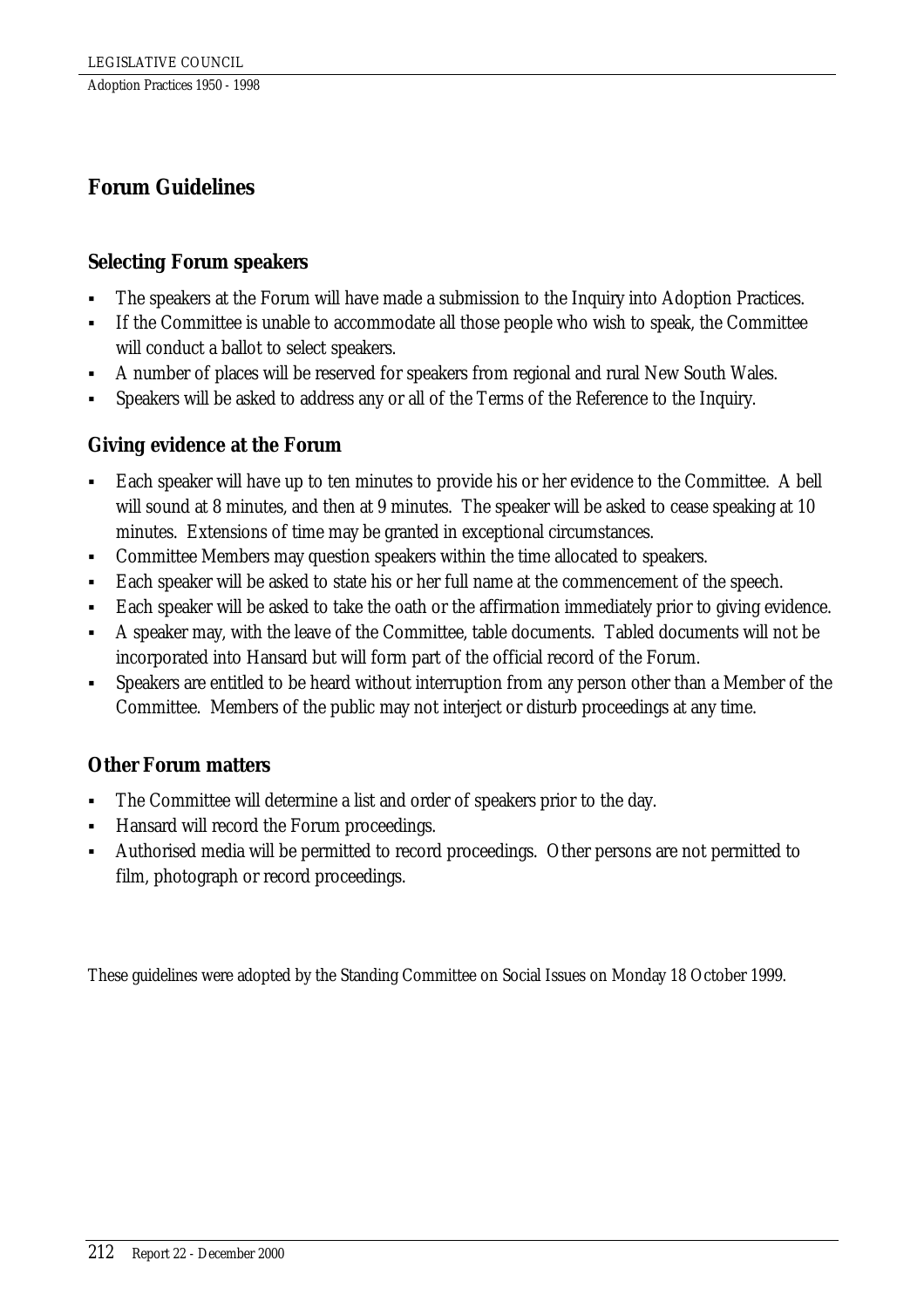#### **Forum Guidelines**

#### **Selecting Forum speakers**

- The speakers at the Forum will have made a submission to the Inquiry into Adoption Practices.
- **Fig. 1.1** If the Committee is unable to accommodate all those people who wish to speak, the Committee will conduct a ballot to select speakers.
- A number of places will be reserved for speakers from regional and rural New South Wales.
- ß Speakers will be asked to address any or all of the Terms of the Reference to the Inquiry.

#### **Giving evidence at the Forum**

- ß Each speaker will have up to ten minutes to provide his or her evidence to the Committee. A bell will sound at 8 minutes, and then at 9 minutes. The speaker will be asked to cease speaking at 10 minutes. Extensions of time may be granted in exceptional circumstances.
- Committee Members may question speakers within the time allocated to speakers.
- Each speaker will be asked to state his or her full name at the commencement of the speech.
- ß Each speaker will be asked to take the oath or the affirmation immediately prior to giving evidence.
- A speaker may, with the leave of the Committee, table documents. Tabled documents will not be incorporated into Hansard but will form part of the official record of the Forum.
- Speakers are entitled to be heard without interruption from any person other than a Member of the Committee. Members of the public may not interject or disturb proceedings at any time.

#### **Other Forum matters**

- The Committee will determine a list and order of speakers prior to the day.
- Hansard will record the Forum proceedings.
- Authorised media will be permitted to record proceedings. Other persons are not permitted to film, photograph or record proceedings.

These guidelines were adopted by the Standing Committee on Social Issues on Monday 18 October 1999.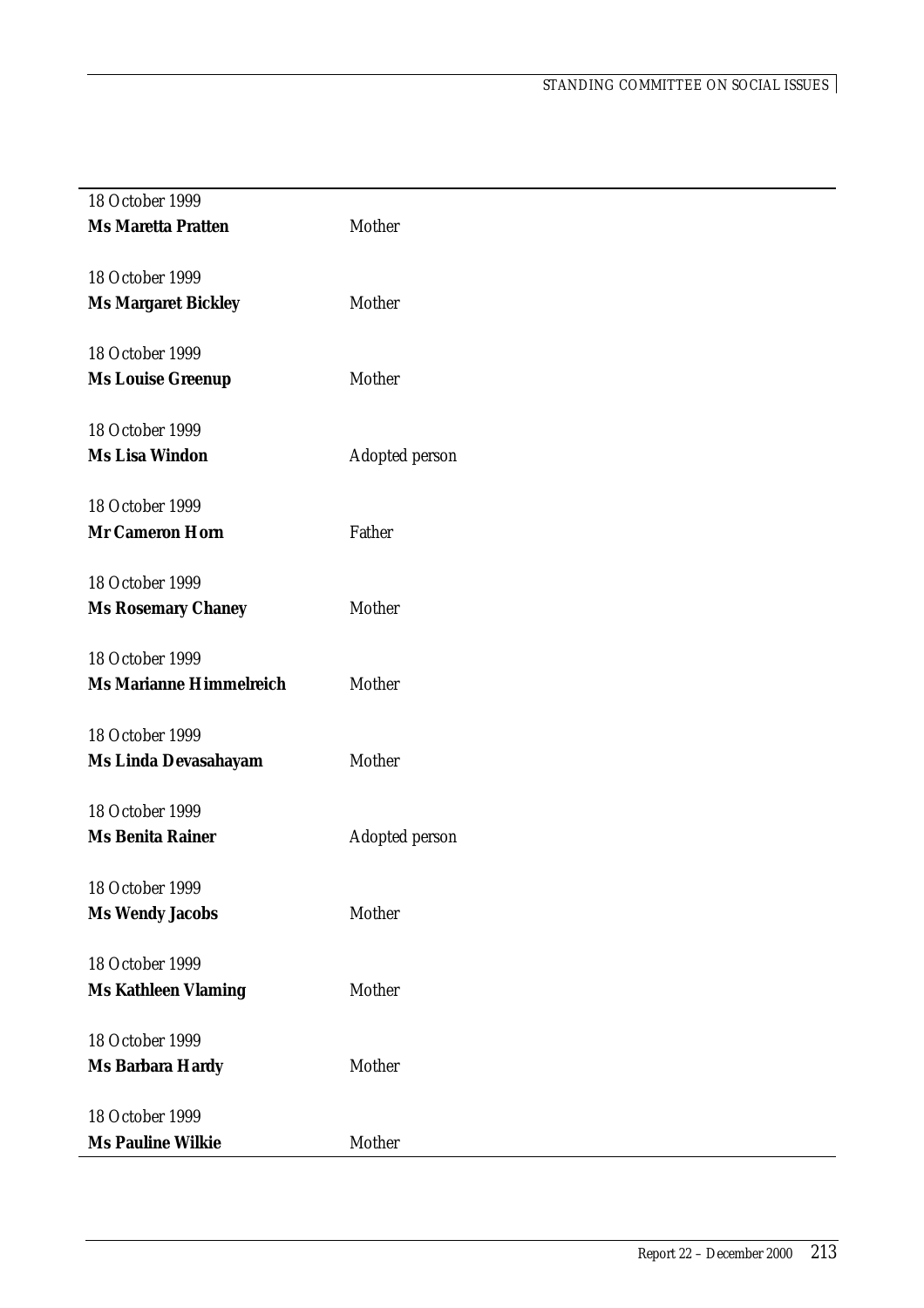| 18 October 1999                |                |
|--------------------------------|----------------|
| <b>Ms Maretta Pratten</b>      | Mother         |
|                                |                |
| 18 October 1999                |                |
| <b>Ms Margaret Bickley</b>     | Mother         |
| 18 October 1999                |                |
| <b>Ms Louise Greenup</b>       | Mother         |
| 18 October 1999                |                |
| <b>Ms Lisa Windon</b>          | Adopted person |
|                                |                |
| 18 October 1999                |                |
| <b>Mr Cameron Horn</b>         | Father         |
| 18 October 1999                |                |
| <b>Ms Rosemary Chaney</b>      | Mother         |
| 18 October 1999                |                |
|                                |                |
| <b>Ms Marianne Himmelreich</b> | Mother         |
| 18 October 1999                |                |
| Ms Linda Devasahayam           | Mother         |
| 18 October 1999                |                |
| <b>Ms Benita Rainer</b>        | Adopted person |
|                                |                |
| 18 October 1999                |                |
| <b>Ms Wendy Jacobs</b>         | Mother         |
| 18 October 1999                |                |
| <b>Ms Kathleen Vlaming</b>     | Mother         |
|                                |                |
| 18 October 1999                |                |
| Ms Barbara Hardy               | Mother         |
| 18 October 1999                |                |
| <b>Ms Pauline Wilkie</b>       | Mother         |

 $\ddot{\phantom{a}}$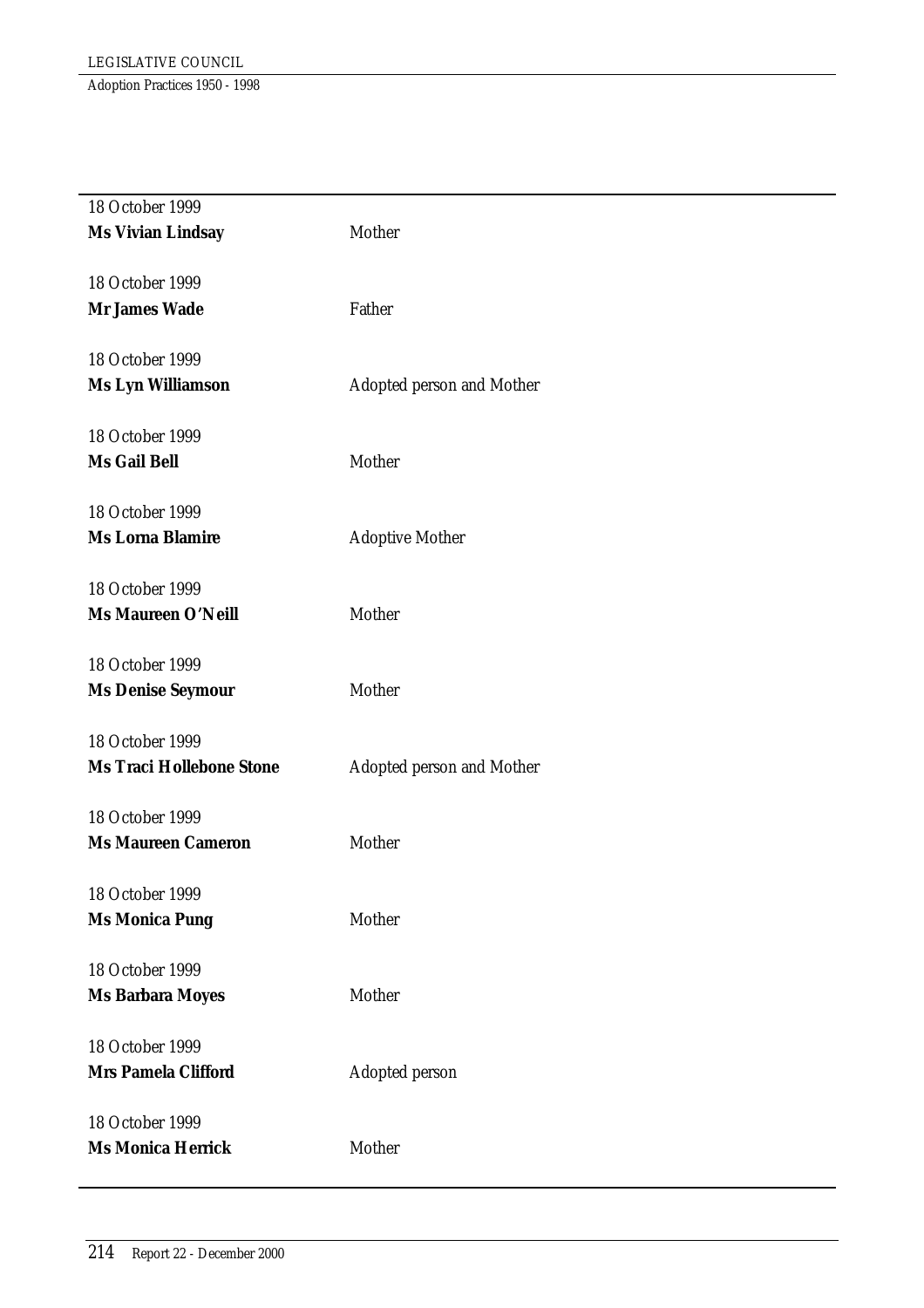| 18 October 1999                               |                           |
|-----------------------------------------------|---------------------------|
| <b>Ms Vivian Lindsay</b>                      | Mother                    |
|                                               |                           |
| 18 October 1999                               |                           |
| <b>Mr James Wade</b>                          | Father                    |
| 18 October 1999                               |                           |
| <b>Ms Lyn Williamson</b>                      | Adopted person and Mother |
|                                               |                           |
| 18 October 1999                               |                           |
| <b>Ms Gail Bell</b>                           | Mother                    |
| 18 October 1999                               |                           |
| <b>Ms Loma Blamire</b>                        | <b>Adoptive Mother</b>    |
|                                               |                           |
| 18 October 1999                               |                           |
| <b>Ms Maureen O'Neill</b>                     | Mother                    |
|                                               |                           |
| 18 October 1999                               | Mother                    |
| <b>Ms Denise Seymour</b>                      |                           |
| 18 October 1999                               |                           |
| <b>Ms Traci Hollebone Stone</b>               | Adopted person and Mother |
|                                               |                           |
| 18 October 1999                               |                           |
| <b>Ms Maureen Cameron</b>                     | Mother                    |
| 18 October 1999                               |                           |
| <b>Ms Monica Pung</b>                         | Mother                    |
|                                               |                           |
| 18 October 1999                               |                           |
| <b>Ms Barbara Moyes</b>                       | Mother                    |
|                                               |                           |
| 18 October 1999<br><b>Mrs Pamela Clifford</b> |                           |
|                                               | Adopted person            |
| 18 October 1999                               |                           |
| <b>Ms Monica Herrick</b>                      | Mother                    |
|                                               |                           |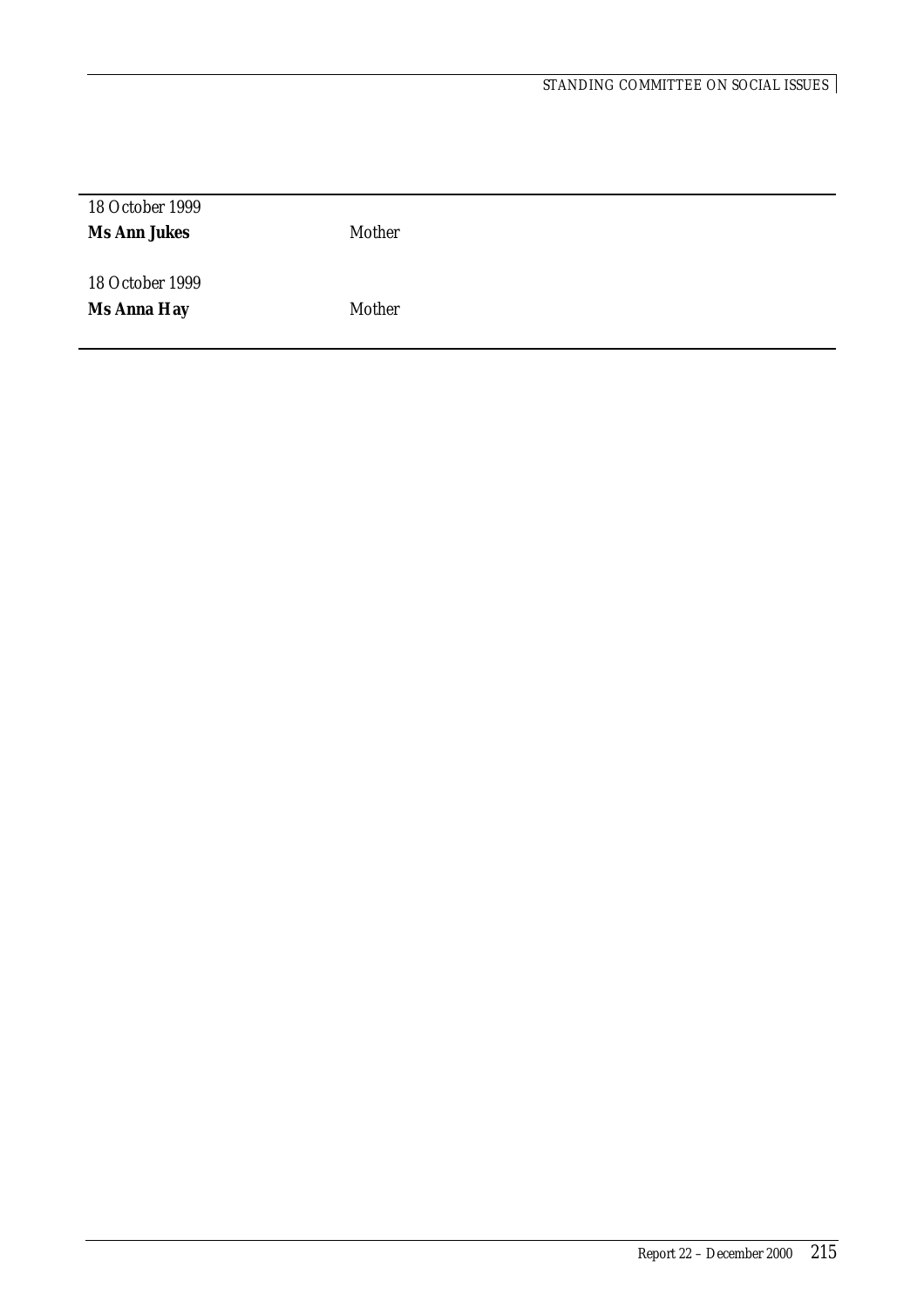| 18 October 1999<br><b>Ms Ann Jukes</b> | Mother |  |
|----------------------------------------|--------|--|
| 18 October 1999<br><b>Ms Anna Hay</b>  | Mother |  |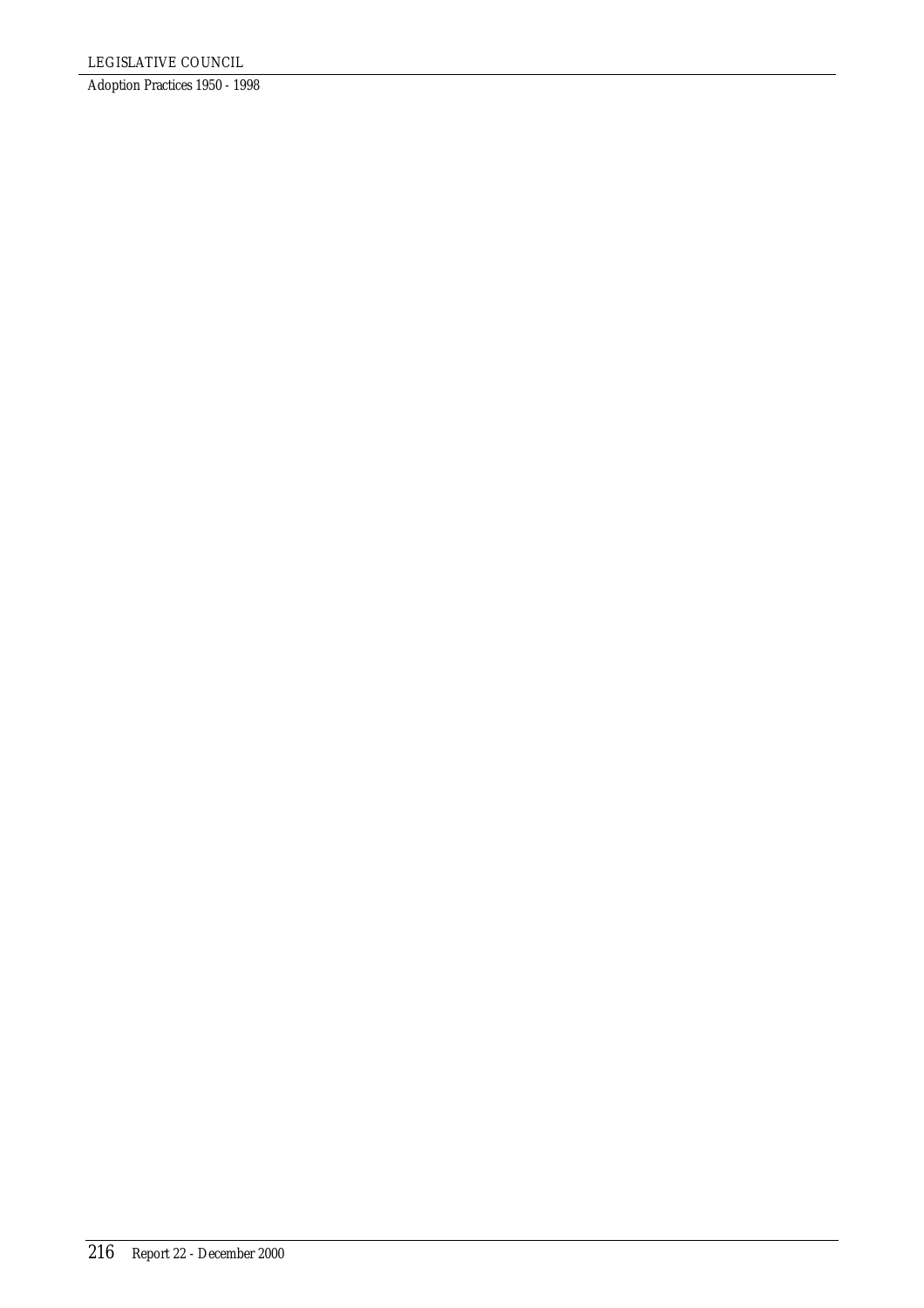LEGISLATIVE COUNCIL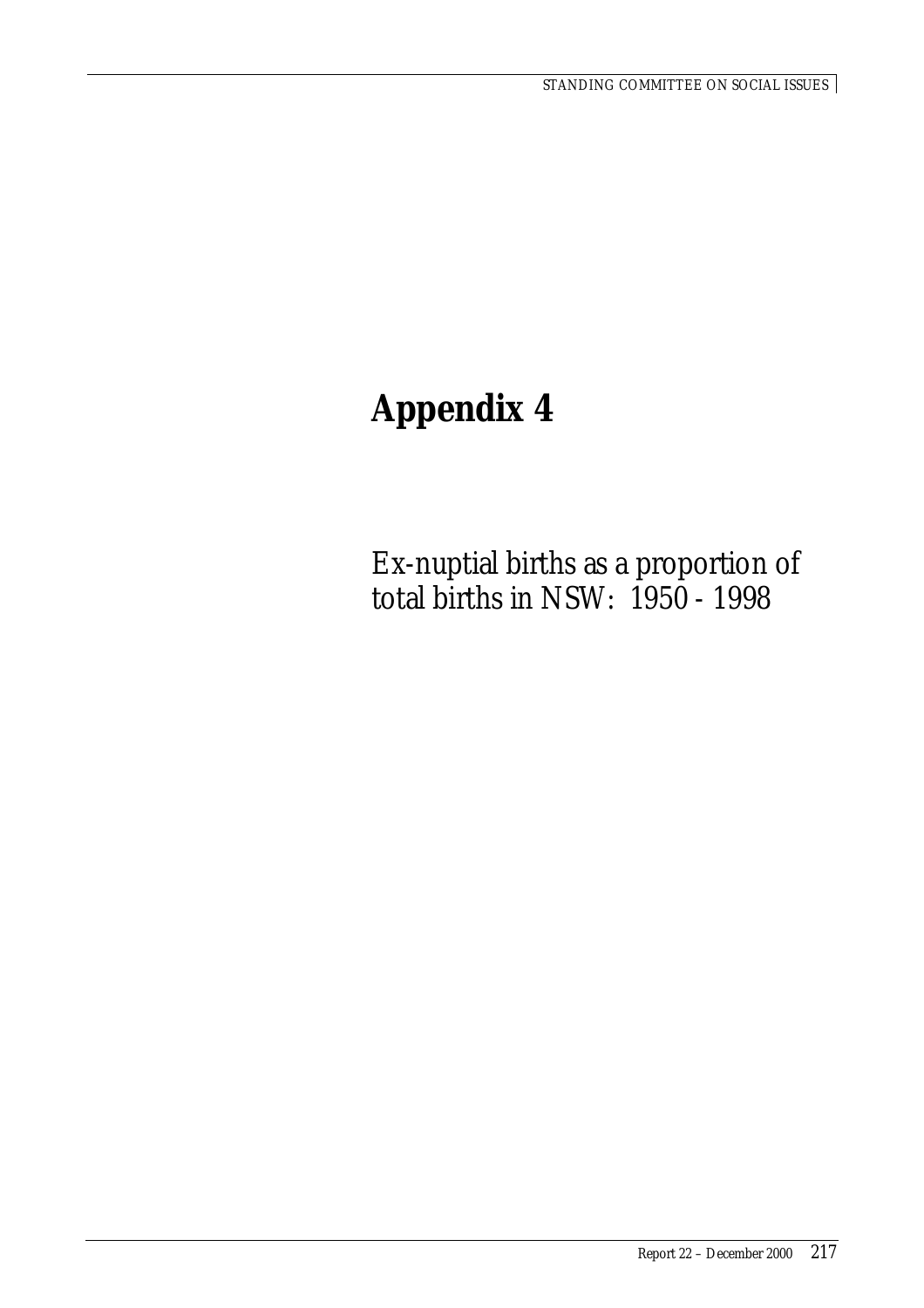Ex-nuptial births as a proportion of total births in NSW: 1950 - 1998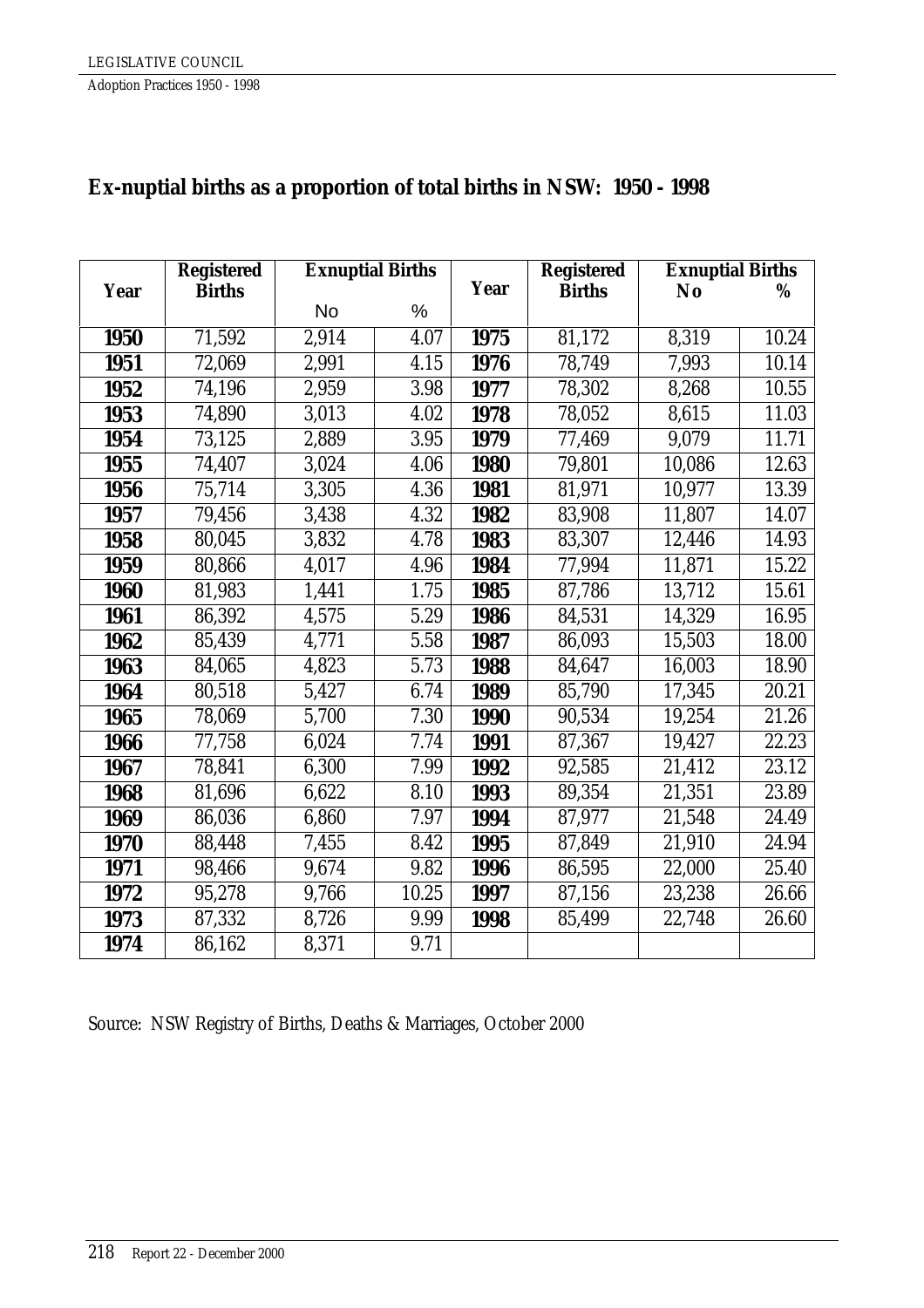|             | <b>Registered</b> | <b>Exnuptial Births</b> |       |             | <b>Registered</b> | <b>Exnuptial Births</b> |       |
|-------------|-------------------|-------------------------|-------|-------------|-------------------|-------------------------|-------|
| <b>Year</b> | <b>Births</b>     |                         |       | <b>Year</b> | <b>Births</b>     | N <sub>0</sub>          | %     |
|             |                   | <b>No</b>               | %     |             |                   |                         |       |
| 1950        | 71,592            | 2,914                   | 4.07  | 1975        | 81,172            | 8,319                   | 10.24 |
| 1951        | 72,069            | 2,991                   | 4.15  | 1976        | 78,749            | 7,993                   | 10.14 |
| 1952        | 74,196            | 2,959                   | 3.98  | 1977        | 78,302            | 8,268                   | 10.55 |
| 1953        | 74,890            | 3,013                   | 4.02  | 1978        | 78,052            | 8,615                   | 11.03 |
| 1954        | 73,125            | 2,889                   | 3.95  | 1979        | 77,469            | 9,079                   | 11.71 |
| 1955        | 74,407            | 3,024                   | 4.06  | <b>1980</b> | 79,801            | 10,086                  | 12.63 |
| 1956        | 75,714            | 3,305                   | 4.36  | 1981        | 81,971            | 10,977                  | 13.39 |
| 1957        | 79,456            | 3,438                   | 4.32  | 1982        | 83,908            | 11,807                  | 14.07 |
| 1958        | 80,045            | 3,832                   | 4.78  | 1983        | 83,307            | 12,446                  | 14.93 |
| 1959        | 80,866            | 4,017                   | 4.96  | 1984        | 77,994            | 11,871                  | 15.22 |
| <b>1960</b> | 81,983            | 1,441                   | 1.75  | 1985        | 87,786            | 13,712                  | 15.61 |
| 1961        | 86,392            | 4,575                   | 5.29  | 1986        | 84,531            | 14,329                  | 16.95 |
| 1962        | 85,439            | 4,771                   | 5.58  | 1987        | 86,093            | 15,503                  | 18.00 |
| 1963        | 84,065            | 4,823                   | 5.73  | 1988        | 84,647            | 16,003                  | 18.90 |
| 1964        | 80,518            | 5,427                   | 6.74  | 1989        | 85,790            | 17,345                  | 20.21 |
| 1965        | 78,069            | 5,700                   | 7.30  | <b>1990</b> | 90,534            | 19,254                  | 21.26 |
| 1966        | 77,758            | 6,024                   | 7.74  | 1991        | 87,367            | 19,427                  | 22.23 |
| 1967        | 78,841            | 6,300                   | 7.99  | 1992        | 92,585            | 21,412                  | 23.12 |
| 1968        | 81,696            | 6,622                   | 8.10  | 1993        | 89,354            | 21,351                  | 23.89 |
| 1969        | 86,036            | 6,860                   | 7.97  | 1994        | 87,977            | 21,548                  | 24.49 |
| 1970        | 88,448            | 7,455                   | 8.42  | 1995        | 87,849            | 21,910                  | 24.94 |
| 1971        | 98,466            | 9,674                   | 9.82  | 1996        | 86,595            | 22,000                  | 25.40 |
| 1972        | 95,278            | 9,766                   | 10.25 | 1997        | 87,156            | 23,238                  | 26.66 |
| 1973        | 87,332            | 8,726                   | 9.99  | 1998        | 85,499            | 22,748                  | 26.60 |
| 1974        | 86,162            | 8,371                   | 9.71  |             |                   |                         |       |

### **Ex-nuptial births as a proportion of total births in NSW: 1950 - 1998**

Source: NSW Registry of Births, Deaths & Marriages, October 2000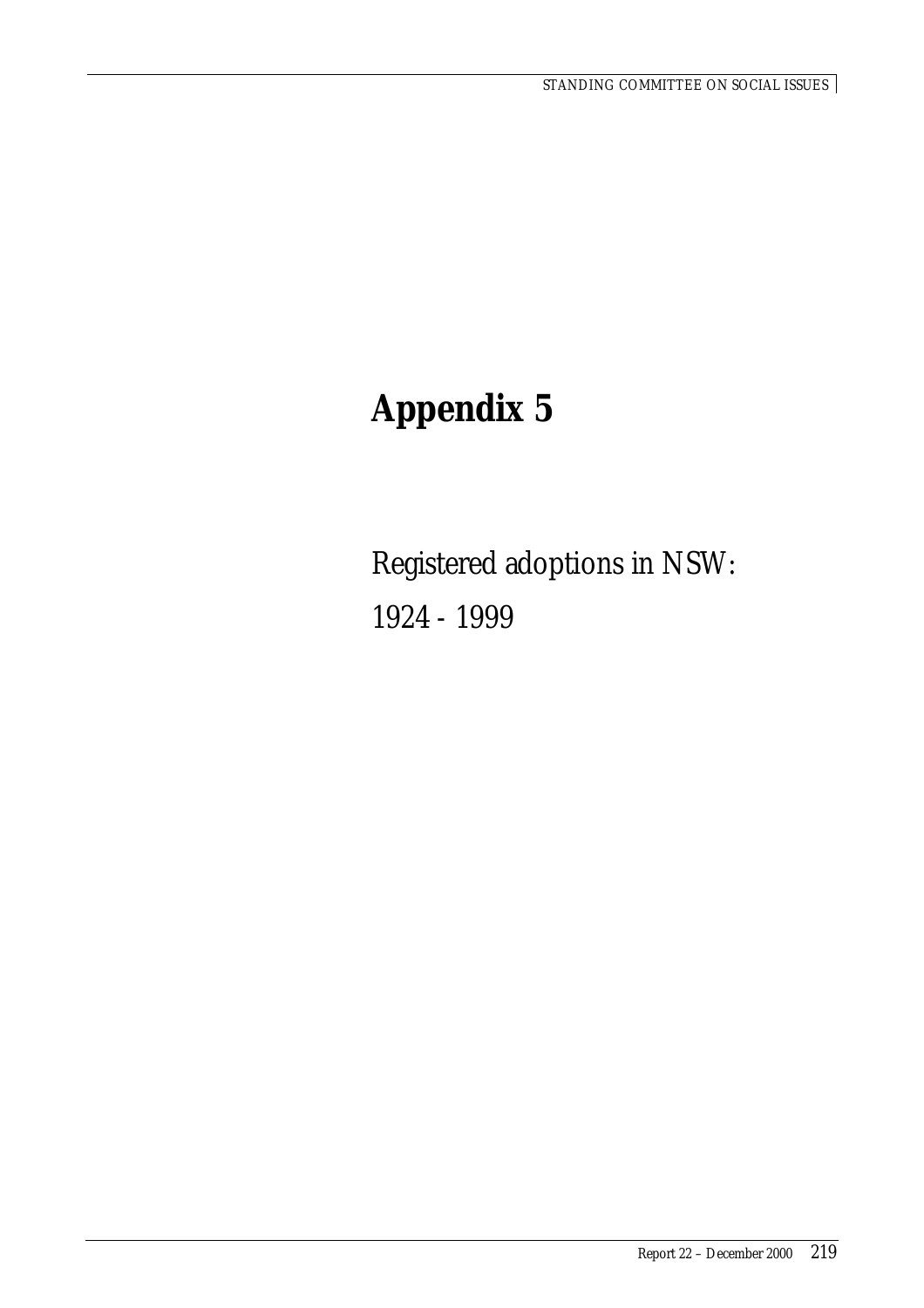Registered adoptions in NSW: 1924 - 1999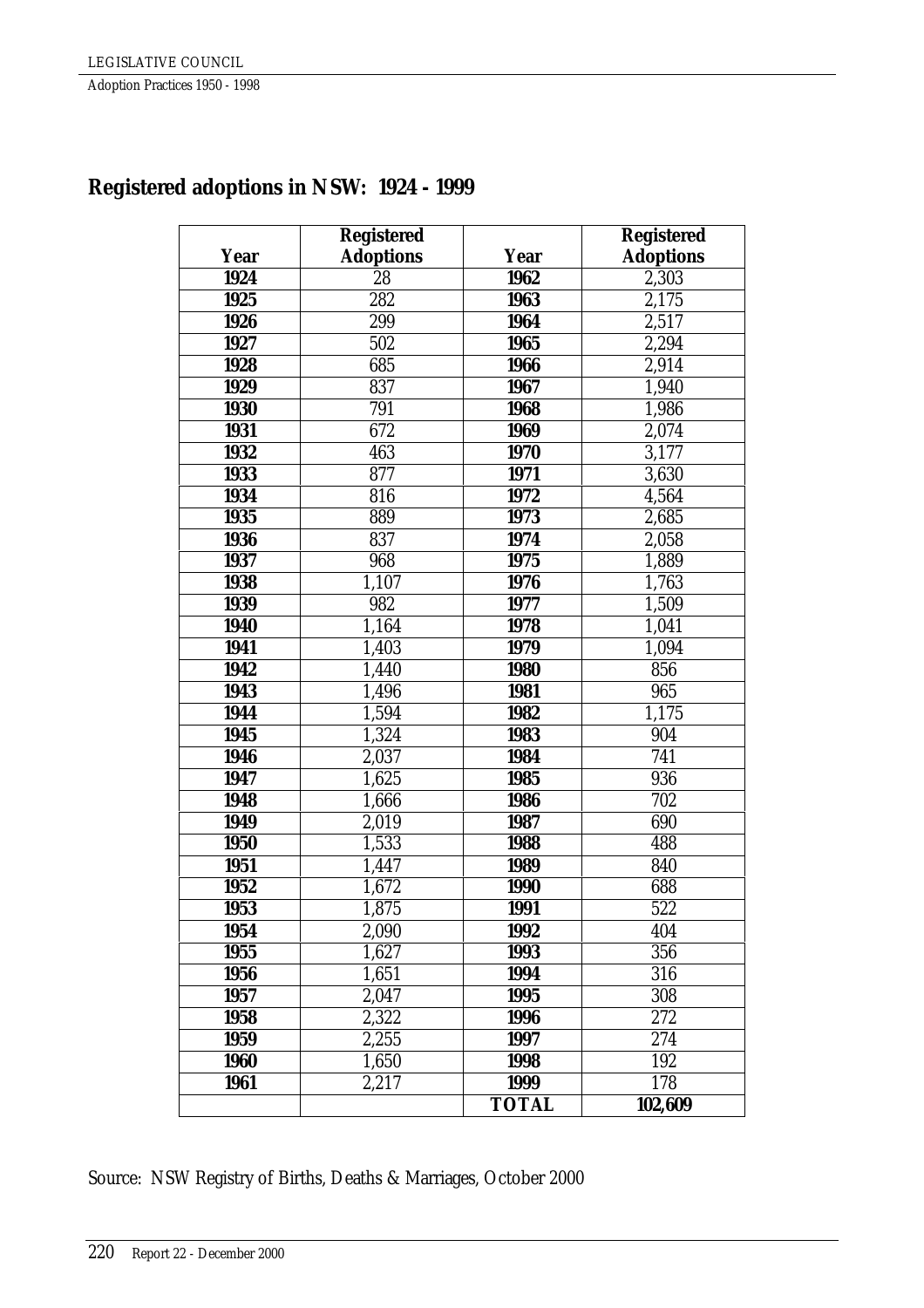|             | <b>Registered</b> |              | <b>Registered</b> |
|-------------|-------------------|--------------|-------------------|
| <b>Year</b> | <b>Adoptions</b>  | <b>Year</b>  | <b>Adoptions</b>  |
| 1924        | $\overline{28}$   | 1962         | 2,303             |
| 1925        | 282               | 1963         | 2,175             |
| 1926        | 299               | 1964         | 2,517             |
| 1927        | 502               | 1965         | 2,294             |
| 1928        | 685               | 1966         | 2,914             |
| 1929        | 837               | 1967         | 1,940             |
| 1930        | 791               | 1968         | 1,986             |
| 1931        | 672               | 1969         | 2,074             |
| 1932        | 463               | 1970         | 3,177             |
| 1933        | 877               | 1971         | 3,630             |
| 1934        | 816               | 1972         | 4,564             |
| 1935        | 889               | 1973         | 2,685             |
| 1936        | 837               | 1974         | 2,058             |
| 1937        | 968               | 1975         | 1,889             |
| 1938        | 1,107             | 1976         | 1,763             |
| 1939        | 982               | 1977         | 1,509             |
| 1940        | 1,164             | 1978         | 1,041             |
| 1941        | 1,403             | 1979         | 1,094             |
| 1942        | 1,440             | 1980         | 856               |
| 1943        | 1,496             | 1981         | 965               |
| 1944        | 1,594             | 1982         | 1,175             |
| 1945        | 1,324             | 1983         | 904               |
| 1946        | 2,037             | 1984         | 741               |
| 1947        | 1,625             | 1985         | 936               |
| 1948        | 1,666             | 1986         | 702               |
| 1949        | 2,019             | 1987         | 690               |
| 1950        | 1,533             | 1988         | 488               |
| 1951        | 1,447             | 1989         | 840               |
| 1952        | 1,672             | 1990         | 688               |
| 1953        | 1,875             | 1991         | 522               |
| 1954        | 2,090             | 1992         | 404               |
| 1955        | 1,627             | 1993         | 356               |
| 1956        | 1,651             | 1994         | 316               |
| 1957        | 2,047             | 1995         | 308               |
| 1958        | 2,322             | 1996         | $\overline{272}$  |
| 1959        | 2,255             | 1997         | 274               |
| <b>1960</b> | 1,650             | 1998         | 192               |
| 1961        | 2,217             | 1999         | 178               |
|             |                   | <b>TOTAL</b> | 102,609           |

### **Registered adoptions in NSW: 1924 - 1999**

Source: NSW Registry of Births, Deaths & Marriages, October 2000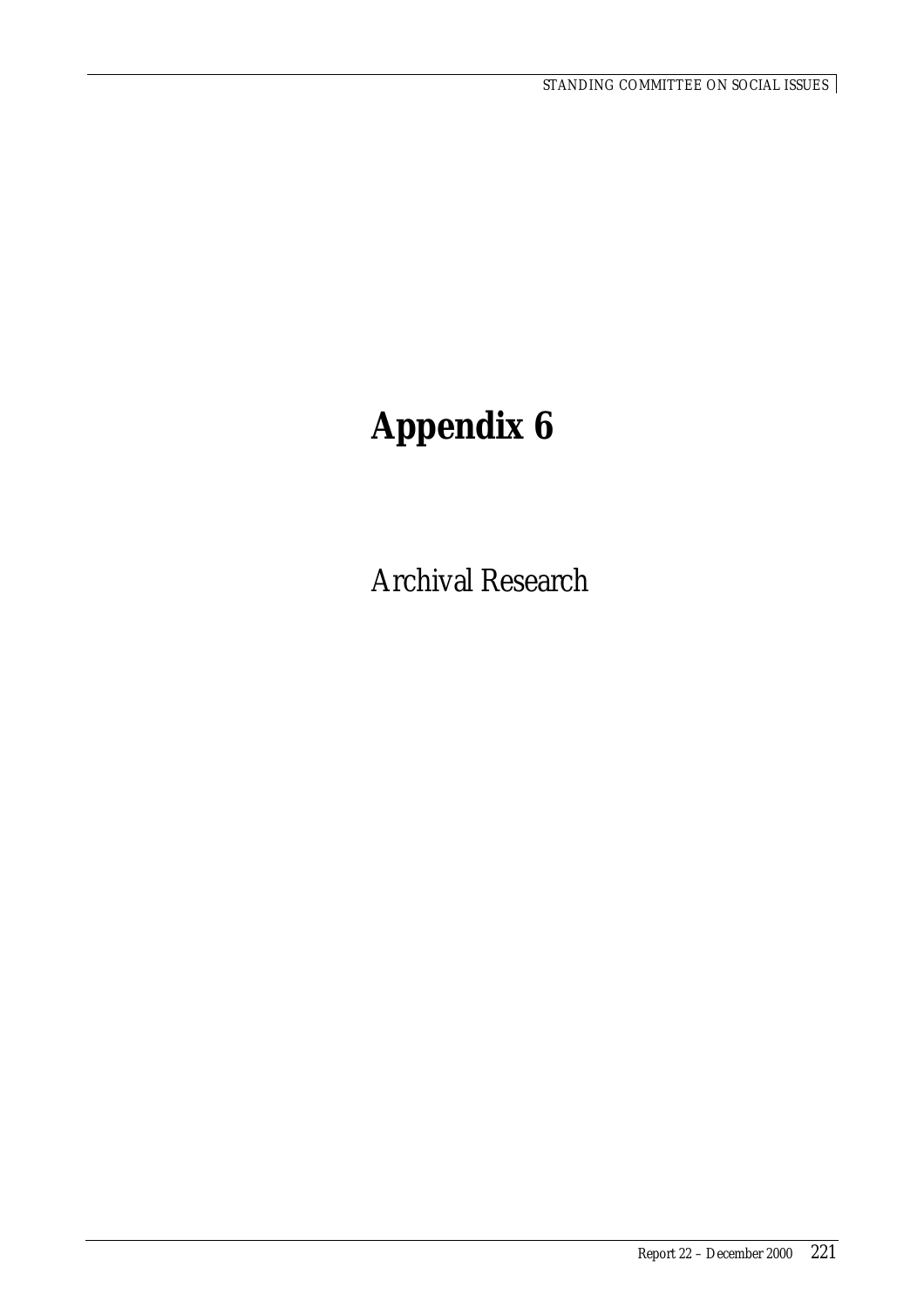Archival Research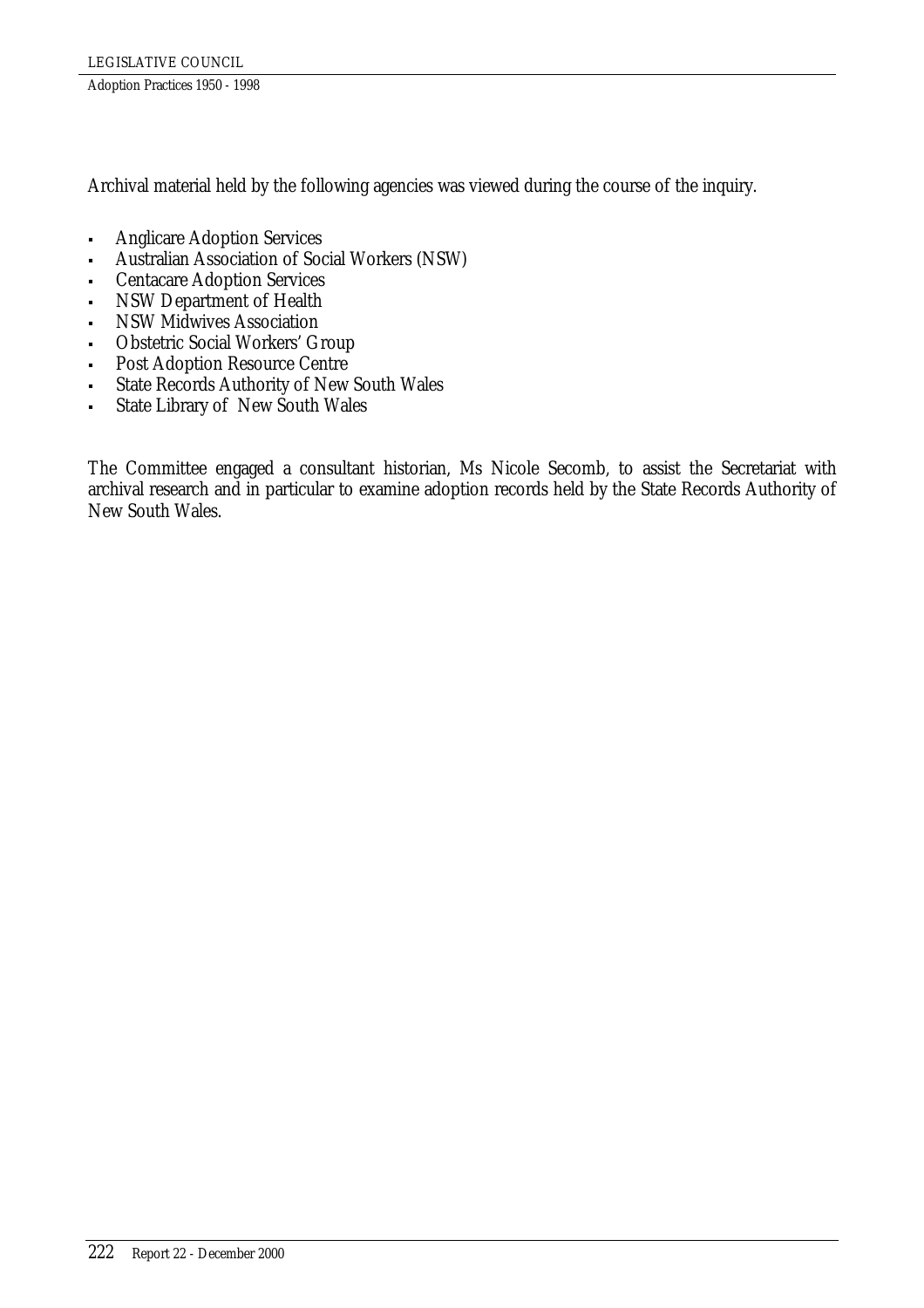Archival material held by the following agencies was viewed during the course of the inquiry.

- Anglicare Adoption Services
- <sup>ß</sup> Australian Association of Social Workers (NSW)
- **Centacare Adoption Services**
- NSW Department of Health
- **KISW Midwives Association**
- Obstetric Social Workers' Group
- **Post Adoption Resource Centre**
- **State Records Authority of New South Wales**
- <sup>ß</sup> State Library of New South Wales

The Committee engaged a consultant historian, Ms Nicole Secomb, to assist the Secretariat with archival research and in particular to examine adoption records held by the State Records Authority of New South Wales.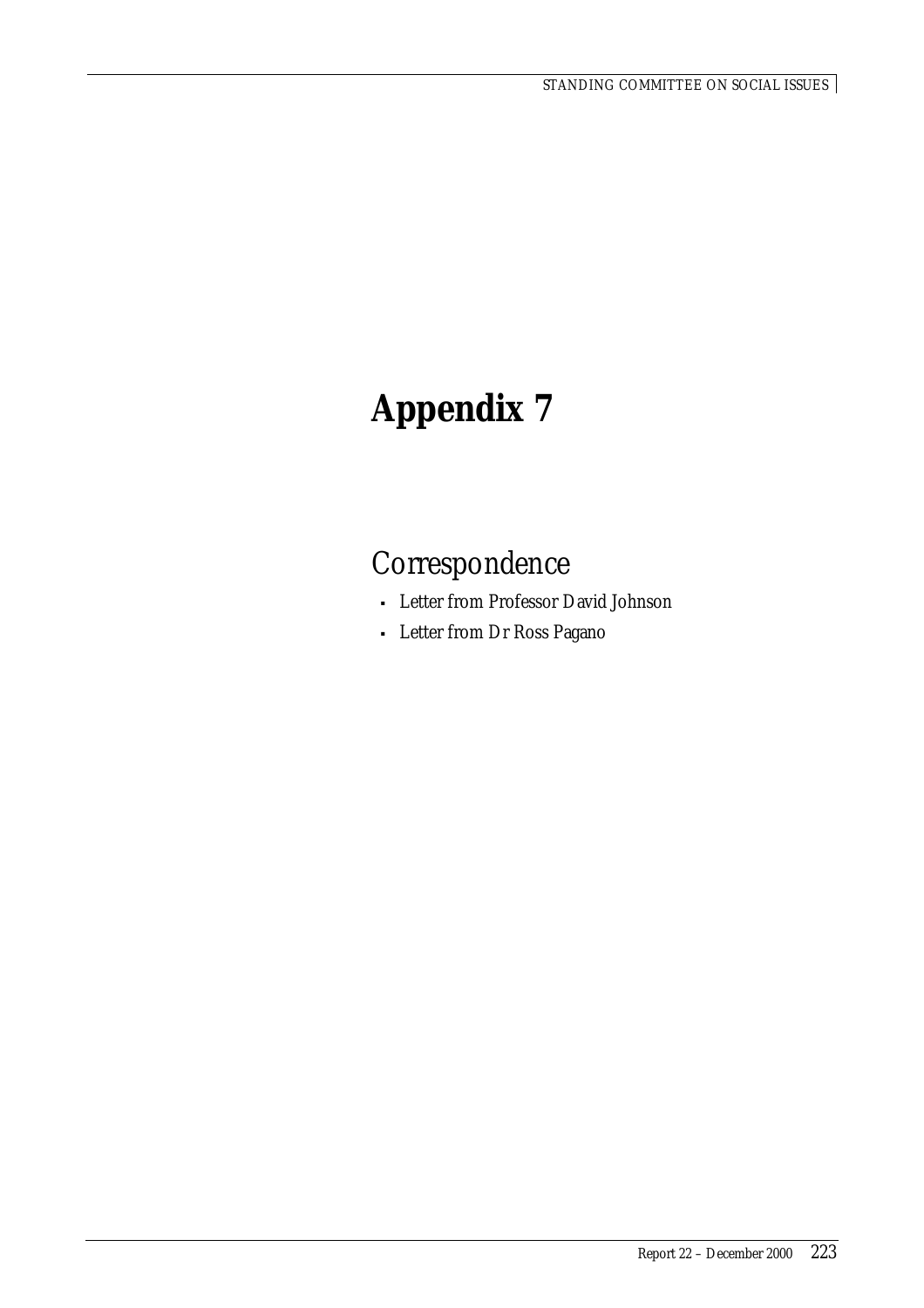### Correspondence

- Letter from Professor David Johnson
- Letter from Dr Ross Pagano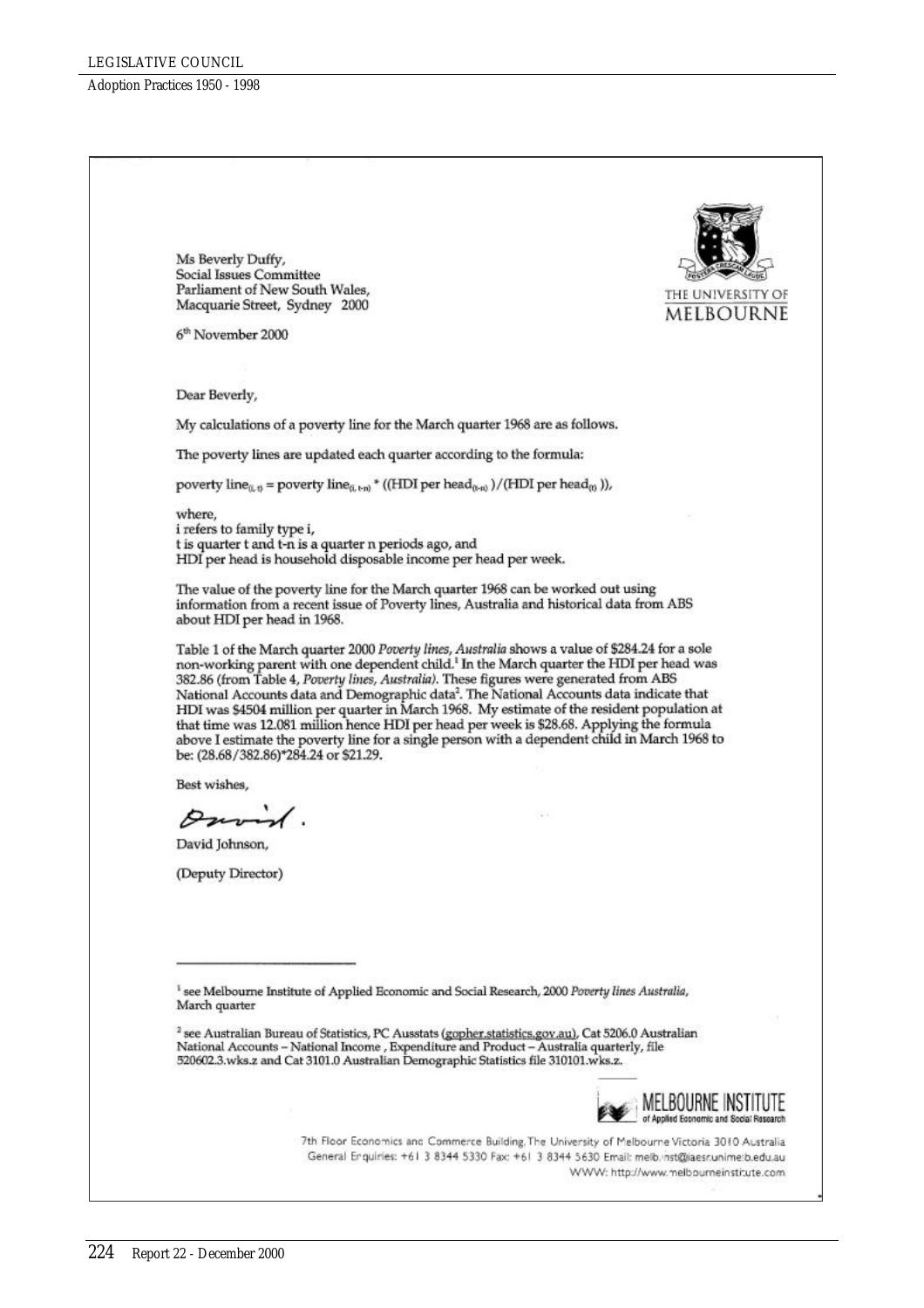Ms Beverly Duffy, Social Issues Committee Parliament of New South Wales. Macquarie Street, Sydney 2000

6<sup>th</sup> November 2000

Dear Beverly,

My calculations of a poverty line for the March quarter 1968 are as follows.

The poverty lines are updated each quarter according to the formula:

poverty line<sub>6.<sup>t</sup></sub> = poverty line<sub>6.tm</sub> \* ((HDI per head<sub>0-n)</sub>)/(HDI per head<sub>0)</sub>)),

where.

i refers to family type i,

t is quarter t and t-n is a quarter n periods ago, and HDI per head is household disposable income per head per week.

The value of the poverty line for the March quarter 1968 can be worked out using information from a recent issue of Poverty lines, Australia and historical data from ABS about HDI per head in 1968.

Table 1 of the March quarter 2000 Poverty lines, Australia shows a value of \$284.24 for a sole non-working parent with one dependent child.<sup>1</sup> In the March quarter the HDI per head was 382.86 (from Table 4, Poverty lines, Australia). These figures were generated from ABS National Accounts data and Demographic data<sup>2</sup>. The National Accounts data indicate that HDI was \$4504 million per quarter in March 1968. My estimate of the resident population at that time was 12.081 million hence HDI per head per week is \$28.68. Applying the formula above I estimate the poverty line for a single person with a dependent child in March 1968 to be: (28.68/382.86)\*284.24 or \$21.29.

Best wishes,

An

David Johnson,

(Deputy Director)

<sup>1</sup> see Melbourne Institute of Applied Economic and Social Research, 2000 Poverty lines Australia, March quarter

 $^2$ see Australian Bureau of Statistics, PC Ausstats (gopher.statistics.gov.au), Cat 5206.0 Australian National Accounts – National Income , Expenditure and Product – Australia quarterly, file<br>520602.3.wks.z and Cat 3101.0 Australian Demographic Statistics file 310101.wks.z.



THE UNIVERSITY OF

**MELBOURNE** 

7th Floor Economics and Commerce Building, The University of Melbourne Victoria 3010 Australia General Enquiries: +61 3 8344 5330 Fax: +61 3 8344 5630 Email: melb.inst@iaesr.unime:b.edu.au WWW: http://www.melbourneinstitute.com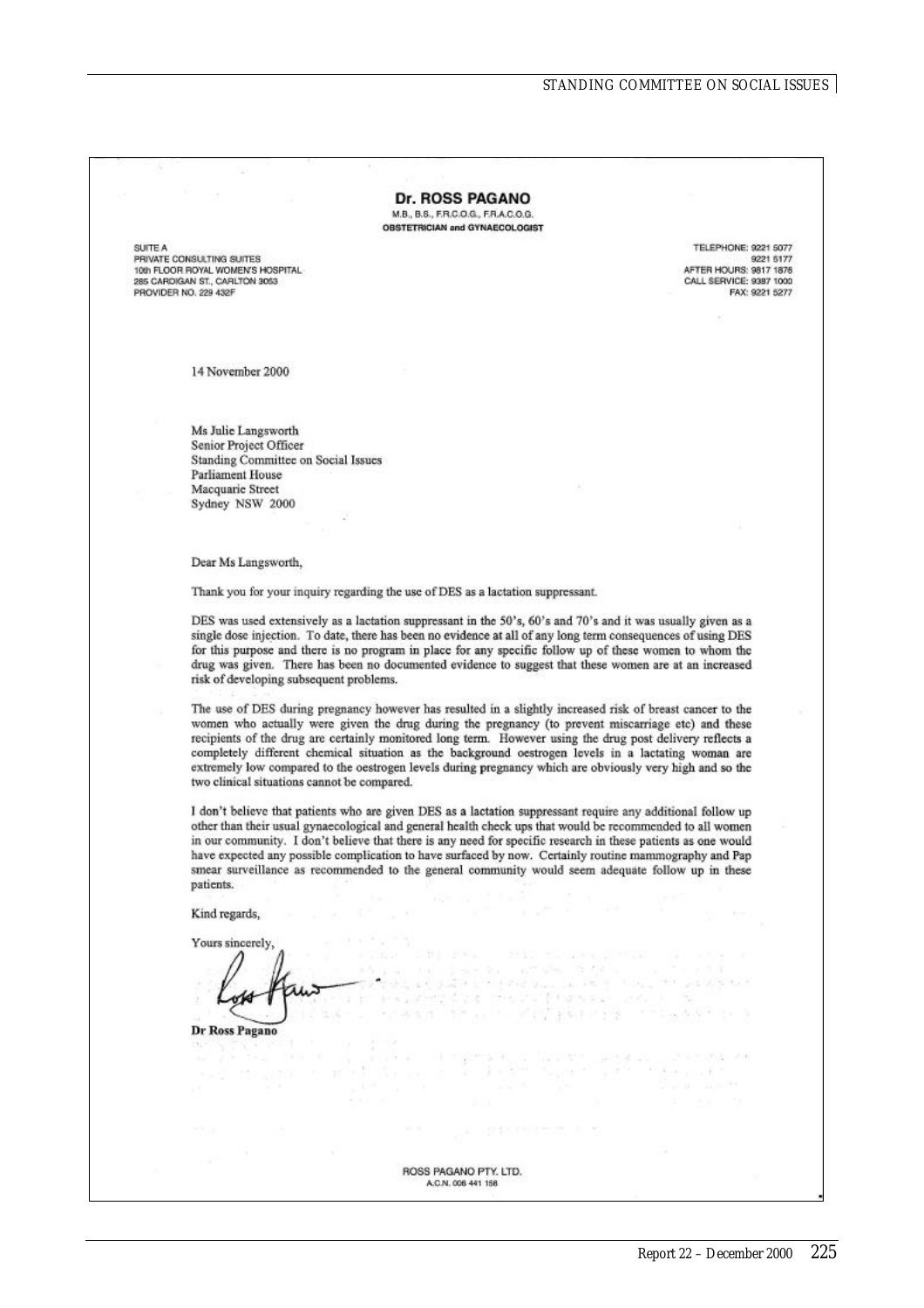#### STANDING COMMITTEE ON SOCIAL ISSUES

**Dr. ROSS PAGANO** M.B., B.S., F.R.C.O.G., F.R.A.C.O.G. **OBSTETRICIAN and GYNAECOLOGIST SUFTE A** TELEPHONE: 9221 5077 PRIVATE CONSULTING SUITES 9221 5177 10th FLOOR ROYAL WOMEN'S HOSPITAL 285 CARDIGAN ST., CARLTON 3053 AFTER HOURS: 9817 1876 CALL SERVICE: 9387 1000 PROVIDER NO. 229 432F FAX: 9221 5277 14 November 2000 Ms Julie Langsworth Senior Project Officer Standing Committee on Social Issues Parliament House Macquarie Street Sydney NSW 2000 Dear Ms Langsworth, Thank you for your inquiry regarding the use of DES as a lactation suppressant. DES was used extensively as a lactation suppressant in the 50's, 60's and 70's and it was usually given as a single dose injection. To date, there has been no evidence at all of any long term consequences of using DES for this purpose and there is no program in place for any specific follow up of these women to whom the drug was given. There has been no documented evidence to suggest that these women are at an increased risk of developing subsequent problems. The use of DES during pregnancy however has resulted in a slightly increased risk of breast cancer to the women who actually were given the drug during the pregnancy (to prevent miscarriage etc) and these recipients of the drug are certainly monitored long term. However using the drug post delivery reflects a completely different chemical situation as the background oestrogen levels in a lactating woman are extremely low compared to the oestrogen levels during pregnancy which are obviously very high and so the two clinical situations cannot be compared. I don't believe that patients who are given DES as a lactation suppressant require any additional follow up other than their usual gynaecological and general health check ups that would be recommended to all women in our community. I don't believe that there is any need for specific research in these patients as one would have expected any possible complication to have surfaced by now. Certainly routine mammography and Pap smear surveillance as recommended to the general community would seem adequate follow up in these patients. Kind regards, Yours sincerel Dr Ross Pagano ROSS PAGANO PTY, LTD. A.C.N. 006 441 158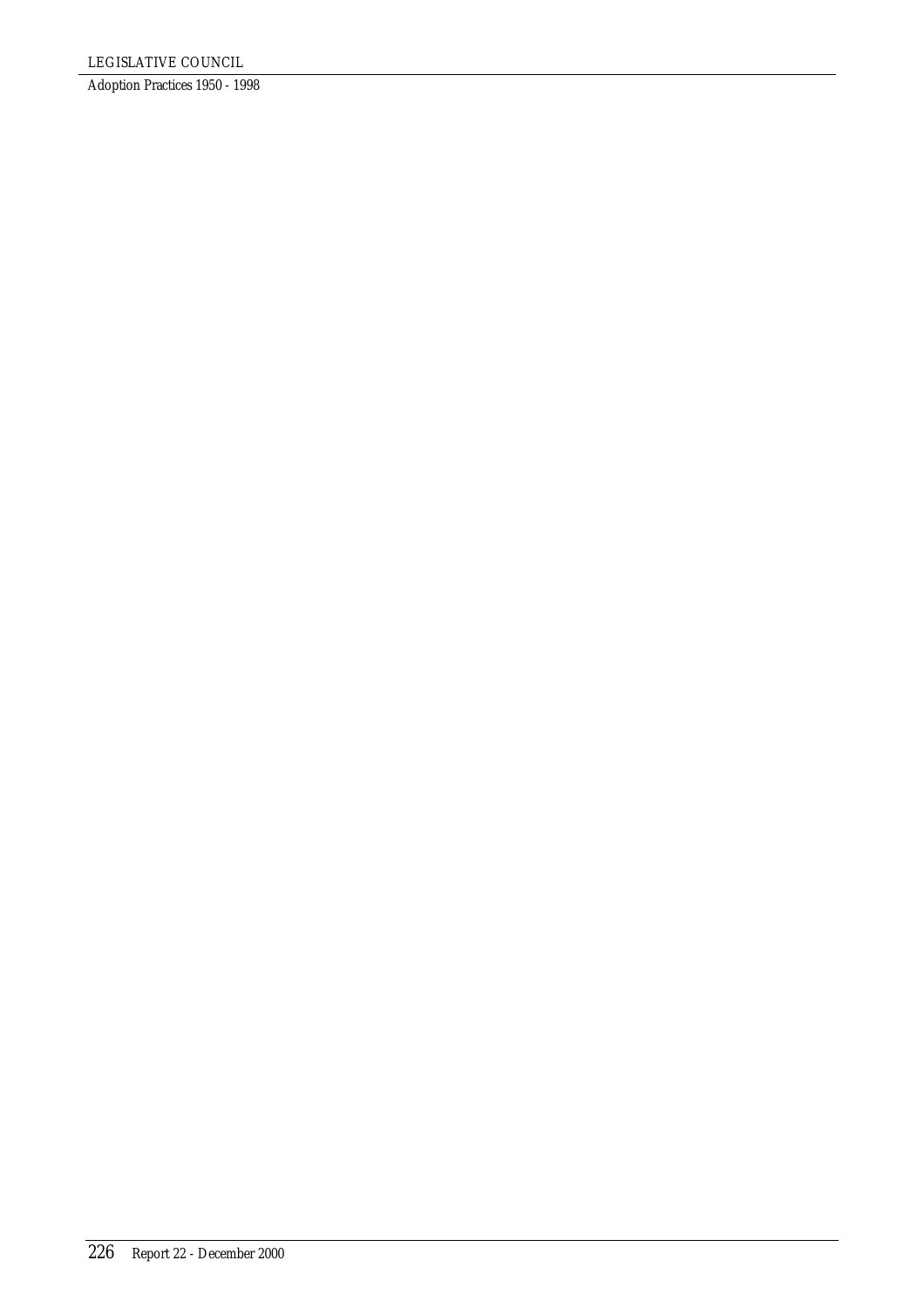LEGISLATIVE COUNCIL